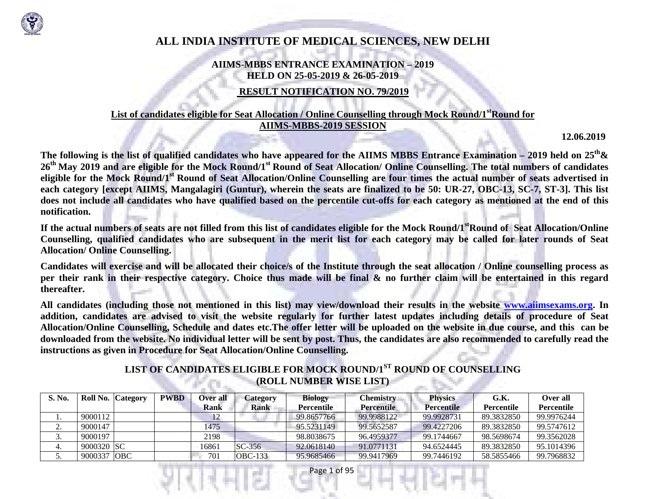

# **ALL INDIA INSTITUTE OF MEDICAL SCIENCES, NEW DELHI**

### **AIIMS-MBBS ENTRANCE EXAMINATION – 2019 HELD ON 25-05-2019 & 26-05-2019**

## **RESULT NOTIFICATION NO. 79/2019**

### List of candidates eligible for Seat Allocation / Online Counselling through Mock Round/1<sup>st</sup>Round for **AIIMS-MBBS-2019 SESSION**

**12.06.2019** 

**The following is the list of qualified candidates who have appeared for the AIIMS MBBS Entrance Examination – 2019 held on 25th& <sup>26</sup>th May 2019 and are eligible for the Mock Round/1st Round of Seat Allocation/ Online Counselling. The total numbers of candidates eligible for the Mock Round/1st Round of Seat Allocation/Online Counselling are four times the actual number of seats advertised in each category [except AIIMS, Mangalagiri (Guntur), wherein the seats are finalized to be 50: UR-27, OBC-13, SC-7, ST-3]. This list does not include all candidates who have qualified based on the percentile cut-offs for each category as mentioned at the end of this notification.** 

**If the actual numbers of seats are not filled from this list of candidates eligible for the Mock Round/1stRound of Seat Allocation/Online Counselling, qualified candidates who are subsequent in the merit list for each category may be called for later rounds of Seat Allocation/ Online Counselling.** 

**Candidates will exercise and will be allocated their choice/s of the Institute through the seat allocation / Online counselling process as per their rank in their respective category. Choice thus made will be final & no further claim will be entertained in this regard thereafter.** 

**All candidates (including those not mentioned in this list) may view/download their results in the website www.aiimsexams.org. In addition, candidates are advised to visit the website regularly for further latest updates including details of procedure of Seat Allocation/Online Counselling, Schedule and dates etc.The offer letter will be uploaded on the website in due course, and this can be downloaded from the website. No individual letter will be sent by post. Thus, the candidates are also recommended to carefully read the instructions as given in Procedure for Seat Allocation/Online Counselling.** 

### **LIST OF CANDIDATES ELIGIBLE FOR MOCK ROUND/1ST ROUND OF COUNSELLING (ROLL NUMBER WISE LIST)**

| <b>S. No.</b> |             | <b>Roll No. Category</b> | <b>PWBD</b> | <b>Over all</b> | Lategory    | <b>Biology</b> | Chemistrv         | <b>Physics</b>    | G.K.       | Over all          |
|---------------|-------------|--------------------------|-------------|-----------------|-------------|----------------|-------------------|-------------------|------------|-------------------|
|               |             |                          |             | Rank            | <b>Rank</b> | Percentile     | <b>Percentile</b> | <b>Percentile</b> | Percentile | <b>Percentile</b> |
|               | 9000112     |                          |             | 12              |             | 99.8657766     | 99.9988122        | 99.9928731        | 89.3832850 | 99.9976244        |
| <u>.</u>      | 9000147     |                          |             | 1475            |             | 95.5231149     | 99.5652587        | 99.4227206        | 89.3832850 | 99.5747612        |
|               | 9000197     |                          |             | 2198            |             | 98.8038675     | 96.4959377        | 99.1744667        | 98.5698674 | 99.3562028        |
|               | 9000320 ISC |                          |             | 16861           | $SC-356$    | 92.0618140     | 91.0771131        | 94.6524445        | 89.3832850 | 95.1014396        |
| J.            | 9000337 OBC |                          |             | 701             | $OBC-133$   | 95.9685466     | 99.9417969        | 99.7446192        | 58.5855466 | 99.7968832        |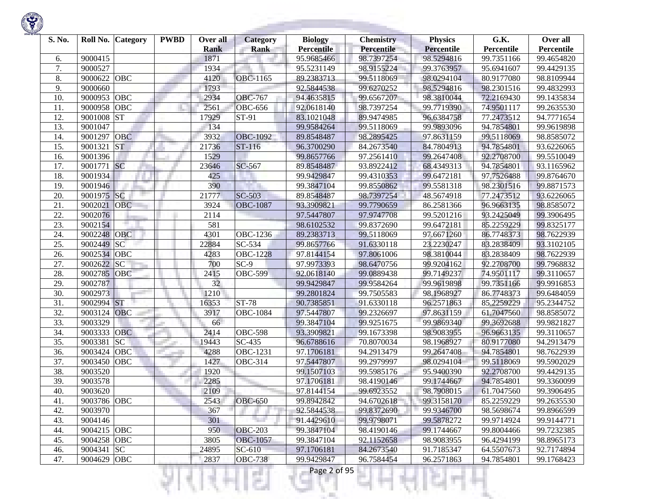

| S. No. |             | Roll No. Category | <b>PWBD</b> | Over all<br><b>Rank</b> | <b>Category</b><br><b>Rank</b> | <b>Biology</b><br><b>Percentile</b> | <b>Chemistry</b><br><b>Percentile</b> | <b>Physics</b><br><b>Percentile</b> | G.K.<br>Percentile | Over all<br>Percentile |
|--------|-------------|-------------------|-------------|-------------------------|--------------------------------|-------------------------------------|---------------------------------------|-------------------------------------|--------------------|------------------------|
| 6.     | 9000415     |                   |             | 1871                    |                                | 95.9685466                          | 98.7397254                            | 98.5294816                          | 99.7351166         | 99.4654820             |
| 7.     | 9000527     |                   |             | 1934                    |                                | 95.5231149                          | 98.9155224                            | 99.3763957                          | 95.6941607         | 99.4429135             |
| 8.     | 9000622     | <b>OBC</b>        |             | 4120                    | <b>OBC-1165</b>                | 89.2383713                          | 99.5118069                            | 98.0294104                          | 80.9177080         | 98.8109944             |
| 9.     | 9000660     |                   |             | 1793                    |                                | 92.5844538                          | 99.6270252                            | 98.5294816                          | 98.2301516         | 99.4832993             |
| 10.    | 9000953     | OBC               |             | 2934                    | <b>OBC-767</b>                 | 94.4635815                          | 99.6567207                            | 98.3810044                          | 72.2169430         | 99.1435834             |
| 11.    | 9000958     | <b>OBC</b>        |             | 2561                    | <b>OBC-656</b>                 | 92.0618140                          | 98.7397254                            | 99.7719390                          | 74.9501117         | 99.2635530             |
| 12.    | 9001008     | <b>ST</b>         |             | 17929                   | ST-91                          | 83.1021048                          | 89.9474985                            | 96.6384758                          | 77.2473512         | 94.7771654             |
| 13.    | 9001047     |                   |             | 134                     |                                | 99.9584264                          | 99.5118069                            | 99.9893096                          | 94.7854801         | 99.9619898             |
| 14.    | 9001297     | <b>OBC</b>        |             | 3932                    | <b>OBC-1092</b>                | 89.8548487                          | 98.2895425                            | 97.8631159                          | 99.5118069         | 98.8585072             |
| 15.    | 9001321     | <b>ST</b>         |             | 21736                   | ST-116                         | 96.3700290                          | 84.2673540                            | 84.7804913                          | 94.7854801         | 93.6226065             |
| 16.    | 9001396     |                   |             | 1529                    |                                | 99.8657766                          | 97.2561410                            | 99.2647408                          | 92.2708700         | 99.5510049             |
| 17.    | 9001771     | <b>SC</b>         |             | 23646                   | SC-567                         | 89.8548487                          | 93.8922412                            | 68.4349313                          | 94.7854801         | 93.1165962             |
| 18.    | 9001934     |                   |             | 425                     |                                | 99.9429847                          | 99.4310353                            | 99.6472181                          | 97.7526488         | 99.8764670             |
| 19.    | 9001946     |                   |             | 390                     |                                | 99.3847104                          | 99.8550862                            | 99.5581318                          | 98.2301516         | 99.8871573             |
| 20.    | 9001975 SC  |                   |             | 21777                   | $SC-503$                       | 89.8548487                          | 98.7397254                            | 48.5674918                          | 77.2473512         | 93.6226065             |
| 21.    | 9002021     | <b>OBC</b>        |             | 3924                    | <b>OBC-1087</b>                | 93.3909821                          | 99.7790659                            | 86.2581366                          | 96.9663135         | 98.8585072             |
| 22.    | 9002076     |                   |             | 2114                    |                                | 97.5447807                          | 97.9747708                            | 99.5201216                          | 93.2425049         | 99.3906495             |
| 23.    | 9002154     |                   |             | 581                     |                                | 98.6102532                          | 99.8372690                            | 99.6472181                          | 85.2259229         | 99.8325177             |
| 24.    | 9002248     | <b>OBC</b>        |             | 4301                    | OBC-1236                       | 89.2383713                          | 99.5118069                            | 97.6671260                          | 86.7748373         | 98.7622939             |
| 25.    | 9002449     | SC                |             | 22884                   | SC-534                         | 99.8657766                          | 91.6330118                            | 23.2230247                          | 83.2838409         | 93.3102105             |
| 26.    | 9002534 OBC |                   |             | 4283                    | <b>OBC-1228</b>                | 97.8144154                          | 97.8061006                            | 98.3810044                          | 83.2838409         | 98.7622939             |
| 27.    | 9002622     | SC                |             | 700                     | $SC-9$                         | 97.9973393                          | 98.6470756                            | 99.9204162                          | 92.2708700         | 99.7968832             |
| 28.    | 9002785     | <b>OBC</b>        |             | 2415                    | <b>OBC-599</b>                 | 92.0618140                          | 99.0889438                            | 99.7149237                          | 74.9501117         | 99.3110657             |
| 29.    | 9002787     |                   |             | 32                      |                                | 99.9429847                          | 99.9584264                            | 99.9619898                          | 99.7351166         | 99.9916853             |
| 30.    | 9002973     |                   |             | 1210                    |                                | 99.2801824                          | 99.7505583                            | 98.1968927                          | 86.7748373         | 99.6484059             |
| 31.    | 9002994 ST  |                   |             | 16353                   | <b>ST-78</b>                   | 90.7385851                          | 91.6330118                            | 96.2571863                          | 85.2259229         | 95.2344752             |
| 32.    | 9003124     | <b>OBC</b>        |             | 3917                    | <b>OBC-1084</b>                | 97.5447807                          | 99.2326697                            | 97.8631159                          | 61.7047560         | 98.8585072             |
| 33.    | 9003329     |                   |             | 66                      |                                | 99.3847104                          | 99.9251675                            | 99.9869340                          | 99.3692688         | 99.9821827             |
| 34.    | 9003333     | <b>OBC</b>        |             | 2414                    | <b>OBC-598</b>                 | 93.3909821                          | 99.1673398                            | 98.9083955                          | 96.9663135         | 99.3110657             |
| 35.    | 9003381     | <b>SC</b>         |             | 19443                   | SC-435                         | 96.6788616                          | 70.8070034                            | 98.1968927                          | 80.9177080         | 94.2913479             |
| 36.    | 9003424     | OBC               |             | 4288                    | <b>OBC-1231</b>                | 97.1706181                          | 94.2913479                            | 99.2647408                          | 94.7854801         | 98.7622939             |
| 37.    | 9003450     | <b>OBC</b>        |             | 1427                    | OBC-314                        | 97.5447807                          | 99.2979997                            | 98.0294104                          | 99.5118069         | 99.5902029             |
| 38.    | 9003520     |                   |             | 1920                    |                                | 99.1507103                          | 99.5985176                            | 95.9400390                          | 92.2708700         | 99.4429135             |
| 39.    | 9003578     |                   |             | 2285                    |                                | 97.1706181                          | 98.4190146                            | 99.1744667                          | 94.7854801         | 99.3360099             |
| 40.    | 9003620     |                   |             | 2109                    |                                | 97.8144154                          | 99.6923552                            | 98.7908015                          | 61.7047560         | 99.3906495             |
| 41.    | 9003786 OBC |                   |             | 2543                    | <b>OBC-650</b>                 | 99.8942842                          | 94.6702618                            | 99.3158170                          | 85.2259229         | 99.2635530             |
| 42.    | 9003970     |                   |             | 367                     |                                | 92.5844538                          | 99.8372690                            | 99.9346700                          | 98.5698674         | 99.8966599             |
| 43.    | 9004146     |                   |             | 301                     |                                | 91.4429610                          | 99.9798071                            | 99.5878272                          | 99.9714924         | 99.9144771             |
| 44.    | 9004215 OBC |                   |             | 950                     | <b>OBC-203</b>                 | 99.3847104                          | 98.4190146                            | 99.1744667                          | 99.8004466         | 99.7232385             |
| 45.    | 9004258 OBC |                   |             | 3805                    | <b>OBC-1057</b>                | 99.3847104                          | 92.1152658                            | 98.9083955                          | 96.4294199         | 98.8965173             |
| 46.    | 9004341 SC  |                   |             | 24895                   | SC-610                         | 97.1706181                          | 84.2673540                            | 91.7185347                          | 64.5507673         | 92.7174894             |
| 47.    | 9004629 OBC |                   |             | 2837                    | <b>OBC-738</b>                 | 99.9429847                          | 96.7584454                            | 96.2571863                          | 94.7854801         | 99.1768423             |
|        |             |                   |             |                         | s                              | Page 2 of 95                        |                                       |                                     |                    |                        |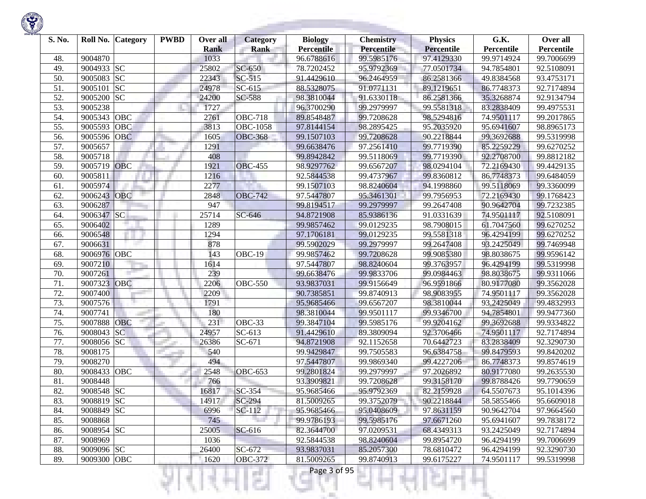| S. No. |             | Roll No. Category | <b>PWBD</b> | Over all<br><b>Rank</b> | <b>Category</b><br><b>Rank</b> | <b>Biology</b><br>Percentile | <b>Chemistry</b><br>Percentile | <b>Physics</b><br><b>Percentile</b> | G.K.<br>Percentile | Over all<br>Percentile |
|--------|-------------|-------------------|-------------|-------------------------|--------------------------------|------------------------------|--------------------------------|-------------------------------------|--------------------|------------------------|
| 48.    | 9004870     |                   |             | 1033                    |                                | 96.6788616                   | 99.5985176                     | 97.4129330                          | 99.9714924         | 99.7006699             |
| 49.    | 9004933     | <b>SC</b>         |             | 25802                   | SC-650                         | 78.7202452                   | 95.9792369                     | 77.0501734                          | 94.7854801         | 92.5108091             |
| 50.    | 9005083     | <b>SC</b>         |             | 22343                   | $SC-515$                       | 91.4429610                   | 96.2464959                     | 86.2581366                          | 49.8384568         | 93.4753171             |
| 51.    | 9005101     | <b>SC</b>         |             | 24978                   | $SC-615$                       | 88.5328075                   | 91.0771131                     | 89.1219651                          | 86.7748373         | 92.7174894             |
| 52.    | 9005200     | <b>SC</b>         |             | 24200                   | SC-588                         | 98.3810044                   | 91.6330118                     | 86.2581366                          | 35.3268874         | 92.9134794             |
| 53.    | 9005238     |                   |             | 1727                    |                                | 96.3700290                   | 99.2979997                     | 99.5581318                          | 83.2838409         | 99.4975531             |
| 54.    | 9005343     | OBC               |             | 2761                    | <b>OBC-718</b>                 | 89.8548487                   | 99.7208628                     | 98.5294816                          | 74.9501117         | 99.2017865             |
| 55.    | 9005593     | OBC               |             | 3813                    | <b>OBC-1058</b>                | 97.8144154                   | 98.2895425                     | 95.2035920                          | 95.6941607         | 98.8965173             |
| 56.    | 9005596     | <b>OBC</b>        |             | 1605                    | <b>OBC-368</b>                 | 99.1507103                   | 99.7208628                     | 90.2218844                          | 99.3692688         | 99.5319998             |
| 57.    | 9005657     |                   |             | 1291                    |                                | 99.6638476                   | 97.2561410                     | 99.7719390                          | 85.2259229         | 99.6270252             |
| 58.    | 9005718     |                   |             | 408                     |                                | 99.8942842                   | 99.5118069                     | 99.7719390                          | 92.2708700         | 99.8812182             |
| 59.    | 9005719     | <b>OBC</b>        |             | 1921                    | <b>OBC-455</b>                 | 98.9297762                   | 99.6567207                     | 98.0294104                          | 72.2169430         | 99.4429135             |
| 60.    | 9005811     |                   |             | 1216                    |                                | 92.5844538                   | 99.4737967                     | 99.8360812                          | 86.7748373         | 99.6484059             |
| 61.    | 9005974     |                   |             | 2277                    |                                | 99.1507103                   | 98.8240604                     | 94.1998860                          | 99.5118069         | 99.3360099             |
| 62.    | 9006243     | <b>OBC</b>        |             | 2848                    | <b>OBC-742</b>                 | 97.5447807                   | 95.3461301                     | 99.7956953                          | 72.2169430         | 99.1768423             |
| 63.    | 9006287     |                   |             | 947                     |                                | 99.8194517                   | 99.2979997                     | 99.2647408                          | 90.9642704         | 99.7232385             |
| 64.    | 9006347     | <b>SC</b>         |             | 25714                   | SC-646                         | 94.8721908                   | 85.9386136                     | 91.0331639                          | 74.9501117         | 92.5108091             |
| 65.    | 9006402     |                   |             | 1289                    |                                | 99.9857462                   | 99.0129235                     | 98.7908015                          | 61.7047560         | 99.6270252             |
| 66.    | 9006548     |                   |             | 1294                    |                                | 97.1706181                   | 99.0129235                     | 99.5581318                          | 96.4294199         | 99.6270252             |
| 67.    | 9006631     |                   |             | 878                     |                                | 99.5902029                   | 99.2979997                     | 99.2647408                          | 93.2425049         | 99.7469948             |
| 68.    | 9006976 OBC |                   |             | 143                     | $\overline{O}$ BC-19           | 99.9857462                   | 99.7208628                     | 99.9085380                          | 98.8038675         | 99.9596142             |
| 69.    | 9007210     |                   |             | 1614                    |                                | 97.5447807                   | 98.8240604                     | 99.3763957                          | 96.4294199         | 99.5319998             |
| 70.    | 9007261     |                   |             | 239                     |                                | 99.6638476                   | 99.9833706                     | 99.0984463                          | 98.8038675         | 99.9311066             |
| 71.    | 9007323     | OBC               |             | 2206                    | $\overline{O}$ BC-550          | 93.9837031                   | 99.9156649                     | 96.9591866                          | 80.9177080         | 99.3562028             |
| 72.    | 9007400     |                   |             | 2209                    |                                | 90.7385851                   | 99.8740913                     | 98.9083955                          | 74.9501117         | 99.3562028             |
| 73.    | 9007576     |                   |             | 1791                    |                                | 95.9685466                   | 99.6567207                     | 98.3810044                          | 93.2425049         | 99.4832993             |
| 74.    | 9007741     |                   |             | 180                     |                                | 98.3810044                   | 99.9501117                     | 99.9346700                          | 94.7854801         | 99.9477360             |
| 75.    | 9007888     | <b>OBC</b>        |             | 231                     | OBC-33                         | 99.3847104                   | 99.5985176                     | 99.9204162                          | 99.3692688         | 99.9334822             |
| 76.    | 9008043     | SC                |             | 24957                   | $\overline{SC}$ -613           | 91.4429610                   | 89.3809094                     | 92.3706466                          | 74.9501117         | 92.7174894             |
| 77.    | 9008056     | <b>SC</b>         |             | 26386                   | SC-671                         | 94.8721908                   | 92.1152658                     | 70.6442723                          | 83.2838409         | 92.3290730             |
| 78.    | 9008175     |                   |             | 540                     |                                | 99.9429847                   | 99.7505583                     | 96.6384758                          | 99.8479593         | 99.8420202             |
| 79.    | 9008270     |                   |             | 494                     |                                | 97.5447807                   | 99.9869340                     | 99.4227206                          | 86.7748373         | 99.8574619             |
| 80.    | 9008433     | OBC               |             | 2548                    | <b>OBC-653</b>                 | 99.2801824                   | 99.2979997                     | 97.2026892                          | 80.9177080         | 99.2635530             |
| 81.    | 9008448     |                   |             | 766                     |                                | 93.3909821                   | 99.7208628                     | 99.3158170                          | 99.8788426         | 99.7790659             |
| 82.    | 9008548     | <b>SC</b>         |             | 16817                   | SC-354                         | 95.9685466                   | 95.9792369                     | 82.2159928                          | 64.5507673         | 95.1014396             |
| 83.    | 9008819 SC  |                   |             | 14917                   | $SC-294$                       | 81.5009265                   | 99.3752079                     | 90.2218844                          | 58.5855466         | 95.6609018             |
| 84.    | 9008849 SC  |                   |             | 6996                    | SC-112                         | 95.9685466                   | 95.0408609                     | 97.8631159                          | 90.9642704         | 97.9664560             |
| 85.    | 9008868     |                   |             | 745                     |                                | 99.9786193                   | 99.5985176                     | 97.6671260                          | 95.6941607         | 99.7838172             |
| 86.    | 9008954 SC  |                   |             | 25005                   | SC-616                         | 82.3644700                   | 97.0209531                     | 68.4349313                          | 93.2425049         | 92.7174894             |
| 87.    | 9008969     |                   |             | 1036                    |                                | 92.5844538                   | 98.8240604                     | 99.8954720                          | 96.4294199         | 99.7006699             |
| 88.    | 9009096 SC  |                   |             | 26400                   | SC-672                         | 93.9837031                   | 85.2057300                     | 78.6810472                          | 96.4294199         | 92.3290730             |
| 89.    | 9009300 OBC |                   |             | 1620                    | <b>OBC-372</b>                 | 81.5009265                   | 99.8740913                     | 99.6175227                          | 74.9501117         | 99.5319998             |
|        |             |                   |             |                         | ç.                             | Page 3 of 95                 |                                |                                     |                    |                        |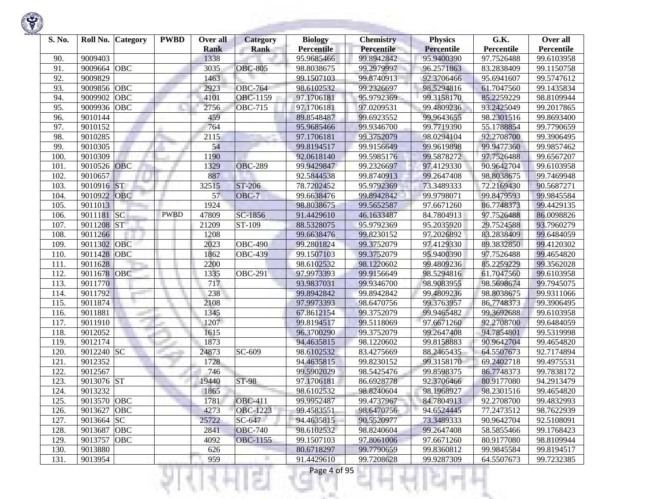

| S. No. | Roll No.    | <b>Category</b> | <b>PWBD</b> | Over all<br><b>Rank</b> | Category<br><b>Rank</b> | <b>Biology</b><br><b>Percentile</b> | <b>Chemistry</b><br><b>Percentile</b> | <b>Physics</b><br><b>Percentile</b> | G.K.<br>Percentile | Over all<br>Percentile |
|--------|-------------|-----------------|-------------|-------------------------|-------------------------|-------------------------------------|---------------------------------------|-------------------------------------|--------------------|------------------------|
| 90.    | 9009403     |                 |             | 1338                    |                         | 95.9685466                          | 99.8942842                            | 95.9400390                          | 97.7526488         | 99.6103958             |
| 91.    | 9009664     | OBC             |             | 3035                    | <b>OBC-805</b>          | 98.8038675                          | 99.2979997                            | 96.2571863                          | 83.2838409         | 99.1150758             |
| 92.    | 9009829     |                 |             | 1463                    |                         | 99.1507103                          | 99.8740913                            | 92.3706466                          | 95.6941607         | 99.5747612             |
| 93.    | 9009856     | <b>OBC</b>      |             | 2923                    | <b>OBC-764</b>          | 98.6102532                          | 99.2326697                            | 98.5294816                          | 61.7047560         | 99.1435834             |
| 94.    | 9009902     | OBC             |             | 4101                    | OBC-1159                | 97.1706181                          | 95.9792369                            | 99.3158170                          | 85.2259229         | 98.8109944             |
| 95.    | 9009936     | OBC             |             | 2756                    | <b>OBC-715</b>          | 97.1706181                          | 97.0209531                            | 99.4809236                          | 93.2425049         | 99.2017865             |
| 96.    | 9010144     |                 |             | 459                     |                         | 89.8548487                          | 99.6923552                            | 99.9643655                          | 98.2301516         | 99.8693400             |
| 97.    | 9010152     |                 |             | 764                     |                         | 95.9685466                          | 99.9346700                            | 99.7719390                          | 55.1788854         | 99.7790659             |
| 98.    | 9010285     |                 |             | 2115                    |                         | 97.1706181                          | 99.3752079                            | 98.0294104                          | 92.2708700         | 99.3906495             |
| 99.    | 9010305     |                 |             | 54                      |                         | 99.8194517                          | 99.9156649                            | 99.9619898                          | 99.9477360         | 99.9857462             |
| 100    | 9010309     |                 |             | 1190                    |                         | 92.0618140                          | 99.5985176                            | 99.5878272                          | 97.7526488         | 99.6567207             |
| 101.   | 9010526     | OBC             |             | 1329                    | <b>OBC-289</b>          | 99.9429847                          | 99.2326697                            | 97.4129330                          | 90.9642704         | 99.6103958             |
| 102.   | 9010657     |                 |             | 887                     |                         | 92.5844538                          | 99.8740913                            | 99.2647408                          | 98.8038675         | 99.7469948             |
| 103.   | 9010916     | <b>ST</b>       |             | 32515                   | ST-206                  | 78.7202452                          | 95.9792369                            | 73.3489333                          | 72.2169430         | 90.5687271             |
| 104.   | 9010922     | <b>OBC</b>      |             | 57                      | OBC-7                   | 99.6638476                          | 99.8942842                            | 99.9798071                          | 99.8479593         | 99.9845584             |
| 105.   | 9011013     |                 |             | 1924                    |                         | 98.8038675                          | 99.5652587                            | 97.6671260                          | 86.7748373         | 99.4429135             |
| 106.   | 9011181     | <b>SC</b>       | <b>PWBD</b> | 47809                   | SC-1856                 | 91.4429610                          | 46.1633487                            | 84.7804913                          | 97.7526488         | 86.0098826             |
| 107.   | 9011208     | <b>ST</b>       |             | 21209                   | ST-109                  | 88.5328075                          | 95.9792369                            | 95.2035920                          | 29.7524588         | 93.7960279             |
| 108    | 9011266     |                 |             | 1208                    |                         | 99.6638476                          | 99.8230152                            | 97.2026892                          | 83.2838409         | 99.6484059             |
| 109    | 9011302     | <b>OBC</b>      |             | 2023                    | <b>OBC-490</b>          | 99.2801824                          | 99.3752079                            | 97.4129330                          | 89.3832850         | 99.4120302             |
| 110.   | 9011428     | OBC             |             | 1862                    | <b>OBC-439</b>          | 99.1507103                          | 99.3752079                            | 95.9400390                          | 97.7526488         | 99.4654820             |
| 111.   | 9011628     |                 |             | 2200                    |                         | 98.6102532                          | 98.1220602                            | 99.4809236                          | 85.2259229         | 99.3562028             |
| 112.   | 9011678     | <b>OBC</b>      |             | 1335                    | <b>OBC-291</b>          | 97.9973393                          | 99.9156649                            | 98.5294816                          | 61.7047560         | 99.6103958             |
| 113.   | 9011770     |                 |             | 717                     |                         | 93.9837031                          | 99.9346700                            | 98.9083955                          | 98.5698674         | 99.7945075             |
| 114.   | 9011792     |                 |             | 238                     |                         | 99.8942842                          | 99.8942842                            | 99,4809236                          | 98.8038675         | 99.9311066             |
| 115.   | 9011874     |                 |             | 2108                    |                         | 97.9973393                          | 98.6470756                            | 99.3763957                          | 86.7748373         | 99.3906495             |
| 116.   | 9011881     |                 |             | 1345                    |                         | 67.8612154                          | 99.3752079                            | 99.9465482                          | 99.3692688         | 99.6103958             |
| 117.   | 9011910     | mar.            |             | 1207                    |                         | 99.8194517                          | 99.5118069                            | 97.6671260                          | 92.2708700         | 99.6484059             |
| 118.   | 9012052     |                 |             | 1615                    |                         | 96.3700290                          | 99.3752079                            | 99.2647408                          | 94.7854801         | 99.5319998             |
| 119.   | 9012174     |                 |             | 1873                    |                         | 94.4635815                          | 98.1220602                            | 99.8158883                          | 90.9642704         | 99.4654820             |
| 120.   | 9012240     | <b>SC</b>       |             | 24873                   | SC-609                  | 98.6102532                          | 83.4275669                            | 88.2465435                          | 64.5507673         | 92.7174894             |
| 121.   | 9012352     |                 |             | 1728                    |                         | 94.4635815                          | 99.8230152                            | 99.3158170                          | 69.2402718         | 99.4975531             |
| 122.   | 9012567     |                 |             | 746                     |                         | 99.5902029                          | 98.5425476                            | 99.8598375                          | 86.7748373         | 99.7838172             |
| 123.   | 9013076 ST  |                 |             | 19440                   | <b>ST-98</b>            | 97.1706181                          | 86.6928778                            | 92.3706466                          | 80.9177080         | 94.2913479             |
| 124.   | 9013232     |                 |             | 1865                    |                         | 98.6102532                          | 98.8240604                            | 98.1968927                          | 98.2301516         | 99.4654820             |
| 125.   | 9013570 OBC |                 |             | 1781                    | <b>OBC-411</b>          | 99.9952487                          | 99.4737967                            | 84.7804913                          | 92.2708700         | 99.4832993             |
| 126.   | 9013627     | <b>OBC</b>      |             | 4273                    | <b>OBC-1223</b>         | 99.4583551                          | 98.6470756                            | 94.6524445                          | 77.2473512         | 98.7622939             |
| 127.   | 9013664 SC  |                 |             | 25722                   | $SC-647$                | 94.4635815                          | 90.5520977                            | 73.3489333                          | 90.9642704         | 92.5108091             |
| 128.   | 9013687 OBC |                 |             | 2841                    | <b>OBC-740</b>          | 98.6102532                          | 98.8240604                            | 99.2647408                          | 58.5855466         | 99.1768423             |
| 129.   | 9013757     | OBC             |             | 4092                    | OBC-1155                | 99.1507103                          | 97.8061006                            | 97.6671260                          | 80.9177080         | 98.8109944             |
| 130.   | 9013880     |                 |             | 626                     |                         | 80.6718297                          | 99.7790659                            | 99.8360812                          | 99.9845584         | 99.8194517             |
| 131.   | 9013954     |                 |             | 959                     |                         | 91.4429610                          | 99.7208628                            | 99.9287309                          | 64.5507673         | 99.7232385             |
|        |             |                 |             |                         | s.                      | Page 4 of 95                        |                                       |                                     |                    |                        |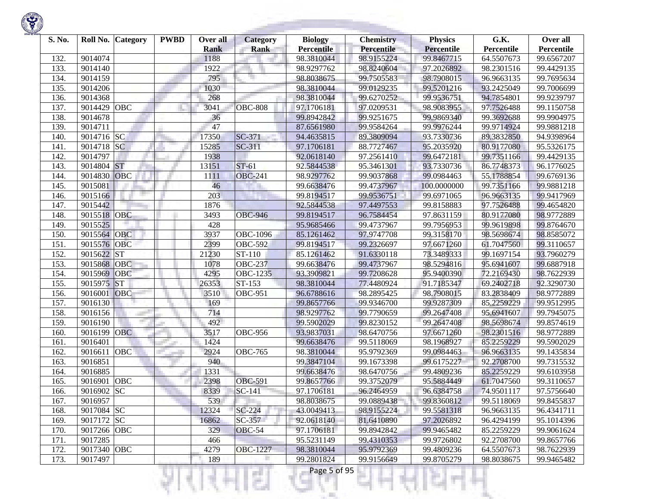

| S. No.       | Roll No.    | <b>Category</b> | <b>PWBD</b> | Over all            | <b>Category</b> | <b>Biology</b>                  | <b>Chemistry</b>                | <b>Physics</b>                  | G.K.                     | Over all                 |
|--------------|-------------|-----------------|-------------|---------------------|-----------------|---------------------------------|---------------------------------|---------------------------------|--------------------------|--------------------------|
|              | 9014074     |                 |             | <b>Rank</b><br>1188 | Rank            | <b>Percentile</b><br>98.3810044 | <b>Percentile</b><br>98.9155224 | <b>Percentile</b><br>99.8467715 | Percentile<br>64.5507673 | Percentile<br>99.6567207 |
| 132.<br>133. | 9014140     |                 |             | 1922                |                 | 98.9297762                      | 98.8240604                      | 97.2026892                      | 98.2301516               | 99.4429135               |
| 134.         | 9014159     |                 |             | 795                 |                 | 98.8038675                      | 99.7505583                      | 98.7908015                      | 96.9663135               | 99.7695634               |
| 135.         | 9014206     |                 |             | 1030                |                 | 98.3810044                      | 99.0129235                      | 99.5201216                      | 93.2425049               | 99.7006699               |
| 136.         | 9014368     |                 |             | 268                 |                 | 98.3810044                      | 99.6270252                      | 99.9536751                      | 94.7854801               | 99.9239797               |
| 137.         | 9014429     | OBC             |             | 3041                | <b>OBC-808</b>  | 97.1706181                      | 97.0209531                      | 98.9083955                      | 97.7526488               | 99.1150758               |
| 138.         | 9014678     |                 |             | 36                  |                 | 99.8942842                      | 99.9251675                      | 99.9869340                      | 99.3692688               | 99.9904975               |
| 139.         | 9014711     |                 |             | 47                  |                 | 87.6561980                      | 99.9584264                      | 99.9976244                      | 99.9714924               | 99.9881218               |
| 140.         | 9014716     | <b>SC</b>       |             | 17350               | SC-371          | 94.4635815                      | 89.3809094                      | 93.7330736                      | 89.3832850               | 94.9398964               |
| 141.         | 9014718     | <b>SC</b>       |             | 15285               | $SC-311$        | 97.1706181                      | 88.7727467                      | 95.2035920                      | 80.9177080               | 95.5326175               |
| 142.         | 9014797     |                 |             | 1938                |                 | 92.0618140                      | 97.2561410                      | 99.6472181                      | 99.7351166               | 99.4429135               |
| 143.         | 9014804     | <b>ST</b>       |             | 13151               | $ST-61$         | 92.5844538                      | 95.3461301                      | 93.7330736                      | 86.7748373               | 96.1776025               |
| 144.         | 9014830     | OBC             |             | 1111                | <b>OBC-241</b>  | 98.9297762                      | 99.9037868                      | 99.0984463                      | 55.1788854               | 99.6769136               |
| 145.         | 9015081     |                 |             | 46                  |                 | 99.6638476                      | 99.4737967                      | 100.0000000                     | 99.7351166               | 99.9881218               |
| 146.         | 9015166     |                 |             | 203                 |                 | 99.8194517                      | 99.9536751                      | 99.6971065                      | 96.9663135               | 99.9417969               |
| 147.         | 9015442     |                 |             | 1876                |                 | 92.5844538                      | 97.4497553                      | 99.8158883                      | 97.7526488               | 99.4654820               |
| 148.         | 9015518 OBC |                 |             | 3493                | <b>OBC-946</b>  | 99.8194517                      | 96.7584454                      | 97.8631159                      | 80.9177080               | 98.9772889               |
| 149.         | 9015525     |                 |             | 428                 |                 | 95.9685466                      | 99.4737967                      | 99.7956953                      | 99.9619898               | 99.8764670               |
| 150.         | 9015564 OBC |                 |             | 3937                | <b>OBC-1096</b> | 85.1261462                      | 97.9747708                      | 99.3158170                      | 98.5698674               | 98.8585072               |
| 151.         | 9015576 OBC |                 |             | 2399                | <b>OBC-592</b>  | 99.8194517                      | 99.2326697                      | 97.6671260                      | 61.7047560               | 99.3110657               |
| 152.         | 9015622     | <b>ST</b>       |             | 21230               | ST-110          | 85.1261462                      | 91.6330118                      | 73.3489333                      | 99.1697154               | 93.7960279               |
| 153.         | 9015868     | <b>OBC</b>      |             | 1078                | <b>OBC-237</b>  | 99.6638476                      | 99.4737967                      | 98.5294816                      | 95.6941607               | 99.6887918               |
| 154.         | 9015969     | OBC             |             | 4295                | <b>OBC-1235</b> | 93.3909821                      | 99.7208628                      | 95.9400390                      | 72.2169430               | 98.7622939               |
| 155.         | 9015975     | <b>ST</b>       |             | 26353               | ST-153          | 98.3810044                      | 77.4480924                      | 91.7185347                      | 69.2402718               | 92.3290730               |
| 156.         | 9016001     | <b>OBC</b>      |             | 3510                | <b>OBC-951</b>  | 96.6788616                      | 98.2895425                      | 98.7908015                      | 83.2838409               | 98.9772889               |
| 157.         | 9016130     |                 |             | 169                 |                 | 99.8657766                      | 99.9346700                      | 99.9287309                      | 85.2259229               | 99.9512995               |
| 158.         | 9016156     |                 |             | 714                 |                 | 98.9297762                      | 99.7790659                      | 99.2647408                      | 95.6941607               | 99.7945075               |
| 159.         | 9016190     | m.              |             | 492                 |                 | 99.5902029                      | 99.8230152                      | 99.2647408                      | 98.5698674               | 99.8574619               |
| 160.         | 9016199     | <b>OBC</b>      |             | 3517                | <b>OBC-956</b>  | 93.9837031                      | 98.6470756                      | 97.6671260                      | 98.2301516               | 98.9772889               |
| 161.         | 9016401     |                 |             | 1424                |                 | 99.6638476                      | 99.5118069                      | 98.1968927                      | 85.2259229               | 99.5902029               |
| 162.         | 9016611     | OBC             |             | 2924                | <b>OBC-765</b>  | 98.3810044                      | 95.9792369                      | 99.0984463                      | 96.9663135               | 99.1435834               |
| 163.         | 9016851     |                 |             | 940                 |                 | 99.3847104                      | 99.1673398                      | 99.6175227                      | 92.2708700               | 99.7315532               |
| 164.         | 9016885     |                 |             | 1331                |                 | 99.6638476                      | 98.6470756                      | 99.4809236                      | 85.2259229               | 99.6103958               |
| 165.         | 9016901     | OBC             |             | 2398                | <b>OBC-591</b>  | 99.8657766                      | 99.3752079                      | 95.5884449                      | 61.7047560               | 99.3110657               |
| 166.         | 9016902     | <b>SC</b>       |             | 8339                | $SC-141$        | 97.1706181                      | 96.2464959                      | 96.6384758                      | 74.9501117               | 97.5756640               |
| 167.         | 9016957     |                 |             | 539                 |                 | 98.8038675                      | 99.0889438                      | 99.8360812                      | 99.5118069               | 99.8455837               |
| 168.         | 9017084 SC  |                 |             | 12324               | $SC-224$        | 43.0049413                      | 98.9155224                      | 99.5581318                      | 96.9663135               | 96.4341711               |
| 169.         | 9017172 SC  |                 |             | 16862               | $SC-357$        | 92.0618140                      | 81.6410890                      | 97.2026892                      | 96.4294199               | 95.1014396               |
| 170.         | 9017266 OBC |                 |             | 329                 | OBC-54          | 97.1706181                      | 99.8942842                      | 99.9465482                      | 85.2259229               | 99.9061624               |
| 171.         | 9017285     |                 |             | 466                 |                 | 95.5231149                      | 99.4310353                      | 99.9726802                      | 92.2708700               | 99.8657766               |
| 172.         | 9017340 OBC |                 |             | 4279                | <b>OBC-1227</b> | 98.3810044                      | 95.9792369                      | 99.4809236                      | 64.5507673               | 98.7622939               |
| 173.         | 9017497     |                 |             | 189                 |                 | 99.2801824                      | 99.9156649                      | 99.8705279                      | 98.8038675               | 99.9465482               |
|              |             |                 |             |                     | s               | Page 5 of 95                    |                                 |                                 |                          |                          |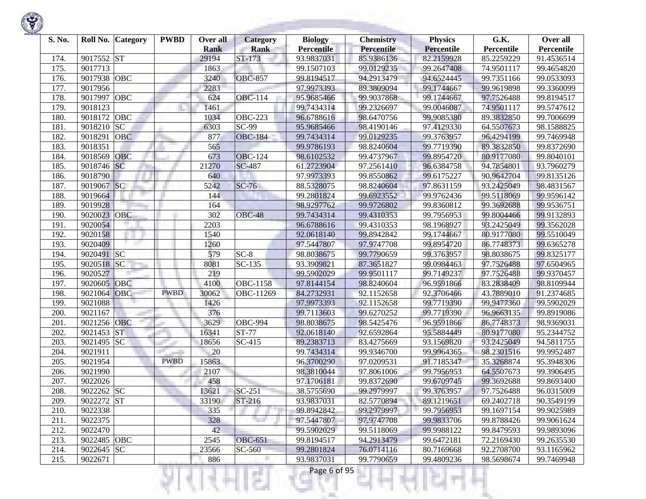

| S. No. |             | Roll No. Category | <b>PWBD</b> | Over all<br><b>Rank</b> | <b>Category</b><br><b>Rank</b> | <b>Biology</b><br><b>Percentile</b> | <b>Chemistry</b><br>Percentile | <b>Physics</b><br><b>Percentile</b> | G.K.<br>Percentile | Over all<br>Percentile |
|--------|-------------|-------------------|-------------|-------------------------|--------------------------------|-------------------------------------|--------------------------------|-------------------------------------|--------------------|------------------------|
| 174.   | 9017552     | <b>ST</b>         |             | 29194                   | ST-173                         | 93.9837031                          | 85.9386136                     | 82.2159928                          | 85.2259229         | 91.4536514             |
| 175.   | 9017713     |                   |             | 1863                    |                                | 99.1507103                          | 99.0129235                     | 99.2647408                          | 74.9501117         | 99.4654820             |
| 176.   | 9017938     | OBC               |             | 3240                    | <b>OBC-857</b>                 | 99.8194517                          | 94.2913479                     | 94.6524445                          | 99.7351166         | 99.0533093             |
| 177.   | 9017956     |                   |             | 2283                    |                                | 97.9973393                          | 89.3809094                     | 99.1744667                          | 99.9619898         | 99.3360099             |
| 178.   | 9017997 OBC |                   |             | 624                     | <b>OBC-114</b>                 | 95.9685466                          | 99.9037868                     | 99.1744667                          | 97.7526488         | 99.8194517             |
| 179.   | 9018123     |                   |             | 1461                    |                                | 99.7434314                          | 99.2326697                     | 99.0046087                          | 74.9501117         | 99.5747612             |
| 180.   | 9018172     | <b>OBC</b>        |             | 1034                    | <b>OBC-223</b>                 | 96.6788616                          | 98.6470756                     | 99.9085380                          | 89.3832850         | 99.7006699             |
| 181.   | 9018210     | SC                |             | 6303                    | $SC-99$                        | 95.9685466                          | 98.4190146                     | 97.4129330                          | 64.5507673         | 98.1588825             |
| 182.   | 9018291     | <b>OBC</b>        |             | 877                     | <b>OBC-184</b>                 | 99.7434314                          | 99.0129235                     | 99.3763957                          | 96.4294199         | 99.7469948             |
| 183.   | 9018351     |                   |             | 565                     |                                | 99.9786193                          | 98.8240604                     | 99.7719390                          | 89.3832850         | 99.8372690             |
| 184.   | 9018569     | <b>OBC</b>        |             | 673                     | $\overline{OBC-124}$           | 98.6102532                          | 99.4737967                     | 99.8954720                          | 80.9177080         | 99.8040101             |
| 185.   | 9018746 SC  |                   |             | 21270                   | <b>SC-487</b>                  | 61.2723904                          | 97.2561410                     | 96.6384758                          | 94.7854801         | 93.7960279             |
| 186.   | 9018790     |                   |             | 640                     |                                | 97.9973393                          | 99.8550862                     | 99.6175227                          | 90.9642704         | 99.8135126             |
| 187.   | 9019067 SC  |                   |             | 5242                    | $SC-76$                        | 88.5328075                          | 98.8240604                     | 97.8631159                          | 93.2425049         | 98.4831567             |
| 188.   | 9019664     |                   |             | 144                     |                                | 99.2801824                          | 99.6923552                     | 99.9762436                          | 99.5118069         | 99.9596142             |
| 189.   | 9019928     |                   |             | 164                     |                                | 98.9297762                          | 99.9726802                     | 99.8360812                          | 99.3692688         | 99.9536751             |
| 190.   | 9020023 OBC |                   |             | 302                     | OBC-48                         | 99.7434314                          | 99.4310353                     | 99.7956953                          | 99.8004466         | 99.9132893             |
| 191.   | 9020054     |                   |             | 2203                    |                                | 96.6788616                          | 99.4310353                     | 98.1968927                          | 93.2425049         | 99.3562028             |
| 192.   | 9020158     |                   |             | 1540                    |                                | 92.0618140                          | 99.8942842                     | 99.1744667                          | 80.9177080         | 99.5510049             |
| 193.   | 9020409     |                   |             | 1260                    |                                | 97.5447807                          | 97.9747708                     | 99.8954720                          | 86.7748373         | 99.6365278             |
| 194.   | 9020491 SC  |                   |             | 579                     | $SC-8$                         | 98.8038675                          | 99.7790659                     | 99.3763957                          | 98.8038675         | 99.8325177             |
| 195.   | 9020518     | SC                |             | 8081                    | $SC-135$                       | 93.3909821                          | 87.3651827                     | 99.0984463                          | 97.7526488         | 97.6504965             |
| 196.   | 9020527     |                   |             | 219                     |                                | 99.5902029                          | 99.9501117                     | 99.7149237                          | 97.7526488         | 99.9370457             |
| 197.   | 9020605     | OBC               |             | 4100                    | <b>OBC-1158</b>                | 97.8144154                          | 98.8240604                     | 96.9591866                          | 83.2838409         | 98.8109944             |
| 198.   | 9021064     | OBC               | <b>PWBD</b> | 30062                   | OBC-11269                      | 84.2732931                          | 92.1152658                     | 92.3706466                          | 43.7889010         | 91.2374685             |
| 199.   | 9021088     |                   |             | 1426                    |                                | 97.9973393                          | 92.1152658                     | 99.7719390                          | 99.9477360         | 99.5902029             |
| 200.   | 9021167     |                   |             | 376                     |                                | 99.7113603                          | 99.6270252                     | 99.7719390                          | 96.9663135         | 99.8919086             |
| 201.   | 9021256     | OBC               |             | 3629                    | <b>OBC-994</b>                 | 98.8038675                          | 98.5425476                     | 96.9591866                          | 86.7748373         | 98.9369031             |
| 202.   | 9021453     | <b>ST</b>         |             | 16341                   | <b>ST-77</b>                   | 92.0618140                          | 92.6592864                     | 95.5884449                          | 80.9177080         | 95.2344752             |
| 203.   | 9021495     | <b>SC</b>         |             | 18656                   | SC-415                         | 89.2383713                          | 83.4275669                     | 93.1569820                          | 93.2425049         | 94.5811755             |
| 204.   | 9021911     |                   |             | 20                      |                                | 99.7434314                          | 99.9346700                     | 99.9964365                          | 98.2301516         | 99.9952487             |
| 205.   | 9021954     |                   | <b>PWBD</b> | 15863                   |                                | 96.3700290                          | 97.0209531                     | 91.7185347                          | 35.3268874         | 95.3948306             |
| 206.   | 9021990     |                   |             | 2107                    |                                | 98.3810044                          | 97.8061006                     | 99.7956953                          | 64.5507673         | 99.3906495             |
| 207.   | 9022026     |                   |             | 458                     |                                | 97.1706181                          | 99.8372690                     | 99.6709745                          | 99.3692688         | 99.8693400             |
| 208.   | 9022262 SC  |                   |             | 13621                   | $SC-251$                       | 38.5755690                          | 99.2979997                     | 99.3763957                          | 97.7526488         | 96.0315009             |
| 209.   | 9022272 ST  |                   |             | 33190                   | $ST-216$                       | 93.9837031                          | 82.5770894                     | 89.1219651                          | 69.2402718         | 90.3549199             |
| 210.   | 9022338     |                   |             | 335                     |                                | 99.8942842                          | 99.2979997                     | 99.7956953                          | 99.1697154         | 99.9025989             |
| 211.   | 9022375     |                   |             | 328                     | 70 F                           | 97.5447807                          | 97.9747708                     | 99.9833706                          | 99.8788426         | 99.9061624             |
| 212.   | 9022470     |                   |             | 42                      |                                | 99.5902029                          | 99.5118069                     | 99.9988122                          | 99.8479593         | 99.9893096             |
| 213.   | 9022485 OBC |                   |             | 2545                    | <b>OBC-651</b>                 | 99.8194517                          | 94.2913479                     | 99.6472181                          | 72.2169430         | 99.2635530             |
| 214.   | 9022645 SC  |                   |             | 23566                   | SC-560                         | 99.2801824                          | 76.0714116                     | 80.7169668                          | 92.2708700         | 93.1165962             |
| 215.   | 9022671     |                   |             | 886                     |                                | 93.9837031                          | 99.7790659                     | 99.4809236                          | 98.5698674         | 99.7469948             |
|        |             |                   |             |                         | æ                              | Page 6 of 95                        |                                |                                     |                    |                        |

**Contract Contract**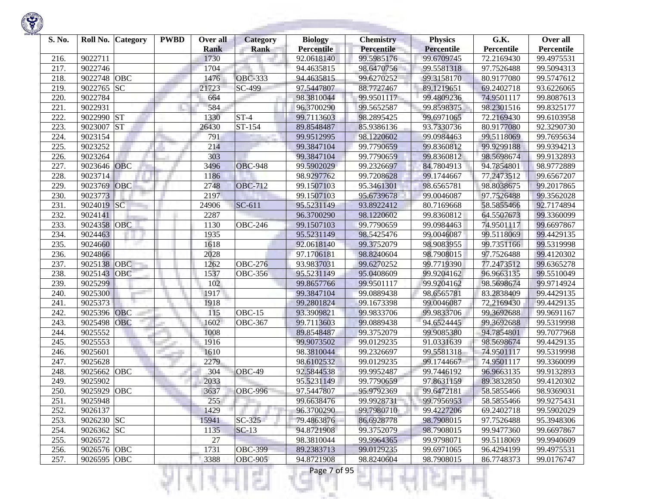

| S. No. |             | Roll No. Category | <b>PWBD</b> | Over all    | <b>Category</b> | <b>Biology</b>    | <b>Chemistry</b>  | <b>Physics</b>    | G.K.       | Over all   |
|--------|-------------|-------------------|-------------|-------------|-----------------|-------------------|-------------------|-------------------|------------|------------|
|        |             |                   |             | <b>Rank</b> | <b>Rank</b>     | <b>Percentile</b> | <b>Percentile</b> | <b>Percentile</b> | Percentile | Percentile |
| 216.   | 9022711     |                   |             | 1730        |                 | 92.0618140        | 99.5985176        | 99.6709745        | 72.2169430 | 99.4975531 |
| 217.   | 9022746     |                   |             | 1704        |                 | 94.4635815        | 98.6470756        | 99.5581318        | 97.7526488 | 99.5094313 |
| 218.   | 9022748     | OBC               |             | 1476        | <b>OBC-333</b>  | 94.4635815        | 99.6270252        | 99.3158170        | 80.9177080 | 99.5747612 |
| 219.   | 9022765     | SC                |             | 21723       | SC-499          | 97.5447807        | 88.7727467        | 89.1219651        | 69.2402718 | 93.6226065 |
| 220.   | 9022784     |                   |             | 664         |                 | 98.3810044        | 99.9501117        | 99.4809236        | 74.9501117 | 99.8087613 |
| 221.   | 9022931     |                   |             | 584         |                 | 96.3700290        | 99.5652587        | 99.8598375        | 98.2301516 | 99.8325177 |
| 222.   | 9022990     | <b>ST</b>         |             | 1330        | $ST-4$          | 99.7113603        | 98.2895425        | 99.6971065        | 72.2169430 | 99.6103958 |
| 223.   | 9023007     | <b>ST</b>         |             | 26430       | ST-154          | 89.8548487        | 85.9386136        | 93.7330736        | 80.9177080 | 92.3290730 |
| 224.   | 9023154     |                   |             | 791         |                 | 99.9512995        | 98.1220602        | 99.0984463        | 99.5118069 | 99.7695634 |
| 225.   | 9023252     |                   |             | 214         |                 | 99.3847104        | 99.7790659        | 99.8360812        | 99.9299188 | 99.9394213 |
| 226.   | 9023264     |                   |             | 303         |                 | 99.3847104        | 99.7790659        | 99.8360812        | 98.5698674 | 99.9132893 |
| 227.   | 9023646     | OBC               |             | 3496        | <b>OBC-948</b>  | 99.5902029        | 99.2326697        | 84.7804913        | 94.7854801 | 98.9772889 |
| 228.   | 9023714     |                   |             | 1186        |                 | 98.9297762        | 99.7208628        | 99.1744667        | 77.2473512 | 99.6567207 |
| 229.   | 9023769     | <b>OBC</b>        |             | 2748        | <b>OBC-712</b>  | 99.1507103        | 95.3461301        | 98.6565781        | 98.8038675 | 99.2017865 |
| 230.   | 9023773     |                   |             | 2197        |                 | 99.1507103        | 95.6739678        | 99.0046087        | 97.7526488 | 99.3562028 |
| 231.   | 9024019 SC  |                   |             | 24906       | $SC-611$        | 95.5231149        | 93.8922412        | 80.7169668        | 58.5855466 | 92.7174894 |
| 232.   | 9024141     |                   |             | 2287        |                 | 96.3700290        | 98.1220602        | 99.8360812        | 64.5507673 | 99.3360099 |
| 233.   | 9024358     | OBC               |             | 1130        | <b>OBC-246</b>  | 99.1507103        | 99.7790659        | 99.0984463        | 74.9501117 | 99.6697867 |
| 234.   | 9024463     |                   |             | 1935        |                 | 95.5231149        | 98.5425476        | 99.0046087        | 99.5118069 | 99.4429135 |
| 235.   | 9024660     |                   |             | 1618        |                 | 92.0618140        | 99.3752079        | 98.9083955        | 99.7351166 | 99.5319998 |
| 236.   | 9024866     |                   |             | 2028        |                 | 97.1706181        | 98.8240604        | 98.7908015        | 97.7526488 | 99.4120302 |
| 237.   | 9025138     | OBC               |             | 1262        | OBC-276         | 93.9837031        | 99.6270252        | 99.7719390        | 77.2473512 | 99.6365278 |
| 238.   | 9025143     | OBC               |             | 1537        | <b>OBC-356</b>  | 95.5231149        | 95.0408609        | 99.9204162        | 96.9663135 | 99.5510049 |
| 239.   | 9025299     |                   |             | 102         |                 | 99.8657766        | 99.9501117        | 99.9204162        | 98.5698674 | 99.9714924 |
| 240.   | 9025300     |                   |             | 1917        |                 | 99.3847104        | 99.0889438        | 98.6565781        | 83.2838409 | 99.4429135 |
| 241.   | 9025373     |                   |             | 1918        |                 | 99.2801824        | 99.1673398        | 99.0046087        | 72.2169430 | 99.4429135 |
| 242.   | 9025396     | <b>OBC</b>        |             | 115         | $OBC-15$        | 93.3909821        | 99.9833706        | 99.9833706        | 99.3692688 | 99.9691167 |
| 243.   | 9025498     | OBC               |             | 1602        | <b>OBC-367</b>  | 99.7113603        | 99.0889438        | 94.6524445        | 99.3692688 | 99.5319998 |
| 244.   | 9025552     |                   |             | 1008        |                 | 89.8548487        | 99.3752079        | 99.9085380        | 94.7854801 | 99.7077968 |
| 245.   | 9025553     |                   |             | 1916        |                 | 99.9073502        | 99.0129235        | 91.0331639        | 98.5698674 | 99.4429135 |
| 246.   | 9025601     |                   |             | 1610        |                 | 98.3810044        | 99.2326697        | 99.5581318        | 74.9501117 | 99.5319998 |
| 247.   | 9025628     |                   |             | 2279        |                 | 98.6102532        | 99.0129235        | 99.1744667        | 74.9501117 | 99.3360099 |
| 248.   | 9025662     | <b>OBC</b>        |             | 304         | OBC-49          | 92.5844538        | 99.9952487        | 99.7446192        | 96.9663135 | 99.9132893 |
| 249    | 9025902     |                   |             | 2033        |                 | 95.5231149        | 99.7790659        | 97.8631159        | 89.3832850 | 99.4120302 |
| 250.   | 9025929 OBC |                   |             | 3637        | <b>OBC-996</b>  | 97.5447807        | 95.9792369        | 99.6472181        | 58.5855466 | 98.9369031 |
| 251.   | 9025948     |                   |             | 255         |                 | 99.6638476        | 99.9928731        | 99.7956953        | 58.5855466 | 99.9275431 |
| 252.   | 9026137     |                   |             | 1429        |                 | 96.3700290        | 99.7980710        | 99.4227206        | 69.2402718 | 99.5902029 |
| 253.   | 9026230 SC  |                   |             | 15941       | $SC-325$        | 79.4863876        | 86.6928778        | 98.7908015        | 97.7526488 | 95.3948306 |
| 254.   | 9026362 SC  |                   |             | 1135        | $SC-13$         | 94.8721908        | 99.3752079        | 98.7908015        | 99.9477360 | 99.6697867 |
| 255.   | 9026572     |                   |             | 27          |                 | 98.3810044        | 99.9964365        | 99.9798071        | 99.5118069 | 99.9940609 |
| 256.   | 9026576 OBC |                   |             | 1731        | <b>OBC-399</b>  | 89.2383713        | 99.0129235        | 99.6971065        | 96.4294199 | 99.4975531 |
| 257.   | 9026595 OBC |                   |             | 3388        | <b>OBC-905</b>  | 94.8721908        | 98.8240604        | 98.7908015        | 86.7748373 | 99.0176747 |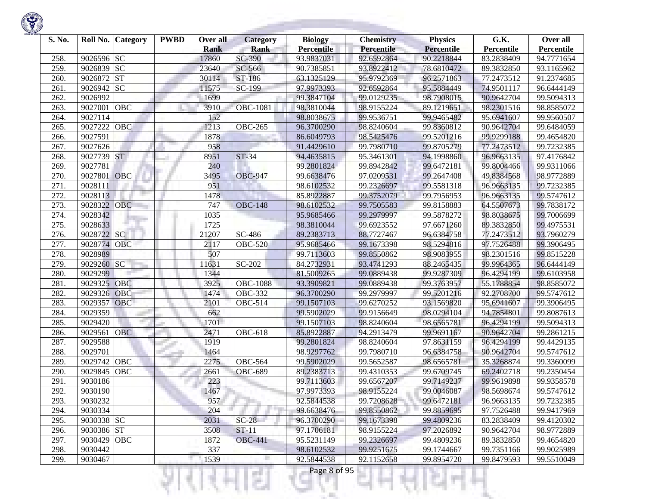

| S. No. | Roll No.   | Category   | <b>PWBD</b> | Over all<br><b>Rank</b> | <b>Category</b><br><b>Rank</b> | <b>Biology</b><br><b>Percentile</b> | <b>Chemistry</b><br><b>Percentile</b> | <b>Physics</b><br><b>Percentile</b> | G.K.<br>Percentile | Over all<br>Percentile |
|--------|------------|------------|-------------|-------------------------|--------------------------------|-------------------------------------|---------------------------------------|-------------------------------------|--------------------|------------------------|
| 258.   | 9026596    | <b>SC</b>  |             | 17860                   | SC-390                         | 93.9837031                          | 92.6592864                            | 90.2218844                          | 83.2838409         | 94.7771654             |
| 259.   | 9026839    | <b>SC</b>  |             | 23640                   | SC-566                         | 90.7385851                          | 93.8922412                            | 78.6810472                          | 89.3832850         | 93.1165962             |
| 260    | 9026872    | <b>ST</b>  |             | 30114                   | ST-186                         | 63.1325129                          | 95.9792369                            | 96.2571863                          | 77.2473512         | 91.2374685             |
| 261.   | 9026942    | <b>SC</b>  |             | 11575                   | SC-199                         | 97.9973393                          | 92.6592864                            | 95.5884449                          | 74.9501117         | 96.6444149             |
| 262.   | 9026992    |            |             | 1699                    |                                | 99.3847104                          | 99.0129235                            | 98.7908015                          | 90.9642704         | 99.5094313             |
| 263.   | 9027001    | OBC        |             | 3910                    | <b>OBC-1081</b>                | 98.3810044                          | 98.9155224                            | 89.1219651                          | 98.2301516         | 98.8585072             |
| 264.   | 9027114    |            |             | 152                     |                                | 98.8038675                          | 99.9536751                            | 99.9465482                          | 95.6941607         | 99.9560507             |
| 265.   | 9027222    | OBC        |             | 1213                    | $\overline{OBC}$ -265          | 96.3700290                          | 98.8240604                            | 99.8360812                          | 90.9642704         | 99.6484059             |
| 266.   | 9027591    |            |             | 1878                    |                                | 86.6049793                          | 98.5425476                            | 99.5201216                          | 99.9299188         | 99.4654820             |
| 267.   | 9027626    |            |             | 958                     |                                | 91.4429610                          | 99.7980710                            | 99.8705279                          | 77.2473512         | 99.7232385             |
| 268.   | 9027739    | <b>ST</b>  |             | 8951                    | $ST-34$                        | 94.4635815                          | 95.3461301                            | 94.1998860                          | 96.9663135         | 97.4176842             |
| 269.   | 9027781    |            |             | 240                     |                                | 99.2801824                          | 99.8942842                            | 99.6472181                          | 99.8004466         | 99.9311066             |
| 270.   | 9027801    | OBC        |             | 3495                    | <b>OBC-947</b>                 | 99.6638476                          | 97.0209531                            | 99.2647408                          | 49.8384568         | 98.9772889             |
| 271.   | 9028111    |            |             | 951                     |                                | 98.6102532                          | 99.2326697                            | 99.5581318                          | 96.9663135         | 99.7232385             |
| 272.   | 9028113    |            |             | 1478                    |                                | 85.8922887                          | 99.3752079                            | 99.7956953                          | 96.9663135         | 99.5747612             |
| 273.   | 9028322    | <b>OBC</b> |             | 747                     | <b>OBC-148</b>                 | 98.6102532                          | 99.7505583                            | 99.8158883                          | 64.5507673         | 99.7838172             |
| 274.   | 9028342    |            |             | 1035                    |                                | 95.9685466                          | 99.2979997                            | 99.5878272                          | 98.8038675         | 99.7006699             |
| 275.   | 9028633    |            |             | 1725                    |                                | 98.3810044                          | 99.6923552                            | 97.6671260                          | 89.3832850         | 99.4975531             |
| 276.   | 9028722    | <b>SC</b>  |             | 21207                   | $SC-486$                       | 89.2383713                          | 88.7727467                            | 96.6384758                          | 77.2473512         | 93.7960279             |
| 277.   | 9028774    | <b>OBC</b> |             | 2117                    | <b>OBC-520</b>                 | 95.9685466                          | 99.1673398                            | 98.5294816                          | 97.7526488         | 99.3906495             |
| 278.   | 9028989    |            |             | 507                     |                                | 99.7113603                          | 99.8550862                            | 98.9083955                          | 98.2301516         | 99.8515228             |
| 279.   | 9029260    | SC         |             | 11631                   | SC-202                         | 84.2732931                          | 93.4741293                            | 88.2465435                          | 99.9964365         | 96.6444149             |
| 280.   | 9029299    |            |             | 1344                    |                                | 81.5009265                          | 99.0889438                            | 99.9287309                          | 96.4294199         | 99.6103958             |
| 281.   | 9029325    | <b>OBC</b> |             | 3925                    | <b>OBC-1088</b>                | 93.3909821                          | 99.0889438                            | 99.3763957                          | 55.1788854         | 98.8585072             |
| 282.   | 9029326    | <b>OBC</b> |             | 1474                    | <b>OBC-332</b>                 | 96.3700290                          | 99.2979997                            | 99.5201216                          | 92.2708700         | 99.5747612             |
| 283.   | 9029357    | OBC        |             | 2101                    | <b>OBC-514</b>                 | 99.1507103                          | 99.6270252                            | 93.1569820                          | 95.6941607         | 99.3906495             |
| 284.   | 9029359    |            |             | 662                     |                                | 99.5902029                          | 99.9156649                            | 98.0294104                          | 94.7854801         | 99.8087613             |
| 285.   | 9029420    |            |             | 1701                    |                                | 99.1507103                          | 98.8240604                            | 98.6565781                          | 96.4294199         | 99.5094313             |
| 286.   | 9029561    | <b>OBC</b> |             | 2471                    | <b>OBC-618</b>                 | 85.8922887                          | 94.2913479                            | 99.9691167                          | 90.9642704         | 99.2861215             |
| 287.   | 9029588    |            |             | 1919                    |                                | 99.2801824                          | 98.8240604                            | 97.8631159                          | 96.4294199         | 99.4429135             |
| 288.   | 9029701    |            |             | 1464                    |                                | 98.9297762                          | 99.7980710                            | 96.6384758                          | 90.9642704         | 99.5747612             |
| 289.   | 9029742    | <b>OBC</b> |             | 2275                    | <b>OBC-564</b>                 | 99.5902029                          | 99.5652587                            | 98.6565781                          | 35.3268874         | 99.3360099             |
| 290    | 9029845    | <b>OBC</b> |             | 2661                    | <b>OBC-689</b>                 | 89.2383713                          | 99.4310353                            | 99.6709745                          | 69.2402718         | 99.2350454             |
| 291.   | 9030186    |            |             | 223                     |                                | 99.7113603                          | 99.6567207                            | 99.7149237                          | 99.9619898         | 99.9358578             |
| 292.   | 9030190    |            |             | 1467                    |                                | 97.9973393                          | 98.9155224                            | 99.0046087                          | 98.5698674         | 99.5747612             |
| 293.   | 9030232    |            |             | 957                     |                                | 92.5844538                          | 99.7208628                            | 99.6472181                          | 96.9663135         | 99.7232385             |
| 294.   | 9030334    |            |             | 204                     |                                | 99.6638476                          | 99.8550862                            | 99.8859695                          | 97.7526488         | 99.9417969             |
| 295.   | 9030338 SC |            |             | 2031                    | $SC-28$                        | 96.3700290                          | 99.1673398                            | 99.4809236                          | 83.2838409         | 99.4120302             |
| 296.   | 9030386 ST |            |             | 3508                    | $ST-11$                        | 97.1706181                          | 98.9155224                            | 97.2026892                          | 90.9642704         | 98.9772889             |
| 297.   | 9030429    | <b>OBC</b> |             | 1872                    | <b>OBC-441</b>                 | 95.5231149                          | 99.2326697                            | 99.4809236                          | 89.3832850         | 99.4654820             |
| 298.   | 9030442    |            |             | 337                     |                                | 98.6102532                          | 99.9251675                            | 99.1744667                          | 99.7351166         | 99.9025989             |
| 299.   | 9030467    |            |             | 1539                    |                                | 92.5844538                          | 92.1152658                            | 99.8954720                          | 99.8479593         | 99.5510049             |
|        |            |            |             |                         | s                              | Page 8 of 95                        |                                       |                                     |                    |                        |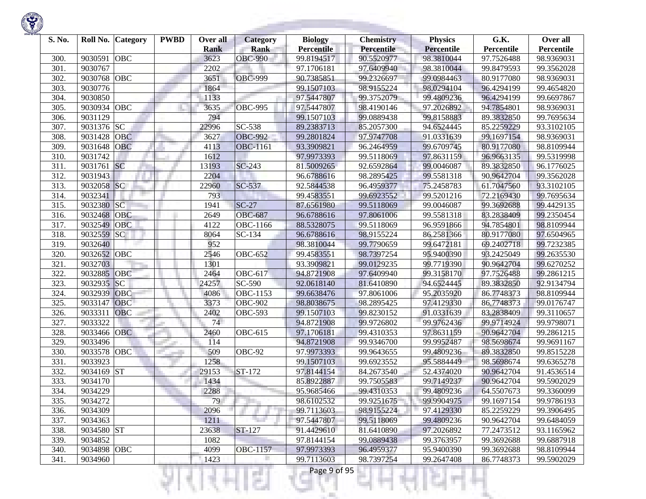

| S. No. | Roll No.    | <b>Category</b> | <b>PWBD</b> | Over all<br><b>Rank</b> | <b>Category</b><br><b>Rank</b> | <b>Biology</b><br><b>Percentile</b> | <b>Chemistry</b><br><b>Percentile</b> | <b>Physics</b><br><b>Percentile</b> | G.K.<br>Percentile | Over all<br>Percentile |
|--------|-------------|-----------------|-------------|-------------------------|--------------------------------|-------------------------------------|---------------------------------------|-------------------------------------|--------------------|------------------------|
| 300.   | 9030591     | OBC             |             | 3623                    | <b>OBC-990</b>                 | 99.8194517                          | 90.5520977                            | 98.3810044                          | 97.7526488         | 98.9369031             |
| 301.   | 9030767     |                 |             | 2202                    |                                | 97.1706181                          | 97.6409940                            | 98.3810044                          | 99.8479593         | 99.3562028             |
| 302.   | 9030768     | <b>OBC</b>      |             | 3651                    | <b>OBC-999</b>                 | 90.7385851                          | 99.2326697                            | 99.0984463                          | 80.9177080         | 98.9369031             |
| 303.   | 9030776     |                 |             | 1864                    |                                | 99.1507103                          | 98.9155224                            | 98.0294104                          | 96.4294199         | 99.4654820             |
| 304.   | 9030850     |                 |             | 1133                    |                                | 97.5447807                          | 99.3752079                            | 99.4809236                          | 96.4294199         | 99.6697867             |
| 305.   | 9030934     | OBC             |             | 3635                    | <b>OBC-995</b>                 | 97.5447807                          | 98.4190146                            | 97.2026892                          | 94.7854801         | 98.9369031             |
| 306.   | 9031129     |                 |             | 794                     |                                | 99.1507103                          | 99.0889438                            | 99.8158883                          | 89.3832850         | 99.7695634             |
| 307.   | 9031376     | SC              |             | 22996                   | SC-538                         | 89.2383713                          | 85.2057300                            | 94.6524445                          | 85.2259229         | 93.3102105             |
| 308.   | 9031428     | <b>OBC</b>      |             | 3627                    | <b>OBC-992</b>                 | 99.2801824                          | 97.9747708                            | 91.0331639                          | 99.1697154         | 98.9369031             |
| 309.   | 9031648     | <b>OBC</b>      |             | 4113                    | <b>OBC-1161</b>                | 93.3909821                          | 96.2464959                            | 99.6709745                          | 80.9177080         | 98.8109944             |
| 310.   | 9031742     |                 |             | 1612                    |                                | 97.9973393                          | 99.5118069                            | 97.8631159                          | 96.9663135         | 99.5319998             |
| 311.   | 9031761     | <b>SC</b>       |             | 13193                   | SC-243                         | 81.5009265                          | 92.6592864                            | 99.0046087                          | 89.3832850         | 96.1776025             |
| 312.   | 9031943     |                 |             | 2204                    |                                | 96.6788616                          | 98.2895425                            | 99.5581318                          | 90.9642704         | 99.3562028             |
| 313.   | 9032058     | SC              |             | 22960                   | SC-537                         | 92.5844538                          | 96.4959377                            | 75.2458783                          | 61.7047560         | 93.3102105             |
| 314.   | 9032341     |                 |             | 793                     |                                | 99.4583551                          | 99.6923552                            | 99.5201216                          | 72.2169430         | 99.7695634             |
| 315.   | 9032380     | $\overline{SC}$ |             | 1941                    | $SC-27$                        | 87.6561980                          | 99.5118069                            | 99.0046087                          | 99.3692688         | 99.4429135             |
| 316.   | 9032468     | OBC             |             | 2649                    | <b>OBC-687</b>                 | 96.6788616                          | 97.8061006                            | 99.5581318                          | 83.2838409         | 99.2350454             |
| 317.   | 9032549     | <b>OBC</b>      |             | 4122                    | <b>OBC-1166</b>                | 88.5328075                          | 99.5118069                            | 96.9591866                          | 94.7854801         | 98.8109944             |
| 318.   | 9032559     | SC              |             | 8064                    | SC-134                         | 96.6788616                          | 98.9155224                            | 86.2581366                          | 80.9177080         | 97.6504965             |
| 319.   | 9032640     |                 |             | 952                     |                                | 98.3810044                          | 99.7790659                            | 99.6472181                          | 69.2402718         | 99.7232385             |
| 320.   | 9032652     | <b>OBC</b>      |             | 2546                    | <b>OBC-652</b>                 | 99.4583551                          | 98.7397254                            | 95.9400390                          | 93.2425049         | 99.2635530             |
| 321.   | 9032703     |                 |             | 1301                    |                                | 93.3909821                          | 99.0129235                            | 99.7719390                          | 90.9642704         | 99.6270252             |
| 322.   | 9032885     | <b>OBC</b>      |             | 2464                    | <b>OBC-617</b>                 | 94.8721908                          | 97.6409940                            | 99.3158170                          | 97.7526488         | 99.2861215             |
| 323.   | 9032935     | SC              |             | 24257                   | SC-590                         | 92.0618140                          | 81.6410890                            | 94.6524445                          | 89.3832850         | 92.9134794             |
| 324.   | 9032939     | OBC             |             | 4086                    | <b>OBC-1153</b>                | 99.6638476                          | 97.8061006                            | 95.2035920                          | 86.7748373         | 98.8109944             |
| 325.   | 9033147     | OBC             |             | 3373                    | <b>OBC-902</b>                 | 98.8038675                          | 98.2895425                            | 97.4129330                          | 86.7748373         | 99.0176747             |
| 326.   | 9033311     | <b>OBC</b>      |             | 2402                    | <b>OBC-593</b>                 | 99.1507103                          | 99.8230152                            | 91.0331639                          | 83.2838409         | 99.3110657             |
| 327.   | 9033322     |                 |             | 74                      |                                | 94.8721908                          | 99.9726802                            | 99.9762436                          | 99.9714924         | 99.9798071             |
| 328.   | 9033466     | <b>OBC</b>      |             | 2460                    | <b>OBC-615</b>                 | 97.1706181                          | 99.4310353                            | 97.8631159                          | 90.9642704         | 99.2861215             |
| 329.   | 9033496     |                 |             | 114                     |                                | 94.8721908                          | 99.9346700                            | 99.9952487                          | 98.5698674         | 99.9691167             |
| 330.   | 9033578     | OBC             |             | 509                     | $\overline{OBC}$ -92           | 97.9973393                          | 99.9643655                            | 99.4809236                          | 89.3832850         | 99.8515228             |
| 331.   | 9033923     |                 |             | 1258                    |                                | 99.1507103                          | 99.6923552                            | 95.5884449                          | 98.5698674         | 99.6365278             |
| 332.   | 9034169     | <b>ST</b>       |             | 29153                   | ST-172                         | 97.8144154                          | 84.2673540                            | 52.4374020                          | 90.9642704         | 91.4536514             |
| 333.   | 9034170     |                 |             | 1434                    |                                | 85.8922887                          | 99.7505583                            | 99.7149237                          | 90.9642704         | 99.5902029             |
| 334.   | 9034229     |                 |             | 2288                    |                                | 95.9685466                          | 99.4310353                            | 99.4809236                          | 64.5507673         | 99.3360099             |
| 335.   | 9034272     |                 |             | 79                      |                                | 98.6102532                          | 99.9251675                            | 99.9904975                          | 99.1697154         | 99.9786193             |
| 336.   | 9034309     |                 |             | 2096                    |                                | 99.7113603                          | 98.9155224                            | 97.4129330                          | 85.2259229         | 99.3906495             |
| 337.   | 9034363     |                 |             | 1211                    |                                | 97.5447807                          | 99.5118069                            | 99.4809236                          | 90.9642704         | 99.6484059             |
| 338.   | 9034580 ST  |                 |             | 23638                   | ST-127                         | 91.4429610                          | 81.6410890                            | 97.2026892                          | 77.2473512         | 93.1165962             |
| 339.   | 9034852     |                 |             | 1082                    |                                | 97.8144154                          | 99.0889438                            | 99.3763957                          | 99.3692688         | 99.6887918             |
| 340.   | 9034898 OBC |                 |             | 4099                    | <b>OBC-1157</b>                | 97.9973393                          | 96.4959377                            | 95.9400390                          | 99.3692688         | 98.8109944             |
| 341.   | 9034960     |                 |             | 1423                    |                                | 99.7113603                          | 98.7397254                            | 99.2647408                          | 86.7748373         | 99.5902029             |
|        |             |                 |             |                         |                                | Page 9 of 95                        |                                       |                                     |                    |                        |

**Contract Contract**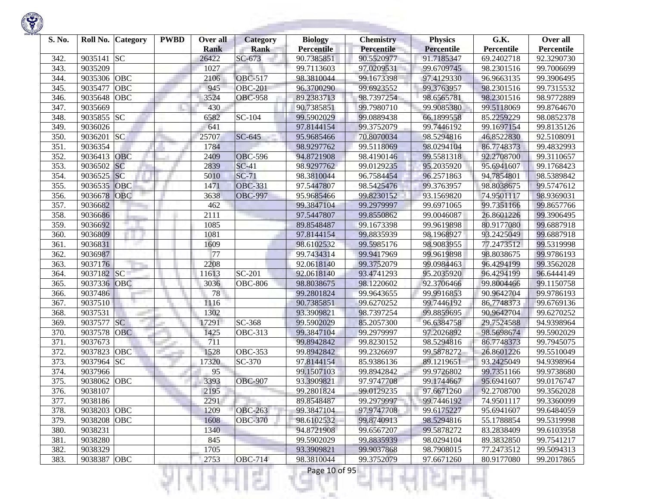

| S. No. |             | Roll No. Category | <b>PWBD</b> | Over all<br><b>Rank</b> | <b>Category</b><br><b>Rank</b> | <b>Biology</b><br><b>Percentile</b> | <b>Chemistry</b><br>Percentile | <b>Physics</b><br><b>Percentile</b> | G.K.<br>Percentile | Over all<br>Percentile |
|--------|-------------|-------------------|-------------|-------------------------|--------------------------------|-------------------------------------|--------------------------------|-------------------------------------|--------------------|------------------------|
| 342.   | 9035141     | <b>SC</b>         |             | 26422                   | SC-673                         | 90.7385851                          | 90.5520977                     | 91.7185347                          | 69.2402718         | 92.3290730             |
| 343.   | 9035209     |                   |             | 1027                    |                                | 99.7113603                          | 97.0209531                     | 99.6709745                          | 98.2301516         | 99.7006699             |
| 344.   | 9035306     | <b>OBC</b>        |             | 2106                    | OBC-517                        | 98.3810044                          | 99.1673398                     | 97.4129330                          | 96.9663135         | 99.3906495             |
| 345.   | 9035477     | OBC               |             | 945                     | <b>OBC-201</b>                 | 96.3700290                          | 99.6923552                     | 99.3763957                          | 98.2301516         | 99.7315532             |
| 346.   | 9035648     | OBC               |             | 3524                    | <b>OBC-958</b>                 | 89.2383713                          | 98.7397254                     | 98.6565781                          | 98.2301516         | 98.9772889             |
| 347.   | 9035669     |                   |             | 430                     |                                | 90.7385851                          | 99.7980710                     | 99.9085380                          | 99.5118069         | 99.8764670             |
| 348.   | 9035855     | <b>SC</b>         |             | 6582                    | $SC-104$                       | 99.5902029                          | 99.0889438                     | 66.1899558                          | 85.2259229         | 98.0852378             |
| 349.   | 9036026     |                   |             | 641                     |                                | 97.8144154                          | 99.3752079                     | 99.7446192                          | 99.1697154         | 99.8135126             |
| 350.   | 9036201     | <b>SC</b>         |             | 25707                   | SC-645                         | 95.9685466                          | 70.8070034                     | 98.5294816                          | 46.8522830         | 92.5108091             |
| 351.   | 9036354     |                   |             | 1784                    |                                | 98.9297762                          | 99.5118069                     | 98.0294104                          | 86.7748373         | 99.4832993             |
| 352.   | 9036413     | <b>OBC</b>        |             | 2409                    | <b>OBC-596</b>                 | 94.8721908                          | 98.4190146                     | 99.5581318                          | 92.2708700         | 99.3110657             |
| 353.   | 9036502     | SC                |             | 2839                    | $SC-41$                        | 98.9297762                          | 99.0129235                     | 95.2035920                          | 95.6941607         | 99.1768423             |
| 354.   | 9036525     | <b>SC</b>         |             | 5010                    | $SC-71$                        | 98.3810044                          | 96.7584454                     | 96.2571863                          | 94.7854801         | 98.5389842             |
| 355.   | 9036535     | OBC               |             | 1471                    | <b>OBC-331</b>                 | 97.5447807                          | 98.5425476                     | 99.3763957                          | 98.8038675         | 99.5747612             |
| 356.   | 9036678     | <b>OBC</b>        |             | 3638                    | <b>OBC-997</b>                 | 95.9685466                          | 99.8230152                     | 93.1569820                          | 74.9501117         | 98.9369031             |
| 357.   | 9036682     |                   |             | 462                     |                                | 99.3847104                          | 99.2979997                     | 99.6971065                          | 99.7351166         | 99.8657766             |
| 358.   | 9036686     |                   |             | 2111                    |                                | 97.5447807                          | 99.8550862                     | 99.0046087                          | 26.8601226         | 99.3906495             |
| 359.   | 9036692     |                   |             | 1085                    |                                | 89.8548487                          | 99.1673398                     | 99.9619898                          | 80.9177080         | 99.6887918             |
| 360.   | 9036809     |                   |             | 1081                    |                                | 97.8144154                          | 99.8835939                     | 98.1968927                          | 93.2425049         | 99.6887918             |
| 361.   | 9036831     |                   |             | 1609                    |                                | 98.6102532                          | 99.5985176                     | 98.9083955                          | 77.2473512         | 99.5319998             |
| 362.   | 9036987     |                   |             | 77                      |                                | 99.7434314                          | 99.9417969                     | 99.9619898                          | 98.8038675         | 99.9786193             |
| 363.   | 9037176     |                   |             | 2208                    |                                | 92.0618140                          | 99.3752079                     | 99.0984463                          | 96.4294199         | 99.3562028             |
| 364.   | 9037182     | SC                |             | 11613                   | SC-201                         | 92.0618140                          | 93.4741293                     | 95.2035920                          | 96.4294199         | 96.6444149             |
| 365.   | 9037336 OBC |                   |             | 3036                    | <b>OBC-806</b>                 | 98.8038675                          | 98.1220602                     | 92.3706466                          | 99.8004466         | 99.1150758             |
| 366.   | 9037486     |                   |             | 78                      |                                | 99.2801824                          | 99.9643655                     | 99.9916853                          | 90.9642704         | 99.9786193             |
| 367.   | 9037510     |                   |             | 1116                    |                                | 90.7385851                          | 99.6270252                     | 99.7446192                          | 86.7748373         | 99.6769136             |
| 368.   | 9037531     |                   |             | 1302                    |                                | 93.3909821                          | 98.7397254                     | 99.8859695                          | 90.9642704         | 99.6270252             |
| 369.   | 9037577     | SC                |             | 17291                   | $\overline{SC}$ -368           | 99.5902029                          | 85.2057300                     | 96.6384758                          | 29.7524588         | 94.9398964             |
| 370.   | 9037578     | <b>OBC</b>        |             | 1425                    | <b>OBC-313</b>                 | 99.3847104                          | 99.2979997                     | 97.2026892                          | 98.5698674         | 99.5902029             |
| 371.   | 9037673     |                   |             | 711                     |                                | 99.8942842                          | 99.8230152                     | 98.5294816                          | 86.7748373         | 99.7945075             |
| 372.   | 9037823     | OBC               |             | 1528                    | <b>OBC-353</b>                 | 99.8942842                          | 99.2326697                     | 99.5878272                          | 26.8601226         | 99.5510049             |
| 373.   | 9037964     | <b>SC</b>         |             | 17320                   | SC-370                         | 97.8144154                          | 85.9386136                     | 89.1219651                          | 93.2425049         | 94.9398964             |
| 374.   | 9037966     |                   |             | 95                      |                                | 99.1507103                          | 99.8942842                     | 99.9726802                          | 99.7351166         | 99.9738680             |
| 375.   | 9038062     | <b>OBC</b>        |             | 3393                    | <b>OBC-907</b>                 | 93.3909821                          | 97.9747708                     | 99.1744667                          | 95.6941607         | 99.0176747             |
| 376.   | 9038107     |                   |             | 2195                    |                                | 99.2801824                          | 99.0129235                     | 97.6671260                          | 92.2708700         | 99.3562028             |
| 377.   | 9038186     |                   |             | 2291                    |                                | 89.8548487                          | 99.2979997                     | 99.7446192                          | 74.9501117         | 99.3360099             |
| 378.   | 9038203 OBC |                   |             | 1209                    | <b>OBC-263</b>                 | 99.3847104                          | 97.9747708                     | 99.6175227                          | 95.6941607         | 99.6484059             |
| 379.   | 9038208     | OBC               |             | 1608                    | <b>OBC-370</b>                 | 98.6102532                          | 99.8740913                     | 98.5294816                          | 55.1788854         | 99.5319998             |
| 380.   | 9038231     |                   |             | 1340                    |                                | 94.8721908                          | 99.6567207                     | 99.5878272                          | 83.2838409         | 99.6103958             |
| 381.   | 9038280     |                   |             | 845                     |                                | 99.5902029                          | 99.8835939                     | 98.0294104                          | 89.3832850         | 99.7541217             |
| 382.   | 9038329     |                   |             | 1705                    |                                | 93.3909821                          | 99.9037868                     | 98.7908015                          | 77.2473512         | 99.5094313             |
| 383.   | 9038387 OBC |                   |             | 2753                    | <b>OBC-714</b>                 | 98.3810044                          | 99.3752079                     | 97.6671260                          | 80.9177080         | 99.2017865             |

₹Н

ĸ

щH

ч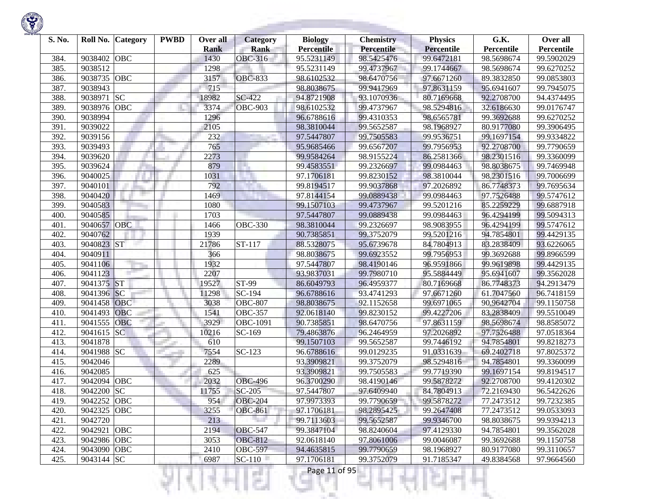

| S. No. | Roll No.    | <b>Category</b> | <b>PWBD</b> | Over all<br><b>Rank</b> | <b>Category</b><br><b>Rank</b> | <b>Biology</b><br><b>Percentile</b> | <b>Chemistry</b><br><b>Percentile</b> | <b>Physics</b><br><b>Percentile</b> | G.K.<br>Percentile | Over all<br>Percentile |
|--------|-------------|-----------------|-------------|-------------------------|--------------------------------|-------------------------------------|---------------------------------------|-------------------------------------|--------------------|------------------------|
| 384.   | 9038402     | <b>OBC</b>      |             | 1430                    | OBC-316                        | 95.5231149                          | 98.5425476                            | 99.6472181                          | 98.5698674         | 99.5902029             |
| 385.   | 9038512     |                 |             | 1298                    |                                | 95.5231149                          | 99.4737967                            | 99.1744667                          | 98.5698674         | 99.6270252             |
| 386.   | 9038735     | OBC             |             | 3157                    | <b>OBC-833</b>                 | 98.6102532                          | 98.6470756                            | 97.6671260                          | 89.3832850         | 99.0853803             |
| 387.   | 9038943     |                 |             | 715                     |                                | 98.8038675                          | 99.9417969                            | 97.8631159                          | 95.6941607         | 99.7945075             |
| 388.   | 9038971     | SC              |             | 18982                   | SC-422                         | 94.8721908                          | 93.1070936                            | 80.7169668                          | 92.2708700         | 94.4374495             |
| 389.   | 9038976     | OBC             |             | 3374                    | <b>OBC-903</b>                 | 98.6102532                          | 99.4737967                            | 98.5294816                          | 32.6186630         | 99.0176747             |
| 390.   | 9038994     |                 |             | 1296                    |                                | 96.6788616                          | 99.4310353                            | 98.6565781                          | 99.3692688         | 99.6270252             |
| 391.   | 9039022     |                 |             | 2105                    |                                | 98.3810044                          | 99.5652587                            | 98.1968927                          | 80.9177080         | 99.3906495             |
| 392.   | 9039156     |                 |             | 232                     |                                | 97.5447807                          | 99.7505583                            | 99.9536751                          | 99.1697154         | 99.9334822             |
| 393.   | 9039493     |                 |             | 765                     |                                | 95.9685466                          | 99.6567207                            | 99.7956953                          | 92.2708700         | 99.7790659             |
| 394.   | 9039620     |                 |             | 2273                    |                                | 99.9584264                          | 98.9155224                            | 86.2581366                          | 98.2301516         | 99.3360099             |
| 395.   | 9039624     |                 |             | 879                     |                                | 99.4583551                          | 99.2326697                            | 99.0984463                          | 98.8038675         | 99.7469948             |
| 396.   | 9040025     |                 |             | 1031                    |                                | 97.1706181                          | 99.8230152                            | 98.3810044                          | 98.2301516         | 99.7006699             |
| 397.   | 9040101     |                 |             | 792                     |                                | 99.8194517                          | 99.9037868                            | 97.2026892                          | 86.7748373         | 99.7695634             |
| 398.   | 9040420     |                 |             | 1469                    |                                | 97.8144154                          | 99.0889438                            | 99.0984463                          | 97.7526488         | 99.5747612             |
| 399.   | 9040583     |                 |             | 1080                    |                                | 99.1507103                          | 99.4737967                            | 99.5201216                          | 85.2259229         | 99.6887918             |
| 400.   | 9040585     |                 |             | 1703                    |                                | 97.5447807                          | 99.0889438                            | 99.0984463                          | 96.4294199         | 99.5094313             |
| 401.   | 9040657     | <b>OBC</b>      |             | 1466                    | <b>OBC-330</b>                 | 98.3810044                          | 99.2326697                            | 98.9083955                          | 96.4294199         | 99.5747612             |
| 402.   | 9040762     |                 |             | 1939                    |                                | 90.7385851                          | 99.3752079                            | 99.5201216                          | 94.7854801         | 99.4429135             |
| 403.   | 9040823 ST  |                 |             | 21786                   | ST-117                         | 88.5328075                          | 95.6739678                            | 84.7804913                          | 83.2838409         | 93.6226065             |
| 404.   | 9040911     |                 |             | 366                     |                                | 98.8038675                          | 99.6923552                            | 99.7956953                          | 99.3692688         | 99.8966599             |
| 405.   | 9041106     |                 |             | 1932                    |                                | 97.5447807                          | 98.4190146                            | 96.9591866                          | 99.9619898         | 99.4429135             |
| 406.   | 9041123     |                 |             | 2207                    |                                | 93.9837031                          | 99.7980710                            | 95.5884449                          | 95.6941607         | 99.3562028             |
| 407.   | 9041375 ST  |                 |             | 19527                   | ST-99                          | 86.6049793                          | 96.4959377                            | 80.7169668                          | 86.7748373         | 94.2913479             |
| 408.   | 9041396 SC  |                 |             | 11298                   | $\overline{SC}$ -194           | 96.6788616                          | 93.4741293                            | 97.6671260                          | 61.7047560         | 96.7418159             |
| 409.   | 9041458     | <b>OBC</b>      |             | 3038                    | <b>OBC-807</b>                 | 98.8038675                          | 92.1152658                            | 99.6971065                          | 90.9642704         | 99.1150758             |
| 410.   | 9041493     | <b>OBC</b>      |             | 1541                    | <b>OBC-357</b>                 | 92.0618140                          | 99.8230152                            | 99.4227206                          | 83.2838409         | 99.5510049             |
| 411.   | 9041555     | OBC             |             | 3929                    | OBC-1091                       | 90.7385851                          | 98.6470756                            | 97.8631159                          | 98.5698674         | 98.8585072             |
| 412.   | 9041615     | <b>SC</b>       |             | 10216                   | SC-169                         | 79.4863876                          | 96.2464959                            | 97.2026892                          | 97.7526488         | 97.0518364             |
| 413.   | 9041878     |                 |             | 610                     |                                | 99.1507103                          | 99.5652587                            | 99.7446192                          | 94.7854801         | 99.8218273             |
| 414.   | 9041988     | <b>SC</b>       |             | 7554                    | $SC-123$                       | 96.6788616                          | 99.0129235                            | 91.0331639                          | 69.2402718         | 97.8025372             |
| 415.   | 9042046     |                 |             | 2289                    |                                | 93.3909821                          | 99.3752079                            | 98.5294816                          | 94.7854801         | 99.3360099             |
| 416.   | 9042085     |                 |             | 625                     |                                | 93.3909821                          | 99.7505583                            | 99.7719390                          | 99.1697154         | 99.8194517             |
| 417.   | 9042094     | OBC             |             | 2032                    | <b>OBC-496</b>                 | 96.3700290                          | 98.4190146                            | 99.5878272                          | 92.2708700         | 99.4120302             |
| 418.   | 9042200 SC  |                 |             | 11755                   | SC-205                         | 97.5447807                          | 97.6409940                            | 84.7804913                          | 72.2169430         | 96.5422626             |
| 419.   | 9042252 OBC |                 |             | 954                     | <b>OBC-204</b>                 | 97.9973393                          | 99.7790659                            | 99.5878272                          | 77.2473512         | 99.7232385             |
| 420.   | 9042325 OBC |                 |             | 3255                    | <b>OBC-861</b>                 | 97.1706181                          | 98.2895425                            | 99.2647408                          | 77.2473512         | 99.0533093             |
| 421.   | 9042720     |                 |             | 213                     |                                | 99.7113603                          | 99.5652587                            | 99.9346700                          | 98.8038675         | 99.9394213             |
| 422.   | 9042921     | OBC             |             | 2194                    | <b>OBC-547</b>                 | 99.3847104                          | 98.8240604                            | 97.4129330                          | 94.7854801         | 99.3562028             |
| 423.   | 9042986 OBC |                 |             | 3053                    | <b>OBC-812</b>                 | 92.0618140                          | 97.8061006                            | 99.0046087                          | 99.3692688         | 99.1150758             |
| 424.   | 9043090 OBC |                 |             | 2410                    | <b>OBC-597</b>                 | 94.4635815                          | 99.7790659                            | 98.1968927                          | 80.9177080         | 99.3110657             |
| 425.   | 9043144 SC  |                 |             | 6987                    | $SC-110$                       | 97.1706181                          | 99.3752079                            | 91.7185347                          | 49.8384568         | 97.9664560             |
|        |             |                 |             |                         | ç.                             | Page 11 of 95                       |                                       |                                     |                    |                        |

**STATISTICS** 

**State State**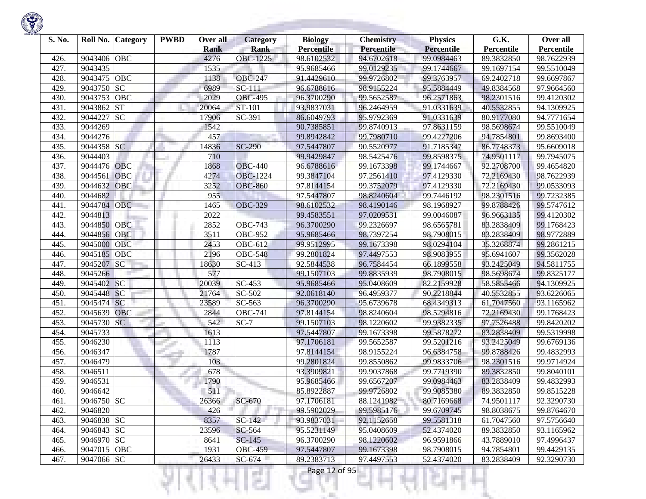

| S. No. |             | Roll No. Category | <b>PWBD</b> | Over all<br><b>Rank</b> | <b>Category</b><br><b>Rank</b> | <b>Biology</b><br><b>Percentile</b> | <b>Chemistry</b><br>Percentile | <b>Physics</b><br><b>Percentile</b> | G.K.<br>Percentile | Over all<br>Percentile |
|--------|-------------|-------------------|-------------|-------------------------|--------------------------------|-------------------------------------|--------------------------------|-------------------------------------|--------------------|------------------------|
| 426.   | 9043406     | OBC               |             | 4276                    | <b>OBC-1225</b>                | 98.6102532                          | 94.6702618                     | 99.0984463                          | 89.3832850         | 98.7622939             |
| 427.   | 9043435     |                   |             | 1535                    |                                | 95.9685466                          | 99.0129235                     | 99.1744667                          | 99.1697154         | 99.5510049             |
| 428.   | 9043475     | OBC               |             | 1138                    | <b>OBC-247</b>                 | 91.4429610                          | 99.9726802                     | 99.3763957                          | 69.2402718         | 99.6697867             |
| 429.   | 9043750     | SC                |             | 6989                    | $\overline{SC}$ -111           | 96.6788616                          | 98.9155224                     | 95.5884449                          | 49.8384568         | 97.9664560             |
| 430.   | 9043753     | OBC               |             | 2029                    | <b>OBC-495</b>                 | 96.3700290                          | 99.5652587                     | 96.2571863                          | 98.2301516         | 99.4120302             |
| 431.   | 9043862     | <b>ST</b>         |             | 20064                   | ST-101                         | 93.9837031                          | 96.2464959                     | 91.0331639                          | 40.5532855         | 94.1309925             |
| 432.   | 9044227     | <b>SC</b>         |             | 17906                   | SC-391                         | 86.6049793                          | 95.9792369                     | 91.0331639                          | 80.9177080         | 94.7771654             |
| 433.   | 9044269     |                   |             | 1542                    |                                | 90.7385851                          | 99.8740913                     | 97.8631159                          | 98.5698674         | 99.5510049             |
| 434.   | 9044276     |                   |             | 457                     |                                | 99.8942842                          | 99.7980710                     | 99.4227206                          | 94.7854801         | 99.8693400             |
| 435.   | 9044358 SC  |                   |             | 14836                   | <b>SC-290</b>                  | 97.5447807                          | 90.5520977                     | 91.7185347                          | 86.7748373         | 95.6609018             |
| 436.   | 9044403     |                   |             | 710                     |                                | 99.9429847                          | 98.5425476                     | 99.8598375                          | 74.9501117         | 99.7945075             |
| 437.   | 9044476     | <b>OBC</b>        |             | 1868                    | <b>OBC-440</b>                 | 96.6788616                          | 99.1673398                     | 99.1744667                          | 92.2708700         | 99.4654820             |
| 438.   | 9044561     | OBC               |             | 4274                    | <b>OBC-1224</b>                | 99.3847104                          | 97.2561410                     | 97.4129330                          | 72.2169430         | 98.7622939             |
| 439.   | 9044632     | <b>OBC</b>        |             | 3252                    | <b>OBC-860</b>                 | 97.8144154                          | 99.3752079                     | 97.4129330                          | 72.2169430         | 99.0533093             |
| 440.   | 9044682     |                   |             | 955                     |                                | 97.5447807                          | 98.8240604                     | 99.7446192                          | 98.2301516         | 99.7232385             |
| 441.   | 9044784     | <b>OBC</b>        |             | 1465                    | <b>OBC-329</b>                 | 98.6102532                          | 98.4190146                     | 98.1968927                          | 99.8788426         | 99.5747612             |
| 442.   | 9044813     |                   |             | 2022                    |                                | 99.4583551                          | 97.0209531                     | 99.0046087                          | 96.9663135         | 99.4120302             |
| 443.   | 9044850     | <b>OBC</b>        |             | 2852                    | <b>OBC-743</b>                 | 96.3700290                          | 99.2326697                     | 98.6565781                          | 83.2838409         | 99.1768423             |
| 444.   | 9044856 OBC |                   |             | 3511                    | <b>OBC-952</b>                 | 95.9685466                          | 98.7397254                     | 98.7908015                          | 83.2838409         | 98.9772889             |
| 445.   | 9045000     | OBC               |             | 2453                    | OBC-612                        | 99.9512995                          | 99.1673398                     | 98.0294104                          | 35.3268874         | 99.2861215             |
| 446.   | 9045185     | OBC               |             | 2196                    | <b>OBC-548</b>                 | 99.2801824                          | 97.4497553                     | 98.9083955                          | 95.6941607         | 99.3562028             |
| 447.   | 9045207     | SC                |             | 18630                   | SC-413                         | 92.5844538                          | 96.7584454                     | 66.1899558                          | 93.2425049         | 94.5811755             |
| 448.   | 9045266     |                   |             | 577                     |                                | 99.1507103                          | 99.8835939                     | 98.7908015                          | 98.5698674         | 99.8325177             |
| 449.   | 9045402     | SC                |             | 20039                   | SC-453                         | 95.9685466                          | 95.0408609                     | 82.2159928                          | 58.5855466         | 94.1309925             |
| 450.   | 9045448 SC  |                   |             | 21764                   | SC-502                         | 92.0618140                          | 96.4959377                     | 90.2218844                          | 40.5532855         | 93.6226065             |
| 451.   | 9045474 SC  |                   |             | 23589                   | SC-563                         | 96.3700290                          | 95.6739678                     | 68.4349313                          | 61.7047560         | 93.1165962             |
| 452.   | 9045639     | <b>OBC</b>        |             | 2844                    | <b>OBC-741</b>                 | 97.8144154                          | 98.8240604                     | 98.5294816                          | 72.2169430         | 99.1768423             |
| 453.   | 9045730     | SC                |             | 542                     | $SC-7$                         | 99.1507103                          | 98.1220602                     | 99.9382335                          | 97.7526488         | 99.8420202             |
| 454.   | 9045733     |                   |             | 1613                    |                                | 97.5447807                          | 99.1673398                     | 99.5878272                          | 83.2838409         | 99.5319998             |
| 455.   | 9046230     |                   |             | 1113                    |                                | 97.1706181                          | 99.5652587                     | 99.5201216                          | 93.2425049         | 99.6769136             |
| 456.   | 9046347     |                   |             | 1787                    |                                | 97.8144154                          | 98.9155224                     | 96.6384758                          | 99.8788426         | 99.4832993             |
| 457.   | 9046479     |                   |             | 103                     |                                | 99.2801824                          | 99.8550862                     | 99.9833706                          | 98.2301516         | 99.9714924             |
| 458.   | 9046511     |                   |             | 678                     |                                | 93.3909821                          | 99.9037868                     | 99.7719390                          | 89.3832850         | 99.8040101             |
| 459.   | 9046531     |                   |             | 1790                    |                                | 95.9685466                          | 99.6567207                     | 99.0984463                          | 83.2838409         | 99.4832993             |
| 460.   | 9046642     |                   |             | 511                     |                                | 85.8922887                          | 99.9726802                     | 99.9085380                          | 89.3832850         | 99.8515228             |
| 461.   | 9046750 SC  |                   |             | 26366                   | $SC-670$                       | 97.1706181                          | 88.1241982                     | 80.7169668                          | 74.9501117         | 92.3290730             |
| 462.   | 9046820     |                   |             | 426                     |                                | 99.5902029                          | 99.5985176                     | 99.6709745                          | 98.8038675         | 99.8764670             |
| 463.   | 9046838 SC  |                   |             | 8357                    | $SC-142$                       | 93.9837031                          | 92.1152658                     | 99.5581318                          | 61.7047560         | 97.5756640             |
| 464.   | 9046843 SC  |                   |             | 23596                   | SC-564                         | 95.5231149                          | 95.0408609                     | 52.4374020                          | 89.3832850         | 93.1165962             |
| 465.   | 9046970 SC  |                   |             | 8641                    | $SC-145$                       | 96.3700290                          | 98.1220602                     | 96.9591866                          | 43.7889010         | 97.4996437             |
| 466.   | 9047015 OBC |                   |             | 1931                    | <b>OBC-459</b>                 | 97.5447807                          | 99.1673398                     | 98.7908015                          | 94.7854801         | 99.4429135             |
| 467.   | 9047066 SC  |                   |             | 26433                   | $SC-674$                       | 89.2383713                          | 97.4497553                     | 52.4374020                          | 83.2838409         | 92.3290730             |
|        |             |                   |             |                         | a s                            | Page 12 of 95                       |                                |                                     |                    |                        |

**STORY OF A** 

**State State**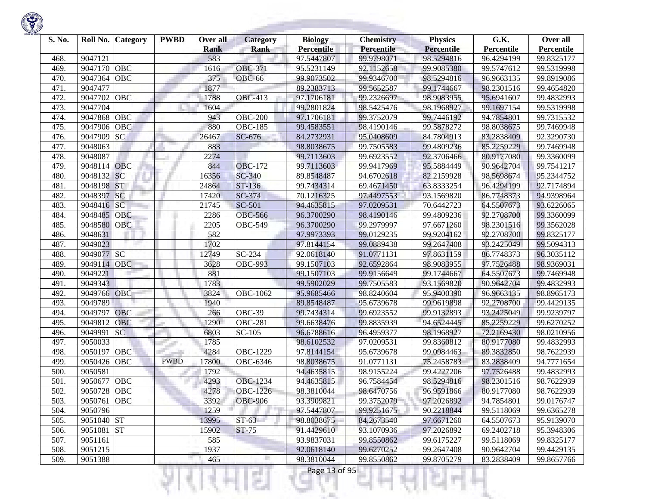| S. No. | Roll No. Category     | <b>PWBD</b> | Over all<br><b>Rank</b> | <b>Category</b><br><b>Rank</b> | <b>Biology</b><br><b>Percentile</b> | <b>Chemistry</b><br>Percentile | <b>Physics</b><br>Percentile | G.K.<br><b>Percentile</b> | Over all<br>Percentile |
|--------|-----------------------|-------------|-------------------------|--------------------------------|-------------------------------------|--------------------------------|------------------------------|---------------------------|------------------------|
| 468.   | 9047121               |             | 583                     |                                | 97.5447807                          | 99.9798071                     | 98.5294816                   | 96.4294199                | 99.8325177             |
| 469.   | OBC<br>9047170        |             | 1616                    | <b>OBC-371</b>                 | 95.5231149                          | 92.1152658                     | 99.9085380                   | 99.5747612                | 99.5319998             |
| 470.   | OBC<br>9047364        |             | 375                     | <b>OBC-66</b>                  | 99.9073502                          | 99.9346700                     | 98.5294816                   | 96.9663135                | 99.8919086             |
| 471.   | 9047477               |             | 1877                    |                                | 89.2383713                          | 99.5652587                     | 99.1744667                   | 98.2301516                | 99.4654820             |
| 472.   | 9047702<br>OBC        |             | 1788                    | <b>OBC-413</b>                 | 97.1706181                          | 99.2326697                     | 98.9083955                   | 95.6941607                | 99.4832993             |
| 473.   | 9047704               |             | 1604                    |                                | 99.2801824                          | 98.5425476                     | 98.1968927                   | 99.1697154                | 99.5319998             |
| 474.   | OBC<br>9047868        |             | 943                     | <b>OBC-200</b>                 | 97.1706181                          | 99.3752079                     | 99.7446192                   | 94.7854801                | 99.7315532             |
| 475.   | 9047906<br>OBC        |             | 880                     | <b>OBC-185</b>                 | 99.4583551                          | 98.4190146                     | 99.5878272                   | 98.8038675                | 99.7469948             |
| 476.   | 9047909<br><b>SC</b>  |             | 26467                   | SC-676                         | 84.2732931                          | 95.0408609                     | 84.7804913                   | 83.2838409                | 92.3290730             |
| 477.   | 9048063               |             | 883                     |                                | 98.8038675                          | 99.7505583                     | 99.4809236                   | 85.2259229                | 99.7469948             |
| 478.   | 9048087               |             | 2274                    |                                | 99.7113603                          | 99.6923552                     | 92.3706466                   | 80.9177080                | 99.3360099             |
| 479.   | 9048114 OBC           |             | 844                     | <b>OBC-172</b>                 | 99.7113603                          | 99.9417969                     | 95.5884449                   | 90.9642704                | 99.7541217             |
| 480.   | SC<br>9048132         |             | 16356                   | SC-340                         | 89.8548487                          | 94.6702618                     | 82.2159928                   | 98.5698674                | 95.2344752             |
| 481.   | <b>ST</b><br>9048198  |             | 24864                   | ST-136                         | 99.7434314                          | 69.4671450                     | 63.8333254                   | 96.4294199                | 92.7174894             |
| 482.   | 9048397<br> SC        |             | 17420                   | SC-374                         | 70.1216325                          | 97.4497553                     | 93.1569820                   | 86.7748373                | 94.9398964             |
| 483.   | 9048416 SC            |             | 21745                   | <b>SC-501</b>                  | 94.4635815                          | 97.0209531                     | 70.6442723                   | 64.5507673                | 93.6226065             |
| 484.   | 9048485<br><b>OBC</b> |             | 2286                    | <b>OBC-566</b>                 | 96.3700290                          | 98.4190146                     | 99.4809236                   | 92.2708700                | 99.3360099             |
| 485.   | 9048580<br>OBC        |             | 2205                    | <b>OBC-549</b>                 | 96.3700290                          | 99.2979997                     | 97.6671260                   | 98.2301516                | 99.3562028             |
| 486.   | 9048631               |             | 582                     |                                | 97.9973393                          | 99.0129235                     | 99.9204162                   | 92.2708700                | 99.8325177             |
| 487.   | 9049023               |             | 1702                    |                                | 97.8144154                          | 99.0889438                     | 99.2647408                   | 93.2425049                | 99.5094313             |
| 488.   | 9049077 SC            |             | 12749                   | SC-234                         | 92.0618140                          | 91.0771131                     | 97.8631159                   | 86.7748373                | 96.3035112             |
| 489.   | 9049114<br>OBC        |             | 3628                    | <b>OBC-993</b>                 | 99.1507103                          | 92.6592864                     | 98.9083955                   | 97.7526488                | 98.9369031             |
| 490.   | 9049221               |             | 881                     |                                | 99.1507103                          | 99.9156649                     | 99.1744667                   | 64.5507673                | 99.7469948             |
| 491.   | 9049343               |             | 1783                    |                                | 99.5902029                          | 99.7505583                     | 93.1569820                   | 90.9642704                | 99.4832993             |
| 492.   | <b>OBC</b><br>9049766 |             | 3824                    | OBC-1062                       | 95.9685466                          | 98.8240604                     | 95.9400390                   | 96.9663135                | 98.8965173             |
| 493.   | 9049789               |             | 1940                    |                                | 89.8548487                          | 95.6739678                     | 99.9619898                   | 92.2708700                | 99.4429135             |
| 494.   | OBC<br>9049797        |             | 266                     | OBC-39                         | 99.7434314                          | 99.6923552                     | 99.9132893                   | 93.2425049                | 99.9239797             |
| 495.   | 9049812<br>OBC        |             | 1290                    | <b>OBC-281</b>                 | 99.6638476                          | 99.8835939                     | 94.6524445                   | 85.2259229                | 99.6270252             |
| 496.   | <b>SC</b><br>9049991  |             | 6803                    | SC-105                         | 96.6788616                          | 96.4959377                     | 98.1968927                   | 72.2169430                | 98.0210956             |
| 497.   | 9050033               |             | 1785                    |                                | 98.6102532                          | 97.0209531                     | 99.8360812                   | 80.9177080                | 99.4832993             |
| 498.   | OBC<br>9050197        |             | 4284                    | OBC-1229                       | 97.8144154                          | 95.6739678                     | 99.0984463                   | 89.3832850                | 98.7622939             |
| 499.   | OBC<br>9050426        | <b>PWBD</b> | 17800                   | OBC-6346                       | 98.8038675                          | 91.0771131                     | 75.2458783                   | 83.2838409                | 94.7771654             |
| 500.   | 9050581               |             | 1792                    |                                | 94.4635815                          | 98.9155224                     | 99.4227206                   | 97.7526488                | 99.4832993             |
| 501.   | OBC<br>9050677        |             | 4293                    | OBC-1234                       | 94.4635815                          | 96.7584454                     | 98.5294816                   | 98.2301516                | 98.7622939             |
| 502.   | OBC<br>9050728        |             | 4278                    | OBC-1226                       | 98.3810044                          | 98.6470756                     | 96.9591866                   | 80.9177080                | 98.7622939             |
| 503.   | 9050761 OBC           |             | 3392                    | <b>OBC-906</b>                 | 93.3909821                          | 99.3752079                     | 97.2026892                   | 94.7854801                | 99.0176747             |
| 504.   | 9050796               |             | 1259                    |                                | 97.5447807                          | 99.9251675                     | 90.2218844                   | 99.5118069                | 99.6365278             |
| 505.   | 9051040 ST            |             | 13995                   | $ST-63$                        | 98.8038675                          | 84.2673540                     | 97.6671260                   | 64.5507673                | 95.9139070             |
| 506.   | 9051081 ST            |             | 15902                   | <b>ST-75</b>                   | 91.4429610                          | 93.1070936                     | 97.2026892                   | 69.2402718                | 95.3948306             |
| 507.   | 9051161               |             | 585                     |                                | 93.9837031                          | 99.8550862                     | 99.6175227                   | 99.5118069                | 99.8325177             |
| 508.   | 9051215               |             | 1937                    |                                | 92.0618140                          | 99.6270252                     | 99.2647408                   | 90.9642704                | 99.4429135             |
| 509.   | 9051388               |             | 465                     |                                | 98.3810044                          | 99.8550862                     | 99.8705279                   | 83.2838409                | 99.8657766             |
|        |                       |             |                         |                                |                                     |                                |                              |                           |                        |

K)

w

Ħ

M

m

Ш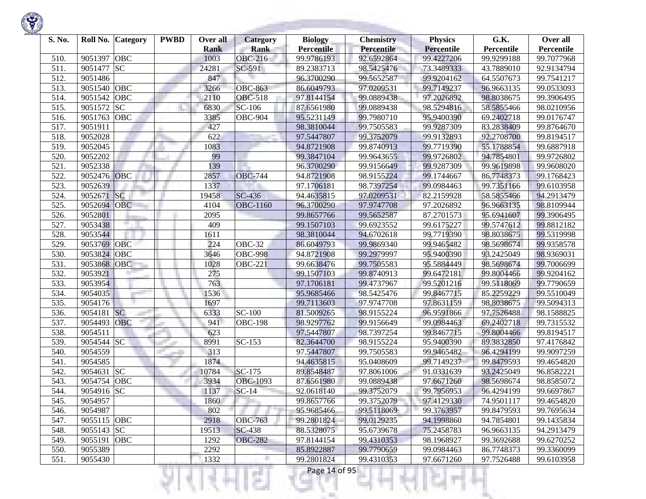| S. No. | Roll No. Category     | <b>PWBD</b> | Over all<br><b>Rank</b> | <b>Category</b><br><b>Rank</b> | <b>Biology</b><br><b>Percentile</b> | <b>Chemistry</b><br>Percentile | <b>Physics</b><br>Percentile | G.K.<br>Percentile | Over all<br>Percentile |
|--------|-----------------------|-------------|-------------------------|--------------------------------|-------------------------------------|--------------------------------|------------------------------|--------------------|------------------------|
| 510.   | OBC<br>9051397        |             | 1003                    | <b>OBC-216</b>                 | 99.9786193                          | 92.6592864                     | 99.4227206                   | 99.9299188         | 99.7077968             |
| 511.   | <b>SC</b><br>9051477  |             | 24281                   | SC-591                         | 89.2383713                          | 98.5425476                     | 73.3489333                   | 43.7889010         | 92.9134794             |
| 512.   | 9051486               |             | 847                     |                                | 96.3700290                          | 99.5652587                     | 99.9204162                   | 64.5507673         | 99.7541217             |
| 513.   | OBC<br>9051540        |             | 3266                    | <b>OBC-863</b>                 | 86.6049793                          | 97.0209531                     | 99.7149237                   | 96.9663135         | 99.0533093             |
| 514.   | 9051542<br>OBC        |             | 2110                    | <b>OBC-518</b>                 | 97.8144154                          | 99.0889438                     | 97.2026892                   | 98.8038675         | 99.3906495             |
| 515.   | 9051572<br><b>SC</b>  |             | 6830                    | SC-106                         | 87.6561980                          | 99.0889438                     | 98.5294816                   | 58.5855466         | 98.0210956             |
| 516.   | OBC<br>9051763        |             | 3385                    | <b>OBC-904</b>                 | 95.5231149                          | 99.7980710                     | 95.9400390                   | 69.2402718         | 99.0176747             |
| 517.   | 9051911               |             | 427                     |                                | 98.3810044                          | 99.7505583                     | 99.9287309                   | 83.2838409         | 99.8764670             |
| 518.   | 9052028               |             | 622                     |                                | 97.5447807                          | 99.3752079                     | 99.9132893                   | 92.2708700         | 99.8194517             |
| 519.   | 9052045               |             | 1083                    |                                | 94.8721908                          | 99.8740913                     | 99.7719390                   | 55.1788854         | 99.6887918             |
| 520.   | 9052202               |             | 99                      |                                | 99.3847104                          | 99.9643655                     | 99.9726802                   | 94.7854801         | 99.9726802             |
| 521.   | 9052338               |             | 139                     |                                | 96.3700290                          | 99.9156649                     | 99.9287309                   | 99.9619898         | 99.9608020             |
| 522.   | 9052476 OBC           |             | 2857                    | <b>OBC-744</b>                 | 94.8721908                          | 98.9155224                     | 99.1744667                   | 86.7748373         | 99.1768423             |
| 523.   | 9052639               |             | 1337                    |                                | 97.1706181                          | 98.7397254                     | 99.0984463                   | 99.7351166         | 99.6103958             |
| 524.   | SC <br>9052671        |             | 19458                   | SC-436                         | 94.4635815                          | 97.0209531                     | 82.2159928                   | 58.5855466         | 94.2913479             |
| 525.   | 9052694<br><b>OBC</b> |             | 4104                    | <b>OBC-1160</b>                | 96.3700290                          | 97.9747708                     | 97.2026892                   | 96.9663135         | 98.8109944             |
| 526.   | 9052801               |             | 2095                    |                                | 99.8657766                          | 99.5652587                     | 87.2701573                   | 95.6941607         | 99.3906495             |
| 527.   | 9053438               |             | 409                     |                                | 99.1507103                          | 99.6923552                     | 99.6175227                   | 99.5747612         | 99.8812182             |
| 528.   | 9053544               |             | 1611                    |                                | 98.3810044                          | 94.6702618                     | 99.7719390                   | 98.8038675         | 99.5319998             |
| 529.   | OBC<br>9053769        |             | 224                     | <b>OBC-32</b>                  | 86.6049793                          | 99.9869340                     | 99.9465482                   | 98.5698674         | 99.9358578             |
| 530.   | 9053824<br>OBC        |             | 3646                    | <b>OBC-998</b>                 | 94.8721908                          | 99.2979997                     | 95.9400390                   | 93.2425049         | 98.9369031             |
| 531.   | 9053868<br><b>OBC</b> |             | 1028                    | <b>OBC-221</b>                 | 99.6638476                          | 99.7505583                     | 95.5884449                   | 98.5698674         | 99.7006699             |
| 532.   | 9053921               |             | 275                     |                                | 99.1507103                          | 99.8740913                     | 99.6472181                   | 99.8004466         | 99.9204162             |
| 533.   | 9053954               |             | 763                     |                                | 97.1706181                          | 99.4737967                     | 99.5201216                   | 99.5118069         | 99.7790659             |
| 534.   | 9054035               |             | 1536                    |                                | 95.9685466                          | 98.5425476                     | 99.8467715                   | 85.2259229         | 99.5510049             |
| 535.   | 9054176               |             | 1697                    |                                | 99.7113603                          | 97.9747708                     | 97.8631159                   | 98.8038675         | 99.5094313             |
| 536.   | <b>SC</b><br>9054181  |             | 6333                    | <b>SC-100</b>                  | 81.5009265                          | 98.9155224                     | 96.9591866                   | 97.7526488         | 98.1588825             |
| 537.   | 9054493<br>OBC        |             | 941                     | <b>OBC-198</b>                 | 98.9297762                          | 99.9156649                     | 99.0984463                   | 69.2402718         | 99.7315532             |
| 538.   | 9054511               |             | 623                     |                                | 97.5447807                          | 98.7397254                     | 99.8467715                   | 99.8004466         | 99.8194517             |
| 539.   | 9054544 SC            |             | 8991                    | $SC-153$                       | 82.3644700                          | 98.9155224                     | 95.9400390                   | 89.3832850         | 97.4176842             |
| 540.   | 9054559               |             | 313                     |                                | 97.5447807                          | 99.7505583                     | 99.9465482                   | 96.4294199         | 99.9097259             |
| 541.   | 9054585               |             | 1874                    |                                | 94.4635815                          | 95.0408609                     | 99.7149237                   | 99.8479593         | 99.4654820             |
| 542.   | <b>SC</b><br>9054631  |             | 10784                   | SC-175                         | 89.8548487                          | 97.8061006                     | 91.0331639                   | 93.2425049         | 96.8582221             |
| 543.   | 9054754 OBC           |             | 3934                    | <b>OBC-1093</b>                | 87.6561980                          | 99.0889438                     | 97.6671260                   | 98.5698674         | 98.8585072             |
| 544.   | 9054916 SC            |             | 1137                    | $SC-14$                        | 92.0618140                          | 99.3752079                     | 99.7956953                   | 96.4294199         | 99.6697867             |
| 545.   | 9054957               |             | 1860                    |                                | 99.8657766                          | 99.3752079                     | 97.4129330                   | 74.9501117         | 99.4654820             |
| 546.   | 9054987               |             | 802                     |                                | 95.9685466                          | 99.5118069                     | 99.3763957                   | 99.8479593         | 99.7695634             |
| 547.   | 9055115 OBC           |             | 2918                    | <b>OBC-763</b>                 | 99.2801824                          | 99.0129235                     | 94.1998860                   | 94.7854801         | 99.1435834             |
| 548.   | 9055143 SC            |             | 19513                   | <b>SC-438</b>                  | 88.5328075                          | 95.6739678                     | 75.2458783                   | 96.9663135         | 94.2913479             |
| 549.   | 9055191<br>OBC        |             | 1292                    | <b>OBC-282</b>                 | 97.8144154                          | 99.4310353                     | 98.1968927                   | 99.3692688         | 99.6270252             |
| 550.   | 9055389               |             | 2292                    |                                | 85.8922887                          | 99.7790659                     | 99.0984463                   | 86.7748373         | 99.3360099             |
| 551.   | 9055430               |             | 1332                    |                                | 99.2801824                          | 99.4310353                     | 97.6671260                   | 97.7526488         | 99.6103958             |

K)

w

Ħ

H

m

Ш

ч

Ħ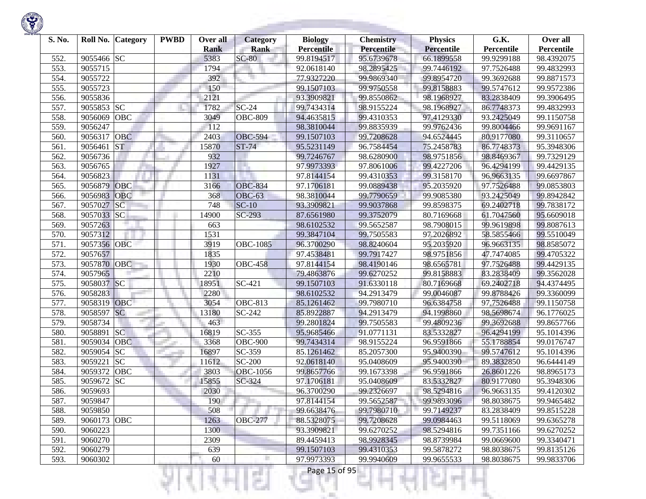

| S. No. | Roll No.    | <b>Category</b> | <b>PWBD</b> | Over all    | <b>Category</b>        | <b>Biology</b>    | <b>Chemistry</b> | <b>Physics</b>    | G.K.       | Over all   |
|--------|-------------|-----------------|-------------|-------------|------------------------|-------------------|------------------|-------------------|------------|------------|
|        |             |                 |             | <b>Rank</b> | <b>Rank</b><br>$SC-80$ | <b>Percentile</b> | Percentile       | <b>Percentile</b> | Percentile | Percentile |
| 552.   | 9055466     | <b>SC</b>       |             | 5383        |                        | 99.8194517        | 95.6739678       | 66.1899558        | 99.9299188 | 98.4392075 |
| 553.   | 9055715     |                 |             | 1794        |                        | 92.0618140        | 98.2895425       | 99.7446192        | 97.7526488 | 99.4832993 |
| 554.   | 9055722     |                 |             | 392         |                        | 77.9327220        | 99.9869340       | 99.8954720        | 99.3692688 | 99.8871573 |
| 555.   | 9055723     |                 |             | 150         |                        | 99.1507103        | 99.9750558       | 99.8158883        | 99.5747612 | 99.9572386 |
| 556.   | 9055836     |                 |             | 2121        |                        | 93.3909821        | 99.8550862       | 98.1968927        | 83.2838409 | 99.3906495 |
| 557.   | 9055853     | <b>SC</b>       |             | 1782        | $SC-24$                | 99.7434314        | 98.9155224       | 98.1968927        | 86.7748373 | 99.4832993 |
| 558.   | 9056069     | OBC             |             | 3049        | <b>OBC-809</b>         | 94.4635815        | 99.4310353       | 97.4129330        | 93.2425049 | 99.1150758 |
| 559.   | 9056247     |                 |             | 112         |                        | 98.3810044        | 99.8835939       | 99.9762436        | 99.8004466 | 99.9691167 |
| 560.   | 9056317     | <b>OBC</b>      |             | 2403        | <b>OBC-594</b>         | 99.1507103        | 99.7208628       | 94.6524445        | 80.9177080 | 99.3110657 |
| 561.   | 9056461     | <b>ST</b>       |             | 15870       | $ST-74$                | 95.5231149        | 96.7584454       | 75.2458783        | 86.7748373 | 95.3948306 |
| 562.   | 9056736     |                 |             | 932         |                        | 99.7246767        | 98.6280900       | 98.9751856        | 98.8469367 | 99.7329129 |
| 563.   | 9056765     |                 |             | 1927        |                        | 97.9973393        | 97.8061006       | 99.4227206        | 96.4294199 | 99.4429135 |
| 564.   | 9056823     |                 |             | 1131        |                        | 97.8144154        | 99.4310353       | 99.3158170        | 96.9663135 | 99.6697867 |
| 565.   | 9056879     | OBC             |             | 3166        | <b>OBC-834</b>         | 97.1706181        | 99.0889438       | 95.2035920        | 97.7526488 | 99.0853803 |
| 566.   | 9056983     | <b>OBC</b>      |             | 368         | <b>OBC-63</b>          | 98.3810044        | 99.7790659       | 99.9085380        | 93.2425049 | 99.8942842 |
| 567.   | 9057027     | SC              |             | 748         | $SC-10$                | 93.3909821        | 99.9037868       | 99.8598375        | 69.2402718 | 99.7838172 |
| 568.   | 9057033     | SC              |             | 14900       | $SC-293$               | 87.6561980        | 99.3752079       | 80.7169668        | 61.7047560 | 95.6609018 |
| 569.   | 9057263     |                 |             | 663         |                        | 98.6102532        | 99.5652587       | 98.7908015        | 99.9619898 | 99.8087613 |
| 570.   | 9057312     |                 |             | 1531        |                        | 99.3847104        | 99.7505583       | 97.2026892        | 58.5855466 | 99.5510049 |
| 571.   | 9057356 OBC |                 |             | 3919        | <b>OBC-1085</b>        | 96.3700290        | 98.8240604       | 95.2035920        | 96.9663135 | 98.8585072 |
| 572.   | 9057657     |                 |             | 1835        |                        | 97.4538481        | 99.7917427       | 98.9751856        | 47.7474085 | 99.4705322 |
| 573.   | 9057870 OBC |                 |             | 1930        | <b>OBC-458</b>         | 97.8144154        | 98.4190146       | 98.6565781        | 97.7526488 | 99.4429135 |
| 574.   | 9057965     |                 |             | 2210        |                        | 79.4863876        | 99.6270252       | 99.8158883        | 83.2838409 | 99.3562028 |
| 575.   | 9058037 SC  |                 |             | 18951       | SC-421                 | 99.1507103        | 91.6330118       | 80.7169668        | 69.2402718 | 94.4374495 |
| 576.   | 9058283     |                 |             | 2280        |                        | 98.6102532        | 94.2913479       | 99.0046087        | 99.8788426 | 99.3360099 |
| 577.   | 9058319     | <b>OBC</b>      |             | 3054        | <b>OBC-813</b>         | 85.1261462        | 99.7980710       | 96.6384758        | 97.7526488 | 99.1150758 |
| 578.   | 9058597     | SC              |             | 13180       | SC-242                 | 85.8922887        | 94.2913479       | 94.1998860        | 98.5698674 | 96.1776025 |
| 579.   | 9058734     |                 |             | 463         |                        | 99.2801824        | 99.7505583       | 99.4809236        | 99.3692688 | 99.8657766 |
| 580.   | 9058891     | SC              |             | 16819       | SC-355                 | 95.9685466        | 91.0771131       | 83.5332827        | 96.4294199 | 95.1014396 |
| 581.   | 9059034     | <b>OBC</b>      |             | 3368        | <b>OBC-900</b>         | 99.7434314        | 98.9155224       | 96.9591866        | 55.1788854 | 99.0176747 |
| 582.   | 9059054     | <b>SC</b>       |             | 16897       | SC-359                 | 85.1261462        | 85.2057300       | 95.9400390        | 99.5747612 | 95.1014396 |
| 583.   | 9059221     | <b>SC</b>       |             | 11612       | <b>SC-200</b>          | 92.0618140        | 95.0408609       | 95.9400390        | 89.3832850 | 96.6444149 |
| 584.   | 9059372     | <b>OBC</b>      |             | 3803        | <b>OBC-1056</b>        | 99.8657766        | 99.1673398       | 96.9591866        | 26.8601226 | 98.8965173 |
| 585.   | 9059672     | <b>SC</b>       |             | 15855       | SC-324                 | 97.1706181        | 95.0408609       | 83.5332827        | 80.9177080 | 95.3948306 |
| 586.   | 9059693     |                 |             | 2030        |                        | 96.3700290        | 99.2326697       | 98.5294816        | 96.9663135 | 99.4120302 |
| 587.   | 9059847     |                 |             | 190         |                        | 97.8144154        | 99.5652587       | 99.9893096        | 98.8038675 | 99.9465482 |
| 588.   | 9059850     |                 |             | 508         |                        | 99.6638476        | 99.7980710       | 99.7149237        | 83.2838409 | 99.8515228 |
| 589.   | 9060173 OBC |                 |             | 1263        | <b>OBC-277</b>         | 88.5328075        | 99.7208628       | 99.0984463        | 99.5118069 | 99.6365278 |
| 590.   | 9060223     |                 |             | 1300        |                        | 93.3909821        | 99.6270252       | 98.5294816        | 99.7351166 | 99.6270252 |
| 591.   | 9060270     |                 |             | 2309        |                        | 89.4459413        | 98.9928345       | 98.8739984        | 99.0669600 | 99.3340471 |
| 592.   | 9060279     |                 |             | 639         |                        | 99.1507103        | 99.4310353       | 99.5878272        | 98.8038675 | 99.8135126 |
| 593.   | 9060302     |                 |             | 60          |                        | 97.9973393        | 99.9940609       | 99.9655533        | 98.8038675 | 99.9833706 |
|        |             |                 |             |             |                        | Page 15 of 95     |                  |                   |            |            |
|        |             |                 |             |             | . .                    | H.                |                  |                   |            |            |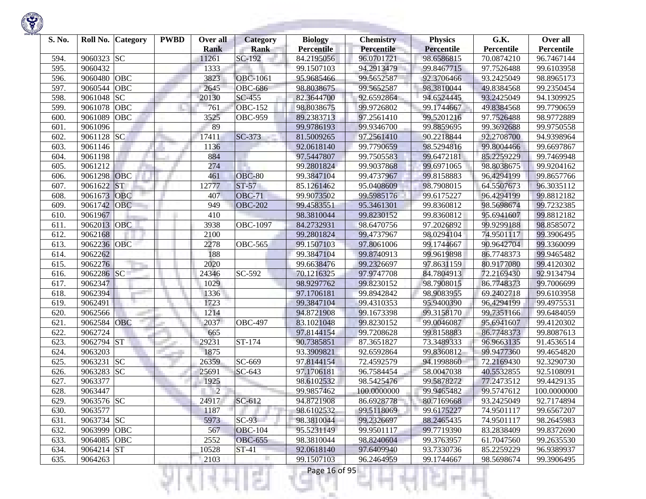

| S. No. | Roll No.<br><b>Category</b> | <b>PWBD</b> | Over all             | <b>Category</b>       | <b>Biology</b>                  | <b>Chemistry</b>                | <b>Physics</b>                  | G.K.                     | Over all                 |
|--------|-----------------------------|-------------|----------------------|-----------------------|---------------------------------|---------------------------------|---------------------------------|--------------------------|--------------------------|
| 594.   | 9060323<br><b>SC</b>        |             | <b>Rank</b><br>11261 | <b>Rank</b><br>SC-192 | <b>Percentile</b><br>84.2195056 | <b>Percentile</b><br>96.0701721 | <b>Percentile</b><br>98.6586815 | Percentile<br>70.0874210 | Percentile<br>96.7467144 |
| 595.   | 9060432                     |             | 1333                 |                       | 99.1507103                      | 94.2913479                      | 99.8467715                      | 97.7526488               | 99.6103958               |
| 596.   | OBC<br>9060480              |             | 3823                 | <b>OBC-1061</b>       | 95.9685466                      | 99.5652587                      | 92.3706466                      | 93.2425049               | 98.8965173               |
| 597.   | OBC<br>9060544              |             | 2645                 | <b>OBC-686</b>        | 98.8038675                      | 99.5652587                      | 98.3810044                      | 49.8384568               | 99.2350454               |
| 598.   | <b>SC</b><br>9061048        |             | 20130                | $SC-455$              | 82.3644700                      |                                 | 94.6524445                      | 93.2425049               | 94.1309925               |
|        | OBC<br>9061078              |             | 761                  | <b>OBC-152</b>        |                                 | 92.6592864<br>99.9726802        | 99.1744667                      |                          | 99.7790659               |
| 599.   |                             |             |                      |                       | 98.8038675                      |                                 |                                 | 49.8384568               |                          |
| 600.   | 9061089<br>OBC              |             | 3525                 | <b>OBC-959</b>        | 89.2383713                      | 97.2561410                      | 99.5201216                      | 97.7526488               | 98.9772889               |
| 601.   | 9061096                     |             | 89                   |                       | 99.9786193                      | 99.9346700                      | 99.8859695                      | 99.3692688               | 99.9750558               |
| 602.   | 9061128 SC                  |             | 17411                | SC-373                | 81.5009265                      | 97.2561410                      | 90.2218844                      | 92.2708700               | 94.9398964               |
| 603.   | 9061146                     |             | 1136                 |                       | 92.0618140                      | 99.7790659                      | 98.5294816                      | 99.8004466               | 99.6697867               |
| 604.   | 9061198                     |             | 884                  |                       | 97.5447807                      | 99.7505583                      | 99.6472181                      | 85.2259229               | 99.7469948               |
| 605.   | 9061212                     |             | 274                  |                       | 99.2801824                      | 99.9037868                      | 99.6971065                      | 98.8038675               | 99.9204162               |
| 606.   | OBC<br>9061298              |             | 461                  | <b>OBC-80</b>         | 99.3847104                      | 99.4737967                      | 99.8158883                      | 96.4294199               | 99.8657766               |
| 607.   | <b>ST</b><br>9061622        |             | 12777                | $ST-57$               | 85.1261462                      | 95.0408609                      | 98.7908015                      | 64.5507673               | 96.3035112               |
| 608.   | OBC<br>9061673              |             | 407                  | <b>OBC-71</b>         | 99.9073502                      | 99.5985176                      | 99.6175227                      | 96.4294199               | 99.8812182               |
| 609.   | 9061742<br><b>OBC</b>       |             | 949                  | <b>OBC-202</b>        | 99.4583551                      | 95.3461301                      | 99.8360812                      | 98.5698674               | 99.7232385               |
| 610.   | 9061967                     |             | 410                  |                       | 98.3810044                      | 99.8230152                      | 99.8360812                      | 95.6941607               | 99.8812182               |
| 611.   | OBC<br>9062013              |             | 3938                 | <b>OBC-1097</b>       | 84.2732931                      | 98.6470756                      | 97.2026892                      | 99.9299188               | 98.8585072               |
| 612.   | 9062168                     |             | 2100                 |                       | 99.2801824                      | 99.4737967                      | 98.0294104                      | 74.9501117               | 99.3906495               |
| 613.   | OBC<br>9062236              |             | 2278                 | <b>OBC-565</b>        | 99.1507103                      | 97.8061006                      | 99.1744667                      | 90.9642704               | 99.3360099               |
| 614.   | 9062262                     |             | 188                  |                       | 99.3847104                      | 99.8740913                      | 99.9619898                      | 86.7748373               | 99.9465482               |
| 615.   | 9062276                     |             | 2020                 |                       | 99.6638476                      | 99.2326697                      | 97.8631159                      | 80.9177080               | 99.4120302               |
| 616.   | 9062286 SC                  |             | 24346                | $\overline{SC}$ -592  | 70.1216325                      | 97.9747708                      | 84.7804913                      | 72.2169430               | 92.9134794               |
| 617.   | 9062347                     |             | 1029                 |                       | 98.9297762                      | 99.8230152                      | 98.7908015                      | 86.7748373               | 99.7006699               |
| 618.   | 9062394                     |             | 1336                 |                       | 97.1706181                      | 99.8942842                      | 98.9083955                      | 69.2402718               | 99.6103958               |
| 619.   | 9062491                     |             | 1723                 |                       | 99.3847104                      | 99.4310353                      | 95.9400390                      | 96,4294199               | 99.4975531               |
| 620.   | 9062566                     |             | 1214                 |                       | 94.8721908                      | 99.1673398                      | 99.3158170                      | 99.7351166               | 99.6484059               |
| 621.   | OBC<br>9062584              |             | 2037                 | <b>OBC-497</b>        | 83.1021048                      | 99.8230152                      | 99.0046087                      | 95.6941607               | 99.4120302               |
| 622.   | 9062724                     |             | 665                  |                       | 97.8144154                      | 99.7208628                      | 99.8158883                      | 86.7748373               | 99.8087613               |
| 623.   | 9062794 ST                  |             | 29231                | ST-174                | 90.7385851                      | 87.3651827                      | 73.3489333                      | 96.9663135               | 91.4536514               |
| 624.   | 9063203                     |             | 1875                 |                       | 93.3909821                      | 92.6592864                      | 99.8360812                      | 99.9477360               | 99.4654820               |
| 625.   | <b>SC</b><br>9063231        |             | 26359                | SC-669                | 97.8144154                      | 72.4592579                      | 94.1998860                      | 72.2169430               | 92.3290730               |
| 626.   | <b>SC</b><br>9063283        |             | 25691                | SC-643                | 97.1706181                      | 96.7584454                      | 58.0047038                      | 40.5532855               | 92.5108091               |
| 627.   | 9063377                     |             | 1925                 |                       | 98.6102532                      | 98.5425476                      | 99.5878272                      | 77.2473512               | 99.4429135               |
| 628.   | 9063447                     |             | $\overline{2}$       |                       | 99.9857462                      | 100.0000000                     | 99.9465482                      | 99.5747612               | 100.0000000              |
| 629.   | 9063576 SC                  |             | 24917                | $SC-612$              | 94.8721908                      | 86.6928778                      | 80.7169668                      | 93.2425049               | 92.7174894               |
| 630.   | 9063577                     |             | 1187                 |                       | 98.6102532                      | 99.5118069                      | 99.6175227                      | 74.9501117               | 99.6567207               |
| 631.   | 9063734 SC                  |             | 5973                 | $SC-93$               | 98.3810044                      | 99.2326697                      | 88.2465435                      | 74.9501117               | 98.2645983               |
| 632.   | 9063999 OBC                 |             | 567                  | <b>OBC-104</b>        | 95.5231149                      | 99.9501117                      | 99.7719390                      | 83.2838409               | 99.8372690               |
| 633.   | 9064085 OBC                 |             | 2552                 | <b>OBC-655</b>        | 98.3810044                      | 98.8240604                      | 99.3763957                      | 61.7047560               | 99.2635530               |
| 634.   | 9064214 ST                  |             | 10528                | ST-41                 | 92.0618140                      | 97.6409940                      | 93.7330736                      | 85.2259229               | 96.9389937               |
| 635.   | 9064263                     |             | 2103                 | п                     | 99.1507103                      | 96.2464959                      | 99.1744667                      | 98.5698674               | 99.3906495               |

XН

v

H

n

ы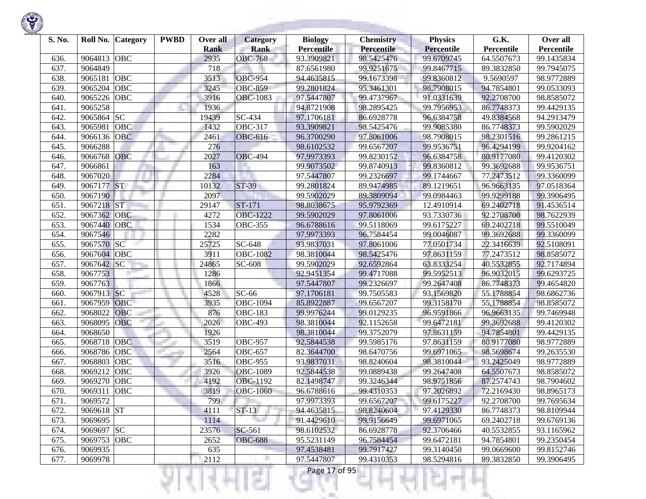| S. No. | Roll No.    | <b>Category</b> | <b>PWBD</b> | Over all<br><b>Rank</b> | <b>Category</b><br><b>Rank</b> | <b>Biology</b><br><b>Percentile</b> | <b>Chemistry</b><br><b>Percentile</b> | <b>Physics</b><br><b>Percentile</b> | G.K.<br>Percentile | Over all<br>Percentile |
|--------|-------------|-----------------|-------------|-------------------------|--------------------------------|-------------------------------------|---------------------------------------|-------------------------------------|--------------------|------------------------|
| 636.   | 9064813     | <b>OBC</b>      |             | 2935                    | <b>OBC-768</b>                 | 93.3909821                          | 98.5425476                            | 99.6709745                          | 64.5507673         | 99.1435834             |
| 637.   | 9064849     |                 |             | 718                     |                                | 87.6561980                          | 99.9251675                            | 99.8467715                          | 89.3832850         | 99.7945075             |
| 638.   | 9065181     | <b>OBC</b>      |             | 3513                    | <b>OBC-954</b>                 | 94.4635815                          | 99.1673398                            | 99.8360812                          | 9.5690597          | 98.9772889             |
| 639.   | 9065204     | <b>OBC</b>      |             | 3245                    | <b>OBC-859</b>                 | 99.2801824                          | 95.3461301                            | 98.7908015                          | 94.7854801         | 99.0533093             |
| 640.   | 9065226     | OBC             |             | 3916                    | <b>OBC-1083</b>                | 97.5447807                          | 99.4737967                            | 91.0331639                          | 92.2708700         | 98.8585072             |
| 641.   | 9065258     |                 |             | 1936                    |                                | 94.8721908                          | 98.2895425                            | 99.7956953                          | 86.7748373         | 99.4429135             |
| 642.   | 9065864     | <b>SC</b>       |             | 19439                   | $\overline{SC}$ -434           | 97.1706181                          | 86.6928778                            | 96.6384758                          | 49.8384568         | 94.2913479             |
| 643.   | 9065981     | OBC             |             | 1432                    | <b>OBC-317</b>                 | 93.3909821                          | 98.5425476                            | 99.9085380                          | 86.7748373         | 99.5902029             |
| 644.   | 9066136     | <b>OBC</b>      |             | 2461                    | <b>OBC-616</b>                 | 96.3700290                          | 97.8061006                            | 98.7908015                          | 98.2301516         | 99.2861215             |
| 645.   | 9066288     |                 |             | 276                     |                                | 98.6102532                          | 99.6567207                            | 99.9536751                          | 96.4294199         | 99.9204162             |
| 646.   | 9066768     | OBC             |             | 2027                    | <b>OBC-494</b>                 | 97.9973393                          | 99.8230152                            | 96.6384758                          | 80.9177080         | 99.4120302             |
| 647.   | 9066861     |                 |             | 163                     |                                | 99.9073502                          | 99.8740913                            | 99.8360812                          | 99.3692688         | 99.9536751             |
| 648.   | 9067020     |                 |             | 2284                    |                                | 97.5447807                          | 99.2326697                            | 99.1744667                          | 77.2473512         | 99.3360099             |
| 649.   | 9067177 ST  |                 |             | 10132                   | $ST-39$                        | 99.2801824                          | 89.9474985                            | 89.1219651                          | 96.9663135         | 97.0518364             |
| 650.   | 9067190     |                 |             | 2097                    |                                | 99.5902029                          | 89.3809094                            | 99.0984463                          | 99.9299188         | 99.3906495             |
| 651.   | 9067218     | <b>ST</b>       |             | 29147                   | ST-171                         | 98.8038675                          | 95.9792369                            | 12.4910914                          | 69.2402718         | 91.4536514             |
| 652.   | 9067362     | OBC             |             | 4272                    | <b>OBC-1222</b>                | 99.5902029                          | 97.8061006                            | 93.7330736                          | 92.2708700         | 98.7622939             |
| 653.   | 9067440     | <b>OBC</b>      |             | 1534                    | <b>OBC-355</b>                 | 96.6788616                          | 99.5118069                            | 99.6175227                          | 69.2402718         | 99.5510049             |
| 654.   | 9067546     |                 |             | 2282                    |                                | 97.9973393                          | 96.7584454                            | 99.0046087                          | 99.3692688         | 99.3360099             |
| 655.   | 9067570 SC  |                 |             | 25725                   | SC-648                         | 93.9837031                          | 97.8061006                            | 77.0501734                          | 22.3416639         | 92.5108091             |
| 656.   | 9067604     | OBC             |             | 3911                    | <b>OBC-1082</b>                | 98.3810044                          | 98.5425476                            | 97.8631159                          | 77.2473512         | 98.8585072             |
| 657.   | 9067642     | SC              |             | 24865                   | SC-608                         | 99.5902029                          | 92.6592864                            | 63.8333254                          | 40.5532855         | 92.7174894             |
| 658.   | 9067753     |                 |             | 1286                    |                                | 92.9451354                          | 99.4717088                            | 99.5952513                          | 96.9032015         | 99.6293725             |
| 659.   | 9067763     |                 |             | 1866                    |                                | 97.5447807                          | 99.2326697                            | 99.2647408                          | 86.7748373         | 99.4654820             |
| 660.   | 9067913 SC  |                 |             | 4528                    | $SC-66$                        | 97.1706181                          | 99.7505583                            | 93.1569820                          | 55.1788854         | 98.6862736             |
| 661.   | 9067959     | OBC             |             | 3935                    | <b>OBC-1094</b>                | 85.8922887                          | 99.6567207                            | 99.3158170                          | 55.1788854         | 98.8585072             |
| 662.   | 9068022     | OBC             |             | 876                     | <b>OBC-183</b>                 | 99.9976244                          | 99.0129235                            | 96.9591866                          | 96.9663135         | 99.7469948             |
| 663.   | 9068095     | OBC             |             | 2026                    | <b>OBC-493</b>                 | 98.3810044                          | 92.1152658                            | 99.6472181                          | 99.3692688         | 99.4120302             |
| 664.   | 9068650     |                 |             | 1926                    |                                | 98.3810044                          | 99.3752079                            | 97.8631159                          | 94.7854801         | 99.4429135             |
| 665.   | 9068718     | <b>OBC</b>      |             | 3519                    | <b>OBC-957</b>                 | 92.5844538                          | 99.5985176                            | 97.8631159                          | 80.9177080         | 98.9772889             |
| 666.   | 9068786     | OBC             |             | 2564                    | $\overline{O}$ BC-657          | 82.3644700                          | 98.6470756                            | 99.6971065                          | 98.5698674         | 99.2635530             |
| 667.   | 9068803     | <b>OBC</b>      |             | 3516                    | <b>OBC-955</b>                 | 93.9837031                          | 98.8240604                            | 98.3810044                          | 93.2425049         | 98.9772889             |
| 668.   | 9069212     | OBC             |             | 3926                    | <b>OBC-1089</b>                | 92.5844538                          | 99.0889438                            | 99.2647408                          | 64.5507673         | 98.8585072             |
| 669.   | 9069270     | OBC             |             | 4192                    | OBC-1192                       | 82.1498747                          | 99.3246344                            | 98.9751856                          | 87.2574743         | 98.7904602             |
| 670.   | 9069311     | <b>OBC</b>      |             | 3819                    | <b>OBC-1060</b>                | 96.6788616                          | 99.4310353                            | 97.2026892                          | 72.2169430         | 98.8965173             |
| 671.   | 9069572     |                 |             | 799                     |                                | 97.9973393                          | 99.6567207                            | 99.6175227                          | 92.2708700         | 99.7695634             |
| 672.   | 9069618 ST  |                 |             | 4111                    | $ST-13$                        | 94.4635815                          | 98.8240604                            | 97.4129330                          | 86.7748373         | 98.8109944             |
| 673.   | 9069695     |                 |             | 1114                    |                                | 91.4429610                          | 99.9156649                            | 99.6971065                          | 69.2402718         | 99.6769136             |
| 674.   | 9069697 SC  |                 |             | 23576                   | SC-561                         | 98.6102532                          | 86.6928778                            | 92.3706466                          | 40.5532855         | 93.1165962             |
| 675.   | 9069753 OBC |                 |             | 2652                    | <b>OBC-688</b>                 | 95.5231149                          | 96.7584454                            | 99.6472181                          | 94.7854801         | 99.2350454             |
| 676.   | 9069935     |                 |             | 635                     |                                | 97.4538481                          | 99.7917427                            | 99.3140450                          | 99.0669600         | 99.8152746             |
| 677.   | 9069978     |                 |             | 2112                    | п                              | 97.5447807                          | 99.4310353                            | 98.5294816                          | 89.3832850         | 99.3906495             |

Ħ

Ш

27

K)

w

Ħ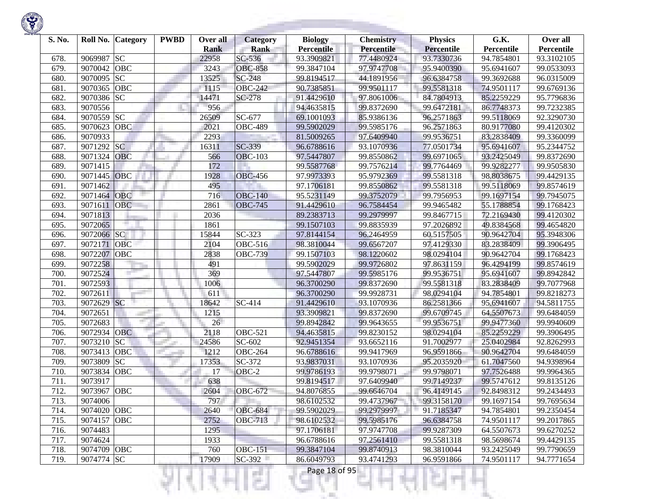

| S. No. |             | Roll No. Category | <b>PWBD</b> | Over all<br><b>Rank</b> | <b>Category</b><br><b>Rank</b> | <b>Biology</b><br><b>Percentile</b> | <b>Chemistry</b><br>Percentile | <b>Physics</b><br><b>Percentile</b> | G.K.<br>Percentile | Over all<br>Percentile |
|--------|-------------|-------------------|-------------|-------------------------|--------------------------------|-------------------------------------|--------------------------------|-------------------------------------|--------------------|------------------------|
| 678.   | 9069987     | <b>SC</b>         |             | 22958                   | $SC-536$                       | 93.3909821                          | 77.4480924                     | 93.7330736                          | 94.7854801         | 93.3102105             |
| 679.   | 9070042     | <b>OBC</b>        |             | 3243                    | <b>OBC-858</b>                 | 99.3847104                          | 97.9747708                     | 95.9400390                          | 95.6941607         | 99.0533093             |
| 680.   | 9070095     | SC                |             | 13525                   | <b>SC-248</b>                  | 99.8194517                          | 44.1891956                     | 96.6384758                          | 99.3692688         | 96.0315009             |
| 681.   | 9070365     | OBC               |             | 1115                    | <b>OBC-242</b>                 | 90.7385851                          | 99.9501117                     | 99.5581318                          | 74.9501117         | 99.6769136             |
| 682.   | 9070386     | <b>SC</b>         |             | 14471                   | SC-278                         | 91.4429610                          | 97.8061006                     | 84.7804913                          | 85.2259229         | 95.7796836             |
| 683.   | 9070556     |                   |             | 956                     |                                | 94.4635815                          | 99.8372690                     | 99.6472181                          | 86.7748373         | 99.7232385             |
| 684.   | 9070559     | SC                |             | 26509                   | SC-677                         | 69.1001093                          | 85.9386136                     | 96.2571863                          | 99.5118069         | 92.3290730             |
| 685.   | 9070623     | OBC               |             | 2021                    | <b>OBC-489</b>                 | 99.5902029                          | 99.5985176                     | 96.2571863                          | 80.9177080         | 99.4120302             |
| 686.   | 9070933     |                   |             | 2293                    |                                | 81.5009265                          | 97.6409940                     | 99.9536751                          | 83.2838409         | 99.3360099             |
| 687.   | 9071292     | <b>SC</b>         |             | 16311                   | SC-339                         | 96.6788616                          | 93.1070936                     | 77.0501734                          | 95.6941607         | 95.2344752             |
| 688.   | 9071324     | <b>OBC</b>        |             | 566                     | <b>OBC-103</b>                 | 97.5447807                          | 99.8550862                     | 99.6971065                          | 93.2425049         | 99.8372690             |
| 689.   | 9071415     |                   |             | 172                     |                                | 99.5587768                          | 99.7576214                     | 99.7764469                          | 99.9282277         | 99.9505830             |
| 690.   | 9071445     | <b>OBC</b>        |             | 1928                    | <b>OBC-456</b>                 | 97.9973393                          | 95.9792369                     | 99.5581318                          | 98.8038675         | 99.4429135             |
| 691.   | 9071462     |                   |             | 495                     |                                | 97.1706181                          | 99.8550862                     | 99.5581318                          | 99.5118069         | 99.8574619             |
| 692.   | 9071464     | <b>OBC</b>        |             | 716                     | <b>OBC-140</b>                 | 95.5231149                          | 99.3752079                     | 99.7956953                          | 99.1697154         | 99.7945075             |
| 693.   | 9071611     | <b>OBC</b>        |             | 2861                    | <b>OBC-745</b>                 | 91.4429610                          | 96.7584454                     | 99.9465482                          | 55.1788854         | 99.1768423             |
| 694.   | 9071813     |                   |             | 2036                    |                                | 89.2383713                          | 99.2979997                     | 99.8467715                          | 72.2169430         | 99.4120302             |
| 695.   | 9072065     |                   |             | 1861                    |                                | 99.1507103                          | 99.8835939                     | 97.2026892                          | 49.8384568         | 99.4654820             |
| 696.   | 9072066 SC  |                   |             | 15844                   | SC-323                         | 97.8144154                          | 96.2464959                     | 60.5157505                          | 90.9642704         | 95.3948306             |
| 697.   | 9072171     | OBC               |             | 2104                    | OBC-516                        | 98.3810044                          | 99.6567207                     | 97.4129330                          | 83.2838409         | 99.3906495             |
| 698.   | 9072207     | OBC               |             | 2838                    | <b>OBC-739</b>                 | 99.1507103                          | 98.1220602                     | 98.0294104                          | 90.9642704         | 99.1768423             |
| 699.   | 9072258     |                   |             | 491                     |                                | 99.5902029                          | 99.9726802                     | 97.8631159                          | 96.4294199         | 99.8574619             |
| 700.   | 9072524     |                   |             | 369                     |                                | 97.5447807                          | 99.5985176                     | 99.9536751                          | 95.6941607         | 99.8942842             |
| 701.   | 9072593     |                   |             | 1006                    |                                | 96.3700290                          | 99.8372690                     | 99.5581318                          | 83.2838409         | 99.7077968             |
| 702.   | 9072611     |                   |             | 611                     |                                | 96.3700290                          | 99.9928731                     | 98.0294104                          | 94.7854801         | 99.8218273             |
| 703.   | 9072629 SC  |                   |             | 18642                   | SC-414                         | 91.4429610                          | 93.1070936                     | 86.2581366                          | 95.6941607         | 94.5811755             |
| 704.   | 9072651     |                   |             | 1215                    |                                | 93.3909821                          | 99.8372690                     | 99.6709745                          | 64.5507673         | 99.6484059             |
| 705.   | 9072683     |                   |             | 26                      |                                | 99.8942842                          | 99.9643655                     | 99.9536751                          | 99.9477360         | 99.9940609             |
| 706.   | 9072934     | <b>OBC</b>        |             | 2118                    | <b>OBC-521</b>                 | 94.4635815                          | 99.8230152                     | 98.0294104                          | 85.2259229         | 99.3906495             |
| 707.   | 9073210     | SC                |             | 24586                   | SC-602                         | 92.9451354                          | 93.6652116                     | 91.7002977                          | 25.0402984         | 92.8262993             |
| 708.   | 9073413     | OBC               |             | 1212                    | <b>OBC-264</b>                 | 96.6788616                          | 99.9417969                     | 96.9591866                          | 90.9642704         | 99.6484059             |
| 709.   | 9073809     | $\overline{SC}$   |             | 17353                   | SC-372                         | 93.9837031                          | 93.1070936                     | 95.2035920                          | 61.7047560         | 94.9398964             |
| 710.   | 9073834     | <b>OBC</b>        |             | 17                      | OBC-2                          | 99.9786193                          | 99.9798071                     | 99.9798071                          | 97.7526488         | 99.9964365             |
| 711.   | 9073917     |                   |             | 638                     |                                | 99.8194517                          | 97.6409940                     | 99.7149237                          | 99.5747612         | 99.8135126             |
| 712.   | 9073967 OBC |                   |             | 2604                    | <b>OBC-672</b>                 | 94.8076855                          | 99.6646704                     | 96.4149145                          | 92.8498312         | 99.2434493             |
| 713.   | 9074006     |                   |             | 797                     |                                | 98.6102532                          | 99.4737967                     | 99.3158170                          | 99.1697154         | 99.7695634             |
| 714.   | 9074020 OBC |                   |             | 2640                    | <b>OBC-684</b>                 | 99.5902029                          | 99.2979997                     | 91.7185347                          | 94.7854801         | 99.2350454             |
| 715.   | 9074157 OBC |                   |             | 2752                    | <b>OBC-713</b>                 | 98.6102532                          | 99.5985176                     | 96.6384758                          | 74.9501117         | 99.2017865             |
| 716.   | 9074483     |                   |             | 1295                    |                                | 97.1706181                          | 97.9747708                     | 99.9287309                          | 64.5507673         | 99.6270252             |
| 717.   | 9074624     |                   |             | 1933                    |                                | 96.6788616                          | 97.2561410                     | 99.5581318                          | 98.5698674         | 99.4429135             |
| 718.   | 9074709 OBC |                   |             | 760                     | <b>OBC-151</b>                 | 99.3847104                          | 99.8740913                     | 98.3810044                          | 93.2425049         | 99.7790659             |
| 719.   | 9074774 SC  |                   |             | 17909                   | $SC-392$                       | 86.6049793                          | 93.4741293                     | 96.9591866                          | 74.9501117         | 94.7771654             |
|        |             |                   |             |                         | a Tin                          | Page 18 of 95                       |                                |                                     |                    |                        |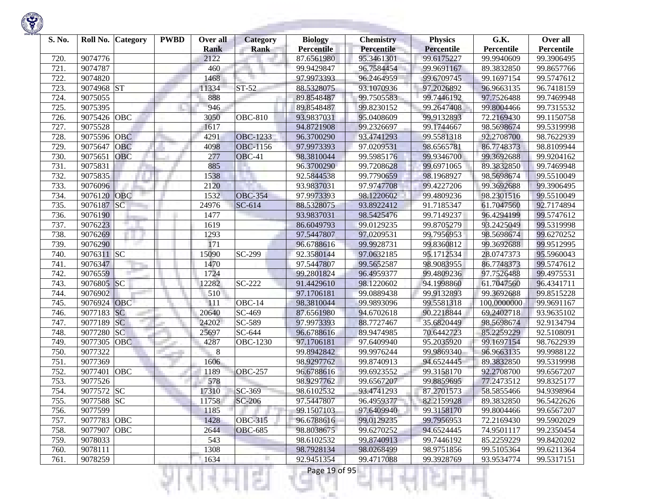

| S. No. | Roll No.    | Category   | <b>PWBD</b> | Over all<br><b>Rank</b> | Category<br><b>Rank</b> | <b>Biology</b><br><b>Percentile</b> | <b>Chemistry</b><br>Percentile | <b>Physics</b><br><b>Percentile</b> | G.K.<br>Percentile | Over all<br>Percentile |
|--------|-------------|------------|-------------|-------------------------|-------------------------|-------------------------------------|--------------------------------|-------------------------------------|--------------------|------------------------|
| 720.   | 9074776     |            |             | 2122                    |                         | 87.6561980                          | 95.3461301                     | 99.6175227                          | 99.9940609         | 99.3906495             |
| 721.   | 9074787     |            |             | 460                     |                         | 99.9429847                          | 96.7584454                     | 99.9691167                          | 89.3832850         | 99.8657766             |
| 722.   | 9074820     |            |             | 1468                    |                         | 97.9973393                          | 96.2464959                     | 99.6709745                          | 99.1697154         | 99.5747612             |
| 723.   | 9074968     | ST         |             | 11334                   | ST-52                   | 88.5328075                          | 93.1070936                     | 97.2026892                          | 96.9663135         | 96.7418159             |
| 724.   | 9075055     |            |             | 888                     |                         | 89.8548487                          | 99.7505583                     | 99.7446192                          | 97.7526488         | 99.7469948             |
| 725.   | 9075395     |            |             | 946                     |                         | 89.8548487                          | 99.8230152                     | 99.2647408                          | 99.8004466         | 99.7315532             |
| 726.   | 9075426     | OBC        |             | 3050                    | <b>OBC-810</b>          | 93.9837031                          | 95.0408609                     | 99.9132893                          | 72.2169430         | 99.1150758             |
| 727.   | 9075528     |            |             | 1617                    |                         | 94.8721908                          | 99.2326697                     | 99.1744667                          | 98.5698674         | 99.5319998             |
| 728.   | 9075596     | <b>OBC</b> |             | 4291                    | <b>OBC-1233</b>         | 96.3700290                          | 93.4741293                     | 99.5581318                          | 92.2708700         | 98.7622939             |
| 729    | 9075647     | <b>OBC</b> |             | 4098                    | <b>OBC-1156</b>         | 97.9973393                          | 97.0209531                     | 98.6565781                          | 86.7748373         | 98.8109944             |
| 730.   | 9075651     | OBC        |             | 277                     | OBC-41                  | 98.3810044                          | 99.5985176                     | 99.9346700                          | 99.3692688         | 99.9204162             |
| 731.   | 9075831     |            |             | 885                     |                         | 96.3700290                          | 99.7208628                     | 99.6971065                          | 89.3832850         | 99.7469948             |
| 732.   | 9075835     |            |             | 1538                    |                         | 92.5844538                          | 99.7790659                     | 98.1968927                          | 98.5698674         | 99.5510049             |
| 733.   | 9076096     |            |             | 2120                    |                         | 93.9837031                          | 97.9747708                     | 99.4227206                          | 99.3692688         | 99.3906495             |
| 734.   | 9076120     | <b>OBC</b> |             | 1532                    | <b>OBC-354</b>          | 97.9973393                          | 98.1220602                     | 99.4809236                          | 98.2301516         | 99.5510049             |
| 735.   | 9076187     | SC         |             | 24976                   | SC-614                  | 88.5328075                          | 93.8922412                     | 91.7185347                          | 61.7047560         | 92.7174894             |
| 736.   | 9076190     |            |             | 1477                    |                         | 93.9837031                          | 98.5425476                     | 99.7149237                          | 96.4294199         | 99.5747612             |
| 737.   | 9076223     |            |             | 1619                    |                         | 86.6049793                          | 99.0129235                     | 99.8705279                          | 93.2425049         | 99.5319998             |
| 738.   | 9076269     |            |             | 1293                    |                         | 97.5447807                          | 97.0209531                     | 99.7956953                          | 98.5698674         | 99.6270252             |
| 739.   | 9076290     |            |             | 171                     |                         | 96.6788616                          | 99.9928731                     | 99.8360812                          | 99.3692688         | 99.9512995             |
| 740.   | 9076311 SC  |            |             | 15090                   | $\overline{SC}$ -299    | 92.3580144                          | 97.0632185                     | 95.1712534                          | 28.0747373         | 95.5960043             |
| 741.   | 9076347     |            |             | 1470                    |                         | 97.5447807                          | 99.5652587                     | 98.9083955                          | 86.7748373         | 99.5747612             |
| 742.   | 9076559     |            |             | 1724                    |                         | 99.2801824                          | 96.4959377                     | 99.4809236                          | 97.7526488         | 99.4975531             |
| 743.   | 9076805     | SC         |             | 12282                   | SC-222                  | 91.4429610                          | 98.1220602                     | 94.1998860                          | 61.7047560         | 96.4341711             |
| 744.   | 9076902     |            |             | 510                     |                         | 97.1706181                          | 99.0889438                     | 99.9132893                          | 99.3692688         | 99.8515228             |
| 745.   | 9076924 OBC |            |             | 111                     | OBC-14                  | 98.3810044                          | 99.9893096                     | 99.5581318                          | 100.0000000        | 99.9691167             |
| 746.   | 9077183     | SC         |             | 20640                   | $\overline{SC}$ -469    | 87.6561980                          | 94.6702618                     | 90.2218844                          | 69.2402718         | 93.9635102             |
| 747.   | 9077189     | SC         |             | 24202                   | SC-589                  | 97.9973393                          | 88.7727467                     | 35.6820449                          | 98.5698674         | 92.9134794             |
| 748.   | 9077280     | SC         |             | 25697                   | SC-644                  | 96.6788616                          | 89.9474985                     | 70.6442723                          | 85.2259229         | 92.5108091             |
| 749    | 9077305     | <b>OBC</b> |             | 4287                    | <b>OBC-1230</b>         | 97.1706181                          | 97.6409940                     | 95.2035920                          | 99.1697154         | 98.7622939             |
| 750.   | 9077322     |            |             | 8                       |                         | 99.8942842                          | 99.9976244                     | 99.9869340                          | 96.9663135         | 99.9988122             |
| 751.   | 9077369     |            |             | 1606                    |                         | 98.9297762                          | 99.8740913                     | 94.6524445                          | 89.3832850         | 99.5319998             |
| 752.   | 9077401     | OBC        |             | 1189                    | <b>OBC-257</b>          | 96.6788616                          | 99.6923552                     | 99.3158170                          | 92.2708700         | 99.6567207             |
| 753.   | 9077526     |            |             | 578                     |                         | 98.9297762                          | 99.6567207                     | 99.8859695                          | 77.2473512         | 99.8325177             |
| 754.   | 9077572     | <b>SC</b>  |             | 17310                   | SC-369                  | 98.6102532                          | 93.4741293                     | 87.2701573                          | 58.5855466         | 94.9398964             |
| 755.   | 9077588 SC  |            |             | 11758                   | $SC-206$                | 97.5447807                          | 96.4959377                     | 82.2159928                          | 89.3832850         | 96.5422626             |
| 756.   | 9077599     |            |             | 1185                    |                         | 99.1507103                          | 97.6409940                     | 99.3158170                          | 99.8004466         | 99.6567207             |
| 757.   | 9077783 OBC |            |             | 1428                    | <b>OBC-315</b>          | 96.6788616                          | 99.0129235                     | 99.7956953                          | 72.2169430         | 99.5902029             |
| 758.   | 9077907     | OBC        |             | 2644                    | <b>OBC-685</b>          | 98.8038675                          | 99.6270252                     | 94.6524445                          | 74.9501117         | 99.2350454             |
| 759.   | 9078033     |            |             | 543                     |                         | 98.6102532                          | 99.8740913                     | 99.7446192                          | 85.2259229         | 99.8420202             |
| 760.   | 9078111     |            |             | 1308                    |                         | 98.7928134                          | 98.0268499                     | 98.9751856                          | 99.5105364         | 99.6211364             |
| 761.   | 9078259     |            |             | 1634                    |                         | 92.9451354                          | 99.4717088                     | 99.3928769                          | 93.9534774         | 99.5317151             |
|        |             |            |             |                         | s.                      | Page 19 of 95                       |                                |                                     |                    |                        |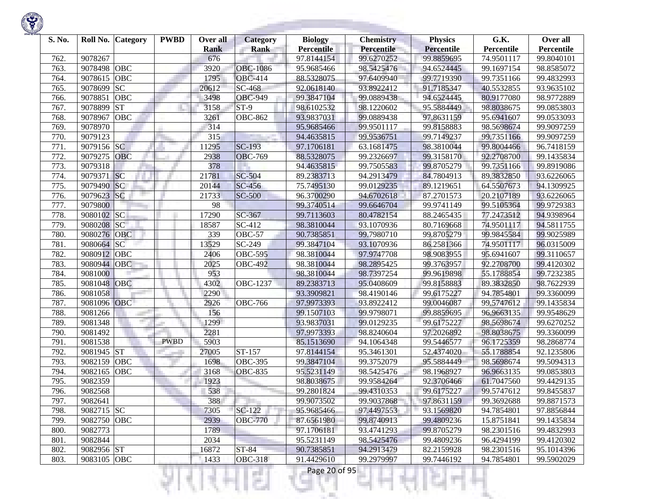| S. No. |             | Roll No. Category | <b>PWBD</b> | Over all<br><b>Rank</b> | <b>Category</b><br><b>Rank</b> | <b>Biology</b><br><b>Percentile</b> | <b>Chemistry</b><br>Percentile | <b>Physics</b><br><b>Percentile</b> | G.K.<br>Percentile | Over all<br>Percentile |
|--------|-------------|-------------------|-------------|-------------------------|--------------------------------|-------------------------------------|--------------------------------|-------------------------------------|--------------------|------------------------|
| 762.   | 9078267     |                   |             | 676                     |                                | 97.8144154                          | 99.6270252                     | 99.8859695                          | 74.9501117         | 99.8040101             |
| 763.   | 9078498     | <b>OBC</b>        |             | 3920                    | <b>OBC-1086</b>                | 95.9685466                          | 98.5425476                     | 94.6524445                          | 99.1697154         | 98.8585072             |
| 764.   | 9078615     | <b>OBC</b>        |             | 1795                    | <b>OBC-414</b>                 | 88.5328075                          | 97.6409940                     | 99.7719390                          | 99.7351166         | 99.4832993             |
| 765.   | 9078699     | <b>SC</b>         |             | 20612                   | SC-468                         | 92.0618140                          | 93.8922412                     | 91.7185347                          | 40.5532855         | 93.9635102             |
| 766.   | 9078851     | <b>OBC</b>        |             | 3498                    | <b>OBC-949</b>                 | 99.3847104                          | 99.0889438                     | 94.6524445                          | 80.9177080         | 98.9772889             |
| 767.   | 9078899     | <b>ST</b>         |             | 3158                    | $ST-9$                         | 98.6102532                          | 98.1220602                     | 95.5884449                          | 98.8038675         | 99.0853803             |
| 768.   | 9078967     | <b>OBC</b>        |             | 3261                    | <b>OBC-862</b>                 | 93.9837031                          | 99.0889438                     | 97.8631159                          | 95.6941607         | 99.0533093             |
| 769.   | 9078970     |                   |             | 314                     |                                | 95.9685466                          | 99.9501117                     | 99.8158883                          | 98.5698674         | 99.9097259             |
| 770.   | 9079123     |                   |             | 315                     |                                | 94.4635815                          | 99.9536751                     | 99.7149237                          | 99.7351166         | 99.9097259             |
| 771.   | 9079156     | <b>SC</b>         |             | 11295                   | $SC-193$                       | 97.1706181                          | 63.1681475                     | 98.3810044                          | 99.8004466         | 96.7418159             |
| 772.   | 9079275     | <b>OBC</b>        |             | 2938                    | <b>OBC-769</b>                 | 88.5328075                          | 99.2326697                     | 99.3158170                          | 92.2708700         | 99.1435834             |
| 773.   | 9079318     |                   |             | 378                     |                                | 94.4635815                          | 99.7505583                     | 99.8705279                          | 99.7351166         | 99.8919086             |
| 774.   | 9079371     | SC                |             | 21781                   | SC-504                         | 89.2383713                          | 94.2913479                     | 84.7804913                          | 89.3832850         | 93.6226065             |
| 775.   | 9079490     | SC                |             | 20144                   | SC-456                         | 75.7495130                          | 99.0129235                     | 89.1219651                          | 64.5507673         | 94.1309925             |
| 776.   | 9079623     | <b>SC</b>         |             | 21733                   | <b>SC-500</b>                  | 96.3700290                          | 94.6702618                     | 87.2701573                          | 20.2107189         | 93.6226065             |
| 777.   | 9079800     |                   |             | 98                      |                                | 99.3740514                          | 99.6646704                     | 99.9741149                          | 99.5105364         | 99.9729383             |
| 778.   | 9080102     | <b>SC</b>         |             | 17290                   | SC-367                         | 99.7113603                          | 80.4782154                     | 88.2465435                          | 77.2473512         | 94.9398964             |
| 779.   | 9080208     | SC                |             | 18587                   | $\overline{SC}$ -412           | 98.3810044                          | 93.1070936                     | 80.7169668                          | 74.9501117         | 94.5811755             |
| 780.   | 9080276     | OBC               |             | 339                     | <b>OBC-57</b>                  | 90.7385851                          | 99.7980710                     | 99.8705279                          | 99.9845584         | 99.9025989             |
| 781.   | 9080664     | SC                |             | 13529                   | SC-249                         | 99.3847104                          | 93.1070936                     | 86.2581366                          | 74.9501117         | 96.0315009             |
| 782.   | 9080912     | <b>OBC</b>        |             | 2406                    | <b>OBC-595</b>                 | 98.3810044                          | 97.9747708                     | 98.9083955                          | 95.6941607         | 99.3110657             |
| 783.   | 9080944     | <b>OBC</b>        |             | 2025                    | <b>OBC-492</b>                 | 98.3810044                          | 98.2895425                     | 99.3763957                          | 92.2708700         | 99.4120302             |
| 784.   | 9081000     |                   |             | 953                     |                                | 98.3810044                          | 98.7397254                     | 99.9619898                          | 55.1788854         | 99.7232385             |
| 785.   | 9081048     | OBC               |             | 4302                    | OBC-1237                       | 89.2383713                          | 95.0408609                     | 99.8158883                          | 89.3832850         | 98.7622939             |
| 786.   | 9081058     |                   |             | 2290                    |                                | 93.3909821                          | 98.4190146                     | 99.6175227                          | 94.7854801         | 99.3360099             |
| 787.   | 9081096 OBC |                   |             | 2926                    | $\overline{O}$ BC-766          | 97.9973393                          | 93.8922412                     | 99.0046087                          | 99.5747612         | 99.1435834             |
| 788.   | 9081266     |                   |             | 156                     |                                | 99.1507103                          | 99.9798071                     | 99.8859695                          | 96.9663135         | 99.9548629             |
| 789.   | 9081348     |                   |             | 1299                    |                                | 93.9837031                          | 99.0129235                     | 99.6175227                          | 98.5698674         | 99.6270252             |
| 790.   | 9081492     |                   |             | 2281                    |                                | 97.9973393                          | 98.8240604                     | 97.2026892                          | 98.8038675         | 99.3360099             |
| 791.   | 9081538     |                   | <b>PWBD</b> | 5903                    |                                | 85.1513690                          | 94.1064348                     | 99.5446577                          | 96.1725359         | 98.2868774             |
| 792.   | 9081945     | <b>ST</b>         |             | 27005                   | ST-157                         | 97.8144154                          | 95.3461301                     | 52.4374020                          | 55.1788854         | 92.1235806             |
| 793.   | 9082159     | OBC               |             | 1698                    | <b>OBC-395</b>                 | 99.3847104                          | 99.3752079                     | 95.5884449                          | 98.5698674         | 99.5094313             |
| 794.   | 9082165     | <b>OBC</b>        |             | 3168                    | $\overline{O}$ BC-835          | 95.5231149                          | 98.5425476                     | 98.1968927                          | 96.9663135         | 99.0853803             |
| 795.   | 9082359     |                   |             | 1923                    |                                | 98.8038675                          | 99.9584264                     | 92.3706466                          | 61.7047560         | 99.4429135             |
| 796.   | 9082568     |                   |             | 538                     |                                | 99.2801824                          | 99.4310353                     | 99.6175227                          | 99.5747612         | 99.8455837             |
| 797.   | 9082641     |                   |             | 388                     |                                | 99.9073502                          | 99.9037868                     | 97.8631159                          | 99.3692688         | 99.8871573             |
| 798.   | 9082715 SC  |                   |             | 7305                    | SC-122                         | 95.9685466                          | 97.4497553                     | 93.1569820                          | 94.7854801         | 97.8856844             |
| 799.   | 9082750 OBC |                   |             | 2939                    | <b>OBC-770</b>                 | 87.6561980                          | 99.8740913                     | 99.4809236                          | 15.8751841         | 99.1435834             |
| 800.   | 9082773     |                   |             | 1789                    |                                | 97.1706181                          | 93.4741293                     | 99.8705279                          | 98.2301516         | 99.4832993             |
| 801.   | 9082844     |                   |             | 2034                    |                                | 95.5231149                          | 98.5425476                     | 99.4809236                          | 96.4294199         | 99.4120302             |
| 802.   | 9082956 ST  |                   |             | 16872                   | <b>ST-84</b>                   | 90.7385851                          | 94.2913479                     | 82.2159928                          | 98.2301516         | 95.1014396             |
| 803.   | 9083105 OBC |                   |             | 1433                    | <b>OBC-318</b>                 | 91.4429610                          | 99.2979997                     | 99.7446192                          | 94.7854801         | 99.5902029             |
|        |             |                   |             |                         | s.                             | Page 20 of 95                       |                                |                                     |                    |                        |

**State of Concession**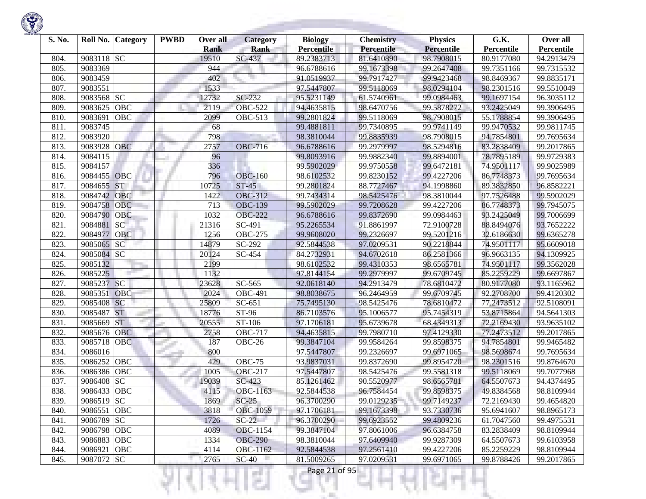| S. No. | Roll No.<br><b>Category</b> | <b>PWBD</b> | Over all<br><b>Rank</b> | <b>Category</b><br>Rank | <b>Biology</b><br><b>Percentile</b> | <b>Chemistry</b><br>Percentile | <b>Physics</b><br><b>Percentile</b> | G.K.<br>Percentile | Over all<br>Percentile |
|--------|-----------------------------|-------------|-------------------------|-------------------------|-------------------------------------|--------------------------------|-------------------------------------|--------------------|------------------------|
| 804.   | 9083118 SC                  |             | 19510                   | SC-437                  | 89.2383713                          | 81.6410890                     | 98.7908015                          | 80.9177080         | 94.2913479             |
| 805.   | 9083369                     |             | 944                     |                         | 96.6788616                          | 99.1673398                     | 99.2647408                          | 99.7351166         | 99.7315532             |
| 806.   | 9083459                     |             | 402                     |                         | 91.0519937                          | 99.7917427                     | 99.9423468                          | 98.8469367         | 99.8835171             |
| 807.   | 9083551                     |             | 1533                    |                         | 97.5447807                          | 99.5118069                     | 98.0294104                          | 98.2301516         | 99.5510049             |
| 808.   | 9083568 SC                  |             | 12732                   | $SC-232$                | 95.5231149                          | 61.5740961                     | 99.0984463                          | 99.1697154         | 96.3035112             |
| 809.   | OBC<br>9083625              |             | 2119                    | <b>OBC-522</b>          | 94.4635815                          | 98.6470756                     | 99.5878272                          | 93.2425049         | 99.3906495             |
| 810.   | 9083691<br>OBC              |             | 2099                    | <b>OBC-513</b>          | 99.2801824                          | 99.5118069                     | 98.7908015                          | 55.1788854         | 99.3906495             |
| 811.   | 9083745                     |             | 68                      |                         | 99.4881811                          | 99.7340895                     | 99.9741149                          | 99.9470532         | 99.9811745             |
| 812.   | 9083920                     |             | 798                     |                         | 98.3810044                          | 99.8835939                     | 98.7908015                          | 94.7854801         | 99.7695634             |
| 813.   | 9083928<br>OBC              |             | 2757                    | <b>OBC-716</b>          | 96.6788616                          | 99.2979997                     | 98.5294816                          | 83.2838409         | 99.2017865             |
| 814.   | 9084115                     |             | 96                      |                         | 99.8093916                          | 99.9882340                     | 99.8894001                          | 78.7895189         | 99.9729383             |
| 815.   | 9084157                     |             | 336                     |                         | 99.5902029                          | 99.9750558                     | 99.6472181                          | 74.9501117         | 99.9025989             |
| 816.   | 9084455 OBC                 |             | 796                     | <b>OBC-160</b>          | 98.6102532                          | 99.8230152                     | 99.4227206                          | 86.7748373         | 99.7695634             |
| 817.   | <b>ST</b><br>9084655        |             | 10725                   | $ST-45$                 | 99.2801824                          | 88.7727467                     | 94.1998860                          | 89.3832850         | 96.8582221             |
| 818.   | 9084742<br><b>OBC</b>       |             | 1422                    | <b>OBC-312</b>          | 99.7434314                          | 98.5425476                     | 98.3810044                          | 97.7526488         | 99.5902029             |
| 819.   | 9084758<br>OBC              |             | 713                     | <b>OBC-139</b>          | 99.5902029                          | 99.7208628                     | 99.4227206                          | 86.7748373         | 99.7945075             |
| 820.   | 9084790<br>OBC              |             | 1032                    | <b>OBC-222</b>          | 96.6788616                          | 99.8372690                     | 99.0984463                          | 93.2425049         | 99.7006699             |
| 821.   | 9084881<br>SC               |             | 21316                   | SC-491                  | 95.2265534                          | 91.8861997                     | 72.9100728                          | 88.8494076         | 93.7652222             |
| 822.   | 9084977<br>OBC              |             | 1256                    | <b>OBC-275</b>          | 99.9608020                          | 99.2326697                     | 99.5201216                          | 32.6186630         | 99.6365278             |
| 823.   | 9085065<br><b>SC</b>        |             | 14879                   | SC-292                  | 92.5844538                          | 97.0209531                     | 90.2218844                          | 74.9501117         | 95.6609018             |
| 824.   | 9085084 SC                  |             | 20124                   | SC-454                  | 84.2732931                          | 94.6702618                     | 86.2581366                          | 96.9663135         | 94.1309925             |
| 825.   | 9085132                     |             | 2199                    |                         | 98.6102532                          | 99.4310353                     | 98.6565781                          | 74.9501117         | 99.3562028             |
| 826.   | 9085225                     |             | 1132                    |                         | 97.8144154                          | 99.2979997                     | 99.6709745                          | 85.2259229         | 99.6697867             |
| 827.   | SC<br>9085237               |             | 23628                   | SC-565                  | 92.0618140                          | 94.2913479                     | 78.6810472                          | 80.9177080         | 93.1165962             |
| 828.   | 9085351<br><b>OBC</b>       |             | 2024                    | $\overline{O}$ BC-491   | 98.8038675                          | 96.2464959                     | 99.6709745                          | 92.2708700         | 99.4120302             |
| 829.   | 9085408 SC                  |             | 25809                   | $SC-651$                | 75.7495130                          | 98.5425476                     | 78.6810472                          | 77.2473512         | 92.5108091             |
| 830.   | <b>ST</b><br>9085487        |             | 18776                   | ST-96                   | 86.7103576                          | 95.1006577                     | 95.7454319                          | 53.8715864         | 94.5641303             |
| 831.   | <b>ST</b><br>9085669        |             | 20555                   | $\overline{ST}$ -106    | 97.1706181                          | 95.6739678                     | 68.4349313                          | 72.2169430         | 93.9635102             |
| 832.   | 9085676<br><b>OBC</b>       |             | 2758                    | <b>OBC-717</b>          | 94.4635815                          | 99.7980710                     | 97.4129330                          | 77.2473512         | 99.2017865             |
| 833.   | 9085718<br>OBC              |             | 187                     | <b>OBC-26</b>           | 99.3847104                          | 99.9584264                     | 99.8598375                          | 94.7854801         | 99.9465482             |
| 834.   | 9086016                     |             | 800                     |                         | 97.5447807                          | 99.2326697                     | 99.6971065                          | 98.5698674         | 99.7695634             |
| 835.   | 9086252<br>OBC              |             | 429                     | <b>OBC-75</b>           | 93.9837031                          | 99.8372690                     | 99.8954720                          | 98.2301516         | 99.8764670             |
| 836.   | 9086386<br><b>OBC</b>       |             | 1005                    | <b>OBC-217</b>          | 97.5447807                          | 98.5425476                     | 99.5581318                          | 99.5118069         | 99.7077968             |
| 837.   | 9086408<br><b>SC</b>        |             | 19039                   | SC-423                  | 85.1261462                          | 90.5520977                     | 98.6565781                          | 64.5507673         | 94.4374495             |
| 838.   | 9086433<br>OBC              |             | 4115                    | OBC-1163                | 92.5844538                          | 96.7584454                     | 99.8598375                          | 49.8384568         | 98.8109944             |
| 839.   | 9086519 SC                  |             | 1869                    | $SC-25$                 | 96.3700290                          | 99.0129235                     | 99.7149237                          | 72.2169430         | 99.4654820             |
| 840.   | 9086551 OBC                 |             | 3818                    | <b>OBC-1059</b>         | 97.1706181                          | 99.1673398                     | 93.7330736                          | 95.6941607         | 98.8965173             |
| 841.   | 9086789 SC                  |             | 1726                    | $SC-22$                 | 96.3700290                          | 99.6923552                     | 99.4809236                          | 61.7047560         | 99.4975531             |
| 842.   | 9086798 OBC                 |             | 4089                    | <b>OBC-1154</b>         | 99.3847104                          | 97.8061006                     | 96.6384758                          | 83.2838409         | 98.8109944             |
| 843.   | 9086883 OBC                 |             | 1334                    | <b>OBC-290</b>          | 98.3810044                          | 97.6409940                     | 99.9287309                          | 64.5507673         | 99.6103958             |
| 844.   | 9086921<br><b>OBC</b>       |             | 4114                    | <b>OBC-1162</b>         | 92.5844538                          | 97.2561410                     | 99.4227206                          | 85.2259229         | 98.8109944             |
| 845.   | 9087072 SC                  |             | 2765                    | $SC-40$                 | 81.5009265                          | 97.0209531                     | 99.6971065                          | 99.8788426         | 99.2017865             |

Ħ

ш

÷

K)

w

Ħ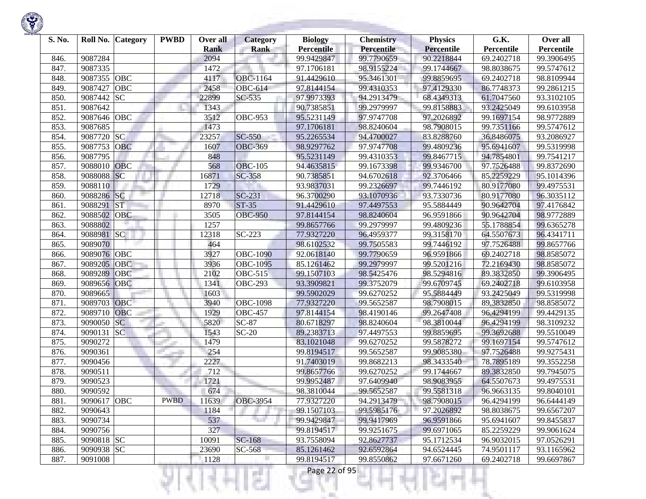| S. No. | Roll No.    | <b>Category</b> | <b>PWBD</b> | Over all    | <b>Category</b> | <b>Biology</b>    | <b>Chemistry</b> | <b>Physics</b>    | G.K.       | Over all   |
|--------|-------------|-----------------|-------------|-------------|-----------------|-------------------|------------------|-------------------|------------|------------|
|        |             |                 |             | <b>Rank</b> | <b>Rank</b>     | <b>Percentile</b> | Percentile       | <b>Percentile</b> | Percentile | Percentile |
| 846.   | 9087284     |                 |             | 2094        |                 | 99.9429847        | 99.7790659       | 90.2218844        | 69.2402718 | 99.3906495 |
| 847.   | 9087335     |                 |             | 1472        |                 | 97.1706181        | 98.9155224       | 99.1744667        | 98.8038675 | 99.5747612 |
| 848.   | 9087355     | OBC             |             | 4117        | <b>OBC-1164</b> | 91.4429610        | 95.3461301       | 99.8859695        | 69.2402718 | 98.8109944 |
| 849.   | 9087427     | <b>OBC</b>      |             | 2458        | <b>OBC-614</b>  | 97.8144154        | 99.4310353       | 97.4129330        | 86.7748373 | 99.2861215 |
| 850.   | 9087442     | <b>SC</b>       |             | 22899       | SC-535          | 97.9973393        | 94.2913479       | 68.4349313        | 61.7047560 | 93.3102105 |
| 851.   | 9087642     |                 |             | 1343        |                 | 90.7385851        | 99.2979997       | 99.8158883        | 93.2425049 | 99.6103958 |
| 852.   | 9087646     | OBC             |             | 3512        | <b>OBC-953</b>  | 95.5231149        | 97.9747708       | 97.2026892        | 99.1697154 | 98.9772889 |
| 853.   | 9087685     |                 |             | 1473        |                 | 97.1706181        | 98.8240604       | 98.7908015        | 99.7351166 | 99.5747612 |
| 854.   | 9087720     | <b>SC</b>       |             | 23257       | <b>SC-550</b>   | 95.2265534        | 94.4700027       | 83.8288760        | 36.8486075 | 93.2086927 |
| 855.   | 9087753     | OBC             |             | 1607        | <b>OBC-369</b>  | 98.9297762        | 97.9747708       | 99.4809236        | 95.6941607 | 99.5319998 |
| 856.   | 9087795     |                 |             | 848         |                 | 95.5231149        | 99.4310353       | 99.8467715        | 94.7854801 | 99.7541217 |
| 857.   | 9088010     | <b>OBC</b>      |             | 568         | <b>OBC-105</b>  | 94.4635815        | 99.1673398       | 99.9346700        | 97.7526488 | 99.8372690 |
| 858.   | 9088088     | SC              |             | 16871       | <b>SC-358</b>   | 90.7385851        | 94.6702618       | 92.3706466        | 85.2259229 | 95.1014396 |
| 859.   | 9088110     |                 |             | 1729        |                 | 93.9837031        | 99.2326697       | 99.7446192        | 80.9177080 | 99.4975531 |
| 860.   | 9088286     | <b>SC</b>       |             | 12718       | $SC-231$        | 96.3700290        | 93.1070936       | 93.7330736        | 80.9177080 | 96.3035112 |
| 861.   | 9088291     | <b>ST</b>       |             | 8970        | $ST-35$         | 91.4429610        | 97.4497553       | 95.5884449        | 90.9642704 | 97.4176842 |
| 862.   | 9088502     | <b>OBC</b>      |             | 3505        | <b>OBC-950</b>  | 97.8144154        | 98.8240604       | 96.9591866        | 90.9642704 | 98.9772889 |
| 863.   | 9088802     |                 |             | 1257        |                 | 99.8657766        | 99.2979997       | 99.4809236        | 55.1788854 | 99.6365278 |
| 864.   | 9088981 SC  |                 |             | 12318       | $SC-223$        | 77.9327220        | 96.4959377       | 99.3158170        | 64.5507673 | 96.4341711 |
| 865.   | 9089070     |                 |             | 464         |                 | 98.6102532        | 99.7505583       | 99.7446192        | 97.7526488 | 99.8657766 |
| 866.   | 9089076 OBC |                 |             | 3927        | <b>OBC-1090</b> | 92.0618140        | 99.7790659       | 96.9591866        | 69.2402718 | 98.8585072 |
| 867.   | 9089205     | <b>OBC</b>      |             | 3936        | <b>OBC-1095</b> | 85.1261462        | 99.2979997       | 99.5201216        | 72.2169430 | 98.8585072 |
| 868.   | 9089289     | <b>OBC</b>      |             | 2102        | <b>OBC-515</b>  | 99.1507103        | 98.5425476       | 98.5294816        | 89.3832850 | 99.3906495 |
| 869.   | 9089656     | OBC             |             | 1341        | <b>OBC-293</b>  | 93.3909821        | 99.3752079       | 99.6709745        | 69.2402718 | 99.6103958 |
| 870.   | 9089665     |                 |             | 1603        |                 | 99.5902029        | 99.6270252       | 95.5884449        | 93.2425049 | 99.5319998 |
| 871.   | 9089703 OBC |                 |             | 3940        | <b>OBC-1098</b> | 77.9327220        | 99.5652587       | 98.7908015        | 89.3832850 | 98.8585072 |
| 872.   | 9089710     | <b>OBC</b>      |             | 1929        | <b>OBC-457</b>  | 97.8144154        | 98.4190146       | 99.2647408        | 96.4294199 | 99.4429135 |
| 873.   | 9090050     | <b>SC</b>       |             | 5820        | $SC-87$         | 80.6718297        | 98.8240604       | 98.3810044        | 96.4294199 | 98.3109232 |
| 874.   | 9090131     | SC              |             | 1543        | $SC-20$         | 89.2383713        | 97.4497553       | 99.8859695        | 99.3692688 | 99.5510049 |
| 875.   | 9090272     |                 |             | 1479        |                 | 83.1021048        | 99.6270252       | 99.5878272        | 99.1697154 | 99.5747612 |
| 876.   | 9090361     |                 |             | 254         |                 | 99.8194517        | 99.5652587       | 99.9085380        | 97.7526488 | 99.9275431 |
| 877.   | 9090456     |                 |             | 2227        |                 | 91.7403019        | 99.8682213       | 98.3433540        | 78.7895189 | 99.3552258 |
| 878.   | 9090511     |                 |             | 712         |                 | 99.8657766        | 99.6270252       | 99.1744667        | 89.3832850 | 99.7945075 |
| 879.   | 9090523     |                 |             | 1721        |                 | 99.9952487        | 97.6409940       | 98.9083955        | 64.5507673 | 99.4975531 |
| 880.   | 9090592     |                 |             | 674         |                 | 98.3810044        | 99.5652587       | 99.5581318        | 96.9663135 | 99.8040101 |
| 881.   | 9090617 OBC |                 | <b>PWBD</b> | 11639       | <b>OBC-3954</b> | 77.9327220        | 94.2913479       | 98.7908015        | 96.4294199 | 96.6444149 |
| 882.   | 9090643     |                 |             | 1184        |                 | 99.1507103        | 99.5985176       | 97.2026892        | 98.8038675 | 99.6567207 |
| 883.   | 9090734     |                 |             | 537         |                 | 99.9429847        | 99.9417969       | 96.9591866        | 95.6941607 | 99.8455837 |
| 884.   | 9090756     |                 |             | 327         |                 | 99.8194517        | 99.9251675       | 99.6971065        | 85.2259229 | 99.9061624 |
| 885.   | 9090818 SC  |                 |             | 10091       | SC-168          | 93.7558094        | 92.8627737       | 95.1712534        | 96.9032015 | 97.0526291 |
| 886.   | 9090938 SC  |                 |             | 23690       | SC-568          | 85.1261462        | 92.6592864       | 94.6524445        | 74.9501117 | 93.1165962 |
| 887.   | 9091008     |                 |             | 1128        |                 | 99.8194517        | 99.8550862       | 97.6671260        | 69.2402718 | 99.6697867 |

m

ш

τ

S.

w

t ×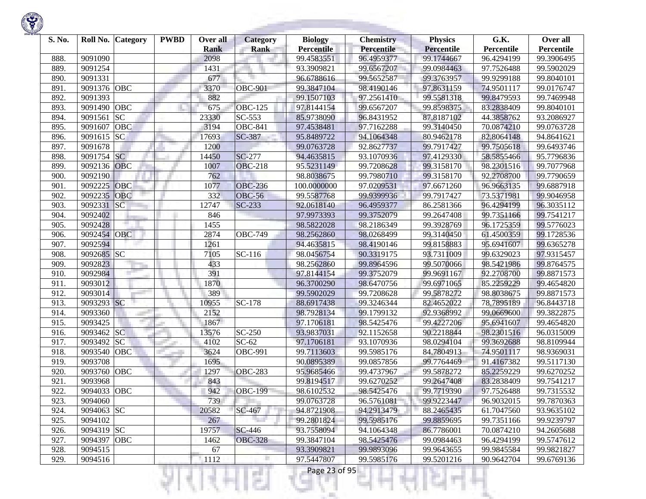| S. No. | Roll No.    | <b>Category</b> | <b>PWBD</b> | Over all<br><b>Rank</b> | <b>Category</b><br><b>Rank</b> | <b>Biology</b><br><b>Percentile</b> | <b>Chemistry</b><br>Percentile | <b>Physics</b><br><b>Percentile</b> | G.K.<br>Percentile | Over all<br>Percentile |
|--------|-------------|-----------------|-------------|-------------------------|--------------------------------|-------------------------------------|--------------------------------|-------------------------------------|--------------------|------------------------|
| 888.   | 9091090     |                 |             | 2098                    |                                | 99.4583551                          | 96.4959377                     | 99.1744667                          | 96.4294199         | 99.3906495             |
| 889.   | 9091254     |                 |             | 1431                    |                                | 93.3909821                          | 99.6567207                     | 99.0984463                          | 97.7526488         | 99.5902029             |
| 890.   | 9091331     |                 |             | 677                     |                                | 96.6788616                          | 99.5652587                     | 99.3763957                          | 99.9299188         | 99.8040101             |
| 891.   | 9091376 OBC |                 |             | 3370                    | <b>OBC-901</b>                 | 99.3847104                          | 98.4190146                     | 97.8631159                          | 74.9501117         | 99.0176747             |
| 892.   | 9091393     |                 |             | 882                     |                                | 99.1507103                          | 97.2561410                     | 99.5581318                          | 99.8479593         | 99.7469948             |
| 893.   | 9091490     | OBC             |             | 675                     | <b>OBC-125</b>                 | 97.8144154                          | 99.6567207                     | 99.8598375                          | 83.2838409         | 99.8040101             |
| 894.   | 9091561     | <b>SC</b>       |             | 23330                   | SC-553                         | 85.9738090                          | 96.8431952                     | 87.8187102                          | 44.3858762         | 93.2086927             |
| 895.   | 9091607     | OBC             |             | 3194                    | <b>OBC-841</b>                 | 97.4538481                          | 97.7162288                     | 99.3140450                          | 70.0874210         | 99.0763728             |
| 896.   | 9091615     | SC              |             | 17693                   | SC-387                         | 95.8489722                          | 94.1064348                     | 80.9462178                          | 82.8064148         | 94.8641621             |
| 897.   | 9091678     |                 |             | 1200                    |                                | 99.0763728                          | 92.8627737                     | 99.7917427                          | 99.7505618         | 99.6493746             |
| 898.   | 9091754     | <b>SC</b>       |             | 14450                   | <b>SC-277</b>                  | 94.4635815                          | 93.1070936                     | 97.4129330                          | 58.5855466         | 95.7796836             |
| 899.   | 9092136     | OBC             |             | 1007                    | <b>OBC-218</b>                 | 95.5231149                          | 99.7208628                     | 99.3158170                          | 98.2301516         | 99.7077968             |
| 900.   | 9092190     |                 |             | 762                     |                                | 98.8038675                          | 99.7980710                     | 99.3158170                          | 92.2708700         | 99.7790659             |
| 901.   | 9092225     | OBC             |             | 1077                    | <b>OBC-236</b>                 | 100.0000000                         | 97.0209531                     | 97.6671260                          | 96.9663135         | 99.6887918             |
| 902.   | 9092235     | <b>OBC</b>      |             | 332                     | <b>OBC-56</b>                  | 99.5587768                          | 99.9399936                     | 99.7917427                          | 73.5371981         | 99.9046958             |
| 903.   | 9092331     | SC              |             | 12747                   | $SC-233$                       | 92.0618140                          | 96.4959377                     | 86.2581366                          | 96.4294199         | 96.3035112             |
| 904.   | 9092402     |                 |             | 846                     |                                | 97.9973393                          | 99.3752079                     | 99.2647408                          | 99.7351166         | 99.7541217             |
| 905.   | 9092428     |                 |             | 1455                    |                                | 98.5822028                          | 98.2186349                     | 99.3928769                          | 96.1725359         | 99.5776023             |
| 906.   | 9092454     | OBC             |             | 2874                    | <b>OBC-749</b>                 | 98.2562860                          | 98.0268499                     | 99.3140450                          | 61.4500359         | 99.1728536             |
| 907.   | 9092594     |                 |             | 1261                    |                                | 94.4635815                          | 98.4190146                     | 99.8158883                          | 95.6941607         | 99.6365278             |
| 908.   | 9092685 SC  |                 |             | 7105                    | $\overline{SC}$ -116           | 98.0456754                          | 90.3319175                     | 93.7311009                          | 99.6329023         | 97.9315457             |
| 909.   | 9092823     |                 |             | 433                     |                                | 98.2562860                          | 99.8964596                     | 99.5070066                          | 98.5421986         | 99.8764575             |
| 910.   | 9092984     |                 |             | 391                     |                                | 97.8144154                          | 99.3752079                     | 99.9691167                          | 92.2708700         | 99.8871573             |
| 911.   | 9093012     |                 |             | 1870                    |                                | 96.3700290                          | 98.6470756                     | 99.6971065                          | 85.2259229         | 99.4654820             |
| 912.   | 9093014     |                 |             | 389                     |                                | 99.5902029                          | 99.7208628                     | 99.5878272                          | 98.8038675         | 99.8871573             |
| 913.   | 9093293 SC  |                 |             | 10955                   | SC-178                         | 88.6917438                          | 99.3246344                     | 82.4652022                          | 78.7895189         | 96.8443718             |
| 914.   | 9093360     |                 |             | 2152                    |                                | 98.7928134                          | 99.1799132                     | 92.9368992                          | 99.0669600         | 99.3822875             |
| 915.   | 9093425     |                 |             | 1867                    |                                | 97.1706181                          | 98.5425476                     | 99.4227206                          | 95.6941607         | 99.4654820             |
| 916.   | 9093462     | SC              |             | 13576                   | SC-250                         | 93.9837031                          | 92.1152658                     | 90.2218844                          | 98.2301516         | 96.0315009             |
| 917.   | 9093492     | <b>SC</b>       |             | 4102                    | $SC-62$                        | 97.1706181                          | 93.1070936                     | 98.0294104                          | 99.3692688         | 98.8109944             |
| 918.   | 9093540     | OBC             |             | 3624                    | <b>OBC-991</b>                 | 99.7113603                          | 99.5985176                     | 84.7804913                          | 74.9501117         | 98.9369031             |
| 919.   | 9093708     |                 |             | 1695                    |                                | 90.0895389                          | 99.0857856                     | 99.7764469                          | 91.4167382         | 99.5117130             |
| 920.   | 9093760     | <b>OBC</b>      |             | 1297                    | <b>OBC-283</b>                 | 95.9685466                          | 99.4737967                     | 99.5878272                          | 85.2259229         | 99.6270252             |
| 921    | 9093968     |                 |             | 843                     |                                | 99.8194517                          | 99.6270252                     | 99.2647408                          | 83.2838409         | 99.7541217             |
| 922.   | 9094033     | OBC             |             | 942                     | <b>OBC-199</b>                 | 98.6102532                          | 98.5425476                     | 99.7719390                          | 97.7526488         | 99.7315532             |
| 923.   | 9094060     |                 |             | 739                     |                                | 99.0763728                          | 96.5761081                     | 99.9223447                          | 96.9032015         | 99.7870363             |
| 924.   | 9094063 SC  |                 |             | 20582                   | SC-467                         | 94.8721908                          | 94.2913479                     | 88.2465435                          | 61.7047560         | 93.9635102             |
| 925.   | 9094102     |                 |             | 267                     |                                | 99.2801824                          | 99.5985176                     | 99.8859695                          | 99.7351166         | 99.9239797             |
| 926.   | 9094319 SC  |                 |             | 19757                   | <b>SC-446</b>                  | 93.7558094                          | 94.1064348                     | 86.7786001                          | 70.0874210         | 94.2605688             |
| 927.   | 9094397 OBC |                 |             | 1462                    | <b>OBC-328</b>                 | 99.3847104                          | 98.5425476                     | 99.0984463                          | 96.4294199         | 99.5747612             |
| 928.   | 9094515     |                 |             | 67                      |                                | 93.3909821                          | 99.9893096                     | 99.9643655                          | 99.9845584         | 99.9821827             |
| 929.   | 9094516     |                 |             | 1112                    |                                | 97.5447807                          | 99.5985176                     | 99.5201216                          | 90.9642704         | 99.6769136             |
|        |             |                 |             |                         |                                | Page 23 of 95                       |                                |                                     |                    |                        |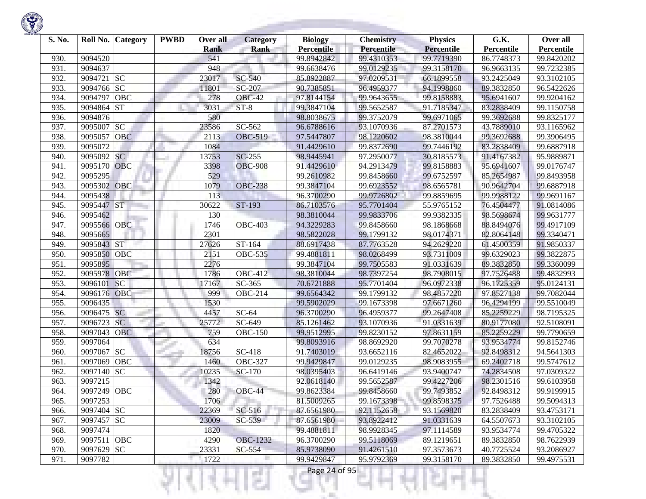| S. No. | Roll No.    | Category   | <b>PWBD</b> | Over all<br><b>Rank</b> | Category<br><b>Rank</b> | <b>Biology</b><br><b>Percentile</b> | <b>Chemistry</b><br><b>Percentile</b> | <b>Physics</b><br><b>Percentile</b> | G.K.<br>Percentile | Over all<br>Percentile |
|--------|-------------|------------|-------------|-------------------------|-------------------------|-------------------------------------|---------------------------------------|-------------------------------------|--------------------|------------------------|
| 930.   | 9094520     |            |             | 541                     |                         | 99.8942842                          | 99.4310353                            | 99.7719390                          | 86.7748373         | 99.8420202             |
| 931.   | 9094637     |            |             | 948                     |                         | 99.6638476                          | 99.0129235                            | 99.3158170                          | 96.9663135         | 99.7232385             |
| 932.   | 9094721     | <b>SC</b>  |             | 23017                   | <b>SC-540</b>           | 85.8922887                          | 97.0209531                            | 66.1899558                          | 93.2425049         | 93.3102105             |
| 933.   | 9094766     | <b>SC</b>  |             | 11801                   | SC-207                  | 90.7385851                          | 96.4959377                            | 94.1998860                          | 89.3832850         | 96.5422626             |
| 934.   | 9094797     | <b>OBC</b> |             | 278                     | <b>OBC-42</b>           | 97.8144154                          | 99.9643655                            | 99.8158883                          | 95.6941607         | 99.9204162             |
| 935.   | 9094864     | <b>ST</b>  |             | 3031                    | $ST-8$                  | 99.3847104                          | 99.5652587                            | 91.7185347                          | 83.2838409         | 99.1150758             |
| 936.   | 9094876     |            |             | 580                     |                         | 98.8038675                          | 99.3752079                            | 99.6971065                          | 99.3692688         | 99.8325177             |
| 937.   | 9095007     | <b>SC</b>  |             | 23586                   | SC-562                  | 96.6788616                          | 93.1070936                            | 87.2701573                          | 43.7889010         | 93.1165962             |
| 938.   | 9095057     | <b>OBC</b> |             | 2113                    | <b>OBC-519</b>          | 97.5447807                          | 98.1220602                            | 98.3810044                          | 99.3692688         | 99.3906495             |
| 939.   | 9095072     |            |             | 1084                    |                         | 91.4429610                          | 99.8372690                            | 99.7446192                          | 83.2838409         | 99.6887918             |
| 940.   | 9095092     | <b>SC</b>  |             | 13753                   | <b>SC-255</b>           | 98.9445941                          | 97.2950077                            | 30.8185573                          | 91.4167382         | 95.9889871             |
| 941.   | 9095170     | <b>OBC</b> |             | 3398                    | <b>OBC-908</b>          | 91.4429610                          | 94.2913479                            | 99.8158883                          | 95.6941607         | 99.0176747             |
| 942.   | 9095295     |            |             | 529                     |                         | 99.2610982                          | 99.8458660                            | 99.6752597                          | 85.2654987         | 99.8493958             |
| 943.   | 9095302     | OBC        |             | 1079                    | <b>OBC-238</b>          | 99.3847104                          | 99.6923552                            | 98.6565781                          | 90.9642704         | 99.6887918             |
| 944.   | 9095438     |            |             | 113                     |                         | 96.3700290                          | 99.9726802                            | 99.8859695                          | 99.9988122         | 99.9691167             |
| 945.   | 9095447     | <b>ST</b>  |             | 30622                   | ST-193                  | 86.7103576                          | 95.7701404                            | 55.9765152                          | 76.4504477         | 91.0814086             |
| 946.   | 9095462     |            |             | 130                     |                         | 98.3810044                          | 99.9833706                            | 99.9382335                          | 98.5698674         | 99.9631777             |
| 947.   | 9095566 OBC |            |             | 1746                    | <b>OBC-403</b>          | 94.3229283                          | 99.8458660                            | 98.1868668                          | 88.8494076         | 99.4917109             |
| 948.   | 9095665     |            |             | 2301                    |                         | 98.5822028                          | 99.1799132                            | 98.0174371                          | 82.8064148         | 99.3340471             |
| 949.   | 9095843 ST  |            |             | 27626                   | ST-164                  | 88.6917438                          | 87.7763528                            | 94.2629220                          | 61.4500359         | 91.9850337             |
| 950.   | 9095850     | OBC        |             | 2151                    | <b>OBC-535</b>          | 99.4881811                          | 98.0268499                            | 93.7311009                          | 99.6329023         | 99.3822875             |
| 951.   | 9095895     |            |             | 2276                    |                         | 99.3847104                          | 99.7505583                            | 91.0331639                          | 89.3832850         | 99.3360099             |
| 952.   | 9095978     | OBC        |             | 1786                    | <b>OBC-412</b>          | 98.3810044                          | 98.7397254                            | 98.7908015                          | 97.7526488         | 99.4832993             |
| 953.   | 9096101     | SC         |             | 17167                   | SC-365                  | 70.6721888                          | 95.7701404                            | 96.0972338                          | 96.1725359         | 95.0124131             |
| 954.   | 9096176     | OBC        |             | 999                     | <b>OBC-214</b>          | 99.6564342                          | 99.1799132                            | 98.4857220                          | 97.8527138         | 99.7082044             |
| 955.   | 9096435     |            |             | 1530                    |                         | 99.5902029                          | 99.1673398                            | 97.6671260                          | 96.4294199         | 99.5510049             |
| 956.   | 9096475 SC  |            |             | 4457                    | $SC-64$                 | 96.3700290                          | 96.4959377                            | 99.2647408                          | 85.2259229         | 98.7195325             |
| 957.   | 9096723     | <b>SC</b>  |             | 25772                   | SC-649                  | 85.1261462                          | 93.1070936                            | 91.0331639                          | 80.9177080         | 92.5108091             |
| 958.   | 9097043     | <b>OBC</b> |             | 759                     | <b>OBC-150</b>          | 99.9512995                          | 99.8230152                            | 97.8631159                          | 85.2259229         | 99.7790659             |
| 959.   | 9097064     |            |             | 634                     |                         | 99.8093916                          | 98.8692920                            | 99.7070278                          | 93.9534774         | 99.8152746             |
| 960.   | 9097067     | <b>SC</b>  |             | 18756                   | SC-418                  | 91.7403019                          | 93.6652116                            | 82.4652022                          | 92.8498312         | 94.5641303             |
| 961.   | 9097069     | <b>OBC</b> |             | 1460                    | <b>OBC-327</b>          | 99.9429847                          | 99.0129235                            | 98.9083955                          | 69.2402718         | 99.5747612             |
| 962.   | 9097140     | <b>SC</b>  |             | 10235                   | SC-170                  | 98.0395403                          | 96.6419146                            | 93.9400747                          | 74.2834508         | 97.0309322             |
| 963.   | 9097215     |            |             | 1342                    |                         | 92.0618140                          | 99.5652587                            | 99.4227206                          | 98.2301516         | 99.6103958             |
| 964.   | 9097249     | <b>OBC</b> |             | 280                     | OBC-44                  | 99.8623384                          | 99.8458660                            | 99.7493852                          | 92.8498312         | 99.9199915             |
| 965.   | 9097253     |            |             | 1706                    |                         | 81.5009265                          | 99.1673398                            | 99.8598375                          | 97.7526488         | 99.5094313             |
| 966.   | 9097404 SC  |            |             | 22369                   | SC-516                  | 87.6561980                          | 92.1152658                            | 93.1569820                          | 83.2838409         | 93.4753171             |
| 967.   | 9097457 SC  |            |             | 23009                   | SC-539                  | 87.6561980                          | 93.8922412                            | 91.0331639                          | 64.5507673         | 93.3102105             |
| 968.   | 9097474     |            |             | 1820                    |                         | 99.4881811                          | 98.9928345                            | 97.1114589                          | 93.9534774         | 99.4705322             |
| 969.   | 9097511 OBC |            |             | 4290                    | <b>OBC-1232</b>         | 96.3700290                          | 99.5118069                            | 89.1219651                          | 89.3832850         | 98.7622939             |
| 970.   | 9097629 SC  |            |             | 23331                   | $SC-554$                | 85.9738090                          | 91.4261510                            | 97.3573673                          | 40.7725524         | 93.2086927             |
| 971.   | 9097782     |            |             | 1722                    |                         | 99.9429847                          | 95.9792369                            | 99.3158170                          | 89.3832850         | 99.4975531             |
|        |             |            |             |                         | e e c                   | Page 24 of 95                       |                                       |                                     |                    |                        |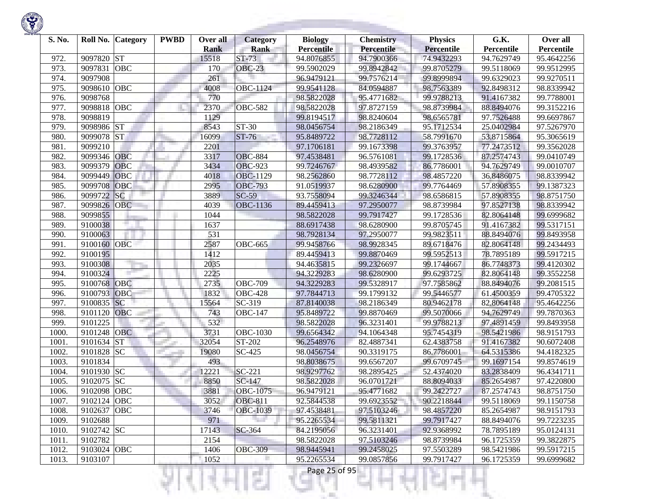

| S. No. | Roll No.    | <b>Category</b> | <b>PWBD</b> | Over all<br><b>Rank</b> | <b>Category</b><br><b>Rank</b> | <b>Biology</b><br><b>Percentile</b> | <b>Chemistry</b><br><b>Percentile</b> | <b>Physics</b><br><b>Percentile</b> | G.K.<br>Percentile | Over all<br>Percentile |
|--------|-------------|-----------------|-------------|-------------------------|--------------------------------|-------------------------------------|---------------------------------------|-------------------------------------|--------------------|------------------------|
| 972.   | 9097820     | <b>ST</b>       |             | 15518                   | $ST-73$                        | 94.8076855                          | 94.7900366                            | 74.9432293                          | 94.7629749         | 95.4642256             |
| 973.   | 9097831     | <b>OBC</b>      |             | 170                     | <b>OBC-23</b>                  | 99.5902029                          | 99.8942842                            | 99.8705279                          | 99.5118069         | 99.9512995             |
| 974.   | 9097908     |                 |             | 261                     |                                | 96.9479121                          | 99.7576214                            | 99.8999894                          | 99.6329023         | 99.9270511             |
| 975.   | 9098610     | <b>OBC</b>      |             | 4008                    | OBC-1124                       | 99.9541128                          | 84.0594887                            | 98.7563389                          | 92.8498312         | 98.8339942             |
| 976.   | 9098768     |                 |             | 770                     |                                | 98.5822028                          | 95.4771682                            | 99.9788213                          | 91.4167382         | 99.7788001             |
| 977.   | 9098818     | OBC             |             | 2370                    | <b>OBC-582</b>                 | 98.5822028                          | 97.8727159                            | 98.8739984                          | 88.8494076         | 99.3152216             |
| 978.   | 9098819     |                 |             | 1129                    |                                | 99.8194517                          | 98.8240604                            | 98.6565781                          | 97.7526488         | 99.6697867             |
| 979.   | 9098986     | <b>ST</b>       |             | 8543                    | ST-30                          | 98.0456754                          | 98.2186349                            | 95.1712534                          | 25.0402984         | 97.5267970             |
| 980.   | 9099078     | <b>ST</b>       |             | 16099                   | $ST-76$                        | 95.8489722                          | 98.7728112                            | 58.7991670                          | 53.8715864         | 95.3065619             |
| 981.   | 9099210     |                 |             | 2201                    |                                | 97.1706181                          | 99.1673398                            | 99.3763957                          | 77.2473512         | 99.3562028             |
| 982.   | 9099346     | <b>OBC</b>      |             | 3317                    | <b>OBC-884</b>                 | 97.4538481                          | 96.5761081                            | 99.1728536                          | 87.2574743         | 99.0410749             |
| 983.   | 9099379     | <b>OBC</b>      |             | 3434                    | <b>OBC-923</b>                 | 99.7246767                          | 98.4939582                            | 86.7786001                          | 94.7629749         | 99.0010707             |
| 984.   | 9099449     | <b>OBC</b>      |             | 4018                    | <b>OBC-1129</b>                | 98.2562860                          | 98.7728112                            | 98.4857220                          | 36.8486075         | 98.8339942             |
| 985.   | 9099708     | OBC             |             | 2995                    | <b>OBC-793</b>                 | 91.0519937                          | 98.6280900                            | 99.7764469                          | 57.8908355         | 99.1387323             |
| 986.   | 9099722     | SC              |             | 3889                    | $SC-59$                        | 93.7558094                          | 99.3246344                            | 98.6586815                          | 57.8908355         | 98.8751750             |
| 987.   | 9099826     | <b>OBC</b>      |             | 4039                    | OBC-1136                       | 89.4459413                          | 97.2950077                            | 98.8739984                          | 97.8527138         | 98.8339942             |
| 988.   | 9099855     |                 |             | 1044                    |                                | 98.5822028                          | 99.7917427                            | 99.1728536                          | 82.8064148         | 99.6999682             |
| 989.   | 9100038     |                 |             | 1637                    |                                | 88.6917438                          | 98.6280900                            | 99.8705745                          | 91.4167382         | 99.5317151             |
| 990.   | 9100063     |                 |             | 531                     |                                | 98.7928134                          | 97.2950077                            | 99.9823511                          | 88.8494076         | 99.8493958             |
| 991.   | 9100160     | <b>OBC</b>      |             | 2587                    | $\overline{OBC}$ -665          | 99.9458766                          | 98.9928345                            | 89.6718476                          | 82.8064148         | 99.2434493             |
| 992.   | 9100195     |                 |             | 1412                    |                                | 89.4459413                          | 99.8870469                            | 99.5952513                          | 78.7895189         | 99.5917215             |
| 993.   | 9100308     |                 |             | 2035                    |                                | 94.4635815                          | 99.2326697                            | 99.1744667                          | 86.7748373         | 99.4120302             |
| 994.   | 9100324     |                 |             | 2225                    |                                | 94.3229283                          | 98.6280900                            | 99.6293725                          | 82.8064148         | 99.3552258             |
| 995.   | 9100768     | OBC             |             | 2735                    | <b>OBC-709</b>                 | 94.3229283                          | 99.5328917                            | 97.7585862                          | 88.8494076         | 99.2081515             |
| 996.   | 9100793     | OBC             |             | 1832                    | <b>OBC-428</b>                 | 97.7844713                          | 99.1799132                            | 99.5446577                          | 61.4500359         | 99.4705322             |
| 997.   | 9100835     | SC              |             | 15564                   | SC-319                         | 87.8140038                          | 98.2186349                            | 80.9462178                          | 82,8064148         | 95.4642256             |
| 998.   | 9101120     | <b>OBC</b>      |             | 743                     | <b>OBC-147</b>                 | 95.8489722                          | 99.8870469                            | 99.5070066                          | 94.7629749         | 99.7870363             |
| 999.   | 9101225     |                 |             | 532                     |                                | 98.5822028                          | 96.3231401                            | 99.9788213                          | 97.4891459         | 99.8493958             |
| 1000   | 9101248     | <b>OBC</b>      |             | 3731                    | OBC-1030                       | 99.6564342                          | 94.1064348                            | 95.7454319                          | 98.5421986         | 98.9151793             |
| 1001.  | 9101634     | <b>ST</b>       |             | 32054                   | ST-202                         | 96.2548976                          | 82.4887341                            | 62.4383758                          | 91.4167382         | 90.6072408             |
| 1002.  | 9101828     | <b>SC</b>       |             | 19080                   | SC-425                         | 98.0456754                          | 90.3319175                            | 86.7786001                          | 64.5315386         | 94.4182325             |
| 1003.  | 9101834     |                 |             | 493                     |                                | 98.8038675                          | 99.6567207                            | 99.6709745                          | 99.1697154         | 99.8574619             |
| 1004.  | 9101930     | <b>SC</b>       |             | 12221                   | $SC-221$                       | 98.9297762                          | 98.2895425                            | 52.4374020                          | 83.2838409         | 96.4341711             |
| 1005.  | 9102075     | <b>SC</b>       |             | 8850                    | SC-147                         | 98.5822028                          | 96.0701721                            | 88.8094033                          | 85.2654987         | 97.4220800             |
| 1006.  | 9102098     | <b>OBC</b>      |             | 3881                    | OBC-1075                       | 96.9479121                          | 95.4771682                            | 99.2422727                          | 87.2574743         | 98.8751750             |
| 1007.  | 9102124 OBC |                 |             | 3052                    | <b>OBC-811</b>                 | 92.5844538                          | 99.6923552                            | 90.2218844                          | 99.5118069         | 99.1150758             |
| 1008.  | 9102637     | OBC             |             | 3746                    | <b>OBC-1039</b>                | 97.4538481                          | 97.5103246                            | 98.4857220                          | 85.2654987         | 98.9151793             |
| 1009.  | 9102688     |                 |             | 971                     |                                | 95.2265534                          | 99.5811321                            | 99.7917427                          | 88.8494076         | 99.7223235             |
| 1010.  | 9102742 SC  |                 |             | 17143                   | SC-364                         | 84.2195056                          | 96.3231401                            | 92.9368992                          | 78.7895189         | 95.0124131             |
| 1011.  | 9102782     |                 |             | 2154                    |                                | 98.5822028                          | 97.5103246                            | 98.8739984                          | 96.1725359         | 99.3822875             |
| 1012.  | 9103024 OBC |                 |             | 1406                    | <b>OBC-309</b>                 | 98.9445941                          | 99.2458025                            | 97.5503289                          | 98.5421986         | 99.5917215             |
| 1013.  | 9103107     |                 |             | 1052                    |                                | 95.2265534                          | 99.0857856                            | 99.7917427                          | 96.1725359         | 99.6999682             |

XН.

₹

щH

m

u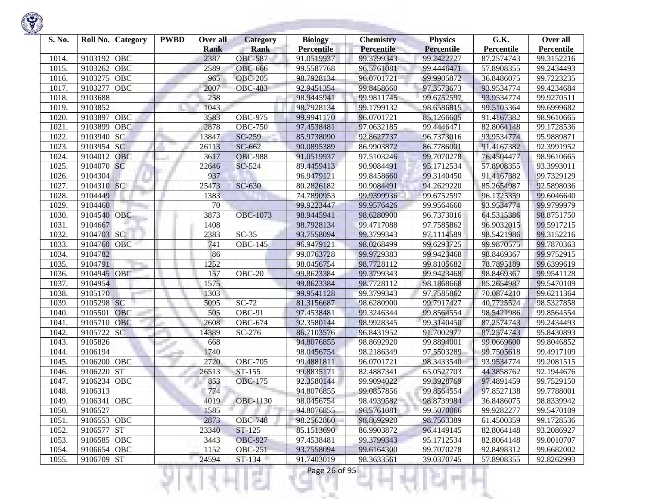

| S. No. | Roll No. Category        | <b>PWBD</b> | Over all<br><b>Rank</b> | <b>Category</b><br><b>Rank</b> | <b>Biology</b><br><b>Percentile</b> | <b>Chemistry</b><br>Percentile | <b>Physics</b><br><b>Percentile</b> | G.K.<br>Percentile | Over all<br>Percentile |
|--------|--------------------------|-------------|-------------------------|--------------------------------|-------------------------------------|--------------------------------|-------------------------------------|--------------------|------------------------|
| 1014.  | 9103192<br><b>OBC</b>    |             | 2387                    | <b>OBC-587</b>                 | 91.0519937                          | 99.3799343                     | 99.2422727                          | 87.2574743         | 99.3152216             |
| 1015.  | <b>OBC</b><br>9103262    |             | 2589                    | <b>OBC-666</b>                 | 99.5587768                          | 96.5761081                     | 99.4446471                          | 57.8908355         | 99.2434493             |
| 1016.  | 9103275<br><b>OBC</b>    |             | 965                     | <b>OBC-205</b>                 | 98.7928134                          | 96.0701721                     | 99.9905872                          | 36.8486075         | 99.7223235             |
| 1017.  | 9103277<br><b>OBC</b>    |             | 2007                    | <b>OBC-483</b>                 | 92.9451354                          | 99.8458660                     | 97.3573673                          | 93.9534774         | 99.4234684             |
| 1018.  | 9103688                  |             | 258                     |                                | 98.9445941                          | 99.9811745                     | 99.6752597                          | 93.9534774         | 99.9270511             |
| 1019.  | 9103852                  |             | 1043                    |                                | 98.7928134                          | 99.1799132                     | 98.6586815                          | 99.5105364         | 99.6999682             |
| 1020.  | OBC<br>9103897           |             | 3583                    | OBC-975                        | 99.9941170                          | 96.0701721                     | 85.1266605                          | 91.4167382         | 98.9610665             |
| 1021.  | OBC<br>9103899           |             | 2878                    | <b>OBC-750</b>                 | 97.4538481                          | 97.0632185                     | 99.4446471                          | 82.8064148         | 99.1728536             |
| 1022.  | <b>SC</b><br>9103940     |             | 13847                   | $SC-259$                       | 85.9738090                          | 92.8627737                     | 96.7373016                          | 93.9534774         | 95.9889871             |
| 1023.  | 9103954<br><sub>SC</sub> |             | 26113                   | SC-662                         | 90.0895389                          | 86.9903872                     | 86.7786001                          | 91.4167382         | 92.3991952             |
| 1024.  | <b>OBC</b><br>9104012    |             | 3617                    | <b>OBC-988</b>                 | 91.0519937                          | 97.5103246                     | 99.7070278                          | 76.4504477         | 98.9610665             |
| 1025.  | <b>SC</b><br>9104070     |             | 22646                   | SC-524                         | 89.4459413                          | 90.9084491                     | 95.1712534                          | 57.8908355         | 93.3993011             |
| 1026.  | 9104304                  |             | 937                     |                                | 96.9479121                          | 99.8458660                     | 99.3140450                          | 91.4167382         | 99.7329129             |
| 1027.  | 9104310 SC               |             | 25473                   | SC-630                         | 80.2826182                          | 90.9084491                     | 94.2629220                          | 85.2654987         | 92.5898036             |
| 1028.  | 9104449                  |             | 1383                    |                                | 74.7890953                          | 99.9399936                     | 99.6752597                          | 96.1725359         | 99.6046640             |
| 1029.  | 9104460                  |             | 70                      |                                | 99.9223447                          | 99.9576426                     | 99.9564660                          | 93.9534774         | 99.9799979             |
| 1030.  | OBC<br>9104540           |             | 3873                    | <b>OBC-1073</b>                | 98.9445941                          | 98.6280900                     | 96.7373016                          | 64.5315386         | 98.8751750             |
| 1031.  | 9104667                  |             | 1408                    |                                | 98.7928134                          | 99.4717088                     | 97.7585862                          | 96.9032015         | 99.5917215             |
| 1032.  | <b>SC</b><br>9104703     |             | 2383                    | $SC-35$                        | 93.7558094                          | 99.3799343                     | 97.1114589                          | 98.5421986         | 99.3152216             |
| 1033.  | 9104760<br>OBC           |             | 741                     | $\overline{\text{OBC}}$ -145   | 96.9479121                          | 98.0268499                     | 99.6293725                          | 99.9870575         | 99.7870363             |
| 1034.  | 9104782                  |             | 86                      |                                | 99.0763728                          | 99.9729383                     | 99.9423468                          | 98.8469367         | 99.9752915             |
| 1035.  | 9104791                  |             | 1252                    |                                | 98.0456754                          | 98.7728112                     | 99.8105682                          | 78.7895189         | 99.6399619             |
| 1036.  | <b>OBC</b><br>9104945    |             | 157                     | <b>OBC-20</b>                  | 99.8623384                          | 99.3799343                     | 99.9423468                          | 98.8469367         | 99.9541128             |
| 1037.  | 9104954                  |             | 1575                    |                                | 99.8623384                          | 98.7728112                     | 98.1868668                          | 85.2654987         | 99.5470109             |
| 1038.  | 9105170                  |             | 1303                    |                                | 99.9541128                          | 99.3799343                     | 97.7585862                          | 70.0874210         | 99.6211364             |
| 1039.  | 9105298 SC               |             | 5095                    | $SC-72$                        | 81.3156687                          | 98.6280900                     | 99.7917427                          | 40.7725524         | 98.5327858             |
| 1040.  | 9105501<br><b>OBC</b>    |             | 505                     | OBC-91                         | 97.4538481                          | 99.3246344                     | 99.8564554                          | 98.5421986         | 99.8564554             |
| 1041.  | 9105710<br><b>OBC</b>    |             | 2608                    | $\overline{O}$ BC-674          | 92.3580144                          | 98.9928345                     | 99.3140450                          | 87.2574743         | 99.2434493             |
| 1042.  | <b>SC</b><br>9105722     |             | 14389                   | SC-276                         | 86.7103576                          | 96.8431952                     | 91.7002977                          | 87.2574743         | 95.8430893             |
| 1043.  | 9105826                  |             | 668                     |                                | 94.8076855                          | 98.8692920                     | 99.8894001                          | 99.0669600         | 99.8046852             |
| 1044.  | 9106194                  |             | 1740                    |                                | 98.0456754                          | 98.2186349                     | 97.5503289                          | 99.7505618         | 99.4917109             |
| 1045.  | 9106200<br><b>OBC</b>    |             | 2720                    | <b>OBC-705</b>                 | 99.4881811                          | 96.0701721                     | 98.3433540                          | 93.9534774         | 99.2081515             |
| 1046.  | <b>ST</b><br>9106220     |             | 26513                   | ST-155                         | 99.8835171                          | 82.4887341                     | 65.0527703                          | 44.3858762         | 92.1944676             |
| 1047.  | 9106234<br>OBC           |             | 853                     | <b>OBC-175</b>                 | 92.3580144                          | 99.9094022                     | 99.3928769                          | 97.4891459         | 99.7529150             |
| 1048.  | 9106313                  |             | 774                     |                                | 94.8076855                          | 99.0857856                     | 99.8564554                          | 97.8527138         | 99.7788001             |
| 1049.  | 9106341 OBC              |             | 4019                    | <b>OBC-1130</b>                | 98.0456754                          | 98.4939582                     | 98.8739984                          | 36.8486075         | 98.8339942             |
| 1050.  | 9106527                  |             | 1585                    |                                | 94.8076855                          | 96.5761081                     | 99.5070066                          | 99.9282277         | 99.5470109             |
| 1051.  | 9106553 OBC              |             | 2873                    | <b>OBC-748</b>                 | 98.2562860                          | 98.8692920                     | 98.7563389                          | 61.4500359         | 99.1728536             |
| 1052.  | 9106577 ST               |             | 23340                   | ST-125                         | 85.1513690                          | 86.9903872                     | 96.4149145                          | 82.8064148         | 93.2086927             |
| 1053.  | 9106585 OBC              |             | 3443                    | <b>OBC-927</b>                 | 97.4538481                          | 99.3799343                     | 95.1712534                          | 82.8064148         | 99.0010707             |
| 1054.  | 9106654 OBC              |             | 1152                    | <b>OBC-251</b>                 | 93.7558094                          | 99.6164300                     | 99.7070278                          | 92.8498312         | 99.6682002             |
| 1055.  | 9106709 ST               |             | 24594                   | $ST-134$                       | 91.7403019                          | 98.3633561                     | 39.0370745                          | 57.8908355         | 92.8262993             |
|        |                          |             |                         | a Tin                          | Page 26 of 95                       |                                |                                     |                    |                        |

**STORY OF STRATE** 

**Contract Contract**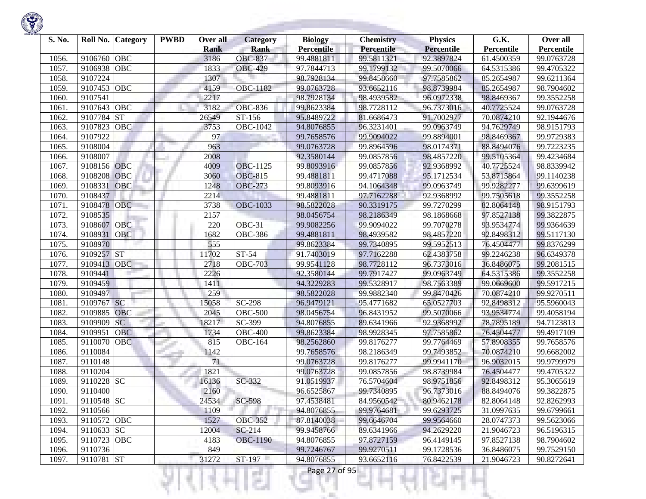| S. No. |             | Roll No. Category | <b>PWBD</b> | Over all            | <b>Category</b>               | <b>Biology</b>                  | <b>Chemistry</b><br>Percentile | <b>Physics</b>                  | G.K.                     | Over all                 |
|--------|-------------|-------------------|-------------|---------------------|-------------------------------|---------------------------------|--------------------------------|---------------------------------|--------------------------|--------------------------|
| 1056.  | 9106760     | <b>OBC</b>        |             | <b>Rank</b><br>3186 | <b>Rank</b><br><b>OBC-837</b> | <b>Percentile</b><br>99.4881811 | 99.5811321                     | <b>Percentile</b><br>92.3897824 | Percentile<br>61.4500359 | Percentile<br>99.0763728 |
| 1057.  | 9106938     | <b>OBC</b>        |             | 1833                | <b>OBC-429</b>                | 97.7844713                      | 99.1799132                     | 99.5070066                      | 64.5315386               | 99.4705322               |
| 1058.  | 9107224     |                   |             | 1307                |                               | 98.7928134                      | 99.8458660                     | 97.7585862                      | 85.2654987               | 99.6211364               |
| 1059.  | 9107453     | OBC               |             | 4159                | <b>OBC-1182</b>               | 99.0763728                      | 93.6652116                     | 98.8739984                      | 85.2654987               | 98.7904602               |
| 1060.  | 9107541     |                   |             | 2217                |                               | 98.7928134                      | 98.4939582                     | 96.0972338                      | 98.8469367               | 99.3552258               |
| 1061.  | 9107643     | OBC               |             | 3182                | <b>OBC-836</b>                | 99.8623384                      | 98.7728112                     | 96.7373016                      | 40.7725524               | 99.0763728               |
| 1062.  | 9107784     | <b>ST</b>         |             | 26549               | ST-156                        | 95.8489722                      | 81.6686473                     | 91.7002977                      | 70.0874210               | 92.1944676               |
| 1063.  | 9107823     | OBC               |             | 3753                | OBC-1042                      | 94.8076855                      | 96.3231401                     | 99.0963749                      | 94.7629749               | 98.9151793               |
| 1064.  | 9107922     |                   |             | 97                  |                               | 99.7658576                      | 99.9094022                     | 99.8894001                      | 98.8469367               | 99.9729383               |
| 1065.  | 9108004     |                   |             | 963                 |                               | 99.0763728                      | 99.8964596                     | 98.0174371                      | 88.8494076               | 99.7223235               |
| 1066.  | 9108007     |                   |             | 2008                |                               | 92.3580144                      | 99.0857856                     | 98.4857220                      | 99.5105364               | 99.4234684               |
| 1067.  | 9108156     | OBC               |             | 4009                | <b>OBC-1125</b>               | 99.8093916                      | 99.0857856                     | 92.9368992                      | 40.7725524               | 98.8339942               |
| 1068.  | 9108208     | OBC               |             | 3060                | <b>OBC-815</b>                | 99.4881811                      | 99.4717088                     | 95.1712534                      | 53.8715864               | 99.1140238               |
| 1069.  | 9108331     | OBC               |             | 1248                | <b>OBC-273</b>                | 99.8093916                      | 94.1064348                     | 99.0963749                      | 99.9282277               | 99.6399619               |
| 1070.  | 9108437     |                   |             | 2214                |                               | 99.4881811                      | 97.7162288                     | 92.9368992                      | 99.7505618               | 99.3552258               |
| 1071.  | 9108478     | <b>OBC</b>        |             | 3738                | <b>OBC-1033</b>               | 98.5822028                      | 90.3319175                     | 99.7270299                      | 82.8064148               | 98.9151793               |
| 1072.  | 9108535     |                   |             | 2157                |                               | 98.0456754                      | 98.2186349                     | 98.1868668                      | 97.8527138               | 99.3822875               |
| 1073.  | 9108607     | <b>OBC</b>        |             | 220                 | OBC-31                        | 99.9082256                      | 99.9094022                     | 99.7070278                      | 93.9534774               | 99.9364639               |
| 1074.  | 9108931     | OBC               |             | 1682                | <b>OBC-386</b>                | 99.4881811                      | 98.4939582                     | 98.4857220                      | 92.8498312               | 99.5117130               |
| 1075.  | 9108970     |                   |             | 555                 |                               | 99.8623384                      | 99.7340895                     | 99.5952513                      | 76.4504477               | 99.8376299               |
| 1076.  | 9109257 ST  |                   |             | 11702               | ST-54                         | 91.7403019                      | 97.7162288                     | 62.4383758                      | 99.2246238               | 96.6349378               |
| 1077.  | 9109413     | <b>OBC</b>        |             | 2718                | <b>OBC-703</b>                | 99.9541128                      | 98.7728112                     | 96.7373016                      | 36.8486075               | 99.2081515               |
| 1078.  | 9109441     |                   |             | 2226                |                               | 92.3580144                      | 99.7917427                     | 99.0963749                      | 64.5315386               | 99.3552258               |
| 1079.  | 9109459     |                   |             | 1411                |                               | 94.3229283                      | 99.5328917                     | 98.7563389                      | 99.0669600               | 99.5917215               |
| 1080.  | 9109497     |                   |             | 259                 |                               | 98.5822028                      | 99.9882340                     | 99.8470426                      | 70.0874210               | 99.9270511               |
| 1081.  | 9109767 SC  |                   |             | 15058               | SC-298                        | 96.9479121                      | 95.4771682                     | 65.0527703                      | 92.8498312               | 95.5960043               |
| 1082.  | 9109885     | <b>OBC</b>        |             | 2045                | <b>OBC-500</b>                | 98.0456754                      | 96.8431952                     | 99.5070066                      | 93.9534774               | 99.4058194               |
| 1083.  | 9109909     | <b>SC</b>         |             | 18217               | SC-399                        | 94.8076855                      | 89.6341966                     | 92.9368992                      | 78.7895189               | 94.7123813               |
| 1084.  | 9109951     | <b>OBC</b>        |             | 1734                | <b>OBC-400</b>                | 99.8623384                      | 98.9928345                     | 97.7585862                      | 76.4504477               | 99.4917109               |
| 1085.  | 9110070     | <b>OBC</b>        |             | 815                 | <b>OBC-164</b>                | 98.2562860                      | 99.8176277                     | 99.7764469                      | 57.8908355               | 99.7658576               |
| 1086.  | 9110084     |                   |             | 1142                |                               | 99.7658576                      | 98.2186349                     | 99.7493852                      | 70.0874210               | 99.6682002               |
| 1087.  | 9110148     |                   |             | 71                  |                               | 99.0763728                      | 99.8176277                     | 99.9941170                      | 96.9032015               | 99.9799979               |
| 1088.  | 9110204     |                   |             | 1821                |                               | 99.0763728                      | 99.0857856                     | 98.8739984                      | 76.4504477               | 99.4705322               |
| 1089.  | 9110228 SC  |                   |             | 16136               | SC-332                        | 91.0519937                      | 76.5704604                     | 98.9751856                      | 92.8498312               | 95.3065619               |
| 1090.  | 9110400     |                   |             | 2160                |                               | 96.6525867                      | 99.7340895                     | 96.7373016                      | 88.8494076               | 99.3822875               |
| 1091.  | 9110548 SC  |                   |             | 24534               | $SC-598$                      | 97.4538481                      | 84.9560542                     | 80.9462178                      | 82.8064148               | 92.8262993               |
| 1092.  | 9110566     |                   |             | 1109                |                               | 94.8076855                      | 99.9764681                     | 99.6293725                      | 31.0997635               | 99.6799661               |
| 1093.  | 9110572 OBC |                   |             | 1527                | <b>OBC-352</b>                | 87.8140038                      | 99.6646704                     | 99.9564660                      | 28.0747373               | 99.5623066               |
| 1094.  | 9110633 SC  |                   |             | 12004               | $SC-214$                      | 99.9458766                      | 89.6341966                     | 94.2629220                      | 21.9046723               | 96.5196315               |
| 1095.  | 9110723 OBC |                   |             | 4183                | <b>OBC-1190</b>               | 94.8076855                      | 97.8727159                     | 96.4149145                      | 97.8527138               | 98.7904602               |
| 1096.  | 9110736     |                   |             | 849                 |                               | 99.7246767                      | 99.9270511                     | 99.1728536                      | 36.8486075               | 99.7529150               |
| 1097.  | 9110781 ST  |                   |             | 31272               | ST-197                        | 94.8076855                      | 93.6652116                     | 76.8422539                      | 21.9046723               | 90.8272641               |
|        |             |                   |             |                     |                               | Page 27 of 95                   |                                |                                 |                          |                          |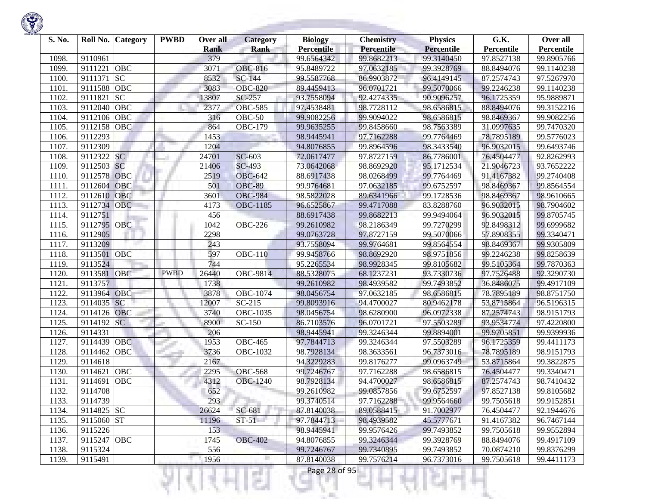| S. No.         | Roll No. Category     | <b>PWBD</b> | Over all           | <b>Category</b> | <b>Biology</b>           | <b>Chemistry</b>         | <b>Physics</b>           | G.K.                     | Over all                 |
|----------------|-----------------------|-------------|--------------------|-----------------|--------------------------|--------------------------|--------------------------|--------------------------|--------------------------|
|                | 9110961               |             | <b>Rank</b><br>379 | <b>Rank</b>     | <b>Percentile</b>        | Percentile<br>99.8682213 | Percentile               | Percentile<br>97.8527138 | Percentile<br>99.8905766 |
| 1098.<br>1099. | OBC<br>9111221        |             | 3071               | <b>OBC-816</b>  | 99.6564342<br>95.8489722 | 97.0632185               | 99.3140450<br>99.3928769 | 88.8494076               | 99.1140238               |
| 1100.          | <b>SC</b><br>9111371  |             | 8532               | <b>SC-144</b>   | 99.5587768               | 86.9903872               | 96.4149145               | 87.2574743               | 97.5267970               |
| 1101.          | OBC<br>9111588        |             | 3083               | <b>OBC-820</b>  | 89.4459413               | 96.0701721               | 99.5070066               |                          |                          |
| 1102.          | 9111821<br><b>SC</b>  |             |                    | SC-257          |                          | 92.4274335               | 90.9096257               | 99.2246238<br>96.1725359 | 99.1140238<br>95.9889871 |
|                |                       |             | 13807              |                 | 93.7558094               |                          |                          |                          |                          |
| 1103.          | OBC<br>9112040        |             | 2377               | <b>OBC-585</b>  | 97.4538481               | 98.7728112               | 98.6586815               | 88.8494076               | 99.3152216               |
| 1104.          | 9112106<br>OBC        |             | 316                | $OBC-50$        | 99.9082256               | 99.9094022               | 98.6586815               | 98.8469367               | 99.9082256               |
| 1105.          | 9112158<br>OBC        |             | 864                | <b>OBC-179</b>  | 99.9635255               | 99.8458660               | 98.7563389               | 31.0997635               | 99.7470320               |
| 1106.          | 9112293               |             | 1453               |                 | 98.9445941               | 97.7162288               | 99.7764469               | 78.7895189               | 99.5776023               |
| 1107.          | 9112309               |             | 1204               |                 | 94.8076855               | 99.8964596               | 98.3433540               | 96.9032015               | 99.6493746               |
| 1108.          | <b>SC</b><br>9112322  |             | 24701              | SC-603          | 72.0617477               | 97.8727159               | 86.7786001               | 76.4504477               | 92.8262993               |
| 1109.          | 9112503<br><b>SC</b>  |             | 21406              | SC-493          | 73.0642068               | 98.8692920               | 95.1712534               | 21.9046723               | 93.7652222               |
| 1110.          | 9112578<br>OBC        |             | 2519               | <b>OBC-642</b>  | 88.6917438               | 98.0268499               | 99.7764469               | 91.4167382               | 99.2740408               |
| 1111.          | OBC<br>9112604        |             | 501                | <b>OBC-89</b>   | 99.9764681               | 97.0632185               | 99.6752597               | 98.8469367               | 99.8564554               |
| 1112.          | 9112610<br>OBC        |             | 3601               | <b>OBC-984</b>  | 98.5822028               | 89.6341966               | 99.1728536               | 98.8469367               | 98.9610665               |
| 1113.          | 9112734<br><b>OBC</b> |             | 4173               | <b>OBC-1185</b> | 96.6525867               | 99.4717088               | 83.8288760               | 96.9032015               | 98.7904602               |
| 1114.          | 9112751               |             | 456                |                 | 88.6917438               | 99.8682213               | 99.9494064               | 96.9032015               | 99.8705745               |
| 1115.          | 9112795 OBC           |             | 1042               | <b>OBC-226</b>  | 99.2610982               | 98.2186349               | 99.7270299               | 92.8498312               | 99.6999682               |
| 1116.          | 9112905               |             | 2298               |                 | 99.0763728               | 97.8727159               | 99.5070066               | 57.8908355               | 99.3340471               |
| 1117.          | 9113209               |             | 243                |                 | 93.7558094               | 99.9764681               | 99.8564554               | 98.8469367               | 99.9305809               |
| 1118.          | OBC<br>9113501        |             | 597                | <b>OBC-110</b>  | 99.9458766               | 98.8692920               | 98.9751856               | 99.2246238               | 99.8258639               |
| 1119.          | 9113524               |             | 744                |                 | 95.2265534               | 98.9928345               | 99.8105682               | 99.5105364               | 99.7870363               |
| 1120.          | OBC<br>9113581        | <b>PWBD</b> | 26440              | OBC-9814        | 88.5328075               | 68.1237231               | 93.7330736               | 97.7526488               | 92.3290730               |
| 1121.          | 9113757               |             | 1738               |                 | 99.2610982               | 98.4939582               | 99.7493852               | 36.8486075               | 99.4917109               |
| 1122.          | <b>OBC</b><br>9113964 |             | 3878               | OBC-1074        | 98.0456754               | 97.0632185               | 98.6586815               | 78.7895189               | 98.8751750               |
| 1123.          | SC<br>9114035         |             | 12007              | $SC-215$        | 99.8093916               | 94.4700027               | 80.9462178               | 53.8715864               | 96.5196315               |
| 1124.          | 9114126<br><b>OBC</b> |             | 3740               | OBC-1035        | 98.0456754               | 98.6280900               | 96.0972338               | 87.2574743               | 98.9151793               |
| 1125.          | <b>SC</b><br>9114192  |             | 8900               | SC-150          | 86.7103576               | 96.0701721               | 97.5503289               | 93.9534774               | 97.4220800               |
| 1126.          | 9114331               |             | 206                |                 | 98.9445941               | 99.3246344               | 99.8894001               | 99.9705851               | 99.9399936               |
| 1127.          | 9114439<br>OBC        |             | 1953               | <b>OBC-465</b>  | 97.7844713               | 99.3246344               | 97.5503289               | 96.1725359               | 99.4411173               |
| 1128.          | OBC<br>9114462        |             | 3736               | OBC-1032        | 98.7928134               | 98.3633561               | 96.7373016               | 78.7895189               | 98.9151793               |
| 1129.          | 9114618               |             | 2167               |                 | 94.3229283               | 99.8176277               | 99.0963749               | 53.8715864               | 99.3822875               |
| 1130.          | 9114621<br>OBC        |             | 2295               | <b>OBC-568</b>  | 99.7246767               | 97.7162288               | 98.6586815               | 76.4504477               | 99.3340471               |
| 1131.          | OBC<br>9114691        |             | 4312               | <b>OBC-1240</b> | 98.7928134               | 94.4700027               | 98.6586815               | 87.2574743               | 98.7410432               |
| 1132.          | 9114708               |             | 652                |                 | 99.2610982               | 99.0857856               | 99.6752597               | 97.8527138               | 99.8105682               |
| 1133.          | 9114739               |             | 293                |                 | 99.3740514               | 97.7162288               | 99.9564660               | 99.7505618               | 99.9152851               |
| 1134.          | 9114825 SC            |             | 26624              | SC-681          | 87.8140038               | 89.0588415               | 91.7002977               | 76.4504477               | 92.1944676               |
| 1135.          | 9115060 ST            |             | 11196              | $ST-51$         | 97.7844713               | 98.4939582               | 45.5777671               | 91.4167382               | 96.7467144               |
| 1136.          | 9115226               |             | 153                |                 | 98.9445941               | 99.9576426               | 99.7493852               | 99.7505618               | 99.9552894               |
| 1137.          | 9115247 OBC           |             | 1745               | <b>OBC-402</b>  | 94.8076855               | 99.3246344               | 99.3928769               | 88.8494076               | 99.4917109               |
| 1138.          | 9115324               |             | 556                |                 | 99.7246767               | 99.7340895               | 99.7493852               | 70.0874210               | 99.8376299               |
| 1139.          | 9115491               |             | 1956               |                 | 87.8140038               | 99.7576214               | 96.7373016               | 99.7505618               | 99.4411173               |

a ili

m

ш

÷

K.

w

Ħ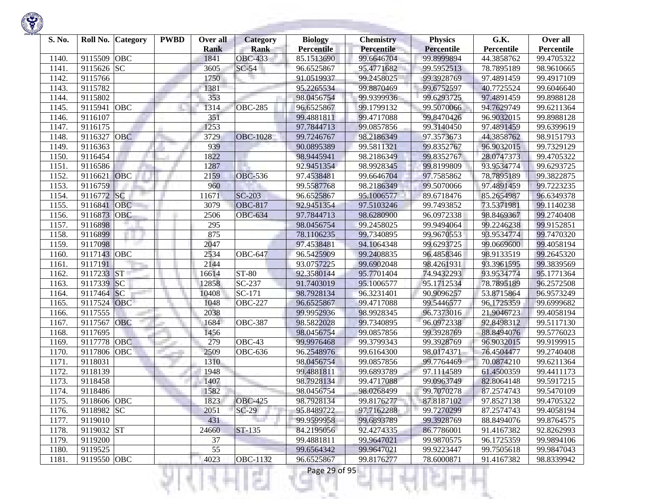

| S. No. |             | Roll No. Category | <b>PWBD</b> | Over all<br><b>Rank</b> | <b>Category</b><br><b>Rank</b> | <b>Biology</b><br><b>Percentile</b> | <b>Chemistry</b><br>Percentile | <b>Physics</b><br><b>Percentile</b> | G.K.<br>Percentile | Over all<br>Percentile |
|--------|-------------|-------------------|-------------|-------------------------|--------------------------------|-------------------------------------|--------------------------------|-------------------------------------|--------------------|------------------------|
| 1140.  | 9115509     | <b>OBC</b>        |             | 1841                    | <b>OBC-433</b>                 | 85.1513690                          | 99.6646704                     | 99.8999894                          | 44.3858762         | 99.4705322             |
| 1141.  | 9115626     | <b>SC</b>         |             | 3605                    | $SC-54$                        | 96.6525867                          | 95.4771682                     | 99.5952513                          | 78.7895189         | 98.9610665             |
| 1142.  | 9115766     |                   |             | 1750                    |                                | 91.0519937                          | 99.2458025                     | 99.3928769                          | 97.4891459         | 99.4917109             |
| 1143.  | 9115782     |                   |             | 1381                    |                                | 95.2265534                          | 99.8870469                     | 99.6752597                          | 40.7725524         | 99.6046640             |
| 1144.  | 9115802     |                   |             | 353                     |                                | 98.0456754                          | 99.9399936                     | 99.6293725                          | 97.4891459         | 99.8988128             |
| 1145.  | 9115941     | <b>OBC</b>        |             | 1314                    | <b>OBC-285</b>                 | 96.6525867                          | 99.1799132                     | 99.5070066                          | 94.7629749         | 99.6211364             |
| 1146.  | 9116107     |                   |             | 351                     |                                | 99.4881811                          | 99.4717088                     | 99.8470426                          | 96.9032015         | 99.8988128             |
| 1147.  | 9116175     |                   |             | 1253                    |                                | 97.7844713                          | 99.0857856                     | 99.3140450                          | 97.4891459         | 99.6399619             |
| 1148   | 9116327     | <b>OBC</b>        |             | 3729                    | <b>OBC-1028</b>                | 99.7246767                          | 98.2186349                     | 97.3573673                          | 44.3858762         | 98.9151793             |
| 1149.  | 9116363     |                   |             | 939                     |                                | 90.0895389                          | 99.5811321                     | 99.8352767                          | 96.9032015         | 99.7329129             |
| 1150.  | 9116454     |                   |             | 1822                    |                                | 98.9445941                          | 98.2186349                     | 99.8352767                          | 28.0747373         | 99.4705322             |
| 1151.  | 9116586     |                   |             | 1287                    |                                | 92.9451354                          | 98.9928345                     | 99.8199809                          | 93.9534774         | 99.6293725             |
| 1152.  | 9116621     | <b>OBC</b>        |             | 2159                    | <b>OBC-536</b>                 | 97.4538481                          | 99.6646704                     | 97.7585862                          | 78.7895189         | 99.3822875             |
| 1153.  | 9116759     |                   |             | 960                     |                                | 99.5587768                          | 98.2186349                     | 99.5070066                          | 97.4891459         | 99.7223235             |
| 1154.  | 9116772     | SC                |             | 11671                   | <b>SC-203</b>                  | 96.6525867                          | 95.1006577                     | 89.6718476                          | 85.2654987         | 96.6349378             |
| 1155.  | 9116841     | <b>OBC</b>        |             | 3079                    | <b>OBC-817</b>                 | 92.9451354                          | 97.5103246                     | 99.7493852                          | 73.5371981         | 99.1140238             |
| 1156.  | 9116873     | OBC               |             | 2506                    | <b>OBC-634</b>                 | 97.7844713                          | 98.6280900                     | 96.0972338                          | 98.8469367         | 99.2740408             |
| 1157.  | 9116898     |                   |             | 295                     |                                | 98.0456754                          | 99.2458025                     | 99.9494064                          | 99.2246238         | 99.9152851             |
| 1158.  | 9116899     |                   |             | 875                     |                                | 78.1106235                          | 99.7340895                     | 99.9670553                          | 93.9534774         | 99.7470320             |
| 1159.  | 9117098     |                   |             | 2047                    |                                | 97.4538481                          | 94.1064348                     | 99.6293725                          | 99.0669600         | 99.4058194             |
| 1160   | 9117143 OBC |                   |             | 2534                    | <b>OBC-647</b>                 | 96.5425909                          | 99.2408835                     | 96.4858346                          | 98.9133519         | 99.2645320             |
| 1161.  | 9117191     |                   |             | 2144                    |                                | 93.0757225                          | 99.6902048                     | 98.4261931                          | 93.3961595         | 99.3839569             |
| 1162.  | 9117233     | <b>ST</b>         |             | 16614                   | ST-80                          | 92.3580144                          | 95.7701404                     | 74.9432293                          | 93.9534774         | 95.1771364             |
| 1163.  | 9117339     | SC                |             | 12858                   | $\overline{SC}$ -237           | 91.7403019                          | 95.1006577                     | 95.1712534                          | 78.7895189         | 96.2572508             |
| 1164.  | 9117464     | <b>SC</b>         |             | 10408                   | SC-171                         | 98.7928134                          | 96.3231401                     | 90.9096257                          | 53.8715864         | 96.9573249             |
| 1165.  | 9117524     | <b>OBC</b>        |             | 1048                    | <b>OBC-227</b>                 | 96.6525867                          | 99.4717088                     | 99.5446577                          | 96.1725359         | 99.6999682             |
| 1166.  | 9117555     |                   |             | 2038                    |                                | 99.9952936                          | 98.9928345                     | 96.7373016                          | 21.9046723         | 99.4058194             |
| 1167.  | 9117567     | OBC               |             | 1684                    | <b>OBC-387</b>                 | 98.5822028                          | 99.7340895                     | 96.0972338                          | 92.8498312         | 99.5117130             |
| 1168   | 9117695     |                   |             | 1456                    |                                | 98.0456754                          | 99.0857856                     | 99.3928769                          | 88.8494076         | 99.5776023             |
| 1169.  | 9117778     | <b>OBC</b>        |             | 279                     | OBC-43                         | 99.9976468                          | 99.3799343                     | 99.3928769                          | 96.9032015         | 99.9199915             |
| 1170.  | 9117806     | OBC               |             | 2509                    | <b>OBC-636</b>                 | 96.2548976                          | 99.6164300                     | 98.0174371                          | 76.4504477         | 99.2740408             |
| 1171.  | 9118031     |                   |             | 1310                    |                                | 98.0456754                          | 99.0857856                     | 99.7764469                          | 70.0874210         | 99.6211364             |
| 1172.  | 9118139     |                   |             | 1948                    |                                | 99.4881811                          | 99.6893789                     | 97.1114589                          | 61.4500359         | 99.4411173             |
| 1173.  | 9118458     |                   |             | 1407                    |                                | 98.7928134                          | 99.4717088                     | 99.0963749                          | 82.8064148         | 99.5917215             |
| 1174.  | 9118486     |                   |             | 1582                    |                                | 98.0456754                          | 98.0268499                     | 99.7070278                          | 87.2574743         | 99.5470109             |
| 1175.  | 9118606 OBC |                   |             | 1823                    | <b>OBC-425</b>                 | 98.7928134                          | 99.8176277                     | 87.8187102                          | 97.8527138         | 99.4705322             |
| 1176.  | 9118982 SC  |                   |             | 2051                    | $SC-29$                        | 95.8489722                          | 97.7162288                     | 99.7270299                          | 87.2574743         | 99.4058194             |
| 1177.  | 9119010     |                   |             | 431                     |                                | 99.9599958                          | 99.6893789                     | 99.3928769                          | 88.8494076         | 99.8764575             |
| 1178.  | 9119032 ST  |                   |             | 24660                   | ST-135                         | 84.2195056                          | 92.4274335                     | 86.7786001                          | 91.4167382         | 92.8262993             |
| 1179.  | 9119200     |                   |             | 37                      |                                | 99.4881811                          | 99.9647021                     | 99.9870575                          | 96.1725359         | 99.9894106             |
| 1180.  | 9119525     |                   |             | 55                      |                                | 99.6564342                          | 99.9647021                     | 99.9223447                          | 99.7505618         | 99.9847043             |
| 1181.  | 9119550 OBC |                   |             | 4023                    | <b>OBC-1132</b>                | 96.6525867                          | 99.8176277                     | 78.6000871                          | 91.4167382         | 98.8339942             |
|        |             |                   |             |                         |                                | Page 29 of 95                       |                                |                                     |                    |                        |

**State of Concession**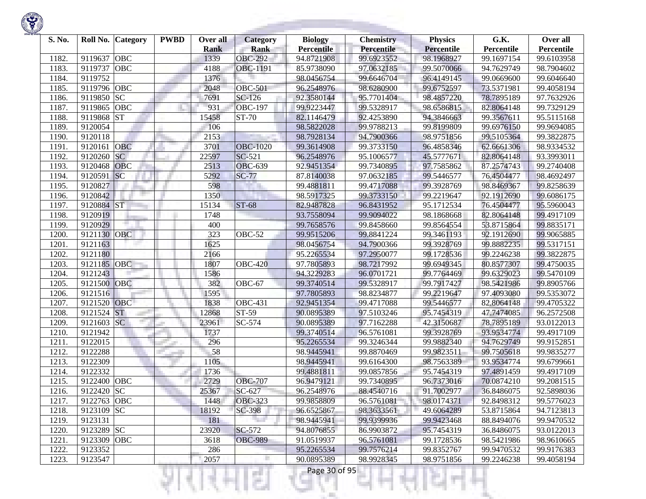

| S. No. | Roll No. Category     | <b>PWBD</b> | Over all    | Category        | <b>Biology</b>    | <b>Chemistry</b> | <b>Physics</b>    | G.K.       | Over all   |
|--------|-----------------------|-------------|-------------|-----------------|-------------------|------------------|-------------------|------------|------------|
|        |                       |             | <b>Rank</b> | <b>Rank</b>     | <b>Percentile</b> | Percentile       | <b>Percentile</b> | Percentile | Percentile |
| 1182.  | 9119637<br><b>OBC</b> |             | 1339        | <b>OBC-292</b>  | 94.8721908        | 99.6923552       | 98.1968927        | 99.1697154 | 99.6103958 |
| 1183.  | <b>OBC</b><br>9119737 |             | 4188        | <b>OBC-1191</b> | 85.9738090        | 97.0632185       | 99.5070066        | 94.7629749 | 98.7904602 |
| 1184.  | 9119752               |             | 1376        |                 | 98.0456754        | 99.6646704       | 96.4149145        | 99.0669600 | 99.6046640 |
| 1185.  | 9119796 OBC           |             | 2048        | <b>OBC-501</b>  | 96.2548976        | 98.6280900       | 99.6752597        | 73.5371981 | 99.4058194 |
| 1186.  | SC<br>9119850         |             | 7691        | $SC-126$        | 92.3580144        | 95.7701404       | 98.4857220        | 78.7895189 | 97.7632926 |
| 1187.  | 9119865<br>OBC        |             | 931         | <b>OBC-197</b>  | 99.9223447        | 99.5328917       | 98.6586815        | 82.8064148 | 99.7329129 |
| 1188.  | <b>ST</b><br>9119868  |             | 15458       | ST-70           | 82.1146479        | 92.4253890       | 94.3846663        | 99.3567611 | 95.5115168 |
| 1189.  | 9120054               |             | 106         |                 | 98.5822028        | 99.9788213       | 99.8199809        | 99.6976150 | 99.9694085 |
| 1190.  | 9120118               |             | 2153        |                 | 98.7928134        | 94.7900366       | 98.9751856        | 99.5105364 | 99.3822875 |
| 1191.  | OBC<br>9120161        |             | 3701        | <b>OBC-1020</b> | 99.3614908        | 99.3733150       | 96.4858346        | 62.6661306 | 98.9334532 |
| 1192.  | <b>SC</b><br>9120260  |             | 22597       | SC-521          | 96.2548976        | 95.1006577       | 45.5777671        | 82.8064148 | 93.3993011 |
| 1193.  | <b>OBC</b><br>9120468 |             | 2513        | <b>OBC-639</b>  | 92.9451354        | 99.7340895       | 97.7585862        | 87.2574743 | 99.2740408 |
| 1194.  | SC<br>9120591         |             | 5292        | $SC-77$         | 87.8140038        | 97.0632185       | 99.5446577        | 76.4504477 | 98.4692497 |
| 1195.  | 9120827               |             | 598         |                 | 99.4881811        | 99.4717088       | 99.3928769        | 98.8469367 | 99.8258639 |
| 1196.  | 9120842               |             | 1350        |                 | 98.5917325        | 99.3733150       | 99.2219647        | 92.1912690 | 99.6086175 |
| 1197.  | <b>ST</b><br>9120884  |             | 15134       | <b>ST-68</b>    | 82.9487828        | 96.8431952       | 95.1712534        | 76.4504477 | 95.5960043 |
| 1198   | 9120919               |             | 1748        |                 | 93.7558094        | 99.9094022       | 98.1868668        | 82.8064148 | 99.4917109 |
| 1199.  | 9120929               |             | 400         |                 | 99.7658576        | 99.8458660       | 99.8564554        | 53.8715864 | 99.8835171 |
| 1200.  | 9121130<br>OBC        |             | 323         | <b>OBC-52</b>   | 99.9515206        | 99.8841224       | 99.3461193        | 92.1912690 | 99.9065885 |
| 1201.  | 9121163               |             | 1625        |                 | 98.0456754        | 94.7900366       | 99.3928769        | 99.8882235 | 99.5317151 |
| 1202.  | 9121180               |             | 2166        |                 | 95.2265534        | 97.2950077       | 99.1728536        | 99.2246238 | 99.3822875 |
| 1203.  | 9121185<br>OBC        |             | 1807        | <b>OBC-420</b>  | 97.7805893        | 98.7217992       | 99.6949345        | 80.8577307 | 99.4750035 |
| 1204.  | 9121243               |             | 1586        |                 | 94.3229283        | 96.0701721       | 99.7764469        | 99.6329023 | 99.5470109 |
| 1205.  | OBC<br>9121500        |             | 382         | OBC-67          | 99.3740514        | 99.5328917       | 99.7917427        | 98.5421986 | 99.8905766 |
| 1206.  | 9121516               |             | 1595        |                 | 97.7805893        | 98.8234877       | 99.2219647        | 97.4093080 | 99.5353072 |
| 1207.  | 9121520 OBC           |             | 1838        | <b>OBC-431</b>  | 92.9451354        | 99.4717088       | 99.5446577        | 82.8064148 | 99.4705322 |
| 1208   | <b>ST</b><br>9121524  |             | 12868       | ST-59           | 90.0895389        | 97.5103246       | 95.7454319        | 47.7474085 | 96.2572508 |
| 1209.  | <b>SC</b><br>9121603  |             | 23961       | SC-574          | 90.0895389        | 97.7162288       | 42.3150687        | 78.7895189 | 93.0122013 |
| 1210.  | 9121942               |             | 1737        |                 | 99.3740514        | 96.5761081       | 99.3928769        | 93.9534774 | 99.4917109 |
| 1211.  | 9122015               |             | 296         |                 | 95.2265534        | 99.3246344       | 99.9882340        | 94.7629749 | 99.9152851 |
| 1212.  | 9122288               |             | 58          |                 | 98.9445941        | 99.8870469       | 99.9823511        | 99.7505618 | 99.9835277 |
| 1213.  | 9122309               |             | 1105        |                 | 98.9445941        | 99.6164300       | 98.7563389        | 93.9534774 | 99.6799661 |
| 1214.  | 9122332               |             | 1736        |                 | 99.4881811        | 99.0857856       | 95.7454319        | 97.4891459 | 99.4917109 |
| 1215.  | OBC<br>9122400        |             | 2729        | <b>OBC-707</b>  | 96.9479121        | 99.7340895       | 96.7373016        | 70.0874210 | 99.2081515 |
| 1216.  | 9122420 SC            |             | 25367       | SC-627          | 96.2548976        | 88.4540716       | 91.7002977        | 36.8486075 | 92.5898036 |
| 1217.  | 9122763 OBC           |             | 1448        | <b>OBC-323</b>  | 99.9858809        | 96.5761081       | 98.0174371        | 92.8498312 | 99.5776023 |
| 1218.  | 9123109 SC            |             | 18192       | SC-398          | 96.6525867        | 98.3633561       | 49.6064289        | 53.8715864 | 94.7123813 |
| 1219.  | 9123131               |             | 181         |                 | 98.9445941        | 99.9399936       | 99.9423468        | 88.8494076 | 99.9470532 |
| 1220.  | 9123289 SC            |             | 23920       | SC-572          | 94.8076855        | 86.9903872       | 95.7454319        | 36.8486075 | 93.0122013 |
| 1221.  | 9123309 OBC           |             | 3618        | <b>OBC-989</b>  | 91.0519937        | 96.5761081       | 99.1728536        | 98.5421986 | 98.9610665 |
| 1222.  | 9123352               |             | 286         |                 | 95.2265534        | 99.7576214       | 99.8352767        | 99.9470532 | 99.9176383 |
| 1223.  | 9123547               |             | 2057        | H               | 90.0895389        | 98.9928345       | 98.9751856        | 99.2246238 | 99.4058194 |

<u> Andrew Marian (</u>

Ħ

KJ.

к

리미서

m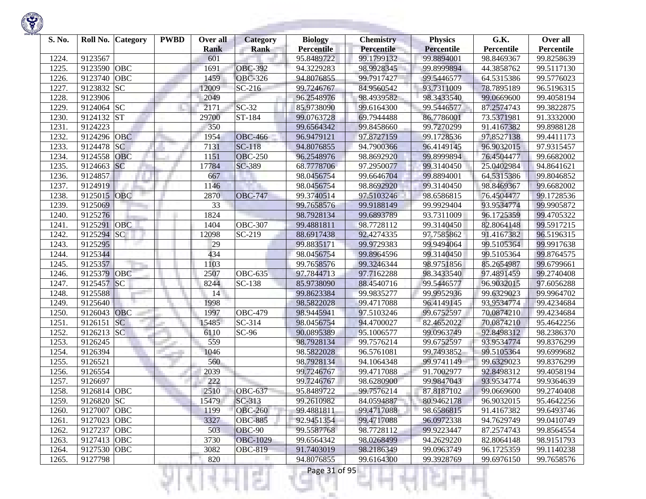| S. No. | Roll No.    | Category   | <b>PWBD</b> | Over all<br><b>Rank</b> | <b>Category</b><br><b>Rank</b> | <b>Biology</b><br><b>Percentile</b> | <b>Chemistry</b><br>Percentile | <b>Physics</b><br><b>Percentile</b> | G.K.<br>Percentile | Over all<br>Percentile |
|--------|-------------|------------|-------------|-------------------------|--------------------------------|-------------------------------------|--------------------------------|-------------------------------------|--------------------|------------------------|
| 1224.  | 9123567     |            |             | 601                     |                                | 95.8489722                          | 99.1799132                     | 99.8894001                          | 98.8469367         | 99.8258639             |
| 1225.  | 9123590     | <b>OBC</b> |             | 1691                    | <b>OBC-392</b>                 | 94.3229283                          | 98.9928345                     | 99.8999894                          | 44.3858762         | 99.5117130             |
| 1226.  | 9123740     | <b>OBC</b> |             | 1459                    | <b>OBC-326</b>                 | 94.8076855                          | 99.7917427                     | 99.5446577                          | 64.5315386         | 99.5776023             |
| 1227.  | 9123832     | <b>SC</b>  |             | 12009                   | $SC-216$                       | 99.7246767                          | 84.9560542                     | 93.7311009                          | 78.7895189         | 96.5196315             |
| 1228.  | 9123906     |            |             | 2049                    |                                | 96.2548976                          | 98.4939582                     | 98.3433540                          | 99.0669600         | 99.4058194             |
| 1229.  | 9124064     | SC         |             | 2171                    | $SC-32$                        | 85.9738090                          | 99.6164300                     | 99.5446577                          | 87.2574743         | 99.3822875             |
| 1230.  | 9124132     | <b>ST</b>  |             | 29700                   | ST-184                         | 99.0763728                          | 69.7944488                     | 86.7786001                          | 73.5371981         | 91.3332000             |
| 1231.  | 9124223     |            |             | 350                     |                                | 99.6564342                          | 99.8458660                     | 99.7270299                          | 91.4167382         | 99.8988128             |
| 1232.  | 9124296     | <b>OBC</b> |             | 1954                    | <b>OBC-466</b>                 | 96.9479121                          | 97.8727159                     | 99.1728536                          | 97.8527138         | 99.4411173             |
| 1233.  | 9124478     | <b>SC</b>  |             | 7131                    | $SC-118$                       | 94.8076855                          | 94.7900366                     | 96.4149145                          | 96.9032015         | 97.9315457             |
| 1234.  | 9124558     | <b>OBC</b> |             | 1151                    | <b>OBC-250</b>                 | 96.2548976                          | 98.8692920                     | 99.8999894                          | 76.4504477         | 99.6682002             |
| 1235.  | 9124663     | SC         |             | 17784                   | SC-389                         | 68.7778706                          | 97.2950077                     | 99.3140450                          | 25.0402984         | 94.8641621             |
| 1236.  | 9124857     |            |             | 667                     |                                | 98.0456754                          | 99.6646704                     | 99.8894001                          | 64.5315386         | 99.8046852             |
| 1237.  | 9124919     |            |             | 1146                    |                                | 98.0456754                          | 98.8692920                     | 99.3140450                          | 98.8469367         | 99.6682002             |
| 1238.  | 9125015     | <b>OBC</b> |             | 2870                    | <b>OBC-747</b>                 | 99.3740514                          | 97.5103246                     | 98.6586815                          | 76.4504477         | 99.1728536             |
| 1239.  | 9125069     |            |             | 33                      |                                | 99.7658576                          | 99.9188149                     | 99.9929404                          | 93.9534774         | 99.9905872             |
| 1240.  | 9125276     |            |             | 1824                    |                                | 98.7928134                          | 99.6893789                     | 93.7311009                          | 96.1725359         | 99.4705322             |
| 1241.  | 9125291     | <b>OBC</b> |             | 1404                    | <b>OBC-307</b>                 | 99.4881811                          | 98.7728112                     | 99.3140450                          | 82.8064148         | 99.5917215             |
| 1242.  | 9125294     | SC         |             | 12098                   | SC-219                         | 88.6917438                          | 92.4274335                     | 97.7585862                          | 91.4167382         | 96.5196315             |
| 1243.  | 9125295     |            |             | 29                      |                                | 99.8835171                          | 99.9729383                     | 99.9494064                          | 99.5105364         | 99.9917638             |
| 1244.  | 9125344     |            |             | 434                     |                                | 98.0456754                          | 99.8964596                     | 99.3140450                          | 99.5105364         | 99.8764575             |
| 1245.  | 9125357     |            |             | 1103                    |                                | 99.7658576                          | 99.3246344                     | 98.9751856                          | 85.2654987         | 99.6799661             |
| 1246.  | 9125379     | <b>OBC</b> |             | 2507                    | <b>OBC-635</b>                 | 97.7844713                          | 97.7162288                     | 98.3433540                          | 97.4891459         | 99.2740408             |
| 1247.  | 9125457     | SC         |             | 8244                    | SC-138                         | 85.9738090                          | 88.4540716                     | 99.5446577                          | 96.9032015         | 97.6056288             |
| 1248.  | 9125588     |            |             | 14                      |                                | 99.8623384                          | 99.9835277                     | 99.9952936                          | 99.6329023         | 99.9964702             |
| 1249.  | 9125640     |            |             | 1998                    |                                | 98.5822028                          | 99.4717088                     | 96.4149145                          | 93.9534774         | 99.4234684             |
| 1250.  | 9126043     | <b>OBC</b> |             | 1997                    | <b>OBC-479</b>                 | 98.9445941                          | 97.5103246                     | 99.6752597                          | 70.0874210         | 99.4234684             |
| 1251.  | 9126151     | <b>SC</b>  |             | 15485                   | SC-314                         | 98.0456754                          | 94.4700027                     | 82.4652022                          | 70.0874210         | 95.4642256             |
| 1252.  | 9126213     | SC         |             | 6110                    | $SC-96$                        | 90.0895389                          | 95.1006577                     | 99.0963749                          | 92.8498312         | 98.2386370             |
| 1253.  | 9126245     |            |             | 559                     |                                | 98.7928134                          | 99.7576214                     | 99.6752597                          | 93.9534774         | 99.8376299             |
| 1254.  | 9126394     |            |             | 1046                    |                                | 98.5822028                          | 96.5761081                     | 99.7493852                          | 99.5105364         | 99.6999682             |
| 1255.  | 9126521     |            |             | 560                     |                                | 98.7928134                          | 94.1064348                     | 99.9741149                          | 99.6329023         | 99.8376299             |
| 1256.  | 9126554     |            |             | 2039                    |                                | 99.7246767                          | 99.4717088                     | 91.7002977                          | 92.8498312         | 99.4058194             |
| 1257.  | 9126697     |            |             | 222                     |                                | 99.7246767                          | 98.6280900                     | 99.9847043                          | 93.9534774         | 99.9364639             |
| 1258.  | 9126814 OBC |            |             | 2510                    | <b>OBC-637</b>                 | 95.8489722                          | 99.7576214                     | 87.8187102                          | 99.0669600         | 99.2740408             |
| 1259.  | 9126820 SC  |            |             | 15479                   | $SC-313$                       | 99.2610982                          | 84.0594887                     | 80.9462178                          | 96.9032015         | 95.4642256             |
| 1260.  | 9127007 OBC |            |             | 1199                    | <b>OBC-260</b>                 | 99.4881811                          | 99.4717088                     | 98.6586815                          | 91.4167382         | 99.6493746             |
| 1261.  | 9127023     | OBC        |             | 3327                    | <b>OBC-885</b>                 | 92.9451354                          | 99.4717088                     | 96.0972338                          | 94.7629749         | 99.0410749             |
| 1262.  | 9127237     | OBC        |             | 503                     | <b>OBC-90</b>                  | 99.5587768                          | 98.7728112                     | 99.9223447                          | 87.2574743         | 99.8564554             |
| 1263.  | 9127413 OBC |            |             | 3730                    | <b>OBC-1029</b>                | 99.6564342                          | 98.0268499                     | 94.2629220                          | 82.8064148         | 98.9151793             |
| 1264.  | 9127530     | OBC        |             | 3082                    | <b>OBC-819</b>                 | 91.7403019                          | 98.2186349                     | 99.0963749                          | 96.1725359         | 99.1140238             |
| 1265.  | 9127798     |            |             | 820                     |                                | 94.8076855                          | 99.6164300                     | 99.3928769                          | 99.6976150         | 99.7658576             |

₹Н

w

리픽서

п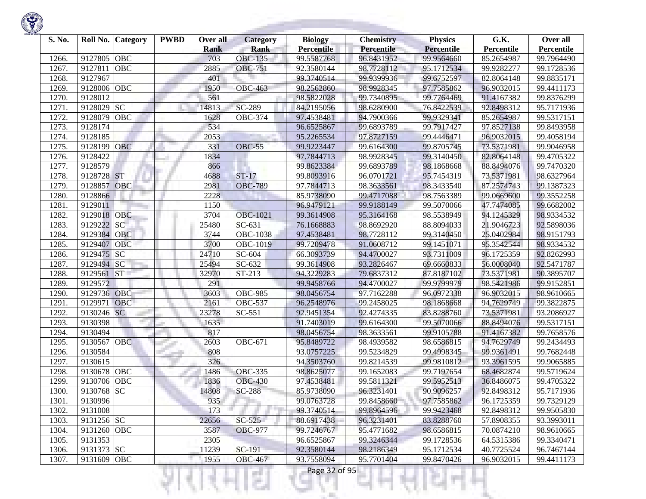| S. No. | Roll No.<br><b>Category</b> | <b>PWBD</b> | Over all    | <b>Category</b>       | <b>Biology</b>    | <b>Chemistry</b> | <b>Physics</b>    | G.K.       | Over all   |
|--------|-----------------------------|-------------|-------------|-----------------------|-------------------|------------------|-------------------|------------|------------|
|        |                             |             | <b>Rank</b> | <b>Rank</b>           | <b>Percentile</b> | Percentile       | <b>Percentile</b> | Percentile | Percentile |
| 1266.  | 9127805<br><b>OBC</b>       |             | 703         | <b>OBC-135</b>        | 99.5587768        | 96.8431952       | 99.9564660        | 85.2654987 | 99.7964490 |
| 1267.  | <b>OBC</b><br>9127811       |             | 2885        | <b>OBC-751</b>        | 92.3580144        | 98.7728112       | 95.1712534        | 99.9282277 | 99.1728536 |
| 1268.  | 9127967                     |             | 401         |                       | 99.3740514        | 99.9399936       | 99.6752597        | 82.8064148 | 99.8835171 |
| 1269.  | <b>OBC</b><br>9128006       |             | 1950        | <b>OBC-463</b>        | 98.2562860        | 98.9928345       | 97.7585862        | 96.9032015 | 99.4411173 |
| 1270.  | 9128012                     |             | 561         |                       | 98.5822028        | 99.7340895       | 99.7764469        | 91.4167382 | 99.8376299 |
| 1271.  | <b>SC</b><br>9128029        |             | 14813       | SC-289                | 84.2195056        | 98.6280900       | 76.8422539        | 92.8498312 | 95.7171936 |
| 1272.  | OBC<br>9128079              |             | 1628        | <b>OBC-374</b>        | 97.4538481        | 94.7900366       | 99.9329341        | 85.2654987 | 99.5317151 |
| 1273.  | 9128174                     |             | 534         |                       | 96.6525867        | 99.6893789       | 99.7917427        | 97.8527138 | 99.8493958 |
| 1274.  | 9128185                     |             | 2053        |                       | 95.2265534        | 97.8727159       | 99.4446471        | 96.9032015 | 99.4058194 |
| 1275.  | 9128199<br><b>OBC</b>       |             | 331         | <b>OBC-55</b>         | 99.9223447        | 99.6164300       | 99.8705745        | 73.5371981 | 99.9046958 |
| 1276.  | 9128422                     |             | 1834        |                       | 97.7844713        | 98.9928345       | 99.3140450        | 82.8064148 | 99.4705322 |
| 1277.  | 9128579                     |             | 866         |                       | 99.8623384        | 99.6893789       | 98.1868668        | 88.8494076 | 99.7470320 |
| 1278.  | <b>ST</b><br>9128728        |             | 4688        | $ST-17$               | 99.8093916        | 96.0701721       | 95.7454319        | 73.5371981 | 98.6327964 |
| 1279.  | OBC<br>9128857              |             | 2981        | <b>OBC-789</b>        | 97.7844713        | 98.3633561       | 98.3433540        | 87.2574743 | 99.1387323 |
| 1280.  | 9128866                     |             | 2228        |                       | 85.9738090        | 99.4717088       | 98.7563389        | 99.0669600 | 99.3552258 |
| 1281.  | 9129011                     |             | 1150        |                       | 96.9479121        | 99.9188149       | 99.5070066        | 47.7474085 | 99.6682002 |
| 1282   | OBC<br>9129018              |             | 3704        | <b>OBC-1021</b>       | 99.3614908        | 95.3164168       | 98.5538949        | 94.1245329 | 98.9334532 |
| 1283.  | SC<br>9129222               |             | 25480       | SC-631                | 76.1668883        | 98.8692920       | 88.8094033        | 21.9046723 | 92.5898036 |
| 1284.  | 9129384<br>OBC              |             | 3744        | <b>OBC-1038</b>       | 97.4538481        | 98.7728112       | 99.3140450        | 25.0402984 | 98.9151793 |
| 1285.  | 9129407<br>OBC              |             | 3700        | OBC-1019              | 99.7209478        | 91.0608712       | 99.1451071        | 95.3542544 | 98.9334532 |
| 1286.  | 9129475<br> SC              |             | 24710       | SC-604                | 66.3093739        | 94.4700027       | 93.7311009        | 96.1725359 | 92.8262993 |
| 1287.  | 9129494 SC                  |             | 25494       | $SC-632$              | 99.3614908        | 93.2826467       | 69.6660833        | 56.0008040 | 92.5471787 |
| 1288.  | <b>ST</b><br>9129561        |             | 32970       | $\overline{ST}$ -213  | 94.3229283        | 79.6837312       | 87.8187102        | 73.5371981 | 90.3895707 |
| 1289.  | 9129572                     |             | 291         |                       | 99.9458766        | 94.4700027       | 99.9799979        | 98.5421986 | 99.9152851 |
| 1290.  | 9129736<br><b>OBC</b>       |             | 3603        | <b>OBC-985</b>        | 98.0456754        | 97.7162288       | 96.0972338        | 96.9032015 | 98.9610665 |
| 1291.  | OBC<br>9129971              |             | 2161        | OBC-537               | 96.2548976        | 99.2458025       | 98.1868668        | 94.7629749 | 99.3822875 |
| 1292.  | 9130246 SC                  |             | 23278       | SC-551                | 92.9451354        | 92.4274335       | 83.8288760        | 73.5371981 | 93.2086927 |
| 1293.  | 9130398                     |             | 1635        |                       | 91.7403019        | 99.6164300       | 99.5070066        | 88.8494076 | 99.5317151 |
| 1294.  | 9130494                     |             | 817         |                       | 98.0456754        | 98.3633561       | 99.9105788        | 91.4167382 | 99.7658576 |
| 1295.  | 9130567<br>OBC              |             | 2603        | $\overline{O}$ BC-671 | 95.8489722        | 98.4939582       | 98.6586815        | 94.7629749 | 99.2434493 |
| 1296.  | 9130584                     |             | 808         |                       | 93.0757225        | 99.5234829       | 99.4998345        | 99.9361491 | 99.7682448 |
| 1297.  | 9130615                     |             | 326         |                       | 94.3503760        | 99.8214539       | 99.9810812        | 93.3961595 | 99.9065885 |
| 1298.  | 9130678<br>OBC              |             | 1486        | <b>OBC-335</b>        | 98.8625077        | 99.1652083       | 99.7197654        | 68.4682874 | 99.5719624 |
| 1299.  | <b>OBC</b><br>9130706       |             | 1836        | <b>OBC-430</b>        | 97.4538481        | 99.5811321       | 99.5952513        | 36.8486075 | 99.4705322 |
| 1300.  | <b>SC</b><br>9130768        |             | 14808       | <b>SC-288</b>         | 85.9738090        | 96.3231401       | 90.9096257        | 92.8498312 | 95.7171936 |
| 1301.  | 9130996                     |             | 935         |                       | 99.0763728        | 99.8458660       | 97.7585862        | 96.1725359 | 99.7329129 |
| 1302.  | 9131008                     |             | 173         |                       | 99.3740514        | 99.8964596       | 99.9423468        | 92.8498312 | 99.9505830 |
| 1303.  | 9131256 SC                  |             | 22656       | $SC-525$              | 88.6917438        | 96.3231401       | 83.8288760        | 57.8908355 | 93.3993011 |
| 1304.  | 9131260 OBC                 |             | 3587        | <b>OBC-977</b>        | 99.7246767        | 95.4771682       | 98.6586815        | 70.0874210 | 98.9610665 |
| 1305.  | 9131353                     |             | 2305        |                       | 96.6525867        | 99.3246344       | 99.1728536        | 64.5315386 | 99.3340471 |
| 1306.  | 9131373 SC                  |             | 11239       | $SC-191$              | 92.3580144        | 98.2186349       | 95.1712534        | 40.7725524 | 96.7467144 |
| 1307.  | 9131609<br>OBC              |             | 1955        | <b>OBC-467</b>        | 93.7558094        | 95.7701404       | 99.8470426        | 96.9032015 | 99.4411173 |

a.

375

ш

÷

K)

w

Ħ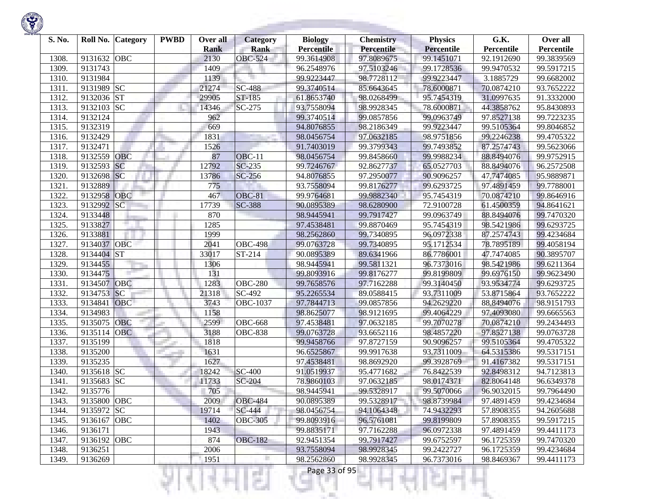

| S. No.         | Roll No.           | <b>Category</b> | <b>PWBD</b> | Over all     | Category             | <b>Biology</b>           | <b>Chemistry</b>         | <b>Physics</b>           | G.K.                     | Over all                 |
|----------------|--------------------|-----------------|-------------|--------------|----------------------|--------------------------|--------------------------|--------------------------|--------------------------|--------------------------|
|                |                    |                 |             | <b>Rank</b>  | <b>Rank</b>          | <b>Percentile</b>        | Percentile               | <b>Percentile</b>        | Percentile               | Percentile               |
| 1308.<br>1309. | 9131632<br>9131743 | <b>OBC</b>      |             | 2130<br>1409 | <b>OBC-524</b>       | 99.3614908<br>96.2548976 | 97.8089675<br>97.5103246 | 99.1451071<br>99.1728536 | 92.1912690<br>99.9470532 | 99.3839569<br>99.5917215 |
| 1310.          | 9131984            |                 |             | 1139         |                      | 99.9223447               | 98.7728112               | 99.9223447               | 3.1885729                | 99.6682002               |
| 1311.          | 9131989 SC         |                 |             | 21274        | $SC-488$             | 99.3740514               | 85.6643645               | 78.6000871               | 70.0874210               | 93.7652222               |
| 1312.          | 9132036 ST         |                 |             | 29905        | ST-185               | 61.8653740               | 98.0268499               | 95.7454319               | 31.0997635               | 91.3332000               |
| 1313.          | 9132103            | <b>SC</b>       |             | 14346        | SC-275               | 93.7558094               | 98.9928345               | 78.6000871               | 44.3858762               | 95.8430893               |
| 1314.          | 9132124            |                 |             | 962          |                      | 99.3740514               | 99.0857856               | 99.0963749               | 97.8527138               | 99.7223235               |
| 1315.          | 9132319            |                 |             | 669          |                      | 94.8076855               | 98.2186349               | 99.9223447               | 99.5105364               | 99.8046852               |
| 1316.          | 9132429            |                 |             | 1831         |                      | 98.0456754               | 97.0632185               | 98.9751856               | 99.2246238               | 99.4705322               |
| 1317.          | 9132471            |                 |             | 1526         |                      | 91.7403019               | 99.3799343               | 99.7493852               | 87.2574743               | 99.5623066               |
| 1318.          | 9132559            | OBC             |             | 87           | <b>OBC-11</b>        | 98.0456754               | 99.8458660               | 99.9988234               | 88.8494076               | 99.9752915               |
| 1319.          | 9132593            | <b>SC</b>       |             | 12792        | $SC-235$             | 99.7246767               | 92.8627737               | 65.0527703               | 88.8494076               | 96.2572508               |
| 1320.          | 9132698            | <b>SC</b>       |             | 13786        | $SC-256$             | 94.8076855               | 97.2950077               | 90.9096257               | 47.7474085               | 95.9889871               |
| 1321.          | 9132889            |                 |             | 775          |                      | 93.7558094               | 99.8176277               | 99.6293725               | 97.4891459               | 99.7788001               |
| 1322.          | 9132958            | <b>OBC</b>      |             | 467          | OBC-81               | 99.9764681               | 99.9882340               | 95.7454319               | 70.0874210               | 99.8646916               |
| 1323.          | 9132992            | SC              |             | 17739        | <b>SC-388</b>        | 90.0895389               | 98.6280900               | 72.9100728               | 61.4500359               | 94.8641621               |
| 1324.          | 9133448            |                 |             | 870          |                      | 98.9445941               | 99.7917427               | 99.0963749               | 88.8494076               | 99.7470320               |
| 1325.          | 9133827            |                 |             | 1285         |                      | 97.4538481               | 99.8870469               | 95.7454319               | 98.5421986               | 99.6293725               |
| 1326.          | 9133881            |                 |             | 1999         |                      | 98.2562860               | 99.7340895               | 96.0972338               | 87.2574743               | 99.4234684               |
| 1327.          | 9134037            | OBC             |             | 2041         | <b>OBC-498</b>       | 99.0763728               | 99.7340895               | 95.1712534               | 78.7895189               | 99.4058194               |
| 1328.          | 9134404 ST         |                 |             | 33017        | ST-214               | 90.0895389               | 89.6341966               | 86.7786001               | 47.7474085               | 90.3895707               |
| 1329.          | 9134455            |                 |             | 1306         |                      | 98.9445941               | 99.5811321               | 96.7373016               | 98.5421986               | 99.6211364               |
| 1330.          | 9134475            |                 |             | 131          |                      | 99.8093916               | 99.8176277               | 99.8199809               | 99.6976150               | 99.9623490               |
| 1331.          | 9134507            | OBC             |             | 1283         | <b>OBC-280</b>       | 99.7658576               | 97.7162288               | 99.3140450               | 93.9534774               | 99.6293725               |
| 1332.          | 9134753            | <b>SC</b>       |             | 21318        | SC-492               | 95.2265534               | 89.0588415               | 93.7311009               | 53.8715864               | 93.7652222               |
| 1333.          | 9134841            | <b>OBC</b>      |             | 3743         | <b>OBC-1037</b>      | 97.7844713               | 99.0857856               | 94.2629220               | 88.8494076               | 98.9151793               |
| 1334.          | 9134983            |                 |             | 1158         |                      | 98.8625077               | 98.9121695               | 99.4064229               | 97.4093080               | 99.6665563               |
| 1335.          | 9135075            | OBC             |             | 2599         | <b>OBC-668</b>       | 97.4538481               | 97.0632185               | 99.7070278               | 70.0874210               | 99.2434493               |
| 1336.          | 9135114            | <b>OBC</b>      |             | 3188         | <b>OBC-838</b>       | 99.0763728               | 93.6652116               | 98.4857220               | 97.8527138               | 99.0763728               |
| 1337.          | 9135199            |                 |             | 1818         |                      | 99.9458766               | 97.8727159               | 90.9096257               | 99.5105364               | 99.4705322               |
| 1338.          | 9135200            |                 |             | 1631         |                      | 96.6525867               | 99.9917638               | 93.7311009               | 64.5315386               | 99.5317151               |
| 1339.          | 9135235            |                 |             | 1627         |                      | 97.4538481               | 98.8692920               | 99.3928769               | 91.4167382               | 99.5317151               |
| 1340.          | 9135618 SC         |                 |             | 18242        | $\overline{SC}$ -400 | 91.0519937               | 95.4771682               | 76.8422539               | 92.8498312               | 94.7123813               |
| 1341.          | 9135683            | <b>SC</b>       |             | 11733        | SC-204               | 78.9860103               | 97.0632185               | 98.0174371               | 82.8064148               | 96.6349378               |
| 1342.          | 9135776            |                 |             | 705          |                      | 98.9445941               | 99.5328917               | 99.5070066               | 96.9032015               | 99.7964490               |
| 1343.          | 9135800 OBC        |                 |             | 2009         | <b>OBC-484</b>       | 90.0895389               | 99.5328917               | 98.8739984               | 97.4891459               | 99.4234684               |
| 1344.          | 9135972 SC         |                 |             | 19714        | SC-444               | 98.0456754               | 94.1064348               | 74.9432293               | 57.8908355               | 94.2605688               |
| 1345.          | 9136167 OBC        |                 |             | 1402         | <b>OBC-305</b>       | 99.8093916               | 96.5761081               | 99.8199809               | 57.8908355               | 99.5917215               |
| 1346.          | 9136171            |                 |             | 1943         |                      | 99.8835171               | 97.7162288               | 96.0972338               | 97.4891459               | 99.4411173               |
| 1347.          | 9136192 OBC        |                 |             | 874          | <b>OBC-182</b>       | 92.9451354               | 99.7917427               | 99.6752597               | 96.1725359               | 99.7470320               |
| 1348.          | 9136251            |                 |             | 2006         |                      | 93.7558094               | 98.9928345               | 99.2422727               | 96.1725359               | 99.4234684               |
| 1349.          | 9136269            |                 |             | 1951         |                      | 98.2562860               | 98.9928345               | 96.7373016               | 98.8469367               | 99.4411173               |
|                |                    |                 |             |              | s                    | Page 33 of 95            |                          |                          |                          |                          |

**State of Concession**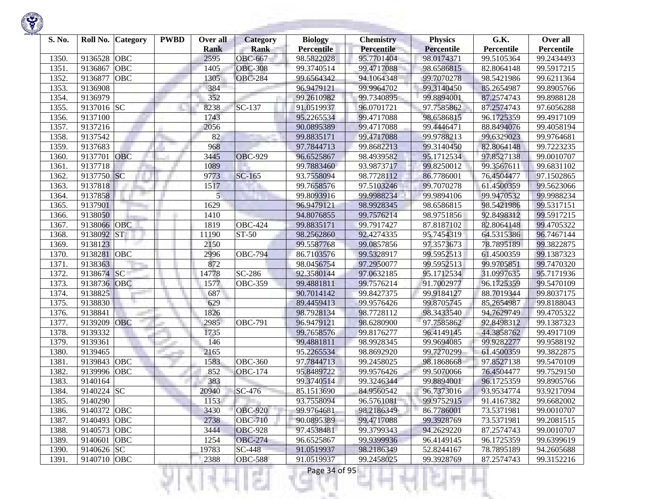

| S. No. | Roll No.    | <b>Category</b> | <b>PWBD</b> | Over all<br><b>Rank</b> | Category<br><b>Rank</b>   | <b>Biology</b><br><b>Percentile</b> | <b>Chemistry</b><br>Percentile | <b>Physics</b><br><b>Percentile</b> | G.K.                     | Over all<br>Percentile |
|--------|-------------|-----------------|-------------|-------------------------|---------------------------|-------------------------------------|--------------------------------|-------------------------------------|--------------------------|------------------------|
| 1350.  | 9136528     | <b>OBC</b>      |             | 2595                    | <b>OBC-667</b>            | 98.5822028                          | 95.7701404                     | 98.0174371                          | Percentile<br>99.5105364 | 99.2434493             |
| 1351.  | 9136867     | OBC             |             | 1405                    | <b>OBC-308</b>            | 99.3740514                          | 99.4717088                     | 98.6586815                          | 82.8064148               | 99.5917215             |
| 1352.  | 9136877     | OBC             |             | 1305                    | <b>OBC-284</b>            | 99.6564342                          | 94.1064348                     | 99.7070278                          | 98.5421986               | 99.6211364             |
| 1353.  | 9136908     |                 |             | 384                     |                           | 96.9479121                          | 99.9964702                     | 99.3140450                          | 85.2654987               | 99.8905766             |
| 1354.  | 9136979     |                 |             | 352                     |                           | 99.2610982                          | 99.7340895                     | 99.8894001                          | 87.2574743               | 99.8988128             |
| 1355.  | 9137016 SC  |                 |             | 8238                    | SC-137                    | 91.0519937                          | 96.0701721                     | 97.7585862                          | 87.2574743               | 97.6056288             |
| 1356.  | 9137100     |                 |             | 1743                    |                           | 95.2265534                          | 99.4717088                     | 98.6586815                          | 96.1725359               | 99.4917109             |
| 1357.  | 9137216     |                 |             | 2056                    |                           | 90.0895389                          | 99.4717088                     | 99.4446471                          | 88.8494076               | 99.4058194             |
| 1358.  | 9137542     |                 |             | 82                      |                           | 99.8835171                          | 99.4717088                     | 99.9788213                          | 99.6329023               | 99.9764681             |
| 1359.  | 9137683     |                 |             | 968                     |                           | 97.7844713                          | 99.8682213                     | 99.3140450                          | 82.8064148               | 99.7223235             |
| 1360.  | 9137701     | OBC             |             | 3445                    | <b>OBC-929</b>            | 96.6525867                          | 98.4939582                     | 95.1712534                          | 97.8527138               | 99.0010707             |
| 1361.  | 9137718     |                 |             | 1089                    |                           | 99.7883460                          | 93.9873717                     | 99.8250012                          | 99.3567611               | 99.6831102             |
| 1362.  | 9137750 SC  |                 |             | 9773                    | SC-165                    | 93.7558094                          | 98.7728112                     | 86.7786001                          | 76.4504477               | 97.1502865             |
| 1363.  | 9137818     |                 |             | 1517                    |                           | 99.7658576                          | 97.5103246                     | 99.7070278                          | 61.4500359               | 99.5623066             |
| 1364.  | 9137858     |                 |             | 5                       |                           | 99.8093916                          | 99.9988234                     | 99.9894106                          | 99.9470532               | 99.9988234             |
| 1365.  | 9137901     |                 |             | 1629                    |                           | 96.9479121                          | 98.9928345                     | 98.6586815                          | 98.5421986               | 99.5317151             |
| 1366.  | 9138050     |                 |             | 1410                    |                           | 94.8076855                          | 99.7576214                     | 98.9751856                          | 92.8498312               | 99.5917215             |
| 1367.  | 9138066     | <b>OBC</b>      |             | 1819                    | <b>OBC-424</b>            | 99.8835171                          | 99.7917427                     | 87.8187102                          | 82.8064148               | 99.4705322             |
| 1368.  | 9138092     | <b>ST</b>       |             | 11190                   | $\overline{\text{ST-50}}$ | 98.2562860                          | 92.4274335                     | 95.7454319                          | 64.5315386               | 96.7467144             |
| 1369.  | 9138123     |                 |             | 2150                    |                           | 99.5587768                          | 99.0857856                     | 97.3573673                          | 78.7895189               | 99.3822875             |
| 1370.  | 9138281     | <b>OBC</b>      |             | 2996                    | <b>OBC-794</b>            | 86.7103576                          | 99.5328917                     | 99.5952513                          | 61.4500359               | 99.1387323             |
| 1371.  | 9138363     |                 |             | 872                     |                           | 98.0456754                          | 97.2950077                     | 99.5952513                          | 99.9705851               | 99.7470320             |
| 1372.  | 9138674     | SC              |             | 14778                   | SC-286                    | 92.3580144                          | 97.0632185                     | 95.1712534                          | 31.0997635               | 95.7171936             |
| 1373.  | 9138736     | OBC             |             | 1577                    | <b>OBC-359</b>            | 99.4881811                          | 99.7576214                     | 91.7002977                          | 96.1725359               | 99.5470109             |
| 1374.  | 9138825     |                 |             | 687                     |                           | 90.7014142                          | 99.8427375                     | 99.9184127                          | 88.7019344               | 99.8037175             |
| 1375.  | 9138830     |                 |             | 629                     |                           | 89.4459413                          | 99.9576426                     | 99.8705745                          | 85.2654987               | 99.8188043             |
| 1376.  | 9138841     |                 |             | 1826                    |                           | 98.7928134                          | 98.7728112                     | 98.3433540                          | 94.7629749               | 99.4705322             |
| 1377.  | 9139209     | OBC             |             | 2985                    | OBC-791                   | 96.9479121                          | 98.6280900                     | 97.7585862                          | 92.8498312               | 99.1387323             |
| 1378.  | 9139332     |                 |             | 1735                    |                           | 99.7658576                          | 99.8176277                     | 96.4149145                          | 44.3858762               | 99.4917109             |
| 1379.  | 9139361     |                 |             | 146                     |                           | 99.4881811                          | 98.9928345                     | 99.9694085                          | 99.9282277               | 99.9588192             |
| 1380.  | 9139465     |                 |             | 2165                    |                           | 95.2265534                          | 98.8692920                     | 99.7270299                          | 61.4500359               | 99.3822875             |
| 1381.  | 9139843     | <b>OBC</b>      |             | 1583                    | <b>OBC-360</b>            | 97.7844713                          | 99.2458025                     | 98.1868668                          | 97.8527138               | 99.5470109             |
| 1382.  | 9139996     | <b>OBC</b>      |             | 852                     | <b>OBC-174</b>            | 95.8489722                          | 99.9576426                     | 99.5070066                          | 76.4504477               | 99.7529150             |
| 1383.  | 9140164     |                 |             | 383                     |                           | 99.3740514                          | 99.3246344                     | 99.8894001                          | 96.1725359               | 99.8905766             |
| 1384.  | 9140224 SC  |                 |             | 20940                   | SC-476                    | 85.1513690                          | 84.9560542                     | 96.7373016                          | 93.9534774               | 93.9217094             |
| 1385.  | 9140290     |                 |             | 1153                    |                           | 93.7558094                          | 96.5761081                     | 99.9752915                          | 91.4167382               | 99.6682002             |
| 1386.  | 9140372 OBC |                 |             | 3430                    | <b>OBC-920</b>            | 99.9764681                          | 98.2186349                     | 86.7786001                          | 73.5371981               | 99.0010707             |
| 1387.  | 9140493 OBC |                 |             | 2738                    | <b>OBC-710</b>            | 90.0895389                          | 99.4717088                     | 99.3928769                          | 73.5371981               | 99.2081515             |
| 1388.  | 9140573 OBC |                 |             | 3444                    | <b>OBC-928</b>            | 97.4538481                          | 99.3799343                     | 94.2629220                          | 87.2574743               | 99.0010707             |
| 1389.  | 9140601     | <b>OBC</b>      |             | 1254                    | <b>OBC-274</b>            | 96.6525867                          | 99.9399936                     | 96.4149145                          | 96.1725359               | 99.6399619             |
| 1390.  | 9140626 SC  |                 |             | 19783                   | SC-448                    | 91.0519937                          | 98.2186349                     | 52.8244167                          | 78.7895189               | 94.2605688             |
| 1391.  | 9140710 OBC |                 |             | 2388                    | <b>OBC-588</b>            | 91.0519937                          | 99.2458025                     | 99.3928769                          | 87.2574743               | 99.3152216             |
|        |             |                 |             |                         | s                         | Page 34 of 95                       |                                |                                     |                          |                        |

**STATISTICS** 

**State Controller**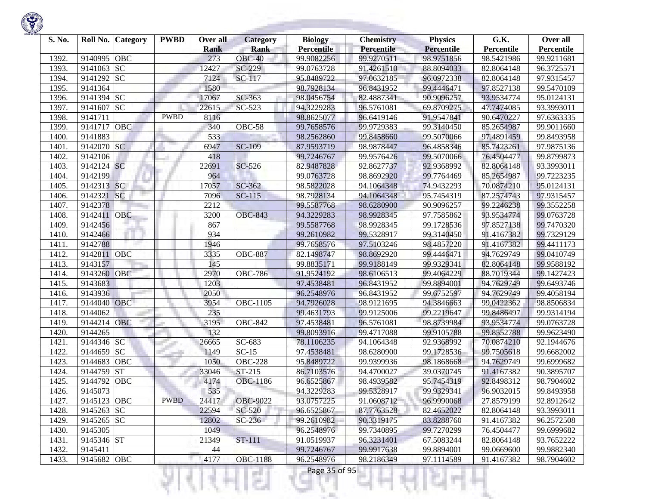| S. No. | Roll No. Category       |            | <b>PWBD</b> | Over all<br><b>Rank</b> | Category<br><b>Rank</b> | <b>Biology</b><br><b>Percentile</b> | <b>Chemistry</b><br>Percentile | <b>Physics</b><br><b>Percentile</b> | G.K.<br>Percentile | Over all<br>Percentile |
|--------|-------------------------|------------|-------------|-------------------------|-------------------------|-------------------------------------|--------------------------------|-------------------------------------|--------------------|------------------------|
| 1392.  | 9140995                 | OBC        |             | 273                     | $OBC-40$                | 99.9082256                          | 99.9270511                     | 98.9751856                          | 98.5421986         | 99.9211681             |
| 1393.  | 9141063                 | <b>SC</b>  |             | 12427                   | SC-229                  | 99.0763728                          | 91.4261510                     | 88.8094033                          | 82.8064148         | 96.3725571             |
| 1394.  | 9141292 SC              |            |             | 7124                    | SC-117                  | 95.8489722                          | 97.0632185                     | 96.0972338                          | 82.8064148         | 97.9315457             |
| 1395.  | 9141364                 |            |             | 1580                    |                         | 98.7928134                          | 96.8431952                     | 99.4446471                          | 97.8527138         | 99.5470109             |
| 1396.  | 9141394 SC              |            |             | 17067                   | SC-363                  | 98.0456754                          | 82.4887341                     | 90.9096257                          | 93.9534774         | 95.0124131             |
| 1397.  | 9141607                 | <b>SC</b>  |             | 22615                   | SC-523                  | 94.3229283                          | 96.5761081                     | 69.8709275                          | 47.7474085         | 93.3993011             |
| 1398.  | 9141711                 |            | <b>PWBD</b> | 8116                    |                         | 98.8625077                          | 96.6419146                     | 91.9547841                          | 90.6470227         | 97.6363335             |
| 1399.  | 9141717                 | OBC        |             | 340                     | OBC-58                  | 99.7658576                          | 99.9729383                     | 99.3140450                          | 85.2654987         | 99.9011660             |
| 1400.  | 9141883                 |            |             | 533                     |                         | 98.2562860                          | 99.8458660                     | 99.5070066                          | 97.4891459         | 99.8493958             |
| 1401.  | 9142070 SC              |            |             | 6947                    | <b>SC-109</b>           | 87.9593719                          | 98.9878447                     | 96.4858346                          | 85.7423261         | 97.9875136             |
| 1402.  | 9142106                 |            |             | 418                     |                         | 99.7246767                          | 99.9576426                     | 99.5070066                          | 76.4504477         | 99.8799873             |
| 1403.  | 9142124 SC              |            |             | 22691                   | $SC-526$                | 82.9487828                          | 92.8627737                     | 92.9368992                          | 82.8064148         | 93.3993011             |
| 1404.  | 9142199                 |            |             | 964                     |                         | 99.0763728                          | 98.8692920                     | 99.7764469                          | 85.2654987         | 99.7223235             |
| 1405.  | 9142313                 | SC         |             | 17057                   | SC-362                  | 98.5822028                          | 94.1064348                     | 74.9432293                          | 70.0874210         | 95.0124131             |
| 1406.  | 9142321                 | SC         |             | 7096                    | $SC-115$                | 98.7928134                          | 94.1064348                     | 95.7454319                          | 87.2574743         | 97.9315457             |
| 1407.  | 9142378                 |            |             | 2212                    |                         | 99.5587768                          | 98.6280900                     | 90.9096257                          | 99.2246238         | 99.3552258             |
| 1408.  | 9142411                 | OBC        |             | 3200                    | <b>OBC-843</b>          | 94.3229283                          | 98.9928345                     | 97.7585862                          | 93.9534774         | 99.0763728             |
| 1409.  | 9142456                 |            |             | 867                     |                         | 99.5587768                          | 98.9928345                     | 99.1728536                          | 97.8527138         | 99.7470320             |
| 1410.  | 9142466                 |            |             | 934                     |                         | 99.2610982                          | 99.5328917                     | 99.3140450                          | 91.4167382         | 99.7329129             |
| 1411.  | 9142788                 |            |             | 1946                    |                         | 99.7658576                          | 97.5103246                     | 98.4857220                          | 91.4167382         | 99.4411173             |
| 1412.  | 9142811                 | <b>OBC</b> |             | 3335                    | <b>OBC-887</b>          | 82.1498747                          | 98.8692920                     | 99.4446471                          | 94.7629749         | 99.0410749             |
| 1413.  | 9143157                 |            |             | 145                     |                         | 99.8835171                          | 99.9188149                     | 99.9329341                          | 82.8064148         | 99.9588192             |
| 1414.  | 9143260                 | OBC        |             | 2970                    | <b>OBC-786</b>          | 91.9524192                          | 98.6106513                     | 99.4064229                          | 88.7019344         | 99.1427423             |
| 1415.  | 9143683                 |            |             | 1203                    |                         | 97.4538481                          | 96.8431952                     | 99.8894001                          | 94.7629749         | 99.6493746             |
| 1416.  | 9143936                 |            |             | 2050                    |                         | 96.2548976                          | 96.8431952                     | 99.6752597                          | 94.7629749         | 99.4058194             |
| 1417.  | 9144040 OBC             |            |             | 3954                    | OBC-1105                | 94.7926028                          | 98.9121695                     | 94.3846663                          | 99.0422362         | 98.8506834             |
| 1418.  | 9144062                 |            |             | 235                     |                         | 99.4631793                          | 99.9125006                     | 99.2219647                          | 99.8486497         | 99.9314194             |
| 1419.  | 9144214 OBC             |            |             | 3195                    | <b>OBC-842</b>          | 97.4538481                          | 96.5761081                     | 98.8739984                          | 93.9534774         | 99.0763728             |
| 1420.  | 9144265                 |            |             | 132                     |                         | 99.8093916                          | 99.4717088                     | 99.9105788                          | 99.8552788         | 99.9623490             |
| 1421.  | 9144346 SC              |            |             | 26665                   | SC-683                  | 78.1106235                          | 94.1064348                     | 92.9368992                          | 70.0874210         | 92.1944676             |
| 1422.  | 9144659                 | <b>SC</b>  |             | 1149                    | $SC-15$                 | 97.4538481                          | 98.6280900                     | 99.1728536                          | 99.7505618         | 99.6682002             |
| 1423.  | 9144683                 | OBC        |             | 1050                    | <b>OBC-228</b>          | 95.8489722                          | 99.9399936                     | 98.1868668                          | 94.7629749         | 99.6999682             |
| 1424.  | 9144759                 | <b>ST</b>  |             | 33046                   | ST-215                  | 86.7103576                          | 94.4700027                     | 39.0370745                          | 91.4167382         | 90.3895707             |
| 1425.  | 9144792                 | OBC        |             | 4174                    | OBC-1186                | 96.6525867                          | 98.4939582                     | 95.7454319                          | 92.8498312         | 98.7904602             |
| 1426.  | 9145073                 |            |             | 535                     |                         | 94.3229283                          | 99.5328917                     | 99.9329341                          | 96.9032015         | 99.8493958             |
| 1427.  | 9145123 OBC             |            | <b>PWBD</b> | 24417                   | <b>OBC-9022</b>         | 93.0757225                          | 91.0608712                     | 96.9990068                          | 27.8579199         | 92.8912642             |
| 1428.  | $\overline{9145263}$ SC |            |             | 22594                   | SC-520                  | 96.6525867                          | 87.7763528                     | 82.4652022                          | 82.8064148         | 93.3993011             |
| 1429.  | 9145265 SC              |            |             | 12802                   | $SC-236$                | 99.2610982                          | 90.3319175                     | 83.8288760                          | 91.4167382         | 96.2572508             |
| 1430.  | 9145305                 |            |             | 1049                    |                         | 96.2548976                          | 99.7340895                     | 99.7270299                          | 76.4504477         | 99.6999682             |
| 1431.  | 9145346 ST              |            |             | 21349                   | ST-111                  | 91.0519937                          | 96.3231401                     | 67.5083244                          | 82.8064148         | 93.7652222             |
| 1432.  | 9145411                 |            |             | 44                      |                         | 99.7246767                          | 99.9917638                     | 99.8894001                          | 99.0669600         | 99.9882340             |
| 1433.  | 9145682 OBC             |            |             | 4177                    | <b>OBC-1188</b>         | 96.2548976                          | 98.2186349                     | 97.1114589                          | 91.4167382         | 98.7904602             |
|        |                         |            |             |                         |                         | Page 35 of 95                       |                                |                                     |                    |                        |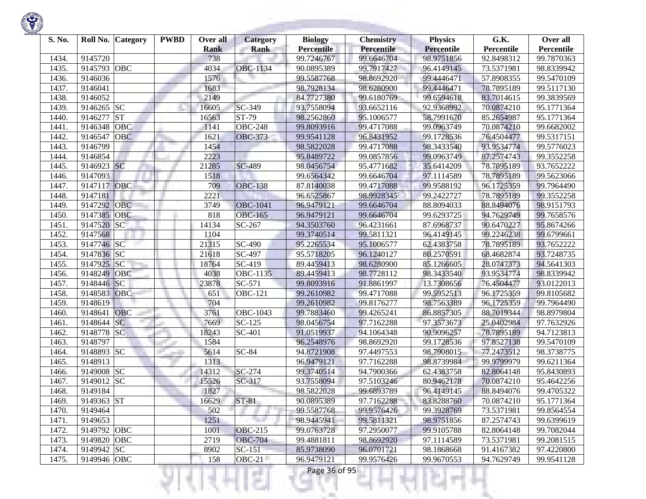

| S. No. |             | Roll No. Category | <b>PWBD</b> | Over all<br><b>Rank</b> | Category<br><b>Rank</b> | <b>Biology</b><br><b>Percentile</b> | <b>Chemistry</b><br>Percentile | <b>Physics</b><br><b>Percentile</b> | G.K.<br>Percentile | Over all<br>Percentile |
|--------|-------------|-------------------|-------------|-------------------------|-------------------------|-------------------------------------|--------------------------------|-------------------------------------|--------------------|------------------------|
| 1434.  | 9145720     |                   |             | 738                     |                         | 99.7246767                          | 99.6646704                     | 98.9751856                          | 92.8498312         | 99.7870363             |
| 1435.  | 9145793     | OBC               |             | 4034                    | <b>OBC-1134</b>         | 90.0895389                          | 99.7917427                     | 96.4149145                          | 73.5371981         | 98.8339942             |
| 1436.  | 9146036     |                   |             | 1576                    |                         | 99.5587768                          | 98.8692920                     | 99.4446471                          | 57.8908355         | 99.5470109             |
| 1437.  | 9146041     |                   |             | 1683                    |                         | 98.7928134                          | 98.6280900                     | 99.4446471                          | 78.7895189         | 99.5117130             |
| 1438.  | 9146052     |                   |             | 2149                    |                         | 84.7727380                          | 99.6180769                     | 99.6594618                          | 83.7014615         | 99.3839569             |
| 1439.  | 9146265 SC  |                   |             | 16605                   | SC-349                  | 93.7558094                          | 93.6652116                     | 92.9368992                          | 70.0874210         | 95.1771364             |
| 1440.  | 9146277     | <b>ST</b>         |             | 16563                   | ST-79                   | 98.2562860                          | 95.1006577                     | 58.7991670                          | 85.2654987         | 95.1771364             |
| 1441.  | 9146348     | <b>OBC</b>        |             | 1141                    | <b>OBC-248</b>          | 99.8093916                          | 99.4717088                     | 99.0963749                          | 70.0874210         | 99.6682002             |
| 1442.  | 9146547     | <b>OBC</b>        |             | 1621                    | <b>OBC-373</b>          | 99.9541128                          | 96.8431952                     | 99.1728536                          | 76.4504477         | 99.5317151             |
| 1443.  | 9146799     |                   |             | 1454                    |                         | 98.5822028                          | 99.4717088                     | 98.3433540                          | 93.9534774         | 99.5776023             |
| 1444.  | 9146854     |                   |             | 2223                    |                         | 95.8489722                          | 99.0857856                     | 99.0963749                          | 87.2574743         | 99.3552258             |
| 1445.  | 9146923 SC  |                   |             | 21285                   | <b>SC-489</b>           | 98.0456754                          | 95.4771682                     | 35.6414209                          | 78.7895189         | 93.7652222             |
| 1446.  | 9147093     |                   |             | 1518                    |                         | 99.6564342                          | 99.6646704                     | 97.1114589                          | 78.7895189         | 99.5623066             |
| 1447.  | 9147117     | OBC               |             | 709                     | <b>OBC-138</b>          | 87.8140038                          | 99.4717088                     | 99.9588192                          | 96.1725359         | 99.7964490             |
| 1448.  | 9147181     |                   |             | 2221                    |                         | 96.6525867                          | 98.9928345                     | 99.2422727                          | 78.7895189         | 99.3552258             |
| 1449.  | 9147292     | <b>OBC</b>        |             | 3749                    | <b>OBC-1041</b>         | 96.9479121                          | 99.6646704                     | 88.8094033                          | 88.8494076         | 98.9151793             |
| 1450.  | 9147385     | OBC               |             | 818                     | <b>OBC-165</b>          | 96.9479121                          | 99.6646704                     | 99.6293725                          | 94.7629749         | 99.7658576             |
| 1451.  | 9147520     | <b>SC</b>         |             | 14134                   | SC-267                  | 94.3503760                          | 96.4231661                     | 87.6968737                          | 90.6470227         | 95.8674266             |
| 1452.  | 9147568     |                   |             | 1104                    |                         | 99.3740514                          | 99.5811321                     | 96.4149145                          | 99.2246238         | 99.6799661             |
| 1453.  | 9147746 SC  |                   |             | 21315                   | $\overline{SC}$ -490    | 95.2265534                          | 95.1006577                     | 62.4383758                          | 78.7895189         | 93.7652222             |
| 1454.  | 9147836 SC  |                   |             | 21618                   | $\overline{SC}$ -497    | 95.5718205                          | 96.1240127                     | 80.2570591                          | 68.4682874         | 93.7248735             |
| 1455.  | 9147925     | SC                |             | 18764                   | SC-419                  | 89.4459413                          | 98.6280900                     | 85.1266605                          | 28.0747373         | 94.5641303             |
| 1456.  | 9148249     | OBC               |             | 4038                    | OBC-1135                | 89.4459413                          | 98.7728112                     | 98.3433540                          | 93.9534774         | 98.8339942             |
| 1457.  | 9148446     | SC                |             | 23878                   | SC-571                  | 99.8093916                          | 91.8861997                     | 13.7308656                          | 76.4504477         | 93.0122013             |
| 1458.  | 9148583     | <b>OBC</b>        |             | 651                     | <b>OBC-121</b>          | 99.2610982                          | 99.4717088                     | 99.5952513                          | 96.1725359         | 99.8105682             |
| 1459.  | 9148619     |                   |             | 704                     |                         | 99.2610982                          | 99.8176277                     | 98.7563389                          | 96.1725359         | 99.7964490             |
| 1460.  | 9148641     | <b>OBC</b>        |             | 3761                    | $\overline{O}$ BC-1043  | 99.7883460                          | 99.4265241                     | 86.8857305                          | 88.7019344         | 98.8979804             |
| 1461.  | 9148644     | <b>SC</b>         |             | 7669                    | $\overline{SC}$ -125    | 98.0456754                          | 97.7162288                     | 97.3573673                          | 25.0402984         | 97.7632926             |
| 1462.  | 9148778     | <b>SC</b>         |             | 18243                   | SC-401                  | 91.0519937                          | 94.1064348                     | 90.9096257                          | 78.7895189         | 94.7123813             |
| 1463.  | 9148797     |                   |             | 1584                    |                         | 96.2548976                          | 98.8692920                     | 99.1728536                          | 97.8527138         | 99.5470109             |
| 1464.  | 9148893 SC  |                   |             | 5614                    | $SC-84$                 | 94.8721908                          | 97.4497553                     | 98.7908015                          | 77.2473512         | 98.3738775             |
| 1465.  | 9148913     |                   |             | 1313                    |                         | 96.9479121                          | 97.7162288                     | 98.8739984                          | 99.9799979         | 99.6211364             |
| 1466.  | 9149008     | <b>SC</b>         |             | 14312                   | $SC-274$                | 99.3740514                          | 94.7900366                     | 62.4383758                          | 82.8064148         | 95.8430893             |
| 1467.  | 9149012 SC  |                   |             | 15526                   | SC-317                  | 93.7558094                          | 97.5103246                     | 80.9462178                          | 70.0874210         | 95.4642256             |
| 1468.  | 9149184     |                   |             | 1827                    |                         | 98.5822028                          | 99.6893789                     | 96.4149145                          | 88.8494076         | 99.4705322             |
| 1469.  | 9149363 ST  |                   |             | 16629                   | $ST-81$                 | 90.0895389                          | 97.7162288                     | 83.8288760                          | 70.0874210         | 95.1771364             |
| 1470.  | 9149464     |                   |             | 502                     |                         | 99.5587768                          | 99.9576426                     | 99.3928769                          | 73.5371981         | 99.8564554             |
| 1471.  | 9149653     |                   |             | 1251                    | n e                     | 98.9445941                          | 99.5811321                     | 98.9751856                          | 87.2574743         | 99.6399619             |
| 1472.  | 9149792 OBC |                   |             | 1001                    | <b>OBC-215</b>          | 99.0763728                          | 97.2950077                     | 99.9105788                          | 82.8064148         | 99.7082044             |
| 1473.  | 9149820 OBC |                   |             | 2719                    | <b>OBC-704</b>          | 99.4881811                          | 98.8692920                     | 97.1114589                          | 73.5371981         | 99.2081515             |
| 1474.  | 9149942 SC  |                   |             | 8902                    | $SC-151$                | 85.9738090                          | 96.0701721                     | 98.1868668                          | 91.4167382         | 97.4220800             |
| 1475.  | 9149946 OBC |                   |             | 158                     | $OBC-21$                | 96.9479121                          | 99.9576426                     | 99.9670553                          | 94.7629749         | 99.9541128             |
|        |             |                   |             |                         | a Tin                   | Page 36 of 95                       |                                |                                     |                    |                        |

**Company of the Company** 

**State of Concession**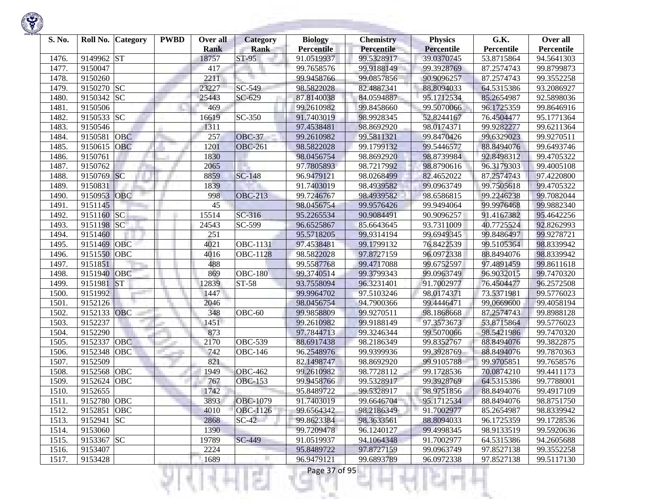

| S. No. | Roll No.<br><b>Category</b> | <b>PWBD</b> | Over all             | Category             | <b>Biology</b>                  | <b>Chemistry</b><br><b>Percentile</b> | <b>Physics</b>                  | G.K.                     | Over all                 |
|--------|-----------------------------|-------------|----------------------|----------------------|---------------------------------|---------------------------------------|---------------------------------|--------------------------|--------------------------|
| 1476.  | <b>ST</b><br>9149962        |             | <b>Rank</b><br>18757 | <b>Rank</b><br>ST-95 | <b>Percentile</b><br>91.0519937 | 99.5328917                            | <b>Percentile</b><br>39.0370745 | Percentile<br>53.8715864 | Percentile<br>94.5641303 |
| 1477.  | 9150047                     |             | 417                  |                      | 99.7658576                      | 99.9188149                            | 99.3928769                      | 87.2574743               | 99.8799873               |
| 1478.  | 9150260                     |             | 2211                 |                      | 99.9458766                      | 99.0857856                            | 90.9096257                      | 87.2574743               | 99.3552258               |
| 1479.  | 9150270 SC                  |             | 23227                | SC-549               | 98.5822028                      | 82.4887341                            | 88.8094033                      |                          | 93.2086927               |
|        |                             |             |                      |                      |                                 |                                       | 95.1712534                      | 64.5315386               | 92.5898036               |
| 1480.  | 9150342 SC                  |             | 25443                | SC-629               | 87.8140038                      | 84.0594887                            |                                 | 85.2654987               |                          |
| 1481.  | 9150506                     |             | 469                  |                      | 99.2610982                      | 99.8458660                            | 99.5070066                      | 96.1725359               | 99.8646916               |
| 1482.  | 9150533 SC                  |             | 16619                | SC-350               | 91.7403019                      | 98.9928345                            | 52.8244167                      | 76.4504477               | 95.1771364               |
| 1483.  | 9150546                     |             | 1311                 |                      | 97.4538481                      | 98.8692920                            | 98.0174371                      | 99.9282277               | 99.6211364               |
| 1484.  | <b>OBC</b><br>9150581       |             | 257                  | <b>OBC-37</b>        | 99.2610982                      | 99.5811321                            | 99.8470426                      | 99.6329023               | 99.9270511               |
| 1485.  | OBC<br>9150615              |             | 1201                 | <b>OBC-261</b>       | 98.5822028                      | 99.1799132                            | 99.5446577                      | 88.8494076               | 99.6493746               |
| 1486.  | 9150761                     |             | 1830                 |                      | 98.0456754                      | 98.8692920                            | 98.8739984                      | 92.8498312               | 99.4705322               |
| 1487.  | 9150762                     |             | 2065                 |                      | 97.7805893                      | 98.7217992                            | 98.8790616                      | 96.3179303               | 99.4005108               |
| 1488.  | 9150769 SC                  |             | 8859                 | <b>SC-148</b>        | 96.9479121                      | 98.0268499                            | 82.4652022                      | 87.2574743               | 97.4220800               |
| 1489.  | 9150831                     |             | 1839                 |                      | 91.7403019                      | 98.4939582                            | 99.0963749                      | 99.7505618               | 99.4705322               |
| 1490.  | 9150953<br>OBC              |             | 998                  | <b>OBC-213</b>       | 99.7246767                      | 98.4939582                            | 98.6586815                      | 99.2246238               | 99.7082044               |
| 1491.  | 9151145                     |             | 45                   |                      | 98.0456754                      | 99.9576426                            | 99.9494064                      | 99.9976468               | 99.9882340               |
| 1492.  | <b>SC</b><br>9151160        |             | 15514                | SC-316               | 95.2265534                      | 90.9084491                            | 90.9096257                      | 91.4167382               | 95.4642256               |
| 1493.  | 9151198<br><b>SC</b>        |             | 24543                | SC-599               | 96.6525867                      | 85.6643645                            | 93.7311009                      | 40.7725524               | 92.8262993               |
| 1494.  | 9151460                     |             | 251                  |                      | 95.5718205                      | 99.9314194                            | 99.6949345                      | 99.8486497               | 99.9278721               |
| 1495.  | 9151469<br><b>OBC</b>       |             | 4021                 | OBC-1131             | 97.4538481                      | 99.1799132                            | 76.8422539                      | 99.5105364               | 98.8339942               |
| 1496.  | OBC<br>9151550              |             | 4016                 | <b>OBC-1128</b>      | 98.5822028                      | 97.8727159                            | 96.0972338                      | 88.8494076               | 98.8339942               |
| 1497.  | 9151851                     |             | 488                  |                      | 99.5587768                      | 99.4717088                            | 99.6752597                      | 97.4891459               | 99.8611618               |
| 1498.  | OBC<br>9151940              |             | 869                  | <b>OBC-180</b>       | 99.3740514                      | 99.3799343                            | 99.0963749                      | 96.9032015               | 99.7470320               |
| 1499.  | <b>ST</b><br>9151981        |             | 12839                | ST-58                | 93.7558094                      | 96.3231401                            | 91.7002977                      | 76.4504477               | 96.2572508               |
| 1500.  | 9151992                     |             | 1447                 |                      | 99.9964702                      | 97.5103246                            | 98.0174371                      | 73.5371981               | 99.5776023               |
| 1501.  | 9152126                     |             | 2046                 |                      | 98.0456754                      | 94.7900366                            | 99.4446471                      | 99.0669600               | 99.4058194               |
| 1502.  | OBC<br>9152133              |             | 348                  | $\overline{O}$ BC-60 | 99.9858809                      | 99.9270511                            | 98.1868668                      | 87.2574743               | 99.8988128               |
| 1503.  | 9152237                     |             | 1451                 |                      | 99.2610982                      | 99.9188149                            | 97.3573673                      | 53.8715864               | 99.5776023               |
| 1504.  | 9152290                     |             | 873                  |                      | 97.7844713                      | 99.3246344                            | 99.5070066                      | 98.5421986               | 99.7470320               |
| 1505.  | 9152337<br><b>OBC</b>       |             | 2170                 | <b>OBC-539</b>       | 88.6917438                      | 98.2186349                            | 99.8352767                      | 88.8494076               | 99.3822875               |
| 1506.  | 9152348<br>OBC              |             | 742                  | <b>OBC-146</b>       | 96.2548976                      | 99.9399936                            | 99.3928769                      | 88.8494076               | 99.7870363               |
| 1507.  | 9152509                     |             | 821                  |                      | 82.1498747                      | 98.8692920                            | 99.9105788                      | 99.9705851               | 99.7658576               |
| 1508.  | OBC<br>9152568              |             | 1949                 | <b>OBC-462</b>       | 99.2610982                      | 98.7728112                            | 99.1728536                      | 70.0874210               | 99.4411173               |
| 1509.  | OBC<br>9152624              |             | 767                  | <b>OBC-153</b>       | 99.9458766                      | 99.5328917                            | 99.3928769                      | 64.5315386               | 99.7788001               |
| 1510.  | 9152655                     |             | 1742                 |                      | 95.8489722                      | 99.5328917                            | 98.9751856                      | 88.8494076               | 99.4917109               |
| 1511.  | 9152780 OBC                 |             | 3893                 | <b>OBC-1079</b>      | 91.7403019                      | 99.6646704                            | 95.1712534                      | 88.8494076               | 98.8751750               |
| 1512.  | 9152851 OBC                 |             | 4010                 | OBC-1126             | 99.6564342                      | 98.2186349                            | 91.7002977                      | 85.2654987               | 98.8339942               |
| 1513.  | 9152941 SC                  |             | 2868                 | $SC-42$              | 99.8623384                      | 98.3633561                            | 88.8094033                      | 96.1725359               | 99.1728536               |
| 1514.  | 9153060                     |             | 1390                 |                      | 99.7209478                      | 96.1240127                            | 99.4998345                      | 98.9133519               | 99.5920636               |
| 1515.  | 9153367 SC                  |             | 19789                | SC-449               | 91.0519937                      | 94.1064348                            | 91.7002977                      | 64.5315386               | 94.2605688               |
| 1516.  | 9153407                     |             | 2224                 |                      | 95.8489722                      | 97.8727159                            | 99.0963749                      | 97.8527138               | 99.3552258               |
| 1517.  | 9153428                     |             | 1689                 | l.                   | 96.9479121                      | 99.6893789                            | 96.0972338                      | 97.8527138               | 99.5117130               |

Ν,

H

n

K.

x

KH.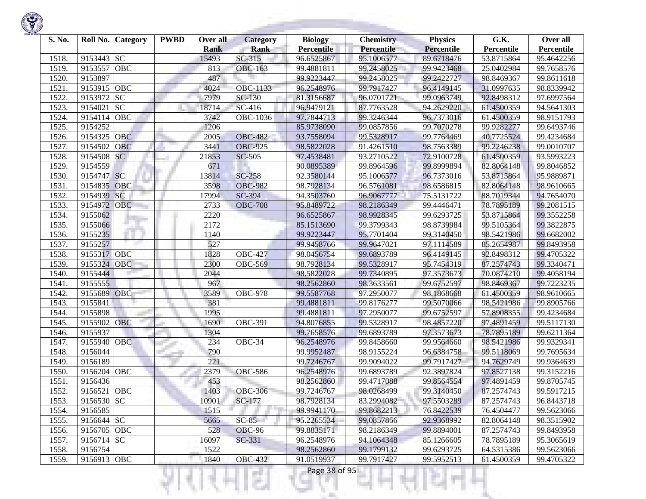| S. No. | Roll No.           | <b>Category</b> | <b>PWBD</b> | Over all<br><b>Rank</b> | <b>Category</b><br><b>Rank</b> | <b>Biology</b><br><b>Percentile</b> | <b>Chemistry</b><br>Percentile | <b>Physics</b><br><b>Percentile</b> | G.K.<br>Percentile | Over all<br>Percentile   |
|--------|--------------------|-----------------|-------------|-------------------------|--------------------------------|-------------------------------------|--------------------------------|-------------------------------------|--------------------|--------------------------|
| 1518.  | 9153443            | <b>SC</b>       |             | 15493                   | $SC-315$                       | 96.6525867                          | 95.1006577                     | 89.6718476                          | 53.8715864         | 95.4642256               |
| 1519.  | 9153557            | <b>OBC</b>      |             | 813                     | <b>OBC-163</b>                 | 99.4881811                          | 99.2458025                     | 99.9423468                          | 25.0402984         | 99.7658576               |
| 1520   | 9153897            |                 |             | 487                     |                                | 99.9223447                          | 99.2458025                     | 99.2422727                          | 98.8469367         | 99.8611618               |
| 1521.  | 9153915            | <b>OBC</b>      |             | 4024                    | OBC-1133                       | 96.2548976                          | 99.7917427                     | 96.4149145                          | 31.0997635         | 98.8339942               |
| 1522.  | 9153972            | <b>SC</b>       |             | 7979                    | SC-130                         | 81.3156687                          | 96.0701721                     | 99.0963749                          | 92.8498312         | 97.6997564               |
|        | 9154021            | SC              |             | 18714                   | SC-416                         |                                     |                                | 94.2629220                          | 61.4500359         |                          |
| 1523.  |                    |                 |             |                         |                                | 96.9479121                          | 87.7763528                     |                                     |                    | 94.5641303<br>98.9151793 |
| 1524.  | 9154114<br>9154252 | OBC             |             | 3742                    | <b>OBC-1036</b>                | 97.7844713                          | 99.3246344                     | 96.7373016                          | 61.4500359         |                          |
| 1525.  |                    |                 |             | 1206                    |                                | 85.9738090                          | 99.0857856                     | 99.7070278                          | 99.9282277         | 99.6493746               |
| 1526.  | 9154325            | <b>OBC</b>      |             | 2005                    | <b>OBC-482</b>                 | 93.7558094                          | 99.5328917                     | 99.7764469                          | 40.7725524         | 99.4234684               |
| 1527.  | 9154502            | OBC             |             | 3441                    | <b>OBC-925</b>                 | 98.5822028                          | 91.4261510                     | 98.7563389                          | 99.2246238         | 99.0010707               |
| 1528.  | 9154508            | SC              |             | 21853                   | <b>SC-505</b>                  | 97.4538481                          | 93.2710522                     | 72.9100728                          | 61.4500359         | 93.5993223               |
| 1529   | 9154559            |                 |             | 671                     |                                | 90.0895389                          | 99.8964596                     | 99.8999894                          | 82.8064148         | 99.8046852               |
| 1530.  | 9154747            | SC              |             | 13814                   | <b>SC-258</b>                  | 92.3580144                          | 95.1006577                     | 96.7373016                          | 53.8715864         | 95.9889871               |
| 1531.  | 9154835            | <b>OBC</b>      |             | 3598                    | <b>OBC-982</b>                 | 98.7928134                          | 96.5761081                     | 98.6586815                          | 82.8064148         | 98.9610665               |
| 1532.  | 9154939            | SC              |             | 17994                   | SC-394                         | 94.3503760                          | 96.9067777                     | 75.5131722                          | 88.7019344         | 94.7654070               |
| 1533.  | 9154972            | <b>OBC</b>      |             | 2733                    | <b>OBC-708</b>                 | 95.8489722                          | 98.2186349                     | 99.4446471                          | 78.7895189         | 99.2081515               |
| 1534.  | 9155062            |                 |             | 2220                    |                                | 96.6525867                          | 98.9928345                     | 99.6293725                          | 53.8715864         | 99.3552258               |
| 1535.  | 9155066            |                 |             | 2172                    |                                | 85.1513690                          | 99.3799343                     | 98.8739984                          | 99.5105364         | 99.3822875               |
| 1536.  | 9155235            |                 |             | 1140                    |                                | 99.9223447                          | 95.7701404                     | 99.3140450                          | 98.5421986         | 99.6682002               |
| 1537.  | 9155257            |                 |             | 527                     |                                | 99.9458766                          | 99.9647021                     | 97.1114589                          | 85.2654987         | 99.8493958               |
| 1538.  | 9155317            | <b>OBC</b>      |             | 1828                    | <b>OBC-427</b>                 | 98.0456754                          | 99.6893789                     | 96.4149145                          | 92.8498312         | 99.4705322               |
| 1539   | 9155324            | <b>OBC</b>      |             | 2300                    | <b>OBC-569</b>                 | 98.7928134                          | 99.5328917                     | 95.7454319                          | 87.2574743         | 99.3340471               |
| 1540.  | 9155444            |                 |             | 2044                    |                                | 98.5822028                          | 99.7340895                     | 97.3573673                          | 70.0874210         | 99.4058194               |
| 1541.  | 9155555            |                 |             | 967                     |                                | 98.2562860                          | 98.3633561                     | 99.6752597                          | 98.8469367         | 99.7223235               |
| 1542.  | 9155689            | OBC             |             | 3589                    | $\overline{O}$ BC-978          | 99.5587768                          | 97.2950077                     | 98.1868668                          | 61.4500359         | 98.9610665               |
| 1543.  | 9155841            |                 |             | 381                     |                                | 99.4881811                          | 99.8176277                     | 99.5070066                          | 98.5421986         | 99.8905766               |
| 1544.  | 9155898            |                 |             | 1995                    |                                | 99.4881811                          | 97.2950077                     | 99.6752597                          | 57.8908355         | 99.4234684               |
| 1545.  | 9155902            | <b>OBC</b>      |             | 1690                    | <b>OBC-391</b>                 | 94.8076855                          | 99.5328917                     | 98.4857220                          | 97.4891459         | 99.5117130               |
| 1546.  | 9155937            |                 |             | 1304                    |                                | 99.7658576                          | 99.6893789                     | 97.3573673                          | 78.7895189         | 99.6211364               |
| 1547.  | 9155940            | <b>OBC</b>      |             | 234                     | $\overline{O}$ BC-34           | 96.2548976                          | 99.8458660                     | 99.9564660                          | 98.5421986         | 99.9329341               |
| 1548.  | 9156044            |                 |             | 790                     |                                | 99.9952487                          | 98.9155224                     | 96.6384758                          | 99.5118069         | 99.7695634               |
| 1549.  | 9156189            |                 |             | 221                     |                                | 99.7246767                          | 99.9094022                     | 99.7917427                          | 94.7629749         | 99.9364639               |
| 1550.  | 9156204            | OBC             |             | 2379                    | <b>OBC-586</b>                 | 96.2548976                          | 99.6893789                     | 92.3897824                          | 97.8527138         | 99.3152216               |
| 1551   | 9156436            |                 |             | 453                     |                                | 98.2562860                          | 99.4717088                     | 99.8564554                          | 97.4891459         | 99.8705745               |
| 1552.  | 9156521            | <b>OBC</b>      |             | 1403                    | <b>OBC-306</b>                 | 99.7246767                          | 98.0268499                     | 99.3140450                          | 87.2574743         | 99.5917215               |
| 1553.  | 9156530 SC         |                 |             | 10901                   | $SC-177$                       | 98.7928134                          | 83.2994082                     | 97.5503289                          | 87.2574743         | 96.8443718               |
| 1554.  | 9156585            |                 |             | 1515                    |                                | 99.9941170                          | 99.8682213                     | 76.8422539                          | 76.4504477         | 99.5623066               |
| 1555.  | 9156644 SC         |                 |             | 5665                    | $SC-85$                        | 95.2265534                          | 99.0857856                     | 92.9368992                          | 82.8064148         | 98.3515902               |
| 1556.  | 9156705 OBC        |                 |             | 528                     | OBC-96                         | 99.8835171                          | 98.2186349                     | 99.8894001                          | 87.2574743         | 99.8493958               |
| 1557.  | 9156714 SC         |                 |             | 16097                   | SC-331                         | 96.2548976                          | 94.1064348                     | 85.1266605                          | 78.7895189         | 95.3065619               |
| 1558.  | 9156754            |                 |             | 1522                    |                                | 98.2562860                          | 99.1799132                     | 99.6293725                          | 64.5315386         | 99.5623066               |
| 1559.  | 9156913 OBC        |                 |             | 1840                    | <b>OBC-432</b>                 | 91.0519937                          | 99.7917427                     | 99.5952513                          | 61.4500359         | 99.4705322               |

**Contract Contract** 

Ħ

₹Н

v

m

Ш

÷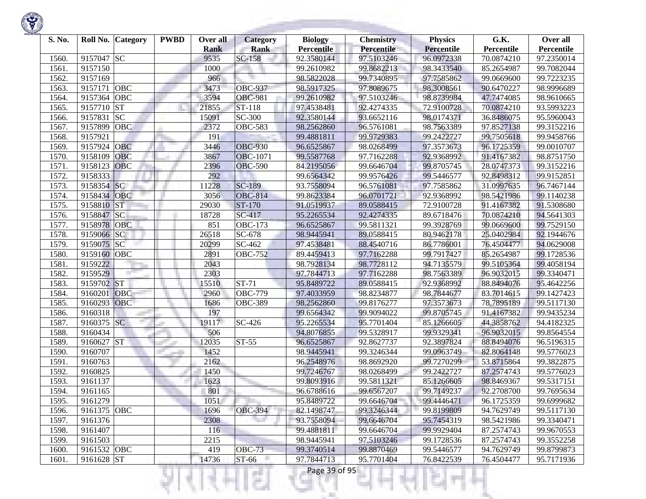

| S. No. | Roll No.    | <b>Category</b> | <b>PWBD</b> | Over all<br><b>Rank</b> | <b>Category</b><br>Rank | <b>Biology</b><br><b>Percentile</b> | <b>Chemistry</b><br><b>Percentile</b> | <b>Physics</b><br><b>Percentile</b> | G.K.<br>Percentile | Over all<br>Percentile |
|--------|-------------|-----------------|-------------|-------------------------|-------------------------|-------------------------------------|---------------------------------------|-------------------------------------|--------------------|------------------------|
| 1560   | 9157047 SC  |                 |             | 9535                    | $SC-158$                | 92.3580144                          | 97.5103246                            | 96.0972338                          | 70.0874210         | 97.2350014             |
| 1561.  | 9157150     |                 |             | 1000                    |                         | 99.2610982                          | 99.8682213                            | 98.3433540                          | 85.2654987         | 99.7082044             |
| 1562.  | 9157169     |                 |             | 966                     |                         | 98.5822028                          | 99.7340895                            | 97.7585862                          | 99.0669600         | 99.7223235             |
| 1563.  | 9157171     | OBC             |             | 3473                    | <b>OBC-937</b>          | 98.5917325                          | 97.8089675                            | 98.3008561                          | 90.6470227         | 98.9996689             |
| 1564.  | 9157364     | OBC             |             | 3594                    | <b>OBC-981</b>          | 99.2610982                          | 97.5103246                            | 98.8739984                          | 47.7474085         | 98.9610665             |
| 1565.  | 9157710     | <b>ST</b>       |             | 21855                   | ST-118                  | 97.4538481                          | 92.4274335                            | 72.9100728                          | 70.0874210         | 93.5993223             |
| 1566.  | 9157831     | <b>SC</b>       |             | 15091                   | SC-300                  | 92.3580144                          | 93.6652116                            | 98.0174371                          | 36.8486075         | 95.5960043             |
| 1567.  | 9157899     | <b>OBC</b>      |             | 2372                    | <b>OBC-583</b>          | 98.2562860                          | 96.5761081                            | 98.7563389                          | 97.8527138         | 99.3152216             |
| 1568.  | 9157921     |                 |             | 191                     |                         | 99.4881811                          | 99.9729383                            | 99.2422727                          | 99.7505618         | 99.9458766             |
| 1569.  | 9157924     | <b>OBC</b>      |             | 3446                    | <b>OBC-930</b>          | 96.6525867                          | 98.0268499                            | 97.3573673                          | 96.1725359         | 99.0010707             |
| 1570.  | 9158109     | <b>OBC</b>      |             | 3867                    | <b>OBC-1071</b>         | 99.5587768                          | 97.7162288                            | 92.9368992                          | 91.4167382         | 98.8751750             |
| 1571.  | 9158123     | <b>OBC</b>      |             | 2396                    | <b>OBC-590</b>          | 84.2195056                          | 99.6646704                            | 99.8705745                          | 28.0747373         | 99.3152216             |
| 1572.  | 9158333     |                 |             | 292                     |                         | 99.6564342                          | 99.9576426                            | 99.5446577                          | 92.8498312         | 99.9152851             |
| 1573.  | 9158354 SC  |                 |             | 11228                   | <b>SC-189</b>           | 93.7558094                          | 96.5761081                            | 97.7585862                          | 31.0997635         | 96.7467144             |
| 1574.  | 9158434     | OBC             |             | 3056                    | <b>OBC-814</b>          | 99.8623384                          | 96.0701721                            | 92.9368992                          | 98.5421986         | 99.1140238             |
| 1575.  | 9158810     | <b>ST</b>       |             | 29030                   | ST-170                  | 91.0519937                          | 89.0588415                            | 72.9100728                          | 91.4167382         | 91.5308680             |
| 1576.  | 9158847 SC  |                 |             | 18728                   | SC-417                  | 95.2265534                          | 92.4274335                            | 89.6718476                          | 70.0874210         | 94.5641303             |
| 1577.  | 9158978     | <b>OBC</b>      |             | 851                     | <b>OBC-173</b>          | 96.6525867                          | 99.5811321                            | 99.3928769                          | 99.0669600         | 99.7529150             |
| 1578.  | 9159066 SC  |                 |             | 26518                   | SC-678                  | 98.9445941                          | 89.0588415                            | 80.9462178                          | 25.0402984         | 92.1944676             |
| 1579.  | 9159075 SC  |                 |             | 20299                   | SC-462                  | 97.4538481                          | 88.4540716                            | 86.7786001                          | 76.4504477         | 94.0629008             |
| 1580   | 9159160 OBC |                 |             | 2891                    | <b>OBC-752</b>          | 89.4459413                          | 97.7162288                            | 99.7917427                          | 85.2654987         | 99.1728536             |
| 1581.  | 9159222     |                 |             | 2043                    |                         | 98.7928134                          | 98.7728112                            | 94.7135579                          | 99.5105364         | 99.4058194             |
| 1582.  | 9159529     |                 |             | 2303                    |                         | 97.7844713                          | 97.7162288                            | 98.7563389                          | 96.9032015         | 99.3340471             |
| 1583   | 9159702 ST  |                 |             | 15510                   | $ST-71$                 | 95.8489722                          | 89.0588415                            | 92.9368992                          | 88.8494076         | 95.4642256             |
| 1584.  | 9160201     | <b>OBC</b>      |             | 2960                    | <b>OBC-779</b>          | 97.4033959                          | 98.8234877                            | 98.7844677                          | 83.7014615         | 99.1427423             |
| 1585   | 9160293     | OBC             |             | 1686                    | <b>OBC-389</b>          | 98.2562860                          | 99.8176277                            | 97.3573673                          | 78,7895189         | 99.5117130             |
| 1586.  | 9160318     |                 |             | 197                     |                         | 99.6564342                          | 99.9094022                            | 99.8705745                          | 91.4167382         | 99.9435234             |
| 1587.  | 9160375 SC  |                 |             | 19117                   | SC-426                  | 95.2265534                          | 95.7701404                            | 85.1266605                          | 44.3858762         | 94.4182325             |
| 1588.  | 9160434     |                 |             | 506                     |                         | 94.8076855                          | 99.5328917                            | 99.9329341                          | 96.9032015         | 99.8564554             |
| 1589.  | 9160627 ST  |                 |             | 12035                   | $ST-55$                 | 96.6525867                          | 92.8627737                            | 92.3897824                          | 88.8494076         | 96.5196315             |
| 1590   | 9160707     |                 |             | 1452                    |                         | 98.9445941                          | 99.3246344                            | 99.0963749                          | 82.8064148         | 99.5776023             |
| 1591.  | 9160763     |                 |             | 2162                    |                         | 96.2548976                          | 98.8692920                            | 99.7270299                          | 53.8715864         | 99.3822875             |
| 1592.  | 9160825     |                 |             | 1450                    |                         | 99.7246767                          | 98.0268499                            | 99.2422727                          | 87.2574743         | 99.5776023             |
| 1593.  | 9161137     |                 |             | 1623                    |                         | 99.8093916                          | 99.5811321                            | 85.1266605                          | 98.8469367         | 99.5317151             |
| 1594.  | 9161165     |                 |             | 801                     |                         | 96.6788616                          | 99.6567207                            | 99.7149237                          | 92.2708700         | 99.7695634             |
| 1595.  | 9161279     |                 |             | 1051                    |                         | 95.8489722                          | 99.6646704                            | 99.4446471                          | 96.1725359         | 99.6999682             |
| 1596.  | 9161375 OBC |                 |             | 1696                    | <b>OBC-394</b>          | 82.1498747                          | 99.3246344                            | 99.8199809                          | 94.7629749         | 99.5117130             |
| 1597.  | 9161376     |                 |             | 2308                    |                         | 93.7558094                          | 99.6646704                            | 95.7454319                          | 98.5421986         | 99.3340471             |
| 1598.  | 9161407     |                 |             | 116                     |                         | 99.4881811                          | 99.6646704                            | 99.9929404                          | 87.2574743         | 99.9670553             |
| 1599.  | 9161503     |                 |             | 2215                    |                         | 98.9445941                          | 97.5103246                            | 99.1728536                          | 87.2574743         | 99.3552258             |
| 1600.  | 9161532 OBC |                 |             | 419                     | <b>OBC-73</b>           | 99.3740514                          | 99.8870469                            | 99.5446577                          | 94.7629749         | 99.8799873             |
| 1601.  | 9161628 ST  |                 |             | 14736                   | ST-66                   | 97.7844713                          | 95.7701404                            | 76.8422539                          | 76.4504477         | 95.7171936             |

।धनम्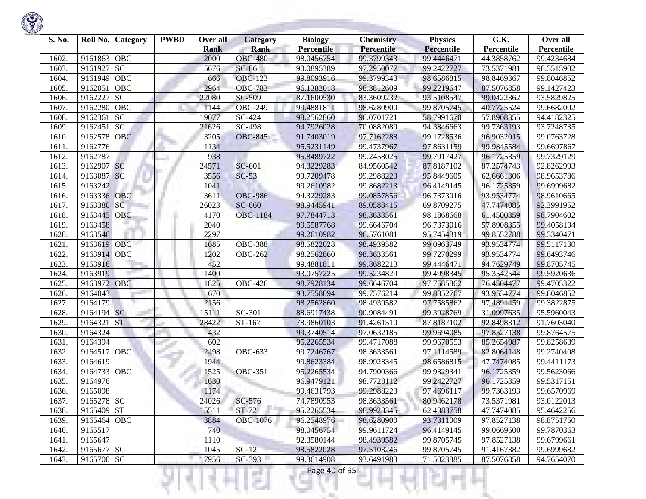| S. No. | Roll No.    | <b>Category</b> | <b>PWBD</b> | Over all            | <b>Category</b>               | <b>Biology</b>                  | <b>Chemistry</b><br>Percentile | <b>Physics</b>                  | G.K.                     | Over all                 |
|--------|-------------|-----------------|-------------|---------------------|-------------------------------|---------------------------------|--------------------------------|---------------------------------|--------------------------|--------------------------|
| 1602.  | 9161863     | OBC             |             | <b>Rank</b><br>2000 | <b>Rank</b><br><b>OBC-480</b> | <b>Percentile</b><br>98.0456754 | 99.3799343                     | <b>Percentile</b><br>99.4446471 | Percentile<br>44.3858762 | Percentile<br>99.4234684 |
| 1603.  | 9161927     | <b>SC</b>       |             | 5676                | $SC-86$                       | 90.0895389                      | 97.2950077                     | 99.2422727                      | 73.5371981               | 98.3515902               |
| 1604.  | 9161949     | OBC             |             | 666                 | <b>OBC-123</b>                | 99.8093916                      | 99.3799343                     | 98.6586815                      | 98.8469367               | 99.8046852               |
| 1605.  | 9162051     | OBC             |             | 2964                | <b>OBC-783</b>                | 96.1382018                      | 98.3812609                     | 99.2219647                      | 87.5076858               | 99.1427423               |
|        | 9162227     | <b>SC</b>       |             |                     |                               |                                 |                                |                                 |                          |                          |
| 1606.  |             |                 |             | 22080               | SC-509                        | 87.1600530                      | 83.3609232                     | 93.5108547                      | 99.0422362               | 93.5829825               |
| 1607.  | 9162280     | OBC             |             | 1144                | <b>OBC-249</b>                | 99.4881811                      | 98.6280900                     | 99.8705745                      | 40.7725524               | 99.6682002               |
| 1608.  | 9162361     | <b>SC</b>       |             | 19077               | SC-424                        | 98.2562860                      | 96.0701721                     | 58.7991670                      | 57.8908355               | 94.4182325               |
| 1609.  | 9162451     | <b>SC</b>       |             | 21626               | SC-498                        | 94.7926028                      | 70.0882089                     | 94.3846663                      | 99.7363193               | 93.7248735               |
| 1610.  | 9162578     | <b>OBC</b>      |             | 3205                | <b>OBC-845</b>                | 91.7403019                      | 97.7162288                     | 99.1728536                      | 96.9032015               | 99.0763728               |
| 1611.  | 9162776     |                 |             | 1134                |                               | 95.5231149                      | 99.4737967                     | 97.8631159                      | 99.9845584               | 99.6697867               |
| 1612.  | 9162787     |                 |             | 938                 |                               | 95.8489722                      | 99.2458025                     | 99.7917427                      | 96.1725359               | 99.7329129               |
| 1613.  | 9162907 SC  |                 |             | 24571               | SC-601                        | 94.3229283                      | 84.9560542                     | 87.8187102                      | 87.2574743               | 92.8262993               |
| 1614.  | 9163087     | <b>SC</b>       |             | 3556                | $SC-53$                       | 99.7209478                      | 99.2988223                     | 95.8449605                      | 62.6661306               | 98.9653786               |
| 1615.  | 9163242     |                 |             | 1041                |                               | 99.2610982                      | 99.8682213                     | 96.4149145                      | 96.1725359               | 99.6999682               |
| 1616.  | 9163336     | <b>OBC</b>      |             | 3611                | <b>OBC-986</b>                | 94.3229283                      | 99.0857856                     | 96.7373016                      | 93.9534774               | 98.9610665               |
| 1617.  | 9163380     | SC              |             | 26023               | SC-660                        | 98.9445941                      | 89.0588415                     | 69.8709275                      | 47.7474085               | 92.3991952               |
| 1618.  | 9163445     | OBC             |             | 4170                | <b>OBC-1184</b>               | 97.7844713                      | 98.3633561                     | 98.1868668                      | 61.4500359               | 98.7904602               |
| 1619.  | 9163458     |                 |             | 2040                |                               | 99.5587768                      | 99.6646704                     | 96.7373016                      | 57.8908355               | 99.4058194               |
| 1620.  | 9163546     |                 |             | 2297                |                               | 99.2610982                      | 96.5761081                     | 95.7454319                      | 99.8552788               | 99.3340471               |
| 1621.  | 9163619     | <b>OBC</b>      |             | 1685                | <b>OBC-388</b>                | 98.5822028                      | 98.4939582                     | 99.0963749                      | 93.9534774               | 99.5117130               |
| 1622.  | 9163914 OBC |                 |             | 1202                | <b>OBC-262</b>                | 98.2562860                      | 98.3633561                     | 99.7270299                      | 93.9534774               | 99.6493746               |
| 1623.  | 9163916     |                 |             | 452                 |                               | 99.4881811                      | 99.8682213                     | 99.4446471                      | 94.7629749               | 99.8705745               |
| 1624.  | 9163919     |                 |             | 1400                |                               | 93.0757225                      | 99.5234829                     | 99.4998345                      | 95.3542544               | 99.5920636               |
| 1625.  | 9163972     | OBC             |             | 1825                | <b>OBC-426</b>                | 98.7928134                      | 99.6646704                     | 97.7585862                      | 76.4504477               | 99.4705322               |
| 1626.  | 9164043     |                 |             | 670                 |                               | 93.7558094                      | 99.7576214                     | 99.8352767                      | 93.9534774               | 99.8046852               |
| 1627.  | 9164179     |                 |             | 2156                |                               | 98.2562860                      | 98.4939582                     | 97.7585862                      | 97.4891459               | 99.3822875               |
| 1628.  | 9164194 SC  |                 |             | 15111               | SC-301                        | 88.6917438                      | 90.9084491                     | 99.3928769                      | 31.0997635               | 95.5960043               |
| 1629.  | 9164321     | <b>ST</b>       |             | 28422               | ST-167                        | 78.9860103                      | 91.4261510                     | 87.8187102                      | 92.8498312               | 91.7603040               |
| 1630.  | 9164324     |                 |             | 432                 |                               | 99.3740514                      | 97.0632185                     | 99.9694085                      | 97.8527138               | 99.8764575               |
| 1631.  | 9164394     |                 |             | 602                 |                               | 95.2265534                      | 99.4717088                     | 99.9670553                      | 85.2654987               | 99.8258639               |
| 1632.  | 9164517     | OBC             |             | 2498                | <b>OBC-633</b>                | 99.7246767                      | 98.3633561                     | 97.1114589                      | 82.8064148               | 99.2740408               |
| 1633.  | 9164619     |                 |             | 1944                |                               | 99.8623384                      | 98.9928345                     | 98.6586815                      | 47.7474085               | 99.4411173               |
| 1634.  | 9164733     | <b>OBC</b>      |             | 1525                | <b>OBC-351</b>                | 95.2265534                      | 94.7900366                     | 99.9329341                      | 96.1725359               | 99.5623066               |
| 1635.  | 9164976     |                 |             | 1630                |                               | 96.9479121                      | 98.7728112                     | 99.2422727                      | 96.1725359               | 99.5317151               |
| 1636.  | 9165098     |                 |             | 1174                |                               | 99.4631793                      | 99.2988223                     | 97.4696117                      | 99.7363193               | 99.6570969               |
| 1637.  | 9165278 SC  |                 |             | 24026               | SC-576                        | 74.7890953                      | 98.3633561                     | 80.9462178                      | 73.5371981               | 93.0122013               |
| 1638.  | 9165409 ST  |                 |             | 15511               | $ST-72$                       | 95.2265534                      | 98.9928345                     | 62.4383758                      | 47.7474085               | 95.4642256               |
| 1639.  | 9165464 OBC |                 |             | 3884                | OBC-1076                      | 96.2548976                      | 98.6280900                     | 93.7311009                      | 97.8527138               | 98.8751750               |
| 1640.  | 9165517     |                 |             | 740                 |                               | 98.0456754                      | 99.9611724                     | 96.4149145                      | 99.0669600               | 99.7870363               |
| 1641.  | 9165647     |                 |             | 1110                |                               | 92.3580144                      | 98.4939582                     | 99.8705745                      | 97.8527138               | 99.6799661               |
| 1642.  | 9165677 SC  |                 |             | 1045                | $SC-12$                       | 98.5822028                      | 97.5103246                     | 99.8705745                      | 91.4167382               | 99.6999682               |
| 1643.  | 9165700 SC  |                 |             | 17956               | $SC-393$                      | 99.3614908                      | 93.6491983                     | 71.5023885                      | 87.5076858               | 94.7654070               |

a.

375

ш

÷

R

w

Ħ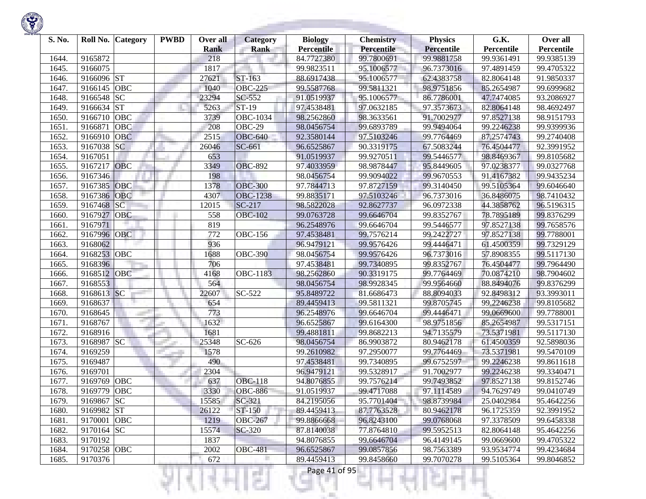| S. No.         | Roll No.               | <b>Category</b> | <b>PWBD</b> | Over all           | <b>Category</b> | <b>Biology</b>                  | <b>Chemistry</b>                | <b>Physics</b>                  | G.K.                     | Over all                 |
|----------------|------------------------|-----------------|-------------|--------------------|-----------------|---------------------------------|---------------------------------|---------------------------------|--------------------------|--------------------------|
| 1644.          | 9165872                |                 |             | <b>Rank</b><br>218 | <b>Rank</b>     | <b>Percentile</b><br>84.7727380 | <b>Percentile</b><br>99.7800691 | <b>Percentile</b><br>99.9881758 | Percentile<br>99.9361491 | Percentile<br>99.9385139 |
| 1645.          | 9166075                |                 |             | 1817               |                 | 99.9823511                      | 95.1006577                      | 96.7373016                      | 97.4891459               | 99.4705322               |
| 1646.          | 9166096 ST             |                 |             | 27621              | ST-163          | 88.6917438                      | 95.1006577                      | 62.4383758                      | 82.8064148               | 91.9850337               |
| 1647.          | 9166145                | OBC             |             | 1040               | <b>OBC-225</b>  | 99.5587768                      | 99.5811321                      | 98.9751856                      | 85.2654987               | 99.6999682               |
| 1648.          | 9166548 SC             |                 |             | 23294              | SC-552          | 91.0519937                      | 95.1006577                      | 86.7786001                      | 47.7474085               | 93.2086927               |
| 1649.          | 9166634 ST             |                 |             | 5263               | ST-19           | 97.4538481                      | 97.0632185                      | 97.3573673                      | 82.8064148               | 98.4692497               |
|                | 9166710                | OBC             |             | 3739               | OBC-1034        |                                 | 98.3633561                      | 91.7002977                      | 97.8527138               |                          |
| 1650.<br>1651. | 9166871                | OBC             |             | 208                | OBC-29          | 98.2562860                      | 99.6893789                      | 99.9494064                      |                          | 98.9151793<br>99.9399936 |
| 1652.          | 9166910                | <b>OBC</b>      |             | 2515               | <b>OBC-640</b>  | 98.0456754<br>92.3580144        | 97.5103246                      | 99.7764469                      | 99.2246238<br>87.2574743 | 99.2740408               |
|                | 9167038                | <b>SC</b>       |             | 26046              | SC-661          |                                 | 90.3319175                      | 67.5083244                      | 76.4504477               |                          |
| 1653.<br>1654. | 9167051                |                 |             | 653                |                 | 96.6525867<br>91.0519937        | 99.9270511                      | 99.5446577                      |                          | 92.3991952               |
|                | 9167217                | <b>OBC</b>      |             | 3349               | <b>OBC-892</b>  |                                 | 98.9878447                      |                                 | 98.8469367               | 99.8105682<br>99.0327768 |
| 1655.<br>1656. | 9167346                |                 |             | 198                |                 | 97.4033959<br>98.0456754        | 99.9094022                      | 95.8449605<br>99.9670553        | 97.0238377<br>91.4167382 | 99.9435234               |
| 1657.          | 9167385                | OBC             |             | 1378               | <b>OBC-300</b>  | 97.7844713                      | 97.8727159                      | 99.3140450                      | 99.5105364               | 99.6046640               |
|                | 9167386                | <b>OBC</b>      |             | 4307               | <b>OBC-1238</b> |                                 | 97.5103246                      | 96.7373016                      |                          |                          |
| 1658.          | 9167468                | <b>SC</b>       |             | 12015              | $SC-217$        | 99.8835171<br>98.5822028        | 92.8627737                      |                                 | 36.8486075<br>44.3858762 | 98.7410432<br>96.5196315 |
| 1659.          | 9167927                | OBC             |             | 558                | <b>OBC-102</b>  | 99.0763728                      | 99.6646704                      | 96.0972338                      |                          |                          |
| 1660.          |                        |                 |             | 819                |                 |                                 | 99.6646704                      | 99.8352767                      | 78.7895189               | 99.8376299               |
| 1661           | 9167971                |                 |             |                    |                 | 96.2548976<br>97.4538481        |                                 | 99.5446577                      | 97.8527138<br>97.8527138 | 99.7658576<br>99.7788001 |
| 1662.          | 9167996 OBC<br>9168062 |                 |             | 772                | <b>OBC-156</b>  |                                 | 99.7576214                      | 99.2422727                      |                          |                          |
| 1663.          |                        |                 |             | 936                |                 | 96.9479121                      | 99.9576426<br>99.9576426        | 99.4446471                      | 61.4500359               | 99.7329129               |
| 1664.          | 9168253 OBC            |                 |             | 1688               | <b>OBC-390</b>  | 98.0456754                      | 99.7340895                      | 96.7373016                      | 57.8908355               | 99.5117130               |
| 1665.          | 9168396                | OBC             |             | 706                |                 | 97.4538481                      |                                 | 99.8352767                      | 76.4504477               | 99.7964490               |
| 1666.          | 9168512                |                 |             | 4168               | OBC-1183        | 98.2562860                      | 90.3319175<br>98.9928345        | 99.7764469                      | 70.0874210<br>88.8494076 | 98.7904602               |
| 1667.          | 9168553<br>9168613 SC  |                 |             | 564                |                 | 98.0456754                      |                                 | 99.9564660                      |                          | 99.8376299               |
| 1668.          |                        |                 |             | 22607              | SC-522          | 95.8489722                      | 81.6686473                      | 88.8094033                      | 92.8498312               | 93.3993011               |
| 1669.          | 9168637<br>9168645     |                 |             | 654<br>773         |                 | 89.4459413                      | 99.5811321<br>99.6646704        | 99.8705745<br>99.4446471        | 99.2246238               | 99.8105682               |
| 1670.          | 9168767                | m.              |             | 1632               |                 | 96.2548976                      | 99.6164300                      | 98.9751856                      | 99.0669600               | 99.7788001               |
| 1671.<br>1672. | 9168916                |                 |             |                    |                 | 96.6525867                      |                                 |                                 | 85.2654987               | 99.5317151               |
|                | 9168987 SC             |                 |             | 1681<br>25348      |                 | 99.4881811                      | 99.8682213                      | 94.7135579<br>80.9462178        | 73.5371981               | 99.5117130               |
| 1673.<br>1674. | 9169259                |                 |             | 1578               | SC-626          | 98.0456754<br>99.2610982        | 86.9903872<br>97.2950077        | 99.7764469                      | 61.4500359               | 92.5898036               |
|                | 9169487                |                 |             | 490                |                 | 97.4538481                      | 99.7340895                      | 99.6752597                      | 73.5371981               | 99.5470109<br>99.8611618 |
| 1675.<br>1676. | 9169701                |                 |             | 2304               |                 | 96.9479121                      | 99.5328917                      |                                 | 99.2246238               | 99.3340471               |
| 1677.          | 9169769                | <b>OBC</b>      |             |                    | <b>OBC-118</b>  |                                 | 99.7576214                      | 91.7002977<br>99.7493852        | 99.2246238               |                          |
| 1678.          | 9169779                | OBC             |             | 637<br>3330        | <b>OBC-886</b>  | 94.8076855<br>91.0519937        | 99.4717088                      | 97.1114589                      | 97.8527138<br>94.7629749 | 99.8152746<br>99.0410749 |
|                |                        |                 |             |                    |                 |                                 |                                 |                                 |                          |                          |
| 1679.          | 9169867 SC             |                 |             | 15585              | SC-321          | 84.2195056                      | 95.7701404                      | 98.8739984                      | 25.0402984               | 95.4642256               |
| 1680.          | 9169982 ST             |                 |             | 26122              | ST-150          | 89.4459413                      | 87.7763528                      | 80.9462178                      | 96.1725359               | 92.3991952               |
| 1681.          | 9170001 OBC            |                 |             | 1219               | <b>OBC-267</b>  | 99.8866668                      | 96.8243100                      | 99.0768068                      | 97.3378509               | 99.6458338               |
| 1682.          | 9170164 SC<br>9170192  |                 |             | 15574              | SC-320          | 87.8140038                      | 77.8764810                      | 99.5952513                      | 82.8064148               | 95.4642256               |
| 1683.          |                        |                 |             | 1837               |                 | 94.8076855                      | 99.6646704                      | 96.4149145                      | 99.0669600               | 99.4705322               |
| 1684.          | 9170258 OBC            |                 |             | 2002               | <b>OBC-481</b>  | 96.6525867                      | 99.0857856                      | 98.7563389                      | 93.9534774               | 99.4234684               |
| 1685.          | 9170376                |                 |             | 672                |                 | 89.4459413                      | 99.8458660                      | 99.7070278                      | 99.5105364               | 99.8046852               |

a.

Ħ

ш

÷

R.

w

t ×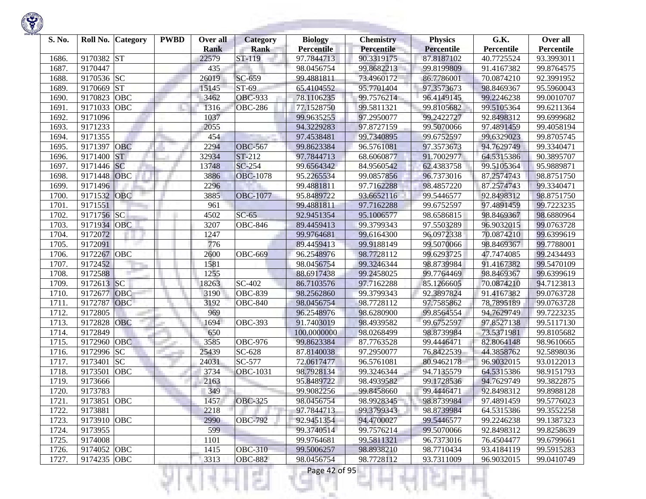

| S. No. |             | Roll No. Category | <b>PWBD</b> | Over all<br><b>Rank</b> | <b>Category</b><br><b>Rank</b> | <b>Biology</b><br><b>Percentile</b> | <b>Chemistry</b><br>Percentile | <b>Physics</b><br><b>Percentile</b> | G.K.<br>Percentile | Over all<br>Percentile |
|--------|-------------|-------------------|-------------|-------------------------|--------------------------------|-------------------------------------|--------------------------------|-------------------------------------|--------------------|------------------------|
| 1686.  | 9170382     | <b>ST</b>         |             | 22579                   | ST-119                         | 97.7844713                          | 90.3319175                     | 87.8187102                          | 40.7725524         | 93.3993011             |
| 1687.  | 9170447     |                   |             | 435                     |                                | 98.0456754                          | 99.8682213                     | 99.8199809                          | 91.4167382         | 99.8764575             |
| 1688.  | 9170536 SC  |                   |             | 26019                   | SC-659                         | 99.4881811                          | 73.4960172                     | 86.7786001                          | 70.0874210         | 92.3991952             |
| 1689.  | 9170669     | <b>ST</b>         |             | 15145                   | ST-69                          | 65.4104552                          | 95.7701404                     | 97.3573673                          | 98.8469367         | 95.5960043             |
| 1690.  | 9170823     | <b>OBC</b>        |             | 3462                    | <b>OBC-933</b>                 | 78.1106235                          | 99.7576214                     | 96.4149145                          | 99.2246238         | 99.0010707             |
| 1691   | 9171033     | OBC               |             | 1316                    | <b>OBC-286</b>                 | 77.1528750                          | 99.5811321                     | 99.8105682                          | 99.5105364         | 99.6211364             |
| 1692.  | 9171096     |                   |             | 1037                    |                                | 99.9635255                          | 97.2950077                     | 99.2422727                          | 92.8498312         | 99.6999682             |
| 1693.  | 9171233     |                   |             | 2055                    |                                | 94.3229283                          | 97.8727159                     | 99.5070066                          | 97.4891459         | 99.4058194             |
| 1694.  | 9171355     |                   |             | 454                     |                                | 97.4538481                          | 99.7340895                     | 99.6752597                          | 99.6329023         | 99.8705745             |
| 1695.  | 9171397     | OBC               |             | 2294                    | <b>OBC-567</b>                 | 99.8623384                          | 96.5761081                     | 97.3573673                          | 94.7629749         | 99.3340471             |
| 1696.  | 9171400     | <b>ST</b>         |             | 32934                   | ST-212                         | 97.7844713                          | 68.6060877                     | 91.7002977                          | 64.5315386         | 90.3895707             |
| 1697.  | 9171446     | <b>SC</b>         |             | 13748                   | SC-254                         | 99.6564342                          | 84.9560542                     | 62.4383758                          | 99.5105364         | 95.9889871             |
| 1698.  | 9171448     | OBC               |             | 3886                    | <b>OBC-1078</b>                | 95.2265534                          | 99.0857856                     | 96.7373016                          | 87.2574743         | 98.8751750             |
| 1699.  | 9171496     |                   |             | 2296                    |                                | 99.4881811                          | 97.7162288                     | 98.4857220                          | 87.2574743         | 99.3340471             |
| 1700   | 9171532     | <b>OBC</b>        |             | 3885                    | <b>OBC-1077</b>                | 95.8489722                          | 93.6652116                     | 99.5446577                          | 92.8498312         | 98.8751750             |
| 1701.  | 9171551     |                   |             | 961                     |                                | 99.4881811                          | 97.7162288                     | 99.6752597                          | 97.4891459         | 99.7223235             |
| 1702.  | 9171756     | SC                |             | 4502                    | $SC-65$                        | 92.9451354                          | 95.1006577                     | 98.6586815                          | 98.8469367         | 98.6880964             |
| 1703.  | 9171934 OBC |                   |             | 3207                    | <b>OBC-846</b>                 | 89.4459413                          | 99.3799343                     | 97.5503289                          | 96.9032015         | 99.0763728             |
| 1704.  | 9172072     |                   |             | 1247                    |                                | 99.9764681                          | 99.6164300                     | 96.0972338                          | 70.0874210         | 99.6399619             |
| 1705.  | 9172091     |                   |             | 776                     |                                | 89.4459413                          | 99.9188149                     | 99.5070066                          | 98.8469367         | 99.7788001             |
| 1706.  | 9172267     | <b>OBC</b>        |             | 2600                    | <b>OBC-669</b>                 | 96.2548976                          | 98.7728112                     | 99.6293725                          | 47.7474085         | 99.2434493             |
| 1707.  | 9172452     |                   |             | 1581                    |                                | 98.0456754                          | 99.3246344                     | 98.8739984                          | 91.4167382         | 99.5470109             |
| 1708.  | 9172588     |                   |             | 1255                    |                                | 88.6917438                          | 99.2458025                     | 99.7764469                          | 98.8469367         | 99.6399619             |
| 1709.  | 9172613 SC  |                   |             | 18263                   | SC-402                         | 86.7103576                          | 97.7162288                     | 85.1266605                          | 70.0874210         | 94.7123813             |
| 1710.  | 9172677     | <b>OBC</b>        |             | 3190                    | <b>OBC-839</b>                 | 98.2562860                          | 99.3799343                     | 92.3897824                          | 91.4167382         | 99.0763728             |
| 1711.  | 9172787     | OBC               |             | 3192                    | <b>OBC-840</b>                 | 98.0456754                          | 98.7728112                     | 97.7585862                          | 78.7895189         | 99.0763728             |
| 1712.  | 9172805     |                   |             | 969                     |                                | 96.2548976                          | 98.6280900                     | 99.8564554                          | 94.7629749         | 99.7223235             |
| 1713.  | 9172828     | OBC               |             | 1694                    | <b>OBC-393</b>                 | 91.7403019                          | 98.4939582                     | 99.6752597                          | 97.8527138         | 99.5117130             |
| 1714.  | 9172849     |                   |             | 650                     |                                | 100.0000000                         | 98.0268499                     | 98.8739984                          | 73.5371981         | 99.8105682             |
| 1715.  | 9172960     | <b>OBC</b>        |             | 3585                    | <b>OBC-976</b>                 | 99.8623384                          | 87.7763528                     | 99.4446471                          | 82.8064148         | 98.9610665             |
| 1716.  | 9172996     | <b>SC</b>         |             | 25439                   | SC-628                         | 87.8140038                          | 97.2950077                     | 76.8422539                          | 44.3858762         | 92.5898036             |
| 1717.  | 9173401     | SC                |             | 24031                   | $\overline{SC}$ -577           | 72.0617477                          | 96.5761081                     | 80.9462178                          | 96.9032015         | 93.0122013             |
| 1718.  | 9173501     | <b>OBC</b>        |             | 3734                    | <b>OBC-1031</b>                | 98.7928134                          | 99.3246344                     | 94.7135579                          | 64.5315386         | 98.9151793             |
| 1719.  | 9173666     |                   |             | 2163                    |                                | 95.8489722                          | 98.4939582                     | 99.1728536                          | 94.7629749         | 99.3822875             |
| 1720.  | 9173783     |                   |             | 349                     |                                | 99.9082256                          | 99.8458660                     | 99.4446471                          | 92.8498312         | 99.8988128             |
| 1721.  | 9173851 OBC |                   |             | 1457                    | <b>OBC-325</b>                 | 98.0456754                          | 98.9928345                     | 98.8739984                          | 97.4891459         | 99.5776023             |
| 1722.  | 9173881     |                   |             | 2218                    |                                | 97.7844713                          | 99.3799343                     | 98.8739984                          | 64.5315386         | 99.3552258             |
| 1723.  | 9173910 OBC |                   |             | 2990                    | <b>OBC-792</b>                 | 92.9451354                          | 94.4700027                     | 99.5446577                          | 99.2246238         | 99.1387323             |
| 1724.  | 9173955     |                   |             | 599                     |                                | 99.3740514                          | 99.7576214                     | 99.5070066                          | 92.8498312         | 99.8258639             |
| 1725.  | 9174008     |                   |             | 1101                    |                                | 99.9764681                          | 99.5811321                     | 96.7373016                          | 76.4504477         | 99.6799661             |
| 1726.  | 9174052 OBC |                   |             | 1415                    | <b>OBC-310</b>                 | 99.5006257                          | 98.8938210                     | 98.7710434                          | 93.4184119         | 99.5915283             |
| 1727.  | 9174235 OBC |                   |             | 3313                    | <b>OBC-882</b>                 | 98.0456754                          | 98.7728112                     | 93.7311009                          | 96.9032015         | 99.0410749             |
|        |             |                   |             |                         | a s                            | Page 42 of 95                       |                                |                                     |                    |                        |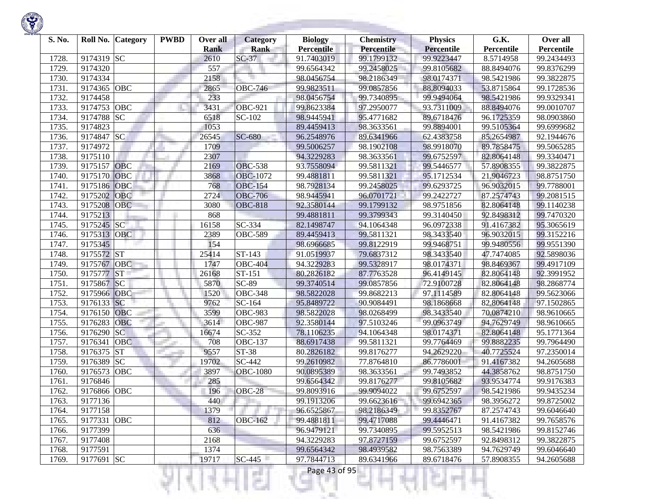

| S. No. | Roll No.    | <b>Category</b> | <b>PWBD</b> | Over all<br><b>Rank</b> | Category<br>Rank      | <b>Biology</b><br><b>Percentile</b> | <b>Chemistry</b><br>Percentile | <b>Physics</b><br><b>Percentile</b> | G.K.<br>Percentile | Over all<br>Percentile |
|--------|-------------|-----------------|-------------|-------------------------|-----------------------|-------------------------------------|--------------------------------|-------------------------------------|--------------------|------------------------|
| 1728.  | 9174319 SC  |                 |             | 2610                    | $SC-37$               | 91.7403019                          | 99.1799132                     | 99.9223447                          | 8.5714958          | 99.2434493             |
| 1729.  | 9174320     |                 |             | 557                     |                       | 99.6564342                          | 99.2458025                     | 99.8105682                          | 88.8494076         | 99.8376299             |
| 1730.  | 9174334     |                 |             | 2158                    |                       | 98.0456754                          | 98.2186349                     | 98.0174371                          | 98.5421986         | 99.3822875             |
| 1731.  | 9174365     | OBC             |             | 2865                    | <b>OBC-746</b>        | 99.9823511                          | 99.0857856                     | 88.8094033                          | 53.8715864         | 99.1728536             |
| 1732.  | 9174458     |                 |             | 233                     |                       | 98.0456754                          | 99.7340895                     | 99.9494064                          | 98.5421986         | 99.9329341             |
| 1733.  | 9174753     | OBC             |             | 3431                    | <b>OBC-921</b>        | 99.8623384                          | 97.2950077                     | 93.7311009                          | 88.8494076         | 99.0010707             |
| 1734.  | 9174788     | <b>SC</b>       |             | 6518                    | SC-102                | 98.9445941                          | 95.4771682                     | 89.6718476                          | 96.1725359         | 98.0903860             |
| 1735.  | 9174823     |                 |             | 1053                    |                       | 89.4459413                          | 98.3633561                     | 99.8894001                          | 99.5105364         | 99.6999682             |
| 1736.  | 9174847     | <b>SC</b>       |             | 26545                   | <b>SC-680</b>         | 96.2548976                          | 89.6341966                     | 62.4383758                          | 85.2654987         | 92.1944676             |
| 1737.  | 9174972     |                 |             | 1709                    |                       | 99.5006257                          | 98.1902108                     | 98.9918070                          | 89.7858475         | 99.5065285             |
| 1738.  | 9175110     |                 |             | 2307                    |                       | 94.3229283                          | 98.3633561                     | 99.6752597                          | 82.8064148         | 99.3340471             |
| 1739.  | 9175157     | OBC             |             | 2169                    | <b>OBC-538</b>        | 93.7558094                          | 99.5811321                     | 99.5446577                          | 57.8908355         | 99.3822875             |
| 1740.  | 9175170     | OBC             |             | 3868                    | <b>OBC-1072</b>       | 99.4881811                          | 99.5811321                     | 95.1712534                          | 21.9046723         | 98.8751750             |
| 1741.  | 9175186     | OBC             |             | 768                     | <b>OBC-154</b>        | 98.7928134                          | 99.2458025                     | 99.6293725                          | 96.9032015         | 99.7788001             |
| 1742.  | 9175202     | OBC             |             | 2724                    | <b>OBC-706</b>        | 98.9445941                          | 96.0701721                     | 99.2422727                          | 87.2574743         | 99.2081515             |
| 1743.  | 9175208     | <b>OBC</b>      |             | 3080                    | <b>OBC-818</b>        | 92.3580144                          | 99.1799132                     | 98.9751856                          | 82.8064148         | 99.1140238             |
| 1744.  | 9175213     |                 |             | 868                     |                       | 99.4881811                          | 99.3799343                     | 99.3140450                          | 92.8498312         | 99.7470320             |
| 1745.  | 9175245 SC  |                 |             | 16158                   | SC-334                | 82.1498747                          | 94.1064348                     | 96.0972338                          | 91.4167382         | 95.3065619             |
| 1746.  | 9175313     | OBC             |             | 2389                    | <b>OBC-589</b>        | 89.4459413                          | 99.5811321                     | 98.3433540                          | 96.9032015         | 99.3152216             |
| 1747.  | 9175345     |                 |             | 154                     |                       | 98.6966685                          | 99.8122919                     | 99.9468751                          | 99.9480556         | 99.9551390             |
| 1748.  | 9175572 ST  |                 |             | 25414                   | ST-143                | 91.0519937                          | 79.6837312                     | 98.3433540                          | 47.7474085         | 92.5898036             |
| 1749.  | 9175767     | OBC             |             | 1747                    | <b>OBC-404</b>        | 94.3229283                          | 99.5328917                     | 98.0174371                          | 98.8469367         | 99.4917109             |
| 1750.  | 9175777     | <b>ST</b>       |             | 26168                   | ST-151                | 80.2826182                          | 87.7763528                     | 96.4149145                          | 82.8064148         | 92.3991952             |
| 1751.  | 9175867     | SC              |             | 5870                    | <b>SC-89</b>          | 99.3740514                          | 99.0857856                     | 72.9100728                          | 82.8064148         | 98.2868774             |
| 1752.  | 9175966     | <b>OBC</b>      |             | 1520                    | $\overline{O}$ BC-348 | 98.5822028                          | 99.8682213                     | 97.1114589                          | 82.8064148         | 99.5623066             |
| 1753.  | 9176133     | <b>SC</b>       |             | 9762                    | SC-164                | 95.8489722                          | 90.9084491                     | 98.1868668                          | 82.8064148         | 97.1502865             |
| 1754.  | 9176150     | <b>OBC</b>      |             | 3599                    | <b>OBC-983</b>        | 98.5822028                          | 98.0268499                     | 98.3433540                          | 70.0874210         | 98.9610665             |
| 1755.  | 9176283     | OBC             |             | 3614                    | <b>OBC-987</b>        | 92.3580144                          | 97.5103246                     | 99.0963749                          | 94.7629749         | 98.9610665             |
| 1756.  | 9176290     | <b>SC</b>       |             | 16674                   | SC-352                | 78.1106235                          | 94.1064348                     | 98.0174371                          | 82.8064148         | 95.1771364             |
| 1757.  | 9176341     | <b>OBC</b>      |             | 708                     | <b>OBC-137</b>        | 88.6917438                          | 99.5811321                     | 99.7764469                          | 99.8882235         | 99.7964490             |
| 1758.  | 9176375     | <b>ST</b>       |             | 9557                    | ST-38                 | 80.2826182                          | 99.8176277                     | 94.2629220                          | 40.7725524         | 97.2350014             |
| 1759.  | 9176389     | <b>SC</b>       |             | 19702                   | SC-442                | 99.2610982                          | 77.8764810                     | 86.7786001                          | 91.4167382         | 94.2605688             |
| 1760.  | 9176573     | OBC             |             | 3897                    | <b>OBC-1080</b>       | 90.0895389                          | 98.3633561                     | 99.7493852                          | 44.3858762         | 98.8751750             |
| 1761.  | 9176846     |                 |             | 285                     |                       | 99.6564342                          | 99.8176277                     | 99.8105682                          | 93.9534774         | 99.9176383             |
| 1762.  | 9176866     | OBC             |             | 196                     | OBC-28                | 99.8093916                          | 99.9094022                     | 99.6752597                          | 98.5421986         | 99.9435234             |
| 1763.  | 9177136     |                 |             | 440                     |                       | 99.1913206                          | 99.6623616                     | 99.6942365                          | 98.3956272         | 99.8725002             |
| 1764.  | 9177158     |                 |             | 1379                    |                       | 96.6525867                          | 98.2186349                     | 99.8352767                          | 87.2574743         | 99.6046640             |
| 1765.  | 9177331 OBC |                 |             | 812                     | <b>OBC-162</b>        | 99.4881811                          | 99.4717088                     | 99.4446471                          | 91.4167382         | 99.7658576             |
| 1766.  | 9177399     |                 |             | 636                     |                       | 96.9479121                          | 99.7340895                     | 99.5952513                          | 98.5421986         | 99.8152746             |
| 1767.  | 9177408     |                 |             | 2168                    |                       | 94.3229283                          | 97.8727159                     | 99.6752597                          | 92.8498312         | 99.3822875             |
| 1768.  | 9177591     |                 |             | 1374                    |                       | 99.6564342                          | 98.4939582                     | 98.7563389                          | 94.7629749         | 99.6046640             |
| 1769.  | 9177691 SC  |                 |             | 19717                   | $SC-445$              | 97.7844713                          | 89.6341966                     | 89.6718476                          | 57.8908355         | 94.2605688             |
|        |             |                 |             |                         |                       | Page 43 of 95                       |                                |                                     |                    |                        |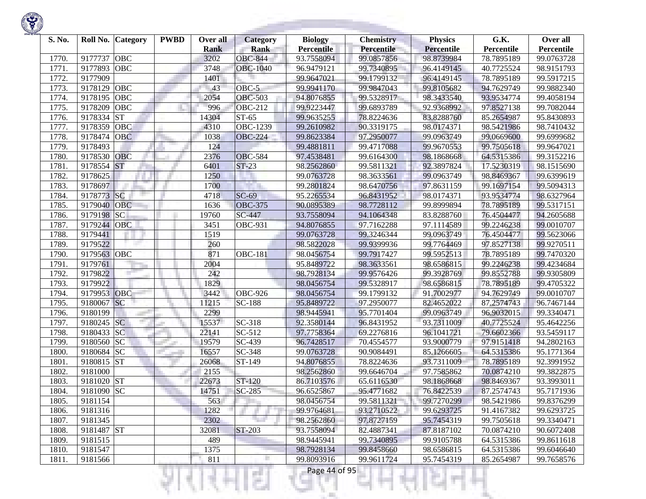

| S. No. | Roll No.    | <b>Category</b> | <b>PWBD</b> | Over all<br><b>Rank</b> | <b>Category</b><br><b>Rank</b> | <b>Biology</b><br><b>Percentile</b> | <b>Chemistry</b><br>Percentile | <b>Physics</b><br><b>Percentile</b> | G.K.<br>Percentile | Over all<br>Percentile |
|--------|-------------|-----------------|-------------|-------------------------|--------------------------------|-------------------------------------|--------------------------------|-------------------------------------|--------------------|------------------------|
| 1770.  | 9177737     | OBC             |             | 3202                    | <b>OBC-844</b>                 | 93.7558094                          | 99.0857856                     | 98.8739984                          | 78.7895189         | 99.0763728             |
| 1771.  | 9177893     | <b>OBC</b>      |             | 3748                    | <b>OBC-1040</b>                | 96.9479121                          | 99.7340895                     | 96.4149145                          | 40.7725524         | 98.9151793             |
| 1772.  | 9177909     |                 |             | 1401                    |                                | 99.9647021                          | 99.1799132                     | 96.4149145                          | 78.7895189         | 99.5917215             |
| 1773.  | 9178129     | OBC             |             | 43                      | OBC-5                          | 99.9941170                          | 99.9847043                     | 99.8105682                          | 94.7629749         | 99.9882340             |
| 1774.  | 9178195     | OBC             |             | 2054                    | <b>OBC-503</b>                 | 94.8076855                          | 99.5328917                     | 98.3433540                          | 93.9534774         | 99.4058194             |
| 1775.  | 9178209     | OBC             |             | 996                     | <b>OBC-212</b>                 | 99.9223447                          | 99.6893789                     | 92.9368992                          | 97.8527138         | 99.7082044             |
| 1776.  | 9178334     | <b>ST</b>       |             | 14304                   | $ST-65$                        | 99.9635255                          | 78.8224636                     | 83.8288760                          | 85.2654987         | 95.8430893             |
| 1777.  | 9178359     | OBC             |             | 4310                    | <b>OBC-1239</b>                | 99.2610982                          | 90.3319175                     | 98.0174371                          | 98.5421986         | 98.7410432             |
| 1778.  | 9178474     | <b>OBC</b>      |             | 1038                    | <b>OBC-224</b>                 | 99.8623384                          | 97.2950077                     | 99.0963749                          | 99.0669600         | 99.6999682             |
| 1779.  | 9178493     |                 |             | 124                     |                                | 99.4881811                          | 99.4717088                     | 99.9670553                          | 99.7505618         | 99.9647021             |
| 1780   | 9178530     | <b>OBC</b>      |             | 2376                    | <b>OBC-584</b>                 | 97.4538481                          | 99.6164300                     | 98.1868668                          | 64.5315386         | 99.3152216             |
| 1781   | 9178554 ST  |                 |             | 6401                    | $ST-23$                        | 98.2562860                          | 99.5811321                     | 92.3897824                          | 17.5230319         | 98.1515690             |
| 1782   | 9178625     |                 |             | 1250                    |                                | 99.0763728                          | 98.3633561                     | 99.0963749                          | 98.8469367         | 99.6399619             |
| 1783.  | 9178697     |                 |             | 1700                    |                                | 99.2801824                          | 98.6470756                     | 97.8631159                          | 99.1697154         | 99.5094313             |
| 1784   | 9178773     | SC              |             | 4718                    | $SC-69$                        | 95.2265534                          | 96.8431952                     | 98.0174371                          | 93.9534774         | 98.6327964             |
| 1785.  | 9179040     | <b>OBC</b>      |             | 1636                    | <b>OBC-375</b>                 | 90.0895389                          | 98.7728112                     | 99.8999894                          | 78.7895189         | 99.5317151             |
| 1786.  | 9179198     | <b>SC</b>       |             | 19760                   | SC-447                         | 93.7558094                          | 94.1064348                     | 83.8288760                          | 76.4504477         | 94.2605688             |
| 1787   | 9179244     | <b>OBC</b>      |             | 3451                    | <b>OBC-931</b>                 | 94.8076855                          | 97.7162288                     | 97.1114589                          | 99.2246238         | 99.0010707             |
| 1788.  | 9179441     |                 |             | 1519                    |                                | 99.0763728                          | 99.3246344                     | 99.0963749                          | 76.4504477         | 99.5623066             |
| 1789   | 9179522     |                 |             | 260                     |                                | 98.5822028                          | 99.9399936                     | 99.7764469                          | 97.8527138         | 99.9270511             |
| 1790.  | 9179563 OBC |                 |             | 871                     | <b>OBC-181</b>                 | 98.0456754                          | 99.7917427                     | 99.5952513                          | 78.7895189         | 99.7470320             |
| 1791   | 9179761     |                 |             | 2004                    |                                | 95.8489722                          | 98.3633561                     | 98.6586815                          | 99.2246238         | 99.4234684             |
| 1792.  | 9179822     |                 |             | 242                     |                                | 98.7928134                          | 99.9576426                     | 99.3928769                          | 99.8552788         | 99.9305809             |
| 1793.  | 9179922     |                 |             | 1829                    |                                | 98.0456754                          | 99.5328917                     | 98.6586815                          | 78.7895189         | 99.4705322             |
| 1794.  | 9179953     | <b>OBC</b>      |             | 3442                    | $\overline{O}$ BC-926          | 98.0456754                          | 99.1799132                     | 91.7002977                          | 94.7629749         | 99.0010707             |
| 1795.  | 9180067     | <b>SC</b>       |             | 11215                   | SC-188                         | 95.8489722                          | 97.2950077                     | 82.4652022                          | 87.2574743         | 96.7467144             |
| 1796.  | 9180199     |                 |             | 2299                    |                                | 98.9445941                          | 95.7701404                     | 99.0963749                          | 96.9032015         | 99.3340471             |
| 1797.  | 9180245 SC  |                 |             | 15537                   | SC-318                         | 92.3580144                          | 96.8431952                     | 93.7311009                          | 40.7725524         | 95.4642256             |
| 1798.  | 9180433 SC  |                 |             | 22141                   | SC-512                         | 97.7758364                          | 69.2276816                     | 96.1041721                          | 79.6602366         | 93.5459117             |
| 1799.  | 9180560     | <b>SC</b>       |             | 19579                   | SC-439                         | 96.7428517                          | 70.4554577                     | 93.9000779                          | 97.9151418         | 94.2802163             |
| 1800   | 9180684 SC  |                 |             | 16557                   | SC-348                         | 99.0763728                          | 90.9084491                     | 85.1266605                          | 64.5315386         | 95.1771364             |
| 1801   | 9180815 ST  |                 |             | 26068                   | ST-149                         | 94.8076855                          | 78.8224636                     | 93.7311009                          | 78.7895189         | 92.3991952             |
| 1802   | 9181000     |                 |             | 2155                    |                                | 98.2562860                          | 99.6646704                     | 97.7585862                          | 70.0874210         | 99.3822875             |
| 1803.  | 9181020 ST  |                 |             | 22673                   | ST-120                         | 86.7103576                          | 65.6116530                     | 98.1868668                          | 98.8469367         | 93.3993011             |
| 1804.  | 9181090 SC  |                 |             | 14751                   | <b>SC-285</b>                  | 96.6525867                          | 95.4771682                     | 76.8422539                          | 87.2574743         | 95.7171936             |
| 1805.  | 9181154     |                 |             | 563                     |                                | 98.0456754                          | 99.5811321                     | 99.7270299                          | 98.5421986         | 99.8376299             |
| 1806.  | 9181316     |                 |             | 1282                    |                                | 99.9764681                          | 93.2710522                     | 99.6293725                          | 91.4167382         | 99.6293725             |
| 1807.  | 9181345     |                 |             | 2302                    |                                | 98.2562860                          | 97.8727159                     | 95.7454319                          | 99.7505618         | 99.3340471             |
| 1808.  | 9181487 ST  |                 |             | 32081                   | <b>ST-203</b>                  | 93.7558094                          | 82.4887341                     | 87.8187102                          | 70.0874210         | 90.6072408             |
| 1809.  | 9181515     |                 |             | 489                     |                                | 98.9445941                          | 99.7340895                     | 99.9105788                          | 64.5315386         | 99.8611618             |
| 1810.  | 9181547     |                 |             | 1375                    |                                | 98.7928134                          | 99.8458660                     | 98.6586815                          | 64.5315386         | 99.6046640             |
| 1811.  | 9181566     |                 |             | 811                     |                                | 99.8093916                          | 99.9611724                     | 95.7454319                          | 85.2654987         | 99.7658576             |
|        |             |                 |             |                         |                                | Page 44 of 95                       |                                |                                     |                    |                        |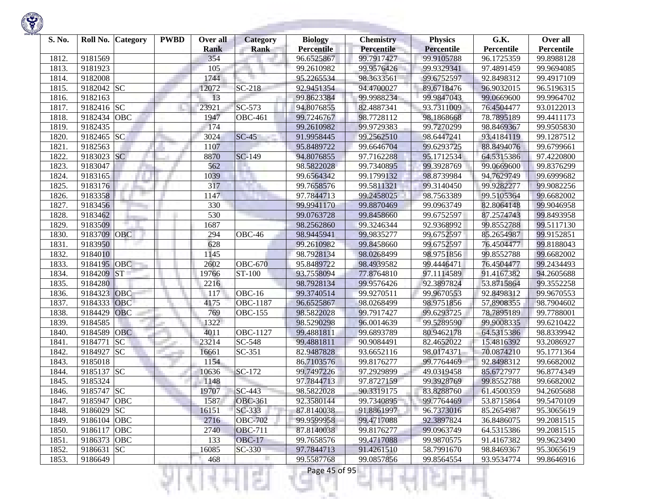| S. No. |             | Roll No. Category | <b>PWBD</b> | Over all<br><b>Rank</b> | <b>Category</b><br><b>Rank</b> | <b>Biology</b><br><b>Percentile</b> | <b>Chemistry</b><br>Percentile | <b>Physics</b><br><b>Percentile</b> | G.K.<br>Percentile | Over all<br>Percentile |
|--------|-------------|-------------------|-------------|-------------------------|--------------------------------|-------------------------------------|--------------------------------|-------------------------------------|--------------------|------------------------|
| 1812.  | 9181569     |                   |             | 354                     |                                | 96.6525867                          | 99.7917427                     | 99.9105788                          | 96.1725359         | 99.8988128             |
| 1813.  | 9181923     |                   |             | 105                     |                                | 99.2610982                          | 99.9576426                     | 99.9329341                          | 97.4891459         | 99.9694085             |
| 1814.  | 9182008     |                   |             | 1744                    |                                | 95.2265534                          | 98.3633561                     | 99.6752597                          | 92.8498312         | 99.4917109             |
| 1815.  | 9182042     | <b>SC</b>         |             | 12072                   | SC-218                         | 92.9451354                          | 94.4700027                     | 89.6718476                          | 96.9032015         | 96.5196315             |
| 1816.  | 9182163     |                   |             | 13                      |                                | 99.8623384                          | 99.9988234                     | 99.9847043                          | 99.0669600         | 99.9964702             |
| 1817.  | 9182416     | SC                |             | 23921                   | SC-573                         | 94.8076855                          | 82.4887341                     | 93.7311009                          | 76.4504477         | 93.0122013             |
| 1818.  | 9182434     | <b>OBC</b>        |             | 1947                    | <b>OBC-461</b>                 | 99.7246767                          | 98.7728112                     | 98.1868668                          | 78.7895189         | 99.4411173             |
| 1819.  | 9182435     |                   |             | 174                     |                                | 99.2610982                          | 99.9729383                     | 99.7270299                          | 98.8469367         | 99.9505830             |
| 1820.  | 9182465     | <b>SC</b>         |             | 3024                    | $SC-45$                        | 91.9958445                          | 99.2562510                     | 98.6447241                          | 93.4184119         | 99.1287512             |
| 1821.  | 9182563     |                   |             | 1107                    |                                | 95.8489722                          | 99.6646704                     | 99.6293725                          | 88.8494076         | 99.6799661             |
| 1822.  | 9183023     | <b>SC</b>         |             | 8870                    | SC-149                         | 94.8076855                          | 97.7162288                     | 95.1712534                          | 64.5315386         | 97.4220800             |
| 1823.  | 9183047     |                   |             | 562                     |                                | 98.5822028                          | 99.7340895                     | 99.3928769                          | 99.0669600         | 99.8376299             |
| 1824.  | 9183165     |                   |             | 1039                    |                                | 99.6564342                          | 99.1799132                     | 98.8739984                          | 94.7629749         | 99.6999682             |
| 1825.  | 9183176     |                   |             | 317                     |                                | 99.7658576                          | 99.5811321                     | 99.3140450                          | 99.9282277         | 99.9082256             |
| 1826.  | 9183358     |                   |             | 1147                    |                                | 97.7844713                          | 99.2458025                     | 98.7563389                          | 99.5105364         | 99.6682002             |
| 1827.  | 9183456     |                   |             | 330                     |                                | 99.9941170                          | 99.8870469                     | 99.0963749                          | 82.8064148         | 99.9046958             |
| 1828.  | 9183462     |                   |             | 530                     |                                | 99.0763728                          | 99.8458660                     | 99.6752597                          | 87.2574743         | 99.8493958             |
| 1829.  | 9183509     |                   |             | 1687                    |                                | 98.2562860                          | 99.3246344                     | 92.9368992                          | 99.8552788         | 99.5117130             |
| 1830.  | 9183709     | <b>OBC</b>        |             | 294                     | $\overline{O}$ BC-46           | 98.9445941                          | 99.9835277                     | 99.6752597                          | 85.2654987         | 99.9152851             |
| 1831.  | 9183950     |                   |             | 628                     |                                | 99.2610982                          | 99.8458660                     | 99.6752597                          | 76.4504477         | 99.8188043             |
| 1832.  | 9184010     |                   |             | 1145                    |                                | 98.7928134                          | 98.0268499                     | 98.9751856                          | 99.8552788         | 99.6682002             |
| 1833.  | 9184195     | OBC               |             | 2602                    | <b>OBC-670</b>                 | 95.8489722                          | 98.4939582                     | 99.4446471                          | 76.4504477         | 99.2434493             |
| 1834.  | 9184209     | <b>ST</b>         |             | 19766                   | ST-100                         | 93.7558094                          | 77.8764810                     | 97.1114589                          | 91.4167382         | 94.2605688             |
| 1835.  | 9184280     |                   |             | 2216                    |                                | 98.7928134                          | 99.9576426                     | 92.3897824                          | 53.8715864         | 99.3552258             |
| 1836.  | 9184323     | OBC               |             | 117                     | <b>OBC-16</b>                  | 99.3740514                          | 99.9270511                     | 99.9670553                          | 92.8498312         | 99.9670553             |
| 1837.  | 9184333     | OBC               |             | 4175                    | OBC-1187                       | 96.6525867                          | 98.0268499                     | 98.9751856                          | 57.8908355         | 98.7904602             |
| 1838.  | 9184429     | OBC               |             | 769                     | <b>OBC-155</b>                 | 98.5822028                          | 99.7917427                     | 99.6293725                          | 78.7895189         | 99.7788001             |
| 1839.  | 9184585     |                   |             | 1322                    |                                | 98.5290298                          | 96.0014639                     | 99.5289590                          | 99.9008335         | 99.6210422             |
| 1840.  | 9184589     | <b>OBC</b>        |             | 4011                    | <b>OBC-1127</b>                | 99.4881811                          | 99.6893789                     | 80.9462178                          | 64.5315386         | 98.8339942             |
| 1841.  | 9184771     | <b>SC</b>         |             | 23214                   | SC-548                         | 99.4881811                          | 90.9084491                     | 82.4652022                          | 15.4816392         | 93.2086927             |
| 1842.  | 9184927     | SC                |             | 16661                   | SC-351                         | 82.9487828                          | 93.6652116                     | 98.0174371                          | 70.0874210         | 95.1771364             |
| 1843.  | 9185018     |                   |             | 1154                    |                                | 86.7103576                          | 99.8176277                     | 99.7764469                          | 92.8498312         | 99.6682002             |
| 1844.  | 9185137     | <b>SC</b>         |             | 10636                   | SC-172                         | 99.7497226                          | 97.2929899                     | 49.0319458                          | 85.6727977         | 96.8774349             |
| 1845   | 9185324     |                   |             | 1148                    |                                | 97.7844713                          | 97.8727159                     | 99.3928769                          | 99.8552788         | 99.6682002             |
| 1846.  | 9185747 SC  |                   |             | 19707                   | $\overline{SC}$ -443           | 98.5822028                          | 90.3319175                     | 83.8288760                          | 61.4500359         | 94.2605688             |
| 1847.  | 9185947 OBC |                   |             | 1587                    | <b>OBC-361</b>                 | 92.3580144                          | 99.7340895                     | 99.7764469                          | 53.8715864         | 99.5470109             |
| 1848.  | 9186029     | <b>SC</b>         |             | 16151                   | SC-333                         | 87.8140038                          | 91.8861997                     | 96.7373016                          | 85.2654987         | 95.3065619             |
| 1849.  | 9186104 OBC |                   |             | 2716                    | <b>OBC-702</b>                 | 99.9599958                          | 99.4717088                     | 92.3897824                          | 36.8486075         | 99.2081515             |
| 1850.  | 9186117     | <b>OBC</b>        |             | 2740                    | <b>OBC-711</b>                 | 87.8140038                          | 99.8176277                     | 99.0963749                          | 64.5315386         | 99.2081515             |
| 1851.  | 9186373     | OBC               |             | 133                     | <b>OBC-17</b>                  | 99.7658576                          | 99.4717088                     | 99.9870575                          | 91.4167382         | 99.9623490             |
| 1852.  | 9186631     | <b>SC</b>         |             | 16085                   | $SC-330$                       | 97.7844713                          | 91.4261510                     | 58.7991670                          | 98.8469367         | 95.3065619             |
| 1853.  | 9186649     |                   |             | 468                     |                                | 99.5587768                          | 99.0857856                     | 99.8564554                          | 93.9534774         | 99.8646916             |

m

ш

27

K)

w

Ħ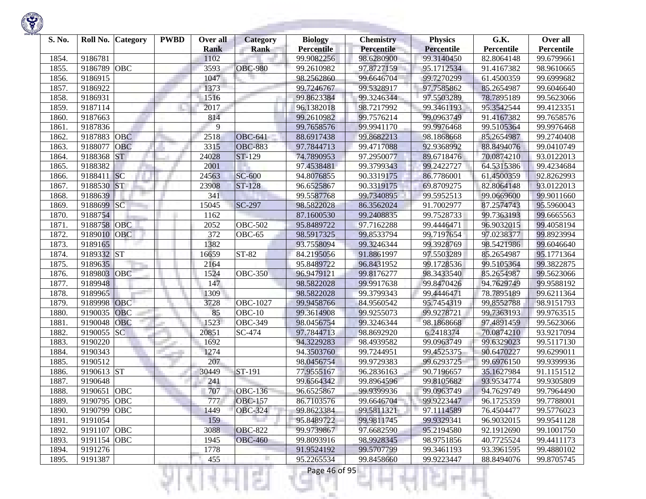

| S. No. | Roll No.<br><b>Category</b> | <b>PWBD</b> | Over all<br><b>Rank</b> | <b>Category</b><br><b>Rank</b> | <b>Biology</b><br><b>Percentile</b> | <b>Chemistry</b><br>Percentile | <b>Physics</b><br><b>Percentile</b> | G.K.<br>Percentile | Over all<br>Percentile |
|--------|-----------------------------|-------------|-------------------------|--------------------------------|-------------------------------------|--------------------------------|-------------------------------------|--------------------|------------------------|
| 1854   | 9186781                     |             | 1102                    |                                | 99.9082256                          | 98.6280900                     | 99.3140450                          | 82.8064148         | 99.6799661             |
| 1855.  | <b>OBC</b><br>9186789       |             | 3593                    | <b>OBC-980</b>                 | 99.2610982                          | 97.8727159                     | 95.1712534                          | 91.4167382         | 98.9610665             |
| 1856.  | 9186915                     |             | 1047                    |                                | 98.2562860                          | 99.6646704                     | 99.7270299                          | 61.4500359         | 99.6999682             |
| 1857.  | 9186922                     |             | 1373                    |                                | 99.7246767                          | 99.5328917                     | 97.7585862                          | 85.2654987         | 99.6046640             |
|        | 9186931                     |             | 1516                    |                                | 99.8623384                          | 99.3246344                     | 97.5503289                          | 78.7895189         |                        |
| 1858.  | 9187114                     |             | 2017                    |                                | 96.1382018                          |                                |                                     | 95.3542544         | 99.5623066             |
| 1859.  |                             |             |                         |                                |                                     | 98.7217992                     | 99.3461193                          |                    | 99.4123351             |
| 1860.  | 9187663                     |             | 814                     |                                | 99.2610982                          | 99.7576214                     | 99.0963749                          | 91.4167382         | 99.7658576             |
| 1861.  | 9187836                     |             | 9                       |                                | 99.7658576                          | 99.9941170                     | 99.9976468                          | 99.5105364         | 99.9976468             |
| 1862.  | <b>OBC</b><br>9187883       |             | 2518                    | <b>OBC-641</b>                 | 88.6917438                          | 99.8682213                     | 98.1868668                          | 85.2654987         | 99.2740408             |
| 1863.  | OBC<br>9188077              |             | 3315                    | <b>OBC-883</b>                 | 97.7844713                          | 99.4717088                     | 92.9368992                          | 88.8494076         | 99.0410749             |
| 1864.  | <b>ST</b><br>9188368        |             | 24028                   | ST-129                         | 74.7890953                          | 97.2950077                     | 89.6718476                          | 70.0874210         | 93.0122013             |
| 1865.  | 9188382                     |             | 2001                    |                                | 97.4538481                          | 99.3799343                     | 99.2422727                          | 64.5315386         | 99.4234684             |
| 1866.  | SC<br>9188411               |             | 24563                   | <b>SC-600</b>                  | 94.8076855                          | 90.3319175                     | 86.7786001                          | 61.4500359         | 92.8262993             |
| 1867.  | <b>ST</b><br>9188530        |             | 23908                   | ST-128                         | 96.6525867                          | 90.3319175                     | 69.8709275                          | 82.8064148         | 93.0122013             |
| 1868.  | 9188639                     |             | 341                     |                                | 99.5587768                          | 99.7340895                     | 99.5952513                          | 99.0669600         | 99.9011660             |
| 1869.  | SC<br>9188699               |             | 15045                   | SC-297                         | 98.5822028                          | 86.3562024                     | 91.7002977                          | 87.2574743         | 95.5960043             |
| 1870.  | 9188754                     |             | 1162                    |                                | 87.1600530                          | 99.2408835                     | 99.7528733                          | 99.7363193         | 99.6665563             |
| 1871.  | 9188758<br><b>OBC</b>       |             | 2052                    | <b>OBC-502</b>                 | 95.8489722                          | 97.7162288                     | 99.4446471                          | 96.9032015         | 99.4058194             |
| 1872.  | 9189010<br><b>OBC</b>       |             | 372                     | <b>OBC-65</b>                  | 98.5917325                          | 99.8533794                     | 99.7197654                          | 97.0238377         | 99.8923994             |
| 1873.  | 9189165                     |             | 1382                    |                                | 93.7558094                          | 99.3246344                     | 99.3928769                          | 98.5421986         | 99.6046640             |
| 1874.  | 9189332 ST                  |             | 16659                   | ST-82                          | 84.2195056                          | 91.8861997                     | 97.5503289                          | 85.2654987         | 95.1771364             |
| 1875.  | 9189635                     |             | 2164                    |                                | 95.8489722                          | 96.8431952                     | 99.1728536                          | 99.5105364         | 99.3822875             |
| 1876.  | OBC<br>9189803              |             | 1524                    | <b>OBC-350</b>                 | 96.9479121                          | 99.8176277                     | 98.3433540                          | 85.2654987         | 99.5623066             |
| 1877.  | 9189948                     |             | 147                     |                                | 98.5822028                          | 99.9917638                     | 99.8470426                          | 94.7629749         | 99.9588192             |
| 1878.  | 9189965                     |             | 1309                    |                                | 98.5822028                          | 99.3799343                     | 99.4446471                          | 78.7895189         | 99.6211364             |
| 1879.  | <b>OBC</b><br>9189998       |             | 3728                    | <b>OBC-1027</b>                | 99.9458766                          | 84.9560542                     | 95.7454319                          | 99.8552788         | 98.9151793             |
| 1880   | OBC<br>9190035              |             | 85                      | $OBC-10$                       | 99.3614908                          | 99.9255073                     | 99.9278721                          | 99.7363193         | 99.9763515             |
| 1881.  | 9190048<br>OBC              |             | 1523                    | <b>OBC-349</b>                 | 98.0456754                          | 99.3246344                     | 98.1868668                          | 97.4891459         | 99.5623066             |
| 1882.  | SC<br>9190055               |             | 20851                   | SC-474                         | 97.7844713                          | 98.8692920                     | 6.2418374                           | 70.0874210         | 93.9217094             |
| 1883.  | 9190220                     |             | 1692                    |                                | 94.3229283                          | 98.4939582                     | 99.0963749                          | 99.6329023         | 99.5117130             |
| 1884   | 9190343                     |             | 1274                    |                                | 94.3503760                          | 99.7244951                     | 99.4525375                          | 90.6470227         | 99.6299011             |
| 1885.  | 9190512                     |             | 207                     |                                | 98.0456754                          | 99.9729383                     | 99.6293725                          | 99.6976150         | 99.9399936             |
| 1886.  | 9190613 ST                  |             | 30449                   | ST-191                         | 77.9555167                          | 96.2836163                     | 90.7196657                          | 35.1627984         | 91.1151512             |
| 1887.  | 9190648                     |             | 241                     |                                | 99.6564342                          | 99.8964596                     | 99.8105682                          | 93.9534774         | 99.9305809             |
| 1888.  | 9190651<br>OBC              |             | 707                     | <b>OBC-136</b>                 | 96.6525867                          | 99.9399936                     | 99.0963749                          | 94.7629749         | 99.7964490             |
| 1889.  | 9190795 OBC                 |             | 777                     | <b>OBC-157</b>                 | 86.7103576                          | 99.6646704                     | 99.9223447                          | 96.1725359         | 99.7788001             |
| 1890.  | 9190799 OBC                 |             | 1449                    | <b>OBC-324</b>                 | 99.8623384                          | 99.5811321                     | 97.1114589                          | 76.4504477         | 99.5776023             |
| 1891.  | 9191054                     |             | 159                     |                                | 95.8489722                          | 99.9811745                     | 99.9329341                          | 96.9032015         | 99.9541128             |
| 1892.  | 9191107 OBC                 |             | 3088                    | <b>OBC-822</b>                 | 99.9739867                          | 97.6682590                     | 95.2194580                          | 92.1912690         | 99.1001750             |
| 1893.  | 9191154 OBC                 |             | 1945                    | <b>OBC-460</b>                 | 99.8093916                          | 98.9928345                     | 98.9751856                          | 40.7725524         | 99.4411173             |
| 1894.  | 9191276                     |             | 1778                    |                                | 91.9524192                          | 99.5707799                     | 99.3461193                          | 93.3961595         | 99.4880102             |
| 1895.  | 9191387                     |             | 455                     | п                              | 95.2265534                          | 99.8458660                     | 99.9223447                          | 88.8494076         | 99.8705745             |

n

٠

u

R

v

Ħ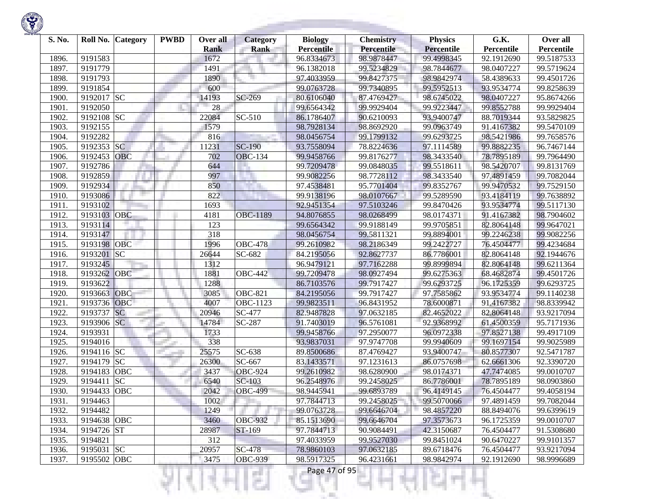

| S. No. | Roll No.    | <b>Category</b> | <b>PWBD</b> | Over all    | <b>Category</b> | <b>Biology</b>    | <b>Chemistry</b> | <b>Physics</b>    | G.K.       | Over all   |
|--------|-------------|-----------------|-------------|-------------|-----------------|-------------------|------------------|-------------------|------------|------------|
|        |             |                 |             | <b>Rank</b> | <b>Rank</b>     | <b>Percentile</b> | Percentile       | <b>Percentile</b> | Percentile | Percentile |
| 1896.  | 9191583     |                 |             | 1672        |                 | 96.8334673        | 98.9878447       | 99.4998345        | 92.1912690 | 99.5187533 |
| 1897.  | 9191779     |                 |             | 1491        |                 | 96.1382018        | 99.5234829       | 98.7844677        | 98.0407227 | 99.5719624 |
| 1898.  | 9191793     |                 |             | 1890        |                 | 97.4033959        | 99.8427375       | 98.9842974        | 58.4389633 | 99.4501726 |
| 1899.  | 9191854     |                 |             | 600         |                 | 99.0763728        | 99.7340895       | 99.5952513        | 93.9534774 | 99.8258639 |
| 1900   | 9192017 SC  |                 |             | 14193       | SC-269          | 80.6106040        | 87.4769427       | 98.6745022        | 98.0407227 | 95.8674266 |
| 1901.  | 9192050     |                 |             | 28          |                 | 99.6564342        | 99.9929404       | 99.9223447        | 99.8552788 | 99.9929404 |
| 1902.  | 9192108     | <b>SC</b>       |             | 22084       | SC-510          | 86.1786407        | 90.6210093       | 93.9400747        | 88.7019344 | 93.5829825 |
| 1903.  | 9192155     |                 |             | 1579        |                 | 98.7928134        | 98.8692920       | 99.0963749        | 91.4167382 | 99.5470109 |
| 1904.  | 9192282     |                 |             | 816         |                 | 98.0456754        | 99.1799132       | 99.6293725        | 98.5421986 | 99.7658576 |
| 1905.  | 9192353     | <b>SC</b>       |             | 11231       | $SC-190$        | 93.7558094        | 78.8224636       | 97.1114589        | 99.8882235 | 96.7467144 |
| 1906.  | 9192453     | OBC             |             | 702         | <b>OBC-134</b>  | 99.9458766        | 99.8176277       | 98.3433540        | 78.7895189 | 99.7964490 |
| 1907.  | 9192786     |                 |             | 644         |                 | 99.7209478        | 99.0848035       | 99.5518611        | 98.5420707 | 99.8131769 |
| 1908.  | 9192859     |                 |             | 997         |                 | 99.9082256        | 98.7728112       | 98.3433540        | 97.4891459 | 99.7082044 |
| 1909.  | 9192934     |                 |             | 850         |                 | 97.4538481        | 95.7701404       | 99.8352767        | 99.9470532 | 99.7529150 |
| 1910.  | 9193086     |                 |             | 822         |                 | 99.9138196        | 98.0107667       | 99.5289590        | 93.4184119 | 99.7638892 |
| 1911.  | 9193102     |                 |             | 1693        |                 | 92.9451354        | 97.5103246       | 99.8470426        | 93.9534774 | 99.5117130 |
| 1912.  | 9193103     | OBC             |             | 4181        | <b>OBC-1189</b> | 94.8076855        | 98.0268499       | 98.0174371        | 91.4167382 | 98.7904602 |
| 1913.  | 9193114     |                 |             | 123         |                 | 99.6564342        | 99.9188149       | 99.9705851        | 82.8064148 | 99.9647021 |
| 1914.  | 9193147     |                 |             | 318         |                 | 98.0456754        | 99.5811321       | 99.8894001        | 99.2246238 | 99.9082256 |
| 1915.  | 9193198     | <b>OBC</b>      |             | 1996        | <b>OBC-478</b>  | 99.2610982        | 98.2186349       | 99.2422727        | 76.4504477 | 99.4234684 |
| 1916.  | 9193201     | SC              |             | 26644       | SC-682          | 84.2195056        | 92.8627737       | 86.7786001        | 82.8064148 | 92.1944676 |
| 1917.  | 9193245     |                 |             | 1312        |                 | 96.9479121        | 97.7162288       | 99.8999894        | 82.8064148 | 99.6211364 |
| 1918.  | 9193262     | OBC             |             | 1881        | <b>OBC-442</b>  | 99.7209478        | 98.0927494       | 99.6275363        | 68.4682874 | 99.4501726 |
| 1919.  | 9193622     |                 |             | 1288        |                 | 86.7103576        | 99.7917427       | 99.6293725        | 96.1725359 | 99.6293725 |
| 1920.  | 9193663     | OBC             |             | 3085        | <b>OBC-821</b>  | 84.2195056        | 99.7917427       | 97.7585862        | 93.9534774 | 99.1140238 |
| 1921.  | 9193736     | <b>OBC</b>      |             | 4007        | OBC-1123        | 99.9823511        | 96.8431952       | 78.6000871        | 91.4167382 | 98.8339942 |
| 1922.  | 9193737     | <b>SC</b>       |             | 20946       | <b>SC-477</b>   | 82.9487828        | 97.0632185       | 82.4652022        | 82.8064148 | 93.9217094 |
| 1923.  | 9193906 SC  |                 |             | 14784       | SC-287          | 91.7403019        | 96.5761081       | 92.9368992        | 61.4500359 | 95.7171936 |
| 1924.  | 9193931     |                 |             | 1733        |                 | 99.9458766        | 97.2950077       | 96.0972338        | 97.8527138 | 99.4917109 |
| 1925.  | 9194016     |                 |             | 338         |                 | 93.9837031        | 97.9747708       | 99.9940609        | 99.1697154 | 99.9025989 |
| 1926.  | 9194116     | <b>SC</b>       |             | 25575       | $SC-638$        | 89.8500686        | 87.4769427       | 93.9400747        | 80.8577307 | 92.5471787 |
| 1927.  | 9194179     | <b>SC</b>       |             | 26300       | SC-667          | 83.1433571        | 97.1231613       | 86.0757698        | 62.6661306 | 92.3390720 |
| 1928.  | 9194183     | <b>OBC</b>      |             | 3437        | <b>OBC-924</b>  | 99.2610982        | 98.6280900       | 98.0174371        | 47.7474085 | 99.0010707 |
| 1929   | 9194411     | <b>SC</b>       |             | 6540        | SC-103          | 96.2548976        | 99.2458025       | 86.7786001        | 78.7895189 | 98.0903860 |
| 1930.  | 9194433     | <b>OBC</b>      |             | 2042        | <b>OBC-499</b>  | 98.9445941        | 99.6893789       | 96.4149145        | 76.4504477 | 99.4058194 |
| 1931.  | 9194463     |                 |             | 1002        |                 | 97.7844713        | 99.2458025       | 99.5070066        | 97.4891459 | 99.7082044 |
| 1932.  | 9194482     |                 |             | 1249        |                 | 99.0763728        | 99.6646704       | 98.4857220        | 88.8494076 | 99.6399619 |
| 1933.  | 9194638 OBC |                 |             | 3460        | <b>OBC-932</b>  | 85.1513690        | 99.6646704       | 97.3573673        | 96.1725359 | 99.0010707 |
| 1934.  | 9194726 ST  |                 |             | 28987       | ST-169          | 97.7844713        | 90.9084491       | 42.3150687        | 76.4504477 | 91.5308680 |
| 1935.  | 9194821     |                 |             | 312         |                 | 97.4033959        | 99.9527030       | 99.8451024        | 90.6470227 | 99.9101357 |
| 1936.  | 9195031 SC  |                 |             | 20957       | <b>SC-478</b>   | 78.9860103        | 97.0632185       | 89.6718476        | 76.4504477 | 93.9217094 |
| 1937.  | 9195502 OBC |                 |             | 3475        | <b>OBC-939</b>  | 98.5917325        | 96.4231661       | 98.9842974        | 92.1912690 | 98.9996689 |

યનમ્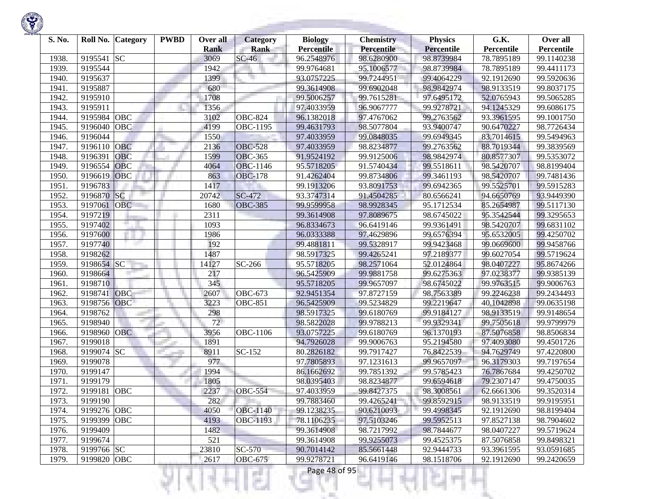

| S. No. | Roll No.    | <b>Category</b> | <b>PWBD</b> | Over all    | <b>Category</b>      | <b>Biology</b>    | <b>Chemistry</b>  | <b>Physics</b>    | G.K.       | Over all   |
|--------|-------------|-----------------|-------------|-------------|----------------------|-------------------|-------------------|-------------------|------------|------------|
|        |             |                 |             | <b>Rank</b> | <b>Rank</b>          | <b>Percentile</b> | <b>Percentile</b> | <b>Percentile</b> | Percentile | Percentile |
| 1938.  | 9195541     | <b>SC</b>       |             | 3069        | $SC-46$              | 96.2548976        | 98.6280900        | 98.8739984        | 78.7895189 | 99.1140238 |
| 1939.  | 9195544     |                 |             | 1942        |                      | 99.9764681        | 95.1006577        | 98.8739984        | 78.7895189 | 99.4411173 |
| 1940.  | 9195637     |                 |             | 1399        |                      | 93.0757225        | 99.7244951        | 99.4064229        | 92.1912690 | 99.5920636 |
| 1941.  | 9195887     |                 |             | 680         |                      | 99.3614908        | 99.6902048        | 98.9842974        | 98.9133519 | 99.8037175 |
| 1942.  | 9195910     |                 |             | 1708        |                      | 99.5006257        | 99.7615281        | 97.6495172        | 52.0765943 | 99.5065285 |
| 1943.  | 9195911     |                 |             | 1356        |                      | 97.4033959        | 96.9067777        | 99.9278721        | 94.1245329 | 99.6086175 |
| 1944.  | 9195984     | OBC             |             | 3102        | <b>OBC-824</b>       | 96.1382018        | 97.4767062        | 99.2763562        | 93.3961595 | 99.1001750 |
| 1945.  | 9196040     | <b>OBC</b>      |             | 4199        | OBC-1195             | 99.4631793        | 98.5077804        | 93.9400747        | 90.6470227 | 98.7726434 |
| 1946.  | 9196044     |                 |             | 1550        |                      | 97.4033959        | 99.0848035        | 99.6949345        | 83.7014615 | 99.5494963 |
| 1947.  | 9196110     | <b>OBC</b>      |             | 2136        | <b>OBC-528</b>       | 97.4033959        | 98.8234877        | 99.2763562        | 88.7019344 | 99.3839569 |
| 1948.  | 9196391     | <b>OBC</b>      |             | 1599        | <b>OBC-365</b>       | 91.9524192        | 99.9125006        | 98.9842974        | 80.8577307 | 99.5353072 |
| 1949.  | 9196554     | <b>OBC</b>      |             | 4064        | <b>OBC-1146</b>      | 95.5718205        | 91.5740434        | 99.5518611        | 98.5420707 | 98.8199404 |
| 1950.  | 9196619     | <b>OBC</b>      |             | 863         | <b>OBC-178</b>       | 91.4262404        | 99.8734806        | 99.3461193        | 98.5420707 | 99.7481436 |
| 1951.  | 9196783     |                 |             | 1417        |                      | 99.1913206        | 93.8091753        | 99.6942365        | 99.5525701 | 99.5915283 |
| 1952.  | 9196870     | <b>SC</b>       |             | 20742       | SC-472               | 93.3747314        | 91.4504285        | 80.6566241        | 94.6650769 | 93.9449390 |
| 1953.  | 9197061     | <b>OBC</b>      |             | 1680        | <b>OBC-385</b>       | 99.9599958        | 98.9928345        | 95.1712534        | 85.2654987 | 99.5117130 |
| 1954.  | 9197219     |                 |             | 2311        |                      | 99.3614908        | 97.8089675        | 98.6745022        | 95.3542544 | 99.3295653 |
| 1955.  | 9197402     |                 |             | 1093        |                      | 96.8334673        | 96.6419146        | 99.9361491        | 98.5420707 | 99.6831102 |
| 1956.  | 9197600     |                 |             | 1986        |                      | 96.0333388        | 97.4629896        | 99.6576394        | 95.6532005 | 99.4250702 |
| 1957.  | 9197740     |                 |             | 192         |                      | 99.4881811        | 99.5328917        | 99.9423468        | 99.0669600 | 99.9458766 |
| 1958.  | 9198262     |                 |             | 1487        |                      | 98.5917325        | 99.4265241        | 97.2189377        | 99.6027054 | 99.5719624 |
| 1959.  | 9198654     | SC              |             | 14127       | $\overline{SC}$ -266 | 95.5718205        | 98.2571064        | 52.0124864        | 98.0407227 | 95.8674266 |
| 1960.  | 9198664     |                 |             | 217         |                      | 96.5425909        | 99.9881758        | 99.6275363        | 97.0238377 | 99.9385139 |
| 1961.  | 9198710     |                 |             | 345         |                      | 95.5718205        | 99.9657097        | 98.6745022        | 99.9763515 | 99.9006763 |
| 1962.  | 9198741     | <b>OBC</b>      |             | 2607        | OBC-673              | 92.9451354        | 97.8727159        | 98.7563389        | 99.2246238 | 99.2434493 |
| 1963.  | 9198756     | <b>OBC</b>      |             | 3223        | <b>OBC-851</b>       | 96.5425909        | 99.5234829        | 99.2219647        | 40.1042898 | 99.0635198 |
| 1964.  | 9198762     |                 |             | 298         |                      | 98.5917325        | 99.6180769        | 99.9184127        | 98.9133519 | 99.9148654 |
| 1965.  | 9198940     |                 |             | 72          |                      | 98.5822028        | 99.9788213        | 99.9329341        | 99.7505618 | 99.9799979 |
| 1966.  | 9198960     | <b>OBC</b>      |             | 3956        | OBC-1106             | 93.0757225        | 99.6180769        | 96.1370193        | 87.5076858 | 98.8506834 |
| 1967.  | 9199018     |                 |             | 1891        |                      | 94.7926028        | 99.9006763        | 95.2194580        | 97.4093080 | 99.4501726 |
| 1968.  | 9199074     | <b>SC</b>       |             | 8911        | SC-152               | 80.2826182        | 99.7917427        | 76.8422539        | 94.7629749 | 97.4220800 |
| 1969.  | 9199078     |                 |             | 977         |                      | 97.7805893        | 97.1231613        | 99.9657097        | 96.3179303 | 99.7197654 |
| 1970.  | 9199147     |                 |             | 1994        |                      | 86.1662692        | 99.7851392        | 99.5785423        | 76.7867684 | 99.4250702 |
| 1971.  | 9199179     |                 |             | 1805        |                      | 98.0395403        | 98.8234877        | 99.6594618        | 79.2307147 | 99.4750035 |
| 1972.  | 9199181     | OBC             |             | 2237        | <b>OBC-554</b>       | 97.4033959        | 99.8427375        | 98.3008561        | 62.6661306 | 99.3520314 |
| 1973.  | 9199190     |                 |             | 282         |                      | 99.7883460        | 99.4265241        | 99.8592915        | 98.9133519 | 99.9195951 |
| 1974.  | 9199276 OBC |                 |             | 4050        | <b>OBC-1140</b>      | 99.1238235        | 90.6210093        | 99.4998345        | 92.1912690 | 98.8199404 |
| 1975.  | 9199399     | OBC             |             | 4193        | OBC-1193             | 78.1106235        | 97.5103246        | 99.5952513        | 97.8527138 | 98.7904602 |
| 1976.  | 9199409     |                 |             | 1482        |                      | 99.3614908        | 98.7217992        | 98.7844677        | 98.0407227 | 99.5719624 |
| 1977.  | 9199674     |                 |             | 521         |                      | 99.3614908        | 99.9255073        | 99.4525375        | 87.5076858 | 99.8498321 |
| 1978.  | 9199766 SC  |                 |             | 23810       | SC-570               | 90.7014142        | 85.5661448        | 92.9444733        | 93.3961595 | 93.0591685 |
| 1979.  | 9199820 OBC |                 |             | 2617        | <b>OBC-675</b>       | 99.9278721        | 96.6419146        | 98.1518706        | 92.1912690 | 99.2420659 |

**State State**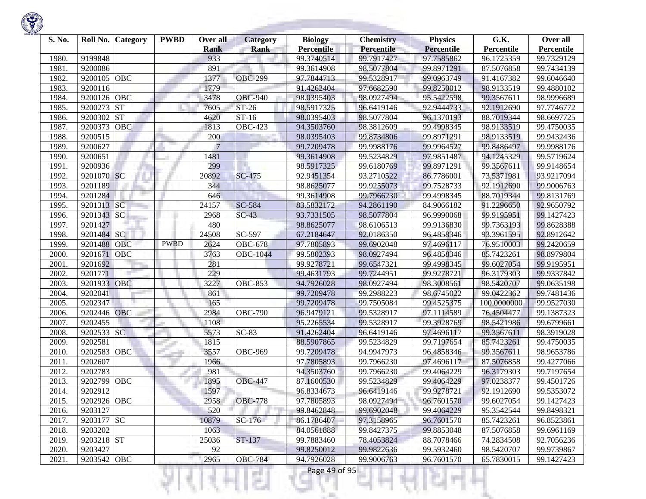| S. No. | Roll No.<br><b>Category</b> | <b>PWBD</b> | Over all           | <b>Category</b> | <b>Biology</b><br><b>Percentile</b> | <b>Chemistry</b><br>Percentile | <b>Physics</b>                  | G.K.                     | Over all<br>Percentile |
|--------|-----------------------------|-------------|--------------------|-----------------|-------------------------------------|--------------------------------|---------------------------------|--------------------------|------------------------|
| 1980.  | 9199848                     |             | <b>Rank</b><br>933 | <b>Rank</b>     | 99.3740514                          | 99.7917427                     | <b>Percentile</b><br>97.7585862 | Percentile<br>96.1725359 | 99.7329129             |
| 1981.  | 9200086                     |             | 891                |                 | 99.3614908                          | 98.5077804                     | 99.8971291                      | 87.5076858               | 99.7434139             |
| 1982.  | OBC<br>9200105              |             | 1377               | <b>OBC-299</b>  | 97.7844713                          | 99.5328917                     | 99.0963749                      | 91.4167382               | 99.6046640             |
| 1983.  | 9200116                     |             | 1779               |                 | 91.4262404                          | 97.6682590                     | 99.8250012                      | 98.9133519               | 99.4880102             |
|        | OBC<br>9200126              |             | 3478               | <b>OBC-940</b>  | 98.0395403                          | 98.0927494                     | 95.5422598                      | 99.3567611               | 98.9996689             |
| 1984.  | <b>ST</b><br>9200273        |             | 7605               | ST-26           |                                     | 96.6419146                     | 92.9444733                      |                          | 97.7746772             |
| 1985.  |                             |             |                    |                 | 98.5917325                          |                                |                                 | 92.1912690               |                        |
| 1986.  | <b>ST</b><br>9200302        |             | 4620               | $ST-16$         | 98.0395403                          | 98.5077804                     | 96.1370193                      | 88.7019344               | 98.6697725             |
| 1987.  | 9200373<br><b>OBC</b>       |             | 1813               | <b>OBC-423</b>  | 94.3503760                          | 98.3812609                     | 99.4998345                      | 98.9133519               | 99.4750035             |
| 1988.  | 9200515                     |             | 200                |                 | 98.0395403                          | 99.8734806                     | 99.8971291                      | 98.9133519               | 99.9432436             |
| 1989.  | 9200627                     |             | 7                  |                 | 99.7209478                          | 99.9988176                     | 99.9964527                      | 99.8486497               | 99.9988176             |
| 1990.  | 9200651                     |             | 1481               |                 | 99.3614908                          | 99.5234829                     | 97.9851487                      | 94.1245329               | 99.5719624             |
| 1991.  | 9200936                     |             | 299                |                 | 98.5917325                          | 99.6180769                     | 99.8971291                      | 99.3567611               | 99.9148654             |
| 1992.  | 9201070 SC                  |             | 20892              | SC-475          | 92.9451354                          | 93.2710522                     | 86.7786001                      | 73.5371981               | 93.9217094             |
| 1993.  | 9201189                     |             | 344                |                 | 98.8625077                          | 99.9255073                     | 99.7528733                      | 92.1912690               | 99.9006763             |
| 1994.  | 9201284                     |             | 646                |                 | 99.3614908                          | 99.7966230                     | 99.4998345                      | 88.7019344               | 99.8131769             |
| 1995.  | SC<br>9201313               |             | 24157              | SC-584          | 83.5832172                          | 94.2861190                     | 84.9066182                      | 91.2296650               | 92.9650792             |
| 1996.  | SC<br>9201343               |             | 2968               | $SC-43$         | 93.7331505                          | 98.5077804                     | 96.9990068                      | 99.9195951               | 99.1427423             |
| 1997.  | 9201427                     |             | 480                |                 | 98.8625077                          | 98.6106513                     | 99.9136830                      | 99.7363193               | 99.8628388             |
| 1998.  | SC <br>9201484              |             | 24508              | SC-597          | 67.2184647                          | 92.0186350                     | 96.4858346                      | 93.3961595               | 92.8912642             |
| 1999.  | 9201488<br><b>OBC</b>       | <b>PWBD</b> | 2624               | <b>OBC-678</b>  | 97.7805893                          | 99.6902048                     | 97.4696117                      | 76.9510003               | 99.2420659             |
| 2000.  | 9201671<br><b>OBC</b>       |             | 3763               | <b>OBC-1044</b> | 99.5802393                          | 98.0927494                     | 96.4858346                      | 85.7423261               | 98.8979804             |
| 2001.  | 9201692                     |             | 281                |                 | 99.9278721                          | 99.6547321                     | 99.4998345                      | 99.6027054               | 99.9195951             |
| 2002.  | 9201771                     |             | 229                |                 | 99.4631793                          | 99.7244951                     | 99.9278721                      | 96.3179303               | 99.9337842             |
| 2003.  | 9201933<br>OBC              |             | 3227               | <b>OBC-853</b>  | 94.7926028                          | 98.0927494                     | 98.3008561                      | 98.5420707               | 99.0635198             |
| 2004.  | 9202041                     |             | 861                |                 | 99.7209478                          | 99.2988223                     | 98.6745022                      | 99.0422362               | 99.7481436             |
| 2005.  | 9202347                     |             | 165                |                 | 99.7209478                          | 99.7505084                     | 99.4525375                      | 100.0000000              | 99.9527030             |
| 2006.  | <b>OBC</b><br>9202446       |             | 2984               | <b>OBC-790</b>  | 96.9479121                          | 99.5328917                     | 97.1114589                      | 76.4504477               | 99.1387323             |
| 2007.  | 9202455                     |             | 1108               |                 | 95.2265534                          | 99.5328917                     | 99.3928769                      | 98.5421986               | 99.6799661             |
| 2008.  | 9202533 SC                  |             | 5573               | $SC-83$         | 91.4262404                          | 96.6419146                     | 97.4696117                      | 99.3567611               | 98.3919028             |
| 2009.  | 9202581                     |             | 1815               |                 | 88.5907865                          | 99.5234829                     | 99.7197654                      | 85.7423261               | 99.4750035             |
| 2010.  | OBC<br>9202583              |             | 3557               | <b>OBC-969</b>  | 99.7209478                          | 94.9947973                     | 96.4858346                      | 99.3567611               | 98.9653786             |
| 2011.  | 9202607                     |             | 1966               |                 | 97.7805893                          | 99.7966230                     | 97.4696117                      | 87.5076858               | 99.4277066             |
| 2012.  | 9202783                     |             | 981                |                 | 94.3503760                          | 99.7966230                     | 99.4064229                      | 96.3179303               | 99.7197654             |
| 2013.  | OBC<br>9202799              |             | 1895               | <b>OBC-447</b>  | 87.1600530                          | 99.5234829                     | 99.4064229                      | 97.0238377               | 99.4501726             |
| 2014.  | 9202912                     |             | 1597               |                 | 96.8334673                          | 96.6419146                     | 99.9278721                      | 92.1912690               | 99.5353072             |
| 2015.  | 9202926 OBC                 |             | 2958               | <b>OBC-778</b>  | 97.7805893                          | 98.0927494                     | 96.7601570                      | 99.6027054               | 99.1427423             |
| 2016.  | 9203127                     |             | 520                |                 | 99.8462848                          | 99.6902048                     | 99.4064229                      | 95.3542544               | 99.8498321             |
| 2017.  | 9203177 SC                  |             | 10879              | $SC-176$        | 86.1786407                          | 97.3158965                     | 96.7601570                      | 85.7423261               | 96.8523861             |
| 2018.  | 9203202                     |             | 1063               |                 | 84.0561888                          | 99.8427375                     | 99.8853048                      | 87.5076858               | 99.6961169             |
| 2019.  | 9203218 ST                  |             | 25036              | ST-137          | 99.7883460                          | 78.4053824                     | 88.7078466                      | 74.2834508               | 92.7056236             |
| 2020.  | 9203427                     |             | 92                 |                 | 99.8250012                          | 99.9822636                     | 99.5932460                      | 98.5420707               | 99.9739867             |
| 2021.  | 9203542 OBC                 |             | 2965               | <b>OBC-784</b>  | 94.7926028                          | 99.9006763                     | 96.7601570                      | 65.7830015               | 99.1427423             |

**STATISTICS** 

Ħ

₹Н

v

m

Ш

÷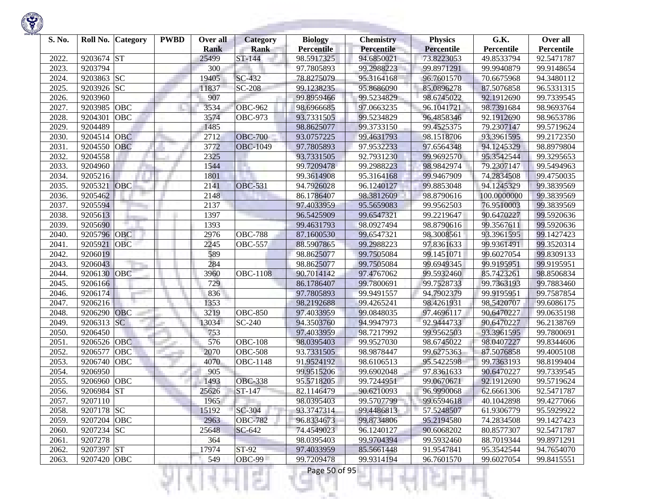| Percentile<br>92.5471787<br>99.9148654<br>94.3480112<br>96.5331315 |
|--------------------------------------------------------------------|
|                                                                    |
|                                                                    |
|                                                                    |
|                                                                    |
|                                                                    |
| 99.7339545                                                         |
| 98.9693764                                                         |
| 98.9653786                                                         |
| 99.5719624                                                         |
| 99.2172350                                                         |
| 98.8979804                                                         |
| 99.3295653                                                         |
| 99.5494963                                                         |
| 99.4750035                                                         |
| 99.3839569                                                         |
| 99.3839569                                                         |
| 99.3839569                                                         |
| 99.5920636                                                         |
| 99.5920636                                                         |
| 99.1427423                                                         |
| 99.3520314                                                         |
| 99.8309133                                                         |
| 99.9195951                                                         |
| 98.8506834                                                         |
| 99.7883460                                                         |
| 99.7587854                                                         |
| 99.6086175                                                         |
| 99.0635198                                                         |
| 96.2138769                                                         |
| 99.7800691                                                         |
| 99.8344606                                                         |
| 99.4005108                                                         |
| 98.8199404                                                         |
| 99.7339545                                                         |
| 99.5719624                                                         |
| 92.5471787                                                         |
| 99.4277066                                                         |
| 95.5929922                                                         |
| 99.1427423                                                         |
| 92.5471787                                                         |
| 99.8971291                                                         |
| 94.7654070                                                         |
| 99.8415551                                                         |
|                                                                    |

a.

375

ш

÷

K)

w

Ħ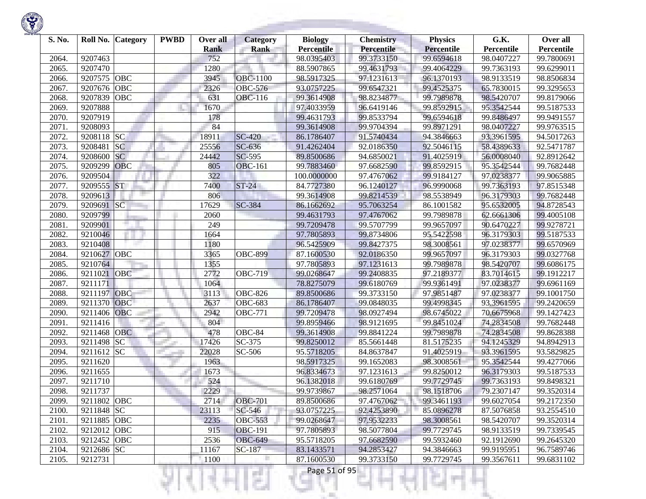

| S. No.         | Roll No.    | <b>Category</b> | <b>PWBD</b> | Over all<br><b>Rank</b> | <b>Category</b><br><b>Rank</b> | <b>Biology</b><br><b>Percentile</b> | <b>Chemistry</b><br>Percentile | <b>Physics</b><br><b>Percentile</b> | G.K.<br>Percentile | Over all<br>Percentile |
|----------------|-------------|-----------------|-------------|-------------------------|--------------------------------|-------------------------------------|--------------------------------|-------------------------------------|--------------------|------------------------|
| 2064.          | 9207463     |                 |             | 752                     |                                | 98.0395403                          | 99.3733150                     | 99.6594618                          | 98.0407227         | 99.7800691             |
| 2065.          | 9207470     |                 |             | 1280                    |                                | 88.5907865                          | 99.4631793                     | 99.4064229                          | 99.7363193         | 99.6299011             |
| 2066.          | 9207575     | OBC             |             | 3945                    | <b>OBC-1100</b>                | 98.5917325                          | 97.1231613                     | 96.1370193                          | 98.9133519         | 98.8506834             |
| 2067.          | 9207676     | <b>OBC</b>      |             | 2326                    | OBC-576                        | 93.0757225                          | 99.6547321                     | 99.4525375                          | 65.7830015         | 99.3295653             |
| 2068.          | 9207839     | <b>OBC</b>      |             | 631                     | $\overline{O}$ BC-116          | 99.3614908                          | 98.8234877                     | 99.7989878                          | 98.5420707         | 99.8179066             |
| 2069.          | 9207888     |                 |             | 1670                    |                                | 97.4033959                          | 96.6419146                     | 99.8592915                          | 95.3542544         | 99.5187533             |
| 2070.          | 9207919     |                 |             | 178                     |                                | 99.4631793                          | 99.8533794                     | 99.6594618                          | 99.8486497         | 99.9491557             |
| 2071.          | 9208093     |                 |             | 84                      |                                | 99.3614908                          | 99.9704394                     | 99.8971291                          | 98.0407227         | 99.9763515             |
| 2072.          | 9208118 SC  |                 |             | 18911                   | <b>SC-420</b>                  | 86.1786407                          | 91.5740434                     | 94.3846663                          | 93.3961595         | 94.5017263             |
| 2073.          | 9208481     | <b>SC</b>       |             | 25556                   | SC-636                         | 91.4262404                          | 92.0186350                     | 92.5046115                          | 58.4389633         | 92.5471787             |
| 2074.          | 9208600     | <b>SC</b>       |             | 24442                   | SC-595                         | 89.8500686                          | 94.6850021                     | 91.4025919                          | 56.0008040         | 92.8912642             |
| 2075.          | 9209299     | <b>OBC</b>      |             | 805                     | <b>OBC-161</b>                 | 99.7883460                          | 97.6682590                     | 99.8592915                          | 95.3542544         | 99.7682448             |
| 2076.          | 9209504     |                 |             | 322                     |                                | 100.0000000                         | 97.4767062                     | 99.9184127                          | 97.0238377         | 99.9065885             |
| 2077.          | 9209555     | <b>ST</b>       |             | 7400                    | $ST-24$                        | 84.7727380                          | 96.1240127                     | 96.9990068                          | 99.7363193         | 97.8515348             |
| 2078.          | 9209613     |                 |             | 806                     |                                | 99.3614908                          | 99.8214539                     | 98.5538949                          | 96.3179303         | 99.7682448             |
| 2079.          | 9209691     | SC              |             | 17629                   | SC-384                         | 86.1662692                          | 95.7063254                     | 86.1001582                          | 95.6532005         | 94.8728543             |
| 2080.          | 9209799     |                 |             | 2060                    |                                | 99.4631793                          | 97.4767062                     | 99.7989878                          | 62.6661306         | 99.4005108             |
| 2081.          | 9209901     |                 |             | 249                     |                                | 99.7209478                          | 99.5707799                     | 99.9657097                          | 90.6470227         | 99.9278721             |
| 2082.          | 9210046     |                 |             | 1664                    |                                | 97.7805893                          | 99.8734806                     | 95.5422598                          | 96.3179303         | 99.5187533             |
| 2083.          | 9210408     |                 |             | 1180                    |                                | 96.5425909                          | 99.8427375                     | 98.3008561                          | 97.0238377         | 99.6570969             |
| 2084.          | 9210627     | OBC             |             | 3365                    | <b>OBC-899</b>                 | 87.1600530                          | 92.0186350                     | 99.9657097                          | 96.3179303         | 99.0327768             |
| 2085.          | 9210764     |                 |             | 1355                    |                                | 97.7805893                          | 97.1231613                     | 99.7989878                          | 98.5420707         | 99.6086175             |
| 2086.          | 9211021     | OBC             |             | 2772                    | <b>OBC-719</b>                 | 99.0268647                          | 99.2408835                     | 97.2189377                          | 83.7014615         | 99.1912217             |
| 2087.          | 9211171     |                 |             | 1064                    |                                | 78.8275079                          | 99.6180769                     | 99.9361491                          | 97.0238377         | 99.6961169             |
| 2088.          | 9211197     | <b>OBC</b>      |             | 3113                    | <b>OBC-826</b>                 | 89.8500686                          | 99.3733150                     | 97.9851487                          | 97.0238377         | 99.1001750             |
| 2089.          | 9211370     | OBC             |             | 2637                    | <b>OBC-683</b>                 | 86.1786407                          | 99.0848035                     | 99.4998345                          | 93.3961595         | 99.2420659             |
| 2090.          | 9211406     | <b>OBC</b>      |             | 2942                    | <b>OBC-771</b>                 | 99.7209478                          | 98.0927494                     | 98.6745022                          | 70.6675968         | 99.1427423             |
| 2091.          | 9211416     |                 |             | 804                     |                                | 99.8959466                          | 98.9121695                     | 99.8451024                          | 74.2834508         | 99.7682448             |
| 2092.          | 9211468     | <b>OBC</b>      |             | 478                     | OBC-84                         | 99.3614908                          | 99.8841224                     | 99.7989878                          | 74.2834508         | 99.8628388             |
| 2093.          | 9211498     | <b>SC</b>       |             | 17426                   | SC-375                         | 99.8250012                          | 85.5661448                     | 81.5175235                          | 94.1245329         | 94.8942913             |
| 2094.          | 9211612     | <b>SC</b>       |             | 22028                   | SC-506                         | 95.5718205                          | 84.8637847                     | 91.4025919                          | 93.3961595         | 93.5829825             |
| 2095.          | 9211620     |                 |             | 1963                    |                                | 98.5917325                          | 99.1652083                     | 98.3008561                          | 95.3542544         | 99.4277066             |
| 2096.          | 9211655     |                 |             | 1673                    |                                | 96.8334673                          | 97.1231613                     | 99.8250012                          | 96.3179303         | 99.5187533             |
| 2097.          | 9211710     |                 |             | 524                     |                                | 96.1382018                          | 99.6180769                     | 99.7729745                          | 99.7363193         | 99.8498321             |
| 2098.          | 9211737     |                 |             | 2229                    |                                | 99.9739867                          | 98.2571064                     | 98.1518706                          | 79.2307147         | 99.3520314             |
| 2099.          | 9211802 OBC |                 |             | 2714                    | <b>OBC-701</b>                 | 89.8500686                          | 97.4767062                     | 99.3461193                          | 99.6027054         | 99.2172350             |
| 2100.          | 9211848 SC  |                 |             | 23113                   | SC-546                         | 93.0757225                          | 92.4253890                     | 85.0896278                          | 87.5076858         | 93.2554510             |
| 2101.          | 9211885 OBC |                 |             | 2235                    | <b>OBC-553</b>                 | 99.0268647                          | 97.9532233                     | 98.3008561                          | 98.5420707         | 99.3520314             |
| 2102.          | 9212012 OBC |                 |             | 915                     | <b>OBC-191</b>                 | 97.7805893                          | 98.5077804                     | 99.7729745                          | 98.9133519         | 99.7339545             |
| 2103.          | 9212452 OBC |                 |             | 2536                    | <b>OBC-649</b>                 | 95.5718205                          | 97.6682590                     | 99.5932460                          | 92.1912690         | 99.2645320             |
| 2104.<br>2105. | 9212686 SC  |                 |             | 11167                   | SC-187                         | 83.1433571<br>87.1600530            | 94.2853427                     | 94.3846663                          | 99.9195951         | 96.7589746             |
|                | 9212731     |                 |             | 1100                    |                                |                                     | 99.3733150                     | 99.7729745                          | 99.3567611         | 99.6831102             |
|                |             |                 |             |                         |                                | Page 51 of 95                       |                                |                                     |                    |                        |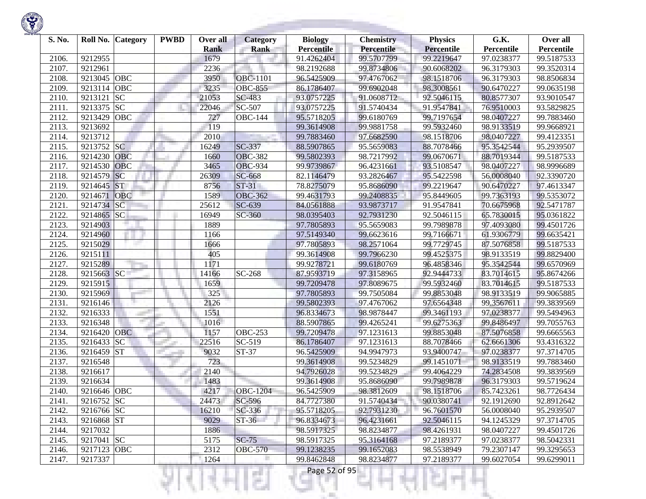

| S. No. | Roll No.<br><b>Category</b> | <b>PWBD</b> | Over all    | Category                  | <b>Biology</b>    | <b>Chemistry</b> | <b>Physics</b>    | G.K.       | Over all   |
|--------|-----------------------------|-------------|-------------|---------------------------|-------------------|------------------|-------------------|------------|------------|
|        |                             |             | <b>Rank</b> | <b>Rank</b>               | <b>Percentile</b> | Percentile       | <b>Percentile</b> | Percentile | Percentile |
| 2106.  | 9212955                     |             | 1679        |                           | 91.4262404        | 99.5707799       | 99.2219647        | 97.0238377 | 99.5187533 |
| 2107.  | 9212961                     |             | 2236        |                           | 98.2192688        | 99.8734806       | 90.6068202        | 96.3179303 | 99.3520314 |
| 2108.  | OBC<br>9213045              |             | 3950        | <b>OBC-1101</b>           | 96.5425909        | 97.4767062       | 98.1518706        | 96.3179303 | 98.8506834 |
| 2109.  | 9213114<br>OBC              |             | 3235        | <b>OBC-855</b>            | 86.1786407        | 99.6902048       | 98.3008561        | 90.6470227 | 99.0635198 |
| 2110.  | <b>SC</b><br>9213121        |             | 21053       | SC-483                    | 93.0757225        | 91.0608712       | 92.5046115        | 80.8577307 | 93.9010547 |
| 2111.  | 9213375<br><b>SC</b>        |             | 22046       | SC-507                    | 93.0757225        | 91.5740434       | 91.9547841        | 76.9510003 | 93.5829825 |
| 2112.  | 9213429<br>OBC              |             | 727         | <b>OBC-144</b>            | 95.5718205        | 99.6180769       | 99.7197654        | 98.0407227 | 99.7883460 |
| 2113.  | 9213692                     |             | 119         |                           | 99.3614908        | 99.9881758       | 99.5932460        | 98.9133519 | 99.9668921 |
| 2114.  | 9213712                     |             | 2010        |                           | 99.7883460        | 97.6682590       | 98.1518706        | 98.0407227 | 99.4123351 |
| 2115.  | 9213752 SC                  |             | 16249       | SC-337                    | 88.5907865        | 95.5659083       | 88.7078466        | 95.3542544 | 95.2939507 |
| 2116.  | OBC<br>9214230              |             | 1660        | <b>OBC-382</b>            | 99.5802393        | 98.7217992       | 99.0670671        | 88.7019344 | 99.5187533 |
| 2117.  | 9214530<br>OBC              |             | 3465        | <b>OBC-934</b>            | 99.9739867        | 96.4231661       | 93.5108547        | 98.0407227 | 98.9996689 |
| 2118.  | SC<br>9214579               |             | 26309       | SC-668                    | 82.1146479        | 93.2826467       | 95.5422598        | 56.0008040 | 92.3390720 |
| 2119.  | <b>ST</b><br>9214645        |             | 8756        | $ST-31$                   | 78.8275079        | 95.8686090       | 99.2219647        | 90.6470227 | 97.4613347 |
| 2120.  | 9214671<br><b>OBC</b>       |             | 1589        | <b>OBC-362</b>            | 99.4631793        | 99.2408835       | 95.8449605        | 99.7363193 | 99.5353072 |
| 2121.  | 9214734<br><b>SC</b>        |             | 25612       | SC-639                    | 84.0561888        | 93.9873717       | 91.9547841        | 70.6675968 | 92.5471787 |
| 2122.  | <b>SC</b><br>9214865        |             | 16949       | SC-360                    | 98.0395403        | 92.7931230       | 92.5046115        | 65.7830015 | 95.0361822 |
| 2123.  | 9214903                     |             | 1889        |                           | 97.7805893        | 95.5659083       | 99.7989878        | 97.4093080 | 99.4501726 |
| 2124.  | 9214960                     |             | 1166        |                           | 97.5149340        | 99.6623616       | 99.7166671        | 61.9306779 | 99.6635421 |
| 2125.  | 9215029                     |             | 1666        |                           | 97.7805893        | 98.2571064       | 99.7729745        | 87.5076858 | 99.5187533 |
| 2126.  | 9215111                     |             | 405         |                           | 99.3614908        | 99.7966230       | 99.4525375        | 98.9133519 | 99.8829400 |
| 2127.  | 9215289                     |             | 1171        |                           | 99.9278721        | 99.6180769       | 96.4858346        | 95.3542544 | 99.6570969 |
| 2128.  | <b>SC</b><br>9215663        |             | 14166       | SC-268                    | 87.9593719        | 97.3158965       | 92.9444733        | 83.7014615 | 95.8674266 |
| 2129.  | 9215915                     |             | 1659        |                           | 99.7209478        | 97.8089675       | 99.5932460        | 83.7014615 | 99.5187533 |
| 2130.  | 9215969                     |             | 325         |                           | 97.7805893        | 99.7505084       | 99.8853048        | 98.9133519 | 99.9065885 |
| 2131.  | 9216146                     |             | 2126        |                           | 99.5802393        | 97.4767062       | 97.6564348        | 99.3567611 | 99.3839569 |
| 2132.  | 9216333                     |             | 1551        |                           | 96.8334673        | 98.9878447       | 99.3461193        | 97.0238377 | 99.5494963 |
| 2133.  | 9216348                     |             | 1016        |                           | 88.5907865        | 99.4265241       | 99.6275363        | 99.8486497 | 99.7055763 |
| 2134.  | 9216420<br><b>OBC</b>       |             | 1157        | <b>OBC-253</b>            | 99.7209478        | 97.1231613       | 99.8853048        | 87.5076858 | 99.6665563 |
| 2135.  | 9216433<br><b>SC</b>        |             | 22516       | SC-519                    | 86.1786407        | 97.1231613       | 88.7078466        | 62.6661306 | 93.4316322 |
| 2136.  | <b>ST</b><br>9216459        |             | 9032        | $\overline{\text{ST-37}}$ | 96.5425909        | 94.9947973       | 93.9400747        | 97.0238377 | 97.3714705 |
| 2137.  | 9216548                     |             | 723         |                           | 99.3614908        | 99.5234829       | 99.1451071        | 98.9133519 | 99.7883460 |
| 2138.  | 9216617                     |             | 2140        |                           | 94.7926028        | 99.5234829       | 99.4064229        | 74.2834508 | 99.3839569 |
| 2139.  | 9216634                     |             | 1483        |                           | 99.3614908        | 95.8686090       | 99.7989878        | 96.3179303 | 99.5719624 |
| 2140.  | 9216646 OBC                 |             | 4217        | <b>OBC-1204</b>           | 96.5425909        | 98.3812609       | 98.1518706        | 85.7423261 | 98.7726434 |
| 2141.  | 9216752 SC                  |             | 24473       | $SC-596$                  | 84.7727380        | 91.5740434       | 90.0380741        | 92.1912690 | 92.8912642 |
| 2142.  | 9216766 SC                  |             | 16210       | SC-336                    | 95.5718205        | 92.7931230       | 96.7601570        | 56.0008040 | 95.2939507 |
| 2143.  | 9216868 ST                  |             | 9029        | $ST-36$                   | 96.8334673        | 96.4231661       | 92.5046115        | 94.1245329 | 97.3714705 |
| 2144.  | 9217032                     |             | 1886        |                           | 98.5917325        | 98.8234877       | 98.4261931        | 98.0407227 | 99.4501726 |
| 2145.  | 9217041 SC                  |             | 5175        | $SC-75$                   | 98.5917325        | 95.3164168       | 97.2189377        | 97.0238377 | 98.5042331 |
| 2146.  | 9217123 OBC                 |             | 2312        | <b>OBC-570</b>            | 99.1238235        | 99.1652083       | 98.5538949        | 79.2307147 | 99.3295653 |
| 2147.  | 9217337                     |             | 1264        |                           | 99.8462848        | 98.8234877       | 97.2189377        | 99.6027054 | 99.6299011 |

리버서

KJ.

ч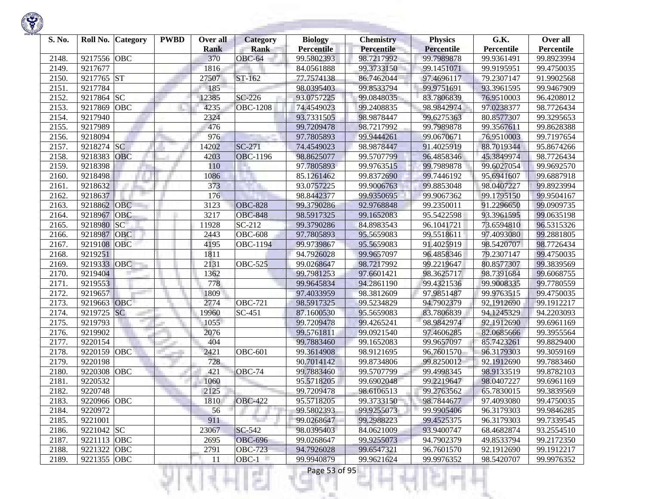

| S. No. |             | Roll No. Category | <b>PWBD</b> | Over all<br><b>Rank</b> | <b>Category</b><br><b>Rank</b> | <b>Biology</b><br><b>Percentile</b> | <b>Chemistry</b><br>Percentile | <b>Physics</b><br><b>Percentile</b> | G.K.<br>Percentile | Over all<br>Percentile |
|--------|-------------|-------------------|-------------|-------------------------|--------------------------------|-------------------------------------|--------------------------------|-------------------------------------|--------------------|------------------------|
| 2148.  | 9217556     | <b>OBC</b>        |             | 370                     | OBC-64                         | 99.5802393                          | 98.7217992                     | 99.7989878                          | 99.9361491         | 99.8923994             |
| 2149.  | 9217677     |                   |             | 1816                    |                                | 84.0561888                          | 99.3733150                     | 99.1451071                          | 99.9195951         | 99.4750035             |
| 2150.  | 9217765     | ST                |             | 27507                   | ST-162                         | 77.7574138                          | 86.7462044                     | 97.4696117                          | 79.2307147         | 91.9902568             |
| 2151.  | 9217784     |                   |             | 185                     |                                | 98.0395403                          | 99.8533794                     | 99.9751691                          | 93.3961595         | 99.9467909             |
| 2152.  | 9217864     | SC                |             | 12385                   | SC-226                         | 93.0757225                          | 99.0848035                     | 83.7806839                          | 76.9510003         | 96.4208012             |
| 2153.  | 9217869     | <b>OBC</b>        |             | 4235                    | <b>OBC-1208</b>                | 74.4549023                          | 99.2408835                     | 98.9842974                          | 97.0238377         | 98.7726434             |
| 2154.  | 9217940     |                   |             | 2324                    |                                | 93.7331505                          | 98.9878447                     | 99.6275363                          | 80.8577307         | 99.3295653             |
| 2155.  | 9217989     |                   |             | 476                     |                                | 99.7209478                          | 98.7217992                     | 99.7989878                          | 99.3567611         | 99.8628388             |
| 2156.  | 9218094     |                   |             | 976                     |                                | 97.7805893                          | 99.9444261                     | 99.0670671                          | 76.9510003         | 99.7197654             |
| 2157.  | 9218274     | <b>SC</b>         |             | 14202                   | $SC-271$                       | 74.4549023                          | 98.9878447                     | 91.4025919                          | 88.7019344         | 95.8674266             |
| 2158.  | 9218383     | <b>OBC</b>        |             | 4203                    | <b>OBC-1196</b>                | 98.8625077                          | 99.5707799                     | 96.4858346                          | 45.3849974         | 98.7726434             |
| 2159.  | 9218398     |                   |             | 110                     |                                | 97.7805893                          | 99.9763515                     | 99.7989878                          | 99.6027054         | 99.9692570             |
| 2160.  | 9218498     |                   |             | 1086                    |                                | 85.1261462                          | 99.8372690                     | 99.7446192                          | 95.6941607         | 99.6887918             |
| 2161.  | 9218632     |                   |             | 373                     |                                | 93.0757225                          | 99.9006763                     | 99.8853048                          | 98.0407227         | 99.8923994             |
| 2162.  | 9218637     |                   |             | 176                     |                                | 98.8442377                          | 99.9350695                     | 99.9067362                          | 99.1795150         | 99.9504167             |
| 2163.  | 9218862     | <b>OBC</b>        |             | 3123                    | <b>OBC-828</b>                 | 99.3790286                          | 92.9768848                     | 99.2350011                          | 91.2296650         | 99.0909735             |
| 2164.  | 9218967     | OBC               |             | 3217                    | <b>OBC-848</b>                 | 98.5917325                          | 99.1652083                     | 95.5422598                          | 93.3961595         | 99.0635198             |
| 2165.  | 9218980     | SC                |             | 11928                   | SC-212                         | 99.3790286                          | 84.8983543                     | 96.1041721                          | 73.6594810         | 96.5315326             |
| 2166.  | 9218987     | <b>OBC</b>        |             | 2443                    | <b>OBC-608</b>                 | 97.7805893                          | 95.5659083                     | 99.5518611                          | 97.4093080         | 99.2881805             |
| 2167.  | 9219108     | OBC               |             | 4195                    | <b>OBC-1194</b>                | 99.9739867                          | 95.5659083                     | 91.4025919                          | 98.5420707         | 98.7726434             |
| 2168.  | 9219251     |                   |             | 1811                    |                                | 94.7926028                          | 99.9657097                     | 96.4858346                          | 79.2307147         | 99.4750035             |
| 2169   | 9219333     | <b>OBC</b>        |             | 2131                    | <b>OBC-525</b>                 | 99.0268647                          | 98.7217992                     | 99.2219647                          | 80.8577307         | 99.3839569             |
| 2170.  | 9219404     |                   |             | 1362                    |                                | 99.7981253                          | 97.6601421                     | 98.3625717                          | 98.7391684         | 99.6068755             |
| 2171.  | 9219553     |                   |             | 778                     |                                | 99.9645834                          | 94.2861190                     | 99.4321536                          | 99.9008335         | 99.7780559             |
| 2172.  | 9219657     |                   |             | 1809                    |                                | 97.4033959                          | 98.3812609                     | 97.9851487                          | 99.9763515         | 99.4750035             |
| 2173.  | 9219663     | OBC               |             | 2774                    | <b>OBC-721</b>                 | 98.5917325                          | 99.5234829                     | 94.7902379                          | 92.1912690         | 99.1912217             |
| 2174.  | 9219725     | SC                |             | 19960                   | SC-451                         | 87.1600530                          | 95.5659083                     | 83.7806839                          | 94.1245329         | 94.2203093             |
| 2175.  | 9219793     |                   |             | 1055                    |                                | 99.7209478                          | 99.4265241                     | 98.9842974                          | 92.1912690         | 99.6961169             |
| 2176.  | 9219902     |                   |             | 2076                    |                                | 99.5761811                          | 99.0921540                     | 97.4606285                          | 82.0685666         | 99.3955564             |
| 2177.  | 9220154     |                   |             | 404                     |                                | 99.7883460                          | 99.1652083                     | 99.9657097                          | 85.7423261         | 99.8829400             |
| 2178.  | 9220159     | OBC               |             | 2421                    | <b>OBC-601</b>                 | 99.3614908                          | 98.9121695                     | 96.7601570                          | 96.3179303         | 99.3059169             |
| 2179.  | 9220198     |                   |             | 728                     |                                | 90.7014142                          | 99.8734806                     | 99.8250012                          | 92.1912690         | 99.7883460             |
| 2180   | 9220308     | <b>OBC</b>        |             | 421                     | OBC-74                         | 99.7883460                          | 99.5707799                     | 99.4998345                          | 98.9133519         | 99.8782103             |
| 2181.  | 9220532     |                   |             | 1060                    |                                | 95.5718205                          | 99.6902048                     | 99.2219647                          | 98.0407227         | 99.6961169             |
| 2182.  | 9220748     |                   |             | 2125                    |                                | 99.7209478                          | 98.6106513                     | 99.2763562                          | 65.7830015         | 99.3839569             |
| 2183.  | 9220966 OBC |                   |             | 1810                    | <b>OBC-422</b>                 | 95.5718205                          | 99.3733150                     | 98.7844677                          | 97.4093080         | 99.4750035             |
| 2184.  | 9220972     |                   |             | 56                      |                                | 99.5802393                          | 99.9255073                     | 99.9905406                          | 96.3179303         | 99.9846285             |
| 2185.  | 9221001     |                   |             | 911                     | Tarihi                         | 99.0268647                          | 99.2988223                     | 99.4525375                          | 96.3179303         | 99.7339545             |
| 2186.  | 9221042 SC  |                   |             | 23067                   | SC-542                         | 98.0395403                          | 84.0621009                     | 93.9400747                          | 68.4682874         | 93.2554510             |
| 2187.  | 9221113 OBC |                   |             | 2695                    | <b>OBC-696</b>                 | 99.0268647                          | 99.9255073                     | 94.7902379                          | 49.8533794         | 99.2172350             |
| 2188.  | 9221322 OBC |                   |             | 2791                    | <b>OBC-723</b>                 | 94.7926028                          | 99.6547321                     | 96.7601570                          | 92.1912690         | 99.1912217             |
| 2189.  | 9221355 OBC |                   |             | 11                      | $OBC-1$                        | 99.9940879                          | 99.9621624                     | 99.9976352                          | 98.5420707         | 99.9976352             |
|        |             |                   |             |                         | a ka                           | Page 53 of 95                       |                                |                                     |                    |                        |

**STATISTICS** 

**State State**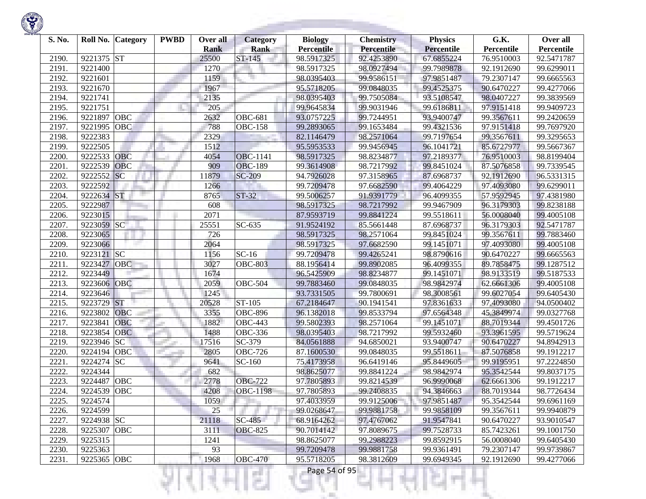

| S. No. |             | Roll No. Category | <b>PWBD</b> | Over all<br><b>Rank</b> | <b>Category</b><br><b>Rank</b> | <b>Biology</b><br><b>Percentile</b> | <b>Chemistry</b><br>Percentile | <b>Physics</b><br><b>Percentile</b> | G.K.<br>Percentile | Over all<br>Percentile |
|--------|-------------|-------------------|-------------|-------------------------|--------------------------------|-------------------------------------|--------------------------------|-------------------------------------|--------------------|------------------------|
| 2190.  | 9221375     | <b>ST</b>         |             | 25500                   | ST-145                         | 98.5917325                          | 92.4253890                     | 67.6855224                          | 76.9510003         | 92.5471787             |
| 2191.  | 9221400     |                   |             | 1270                    |                                | 98.5917325                          | 98.0927494                     | 99.7989878                          | 92.1912690         | 99.6299011             |
| 2192.  | 9221601     |                   |             | 1159                    |                                | 98.0395403                          | 99.9586151                     | 97.9851487                          | 79.2307147         | 99.6665563             |
| 2193.  | 9221670     |                   |             | 1967                    |                                | 95.5718205                          | 99.0848035                     | 99.4525375                          | 90.6470227         | 99.4277066             |
| 2194.  | 9221741     |                   |             | 2135                    |                                | 98.0395403                          | 99.7505084                     | 93.5108547                          | 98.0407227         | 99.3839569             |
| 2195.  | 9221751     |                   |             | 205                     |                                | 99.9645834                          | 99.9031946                     | 99.6186811                          | 97.9151418         | 99.9409723             |
| 2196.  | 9221897     | OBC               |             | 2632                    | <b>OBC-681</b>                 | 93.0757225                          | 99.7244951                     | 93.9400747                          | 99.3567611         | 99.2420659             |
| 2197.  | 9221995     | OBC               |             | 788                     | <b>OBC-158</b>                 | 99.2893065                          | 99.1653484                     | 99.4321536                          | 97.9151418         | 99.7697920             |
| 2198.  | 9222383     |                   |             | 2329                    |                                | 82.1146479                          | 98.2571064                     | 99.7197654                          | 99.3567611         | 99.3295653             |
| 2199.  | 9222505     |                   |             | 1512                    |                                | 95.5953533                          | 99.9456945                     | 96.1041721                          | 85.6727977         | 99.5667367             |
| 2200.  | 9222533     | <b>OBC</b>        |             | 4054                    | OBC-1141                       | 98.5917325                          | 98.8234877                     | 97.2189377                          | 76.9510003         | 98.8199404             |
| 2201.  | 9222539     | OBC               |             | 909                     | <b>OBC-189</b>                 | 99.3614908                          | 98.7217992                     | 99.8451024                          | 87.5076858         | 99.7339545             |
| 2202.  | 9222552     | <b>SC</b>         |             | 11879                   | <b>SC-209</b>                  | 94.7926028                          | 97.3158965                     | 87.6968737                          | 92.1912690         | 96.5331315             |
| 2203.  | 9222592     |                   |             | 1266                    |                                | 99.7209478                          | 97.6682590                     | 99.4064229                          | 97.4093080         | 99.6299011             |
| 2204.  | 9222634     | ST                |             | 8765                    | $ST-32$                        | 99.5006257                          | 91.9391779                     | 96.4099355                          | 57.9592945         | 97.4381980             |
| 2205.  | 9222987     |                   |             | 608                     |                                | 98.5917325                          | 98.7217992                     | 99.9467909                          | 96.3179303         | 99.8238188             |
| 2206.  | 9223015     |                   |             | 2071                    |                                | 87.9593719                          | 99.8841224                     | 99.5518611                          | 56.0008040         | 99.4005108             |
| 2207.  | 9223059     | SC                |             | 25551                   | SC-635                         | 91.9524192                          | 85.5661448                     | 87.6968737                          | 96.3179303         | 92.5471787             |
| 2208.  | 9223065     |                   |             | 726                     |                                | 98.5917325                          | 98.2571064                     | 99.8451024                          | 99.3567611         | 99.7883460             |
| 2209.  | 9223066     |                   |             | 2064                    |                                | 98.5917325                          | 97.6682590                     | 99.1451071                          | 97.4093080         | 99.4005108             |
| 2210.  | 9223121 SC  |                   |             | 1156                    | $SC-16$                        | 99.7209478                          | 99.4265241                     | 98.8790616                          | 90.6470227         | 99.6665563             |
| 2211.  | 9223427     | OBC               |             | 3027                    | <b>OBC-803</b>                 | 88.1956414                          | 99.8902085                     | 96.4099355                          | 89.7858475         | 99.1287512             |
| 2212.  | 9223449     |                   |             | 1674                    |                                | 96.5425909                          | 98.8234877                     | 99.1451071                          | 98.9133519         | 99.5187533             |
| 2213.  | 9223606     | OBC               |             | 2059                    | <b>OBC-504</b>                 | 99.7883460                          | 99.0848035                     | 98.9842974                          | 62.6661306         | 99.4005108             |
| 2214.  | 9223646     |                   |             | 1245                    |                                | 93.7331505                          | 99.7800691                     | 98.3008561                          | 99.6027054         | 99.6405430             |
| 2215.  | 9223729     | <b>ST</b>         |             | 20528                   | ST-105                         | 67.2184647                          | 90.1941541                     | 97.8361633                          | 97,4093080         | 94.0500402             |
| 2216.  | 9223802     | <b>OBC</b>        |             | 3355                    | <b>OBC-896</b>                 | 96.1382018                          | 99.8533794                     | 97.6564348                          | 45.3849974         | 99.0327768             |
| 2217.  | 9223841     | <b>OBC</b>        |             | 1882                    | <b>OBC-443</b>                 | 99.5802393                          | 98.2571064                     | 99.1451071                          | 88.7019344         | 99.4501726             |
| 2218.  | 9223854     | <b>OBC</b>        |             | 1488                    | OBC-336                        | 98.0395403                          | 98.7217992                     | 99.5932460                          | 93.3961595         | 99.5719624             |
| 2219.  | 9223946     | <b>SC</b>         |             | 17516                   | SC-379                         | 84.0561888                          | 94.6850021                     | 93.9400747                          | 90.6470227         | 94.8942913             |
| 2220.  | 9224194     | OBC               |             | 2805                    | $\overline{O}$ BC-726          | 87.1600530                          | 99.0848035                     | 99.5518611                          | 87.5076858         | 99.1912217             |
| 2221.  | 9224274     | <b>SC</b>         |             | 9641                    | $\overline{SC}$ -160           | 75.4173958                          | 96.6419146                     | 95.8449605                          | 99.9195951         | 97.2224850             |
| 2222.  | 9224344     |                   |             | 682                     |                                | 98.8625077                          | 99.8841224                     | 98.9842974                          | 95.3542544         | 99.8037175             |
| 2223.  | 9224487     | <b>OBC</b>        |             | 2778                    | <b>OBC-722</b>                 | 97.7805893                          | 99.8214539                     | 96.9990068                          | 62.6661306         | 99.1912217             |
| 2224.  | 9224539     | OBC               |             | 4208                    | <b>OBC-1198</b>                | 97.7805893                          | 99.2408835                     | 94.3846663                          | 88.7019344         | 98.7726434             |
| 2225.  | 9224574     |                   |             | 1059                    |                                | 97.4033959                          | 99.9125006                     | 97.9851487                          | 95.3542544         | 99.6961169             |
| 2226.  | 9224599     |                   |             | 25                      |                                | 99.0268647                          | 99.9881758                     | 99.9858109                          | 99.3567611         | 99.9940879             |
| 2227.  | 9224938 SC  |                   |             | 21118                   | SC-485                         | 68.9164262                          | 97.4767062                     | 91.9547841                          | 90.6470227         | 93.9010547             |
| 2228.  | 9225307 OBC |                   |             | 3111                    | <b>OBC-825</b>                 | 90.7014142                          | 97.8089675                     | 99.7528733                          | 85.7423261         | 99.1001750             |
| 2229.  | 9225315     |                   |             | 1241                    |                                | 98.8625077                          | 99.2988223                     | 99.8592915                          | 56.0008040         | 99.6405430             |
| 2230.  | 9225363     |                   |             | 93                      |                                | 99.7209478                          | 99.9881758                     | 99.9361491                          | 79.2307147         | 99.9739867             |
| 2231.  | 9225365 OBC |                   |             | 1968                    | <b>OBC-470</b>                 | 95.5718205                          | 98.3812609                     | 99.6949345                          | 92.1912690         | 99.4277066             |
|        |             |                   |             |                         |                                | Page 54 of 95                       |                                |                                     |                    |                        |

**Contract Contract**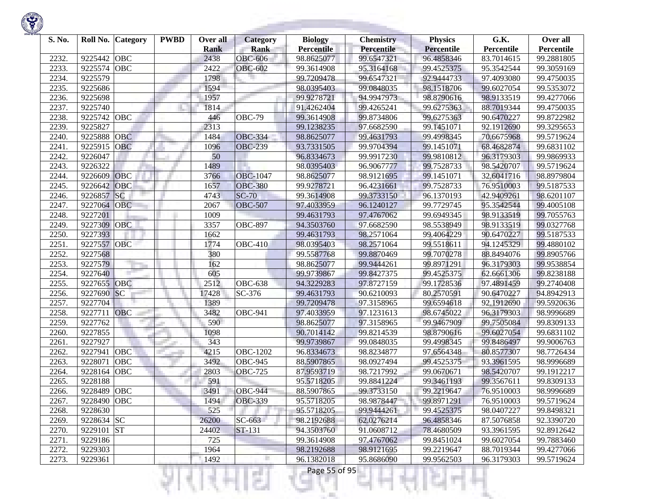

| S. No. | Roll No.    | <b>Category</b> | <b>PWBD</b> | Over all<br><b>Rank</b> | <b>Category</b><br><b>Rank</b> | <b>Biology</b><br><b>Percentile</b> | <b>Chemistry</b><br>Percentile | <b>Physics</b><br><b>Percentile</b> | G.K.<br>Percentile | Over all<br>Percentile |
|--------|-------------|-----------------|-------------|-------------------------|--------------------------------|-------------------------------------|--------------------------------|-------------------------------------|--------------------|------------------------|
| 2232.  | 9225442     | OBC             |             | 2438                    | <b>OBC-606</b>                 | 98.8625077                          | 99.6547321                     | 96.4858346                          | 83.7014615         | 99.2881805             |
| 2233.  | 9225574     | OBC             |             | 2422                    | <b>OBC-602</b>                 | 99.3614908                          | 95.3164168                     | 99.4525375                          | 95.3542544         | 99.3059169             |
| 2234.  | 9225579     |                 |             | 1798                    |                                | 99.7209478                          | 99.6547321                     | 92.9444733                          | 97.4093080         | 99.4750035             |
| 2235.  | 9225686     |                 |             | 1594                    |                                | 98.0395403                          | 99.0848035                     | 98.1518706                          | 99.6027054         | 99.5353072             |
| 2236.  | 9225698     |                 |             | 1957                    |                                | 99.9278721                          | 94.9947973                     | 98.8790616                          | 98.9133519         | 99.4277066             |
| 2237.  | 9225740     |                 |             | 1814                    |                                | 91.4262404                          | 99.4265241                     | 99.6275363                          | 88.7019344         | 99.4750035             |
| 2238.  | 9225742     | OBC             |             | 446                     | <b>OBC-79</b>                  | 99.3614908                          | 99.8734806                     | 99.6275363                          | 90.6470227         | 99.8722982             |
| 2239.  | 9225827     |                 |             | 2313                    |                                | 99.1238235                          | 97.6682590                     | 99.1451071                          | 92.1912690         | 99.3295653             |
| 2240.  | 9225888     | OBC             |             | 1484                    | <b>OBC-334</b>                 | 98.8625077                          | 99.4631793                     | 99.4998345                          | 70.6675968         | 99.5719624             |
| 2241.  | 9225915     | OBC             |             | 1096                    | <b>OBC-239</b>                 | 93.7331505                          | 99.9704394                     | 99.1451071                          | 68.4682874         | 99.6831102             |
| 2242.  | 9226047     |                 |             | 50                      |                                | 96.8334673                          | 99.9917230                     | 99.9810812                          | 96.3179303         | 99.9869933             |
| 2243.  | 9226322     |                 |             | 1489                    |                                | 98.0395403                          | 96.9067777                     | 99.7528733                          | 98.5420707         | 99.5719624             |
| 2244.  | 9226609     | OBC             |             | 3766                    | <b>OBC-1047</b>                | 98.8625077                          | 98.9121695                     | 99.1451071                          | 32.6041716         | 98.8979804             |
| 2245.  | 9226642     | <b>OBC</b>      |             | 1657                    | <b>OBC-380</b>                 | 99.9278721                          | 96.4231661                     | 99.7528733                          | 76.9510003         | 99.5187533             |
| 2246.  | 9226857     | SC              |             | 4743                    | <b>SC-70</b>                   | 99.3614908                          | 99.3733150                     | 96.1370193                          | 42.9409261         | 98.6201107             |
| 2247.  | 9227064     | OBC             |             | 2067                    | <b>OBC-507</b>                 | 97.4033959                          | 96.1240127                     | 99.7729745                          | 95.3542544         | 99.4005108             |
| 2248.  | 9227201     |                 |             | 1009                    |                                | 99.4631793                          | 97.4767062                     | 99.6949345                          | 98.9133519         | 99.7055763             |
| 2249.  | 9227309     | OBC             |             | 3357                    | <b>OBC-897</b>                 | 94.3503760                          | 97.6682590                     | 98.5538949                          | 98.9133519         | 99.0327768             |
| 2250.  | 9227393     |                 |             | 1662                    |                                | 99.4631793                          | 98.2571064                     | 99.4064229                          | 90.6470227         | 99.5187533             |
| 2251.  | 9227557     | <b>OBC</b>      |             | 1774                    | <b>OBC-410</b>                 | 98.0395403                          | 98.2571064                     | 99.5518611                          | 94.1245329         | 99.4880102             |
| 2252.  | 9227568     |                 |             | 380                     |                                | 99.5587768                          | 99.8870469                     | 99.7070278                          | 88.8494076         | 99.8905766             |
| 2253.  | 9227579     |                 |             | 162                     |                                | 98.8625077                          | 99.9444261                     | 99.8971291                          | 96.3179303         | 99.9538854             |
| 2254.  | 9227640     |                 |             | 605                     |                                | 99.9739867                          | 99.8427375                     | 99.4525375                          | 62.6661306         | 99.8238188             |
| 2255.  | 9227655     | <b>OBC</b>      |             | 2512                    | <b>OBC-638</b>                 | 94.3229283                          | 97.8727159                     | 99.1728536                          | 97.4891459         | 99.2740408             |
| 2256.  | 9227690     | SC              |             | 17428                   | SC-376                         | 99.4631793                          | 90.6210093                     | 80.2570591                          | 90.6470227         | 94.8942913             |
| 2257.  | 9227704     |                 |             | 1389                    |                                | 99.7209478                          | 97.3158965                     | 99.6594618                          | 92.1912690         | 99.5920636             |
| 2258.  | 9227711     | OBC             |             | 3482                    | <b>OBC-941</b>                 | 97.4033959                          | 97.1231613                     | 98.6745022                          | 96.3179303         | 98.9996689             |
| 2259.  | 9227762     | m.              |             | 590                     |                                | 98.8625077                          | 97.3158965                     | 99.9467909                          | 99.7505084         | 99.8309133             |
| 2260.  | 9227855     |                 |             | 1098                    |                                | 90.7014142                          | 99.8214539                     | 98.8790616                          | 99.6027054         | 99.6831102             |
| 2261.  | 9227927     |                 |             | 343                     |                                | 99.9739867                          | 99.0848035                     | 99.4998345                          | 99.8486497         | 99.9006763             |
| 2262.  | 9227941     | OBC             |             | 4215                    | <b>OBC-1202</b>                | 96.8334673                          | 98.8234877                     | 97.6564348                          | 80.8577307         | 98.7726434             |
| 2263.  | 9228071     | OBC             |             | 3492                    | <b>OBC-945</b>                 | 88.5907865                          | 98.0927494                     | 99.4525375                          | 93.3961595         | 98.9996689             |
| 2264.  | 9228164     | OBC             |             | 2803                    | <b>OBC-725</b>                 | 87.9593719                          | 98.7217992                     | 99.0670671                          | 98.5420707         | 99.1912217             |
| 2265.  | 9228188     |                 |             | 591                     |                                | 95.5718205                          | 99.8841224                     | 99.3461193                          | 99.3567611         | 99.8309133             |
| 2266.  | 9228489     | OBC             |             | 3491                    | <b>OBC-944</b>                 | 88.5907865                          | 99.3733150                     | 99.2219647                          | 76.9510003         | 98.9996689             |
| 2267.  | 9228490 OBC |                 |             | 1494                    | <b>OBC-339</b>                 | 95.5718205                          | 98.9878447                     | 99.8971291                          | 76.9510003         | 99.5719624             |
| 2268.  | 9228630     |                 |             | 525                     |                                | 95.5718205                          | 99.9444261                     | 99.4525375                          | 98.0407227         | 99.8498321             |
| 2269.  | 9228634 SC  |                 |             | 26200                   | SC-663                         | 98.2192688                          | 62.0276214                     | 96.4858346                          | 87.5076858         | 92.3390720             |
| 2270.  | 9229101 ST  |                 |             | 24402                   | ST-131                         | 94.3503760                          | 91.0608712                     | 78.4680509                          | 93.3961595         | 92.8912642             |
| 2271.  | 9229186     |                 |             | 725                     |                                | 99.3614908                          | 97.4767062                     | 99.8451024                          | 99.6027054         | 99.7883460             |
| 2272.  | 9229303     |                 |             | 1964                    |                                | 98.2192688                          | 98.9121695                     | 99.2219647                          | 88.7019344         | 99.4277066             |
| 2273.  | 9229361     |                 |             | 1492                    |                                | 96.1382018                          | 95.8686090                     | 99.9562503                          | 96.3179303         | 99.5719624             |
|        |             |                 |             |                         | 51                             | Page 55 of 95                       |                                |                                     |                    |                        |

**STORY OF STRATE** 

**Contract Contract**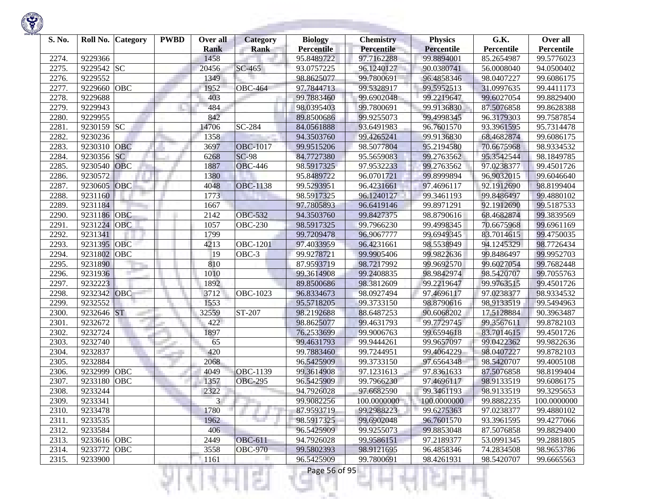| S. No. |             | Roll No. Category | <b>PWBD</b> | Over all<br><b>Rank</b> | <b>Category</b><br><b>Rank</b> | <b>Biology</b><br><b>Percentile</b> | <b>Chemistry</b><br><b>Percentile</b> | <b>Physics</b><br><b>Percentile</b> | G.K.<br>Percentile | Over all<br>Percentile |
|--------|-------------|-------------------|-------------|-------------------------|--------------------------------|-------------------------------------|---------------------------------------|-------------------------------------|--------------------|------------------------|
| 2274.  | 9229366     |                   |             | 1458                    |                                | 95.8489722                          | 97.7162288                            | 99.8894001                          | 85.2654987         | 99.5776023             |
| 2275.  | 9229542 SC  |                   |             | 20456                   | SC-465                         | 93.0757225                          | 96.1240127                            | 90.0380741                          | 56.0008040         | 94.0500402             |
| 2276.  | 9229552     |                   |             | 1349                    |                                | 98.8625077                          | 99.7800691                            | 96.4858346                          | 98.0407227         | 99.6086175             |
| 2277.  | 9229660     | OBC               |             | 1952                    | <b>OBC-464</b>                 | 97.7844713                          | 99.5328917                            | 99.5952513                          | 31.0997635         | 99.4411173             |
| 2278.  | 9229688     |                   |             | 403                     |                                | 99.7883460                          | 99.6902048                            | 99.2219647                          | 99.6027054         | 99.8829400             |
| 2279.  | 9229943     |                   |             | 484                     |                                | 98.0395403                          | 99.7800691                            | 99.9136830                          | 87.5076858         | 99.8628388             |
| 2280.  | 9229955     |                   |             | 842                     |                                | 89.8500686                          | 99.9255073                            | 99.4998345                          | 96.3179303         | 99.7587854             |
| 2281.  | 9230159 SC  |                   |             | 14706                   | SC-284                         | 84.0561888                          | 93.6491983                            | 96.7601570                          | 93.3961595         | 95.7314478             |
| 2282.  | 9230236     |                   |             | 1358                    |                                | 94.3503760                          | 99.4265241                            | 99.9136830                          | 68.4682874         | 99.6086175             |
| 2283.  | 9230310     | OBC               |             | 3697                    | <b>OBC-1017</b>                | 99.9515206                          | 98.5077804                            | 95.2194580                          | 70.6675968         | 98.9334532             |
| 2284.  | 9230356     | <b>SC</b>         |             | 6268                    | <b>SC-98</b>                   | 84.7727380                          | 95.5659083                            | 99.2763562                          | 95.3542544         | 98.1849785             |
| 2285.  | 9230540     | OBC               |             | 1887                    | <b>OBC-446</b>                 | 98.5917325                          | 97.9532233                            | 99.2763562                          | 97.0238377         | 99.4501726             |
| 2286.  | 9230572     |                   |             | 1380                    |                                | 95.8489722                          | 96.0701721                            | 99.8999894                          | 96.9032015         | 99.6046640             |
| 2287.  | 9230605     | OBC               |             | 4048                    | <b>OBC-1138</b>                | 99.5293951                          | 96.4231661                            | 97.4696117                          | 92.1912690         | 98.8199404             |
| 2288.  | 9231160     |                   |             | 1773                    |                                | 98.5917325                          | 96.1240127                            | 99.3461193                          | 99.8486497         | 99.4880102             |
| 2289.  | 9231184     |                   |             | 1667                    |                                | 97.7805893                          | 96.6419146                            | 99.8971291                          | 92.1912690         | 99.5187533             |
| 2290.  | 9231186     | OBC               |             | 2142                    | <b>OBC-532</b>                 | 94.3503760                          | 99.8427375                            | 98.8790616                          | 68.4682874         | 99.3839569             |
| 2291.  | 9231224     | <b>OBC</b>        |             | 1057                    | <b>OBC-230</b>                 | 98.5917325                          | 99.7966230                            | 99.4998345                          | 70.6675968         | 99.6961169             |
| 2292.  | 9231341     |                   |             | 1799                    |                                | 99.7209478                          | 96.9067777                            | 99.6949345                          | 83.7014615         | 99.4750035             |
| 2293.  | 9231395 OBC |                   |             | 4213                    | <b>OBC-1201</b>                | 97.4033959                          | 96.4231661                            | 98.5538949                          | 94.1245329         | 98.7726434             |
| 2294.  | 9231802     | OBC               |             | 19                      | OBC-3                          | 99.9278721                          | 99.9905406                            | 99.9822636                          | 99.8486497         | 99.9952703             |
| 2295.  | 9231890     |                   |             | 810                     |                                | 87.9593719                          | 98.7217992                            | 99.9692570                          | 99.6027054         | 99.7682448             |
| 2296.  | 9231936     |                   |             | 1010                    |                                | 99.3614908                          | 99.2408835                            | 98.9842974                          | 98.5420707         | 99.7055763             |
| 2297.  | 9232223     |                   |             | 1892                    |                                | 89.8500686                          | 98.3812609                            | 99.2219647                          | 99.9763515         | 99.4501726             |
| 2298.  | 9232342     | OBC               |             | 3712                    | OBC-1023                       | 96.8334673                          | 98.0927494                            | 97.4696117                          | 97.0238377         | 98.9334532             |
| 2299.  | 9232552     |                   |             | 1553                    |                                | 95.5718205                          | 99.3733150                            | 98.8790616                          | 98.9133519         | 99.5494963             |
| 2300.  | 9232646 ST  |                   |             | 32559                   | ST-207                         | 98.2192688                          | 88.6487253                            | 90.6068202                          | 17.5128884         | 90.3963487             |
| 2301.  | 9232672     | m.                |             | 422                     |                                | 98.8625077                          | 99.4631793                            | 99.7729745                          | 99.3567611         | 99.8782103             |
| 2302.  | 9232724     |                   |             | 1897                    |                                | 76.2533699                          | 99.9006763                            | 99.6594618                          | 83.7014615         | 99.4501726             |
| 2303.  | 9232740     |                   |             | 65                      |                                | 99.4631793                          | 99.9444261                            | 99.9657097                          | 99.0422362         | 99.9822636             |
| 2304.  | 9232837     |                   |             | 420                     |                                | 99.7883460                          | 99.7244951                            | 99.4064229                          | 98.0407227         | 99.8782103             |
| 2305.  | 9232884     |                   |             | 2068                    |                                | 96.5425909                          | 99.3733150                            | 97.6564348                          | 98.5420707         | 99.4005108             |
| 2306.  | 9232999     | OBC               |             | 4049                    | <b>OBC-1139</b>                | 99.3614908                          | 97.1231613                            | 97.8361633                          | 87.5076858         | 98.8199404             |
| 2307.  | 9233180     | OBC               |             | 1357                    | <b>OBC-295</b>                 | 96.5425909                          | 99.7966230                            | 97.4696117                          | 98.9133519         | 99.6086175             |
| 2308.  | 9233244     |                   |             | 2322                    |                                | 94.7926028                          | 97.6682590                            | 99.3461193                          | 98.9133519         | 99.3295653             |
| 2309.  | 9233341     |                   |             | 3                       |                                | 99.9082256                          | 100.0000000                           | 100.0000000                         | 99.8882235         | 100.0000000            |
| 2310.  | 9233478     |                   |             | 1780                    |                                | 87.9593719                          | 99.2988223                            | 99.6275363                          | 97.0238377         | 99.4880102             |
| 2311.  | 9233535     |                   |             | 1962                    | ta 1                           | 98.5917325                          | 99.6902048                            | 96.7601570                          | 93.3961595         | 99.4277066             |
| 2312.  | 9233584     |                   |             | 406                     |                                | 96.5425909                          | 99.9255073                            | 99.8853048                          | 87.5076858         | 99.8829400             |
| 2313.  | 9233616 OBC |                   |             | 2449                    | <b>OBC-611</b>                 | 94.7926028                          | 99.9586151                            | 97.2189377                          | 53.0991345         | 99.2881805             |
| 2314.  | 9233772 OBC |                   |             | 3558                    | <b>OBC-970</b>                 | 99.5802393                          | 98.9121695                            | 96.4858346                          | 74.2834508         | 98.9653786             |
| 2315.  | 9233900     |                   |             | 1161                    |                                | 96.5425909                          | 99.7800691                            | 98.4261931                          | 98.5420707         | 99.6665563             |
|        |             |                   |             |                         |                                | Page 56 of 95                       |                                       |                                     |                    |                        |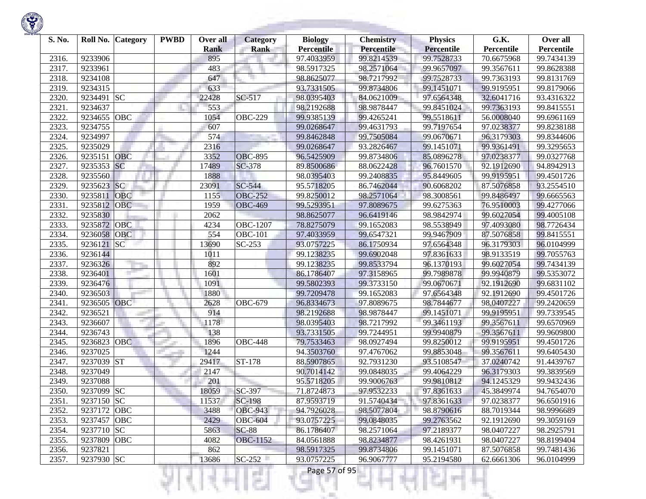| S. No. |                    | Roll No. Category | <b>PWBD</b> | Over all<br><b>Rank</b> | <b>Category</b><br><b>Rank</b> | <b>Biology</b><br><b>Percentile</b> | <b>Chemistry</b><br>Percentile | <b>Physics</b><br><b>Percentile</b> | G.K.<br>Percentile | Over all<br>Percentile |
|--------|--------------------|-------------------|-------------|-------------------------|--------------------------------|-------------------------------------|--------------------------------|-------------------------------------|--------------------|------------------------|
| 2316.  | 9233906            |                   |             | 895                     |                                | 97.4033959                          | 99.8214539                     | 99.7528733                          | 70.6675968         | 99.7434139             |
| 2317.  | 9233961            |                   |             | 483                     |                                | 98.5917325                          | 98.2571064                     | 99.9657097                          | 99.3567611         | 99.8628388             |
| 2318.  | 9234108            |                   |             | 647                     |                                | 98.8625077                          | 98.7217992                     | 99.7528733                          | 99.7363193         | 99.8131769             |
| 2319.  | 9234315            |                   |             | 633                     |                                | 93.7331505                          | 99.8734806                     | 99.1451071                          | 99.9195951         | 99.8179066             |
| 2320   | 9234491            | <b>SC</b>         |             | 22428                   | SC-517                         | 98.0395403                          | 84.0621009                     | 97.6564348                          | 32.6041716         | 93.4316322             |
| 2321.  | 9234637            |                   |             | 553                     |                                | 98.2192688                          | 98.9878447                     | 99.8451024                          | 99.7363193         | 99.8415551             |
|        | 9234655            | OBC               |             | 1054                    | <b>OBC-229</b>                 |                                     |                                | 99.5518611                          |                    | 99.6961169             |
| 2322.  |                    |                   |             |                         |                                | 99.9385139                          | 99.4265241<br>99.4631793       |                                     | 56.0008040         |                        |
| 2323.  | 9234755<br>9234997 |                   |             | 607<br>574              |                                | 99.0268647                          |                                | 99.7197654                          | 97.0238377         | 99.8238188             |
| 2324.  | 9235029            |                   |             |                         |                                | 99.8462848                          | 99.7505084                     | 99.0670671                          | 96.3179303         | 99.8344606             |
| 2325.  |                    |                   |             | 2316                    |                                | 99.0268647                          | 93.2826467                     | 99.1451071                          | 99.9361491         | 99.3295653             |
| 2326.  | 9235151            | <b>OBC</b>        |             | 3352                    | <b>OBC-895</b>                 | 96.5425909                          | 99.8734806                     | 85.0896278                          | 97.0238377         | 99.0327768             |
| 2327.  | 9235353            | SC                |             | 17489                   | SC-378                         | 89.8500686                          | 88.0622428                     | 96.7601570                          | 92.1912690         | 94.8942913             |
| 2328.  | 9235560            |                   |             | 1888                    |                                | 98.0395403                          | 99.2408835                     | 95.8449605                          | 99.9195951         | 99.4501726             |
| 2329.  | 9235623            | SC <sub>1</sub>   |             | 23091                   | SC-544                         | 95.5718205                          | 86.7462044                     | 90.6068202                          | 87.5076858         | 93.2554510             |
| 2330.  | 9235811            | <b>OBC</b>        |             | 1155                    | <b>OBC-252</b>                 | 99.8250012                          | 98.2571064                     | 98.3008561                          | 99.8486497         | 99.6665563             |
| 2331.  | 9235812            | <b>OBC</b>        |             | 1959                    | <b>OBC-469</b>                 | 99.5293951                          | 97.8089675                     | 99.6275363                          | 76.9510003         | 99.4277066             |
| 2332.  | 9235830            |                   |             | 2062                    |                                | 98.8625077                          | 96.6419146                     | 98.9842974                          | 99.6027054         | 99.4005108             |
| 2333.  | 9235872            | <b>OBC</b>        |             | 4234                    | <b>OBC-1207</b>                | 78.8275079                          | 99.1652083                     | 98.5538949                          | 97.4093080         | 98.7726434             |
| 2334.  | 9236058            | <b>OBC</b>        |             | 554                     | $\overline{O}$ BC-101          | 97.4033959                          | 99.6547321                     | 99.9467909                          | 87.5076858         | 99.8415551             |
| 2335.  | 9236121            | SC                |             | 13690                   | SC-253                         | 93.0757225                          | 86.1750934                     | 97.6564348                          | 96.3179303         | 96.0104999             |
| 2336.  | 9236144            |                   |             | 1011                    |                                | 99.1238235                          | 99.6902048                     | 97.8361633                          | 98.9133519         | 99.7055763             |
| 2337.  | 9236326            |                   |             | 892                     |                                | 99.1238235                          | 99.8533794                     | 96.1370193                          | 99.6027054         | 99.7434139             |
| 2338.  | 9236401            |                   |             | 1601                    |                                | 86.1786407                          | 97.3158965                     | 99.7989878                          | 99.9940879         | 99.5353072             |
| 2339.  | 9236476            |                   |             | 1091                    |                                | 99.5802393                          | 99.3733150                     | 99.0670671                          | 92.1912690         | 99.6831102             |
| 2340.  | 9236503            |                   |             | 1880                    |                                | 99.7209478                          | 99.1652083                     | 97.6564348                          | 92.1912690         | 99.4501726             |
| 2341.  | 9236505            | <b>OBC</b>        |             | 2628                    | <b>OBC-679</b>                 | 96.8334673                          | 97.8089675                     | 98.7844677                          | 98.0407227         | 99.2420659             |
| 2342.  | 9236521            |                   |             | 914                     |                                | 98.2192688                          | 98.9878447                     | 99.1451071                          | 99.9195951         | 99.7339545             |
| 2343.  | 9236607            |                   |             | 1178                    |                                | 98.0395403                          | 98.7217992                     | 99.3461193                          | 99.3567611         | 99.6570969             |
| 2344.  | 9236743            |                   |             | 138                     |                                | 93.7331505                          | 99.7244951                     | 99.9940879                          | 99.3567611         | 99.9609800             |
| 2345.  | 9236823            | <b>OBC</b>        |             | 1896                    | <b>OBC-448</b>                 | 79.7533463                          | 98.0927494                     | 99.8250012                          | 99.9195951         | 99.4501726             |
| 2346.  | 9237025            |                   |             | 1244                    |                                | 94.3503760                          | 97.4767062                     | 99.8853048                          | 99.3567611         | 99.6405430             |
| 2347.  | 9237039            | <b>ST</b>         |             | 29417                   | ST-178                         | 88.5907865                          | 92.7931230                     | 93.5108547                          | 37.0240742         | 91.4439767             |
| 2348.  | 9237049            |                   |             | 2147                    |                                | 90.7014142                          | 99.0848035                     | 99.4064229                          | 96.3179303         | 99.3839569             |
| 2349.  | 9237088            |                   |             | 201                     |                                | 95.5718205                          | 99.9006763                     | 99.9810812                          | 94.1245329         | 99.9432436             |
| 2350.  | 9237099 SC         |                   |             | 18059                   | SC-397                         | 71.8724873                          | 97.9532233                     | 97.8361633                          | 45.3849974         | 94.7654070             |
| 2351.  | 9237150 SC         |                   |             | 11537                   | SC-198                         | 87.9593719                          | 91.5740434                     | 97.8361633                          | 97.0238377         | 96.6501916             |
| 2352.  | 9237172 OBC        |                   |             | 3488                    | <b>OBC-943</b>                 | 94.7926028                          | 98.5077804                     | 98.8790616                          | 88.7019344         | 98.9996689             |
| 2353.  | 9237457 OBC        |                   |             | 2429                    | <b>OBC-604</b>                 | 93.0757225                          | 99.0848035                     | 99.2763562                          | 92.1912690         | 99.3059169             |
| 2354.  | 9237710 SC         |                   |             | 5863                    | <b>SC-88</b>                   | 86.1786407                          | 98.2571064                     | 97.2189377                          | 98.0407227         | 98.2925791             |
| 2355.  | 9237809            | OBC               |             | 4082                    | <b>OBC-1152</b>                | 84.0561888                          | 98.8234877                     | 98.4261931                          | 98.0407227         | 98.8199404             |
| 2356.  | 9237821            |                   |             | 862                     |                                | 98.5917325                          | 99.8734806                     | 99.1451071                          | 87.5076858         | 99.7481436             |
| 2357.  | 9237930 SC         |                   |             | 13686                   | $SC-252$                       | 93.0757225                          | 96.9067777                     | 95.2194580                          | 62.6661306         | 96.0104999             |

₹Н

w

Ħ

л

m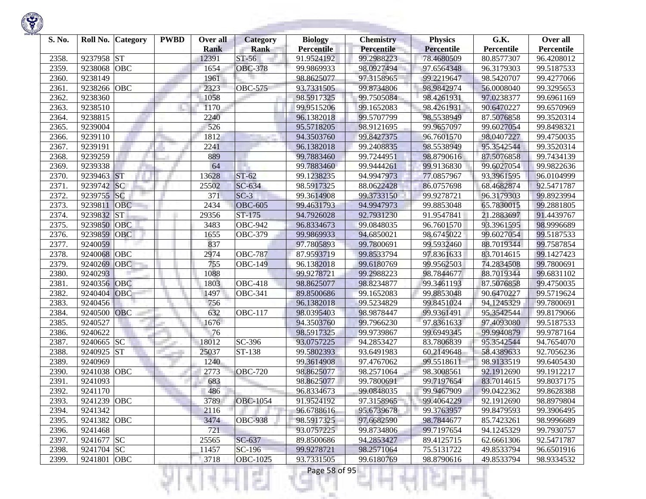

| S. No. |             | Roll No. Category | <b>PWBD</b> | Over all    | <b>Category</b>       | <b>Biology</b>    | <b>Chemistry</b> | <b>Physics</b>           | G.K.       | Over all                 |
|--------|-------------|-------------------|-------------|-------------|-----------------------|-------------------|------------------|--------------------------|------------|--------------------------|
|        |             |                   |             | <b>Rank</b> | <b>Rank</b>           | <b>Percentile</b> | Percentile       | <b>Percentile</b>        | Percentile | Percentile               |
| 2358.  | 9237958 ST  | OBC               |             | 12391       | ST-56                 | 91.9524192        | 99.2988223       | 78.4680509<br>97.6564348 | 80.8577307 | 96.4208012<br>99.5187533 |
| 2359.  | 9238068     |                   |             | 1654        | <b>OBC-378</b>        | 99.9869933        | 98.0927494       |                          | 96.3179303 |                          |
| 2360   | 9238149     |                   |             | 1961        |                       | 98.8625077        | 97.3158965       | 99.2219647               | 98.5420707 | 99.4277066               |
| 2361.  | 9238266     | OBC               |             | 2323        | <b>OBC-575</b>        | 93.7331505        | 99.8734806       | 98.9842974               | 56.0008040 | 99.3295653               |
| 2362.  | 9238360     |                   |             | 1058        |                       | 98.5917325        | 99.7505084       | 98.4261931               | 97.0238377 | 99.6961169               |
| 2363.  | 9238510     |                   |             | 1170        |                       | 99.9515206        | 99.1652083       | 98.4261931               | 90.6470227 | 99.6570969               |
| 2364.  | 9238815     |                   |             | 2240        |                       | 96.1382018        | 99.5707799       | 98.5538949               | 87.5076858 | 99.3520314               |
| 2365.  | 9239004     |                   |             | 526         |                       | 95.5718205        | 98.9121695       | 99.9657097               | 99.6027054 | 99.8498321               |
| 2366.  | 9239110     |                   |             | 1812        |                       | 94.3503760        | 99.8427375       | 96.7601570               | 98.0407227 | 99.4750035               |
| 2367.  | 9239191     |                   |             | 2241        |                       | 96.1382018        | 99.2408835       | 98.5538949               | 95.3542544 | 99.3520314               |
| 2368   | 9239259     |                   |             | 889         |                       | 99.7883460        | 99.7244951       | 98.8790616               | 87.5076858 | 99.7434139               |
| 2369.  | 9239338     |                   |             | 64          |                       | 99.7883460        | 99.9444261       | 99.9136830               | 99.6027054 | 99.9822636               |
| 2370.  | 9239463     | <b>ST</b>         |             | 13628       | $ST-62$               | 99.1238235        | 94.9947973       | 77.0857967               | 93.3961595 | 96.0104999               |
| 2371.  | 9239742     | SC                |             | 25502       | SC-634                | 98.5917325        | 88.0622428       | 86.0757698               | 68.4682874 | 92.5471787               |
| 2372.  | 9239755     | SC                |             | 371         | $SC-3$                | 99.3614908        | 99.3733150       | 99.9278721               | 96.3179303 | 99.8923994               |
| 2373.  | 9239811     | <b>OBC</b>        |             | 2434        | <b>OBC-605</b>        | 99.4631793        | 94.9947973       | 99.8853048               | 65.7830015 | 99.2881805               |
| 2374.  | 9239832     | <b>ST</b>         |             | 29356       | $ST-175$              | 94.7926028        | 92.7931230       | 91.9547841               | 21.2883697 | 91.4439767               |
| 2375.  | 9239850     | <b>OBC</b>        |             | 3483        | $\overline{O}$ BC-942 | 96.8334673        | 99.0848035       | 96.7601570               | 93.3961595 | 98.9996689               |
| 2376.  | 9239859     | OBC               |             | 1655        | <b>OBC-379</b>        | 99.9869933        | 94.6850021       | 98.6745022               | 99.6027054 | 99.5187533               |
| 2377.  | 9240059     |                   |             | 837         |                       | 97.7805893        | 99.7800691       | 99.5932460               | 88.7019344 | 99.7587854               |
| 2378.  | 9240068     | OBC               |             | 2974        | <b>OBC-787</b>        | 87.9593719        | 99.8533794       | 97.8361633               | 83.7014615 | 99.1427423               |
| 2379.  | 9240269     | <b>OBC</b>        |             | 755         | <b>OBC-149</b>        | 96.1382018        | 99.6180769       | 99.9562503               | 74.2834508 | 99.7800691               |
| 2380   | 9240293     |                   |             | 1088        |                       | 99.9278721        | 99.2988223       | 98.7844677               | 88.7019344 | 99.6831102               |
| 2381.  | 9240356     | OBC               |             | 1803        | $\overline{OBC}$ -418 | 98.8625077        | 98.8234877       | 99.3461193               | 87.5076858 | 99.4750035               |
| 2382.  | 9240404     | OBC               |             | 1497        | <b>OBC-341</b>        | 89.8500686        | 99.1652083       | 99.8853048               | 90.6470227 | 99.5719624               |
| 2383.  | 9240456     |                   |             | 756         |                       | 96.1382018        | 99.5234829       | 99.8451024               | 94.1245329 | 99.7800691               |
| 2384.  | 9240500     | <b>OBC</b>        |             | 632         | $\overline{O}$ BC-117 | 98.0395403        | 98.9878447       | 99.9361491               | 95.3542544 | 99.8179066               |
| 2385.  | 9240527     |                   |             | 1676        |                       | 94.3503760        | 99.7966230       | 97.8361633               | 97.4093080 | 99.5187533               |
| 2386.  | 9240622     |                   |             | 76          |                       | 98.5917325        | 99.9739867       | 99.6949345               | 99.9940879 | 99.9787164               |
| 2387.  | 9240665     | <b>SC</b>         |             | 18012       | SC-396                | 93.0757225        | 94.2853427       | 83.7806839               | 95.3542544 | 94.7654070               |
| 2388.  | 9240925 ST  |                   |             | 25037       | ST-138                | 99.5802393        | 93.6491983       | 60.2149648               | 58.4389633 | 92.7056236               |
| 2389.  | 9240969     |                   |             | 1240        |                       | 99.3614908        | 97.4767062       | 99.5518611               | 98.9133519 | 99.6405430               |
| 2390.  | 9241038     | <b>OBC</b>        |             | 2773        | <b>OBC-720</b>        | 98.8625077        | 98.2571064       | 98.3008561               | 92.1912690 | 99.1912217               |
| 2391.  | 9241093     |                   |             | 683         |                       | 98.8625077        | 99.7800691       | 99.7197654               | 83.7014615 | 99.8037175               |
| 2392.  | 9241170     |                   |             | 486         |                       | 96.8334673        | 99.0848035       | 99.9467909               | 99.0422362 | 99.8628388               |
| 2393.  | 9241239 OBC |                   |             | 3789        | <b>OBC-1054</b>       | 91.9524192        | 97.3158965       | 99.4064229               | 92.1912690 | 98.8979804               |
| 2394.  | 9241342     |                   |             | 2116        |                       | 96.6788616        | 95.6739678       | 99.3763957               | 99.8479593 | 99.3906495               |
| 2395.  | 9241382 OBC |                   |             | 3474        | <b>OBC-938</b>        | 98.5917325        | 97.6682590       | 98.7844677               | 85.7423261 | 98.9996689               |
| 2396.  | 9241468     |                   |             | 721         |                       | 93.0757225        | 99.8734806       | 99.7197654               | 94.1245329 | 99.7930757               |
| 2397.  | 9241677 SC  |                   |             | 25565       | SC-637                | 89.8500686        | 94.2853427       | 89.4125715               | 62.6661306 | 92.5471787               |
| 2398.  | 9241704 SC  |                   |             | 11457       | SC-196                | 99.9278721        | 98.2571064       | 75.5131722               | 49.8533794 | 96.6501916               |
| 2399.  | 9241801 OBC |                   |             | 3718        | <b>OBC-1025</b>       | 93.7331505        | 99.6180769       | 98.8790616               | 49.8533794 | 98.9334532               |

थिनम्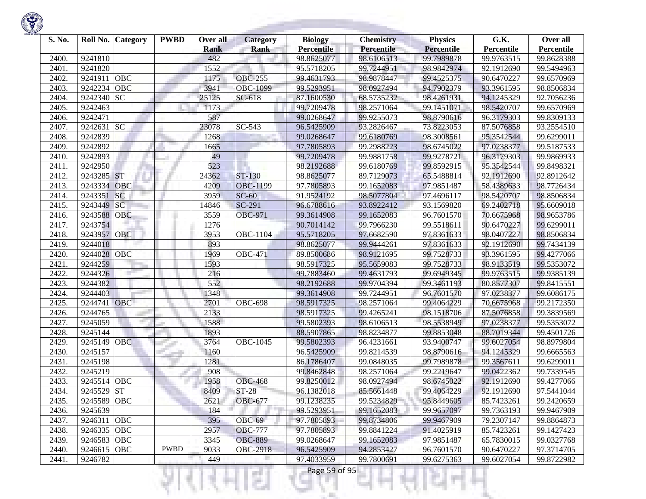

| S. No. |             | Roll No. Category | <b>PWBD</b> | Over all<br><b>Rank</b> | <b>Category</b><br><b>Rank</b> | <b>Biology</b><br><b>Percentile</b> | <b>Chemistry</b><br>Percentile | <b>Physics</b><br><b>Percentile</b> | G.K.<br>Percentile | Over all<br>Percentile |
|--------|-------------|-------------------|-------------|-------------------------|--------------------------------|-------------------------------------|--------------------------------|-------------------------------------|--------------------|------------------------|
| 2400.  | 9241810     |                   |             | 482                     |                                | 98.8625077                          | 98.6106513                     | 99.7989878                          | 99.9763515         | 99.8628388             |
| 2401.  | 9241820     |                   |             | 1552                    |                                | 95.5718205                          | 99.7244951                     | 98.9842974                          | 92.1912690         | 99.5494963             |
| 2402.  | 9241911     | <b>OBC</b>        |             | 1175                    | <b>OBC-255</b>                 | 99.4631793                          | 98.9878447                     | 99.4525375                          | 90.6470227         | 99.6570969             |
| 2403.  | 9242234     | <b>OBC</b>        |             | 3941                    | <b>OBC-1099</b>                | 99.5293951                          | 98.0927494                     | 94.7902379                          | 93.3961595         | 98.8506834             |
| 2404.  | 9242340     | <b>SC</b>         |             | 25125                   | $SC-618$                       | 87.1600530                          | 68.5735232                     | 98.4261931                          | 94.1245329         | 92.7056236             |
| 2405.  | 9242463     |                   |             | 1173                    |                                | 99.7209478                          | 98.2571064                     | 99.1451071                          | 98.5420707         | 99.6570969             |
| 2406.  | 9242471     |                   |             | 587                     |                                | 99.0268647                          | 99.9255073                     | 98.8790616                          | 96.3179303         | 99.8309133             |
| 2407.  | 9242631     | <b>SC</b>         |             | 23078                   | $SC-543$                       | 96.5425909                          | 93.2826467                     | 73.8223053                          | 87.5076858         | 93.2554510             |
| 2408   | 9242839     |                   |             | 1268                    |                                | 99.0268647                          | 99.6180769                     | 98.3008561                          | 95.3542544         | 99.6299011             |
| 2409.  | 9242892     |                   |             | 1665                    |                                | 97.7805893                          | 99.2988223                     | 98.6745022                          | 97.0238377         | 99.5187533             |
| 2410.  | 9242893     |                   |             | 49                      |                                | 99.7209478                          | 99.9881758                     | 99.9278721                          | 96.3179303         | 99.9869933             |
| 2411.  | 9242950     |                   |             | 523                     |                                | 98.2192688                          | 99.6180769                     | 99.8592915                          | 95.3542544         | 99.8498321             |
| 2412.  | 9243285     | <b>ST</b>         |             | 24362                   | ST-130                         | 98.8625077                          | 89.7129073                     | 65.5488814                          | 92.1912690         | 92.8912642             |
| 2413.  | 9243334     | OBC               |             | 4209                    | <b>OBC-1199</b>                | 97.7805893                          | 99.1652083                     | 97.9851487                          | 58.4389633         | 98.7726434             |
| 2414.  | 9243351     | <b>SC</b>         |             | 3959                    | $SC-60$                        | 91.9524192                          | 98.5077804                     | 97.4696117                          | 98.5420707         | 98.8506834             |
| 2415.  | 9243449     | <b>SC</b>         |             | 14846                   | SC-291                         | 96.6788616                          | 93.8922412                     | 93.1569820                          | 69.2402718         | 95.6609018             |
| 2416.  | 9243588     | OBC               |             | 3559                    | <b>OBC-971</b>                 | 99.3614908                          | 99.1652083                     | 96.7601570                          | 70.6675968         | 98.9653786             |
| 2417.  | 9243754     |                   |             | 1276                    |                                | 90.7014142                          | 99.7966230                     | 99.5518611                          | 90.6470227         | 99.6299011             |
| 2418.  | 9243957 OBC |                   |             | 3953                    | <b>OBC-1104</b>                | 95.5718205                          | 97.6682590                     | 97.8361633                          | 98.0407227         | 98.8506834             |
| 2419.  | 9244018     |                   |             | 893                     |                                | 98.8625077                          | 99.9444261                     | 97.8361633                          | 92.1912690         | 99.7434139             |
| 2420   | 9244028     | <b>OBC</b>        |             | 1969                    | <b>OBC-471</b>                 | 89.8500686                          | 98.9121695                     | 99.7528733                          | 93.3961595         | 99.4277066             |
| 2421.  | 9244259     |                   |             | 1593                    |                                | 98.5917325                          | 95.5659083                     | 99.7528733                          | 98.9133519         | 99.5353072             |
| 2422.  | 9244326     |                   |             | 216                     |                                | 99.7883460                          | 99.4631793                     | 99.6949345                          | 99.9763515         | 99.9385139             |
| 2423.  | 9244382     |                   |             | 552                     |                                | 98.2192688                          | 99.9704394                     | 99.3461193                          | 80.8577307         | 99.8415551             |
| 2424.  | 9244403     |                   |             | 1348                    |                                | 99.3614908                          | 99.7244951                     | 96.7601570                          | 97.0238377         | 99.6086175             |
| 2425.  | 9244741     | OBC               |             | 2701                    | <b>OBC-698</b>                 | 98.5917325                          | 98.2571064                     | 99.4064229                          | 70.6675968         | 99.2172350             |
| 2426.  | 9244765     |                   |             | 2133                    |                                | 98.5917325                          | 99.4265241                     | 98.1518706                          | 87.5076858         | 99.3839569             |
| 2427.  | 9245059     |                   |             | 1588                    |                                | 99.5802393                          | 98.6106513                     | 98.5538949                          | 97.0238377         | 99.5353072             |
| 2428   | 9245144     |                   |             | 1893                    |                                | 88.5907865                          | 98.8234877                     | 99.8853048                          | 88.7019344         | 99.4501726             |
| 2429.  | 9245149     | <b>OBC</b>        |             | 3764                    | OBC-1045                       | 99.5802393                          | 96.4231661                     | 93.9400747                          | 99.6027054         | 98.8979804             |
| 2430.  | 9245157     |                   |             | 1160                    |                                | 96.5425909                          | 99.8214539                     | 98.8790616                          | 94.1245329         | 99.6665563             |
| 2431.  | 9245198     |                   |             | 1281                    |                                | 86.1786407                          | 99.0848035                     | 99.7989878                          | 99.3567611         | 99.6299011             |
| 2432.  | 9245219     |                   |             | 908                     |                                | 99.8462848                          | 98.2571064                     | 99.2219647                          | 99.0422362         | 99.7339545             |
| 2433.  | 9245514     | <b>OBC</b>        |             | 1958                    | <b>OBC-468</b>                 | 99.8250012                          | 98.0927494                     | 98.6745022                          | 92.1912690         | 99.4277066             |
| 2434.  | 9245529     | <b>ST</b>         |             | 8409                    | <b>ST-28</b>                   | 96.1382018                          | 85.5661448                     | 99.4064229                          | 92.1912690         | 97.5441044             |
| 2435.  | 9245589 OBC |                   |             | 2621                    | <b>OBC-677</b>                 | 99.1238235                          | 99.5234829                     | 95.8449605                          | 85.7423261         | 99.2420659             |
| 2436.  | 9245639     |                   |             | 184                     |                                | 99.5293951                          | 99.1652083                     | 99.9657097                          | 99.7363193         | 99.9467909             |
| 2437.  | 9246311 OBC |                   |             | 395                     | OBC-69                         | 97.7805893                          | 99.8734806                     | 99.9467909                          | 79.2307147         | 99.8864873             |
| 2438.  | 9246335 OBC |                   |             | 2957                    | <b>OBC-777</b>                 | 97.7805893                          | 99.8841224                     | 91.4025919                          | 85.7423261         | 99.1427423             |
| 2439.  | 9246583 OBC |                   |             | 3345                    | <b>OBC-889</b>                 | 99.0268647                          | 99.1652083                     | 97.9851487                          | 65.7830015         | 99.0327768             |
| 2440.  | 9246615     | OBC               | <b>PWBD</b> | 9033                    | <b>OBC-2918</b>                | 96.5425909                          | 94.2853427                     | 96.7601570                          | 90.6470227         | 97.3714705             |
| 2441.  | 9246782     |                   |             | 449                     |                                | 97.4033959                          | 99.7800691                     | 99.6275363                          | 99.6027054         | 99.8722982             |
|        |             |                   |             |                         |                                | Page 59 of 95                       |                                |                                     |                    |                        |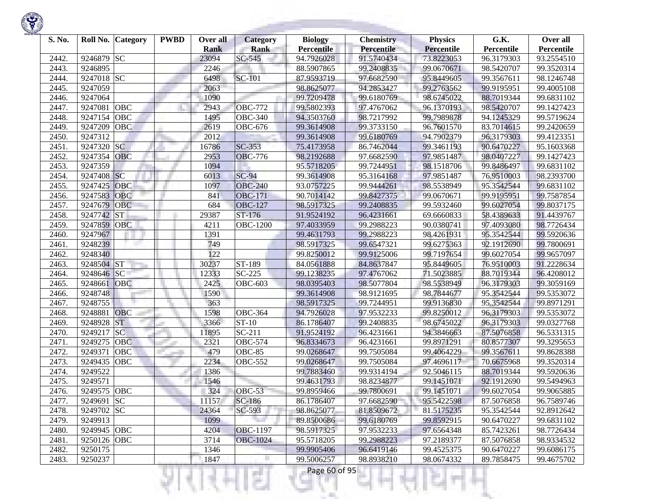

| S. No. | Roll No.              | Category | <b>PWBD</b> | Over all    | <b>Category</b>       | <b>Biology</b>    | <b>Chemistry</b> | <b>Physics</b>    | G.K.       | Over all   |
|--------|-----------------------|----------|-------------|-------------|-----------------------|-------------------|------------------|-------------------|------------|------------|
|        |                       |          |             | <b>Rank</b> | <b>Rank</b>           | <b>Percentile</b> | Percentile       | <b>Percentile</b> | Percentile | Percentile |
| 2442.  | 9246879<br><b>SC</b>  |          |             | 23094       | SC-545                | 94.7926028        | 91.5740434       | 73.8223053        | 96.3179303 | 93.2554510 |
| 2443.  | 9246895               |          |             | 2246        |                       | 88.5907865        | 99.2408835       | 99.0670671        | 98.5420707 | 99.3520314 |
| 2444.  | 9247018 SC            |          |             | 6498        | <b>SC-101</b>         | 87.9593719        | 97.6682590       | 95.8449605        | 99.3567611 | 98.1246748 |
| 2445.  | 9247059               |          |             | 2063        |                       | 98.8625077        | 94.2853427       | 99.2763562        | 99.9195951 | 99.4005108 |
| 2446.  | 9247064               |          |             | 1090        |                       | 99.7209478        | 99.6180769       | 98.6745022        | 88.7019344 | 99.6831102 |
| 2447.  | OBC<br>9247081        |          |             | 2943        | <b>OBC-772</b>        | 99.5802393        | 97.4767062       | 96.1370193        | 98.5420707 | 99.1427423 |
| 2448.  | OBC<br>9247154        |          |             | 1495        | <b>OBC-340</b>        | 94.3503760        | 98.7217992       | 99.7989878        | 94.1245329 | 99.5719624 |
| 2449.  | 9247209<br>OBC        |          |             | 2619        | <b>OBC-676</b>        | 99.3614908        | 99.3733150       | 96.7601570        | 83.7014615 | 99.2420659 |
| 2450.  | 9247312               |          |             | 2012        |                       | 99.3614908        | 99.6180769       | 94.7902379        | 96.3179303 | 99.4123351 |
| 2451.  | <b>SC</b><br>9247320  |          |             | 16786       | SC-353                | 75.4173958        | 86.7462044       | 99.3461193        | 90.6470227 | 95.1603368 |
| 2452.  | 9247354<br>OBC        |          |             | 2953        | <b>OBC-776</b>        | 98.2192688        | 97.6682590       | 97.9851487        | 98.0407227 | 99.1427423 |
| 2453.  | 9247359               |          |             | 1094        |                       | 95.5718205        | 99.7244951       | 98.1518706        | 99.8486497 | 99.6831102 |
| 2454.  | <b>SC</b><br>9247408  |          |             | 6013        | $SC-94$               | 99.3614908        | 95.3164168       | 97.9851487        | 76.9510003 | 98.2393700 |
| 2455.  | OBC<br>9247425        |          |             | 1097        | <b>OBC-240</b>        | 93.0757225        | 99.9444261       | 98.5538949        | 95.3542544 | 99.6831102 |
| 2456.  | 9247583<br>OBC        |          |             | 841         | <b>OBC-171</b>        | 90.7014142        | 99.8427375       | 99.0670671        | 99.9195951 | 99.7587854 |
| 2457.  | <b>OBC</b><br>9247679 |          |             | 684         | <b>OBC-127</b>        | 98.5917325        | 99.2408835       | 99.5932460        | 99.6027054 | 99.8037175 |
| 2458.  | <b>ST</b><br>9247742  |          |             | 29387       | ST-176                | 91.9524192        | 96.4231661       | 69.6660833        | 58.4389633 | 91.4439767 |
| 2459.  | 9247859<br><b>OBC</b> |          |             | 4211        | <b>OBC-1200</b>       | 97.4033959        | 99.2988223       | 90.0380741        | 97.4093080 | 98.7726434 |
| 2460.  | 9247967               |          |             | 1391        |                       | 99.4631793        | 99.2988223       | 98.4261931        | 95.3542544 | 99.5920636 |
| 2461.  | 9248239               |          |             | 749         |                       | 98.5917325        | 99.6547321       | 99.6275363        | 92.1912690 | 99.7800691 |
| 2462.  | 9248340               |          |             | 122         |                       | 99.8250012        | 99.9125006       | 99.7197654        | 99.6027054 | 99.9657097 |
| 2463.  | <b>ST</b><br>9248504  |          |             | 30237       | ST-189                | 84.0561888        | 84.8637847       | 95.8449605        | 76.9510003 | 91.2228634 |
| 2464.  | 9248646 SC            |          |             | 12333       | $\overline{SC}$ -225  | 99.1238235        | 97.4767062       | 71.5023885        | 88.7019344 | 96.4208012 |
| 2465.  | 9248661<br>OBC        |          |             | 2425        | <b>OBC-603</b>        | 98.0395403        | 98.5077804       | 98.5538949        | 96.3179303 | 99.3059169 |
| 2466.  | 9248748               |          |             | 1590        |                       | 99.3614908        | 98.9121695       | 98.7844677        | 95.3542544 | 99.5353072 |
| 2467.  | 9248755               |          |             | 363         |                       | 98.5917325        | 99.7244951       | 99.9136830        | 95.3542544 | 99.8971291 |
| 2468.  | OBC<br>9248881        |          |             | 1598        | <b>OBC-364</b>        | 94.7926028        | 97.9532233       | 99.8250012        | 96.3179303 | 99.5353072 |
| 2469.  | <b>ST</b><br>9248928  |          |             | 3366        | ST-10                 | 86.1786407        | 99.2408835       | 98.6745022        | 96.3179303 | 99.0327768 |
| 2470.  | <b>SC</b><br>9249217  |          |             | 11895       | $SC-211$              | 91.9524192        | 96.4231661       | 94.3846663        | 87.5076858 | 96.5331315 |
| 2471.  | OBC<br>9249275        |          |             | 2321        | $\overline{O}$ BC-574 | 96.8334673        | 96.4231661       | 99.8971291        | 80.8577307 | 99.3295653 |
| 2472.  | 9249371<br>OBC        |          |             | 479         | OBC-85                | 99.0268647        | 99.7505084       | 99.4064229        | 99.3567611 | 99.8628388 |
| 2473.  | 9249435<br><b>OBC</b> |          |             | 2234        | $\overline{O}$ BC-552 | 99.0268647        | 99.7505084       | 97.4696117        | 70.6675968 | 99.3520314 |
| 2474.  | 9249522               |          |             | 1386        |                       | 99.7883460        | 99.9314194       | 92.5046115        | 88.7019344 | 99.5920636 |
| 2475.  | 9249571               |          |             | 1546        |                       | 99.4631793        | 98.8234877       | 99.1451071        | 92.1912690 | 99.5494963 |
| 2476.  | <b>OBC</b><br>9249575 |          |             | 324         | OBC-53                | 99.8959466        | 99.7800691       | 99.1451071        | 99.6027054 | 99.9065885 |
| 2477.  | 9249691 SC            |          |             | 11157       | $SC-186$              | 86.1786407        | 97.6682590       | 95.5422598        | 87.5076858 | 96.7589746 |
| 2478.  | 9249702 SC            |          |             | 24364       | SC-593                | 98.8625077        | 81.8509672       | 81.5175235        | 95.3542544 | 92.8912642 |
| 2479.  | 9249913               |          |             | 1099        |                       | 89.8500686        | 99.6180769       | 99.8592915        | 90.6470227 | 99.6831102 |
| 2480.  | 9249945 OBC           |          |             | 4204        | <b>OBC-1197</b>       | 98.5917325        | 97.9532233       | 97.6564348        | 85.7423261 | 98.7726434 |
| 2481.  | 9250126 OBC           |          |             | 3714        | <b>OBC-1024</b>       | 95.5718205        | 99.2988223       | 97.2189377        | 87.5076858 | 98.9334532 |
| 2482.  | 9250175               |          |             | 1346        |                       | 99.9905406        | 96.6419146       | 99.4525375        | 90.6470227 | 99.6086175 |
| 2483.  | 9250237               |          |             | 1847        | H                     | 99.5006257        | 98.8938210       | 98.0674332        | 89.7858475 | 99.4675702 |

**Company of Contract** 

<u> Andrew Marian (</u>

к

Ħ

리벅서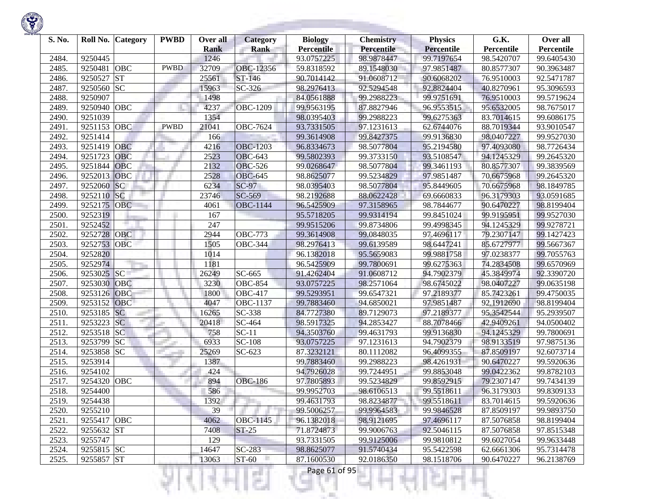| S. No. |             | Roll No. Category | <b>PWBD</b> | Over all<br><b>Rank</b> | <b>Category</b><br><b>Rank</b> | <b>Biology</b><br><b>Percentile</b> | <b>Chemistry</b><br>Percentile | <b>Physics</b><br><b>Percentile</b> | G.K.<br>Percentile | Over all<br>Percentile |
|--------|-------------|-------------------|-------------|-------------------------|--------------------------------|-------------------------------------|--------------------------------|-------------------------------------|--------------------|------------------------|
| 2484.  | 9250445     |                   |             | 1246                    |                                | 93.0757225                          | 98.9878447                     | 99.7197654                          | 98.5420707         | 99.6405430             |
| 2485.  | 9250481     | OBC               | <b>PWBD</b> | 32709                   | OBC-12356                      | 59.8318592                          | 89.1548030                     | 97.9851487                          | 80.8577307         | 90.3963487             |
| 2486.  | 9250527     | <b>ST</b>         |             | 25561                   | ST-146                         | 90.7014142                          | 91.0608712                     | 90.6068202                          | 76.9510003         | 92.5471787             |
| 2487.  | 9250560 SC  |                   |             | 15963                   | SC-326                         | 98.2976413                          | 92.5294548                     | 92.8824404                          | 40.8270961         | 95.3096593             |
| 2488.  | 9250907     |                   |             | 1498                    |                                | 84.0561888                          | 99.2988223                     | 99.9751691                          | 76.9510003         | 99.5719624             |
| 2489.  | 9250940 OBC |                   |             | 4237                    | <b>OBC-1209</b>                | 99.9563195                          | 87.8827946                     | 96.9553515                          | 95.6532005         | 98.7675017             |
| 2490.  | 9251039     |                   |             | 1354                    |                                | 98.0395403                          | 99.2988223                     | 99.6275363                          | 83.7014615         | 99.6086175             |
| 2491.  | 9251153 OBC |                   | <b>PWBD</b> | 21041                   | OBC-7624                       | 93.7331505                          | 97.1231613                     | 62.6744076                          | 88.7019344         | 93.9010547             |
| 2492.  | 9251414     |                   |             | 166                     |                                | 99.3614908                          | 99.8427375                     | 99.9136830                          | 98.0407227         | 99.9527030             |
| 2493.  | 9251419     | OBC               |             | 4216                    | <b>OBC-1203</b>                | 96.8334673                          | 98.5077804                     | 95.2194580                          | 97.4093080         | 98.7726434             |
| 2494.  | 9251723     | <b>OBC</b>        |             | 2523                    | <b>OBC-643</b>                 | 99.5802393                          | 99.3733150                     | 93.5108547                          | 94.1245329         | 99.2645320             |
| 2495.  | 9251844     | <b>OBC</b>        |             | 2132                    | <b>OBC-526</b>                 | 99.0268647                          | 98.5077804                     | 99.3461193                          | 80.8577307         | 99.3839569             |
| 2496.  | 9252013     | <b>OBC</b>        |             | 2528                    | <b>OBC-645</b>                 | 98.8625077                          | 99.5234829                     | 97.9851487                          | 70.6675968         | 99.2645320             |
| 2497.  | 9252060     | SC                |             | 6234                    | <b>SC-97</b>                   | 98.0395403                          | 98.5077804                     | 95.8449605                          | 70.6675968         | 98.1849785             |
| 2498.  | 9252110     | SC                |             | 23746                   | SC-569                         | 98.2192688                          | 88.0622428                     | 69.6660833                          | 96.3179303         | 93.0591685             |
| 2499.  | 9252175     | OBC               |             | 4061                    | <b>OBC-1144</b>                | 96.5425909                          | 97.3158965                     | 98.7844677                          | 90.6470227         | 98.8199404             |
| 2500.  | 9252319     |                   |             | 167                     |                                | 95.5718205                          | 99.9314194                     | 99.8451024                          | 99.9195951         | 99.9527030             |
| 2501.  | 9252452     |                   |             | 247                     |                                |                                     | 99.8734806                     |                                     | 94.1245329         | 99.9278721             |
|        | 9252728     | <b>OBC</b>        |             | 2944                    | <b>OBC-773</b>                 | 99.9515206                          |                                | 99.4998345                          |                    |                        |
| 2502.  |             |                   |             |                         |                                | 99.3614908                          | 99.0848035                     | 97.4696117                          | 79.2307147         | 99.1427423             |
| 2503.  | 9252753     | <b>OBC</b>        |             | 1505                    | <b>OBC-344</b>                 | 98.2976413                          | 99.6139589                     | 98.6447241                          | 85.6727977         | 99.5667367             |
| 2504.  | 9252820     |                   |             | 1014                    |                                | 96.1382018                          | 95.5659083                     | 99.9881758                          | 97.0238377         | 99.7055763             |
| 2505.  | 9252974     |                   |             | 1181                    |                                | 96.5425909                          | 99.7800691                     | 99.6275363                          | 74.2834508         | 99.6570969             |
| 2506.  | 9253025     | SC                |             | 26249                   | SC-665                         | 91.4262404                          | 91.0608712                     | 94.7902379                          | 45.3849974         | 92.3390720             |
| 2507.  | 9253030     | OBC               |             | 3230                    | $\overline{O}$ BC-854          | 93.0757225                          | 98.2571064                     | 98.6745022                          | 98.0407227         | 99.0635198             |
| 2508.  | 9253126     | <b>OBC</b>        |             | 1800                    | $\overline{O}$ BC-417          | 99.5293951                          | 99.6547321                     | 97.2189377                          | 85.7423261         | 99.4750035             |
| 2509.  | 9253152     | <b>OBC</b>        |             | 4047                    | OBC-1137                       | 99.7883460                          | 94.6850021                     | 97.9851487                          | 92.1912690         | 98.8199404             |
| 2510.  | 9253185 SC  |                   |             | 16265                   | SC-338                         | 84.7727380                          | 89.7129073                     | 97.2189377                          | 95.3542544         | 95.2939507             |
| 2511.  | 9253223 SC  |                   |             | 20418                   | SC-464                         | 98.5917325                          | 94.2853427                     | 88.7078466                          | 42.9409261         | 94.0500402             |
| 2512.  | 9253518 SC  |                   |             | 758                     | $SC-11$                        | 94.3503760                          | 99.4631793                     | 99.9136830                          | 94.1245329         | 99.7800691             |
| 2513.  | 9253799     | <b>SC</b>         |             | 6933                    | SC-108                         | 93.0757225                          | 97.1231613                     | 94.7902379                          | 98.9133519         | 97.9875136             |
| 2514.  | 9253858 SC  |                   |             | 25269                   | $SC-623$                       | 87.3232121                          | 80.1112082                     | 96.4099355                          | 87.8509197         | 92.6073714             |
| 2515.  | 9253914     |                   |             | 1387                    |                                | 99.7883460                          | 99.2988223                     | 98.4261931                          | 90.6470227         | 99.5920636             |
| 2516.  | 9254102     |                   |             | 424                     |                                | 94.7926028                          | 99.7244951                     | 99.8853048                          | 99.0422362         | 99.8782103             |
| 2517.  | 9254320 OBC |                   |             | 894                     | <b>OBC-186</b>                 | 97.7805893                          | 99.5234829                     | 99.8592915                          | 79.2307147         | 99.7434139             |
| 2518.  | 9254400     |                   |             | 586                     |                                | 99.9952703                          | 98.6106513                     | 99.5518611                          | 96.3179303         | 99.8309133             |
| 2519.  | 9254438     |                   |             | 1392                    |                                | 99.4631793                          | 98.8234877                     | 99.5518611                          | 83.7014615         | 99.5920636             |
| 2520.  | 9255210     |                   |             | 39                      |                                | 99.5006257                          | 99.9964583                     | 99.9846528                          | 87.8509197         | 99.9893750             |
| 2521.  | 9255417 OBC |                   |             | 4062                    | OBC-1145                       | 96.1382018                          | 98.9121695                     | 97.4696117                          | 87.5076858         | 98.8199404             |
| 2522.  | 9255632 ST  |                   |             | 7408                    | $ST-25$                        | 71.8724873                          | 99.9006763                     | 92.5046115                          | 87.5076858         | 97.8515348             |
| 2523.  | 9255747     |                   |             | 129                     |                                | 93.7331505                          | 99.9125006                     | 99.9810812                          | 99.6027054         | 99.9633448             |
| 2524.  | 9255815 SC  |                   |             | 14647                   | SC-283                         | 98.8625077                          | 91.5740434                     | 95.5422598                          | 62.6661306         | 95.7314478             |
| 2525.  | 9255857 ST  |                   |             | 13063                   | ST-60                          | 87.1600530                          | 92.0186350                     | 98.1518706                          | 90.6470227         | 96.2138769             |

**State of Concession** 

₹Н

w

리버서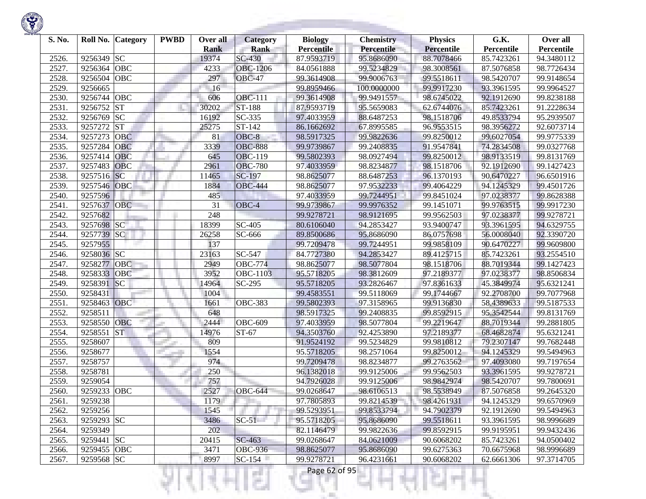| S. No. | Roll No.    | <b>Category</b> | <b>PWBD</b> | Over all<br><b>Rank</b> | <b>Category</b><br><b>Rank</b> | <b>Biology</b><br><b>Percentile</b> | <b>Chemistry</b><br>Percentile | <b>Physics</b><br><b>Percentile</b> | G.K.<br>Percentile | Over all<br>Percentile |
|--------|-------------|-----------------|-------------|-------------------------|--------------------------------|-------------------------------------|--------------------------------|-------------------------------------|--------------------|------------------------|
| 2526.  | 9256349     | <b>SC</b>       |             | 19374                   | $SC-430$                       | 87.9593719                          | 95.8686090                     | 88.7078466                          | 85.7423261         | 94.3480112             |
| 2527.  | 9256364     | OBC             |             | 4233                    | <b>OBC-1206</b>                | 84.0561888                          | 99.5234829                     | 98.3008561                          | 87.5076858         | 98.7726434             |
| 2528.  | 9256504     | <b>OBC</b>      |             | 297                     | <b>OBC-47</b>                  | 99.3614908                          | 99.9006763                     | 99.5518611                          | 98.5420707         | 99.9148654             |
| 2529.  | 9256665     |                 |             | 16                      |                                | 99.8959466                          | 100.0000000                    | 99.9917230                          | 93.3961595         | 99.9964527             |
| 2530.  | 9256744     | OBC             |             | 606                     | <b>OBC-111</b>                 | 99.3614908                          | 99.9491557                     | 98.6745022                          | 92.1912690         | 99.8238188             |
| 2531.  | 9256752     | <b>ST</b>       |             | 30202                   | ST-188                         | 87.9593719                          | 95.5659083                     | 62.6744076                          | 85.7423261         | 91.2228634             |
| 2532.  | 9256769     | <b>SC</b>       |             | 16192                   | $SC-335$                       | 97.4033959                          | 88.6487253                     | 98.1518706                          | 49.8533794         | 95.2939507             |
| 2533.  | 9257272     | <b>ST</b>       |             | 25275                   | ST-142                         | 86.1662692                          | 67.8995585                     | 96.9553515                          | 98.3956272         | 92.6073714             |
| 2534.  | 9257273     | <b>OBC</b>      |             | 81                      | OBC-8                          | 98.5917325                          | 99.9822636                     | 99.8250012                          | 99.6027054         | 99.9775339             |
| 2535.  | 9257284     | OBC             |             | 3339                    | <b>OBC-888</b>                 | 99.9739867                          | 99.2408835                     | 91.9547841                          | 74.2834508         | 99.0327768             |
| 2536.  | 9257414     | OBC             |             | 645                     | <b>OBC-119</b>                 | 99.5802393                          | 98.0927494                     | 99.8250012                          | 98.9133519         | 99.8131769             |
| 2537.  | 9257483     | <b>OBC</b>      |             | 2961                    | <b>OBC-780</b>                 | 97.4033959                          | 98.8234877                     | 98.1518706                          | 92.1912690         | 99.1427423             |
| 2538.  | 9257516     | <b>SC</b>       |             | 11465                   | SC-197                         | 98.8625077                          | 88.6487253                     | 96.1370193                          | 90.6470227         | 96.6501916             |
| 2539.  | 9257546     | OBC             |             | 1884                    | <b>OBC-444</b>                 | 98.8625077                          | 97.9532233                     | 99.4064229                          | 94.1245329         | 99.4501726             |
| 2540.  | 9257596     |                 |             | 485                     |                                | 97.4033959                          | 99.7244951                     | 99.8451024                          | 97.0238377         | 99.8628388             |
| 2541.  | 9257637     | <b>OBC</b>      |             | 31                      | OBC-4                          | 99.9739867                          | 99.9976352                     | 99.1451071                          | 99.9763515         | 99.9917230             |
| 2542.  | 9257682     |                 |             | 248                     |                                | 99.9278721                          | 98.9121695                     | 99.9562503                          | 97.0238377         | 99.9278721             |
| 2543.  | 9257698     | SC              |             | 18399                   | SC-405                         | 80.6106040                          | 94.2853427                     | 93.9400747                          | 93.3961595         | 94.6329755             |
| 2544.  | 9257739     | <b>SC</b>       |             | 26258                   | SC-666                         | 89.8500686                          | 95.8686090                     | 86.0757698                          | 56.0008040         | 92.3390720             |
| 2545.  | 9257955     |                 |             | 137                     |                                | 99.7209478                          | 99.7244951                     | 99.9858109                          | 90.6470227         | 99.9609800             |
| 2546.  | 9258036 SC  |                 |             | 23163                   | SC-547                         | 84.7727380                          | 94.2853427                     | 89.4125715                          | 85.7423261         | 93.2554510             |
| 2547.  | 9258277     | <b>OBC</b>      |             | 2949                    | <b>OBC-774</b>                 | 98.8625077                          | 98.5077804                     | 98.1518706                          | 88.7019344         | 99.1427423             |
| 2548.  | 9258333     | <b>OBC</b>      |             | 3952                    | OBC-1103                       | 95.5718205                          | 98.3812609                     | 97.2189377                          | 97.0238377         | 98.8506834             |
| 2549.  | 9258391     | SC              |             | 14964                   | SC-295                         | 95.5718205                          | 93.2826467                     | 97.8361633                          | 45.3849974         | 95.6321241             |
| 2550.  | 9258431     |                 |             | 1004                    |                                | 99.4583551                          | 99.5118069                     | 99.1744667                          | 92.2708700         | 99.7077968             |
| 2551.  | 9258463     | OBC             |             | 1661                    | <b>OBC-383</b>                 | 99.5802393                          | 97.3158965                     | 99.9136830                          | 58.4389633         | 99.5187533             |
| 2552.  | 9258511     |                 |             | 648                     |                                | 98.5917325                          | 99.2408835                     | 99.8592915                          | 95.3542544         | 99.8131769             |
| 2553.  | 9258550     | <b>OBC</b>      |             | 2444                    | <b>OBC-609</b>                 | 97.4033959                          | 98.5077804                     | 99.2219647                          | 88.7019344         | 99.2881805             |
| 2554.  | 9258551     | <b>ST</b>       |             | 14976                   | ST-67                          | 94.3503760                          | 92.4253890                     | 97.2189377                          | 68.4682874         | 95.6321241             |
| 2555.  | 9258607     |                 |             | 809                     |                                | 91.9524192                          | 99.5234829                     | 99.9810812                          | 79.2307147         | 99.7682448             |
| 2556.  | 9258677     |                 |             | 1554                    |                                | 95.5718205                          | 98.2571064                     | 99.8250012                          | 94.1245329         | 99.5494963             |
| 2557.  | 9258757     |                 |             | 974                     |                                | 99.7209478                          | 98.8234877                     | 99.2763562                          | 97.4093080         | 99.7197654             |
| 2558.  | 9258781     |                 |             | 250                     |                                | 96.1382018                          | 99.9125006                     | 99.9562503                          | 93.3961595         | 99.9278721             |
| 2559.  | 9259054     |                 |             | 757                     |                                | 94.7926028                          | 99.9125006                     | 98.9842974                          | 98.5420707         | 99.7800691             |
| 2560.  | 9259233 OBC |                 |             | 2527                    | <b>OBC-644</b>                 | 99.0268647                          | 98.6106513                     | 98.5538949                          | 87.5076858         | 99.2645320             |
| 2561.  | 9259238     |                 |             | 1179                    |                                | 97.7805893                          | 99.8214539                     | 98.4261931                          | 94.1245329         | 99.6570969             |
| 2562.  | 9259256     |                 |             | 1545                    |                                | 99.5293951                          | 99.8533794                     | 94.7902379                          | 92.1912690         | 99.5494963             |
| 2563.  | 9259293 SC  |                 |             | 3486                    | $SC-51$                        | 95.5718205                          | 95.8686090                     | 99.5518611                          | 93.3961595         | 98.9996689             |
| 2564.  | 9259349     |                 |             | 202                     |                                | 82.1146479                          | 99.9822636                     | 99.8592915                          | 99.9195951         | 99.9432436             |
| 2565.  | 9259441 SC  |                 |             | 20415                   | SC-463                         | 99.0268647                          | 84.0621009                     | 90.6068202                          | 85.7423261         | 94.0500402             |
| 2566.  | 9259455 OBC |                 |             | 3471                    | <b>OBC-936</b>                 | 98.8625077                          | 95.8686090                     | 99.6275363                          | 70.6675968         | 98.9996689             |
| 2567.  | 9259568 SC  |                 |             | 8997                    | $SC-154$                       | 99.9278721                          | 96.4231661                     | 90.6068202                          | 62.6661306         | 97.3714705             |
|        |             |                 |             |                         |                                | Page 62 of 95                       |                                |                                     |                    |                        |

**State of Concession**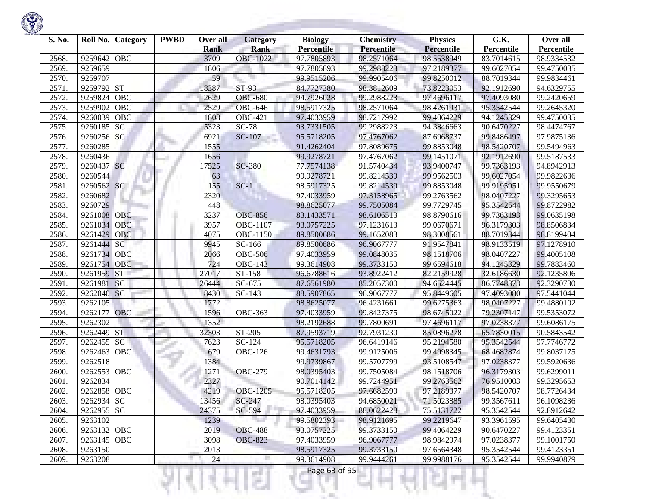| S. No. | Roll No.     | Category   | <b>PWBD</b> | Over all<br><b>Rank</b> | <b>Category</b><br><b>Rank</b> | <b>Biology</b><br><b>Percentile</b> | <b>Chemistry</b><br>Percentile | <b>Physics</b><br><b>Percentile</b> | G.K.<br>Percentile | Over all<br>Percentile |
|--------|--------------|------------|-------------|-------------------------|--------------------------------|-------------------------------------|--------------------------------|-------------------------------------|--------------------|------------------------|
| 2568.  | 9259642      | OBC        |             | 3709                    | <b>OBC-1022</b>                | 97.7805893                          | 98.2571064                     | 98.5538949                          | 83.7014615         | 98.9334532             |
| 2569.  | 9259659      |            |             | 1806                    |                                | 97.7805893                          | 99.2988223                     | 97.2189377                          | 99.6027054         | 99.4750035             |
| 2570.  | 9259707      |            |             | 59                      |                                | 99.9515206                          | 99.9905406                     | 99.8250012                          | 88.7019344         | 99.9834461             |
| 2571.  | 9259792 ST   |            |             | 18387                   | $ST-93$                        | 84.7727380                          | 98.3812609                     | 73.8223053                          | 92.1912690         | 94.6329755             |
| 2572.  | 9259824      | <b>OBC</b> |             | 2629                    | <b>OBC-680</b>                 | 94.7926028                          | 99.2988223                     | 97.4696117                          | 97.4093080         | 99.2420659             |
| 2573.  | 9259902      | <b>OBC</b> |             | 2529                    | <b>OBC-646</b>                 | 98.5917325                          | 98.2571064                     | 98.4261931                          | 95.3542544         | 99.2645320             |
| 2574.  | 9260039      | <b>OBC</b> |             | 1808                    | <b>OBC-421</b>                 | 97.4033959                          | 98.7217992                     | 99.4064229                          | 94.1245329         | 99.4750035             |
| 2575.  | 9260185      | <b>SC</b>  |             | 5323                    | $SC-78$                        | 93.7331505                          | 99.2988223                     | 94.3846663                          | 90.6470227         | 98.4474767             |
| 2576.  | $9260256$ SC |            |             | 6921                    | <b>SC-107</b>                  | 95.5718205                          | 97.4767062                     | 87.6968737                          | 99.8486497         | 97.9875136             |
| 2577.  | 9260285      |            |             | 1555                    |                                | 91.4262404                          | 97.8089675                     | 99.8853048                          | 98.5420707         | 99.5494963             |
| 2578.  | 9260436      |            |             | 1656                    |                                | 99.9278721                          | 97.4767062                     | 99.1451071                          | 92.1912690         | 99.5187533             |
| 2579.  | 9260437 SC   |            |             | 17525                   | SC-380                         | 77.7574138                          | 91.5740434                     | 93.9400747                          | 99.7363193         | 94.8942913             |
| 2580.  | 9260544      |            |             | 63                      |                                | 99.9278721                          | 99.8214539                     | 99.9562503                          | 99.6027054         | 99.9822636             |
| 2581.  | 9260562 SC   |            |             | 155                     | $SC-1$                         | 98.5917325                          | 99.8214539                     | 99.8853048                          | 99.9195951         | 99.9550679             |
| 2582.  | 9260682      |            |             | 2320                    |                                | 97.4033959                          | 97.3158965                     | 99.2763562                          | 98.0407227         | 99.3295653             |
| 2583.  | 9260729      |            |             | 448                     |                                | 98.8625077                          | 99.7505084                     | 99.7729745                          | 95.3542544         | 99.8722982             |
| 2584.  | 9261008 OBC  |            |             | 3237                    | <b>OBC-856</b>                 | 83.1433571                          | 98.6106513                     | 98.8790616                          | 99.7363193         | 99.0635198             |
| 2585.  | 9261034      | <b>OBC</b> |             | 3957                    | <b>OBC-1107</b>                | 93.0757225                          | 97.1231613                     | 99.0670671                          | 96.3179303         | 98.8506834             |
| 2586.  | 9261429      | <b>OBC</b> |             | 4075                    | OBC-1150                       | 89.8500686                          | 99.1652083                     | 98.3008561                          | 88.7019344         | 98.8199404             |
| 2587.  | 9261444      | <b>SC</b>  |             | 9945                    | SC-166                         | 89.8500686                          | 96.9067777                     | 91.9547841                          | 98.9133519         | 97.1278910             |
| 2588.  | 9261734      | <b>OBC</b> |             | 2066                    | OBC-506                        | 97.4033959                          | 99.0848035                     | 98.1518706                          | 98.0407227         | 99.4005108             |
| 2589.  | 9261754      | OBC        |             | 724                     | <b>OBC-143</b>                 | 99.3614908                          | 99.3733150                     | 99.6594618                          | 94.1245329         | 99.7883460             |
| 2590.  | 9261959      | <b>ST</b>  |             | 27017                   | ST-158                         | 96.6788616                          | 93.8922412                     | 82.2159928                          | 32.6186630         | 92.1235806             |
| 2591.  | 9261981      | SC         |             | 26444                   | SC-675                         | 87.6561980                          | 85.2057300                     | 94.6524445                          | 86.7748373         | 92.3290730             |
| 2592.  | 9262040 SC   |            |             | 8430                    | SC-143                         | 88.5907865                          | 96.9067777                     | 95.8449605                          | 97.4093080         | 97.5441044             |
| 2593.  | 9262105      |            |             | 1772                    |                                | 98.8625077                          | 96.4231661                     | 99.6275363                          | 98.0407227         | 99.4880102             |
| 2594.  | 9262177      | <b>OBC</b> |             | 1596                    | <b>OBC-363</b>                 | 97.4033959                          | 99.8427375                     | 98.6745022                          | 79.2307147         | 99.5353072             |
| 2595.  | 9262302      |            |             | 1352                    |                                | 98.2192688                          | 99.7800691                     | 97.4696117                          | 97.0238377         | 99.6086175             |
| 2596.  | 9262449      | <b>ST</b>  |             | 32303                   | ST-205                         | 87.9593719                          | 92.7931230                     | 85.0896278                          | 65.7830015         | 90.5843542             |
| 2597.  | 9262455      | <b>SC</b>  |             | 7623                    | SC-124                         | 95.5718205                          | 96.6419146                     | 95.2194580                          | 95.3542544         | 97.7746772             |
| 2598.  | 9262463      | OBC        |             | 679                     | <b>OBC-126</b>                 | 99.4631793                          | 99.9125006                     | 99.4998345                          | 68.4682874         | 99.8037175             |
| 2599.  | 9262518      |            |             | 1384                    |                                | 99.9739867                          | 99.5707799                     | 93.5108547                          | 97.0238377         | 99.5920636             |
| 2600.  | 9262553      | OBC        |             | 1271                    | $\overline{O}$ BC-279          | 98.0395403                          | 99.7505084                     | 98.1518706                          | 96.3179303         | 99.6299011             |
| 2601   | 9262834      |            |             | 2327                    |                                | 90.7014142                          | 99.7244951                     | 99.2763562                          | 76.9510003         | 99.3295653             |
| 2602.  | 9262858      | OBC        |             | 4219                    | <b>OBC-1205</b>                | 95.5718205                          | 97.6682590                     | 97.2189377                          | 98.5420707         | 98.7726434             |
| 2603.  | 9262934 SC   |            |             | 13456                   | SC-247                         | 98.0395403                          | 94.6850021                     | 71.5023885                          | 99.3567611         | 96.1098236             |
| 2604.  | 9262955 SC   |            |             | 24375                   | SC-594                         | 97.4033959                          | 88.0622428                     | 75.5131722                          | 95.3542544         | 92.8912642             |
| 2605.  | 9263102      |            |             | 1239                    |                                | 99.5802393                          | 98.9121695                     | 99.2219647                          | 93.3961595         | 99.6405430             |
| 2606.  | 9263132 OBC  |            |             | 2019                    | <b>OBC-488</b>                 | 93.0757225                          | 99.3733150                     | 99.4064229                          | 90.6470227         | 99.4123351             |
| 2607.  | 9263145 OBC  |            |             | 3098                    | <b>OBC-823</b>                 | 97.4033959                          | 96.9067777                     | 98.9842974                          | 97.0238377         | 99.1001750             |
| 2608.  | 9263150      |            |             | 2013                    |                                | 98.5917325                          | 99.3733150                     | 97.6564348                          | 95.3542544         | 99.4123351             |
| 2609.  | 9263208      |            |             | 24                      |                                | 99.3614908                          | 99.9444261                     | 99.9988176                          | 95.3542544         | 99.9940879             |
|        |              |            |             |                         | an a                           | Page 63 of 95                       |                                |                                     |                    |                        |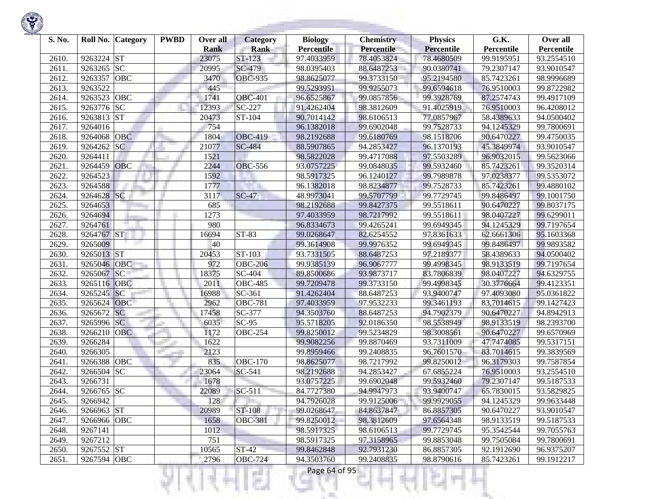

| S. No. |             | Roll No. Category | <b>PWBD</b> | Over all<br><b>Rank</b> | <b>Category</b><br><b>Rank</b> | <b>Biology</b><br><b>Percentile</b> | <b>Chemistry</b><br>Percentile | <b>Physics</b><br><b>Percentile</b> | G.K.<br>Percentile | Over all<br>Percentile |
|--------|-------------|-------------------|-------------|-------------------------|--------------------------------|-------------------------------------|--------------------------------|-------------------------------------|--------------------|------------------------|
| 2610.  | 9263224 ST  |                   |             | 23075                   | ST-123                         | 97.4033959                          | 78.4053824                     | 78.4680509                          | 99.9195951         | 93.2554510             |
| 2611.  | 9263265     | SC                |             | 20995                   | SC-479                         | 98.0395403                          | 88.6487253                     | 90.0380741                          | 79.2307147         | 93.9010547             |
| 2612.  | 9263357     | <b>OBC</b>        |             | 3470                    | <b>OBC-935</b>                 | 98.8625077                          | 99.3733150                     | 95.2194580                          | 85.7423261         | 98.9996689             |
| 2613.  | 9263522     |                   |             | 445                     |                                | 99.5293951                          | 99.9255073                     | 99.6594618                          | 76.9510003         | 99.8722982             |
| 2614.  | 9263523     | <b>OBC</b>        |             | 1741                    | <b>OBC-401</b>                 | 96.6525867                          | 99.0857856                     | 99.3928769                          | 87.2574743         | 99.4917109             |
| 2615.  | 9263776 SC  |                   |             | 12393                   | SC-227                         | 91.4262404                          | 98.3812609                     | 91.4025919                          | 76.9510003         | 96.4208012             |
| 2616.  | 9263813 ST  |                   |             | 20473                   | ST-104                         | 90.7014142                          | 98.6106513                     | 77.0857967                          | 58.4389633         | 94.0500402             |
| 2617.  | 9264016     |                   |             | 754                     |                                | 96.1382018                          | 99.6902048                     | 99.7528733                          | 94.1245329         | 99.7800691             |
| 2618.  | 9264068     | <b>OBC</b>        |             | 1804                    | <b>OBC-419</b>                 | 98.2192688                          | 99.6180769                     | 98.1518706                          | 90.6470227         | 99.4750035             |
| 2619.  | 9264262     | <b>SC</b>         |             | 21077                   | <b>SC-484</b>                  | 88.5907865                          | 94.2853427                     | 96.1370193                          | 45.3849974         | 93.9010547             |
| 2620.  | 9264411     |                   |             | 1521                    |                                | 98.5822028                          | 99.4717088                     | 97.5503289                          | 96.9032015         | 99.5623066             |
| 2621.  | 9264459     | <b>OBC</b>        |             | 2244                    | <b>OBC-556</b>                 | 93.0757225                          | 99.0848035                     | 99.5932460                          | 85.7423261         | 99.3520314             |
| 2622.  | 9264523     |                   |             | 1592                    |                                | 98.5917325                          | 96.1240127                     | 99.7989878                          | 97.0238377         | 99.5353072             |
| 2623.  | 9264588     |                   |             | 1777                    |                                | 96.1382018                          | 98.8234877                     | 99.7528733                          | 85.7423261         | 99.4880102             |
| 2624.  | 9264628     | SC                |             | 3117                    | $SC-47$                        | 48.9973041                          | 99.5707799                     | 99.7729745                          | 99.8486497         | 99.1001750             |
| 2625.  | 9264653     |                   |             | 685                     |                                | 98.2192688                          | 99.8427375                     | 99.5518611                          | 90.6470227         | 99.8037175             |
| 2626.  | 9264694     |                   |             | 1273                    |                                | 97.4033959                          | 98.7217992                     | 99.5518611                          | 98.0407227         | 99.6299011             |
| 2627.  | 9264761     |                   |             | 980                     |                                | 96.8334673                          | 99.4265241                     | 99.6949345                          | 94.1245329         | 99.7197654             |
| 2628.  | 9264767 ST  |                   |             | 16694                   | ST-83                          | 99.0268647                          | 82.6254552                     | 97.8361633                          | 62.6661306         | 95.1603368             |
| 2629.  | 9265009     |                   |             | 40                      |                                | 99.3614908                          | 99.9976352                     | 99.6949345                          | 99.8486497         | 99.9893582             |
| 2630.  | 9265013 ST  |                   |             | 20453                   | $\overline{ST}$ -103           | 93.7331505                          | 88.6487253                     | 97.2189377                          | 58.4389633         | 94.0500402             |
| 2631.  | 9265046     | OBC               |             | 972                     | <b>OBC-206</b>                 | 99.9385139                          | 96.9067777                     | 99.4998345                          | 98.9133519         | 99.7197654             |
| 2632.  | 9265067     | SC                |             | 18375                   | SC-404                         | 89.8500686                          | 93.9873717                     | 83.7806839                          | 98.0407227         | 94.6329755             |
| 2633.  | 9265116 OBC |                   |             | 2011                    | <b>OBC-485</b>                 | 99.7209478                          | 99.3733150                     | 99.4998345                          | 30.3776664         | 99.4123351             |
| 2634.  | 9265245     | SC                |             | 16988                   | SC-361                         | 91.4262404                          | 88.6487253                     | 93.9400747                          | 97.4093080         | 95.0361822             |
| 2635.  | 9265624     | <b>OBC</b>        |             | 2962                    | <b>OBC-781</b>                 | 97.4033959                          | 97.9532233                     | 99.3461193                          | 83.7014615         | 99.1427423             |
| 2636.  | 9265672     | <b>SC</b>         |             | 17458                   | SC-377                         | 94.3503760                          | 88.6487253                     | 94.7902379                          | 90.6470227         | 94.8942913             |
| 2637.  | 9265996 SC  |                   |             | 6035                    | $SC-95$                        | 95.5718205                          | 92.0186350                     | 98.5538949                          | 98.9133519         | 98.2393700             |
| 2638.  | 9266210     | <b>OBC</b>        |             | 1172                    | <b>OBC-254</b>                 | 99.8250012                          | 99.5234829                     | 98.3008561                          | 90.6470227         | 99.6570969             |
| 2639.  | 9266284     |                   |             | 1622                    |                                | 99.9082256                          | 99.8870469                     | 93.7311009                          | 47.7474085         | 99.5317151             |
| 2640.  | 9266305     |                   |             | 2123                    |                                | 99.8959466                          | 99.2408835                     | 96.7601570                          | 83.7014615         | 99.3839569             |
| 2641.  | 9266388     | OBC               |             | 835                     | <b>OBC-170</b>                 | 98.8625077                          | 98.7217992                     | 99.8250012                          | 96.3179303         | 99.7587854             |
| 2642.  | 9266504 SC  |                   |             | 23064                   | SC-541                         | 98.2192688                          | 94.2853427                     | 67.6855224                          | 76.9510003         | 93.2554510             |
| 2643.  | 9266731     |                   |             | 1678                    |                                | 93.0757225                          | 99.6902048                     | 99.5932460                          | 79.2307147         | 99.5187533             |
| 2644.  | 9266765 SC  |                   |             | 22089                   | SC-511                         | 84.7727380                          | 94.9947973                     | 93.9400747                          | 65.7830015         | 93.5829825             |
| 2645.  | 9266942     |                   |             | 128                     |                                | 94.7926028                          | 99.9125006                     | 99.9929055                          | 94.1245329         | 99.9633448             |
| 2646.  | 9266963 ST  |                   |             | 20989                   | ST-108                         | 99.0268647                          | 84.8637847                     | 86.8857305                          | 90.6470227         | 93.9010547             |
| 2647.  | 9266966 OBC |                   |             | 1658                    | <b>OBC-381</b>                 | 99.8250012                          | 98.3812609                     | 97.6564348                          | 98.9133519         | 99.5187533             |
| 2648.  | 9267141     |                   |             | 1012                    |                                | 98.5917325                          | 98.6106513                     | 99.7729745                          | 95.3542544         | 99.7055763             |
| 2649.  | 9267212     |                   |             | 751                     |                                | 98.5917325                          | 97.3158965                     | 99.8853048                          | 99.7505084         | 99.7800691             |
| 2650.  | 9267552 ST  |                   |             | 10565                   | $ST-42$                        | 99.8462848                          | 92.7931230                     | 86.8857305                          | 92.1912690         | 96.9375207             |
| 2651.  | 9267594 OBC |                   |             | 2796                    | <b>OBC-724</b>                 | 94.3503760                          | 99.2408835                     | 98.8790616                          | 85.7423261         | 99.1912217             |
|        |             |                   |             |                         | a T                            | Page 64 of 95                       |                                |                                     |                    |                        |

**STATISTICS** 

**State Controller**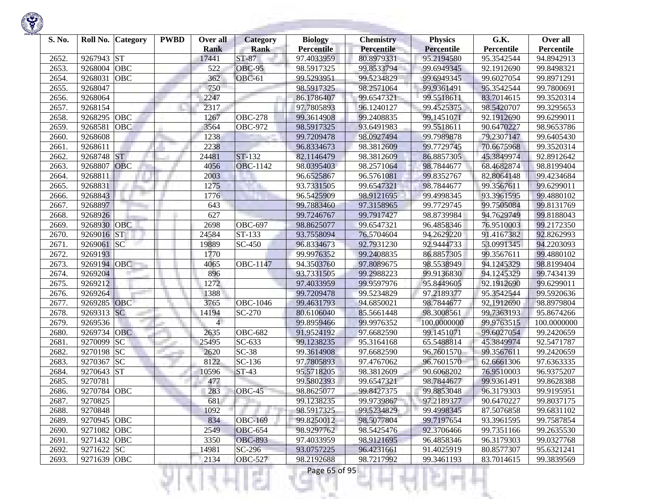

| S. No. |             | Roll No. Category | <b>PWBD</b> | Over all<br><b>Rank</b> | Category<br><b>Rank</b> | <b>Biology</b><br><b>Percentile</b> | <b>Chemistry</b><br>Percentile | <b>Physics</b><br><b>Percentile</b> | G.K.<br>Percentile | Over all<br>Percentile |
|--------|-------------|-------------------|-------------|-------------------------|-------------------------|-------------------------------------|--------------------------------|-------------------------------------|--------------------|------------------------|
| 2652.  | 9267943     | <b>ST</b>         |             | 17441                   | ST-87                   | 97.4033959                          | 80.8979331                     | 95.2194580                          | 95.3542544         | 94.8942913             |
| 2653.  | 9268004     | OBC               |             | 522                     | <b>OBC-95</b>           | 98.5917325                          | 99.8533794                     | 99.6949345                          | 92.1912690         | 99.8498321             |
| 2654.  | 9268031     | OBC               |             | 362                     | OBC-61                  | 99.5293951                          | 99.5234829                     | 99.6949345                          | 99.6027054         | 99.8971291             |
| 2655.  | 9268047     |                   |             | 750                     |                         | 98.5917325                          | 98.2571064                     | 99.9361491                          | 95.3542544         | 99.7800691             |
| 2656.  | 9268064     |                   |             | 2247                    |                         | 86.1786407                          | 99.6547321                     | 99.5518611                          | 83.7014615         | 99.3520314             |
| 2657.  | 9268154     |                   |             | 2317                    |                         | 97.7805893                          | 96.1240127                     | 99.4525375                          | 98.5420707         | 99.3295653             |
| 2658.  | 9268295     | OBC               |             | 1267                    | <b>OBC-278</b>          | 99.3614908                          | 99.2408835                     | 99.1451071                          | 92.1912690         | 99.6299011             |
| 2659.  | 9268581     | OBC               |             | 3564                    | <b>OBC-972</b>          | 98.5917325                          | 93.6491983                     | 99.5518611                          | 90.6470227         | 98.9653786             |
| 2660.  | 9268608     |                   |             | 1238                    |                         | 99.7209478                          | 98.0927494                     | 99.7989878                          | 79.2307147         | 99.6405430             |
| 2661.  | 9268611     |                   |             | 2238                    |                         | 96.8334673                          | 98.3812609                     | 99.7729745                          | 70.6675968         | 99.3520314             |
| 2662.  | 9268748     | <b>ST</b>         |             | 24481                   | ST-132                  | 82.1146479                          | 98.3812609                     | 86.8857305                          | 45.3849974         | 92.8912642             |
| 2663.  | 9268807     | OBC               |             | 4056                    | <b>OBC-1142</b>         | 98.0395403                          | 98.2571064                     | 98.7844677                          | 68.4682874         | 98.8199404             |
| 2664.  | 9268811     |                   |             | 2003                    |                         | 96.6525867                          | 96.5761081                     | 99.8352767                          | 82.8064148         | 99.4234684             |
| 2665.  | 9268831     |                   |             | 1275                    |                         | 93.7331505                          | 99.6547321                     | 98.7844677                          | 99.3567611         | 99.6299011             |
| 2666.  | 9268843     |                   |             | 1776                    |                         | 96.5425909                          | 98.9121695                     | 99.4998345                          | 93.3961595         | 99.4880102             |
| 2667.  | 9268897     |                   |             | 643                     |                         | 99.7883460                          | 97.3158965                     | 99.7729745                          | 99.7505084         | 99.8131769             |
| 2668.  | 9268926     |                   |             | 627                     |                         | 99.7246767                          | 99.7917427                     | 98.8739984                          | 94.7629749         | 99.8188043             |
| 2669   | 9268930     | OBC               |             | 2698                    | <b>OBC-697</b>          | 98.8625077                          | 99.6547321                     | 96.4858346                          | 76.9510003         | 99.2172350             |
| 2670.  | 9269016     | <b>ST</b>         |             | 24584                   | $\overline{ST}$ -133    | 93.7558094                          | 76.5704604                     | 94.2629220                          | 91.4167382         | 92.8262993             |
| 2671.  | 9269061     | SC                |             | 19889                   | SC-450                  | 96.8334673                          | 92.7931230                     | 92.9444733                          | 53.0991345         | 94.2203093             |
| 2672.  | 9269193     |                   |             | 1770                    |                         | 99.9976352                          | 99.2408835                     | 86.8857305                          | 99.3567611         | 99.4880102             |
| 2673.  | 9269194     | OBC               |             | 4065                    | OBC-1147                | 94.3503760                          | 97.8089675                     | 98.5538949                          | 94.1245329         | 98.8199404             |
| 2674.  | 9269204     |                   |             | 896                     |                         | 93.7331505                          | 99.2988223                     | 99.9136830                          | 94.1245329         | 99.7434139             |
| 2675.  | 9269212     |                   |             | 1272                    |                         | 97.4033959                          | 99.9597976                     | 95.8449605                          | 92.1912690         | 99.6299011             |
| 2676.  | 9269264     |                   |             | 1388                    |                         | 99.7209478                          | 99.5234829                     | 97.2189377                          | 95.3542544         | 99.5920636             |
| 2677.  | 9269285 OBC |                   |             | 3765                    | OBC-1046                | 99.4631793                          | 94.6850021                     | 98.7844677                          | 92.1912690         | 98.8979804             |
| 2678.  | 9269313     | <b>SC</b>         |             | 14194                   | SC-270                  | 80.6106040                          | 85.5661448                     | 98.3008561                          | 99.7363193         | 95.8674266             |
| 2679.  | 9269536     |                   |             | $\overline{4}$          |                         | 99.8959466                          | 99.9976352                     | 100.0000000                         | 99.9763515         | 100.0000000            |
| 2680.  | 9269734 OBC |                   |             | 2635                    | <b>OBC-682</b>          | 91.9524192                          | 97.6682590                     | 99.1451071                          | 99.6027054         | 99.2420659             |
| 2681.  | 9270099     | SC                |             | 25495                   | $\overline{SC}$ -633    | 99.1238235                          | 95.3164168                     | 65.5488814                          | 45.3849974         | 92.5471787             |
| 2682   | 9270198     | <b>SC</b>         |             | 2620                    | $SC-38$                 | 99.3614908                          | 97.6682590                     | 96.7601570                          | 99.3567611         | 99.2420659             |
| 2683.  | 9270367     | <b>SC</b>         |             | 8122                    | SC-136                  | 97.7805893                          | 97.4767062                     | 96.7601570                          | 62.6661306         | 97.6363335             |
| 2684.  | 9270643     | <b>ST</b>         |             | 10596                   | $ST-43$                 | 95.5718205                          | 98.3812609                     | 90.6068202                          | 76.9510003         | 96.9375207             |
| 2685.  | 9270781     |                   |             | 477                     |                         | 99.5802393                          | 99.6547321                     | 98.7844677                          | 99.9361491         | 99.8628388             |
| 2686.  | 9270784 OBC |                   |             | 283                     | OBC-45                  | 98.8625077                          | 99.8427375                     | 99.8853048                          | 96.3179303         | 99.9195951             |
| 2687.  | 9270825     |                   |             | 681                     |                         | 99.1238235                          | 99.9739867                     | 97.2189377                          | 90.6470227         | 99.8037175             |
| 2688.  | 9270848     |                   |             | 1092                    |                         | 98.5917325                          | 99.5234829                     | 99.4998345                          | 87.5076858         | 99.6831102             |
| 2689.  | 9270945 OBC |                   |             | 834                     | <b>OBC-169</b>          | 99.8250012                          | 98.5077804                     | 99.7197654                          | 93.3961595         | 99.7587854             |
| 2690.  | 9271082 OBC |                   |             | 2549                    | <b>OBC-654</b>          | 98.9297762                          | 98.5425476                     | 92.3706466                          | 99.7351166         | 99.2635530             |
| 2691.  | 9271432 OBC |                   |             | 3350                    | <b>OBC-893</b>          | 97.4033959                          | 98.9121695                     | 96.4858346                          | 96.3179303         | 99.0327768             |
| 2692.  | 9271622 SC  |                   |             | 14981                   | SC-296                  | 93.0757225                          | 96.4231661                     | 91.4025919                          | 80.8577307         | 95.6321241             |
| 2693.  | 9271639 OBC |                   |             | 2134                    | <b>OBC-527</b>          | 98.2192688                          | 98.7217992                     | 99.3461193                          | 83.7014615         | 99.3839569             |
|        |             |                   |             |                         | a Tin                   | Page 65 of 95                       |                                |                                     |                    |                        |

**STATISTICS** 

**State State**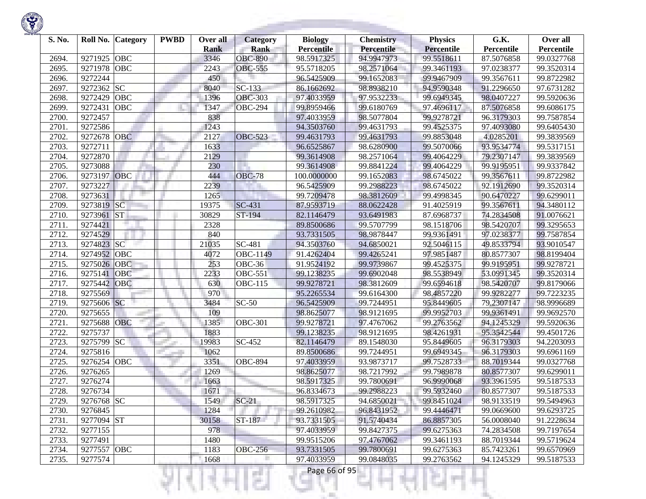| S. No. | Roll No. Category     | <b>PWBD</b> | Over all<br><b>Rank</b> | <b>Category</b><br><b>Rank</b> | <b>Biology</b><br><b>Percentile</b> | <b>Chemistry</b><br>Percentile | <b>Physics</b><br>Percentile | G.K.<br>Percentile | Over all<br>Percentile |
|--------|-----------------------|-------------|-------------------------|--------------------------------|-------------------------------------|--------------------------------|------------------------------|--------------------|------------------------|
| 2694.  | 9271925<br>OBC        |             | 3346                    | <b>OBC-890</b>                 | 98.5917325                          | 94.9947973                     | 99.5518611                   | 87.5076858         | 99.0327768             |
| 2695.  | OBC<br>9271978        |             | 2243                    | <b>OBC-555</b>                 | 95.5718205                          | 98.2571064                     | 99.3461193                   | 97.0238377         | 99.3520314             |
| 2696.  | 9272244               |             | 450                     |                                | 96.5425909                          | 99.1652083                     | 99.9467909                   | 99.3567611         | 99.8722982             |
| 2697.  | SC<br>9272362         |             | 8040                    | SC-133                         | 86.1662692                          | 98.8938210                     | 94.9590348                   | 91.2296650         | 97.6731282             |
| 2698.  | 9272429<br>OBC        |             | 1396                    | <b>OBC-303</b>                 | 97.4033959                          | 97.9532233                     | 99.6949345                   | 98.0407227         | 99.5920636             |
|        |                       |             |                         |                                |                                     | 99.6180769                     |                              |                    |                        |
| 2699.  | 9272431<br><b>OBC</b> |             | 1347                    | <b>OBC-294</b>                 | 99.8959466                          | 98.5077804                     | 97.4696117                   | 87.5076858         | 99.6086175             |
| 2700.  | 9272457               |             | 838                     |                                | 97.4033959                          |                                | 99.9278721                   | 96.3179303         | 99.7587854             |
| 2701.  | 9272586               |             | 1243                    |                                | 94.3503760                          | 99.4631793                     | 99.4525375                   | 97.4093080         | 99.6405430             |
| 2702.  | 9272678<br><b>OBC</b> |             | 2127                    | <b>OBC-523</b>                 | 99.4631793                          | 99.4631793                     | 99.8853048                   | 4.0285201          | 99.3839569             |
| 2703.  | 9272711               |             | 1633                    |                                | 96.6525867                          | 98.6280900                     | 99.5070066                   | 93.9534774         | 99.5317151             |
| 2704.  | 9272870               |             | 2129                    |                                | 99.3614908                          | 98.2571064                     | 99.4064229                   | 79.2307147         | 99.3839569             |
| 2705.  | 9273088               |             | 230                     |                                | 99.3614908                          | 99.8841224                     | 99.4064229                   | 99.9195951         | 99.9337842             |
| 2706.  | 9273197<br><b>OBC</b> |             | 444                     | <b>OBC-78</b>                  | 100.0000000                         | 99.1652083                     | 98.6745022                   | 99.3567611         | 99.8722982             |
| 2707.  | 9273227               |             | 2239                    |                                | 96.5425909                          | 99.2988223                     | 98.6745022                   | 92.1912690         | 99.3520314             |
| 2708.  | 9273631               |             | 1265                    |                                | 99.7209478                          | 98.3812609                     | 99.4998345                   | 90.6470227         | 99.6299011             |
| 2709.  | SC<br>9273819         |             | 19375                   | SC-431                         | 87.9593719                          | 88.0622428                     | 91.4025919                   | 99.3567611         | 94.3480112             |
| 2710.  | 9273961<br><b>ST</b>  |             | 30829                   | ST-194                         | 82.1146479                          | 93.6491983                     | 87.6968737                   | 74.2834508         | 91.0076621             |
| 2711.  | 9274421               |             | 2328                    |                                | 89.8500686                          | 99.5707799                     | 98.1518706                   | 98.5420707         | 99.3295653             |
| 2712.  | 9274529               |             | 840                     |                                | 93.7331505                          | 98.9878447                     | 99.9361491                   | 97.0238377         | 99.7587854             |
| 2713.  | 9274823 SC            |             | 21035                   | $\overline{SC}$ -481           | 94.3503760                          | 94.6850021                     | 92.5046115                   | 49.8533794         | 93.9010547             |
| 2714.  | 9274952<br>OBC        |             | 4072                    | OBC-1149                       | 91.4262404                          | 99.4265241                     | 97.9851487                   | 80.8577307         | 98.8199404             |
| 2715.  | 9275026<br><b>OBC</b> |             | 253                     | OBC-36                         | 91.9524192                          | 99.9739867                     | 99.4525375                   | 99.9195951         | 99.9278721             |
| 2716.  | 9275141<br>OBC        |             | 2233                    | $\overline{O}$ BC-551          | 99.1238235                          | 99.6902048                     | 98.5538949                   | 53.0991345         | 99.3520314             |
| 2717.  | OBC<br>9275442        |             | 630                     | <b>OBC-115</b>                 | 99.9278721                          | 98.3812609                     | 99.6594618                   | 98.5420707         | 99.8179066             |
| 2718.  | 9275569               |             | 970                     |                                | 95.2265534                          | 99.6164300                     | 98.4857220                   | 99.9282277         | 99.7223235             |
| 2719.  | 9275606 SC            |             | 3484                    | $SC-50$                        | 96.5425909                          | 99.7244951                     | 95.8449605                   | 79.2307147         | 98.9996689             |
| 2720.  | 9275655               |             | 109                     |                                | 98.8625077                          | 98.9121695                     | 99.9952703                   | 99.9361491         | 99.9692570             |
| 2721.  | 9275688<br>OBC        |             | 1385                    | <b>OBC-301</b>                 | 99.9278721                          | 97.4767062                     | 99.2763562                   | 94.1245329         | 99.5920636             |
| 2722.  | 9275737               |             | 1883                    |                                | 99.1238235                          | 98.9121695                     | 98.4261931                   | 95.3542544         | 99.4501726             |
| 2723.  | 9275799 SC            |             | 19983                   | SC-452                         | 82.1146479                          | 89.1548030                     | 95.8449605                   | 96.3179303         | 94.2203093             |
| 2724.  | 9275816               |             | 1062                    |                                | 89.8500686                          | 99.7244951                     | 99.6949345                   | 96.3179303         | 99.6961169             |
| 2725.  | 9276254<br>OBC        |             | 3351                    | <b>OBC-894</b>                 | 97.4033959                          | 93.9873717                     | 99.7528733                   | 88.7019344         | 99.0327768             |
| 2726.  | 9276265               |             | 1269                    |                                | 98.8625077                          | 98.7217992                     | 99.7989878                   | 80.8577307         | 99.6299011             |
| 2727.  | 9276274               |             | 1663                    |                                | 98.5917325                          | 99.7800691                     | 96.9990068                   | 93.3961595         | 99.5187533             |
| 2728.  | 9276734               |             | 1671                    |                                | 96.8334673                          | 99.2988223                     | 99.5932460                   | 80.8577307         | 99.5187533             |
| 2729.  | 9276768 SC            |             | 1549                    | $SC-21$                        | 98.5917325                          | 94.6850021                     | 99.8451024                   | 98.9133519         | 99.5494963             |
| 2730.  | 9276845               |             | 1284                    |                                | 99.2610982                          | 96.8431952                     | 99.4446471                   | 99.0669600         | 99.6293725             |
| 2731.  | 9277094 ST            |             | 30158                   | ST-187                         | 93.7331505                          | 91.5740434                     | 86.8857305                   | 56.0008040         | 91.2228634             |
| 2732.  | 9277155               |             | 978                     |                                | 97.4033959                          | 99.8427375                     | 99.6275363                   | 74.2834508         | 99.7197654             |
| 2733.  | 9277491               |             | 1480                    |                                | 99.9515206                          | 97.4767062                     | 99.3461193                   | 88.7019344         | 99.5719624             |
| 2734.  | 9277557 OBC           |             | 1183                    | <b>OBC-256</b>                 | 93.7331505                          | 99.7800691                     | 99.6275363                   | 85.7423261         | 99.6570969             |
| 2735.  | 9277574               |             | 1668                    |                                | 97.4033959                          | 99.0848035                     | 99.2763562                   | 94.1245329         | 99.5187533             |

m

ш

٠

×.

w

1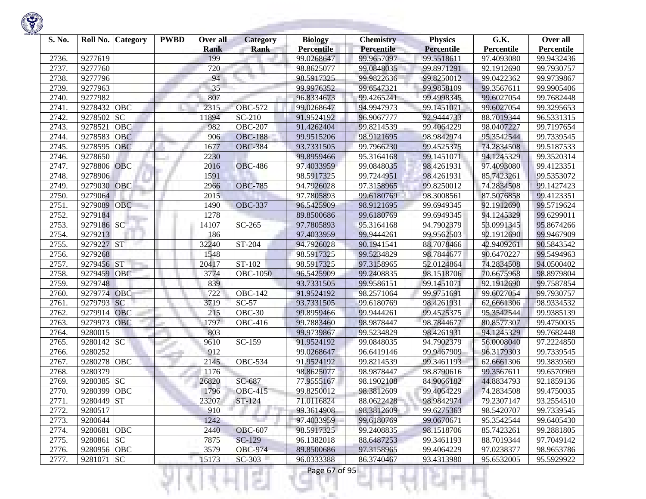| S. No. | Roll No.    | Category   | <b>PWBD</b> | Over all<br><b>Rank</b> | Category<br><b>Rank</b> | <b>Biology</b><br><b>Percentile</b> | <b>Chemistry</b><br>Percentile | <b>Physics</b><br><b>Percentile</b> | G.K.<br>Percentile | Over all<br>Percentile |
|--------|-------------|------------|-------------|-------------------------|-------------------------|-------------------------------------|--------------------------------|-------------------------------------|--------------------|------------------------|
| 2736.  | 9277619     |            |             | 199                     |                         | 99.0268647                          | 99.9657097                     | 99.5518611                          | 97.4093080         | 99.9432436             |
| 2737.  | 9277760     |            |             | 720                     |                         | 98.8625077                          | 99.0848035                     | 99.8971291                          | 92.1912690         | 99.7930757             |
| 2738.  | 9277796     |            |             | 94                      | Ħ                       | 98.5917325                          | 99.9822636                     | 99.8250012                          | 99.0422362         | 99.9739867             |
| 2739.  | 9277963     |            |             | 35                      |                         | 99.9976352                          | 99.6547321                     | 99.9858109                          | 99.3567611         | 99.9905406             |
| 2740   | 9277982     |            |             | 807                     |                         | 96.8334673                          | 99.4265241                     | 99.4998345                          | 99.6027054         | 99.7682448             |
| 2741.  | 9278432     | OBC        |             | 2315                    | <b>OBC-572</b>          | 99.0268647                          | 94.9947973                     | 99.1451071                          | 99.6027054         | 99.3295653             |
| 2742   | 9278502     | SC         |             | 11894                   | SC-210                  | 91.9524192                          | 96.9067777                     | 92.9444733                          | 88.7019344         | 96.5331315             |
| 2743.  | 927852      | OBC        |             | 982                     | <b>OBC-207</b>          | 91.4262404                          | 99.8214539                     | 99.4064229                          | 98.0407227         | 99.7197654             |
| 2744.  | 9278583     | <b>OBC</b> |             | 906                     | <b>OBC-188</b>          | 99.9515206                          | 98.9121695                     | 98.9842974                          | 95.3542544         | 99.7339545             |
| 2745   | 9278595     | OBC        |             | 1677                    | <b>OBC-384</b>          | 93.7331505                          | 99.7966230                     | 99.4525375                          | 74.2834508         | 99.5187533             |
| 2746.  | 9278650     |            |             | 2230                    |                         | 99.8959466                          | 95.3164168                     | 99.1451071                          | 94.1245329         | 99.3520314             |
| 2747.  | 9278806     | <b>OBC</b> |             | 2016                    | <b>OBC-486</b>          | 97.4033959                          | 99.0848035                     | 98.4261931                          | 97.4093080         | 99.4123351             |
| 2748.  | 9278906     |            |             | 1591                    |                         | 98.5917325                          | 99.7244951                     | 98.4261931                          | 85.7423261         | 99.5353072             |
| 2749.  | 9279030     | OBC        |             | 2966                    | <b>OBC-785</b>          | 94.7926028                          | 97.3158965                     | 99.8250012                          | 74.2834508         | 99.1427423             |
| 2750.  | 9279064     |            |             | 2015                    |                         | 97.7805893                          | 99.6180769                     | 98.3008561                          | 87.5076858         | 99.4123351             |
| 2751.  | 9279089     | <b>OBC</b> |             | 1490                    | <b>OBC-337</b>          | 96.5425909                          | 98.9121695                     | 99.6949345                          | 92.1912690         | 99.5719624             |
| 2752   | 9279184     |            |             | 1278                    |                         | 89.8500686                          | 99.6180769                     | 99.6949345                          | 94.1245329         | 99.6299011             |
| 2753.  | 9279186 SC  |            |             | 14107                   | SC-265                  | 97.7805893                          | 95.3164168                     | 94.7902379                          | 53.0991345         | 95.8674266             |
| 2754.  | 9279213     |            |             | 186                     |                         | 97.4033959                          | 99.9444261                     | 99.9562503                          | 92.1912690         | 99.9467909             |
| 2755.  | 9279227 ST  |            |             | 32240                   | ST-204                  | 94.7926028                          | 90.1941541                     | 88.7078466                          | 42.9409261         | 90.5843542             |
| 2756.  | 9279268     |            |             | 1548                    |                         | 98.5917325                          | 99.5234829                     | 98.7844677                          | 90.6470227         | 99.5494963             |
| 2757.  | 9279456     | <b>ST</b>  |             | 20417                   | ST-102                  | 98.5917325                          | 97.3158965                     | 52.0124864                          | 74.2834508         | 94.0500402             |
| 2758.  | 9279459     | <b>OBC</b> |             | 3774                    | <b>OBC-1050</b>         | 96.5425909                          | 99.2408835                     | 98.1518706                          | 70.6675968         | 98.8979804             |
| 2759.  | 9279748     |            |             | 839                     |                         | 93.7331505                          | 99.9586151                     | 99.1451071                          | 92.1912690         | 99.7587854             |
| 2760   | 9279774     | OBC        |             | 722                     | <b>OBC-142</b>          | 91.9524192                          | 98.2571064                     | 99.9751691                          | 99.6027054         | 99.7930757             |
| 2761.  | 9279793     | <b>SC</b>  |             | 3719                    | $SC-57$                 | 93.7331505                          | 99.6180769                     | 98.4261931                          | 62,6661306         | 98.9334532             |
| 2762.  | 9279914     | <b>OBC</b> |             | 215                     | <b>OBC-30</b>           | 99.8959466                          | 99.9444261                     | 99.4525375                          | 95.3542544         | 99.9385139             |
| 2763.  | 9279973     | OBC        |             | 1797                    | $\overline{O}$ BC-416   | 99.7883460                          | 98.9878447                     | 98.7844677                          | 80.8577307         | 99.4750035             |
| 2764.  | 9280015     |            |             | 803                     |                         | 99.9739867                          | 99.5234829                     | 98.4261931                          | 94.1245329         | 99.7682448             |
| 2765   | 9280142     | <b>SC</b>  |             | 9610                    | SC-159                  | 91.9524192                          | 99.0848035                     | 94.7902379                          | 56.0008040         | 97.2224850             |
| 2766   | 9280252     |            |             | 912                     |                         | 99.0268647                          | 96.6419146                     | 99.9467909                          | 96.3179303         | 99.7339545             |
| 2767.  | 9280278     | OBC        |             | 2145                    | <b>OBC-534</b>          | 91.9524192                          | 99.8214539                     | 99.3461193                          | 62.6661306         | 99.3839569             |
| 2768   | 9280379     |            |             | 1176                    |                         | 98.8625077                          | 98.9878447                     | 98.8790616                          | 99.3567611         | 99.6570969             |
| 2769   | 9280385     | <b>SC</b>  |             | 26820                   | SC-687                  | 77.9555167                          | 98.1902108                     | 84.9066182                          | 44.8834793         | 92.1859136             |
| 2770.  | 9280399     | <b>OBC</b> |             | 1796                    | <b>OBC-415</b>          | 99.8250012                          | 98.3812609                     | 99.4064229                          | 74.2834508         | 99.4750035             |
| 2771.  | 9280449 ST  |            |             | 23207                   | $ST-124$                | 71.0116824                          | 88.0622428                     | 98.9842974                          | 79.2307147         | 93.2554510             |
| 2772.  | 9280517     |            |             | 910                     |                         | 99.3614908                          | 98.3812609                     | 99.6275363                          | 98.5420707         | 99.7339545             |
| 2773.  | 9280644     |            |             | 1242                    |                         | 97.4033959                          | 99.6180769                     | 99.0670671                          | 95.3542544         | 99.6405430             |
| 2774.  | 9280681 OBC |            |             | 2440                    | <b>OBC-607</b>          | 98.5917325                          | 99.2408835                     | 98.1518706                          | 85.7423261         | 99.2881805             |
| 2775.  | 9280861 SC  |            |             | 7875                    | SC-129                  | 96.1382018                          | 88.6487253                     | 99.3461193                          | 88.7019344         | 97.7049142             |
| 2776.  | 9280956 OBC |            |             | 3579                    | <b>OBC-974</b>          | 89.8500686                          | 97.3158965                     | 99.4064229                          | 97.0238377         | 98.9653786             |
| 2777.  | 9281071 SC  |            |             | 15173                   | $SC-303$                | 96.0333388                          | 86.3740467                     | 93.4313980                          | 95.6532005         | 95.5929922             |

a ili

375

ш

÷

K)

w

Ħ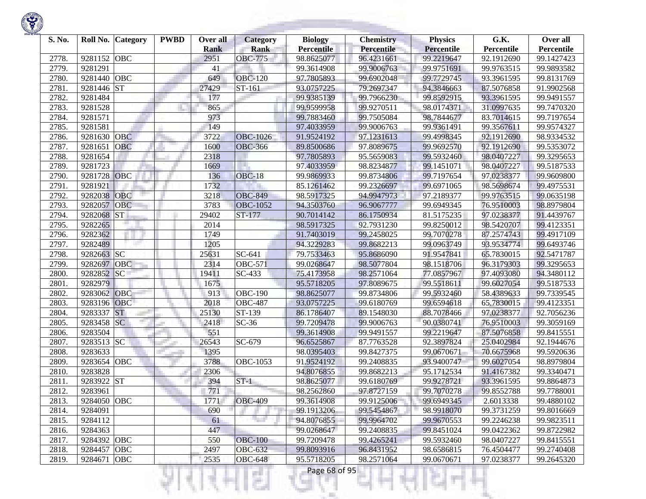

| S. No. |             | Roll No. Category | <b>PWBD</b> | Over all<br><b>Rank</b> | <b>Category</b><br><b>Rank</b> | <b>Biology</b><br><b>Percentile</b> | <b>Chemistry</b><br>Percentile | <b>Physics</b><br><b>Percentile</b> | G.K.<br>Percentile | Over all<br>Percentile |
|--------|-------------|-------------------|-------------|-------------------------|--------------------------------|-------------------------------------|--------------------------------|-------------------------------------|--------------------|------------------------|
| 2778.  | 9281152     | <b>OBC</b>        |             | 2951                    | <b>OBC-775</b>                 | 98.8625077                          | 96.4231661                     | 99.2219647                          | 92.1912690         | 99.1427423             |
| 2779.  | 9281291     |                   |             | 41                      |                                | 99.3614908                          | 99.9006763                     | 99.9751691                          | 99.9763515         | 99.9893582             |
| 2780.  | 9281440     | OBC               |             | 649                     | <b>OBC-120</b>                 | 97.7805893                          | 99.6902048                     | 99.7729745                          | 93.3961595         | 99.8131769             |
| 2781.  | 9281446 ST  |                   |             | 27429                   | ST-161                         | 93.0757225                          | 79.2697347                     | 94.3846663                          | 87.5076858         | 91.9902568             |
| 2782.  | 9281484     |                   |             | 177                     |                                | 99.9385139                          | 99.7966230                     | 99.8592915                          | 93.3961595         | 99.9491557             |
| 2783.  | 9281528     |                   |             | 865                     |                                | 99.9599958                          | 99.9270511                     | 98.0174371                          | 31.0997635         | 99.7470320             |
| 2784.  | 9281571     |                   |             | 973                     |                                | 99.7883460                          | 99.7505084                     | 98.7844677                          | 83.7014615         | 99.7197654             |
| 2785.  | 9281581     |                   |             | 149                     |                                | 97.4033959                          | 99.9006763                     | 99.9361491                          | 99.3567611         | 99.9574327             |
| 2786.  | 9281630 OBC |                   |             | 3722                    | <b>OBC-1026</b>                | 91.9524192                          | 97.1231613                     | 99.4998345                          | 92.1912690         | 98.9334532             |
| 2787.  | 9281651     | <b>OBC</b>        |             | 1600                    | <b>OBC-366</b>                 | 89.8500686                          | 97.8089675                     | 99.9692570                          | 92.1912690         | 99.5353072             |
| 2788.  | 9281654     |                   |             | 2318                    |                                | 97.7805893                          | 95.5659083                     | 99.5932460                          | 98.0407227         | 99.3295653             |
| 2789.  | 9281723     |                   |             | 1669                    |                                | 97.4033959                          | 98.8234877                     | 99.1451071                          | 98.0407227         | 99.5187533             |
| 2790.  | 9281728     | OBC               |             | 136                     | $OBC-18$                       | 99.9869933                          | 99.8734806                     | 99.7197654                          | 97.0238377         | 99.9609800             |
| 2791.  | 9281921     |                   |             | 1732                    |                                | 85.1261462                          | 99.2326697                     | 99.6971065                          | 98.5698674         | 99.4975531             |
| 2792.  | 9282038     | OBC               |             | 3218                    | <b>OBC-849</b>                 | 98.5917325                          | 94.9947973                     | 97.2189377                          | 99.9763515         | 99.0635198             |
| 2793.  | 9282057     | OBC               |             | 3783                    | <b>OBC-1052</b>                | 94.3503760                          | 96.9067777                     | 99.6949345                          | 76.9510003         | 98.8979804             |
| 2794.  | 9282068     | <b>ST</b>         |             | 29402                   | ST-177                         | 90.7014142                          | 86.1750934                     | 81.5175235                          | 97.0238377         | 91.4439767             |
| 2795.  | 9282265     |                   |             | 2014                    |                                | 98.5917325                          | 92.7931230                     | 99.8250012                          | 98.5420707         | 99.4123351             |
| 2796.  | 9282362     |                   |             | 1749                    |                                | 91.7403019                          | 99.2458025                     | 99.7070278                          | 87.2574743         | 99.4917109             |
| 2797.  | 9282489     |                   |             | 1205                    |                                | 94.3229283                          | 99.8682213                     | 99.0963749                          | 93.9534774         | 99.6493746             |
| 2798.  | 9282663 SC  |                   |             | 25631                   | $\overline{SC}$ -641           | 79.7533463                          | 95.8686090                     | 91.9547841                          | 65.7830015         | 92.5471787             |
| 2799.  | 9282697     | OBC               |             | 2314                    | $\overline{O}$ BC-571          | 99.0268647                          | 98.5077804                     | 98.1518706                          | 96.3179303         | 99.3295653             |
| 2800.  | 9282852     | <b>SC</b>         |             | 19411                   | SC-433                         | 75.4173958                          | 98.2571064                     | 77.0857967                          | 97.4093080         | 94.3480112             |
| 2801.  | 9282979     |                   |             | 1675                    |                                | 95.5718205                          | 97.8089675                     | 99.5518611                          | 99.6027054         | 99.5187533             |
| 2802.  | 9283062     | <b>OBC</b>        |             | 913                     | $\overline{OBC-190}$           | 98.8625077                          | 99.8734806                     | 99.5932460                          | 58.4389633         | 99.7339545             |
| 2803.  | 9283196 OBC |                   |             | 2018                    | <b>OBC-487</b>                 | 93.0757225                          | 99.6180769                     | 99.6594618                          | 65.7830015         | 99.4123351             |
| 2804.  | 9283337     | <b>ST</b>         |             | 25130                   | ST-139                         | 86.1786407                          | 89.1548030                     | 88.7078466                          | 97.0238377         | 92.7056236             |
| 2805.  | 9283458 SC  |                   |             | 2418                    | $SC-36$                        | 99.7209478                          | 99.9006763                     | 90.0380741                          | 76.9510003         | 99.3059169             |
| 2806.  | 9283504     |                   |             | 551                     |                                | 99.3614908                          | 99.9491557                     | 99.2219647                          | 87.5076858         | 99.8415551             |
| 2807.  | 9283513 SC  |                   |             | 26543                   | SC-679                         | 96.6525867                          | 87.7763528                     | 92.3897824                          | 25.0402984         | 92.1944676             |
| 2808.  | 9283633     |                   |             | 1395                    |                                | 98.0395403                          | 99.8427375                     | 99.0670671                          | 70.6675968         | 99.5920636             |
| 2809.  | 9283654     | OBC               |             | 3788                    | OBC-1053                       | 91.9524192                          | 99.2408835                     | 93.9400747                          | 99.6027054         | 98.8979804             |
| 2810.  | 9283828     |                   |             | 2306                    |                                | 94.8076855                          | 99.8682213                     | 95.1712534                          | 91.4167382         | 99.3340471             |
| 2811.  | 9283922 ST  |                   |             | 394                     | $ST-1$                         | 98.8625077                          | 99.6180769                     | 99.9278721                          | 93.3961595         | 99.8864873             |
| 2812.  | 9283961     |                   |             | 771                     |                                | 98.2562860                          | 97.8727159                     | 99.7070278                          | 99.8552788         | 99.7788001             |
| 2813.  | 9284050 OBC |                   |             | 1771                    | <b>OBC-409</b>                 | 99.3614908                          | 99.9125006                     | 99.6949345                          | 2.6013338          | 99.4880102             |
| 2814.  | 9284091     |                   |             | 690                     |                                | 99.1913206                          | 99.5454867                     | 98.9918070                          | 99.3731259         | 99.8016669             |
| 2815.  | 9284112     |                   |             | 61                      | The Co                         | 94.8076855                          | 99.9964702                     | 99.9670553                          | 99.2246238         | 99.9823511             |
| 2816.  | 9284363     |                   |             | 447                     |                                | 99.0268647                          | 99.2408835                     | 99.8451024                          | 99.0422362         | 99.8722982             |
| 2817.  | 9284392 OBC |                   |             | 550                     | <b>OBC-100</b>                 | 99.7209478                          | 99.4265241                     | 99.5932460                          | 98.0407227         | 99.8415551             |
| 2818.  | 9284457 OBC |                   |             | 2497                    | <b>OBC-632</b>                 | 99.8093916                          | 96.8431952                     | 98.6586815                          | 76.4504477         | 99.2740408             |
| 2819.  | 9284671 OBC |                   |             | 2535                    | <b>OBC-648</b>                 | 95.5718205                          | 98.2571064                     | 99.0670671                          | 97.0238377         | 99.2645320             |
|        |             |                   |             |                         | 51                             | Page 68 of 95                       |                                |                                     |                    |                        |

**STATISTICS** 

**Contract Contract**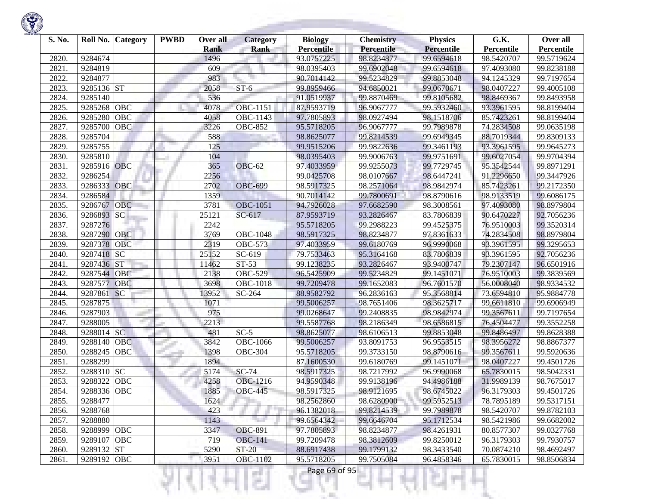| S. No. | Roll No. Category     | <b>PWBD</b> | Over all<br><b>Rank</b> | <b>Category</b><br><b>Rank</b> | <b>Biology</b><br><b>Percentile</b> | <b>Chemistry</b><br><b>Percentile</b> | <b>Physics</b><br>Percentile | G.K.<br>Percentile | Over all<br>Percentile |
|--------|-----------------------|-------------|-------------------------|--------------------------------|-------------------------------------|---------------------------------------|------------------------------|--------------------|------------------------|
| 2820.  | 9284674               |             | 1496                    |                                | 93.0757225                          | 98.8234877                            | 99.6594618                   | 98.5420707         | 99.5719624             |
| 2821.  | 9284819               |             | 609                     |                                | 98.0395403                          | 99.6902048                            | 99.6594618                   | 97.4093080         | 99.8238188             |
| 2822.  | 9284877               |             | 983                     |                                | 90.7014142                          | 99.5234829                            | 99.8853048                   | 94.1245329         | 99.7197654             |
| 2823.  | 9285136 ST            |             | 2058                    | $ST-6$                         | 99.8959466                          | 94.6850021                            | 99.0670671                   | 98.0407227         | 99.4005108             |
| 2824.  | 9285140               |             | 536                     |                                | 91.0519937                          | 99.8870469                            | 99.8105682                   | 98.8469367         | 99.8493958             |
| 2825.  | OBC<br>9285268        |             | 4078                    | <b>OBC-1151</b>                | 87.9593719                          | 96.9067777                            | 99.5932460                   | 93.3961595         | 98.8199404             |
| 2826.  | 9285280<br>OBC        |             | 4058                    | OBC-1143                       | 97.7805893                          | 98.0927494                            | 98.1518706                   | 85.7423261         | 98.8199404             |
| 2827.  | 9285700<br>OBC        |             | 3226                    | <b>OBC-852</b>                 | 95.5718205                          | 96.9067777                            | 99.7989878                   | 74.2834508         | 99.0635198             |
| 2828.  | 9285704               |             | 588                     |                                | 98.8625077                          | 99.8214539                            | 99.6949345                   | 88.7019344         | 99.8309133             |
| 2829.  | 9285755               |             | 125                     |                                | 99.9515206                          | 99.9822636                            | 99.3461193                   | 93.3961595         | 99.9645273             |
| 2830.  | 9285810               |             | 104                     |                                | 98.0395403                          | 99.9006763                            | 99.9751691                   | 99.6027054         | 99.9704394             |
| 2831.  | 9285916 OBC           |             | 365                     | <b>OBC-62</b>                  | 97.4033959                          | 99.9255073                            | 99.7729745                   | 95.3542544         | 99.8971291             |
| 2832.  | 9286254               |             | 2256                    |                                | 99.0425708                          | 98.0107667                            | 98.6447241                   | 91.2296650         | 99.3447926             |
| 2833.  | 9286333<br>OBC        |             | 2702                    | <b>OBC-699</b>                 | 98.5917325                          | 98.2571064                            | 98.9842974                   | 85.7423261         | 99.2172350             |
| 2834.  | 9286584               |             | 1359                    |                                | 90.7014142                          | 99.7800691                            | 98.8790616                   | 98.9133519         | 99.6086175             |
| 2835.  | OBC<br>9286767        |             | 3781                    | <b>OBC-1051</b>                | 94.7926028                          | 97.6682590                            | 98.3008561                   | 97.4093080         | 98.8979804             |
| 2836.  | <b>SC</b><br>9286893  |             | 25121                   | $SC-617$                       | 87.9593719                          | 93.2826467                            | 83.7806839                   | 90.6470227         | 92.7056236             |
| 2837.  | 9287276               |             | 2242                    |                                | 95.5718205                          | 99.2988223                            | 99.4525375                   | 76.9510003         | 99.3520314             |
| 2838.  | 9287290<br><b>OBC</b> |             | 3769                    | OBC-1048                       | 98.5917325                          | 98.8234877                            | 97.8361633                   | 74.2834508         | 98.8979804             |
| 2839.  | 9287378<br>OBC        |             | 2319                    | <b>OBC-573</b>                 | 97.4033959                          | 99.6180769                            | 96.9990068                   | 93.3961595         | 99.3295653             |
| 2840.  | 9287418 SC            |             | 25152                   | SC-619                         | 79.7533463                          | 95.3164168                            | 83.7806839                   | 93.3961595         | 92.7056236             |
| 2841.  | <b>ST</b><br>9287436  |             | 11462                   | $ST-53$                        | 99.1238235                          | 93.2826467                            | 93.9400747                   | 79.2307147         | 96.6501916             |
| 2842.  | 9287544<br>OBC        |             | 2138                    | <b>OBC-529</b>                 | 96.5425909                          | 99.5234829                            | 99.1451071                   | 76.9510003         | 99.3839569             |
| 2843.  | 9287577<br>OBC        |             | 3698                    | <b>OBC-1018</b>                | 99.7209478                          | 99.1652083                            | 96.7601570                   | 56.0008040         | 98.9334532             |
| 2844.  | 9287861<br><b>SC</b>  |             | 13952                   | SC-264                         | 88.9582792                          | 96.2836163                            | 95.3568814                   | 73.6594810         | 95.9884778             |
| 2845.  | 9287875               |             | 1071                    |                                | 99.5006257                          | 98.7651406                            | 98.3625717                   | 99.6611810         | 99.6906949             |
| 2846.  | 9287903               |             | 975                     |                                | 99.0268647                          | 99.2408835                            | 98.9842974                   | 99.3567611         | 99.7197654             |
| 2847.  | 9288005               |             | 2213                    |                                | 99.5587768                          | 98.2186349                            | 98.6586815                   | 76.4504477         | 99.3552258             |
| 2848.  | 9288014 SC            |             | 481                     | $SC-5$                         | 98.8625077                          | 98.6106513                            | 99.8853048                   | 99.8486497         | 99.8628388             |
| 2849.  | 9288140<br><b>OBC</b> |             | 3842                    | <b>OBC-1066</b>                | 99.5006257                          | 93.8091753                            | 96.9553515                   | 98.3956272         | 98.8867377             |
| 2850.  | 9288245<br>OBC        |             | 1398                    | <b>OBC-304</b>                 | 95.5718205                          | 99.3733150                            | 98.8790616                   | 99.3567611         | 99.5920636             |
| 2851.  | 9288299               |             | 1894                    |                                | 87.1600530                          | 99.6180769                            | 99.1451071                   | 98.0407227         | 99.4501726             |
| 2852.  | 9288310 SC            |             | 5174                    | $SC-74$                        | 98.5917325                          | 98.7217992                            | 96.9990068                   | 65.7830015         | 98.5042331             |
| 2853.  | <b>OBC</b><br>9288322 |             | 4258                    | OBC-1216                       | 94.9590348                          | 99.9138196                            | 94.4986188                   | 31.9989139         | 98.7675017             |
| 2854.  | <b>OBC</b><br>9288336 |             | 1885                    | <b>OBC-445</b>                 | 98.5917325                          | 98.9121695                            | 98.6745022                   | 96.3179303         | 99.4501726             |
| 2855.  | 9288477               |             | 1624                    |                                | 98.2562860                          | 98.6280900                            | 99.5952513                   | 78.7895189         | 99.5317151             |
| 2856.  | 9288768               |             | 423                     |                                | 96.1382018                          | 99.8214539                            | 99.7989878                   | 98.5420707         | 99.8782103             |
| 2857.  | 9288880               |             | 1143                    |                                | 99.6564342                          | 99.6646704                            | 95.1712534                   | 98.5421986         | 99.6682002             |
| 2858.  | 9288999 OBC           |             | 3347                    | <b>OBC-891</b>                 | 97.7805893                          | 98.8234877                            | 98.4261931                   | 80.8577307         | 99.0327768             |
| 2859.  | 9289107<br><b>OBC</b> |             | 719                     | <b>OBC-141</b>                 | 99.7209478                          | 98.3812609                            | 99.8250012                   | 96.3179303         | 99.7930757             |
| 2860.  | 9289132 ST            |             | 5290                    | <b>ST-20</b>                   | 88.6917438                          | 99.1799132                            | 98.3433540                   | 70.0874210         | 98.4692497             |
| 2861.  | 9289192 OBC           |             | 3951                    | <b>OBC-1102</b>                | 95.5718205                          | 99.7505084                            | 96.4858346                   | 65.7830015         | 98.8506834             |

a.

375

ш

÷

K)

w

Ħ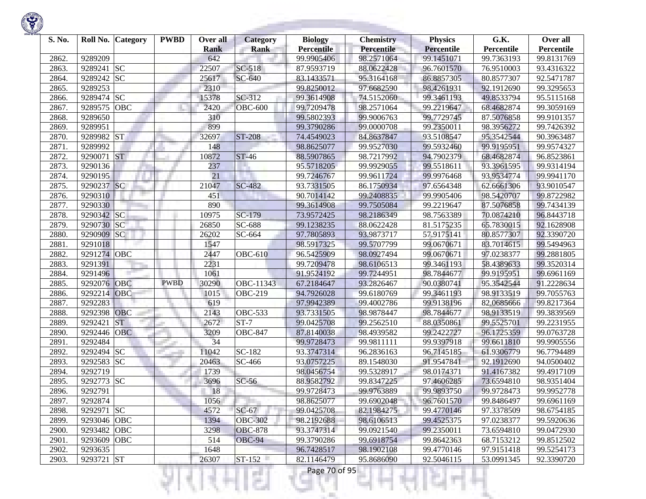| S. No. | Roll No.    | <b>Category</b> | <b>PWBD</b> | Over all<br><b>Rank</b> | <b>Category</b><br><b>Rank</b> | <b>Biology</b><br><b>Percentile</b> | <b>Chemistry</b><br>Percentile | <b>Physics</b><br><b>Percentile</b> | G.K.<br>Percentile | Over all<br>Percentile |
|--------|-------------|-----------------|-------------|-------------------------|--------------------------------|-------------------------------------|--------------------------------|-------------------------------------|--------------------|------------------------|
| 2862.  | 9289209     |                 |             | 642                     |                                | 99.9905406                          | 98.2571064                     | 99.1451071                          | 99.7363193         | 99.8131769             |
| 2863.  | 9289241     | SC              |             | 22507                   | SC-518                         | 87.9593719                          | 88.0622428                     | 96.7601570                          | 76.9510003         | 93.4316322             |
| 2864.  | 9289242 SC  |                 |             | 25617                   | SC-640                         | 83.1433571                          | 95.3164168                     | 86.8857305                          | 80.8577307         | 92.5471787             |
| 2865.  | 9289253     |                 |             | 2310                    |                                | 99.8250012                          | 97.6682590                     | 98.4261931                          | 92.1912690         | 99.3295653             |
| 2866.  | 9289474 SC  |                 |             | 15378                   | SC-312                         | 99.3614908                          | 74.5152060                     | 99.3461193                          | 49.8533794         | 95.5115168             |
| 2867.  | 9289575     | <b>OBC</b>      |             | 2420                    | <b>OBC-600</b>                 | 99.7209478                          | 98.2571064                     | 99.2219647                          | 68.4682874         | 99.3059169             |
| 2868.  | 9289650     |                 |             | 310                     |                                | 99.5802393                          | 99.9006763                     | 99.7729745                          | 87.5076858         | 99.9101357             |
| 2869.  | 9289951     |                 |             | 899                     |                                | 99.3790286                          | 99.0000708                     | 99.2350011                          | 98.3956272         | 99.7426392             |
| 2870.  | 9289982 ST  |                 |             | 32697                   | ST-208                         | 74.4549023                          | 84.8637847                     | 93.5108547                          | 95.3542544         | 90.3963487             |
| 2871.  | 9289992     |                 |             | 148                     |                                | 98.8625077                          | 99.9527030                     | 99.5932460                          | 99.9195951         | 99.9574327             |
| 2872.  | 9290071     | <b>ST</b>       |             | 10872                   | <b>ST-46</b>                   | 88.5907865                          | 98.7217992                     | 94.7902379                          | 68.4682874         | 96.8523861             |
| 2873.  | 9290136     |                 |             | 237                     |                                | 95.5718205                          | 99.9929055                     | 99.5518611                          | 93.3961595         | 99.9314194             |
| 2874.  | 9290195     |                 |             | $\overline{21}$         |                                | 99.7246767                          | 99.9611724                     | 99.9976468                          | 93.9534774         | 99.9941170             |
| 2875.  | 9290237     | SC              |             | 21047                   | SC-482                         | 93.7331505                          | 86.1750934                     | 97.6564348                          | 62.6661306         | 93.9010547             |
| 2876.  | 9290310     |                 |             | 451                     |                                | 90.7014142                          | 99.2408835                     | 99.9905406                          | 98.5420707         | 99.8722982             |
| 2877.  | 9290330     |                 |             | 890                     |                                | 99.3614908                          | 99.7505084                     | 99.2219647                          | 87.5076858         | 99.7434139             |
| 2878.  | 9290342 SC  |                 |             | 10975                   | $\overline{SC-179}$            | 73.9572425                          | 98.2186349                     | 98.7563389                          | 70.0874210         | 96.8443718             |
| 2879.  | 9290730     | SC.             |             | 26850                   | SC-688                         | 99.1238235                          | 88.0622428                     | 81.5175235                          | 65.7830015         | 92.1628908             |
| 2880.  | 9290909 SC  |                 |             | 26202                   | SC-664                         | 97.7805893                          | 93.9873717                     | 57.9175141                          | 80.8577307         | 92.3390720             |
| 2881.  | 9291018     |                 |             | 1547                    |                                | 98.5917325                          | 99.5707799                     | 99.0670671                          | 83.7014615         | 99.5494963             |
| 2882.  | 9291274 OBC |                 |             | 2447                    | <b>OBC-610</b>                 | 96.5425909                          | 98.0927494                     | 99.0670671                          | 97.0238377         | 99.2881805             |
| 2883.  | 9291391     |                 |             | 2231                    |                                | 99.7209478                          | 98.6106513                     | 99.3461193                          | 58.4389633         | 99.3520314             |
| 2884.  | 9291496     |                 |             | 1061                    |                                | 91.9524192                          | 99.7244951                     | 98.7844677                          | 99.9195951         | 99.6961169             |
| 2885.  | 9292076     | OBC             | <b>PWBD</b> | 30290                   | OBC-11343                      | 67.2184647                          | 93.2826467                     | 90.0380741                          | 95.3542544         | 91.2228634             |
| 2886.  | 9292214     | OBC             |             | 1015                    | <b>OBC-219</b>                 | 94.7926028                          | 99.6180769                     | 99.3461193                          | 98.9133519         | 99.7055763             |
| 2887.  | 9292283     |                 |             | 619                     |                                | 97.9942389                          | 99.4002786                     | 99.9138196                          | 82.0685666         | 99.8217364             |
| 2888.  | 9292398     | <b>OBC</b>      |             | 2143                    | <b>OBC-533</b>                 | 93.7331505                          | 98.9878447                     | 98.7844677                          | 98.9133519         | 99.3839569             |
| 2889.  | 9292421     | <b>ST</b>       |             | 2672                    | $ST-7$                         | 99.0425708                          | 99.2562510                     | 88.0350861                          | 99.5525701         | 99.2231955             |
| 2890.  | 9292446     | <b>OBC</b>      |             | 3209                    | <b>OBC-847</b>                 | 87.8140038                          | 98.4939582                     | 99.2422727                          | 96.1725359         | 99.0763728             |
| 2891.  | 9292484     |                 |             | 34                      |                                | 99.9728473                          | 99.9811111                     | 99.9397918                          | 99.6611810         | 99.9905556             |
| 2892.  | 9292494 SC  |                 |             | 11042                   | $\overline{SC}$ -182           | 93.3747314                          | 96.2836163                     | 96.7145185                          | 61.9306779         | 96.7794489             |
| 2893.  | 9292583     | <b>SC</b>       |             | 20463                   | SC-466                         | 93.0757225                          | 89.1548030                     | 91.9547841                          | 92.1912690         | 94.0500402             |
| 2894.  | 9292719     |                 |             | 1739                    |                                | 98.0456754                          | 99.5328917                     | 98.0174371                          | 91.4167382         | 99.4917109             |
| 2895.  | 9292773 SC  |                 |             | 3696                    | $SC-56$                        | 88.9582792                          | 99.8347225                     | 97.4606285                          | 73.6594810         | 98.9351404             |
| 2896.  | 9292791     |                 |             | 18                      |                                | 99.9728473                          | 99.9763889                     | 99.9893750                          | 99.9728473         | 99.9952778             |
| 2897.  | 9292874     |                 |             | 1056                    |                                | 98.8625077                          | 99.6902048                     | 96.7601570                          | 99.8486497         | 99.6961169             |
| 2898.  | 9292971 SC  |                 |             | 4572                    | $SC-67$                        | 99.0425708                          | 82.1984275                     | 99.4770146                          | 97.3378509         | 98.6754185             |
| 2899.  | 9293046 OBC |                 |             | 1394                    | <b>OBC-302</b>                 | 98.2192688                          | 98.6106513                     | 99.4525375                          | 97.0238377         | 99.5920636             |
| 2900.  | 9293482 OBC |                 |             | 3298                    | <b>OBC-878</b>                 | 93.3747314                          | 99.0921540                     | 99.2350011                          | 73.6594810         | 99.0472930             |
| 2901.  | 9293609     | OBC             |             | 514                     | <b>OBC-94</b>                  | 99.3790286                          | 99.6918754                     | 99.8642363                          | 68.7153212         | 99.8512502             |
| 2902.  | 9293635     |                 |             | 1648                    |                                | 96.7428517                          | 98.1902108                     | 99.4770146                          | 97.9151418         | 99.5254173             |
| 2903.  | 9293721 ST  |                 |             | 26307                   | $ST-152$                       | 82.1146479                          | 95.8686090                     | 92.5046115                          | 53.0991345         | 92.3390720             |

375

ш

÷

K)

w

Ħ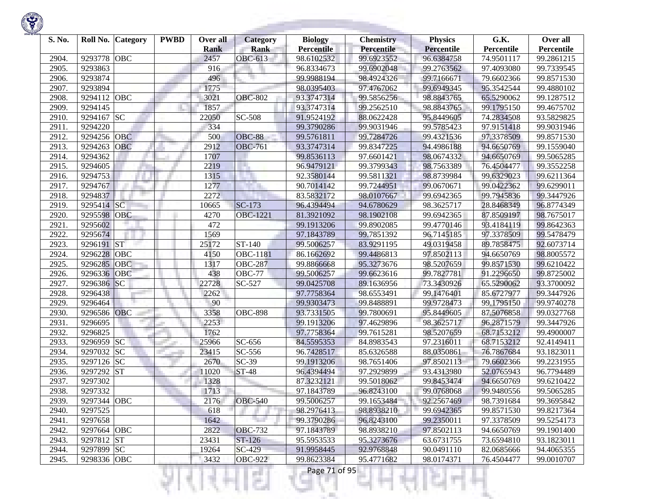

| S. No. | Roll No.<br><b>Category</b> | <b>PWBD</b> | Over all    | Category             | <b>Biology</b>    | <b>Chemistry</b> | <b>Physics</b>    | G.K.       | Over all   |
|--------|-----------------------------|-------------|-------------|----------------------|-------------------|------------------|-------------------|------------|------------|
|        |                             |             | <b>Rank</b> | <b>Rank</b>          | <b>Percentile</b> | Percentile       | <b>Percentile</b> | Percentile | Percentile |
| 2904.  | 9293778<br><b>OBC</b>       |             | 2457        | OBC-613              | 98.6102532        | 99.6923552       | 96.6384758        | 74.9501117 | 99.2861215 |
| 2905.  | 9293863                     |             | 916         |                      | 96.8334673        | 99.6902048       | 99.2763562        | 97.4093080 | 99.7339545 |
| 2906.  | 9293874                     |             | 496         |                      | 99.9988194        | 98.4924326       | 99.7166671        | 79.6602366 | 99.8571530 |
| 2907.  | 9293894                     |             | 1775        |                      | 98.0395403        | 97.4767062       | 99.6949345        | 95.3542544 | 99.4880102 |
| 2908.  | 9294112<br>OBC              |             | 3021        | <b>OBC-802</b>       | 93.3747314        | 99.5856256       | 98.8843765        | 65.5290062 | 99.1287512 |
| 2909.  | 9294145                     |             | 1857        |                      | 93.3747314        | 99.2562510       | 98.8843765        | 99.1795150 | 99.4675702 |
| 2910.  | 9294167<br><b>SC</b>        |             | 22050       | SC-508               | 91.9524192        | 88.0622428       | 95.8449605        | 74.2834508 | 93.5829825 |
| 2911.  | 9294220                     |             | 334         |                      | 99.3790286        | 99.9031946       | 99.5785423        | 97.9151418 | 99.9031946 |
| 2912.  | 9294256<br><b>OBC</b>       |             | 500         | <b>OBC-88</b>        | 99.5761811        | 99.7284726       | 99.4321536        | 97.3378509 | 99.8571530 |
| 2913.  | 9294263<br><b>OBC</b>       |             | 2912        | <b>OBC-761</b>       | 93.3747314        | 99.8347225       | 94.4986188        | 94.6650769 | 99.1559040 |
| 2914.  | 9294362                     |             | 1707        |                      | 99.8536113        | 97.6601421       | 98.0674332        | 94.6650769 | 99.5065285 |
| 2915.  | 9294605                     |             | 2219        |                      | 96.9479121        | 99.3799343       | 98.7563389        | 76.4504477 | 99.3552258 |
| 2916.  | 9294753                     |             | 1315        |                      | 92.3580144        | 99.5811321       | 98.8739984        | 99.6329023 | 99.6211364 |
| 2917.  | 9294767                     |             | 1277        |                      | 90.7014142        | 99.7244951       | 99.0670671        | 99.0422362 | 99.6299011 |
| 2918.  | 9294837                     |             | 2272        |                      | 83.5832172        | 98.0107667       | 99.6942365        | 99.7945836 | 99.3447926 |
| 2919.  | SC<br>9295414               |             | 10665       | $SC-173$             | 96.4394494        | 94.6780629       | 98.3625717        | 28.8468349 | 96.8774349 |
| 2920.  | OBC<br>9295598              |             | 4270        | <b>OBC-1221</b>      | 81.3921092        | 98.1902108       | 99.6942365        | 87.8509197 | 98.7675017 |
| 2921.  | 9295602                     |             | 472         |                      | 99.1913206        | 99.8902085       | 99.4770146        | 93.4184119 | 99.8642363 |
| 2922.  | 9295674                     |             | 1569        |                      | 97.1843789        | 99.7851392       | 96.7145185        | 97.3378509 | 99.5478479 |
| 2923.  | 9296191<br><b>ST</b>        |             | 25172       | $\overline{ST}$ -140 | 99.5006257        | 83.9291195       | 49.0319458        | 89.7858475 | 92.6073714 |
| 2924.  | 9296228<br>OBC              |             | 4150        | OBC-1181             | 86.1662692        | 99.4486813       | 97.8502113        | 94.6650769 | 98.8005572 |
| 2925.  | 9296285<br>OBC              |             | 1317        | <b>OBC-287</b>       | 99.8866668        | 95.3273676       | 98.5207659        | 99.8571530 | 99.6210422 |
| 2926.  | 9296336<br><b>OBC</b>       |             | 438         | <b>OBC-77</b>        | 99.5006257        | 99.6623616       | 99.7827781        | 91.2296650 | 99.8725002 |
| 2927.  | SC<br>9296386               |             | 22728       | SC-527               | 99.0425708        | 89.1636956       | 73.3430926        | 65.5290062 | 93.3700092 |
| 2928.  | 9296438                     |             | 2262        |                      | 97.7758364        | 98.6553491       | 99.1476401        | 85.6727977 | 99.3447926 |
| 2929.  | 9296464                     |             | 90          |                      | 99.9303473        | 99.8488891       | 99.9728473        | 99.1795150 | 99.9740278 |
| 2930.  | 9296586<br>OBC              |             | 3358        | <b>OBC-898</b>       | 93.7331505        | 99.7800691       | 95.8449605        | 87.5076858 | 99.0327768 |
| 2931.  | 9296695                     |             | 2253        |                      | 99.1913206        | 97.4629896       | 98.3625717        | 96.2871579 | 99.3447926 |
| 2932.  | 9296825                     |             | 1762        |                      | 97.7758364        | 99.7615281       | 98.5207659        | 68.7153212 | 99.4900007 |
| 2933.  | 9296959 SC                  |             | 25966       | SC-656               | 84.5595353        | 84.8983543       | 97.2316011        | 68.7153212 | 92.4149411 |
| 2934.  | <b>SC</b><br>9297032        |             | 23415       | SC-556               | 96.7428517        | 85.6326588       | 88.0350861        | 76.7867684 | 93.1823011 |
| 2935.  | 9297126<br><b>SC</b>        |             | 2670        | $SC-39$              | 99.1913206        | 98.7651406       | 97.8502113        | 79.6602366 | 99.2231955 |
| 2936.  | <b>ST</b><br>9297292        |             | 11020       | <b>ST-48</b>         | 96.4394494        | 97.2929899       | 93.4313980        | 52.0765943 | 96.7794489 |
| 2937.  | 9297302                     |             | 1328        |                      | 87.3232121        | 99.5018062       | 99.8453474        | 94.6650769 | 99.6210422 |
| 2938.  | 9297332                     |             | 1713        |                      | 97.1843789        | 96.8243100       | 99.0768068        | 99.9480556 | 99.5065285 |
| 2939.  | 9297344 OBC                 |             | 2176        | <b>OBC-540</b>       | 99.5006257        | 99.1653484       | 92.2567469        | 98.7391684 | 99.3695842 |
| 2940.  | 9297525                     |             | 618         |                      | 98.2976413        | 98.8938210       | 99.6942365        | 99.8571530 | 99.8217364 |
| 2941.  | 9297658                     |             | 1642        |                      | 99.3790286        | 96.8243100       | 99.2350011        | 97.3378509 | 99.5254173 |
| 2942.  | 9297664 OBC                 |             | 2822        | <b>OBC-732</b>       | 97.1843789        | 98.8938210       | 97.8502113        | 94.6650769 | 99.1901400 |
| 2943.  | 9297812 ST                  |             | 23431       | ST-126               | 95.5953533        | 95.3273676       | 63.6731755        | 73.6594810 | 93.1823011 |
| 2944.  | 9297899 SC                  |             | 19264       | $SC-429$             | 91.9958445        | 92.9768848       | 90.0491110        | 82.0685666 | 94.4065355 |
| 2945.  | 9298336 OBC                 |             | 3432        | <b>OBC-922</b>       | 99.8623384        | 95.4771682       | 98.0174371        | 76.4504477 | 99.0010707 |

।धनम्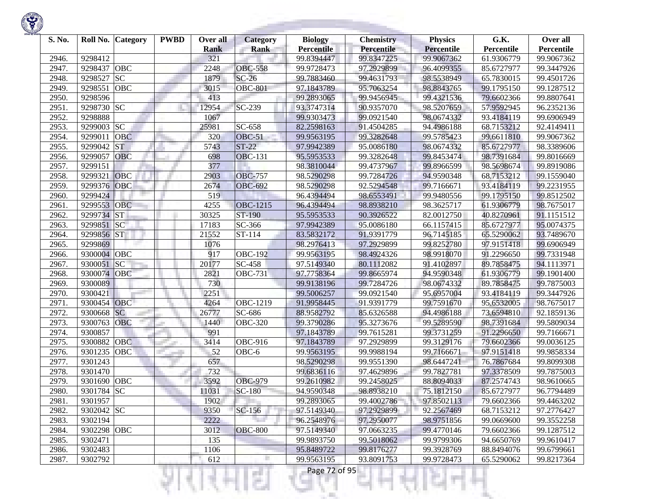| S. No. |             | Roll No. Category | <b>PWBD</b> | Over all<br><b>Rank</b> | <b>Category</b><br><b>Rank</b> | <b>Biology</b><br><b>Percentile</b> | <b>Chemistry</b><br>Percentile | <b>Physics</b><br>Percentile | G.K.<br>Percentile | Over all<br>Percentile |
|--------|-------------|-------------------|-------------|-------------------------|--------------------------------|-------------------------------------|--------------------------------|------------------------------|--------------------|------------------------|
| 2946.  | 9298412     |                   |             | 321                     |                                | 99.8394447                          | 99.8347225                     | 99.9067362                   | 61.9306779         | 99.9067362             |
| 2947.  | 9298437     | OBC               |             | 2248                    | <b>OBC-558</b>                 | 99.9728473                          | 97.2929899                     | 96.4099355                   | 85.6727977         | 99.3447926             |
| 2948.  | 9298527     | <b>SC</b>         |             | 1879                    | $SC-26$                        | 99.7883460                          | 99.4631793                     | 98.5538949                   | 65.7830015         | 99.4501726             |
| 2949.  | 9298551     | OBC               |             | 3015                    | <b>OBC-801</b>                 | 97.1843789                          | 95.7063254                     | 98.8843765                   | 99.1795150         | 99.1287512             |
| 2950.  | 9298596     |                   |             | 413                     |                                | 99.2893065                          | 99.9456945                     | 99.4321536                   | 79.6602366         | 99.8807641             |
| 2951.  | 9298730 SC  |                   |             | 12954                   | SC-239                         | 93.3747314                          | 90.9357070                     | 98.5207659                   | 57.9592945         | 96.2352136             |
| 2952.  | 9298888     |                   |             | 1067                    |                                | 99.9303473                          | 99.0921540                     | 98.0674332                   | 93.4184119         | 99.6906949             |
| 2953.  | 9299003     | <b>SC</b>         |             | 25981                   | SC-658                         | 82.2598163                          | 91.4504285                     | 94.4986188                   | 68.7153212         | 92.4149411             |
| 2954.  | 9299011     | <b>OBC</b>        |             | 320                     | <b>OBC-51</b>                  | 99.9563195                          | 99.3282648                     | 99.5785423                   | 99.6611810         | 99.9067362             |
| 2955.  | 9299042     | <b>ST</b>         |             | 5743                    | $ST-22$                        | 97.9942389                          | 95.0086180                     | 98.0674332                   | 85.6727977         | 98.3389606             |
| 2956.  | 9299057     | <b>OBC</b>        |             | 698                     | <b>OBC-131</b>                 | 95.5953533                          | 99.3282648                     | 99.8453474                   | 98.7391684         | 99.8016669             |
| 2957.  | 9299151     |                   |             | 377                     |                                | 98.3810044                          | 99.4737967                     | 99.8966599                   | 98.5698674         | 99.8919086             |
| 2958.  | 9299321     | OBC               |             | 2903                    | <b>OBC-757</b>                 | 98.5290298                          | 99.7284726                     | 94.9590348                   | 68.7153212         | 99.1559040             |
| 2959.  | 9299376     | OBC               |             | 2674                    | <b>OBC-692</b>                 | 98.5290298                          | 92.5294548                     | 99.7166671                   | 93.4184119         | 99.2231955             |
| 2960.  | 9299424     |                   |             | 519                     |                                | 96.4394494                          | 98.6553491                     | 99.9480556                   | 99.1795150         | 99.8512502             |
| 2961.  | 9299553     | <b>OBC</b>        |             | 4255                    | OBC-1215                       | 96.4394494                          | 98.8938210                     | 98.3625717                   | 61.9306779         | 98.7675017             |
| 2962.  | 9299734 ST  |                   |             | 30325                   | ST-190                         | 95.5953533                          | 90.3926522                     | 82.0012750                   | 40.8270961         | 91.1151512             |
| 2963.  | 9299851 SC  |                   |             | 17183                   | SC-366                         | 97.9942389                          | 95.0086180                     | 66.1157415                   | 85.6727977         | 95.0074375             |
| 2964.  | 9299856 ST  |                   |             | 21552                   | ST-114                         | 83.5832172                          | 91.9391779                     | 96.7145185                   | 65.5290062         | 93.7489670             |
| 2965.  | 9299869     |                   |             | 1076                    |                                | 98.2976413                          | 97.2929899                     | 99.8252780                   | 97.9151418         | 99.6906949             |
| 2966.  | 9300004 OBC |                   |             | 917                     | <b>OBC-192</b>                 | 99.9563195                          | 98.4924326                     | 98.9918070                   | 91.2296650         | 99.7331948             |
| 2967.  | 9300051     | <b>SC</b>         |             | 20177                   | SC-458                         | 97.5149340                          | 80.1112082                     | 91.4102897                   | 89.7858475         | 94.1113971             |
| 2968.  | 9300074     | OBC               |             | 2821                    | $\overline{O}$ BC-731          | 97.7758364                          | 99.8665974                     | 94.9590348                   | 61.9306779         | 99.1901400             |
| 2969.  | 9300089     |                   |             | 730                     |                                | 99.9138196                          | 99.7284726                     | 98.0674332                   | 89.7858475         | 99.7875003             |
| 2970.  | 9300421     |                   |             | 2251                    |                                | 99.5006257                          | 99.0921540                     | 95.6957004                   | 93.4184119         | 99.3447926             |
| 2971.  | 9300454 OBC |                   |             | 4264                    | OBC-1219                       | 91.9958445                          | 91.9391779                     | 99.7591670                   | 95.6532005         | 98.7675017             |
| 2972.  | 9300668     | <b>SC</b>         |             | 26777                   | SC-686                         | 88.9582792                          | 85.6326588                     | 94.4986188                   | 73.6594810         | 92.1859136             |
| 2973.  | 9300763     | OBC               |             | 1440                    | <b>OBC-320</b>                 | 99.3790286                          | 95.3273676                     | 99.5289590                   | 98.7391684         | 99.5809034             |
| 2974.  | 9300857     |                   |             | 991                     |                                | 97.1843789                          | 99.7615281                     | 99.3731259                   | 91.2296650         | 99.7166671             |
| 2975.  | 9300882     | <b>OBC</b>        |             | 3414                    | OBC-916                        | 97.1843789                          | 97.2929899                     | 99.3129176                   | 79.6602366         | 99.0036125             |
| 2976.  | 9301235     | OBC               |             | $-52$                   | OBC-6                          | 99.9563195                          | 99.9988194                     | 99.7166671                   | 97.9151418         | 99.9858334             |
| 2977.  | 9301243     |                   |             | 657                     |                                | 98.5290298                          | 99.9551390                     | 98.6447241                   | 76.7867684         | 99.8099308             |
| 2978.  | 9301470     |                   |             | 732                     |                                | 99.6836116                          | 97.4629896                     | 99.7827781                   | 97.3378509         | 99.7875003             |
| 2979.  | 9301690     | OBC               |             | 3592                    | <b>OBC-979</b>                 | 99.2610982                          | 99.2458025                     | 88.8094033                   | 87.2574743         | 98.9610665             |
| 2980.  | 9301784 SC  |                   |             | 11031                   | $SC-180$                       | 94.9590348                          | 98.8938210                     | 75.1812150                   | 85.6727977         | 96.7794489             |
| 2981.  | 9301957     |                   |             | 1902                    |                                | 99.2893065                          | 99.4002786                     | 97.8502113                   | 79.6602366         | 99.4463202             |
| 2982.  | 9302042 SC  |                   |             | 9350                    | SC-156                         | 97.5149340                          | 97.2929899                     | 92.2567469                   | 68.7153212         | 97.2776427             |
| 2983.  | 9302194     |                   |             | 2222                    |                                | 96.2548976                          | 97.2950077                     | 98.9751856                   | 99.0669600         | 99.3552258             |
| 2984.  | 9302298 OBC |                   |             | 3012                    | <b>OBC-800</b>                 | 97.5149340                          | 97.0663235                     | 99.4770146                   | 79.6602366         | 99.1287512             |
| 2985.  | 9302471     |                   |             | 135                     |                                | 99.9893750                          | 99.5018062                     | 99.9799306                   | 94.6650769         | 99.9610417             |
| 2986.  | 9302483     |                   |             | 1106                    |                                | 95.8489722                          | 99.8176277                     | 99.3928769                   | 88.8494076         | 99.6799661             |
| 2987.  | 9302792     |                   |             | 612                     |                                | 99.9563195                          | 93.8091753                     | 99.9728473                   | 65.5290062         | 99.8217364             |
|        |             |                   |             |                         |                                | Page 72 of 95                       |                                |                              |                    |                        |

**State State**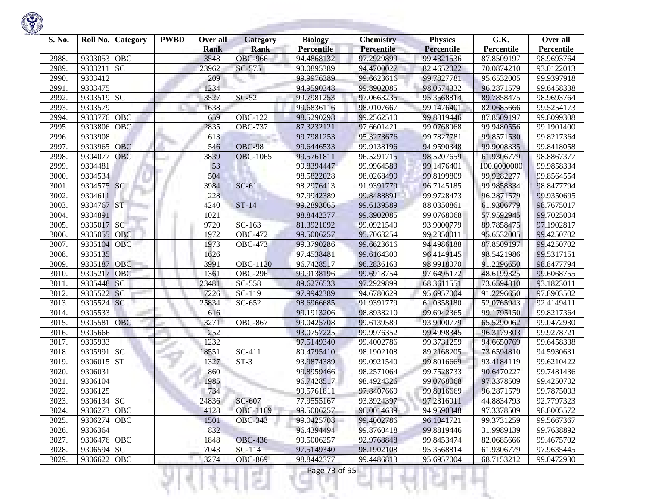| S. No. |             | Roll No. Category | <b>PWBD</b> | Over all<br><b>Rank</b> | <b>Category</b><br><b>Rank</b> | <b>Biology</b><br><b>Percentile</b> | <b>Chemistry</b><br><b>Percentile</b> | <b>Physics</b><br><b>Percentile</b> | G.K.<br><b>Percentile</b> | Over all<br>Percentile |
|--------|-------------|-------------------|-------------|-------------------------|--------------------------------|-------------------------------------|---------------------------------------|-------------------------------------|---------------------------|------------------------|
| 2988.  | 9303053     | OBC               |             | 3548                    | <b>OBC-966</b>                 | 94.4868132                          | 97.2929899                            | 99.4321536                          | 87.8509197                | 98.9693764             |
| 2989.  | 9303211     | <b>SC</b>         |             | 23962                   | SC-575                         | 90.0895389                          | 94.4700027                            | 82.4652022                          | 70.0874210                | 93.0122013             |
| 2990.  | 9303412     |                   |             | 209                     |                                | 99.9976389                          | 99.6623616                            | 99.7827781                          | 95.6532005                | 99.9397918             |
| 2991.  | 9303475     |                   |             | 1234                    |                                | 94.9590348                          | 99.8902085                            | 98.0674332                          | 96.2871579                | 99.6458338             |
| 2992.  | 9303519 SC  |                   |             | 3527                    | $SC-52$                        | 99.7981253                          | 97.0663235                            | 95.3568814                          | 89.7858475                | 98.9693764             |
| 2993.  | 9303579     |                   |             | 1638                    |                                | 99.6836116                          | 98.0107667                            | 99.1476401                          | 82.0685666                | 99.5254173             |
| 2994.  | 9303776     | OBC               |             | 659                     | <b>OBC-122</b>                 | 98.5290298                          | 99.2562510                            | 99.8819446                          | 87.8509197                | 99.8099308             |
| 2995.  | 9303806     | OBC               |             | 2835                    | <b>OBC-737</b>                 | 87.3232121                          | 97.6601421                            | 99.0768068                          | 99.9480556                | 99.1901400             |
| 2996.  | 9303908     |                   |             | 613                     |                                | 99.7981253                          | 95.3273676                            | 99.7827781                          | 99.8571530                | 99.8217364             |
| 2997.  | 9303965     | OBC               |             | 546                     | <b>OBC-98</b>                  | 99.6446533                          | 99.9138196                            | 94.9590348                          | 99.9008335                | 99.8418058             |
| 2998.  | 9304077     | <b>OBC</b>        |             | 3839                    | <b>OBC-1065</b>                | 99.5761811                          | 96.5291715                            | 98.5207659                          | 61.9306779                | 98.8867377             |
| 2999.  | 9304481     |                   |             | 53                      |                                | 99.8394447                          | 99.9964583                            | 99.1476401                          | 100.0000000               | 99.9858334             |
| 3000.  | 9304534     |                   |             | 504                     |                                | 98.5822028                          | 98.0268499                            | 99.8199809                          | 99.9282277                | 99.8564554             |
| 3001.  | 9304575     | <b>SC</b>         |             | 3984                    | $SC-61$                        | 98.2976413                          | 91.9391779                            | 96.7145185                          | 99.9858334                | 98.8477794             |
| 3002.  | 9304611     |                   |             | 228                     |                                | 97.9942389                          | 99.8488891                            | 99.9728473                          | 96.2871579                | 99.9350695             |
| 3003.  | 9304767     | <b>ST</b>         |             | 4240                    | $ST-14$                        | 99.2893065                          | 99.6139589                            | 88.0350861                          | 61.9306779                | 98.7675017             |
| 3004.  | 9304891     |                   |             | 1021                    |                                | 98.8442377                          | 99.8902085                            | 99.0768068                          | 57.9592945                | 99.7025004             |
| 3005.  | 9305017 SC  |                   |             | 9720                    | SC-163                         | 81.3921092                          | 99.0921540                            | 93.9000779                          | 89.7858475                | 97.1902817             |
| 3006.  | 9305055     | OBC               |             | 1972                    | <b>OBC-472</b>                 | 99.5006257                          | 95.7063254                            | 99.2350011                          | 95.6532005                | 99.4250702             |
| 3007.  | 9305104     | OBC               |             | 1973                    | <b>OBC-473</b>                 | 99.3790286                          | 99.6623616                            | 94.4986188                          | 87.8509197                | 99.4250702             |
| 3008.  | 9305135     |                   |             | 1626                    |                                | 97.4538481                          | 99.6164300                            | 96.4149145                          | 98.5421986                | 99.5317151             |
| 3009.  | 9305187     | OBC               |             | 3991                    | <b>OBC-1120</b>                | 96.7428517                          | 96.2836163                            | 98.9918070                          | 91.2296650                | 98.8477794             |
| 3010.  | 9305217     | OBC               |             | 1361                    | <b>OBC-296</b>                 | 99.9138196                          | 99.6918754                            | 97.6495172                          | 48.6199325                | 99.6068755             |
| 3011.  | 9305448     | SC                |             | 23481                   | SC-558                         | 89.6276533                          | 97.2929899                            | 68.3611551                          | 73.6594810                | 93.1823011             |
| 3012.  | 9305522     | SC                |             | 7226                    | SC-119                         | 97.9942389                          | 94.6780629                            | 95.6957004                          | 91.2296650                | 97.8903502             |
| 3013.  | 9305524     | SC                |             | 25834                   | SC-652                         | 98.6966685                          | 91.9391779                            | 61.0358180                          | 52,0765943                | 92.4149411             |
| 3014.  | 9305533     |                   |             | 616                     |                                | 99.1913206                          | 98.8938210                            | 99.6942365                          | 99.1795150                | 99.8217364             |
| 3015.  | 9305581     | OBC               |             | 3271                    | <b>OBC-867</b>                 | 99.0425708                          | 99.6139589                            | 93.9000779                          | 65.5290062                | 99.0472930             |
| 3016.  | 9305666     |                   |             | 252                     |                                | 93.0757225                          | 99.9976352                            | 99.4998345                          | 96.3179303                | 99.9278721             |
| 3017.  | 9305933     |                   |             | 1232                    |                                | 97.5149340                          | 99.4002786                            | 99.3731259                          | 94.6650769                | 99.6458338             |
| 3018.  | 9305991     | <b>SC</b>         |             | 18551                   | SC-411                         | 80.4795410                          | 98.1902108                            | 89.2168205                          | 73.6594810                | 94.5930631             |
| 3019.  | 9306015 ST  |                   |             | 1327                    | $ST-3$                         | 93.9874389                          | 99.0921540                            | 99.8016669                          | 93.4184119                | 99.6210422             |
| 3020.  | 9306031     |                   |             | 860                     |                                | 99.8959466                          | 98.2571064                            | 99.7528733                          | 90.6470227                | 99.7481436             |
| 3021.  | 9306104     |                   |             | 1985                    |                                | 96.7428517                          | 98.4924326                            | 99.0768068                          | 97.3378509                | 99.4250702             |
| 3022.  | 9306125     |                   |             | 734                     |                                | 99.5761811                          | 97.8407669                            | 99.8016669                          | 96.2871579                | 99.7875003             |
| 3023.  | 9306134 SC  |                   |             | 24836                   | SC-607                         | 77.9555167                          | 93.3924397                            | 97.2316011                          | 44.8834793                | 92.7797323             |
| 3024.  | 9306273 OBC |                   |             | 4128                    | OBC-1169                       | 99.5006257                          | 96.0014639                            | 94.9590348                          | 97.3378509                | 98.8005572             |
| 3025.  | 9306274 OBC |                   |             | 1501                    | <b>OBC-343</b>                 | 99.0425708                          | 99.4002786                            | 96.1041721                          | 99.3731259                | 99.5667367             |
| 3026.  | 9306364     |                   |             | 832                     |                                | 96.4394494                          | 99.8760418                            | 99.8819446                          | 31.9989139                | 99.7638892             |
| 3027.  | 9306476 OBC |                   |             | 1848                    | <b>OBC-436</b>                 | 99.5006257                          | 92.9768848                            | 99.8453474                          | 82.0685666                | 99.4675702             |
| 3028.  | 9306594 SC  |                   |             | 7043                    | $SC-114$                       | 97.5149340                          | 98.1902108                            | 95.3568814                          | 61.9306779                | 97.9635445             |
| 3029.  | 9306622 OBC |                   |             | 3274                    | <b>OBC-869</b>                 | 98.8442377                          | 99.4486813                            | 95.6957004                          | 68.7153212                | 99.0472930             |
|        |             |                   |             |                         |                                | Page 73 of 95                       |                                       |                                     |                           |                        |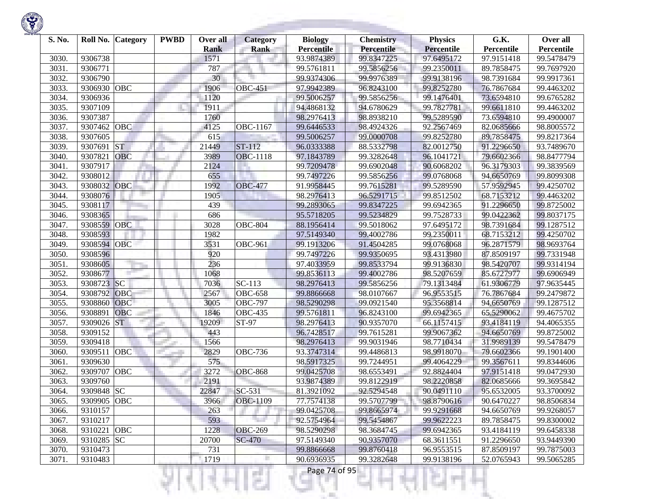

| S. No. | Roll No.    | <b>Category</b> | <b>PWBD</b> | Over all    | <b>Category</b>      | <b>Biology</b>    | <b>Chemistry</b> | <b>Physics</b>    | G.K.       | Over all   |
|--------|-------------|-----------------|-------------|-------------|----------------------|-------------------|------------------|-------------------|------------|------------|
|        |             |                 |             | <b>Rank</b> | <b>Rank</b>          | <b>Percentile</b> | Percentile       | <b>Percentile</b> | Percentile | Percentile |
| 3030   | 9306738     |                 |             | 1571        |                      | 93.9874389        | 99.8347225       | 97.6495172        | 97.9151418 | 99.5478479 |
| 3031.  | 9306771     |                 |             | 787         |                      | 99.5761811        | 99.5856256       | 99.2350011        | 89.7858475 | 99.7697920 |
| 3032.  | 9306790     |                 |             | 30          |                      | 99.9374306        | 99.9976389       | 99.9138196        | 98.7391684 | 99.9917361 |
| 3033.  | 9306930     | <b>OBC</b>      |             | 1906        | <b>OBC-451</b>       | 97.9942389        | 96.8243100       | 99.8252780        | 76.7867684 | 99.4463202 |
| 3034.  | 9306936     |                 |             | 1120        |                      | 99.5006257        | 99.5856256       | 99.1476401        | 73.6594810 | 99.6765282 |
| 3035.  | 9307109     |                 |             | 1911        |                      | 94.4868132        | 94.6780629       | 99.7827781        | 99.6611810 | 99.4463202 |
| 3036.  | 9307387     |                 |             | 1760        |                      | 98.2976413        | 98.8938210       | 99.5289590        | 73.6594810 | 99.4900007 |
| 3037.  | 9307462     | OBC             |             | 4125        | OBC-1167             | 99.6446533        | 98.4924326       | 92.2567469        | 82.0685666 | 98.8005572 |
| 3038.  | 9307605     |                 |             | 615         |                      | 99.5006257        | 99.0000708       | 99.8252780        | 89.7858475 | 99.8217364 |
| 3039.  | 9307691     | <b>ST</b>       |             | 21449       | $ST-112$             | 96.0333388        | 88.5332798       | 82.0012750        | 91.2296650 | 93.7489670 |
| 3040   | 9307821     | OBC             |             | 3989        | <b>OBC-1118</b>      | 97.1843789        | 99.3282648       | 96.1041721        | 79.6602366 | 98.8477794 |
| 3041.  | 9307917     |                 |             | 2124        |                      | 99.7209478        | 99.6902048       | 90.6068202        | 96.3179303 | 99.3839569 |
| 3042.  | 9308012     |                 |             | 655         |                      | 99.7497226        | 99.5856256       | 99.0768068        | 94.6650769 | 99.8099308 |
| 3043.  | 9308032     | OBC             |             | 1992        | <b>OBC-477</b>       | 91.9958445        | 99.7615281       | 99.5289590        | 57.9592945 | 99.4250702 |
| 3044.  | 9308076     |                 |             | 1905        |                      | 98.2976413        | 96.5291715       | 99.8512502        | 68.7153212 | 99.4463202 |
| 3045.  | 9308117     |                 |             | 439         |                      | 99.2893065        | 99.8347225       | 99.6942365        | 91.2296650 | 99.8725002 |
| 3046.  | 9308365     |                 |             | 686         |                      | 95.5718205        | 99.5234829       | 99.7528733        | 99.0422362 | 99.8037175 |
| 3047.  | 9308559     | <b>OBC</b>      |             | 3028        | <b>OBC-804</b>       | 88.1956414        | 99.5018062       | 97.6495172        | 98.7391684 | 99.1287512 |
| 3048.  | 9308593     |                 |             | 1982        |                      | 97.5149340        | 99.4002786       | 99.2350011        | 68.7153212 | 99.4250702 |
| 3049.  | 9308594     | <b>OBC</b>      |             | 3531        | <b>OBC-961</b>       | 99.1913206        | 91.4504285       | 99.0768068        | 96.2871579 | 98.9693764 |
| 3050   | 9308596     |                 |             | 920         |                      | 99.7497226        | 99.9350695       | 93.4313980        | 87.8509197 | 99.7331948 |
| 3051.  | 9308605     |                 |             | 236         |                      | 97.4033959        | 99.8533794       | 99.9136830        | 98.5420707 | 99.9314194 |
| 3052.  | 9308677     |                 |             | 1068        |                      | 99.8536113        | 99.4002786       | 98.5207659        | 85.6727977 | 99.6906949 |
| 3053.  | 9308723     | <b>SC</b>       |             | 7036        | $\overline{SC}$ -113 | 98.2976413        | 99.5856256       | 79.1313484        | 61.9306779 | 97.9635445 |
| 3054.  | 9308792     | OBC             |             | 2567        | <b>OBC-658</b>       | 99.8866668        | 98.0107667       | 96.9553515        | 76.7867684 | 99.2479872 |
| 3055.  | 9308860     | OBC             |             | 3005        | <b>OBC-797</b>       | 98.5290298        | 99.0921540       | 95.3568814        | 94.6650769 | 99.1287512 |
| 3056.  | 930889      | <b>OBC</b>      |             | 1846        | <b>OBC-435</b>       | 99.5761811        | 96.8243100       | 99.6942365        | 65.5290062 | 99.4675702 |
| 3057.  | 9309026     | <b>ST</b>       |             | 19209       | ST-97                | 98.2976413        | 90.9357070       | 66.1157415        | 93.4184119 | 94.4065355 |
| 3058   | 9309152     |                 |             | 443         |                      | 96.7428517        | 99.7615281       | 99.9067362        | 94.6650769 | 99.8725002 |
| 3059.  | 9309418     |                 |             | 1566        |                      | 98.2976413        | 99.9031946       | 98.7710434        | 31.9989139 | 99.5478479 |
| 3060   | 9309511     | OBC             |             | 2829        | <b>OBC-736</b>       | 93.3747314        | 99.4486813       | 98.9918070        | 79.6602366 | 99.1901400 |
| 3061.  | 9309630     |                 |             | 575         |                      | 98.5917325        | 99.7244951       | 99.4064229        | 99.3567611 | 99.8344606 |
| 3062.  | 9309707     | <b>OBC</b>      |             | 3272        | <b>OBC-868</b>       | 99.0425708        | 98.6553491       | 92.8824404        | 97.9151418 | 99.0472930 |
| 3063.  | 9309760     |                 |             | 2191        |                      | 93.9874389        | 99.8122919       | 98.2220858        | 82.0685666 | 99.3695842 |
| 3064.  | 9309848     | <b>SC</b>       |             | 22847       | SC-531               | 81.3921092        | 92.5294548       | 90.0491110        | 95.6532005 | 93.3700092 |
| 3065.  | 9309905 OBC |                 |             | 3966        | <b>OBC-1109</b>      | 77.7574138        | 99.5707799       | 98.8790616        | 90.6470227 | 98.8506834 |
| 3066.  | 9310157     |                 |             | 263         |                      | 99.0425708        | 99.8665974       | 99.9291668        | 94.6650769 | 99.9268057 |
| 3067.  | 9310217     |                 |             | 593         |                      | 92.5754964        | 99.5454867       | 99.9622223        | 89.7858475 | 99.8300002 |
| 3068.  | 9310221     | <b>OBC</b>      |             | 1228        | <b>OBC-269</b>       | 98.5290298        | 98.3684745       | 99.6942365        | 93.4184119 | 99.6458338 |
| 3069.  | 9310285 SC  |                 |             | 20700       | <b>SC-470</b>        | 97.5149340        | 90.9357070       | 68.3611551        | 91.2296650 | 93.9449390 |
| 3070.  | 9310473     |                 |             | 731         |                      | 99.8866668        | 99.8760418       | 96.9553515        | 87.8509197 | 99.7875003 |
| 3071.  | 9310483     |                 |             | 1719        | г                    | 90.6936935        | 99.3282648       | 99.9138196        | 52.0765943 | 99.5065285 |

u

n

٠

R

ч

Ħ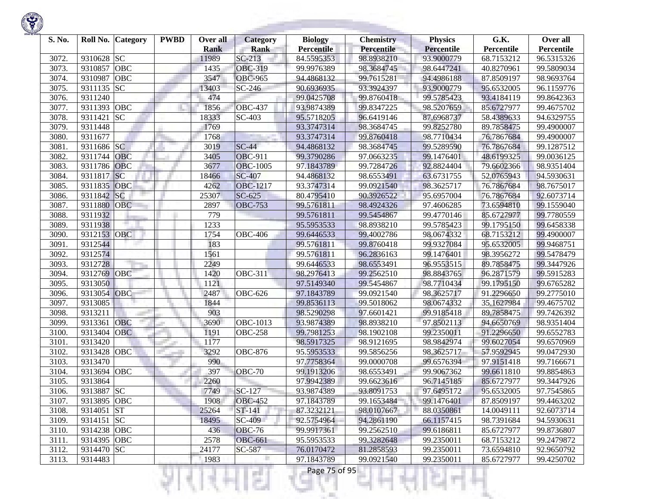

| S. No. |             | Roll No. Category | <b>PWBD</b> | Over all<br><b>Rank</b> | <b>Category</b><br><b>Rank</b> | <b>Biology</b><br><b>Percentile</b> | <b>Chemistry</b><br>Percentile | <b>Physics</b><br><b>Percentile</b> | G.K.<br>Percentile | Over all<br>Percentile |
|--------|-------------|-------------------|-------------|-------------------------|--------------------------------|-------------------------------------|--------------------------------|-------------------------------------|--------------------|------------------------|
| 3072.  | 9310628     | <b>SC</b>         |             | 11989                   | $SC-213$                       | 84.5595353                          | 98.8938210                     | 93.9000779                          | 68.7153212         | 96.5315326             |
| 3073.  | 9310857     | <b>OBC</b>        |             | 1435                    | <b>OBC-319</b>                 | 99.9976389                          | 98.3684745                     | 98.6447241                          | 40.8270961         | 99.5809034             |
| 3074.  | 9310987     | <b>OBC</b>        |             | 3547                    | <b>OBC-965</b>                 | 94.4868132                          | 99.7615281                     | 94.4986188                          | 87.8509197         | 98.9693764             |
| 3075.  | 9311135 SC  |                   |             | 13403                   | SC-246                         | 90.6936935                          | 93.3924397                     | 93.9000779                          | 95.6532005         | 96.1159776             |
| 3076.  | 9311240     |                   |             | 474                     |                                | 99.0425708                          | 99.8760418                     | 99.5785423                          | 93.4184119         | 99.8642363             |
| 3077.  | 9311393     | <b>OBC</b>        |             | 1856                    | <b>OBC-437</b>                 | 93.9874389                          | 99.8347225                     | 98.5207659                          | 85.6727977         | 99.4675702             |
| 3078.  | 9311421     | SC                |             | 18333                   | $\overline{SC}$ -403           | 95.5718205                          | 96.6419146                     | 87.6968737                          | 58.4389633         | 94.6329755             |
| 3079.  | 9311448     |                   |             | 1769                    |                                | 93.3747314                          | 98.3684745                     | 99.8252780                          | 89.7858475         | 99.4900007             |
| 3080.  | 9311677     |                   |             | 1768                    |                                | 93.3747314                          | 99.8760418                     | 98.7710434                          | 76.7867684         | 99.4900007             |
| 3081.  | 9311686 SC  |                   |             | 3019                    | $SC-44$                        | 94.4868132                          | 98.3684745                     | 99.5289590                          | 76.7867684         | 99.1287512             |
| 3082.  | 9311744     | <b>OBC</b>        |             | 3405                    | <b>OBC-911</b>                 | 99.3790286                          | 97.0663235                     | 99.1476401                          | 48.6199325         | 99.0036125             |
| 3083.  | 9311786     | <b>OBC</b>        |             | 3677                    | <b>OBC-1005</b>                | 97.1843789                          | 99.7284726                     | 92.8824404                          | 79.6602366         | 98.9351404             |
| 3084.  | 9311817     | <b>SC</b>         |             | 18466                   | <b>SC-407</b>                  | 94.4868132                          | 98.6553491                     | 63.6731755                          | 52.0765943         | 94.5930631             |
| 3085.  | 9311835     | <b>OBC</b>        |             | 4262                    | <b>OBC-1217</b>                | 93.3747314                          | 99.0921540                     | 98.3625717                          | 76.7867684         | 98.7675017             |
| 3086.  | 9311842     | <b>SC</b>         |             | 25307                   | $SC-625$                       | 80.4795410                          | 90.3926522                     | 95.6957004                          | 76.7867684         | 92.6073714             |
| 3087.  | 9311880     | OBC               |             | 2897                    | <b>OBC-753</b>                 | 99.5761811                          | 98.4924326                     | 97.4606285                          | 73.6594810         | 99.1559040             |
| 3088.  | 9311932     |                   |             | 779                     |                                | 99.5761811                          | 99.5454867                     | 99.4770146                          | 85.6727977         | 99.7780559             |
| 3089.  | 9311938     |                   |             | 1233                    |                                | 95.5953533                          | 98.8938210                     | 99.5785423                          | 99.1795150         | 99.6458338             |
| 3090.  | 9312153     | <b>OBC</b>        |             | 1754                    | <b>OBC-406</b>                 | 99.6446533                          | 99.4002786                     | 98.0674332                          | 68.7153212         | 99.4900007             |
| 3091.  | 9312544     |                   |             | 183                     |                                | 99.5761811                          | 99.8760418                     | 99.9327084                          | 95.6532005         | 99.9468751             |
| 3092.  | 9312574     |                   |             | 1561                    |                                | 99.5761811                          | 96.2836163                     | 99.1476401                          | 98.3956272         | 99.5478479             |
| 3093.  | 9312728     |                   |             | 2249                    |                                | 99.6446533                          | 98.6553491                     | 96.9553515                          | 89.7858475         | 99.3447926             |
| 3094.  | 9312769     | <b>OBC</b>        |             | 1420                    | <b>OBC-311</b>                 | 98.2976413                          | 99.2562510                     | 98.8843765                          | 96.2871579         | 99.5915283             |
| 3095.  | 9313050     |                   |             | 1121                    |                                | 97.5149340                          | 99.5454867                     | 98.7710434                          | 99.1795150         | 99.6765282             |
| 3096.  | 9313054     | OBC               |             | 2487                    | <b>OBC-626</b>                 | 97.1843789                          | 99.0921540                     | 98.3625717                          | 91.2296650         | 99.2775010             |
| 3097.  | 9313085     |                   |             | 1844                    |                                | 99.8536113                          | 99.5018062                     | 98.0674332                          | 35.1627984         | 99.4675702             |
| 3098.  | 9313211     |                   |             | 903                     |                                | 98.5290298                          | 97.6601421                     | 99.9185418                          | 89.7858475         | 99.7426392             |
| 3099.  | 9313361     | <b>OBC</b>        |             | 3690                    | OBC-1013                       | 93.9874389                          | 98.8938210                     | 97.8502113                          | 94.6650769         | 98.9351404             |
| 3100.  | 9313404     | <b>OBC</b>        |             | 1191                    | <b>OBC-258</b>                 | 99.7981253                          | 98.1902108                     | 99.2350011                          | 91.2296650         | 99.6552783             |
| 3101.  | 9313420     |                   |             | 1177                    |                                | 98.5917325                          | 98.9121695                     | 98.9842974                          | 99.6027054         | 99.6570969             |
| 3102.  | 9313428     | OBC               |             | 3292                    | <b>OBC-876</b>                 | 95.5953533                          | 99.5856256                     | 98.3625717                          | 57.9592945         | 99.0472930             |
| 3103.  | 9313470     |                   |             | 990                     |                                | 97.7758364                          | 99.0000708                     | 99.6576394                          | 97.9151418         | 99.7166671             |
| 3104.  | 9313694     | OBC               |             | 397                     | <b>OBC-70</b>                  | 99.1913206                          | 98.6553491                     | 99.9067362                          | 99.6611810         | 99.8854863             |
| 3105.  | 9313864     |                   |             | 2260                    |                                | 97.9942389                          | 99.6623616                     | 96.7145185                          | 85.6727977         | 99.3447926             |
| 3106.  | 9313887 SC  |                   |             | 7749                    | SC-127                         | 93.9874389                          | 93.8091753                     | 97.6495172                          | 95.6532005         | 97.7545865             |
| 3107.  | 9313895 OBC |                   |             | 1908                    | <b>OBC-452</b>                 | 97.1843789                          | 99.1653484                     | 99.1476401                          | 87.8509197         | 99.4463202             |
| 3108.  | 9314051 ST  |                   |             | 25264                   | ST-141                         | 87.3232121                          | 98.0107667                     | 88.0350861                          | 14.0049111         | 92.6073714             |
| 3109.  | 9314151 SC  |                   |             | 18495                   | SC-409                         | 92.5754964                          | 94.2861190                     | 66.1157415                          | 98.7391684         | 94.5930631             |
| 3110.  | 9314238 OBC |                   |             | 436                     | <b>OBC-76</b>                  | 99.9917361                          | 99.2562510                     | 99.6186811                          | 85.6727977         | 99.8736807             |
| 3111.  | 9314395 OBC |                   |             | 2578                    | <b>OBC-661</b>                 | 95.5953533                          | 99.3282648                     | 99.2350011                          | 68.7153212         | 99.2479872             |
| 3112.  | 9314470 SC  |                   |             | 24177                   | SC-587                         | 76.0170472                          | 81.2858593                     | 99.2350011                          | 73.6594810         | 92.9650792             |
| 3113.  | 9314483     |                   |             | 1983                    |                                | 97.1843789                          | 99.0921540                     | 99.2350011                          | 85.6727977         | 99.4250702             |
|        |             |                   |             |                         | a Tin                          | Page 75 of 95                       |                                |                                     |                    |                        |

**Contract Contract**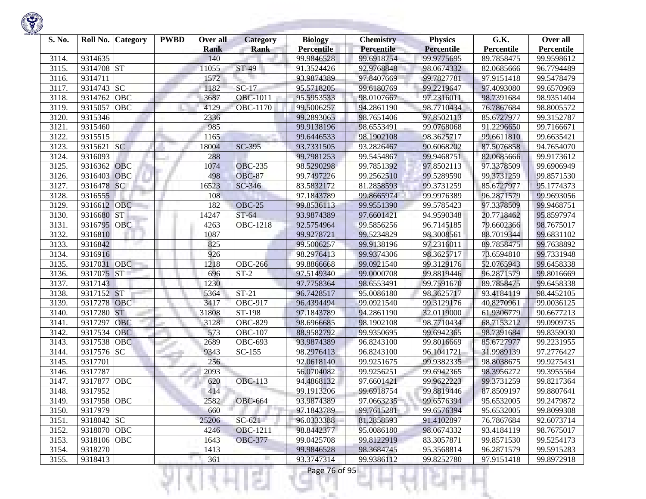| S. No. | Roll No.    | <b>Category</b>        | <b>PWBD</b> | Over all<br><b>Rank</b> | Category<br><b>Rank</b>   | <b>Biology</b><br><b>Percentile</b> | <b>Chemistry</b><br>Percentile | <b>Physics</b><br><b>Percentile</b> | G.K.<br>Percentile | Over all<br>Percentile |
|--------|-------------|------------------------|-------------|-------------------------|---------------------------|-------------------------------------|--------------------------------|-------------------------------------|--------------------|------------------------|
| 3114.  | 9314635     |                        |             | 140                     |                           | 99.9846528                          | 99.6918754                     | 99.9775695                          | 89.7858475         | 99.9598612             |
| 3115.  | 9314708     | <b>ST</b>              |             | 11055                   | ST-49                     | 91.3524426                          | 92.9768848                     | 98.0674332                          | 82.0685666         | 96.7794489             |
| 3116.  | 9314711     |                        |             | 1572                    |                           | 93.9874389                          | 97.8407669                     | 99.7827781                          | 97.9151418         | 99.5478479             |
| 3117.  | 9314743     | <b>SC</b>              |             | 1182                    | $SC-17$                   | 95.5718205                          | 99.6180769                     | 99.2219647                          | 97.4093080         | 99.6570969             |
| 3118.  | 9314762     | <b>OBC</b>             |             | 3687                    | <b>OBC-1011</b>           | 95.5953533                          | 98.0107667                     | 97.2316011                          | 98.7391684         | 98.9351404             |
| 3119.  | 9315057     | OBC                    |             | 4129                    | OBC-1170                  | 99.5006257                          | 94.2861190                     | 98.7710434                          | 76.7867684         | 98.8005572             |
| 3120   | 9315346     |                        |             | 2336                    |                           | 99.2893065                          | 98.7651406                     | 97.8502113                          | 85.6727977         | 99.3152787             |
| 3121.  | 9315460     |                        |             | 985                     |                           | 99.9138196                          | 98.6553491                     | 99.0768068                          | 91.2296650         | 99.7166671             |
| 3122.  | 9315515     |                        |             | 1165                    |                           | 99.6446533                          | 98.1902108                     | 98.3625717                          | 99.6611810         | 99.6635421             |
| 3123.  | 9315621     | <b>SC</b>              |             | 18004                   | SC-395                    | 93.7331505                          | 93.2826467                     | 90.6068202                          | 87.5076858         | 94.7654070             |
| 3124.  | 9316093     |                        |             | 288                     |                           | 99.7981253                          | 99.5454867                     | 99.9468751                          | 82.0685666         | 99.9173612             |
| 3125.  | 9316362     | <b>OBC</b>             |             | 1074                    | <b>OBC-235</b>            | 98.5290298                          | 99.7851392                     | 97.8502113                          | 97.3378509         | 99.6906949             |
| 3126.  | 9316403     | <b>OBC</b>             |             | 498                     | <b>OBC-87</b>             | 99.7497226                          | 99.2562510                     | 99.5289590                          | 99.3731259         | 99.8571530             |
| 3127.  | 9316478     | SC                     |             | 16523                   | SC-346                    | 83.5832172                          | 81.2858593                     | 99.3731259                          | 85.6727977         | 95.1774373             |
| 3128.  | 9316555     |                        |             | 108                     |                           | 97.1843789                          | 99.8665974                     | 99.9976389                          | 96.2871579         | 99.9693056             |
| 3129.  | 9316612     | <b>OBC</b>             |             | 182                     | <b>OBC-25</b>             | 99.8536113                          | 99.9551390                     | 99.5785423                          | 97.3378509         | 99.9468751             |
| 3130.  | 9316680     | $\overline{\text{ST}}$ |             | 14247                   | $\overline{\text{ST-64}}$ | 93.9874389                          | 97.6601421                     | 94.9590348                          | 20.7718462         | 95.8597974             |
| 3131.  | 9316795     | <b>OBC</b>             |             | 4263                    | <b>OBC-1218</b>           | 92.5754964                          | 99.5856256                     | 96.7145185                          | 79.6602366         | 98.7675017             |
| 3132.  | 9316810     |                        |             | 1087                    |                           | 99.9278721                          | 99.5234829                     | 98.3008561                          | 88.7019344         | 99.6831102             |
| 3133.  | 9316842     |                        |             | 825                     |                           | 99.5006257                          | 99.9138196                     | 97.2316011                          | 89.7858475         | 99.7638892             |
| 3134.  | 9316916     |                        |             | 926                     |                           | 98.2976413                          | 99.9374306                     | 98.3625717                          | 73.6594810         | 99.7331948             |
| 3135.  | 9317031     | <b>OBC</b>             |             | 1218                    | <b>OBC-266</b>            | 99.8866668                          | 99.0921540                     | 99.3129176                          | 52.0765943         | 99.6458338             |
| 3136.  | 9317075     | <b>ST</b>              |             | 696                     | $\overline{ST}$ -2        | 97.5149340                          | 99.0000708                     | 99.8819446                          | 96.2871579         | 99.8016669             |
| 3137.  | 9317143     |                        |             | 1230                    |                           | 97.7758364                          | 98.6553491                     | 99.7591670                          | 89.7858475         | 99.6458338             |
| 3138.  | 9317152     | <b>ST</b>              |             | 5364                    | $ST-21$                   | 96.7428517                          | 95.0086180                     | 98.3625717                          | 93.4184119         | 98.4452105             |
| 3139.  | 9317278     | <b>OBC</b>             |             | 3417                    | <b>OBC-917</b>            | 96.4394494                          | 99.0921540                     | 99.3129176                          | 40.8270961         | 99.0036125             |
| 3140.  | 9317280     | <b>ST</b>              |             | 31808                   | ST-198                    | 97.1843789                          | 94.2861190                     | 32.0119000                          | 61.9306779         | 90.6677213             |
| 3141.  | 9317297     | <b>OBC</b>             |             | 3128                    | OBC-829                   | 98.6966685                          | 98.1902108                     | 98.7710434                          | 68.7153212         | 99.0909735             |
| 3142.  | 9317534     | OBC                    |             | 573                     | <b>OBC-107</b>            | 88.9582792                          | 99.9350695                     | 99.6942365                          | 98.7391684         | 99.8359030             |
| 3143.  | 9317538     | <b>OBC</b>             |             | 2689                    | $\overline{O}$ BC-693     | 93.9874389                          | 96.8243100                     | 99.8016669                          | 85.6727977         | 99.2231955             |
| 3144.  | 9317576     | <b>SC</b>              |             | 9343                    | $SC-155$                  | 98.2976413                          | 96.8243100                     | 96.1041721                          | 31.9989139         | 97.2776427             |
| 3145.  | 9317701     |                        |             | 256                     |                           | 92.0618140                          | 99.9251675                     | 99.9382335                          | 98.8038675         | 99.9275431             |
| 3146.  | 9317787     |                        |             | 2093                    |                           | 56.0704082                          | 99.9256251                     | 99.6942365                          | 98.3956272         | 99.3955564             |
| 3147.  | 9317877     | <b>OBC</b>             |             | 620                     | <b>OBC-113</b>            | 94.4868132                          | 97.6601421                     | 99.9622223                          | 99.3731259         | 99.8217364             |
| 3148.  | 9317952     |                        |             | 414                     |                           | 99.1913206                          | 99.6918754                     | 99.8819446                          | 87.8509197         | 99.8807641             |
| 3149.  | 9317958 OBC |                        |             | 2582                    | <b>OBC-664</b>            | 93.9874389                          | 97.0663235                     | 99.6576394                          | 95.6532005         | 99.2479872             |
| 3150.  | 9317979     |                        |             | 660                     |                           | 97.1843789                          | 99.7615281                     | 99.6576394                          | 95.6532005         | 99.8099308             |
| 3151.  | 9318042 SC  |                        |             | 25206                   | $SC-621$                  | 96.0333388                          | 81.2858593                     | 91.4102897                          | 76.7867684         | 92.6073714             |
| 3152.  | 9318070 OBC |                        |             | 4246                    | <b>OBC-1211</b>           | 98.8442377                          | 95.0086180                     | 98.0674332                          | 93.4184119         | 98.7675017             |
| 3153.  | 9318106 OBC |                        |             | 1643                    | <b>OBC-377</b>            | 99.0425708                          | 99.8122919                     | 83.3057871                          | 99.8571530         | 99.5254173             |
| 3154.  | 9318270     |                        |             | 1413                    |                           | 99.9846528                          | 98.3684745                     | 95.3568814                          | 96.2871579         | 99.5915283             |
| 3155.  | 9318413     |                        |             | 361                     |                           | 93.3747314                          | 99.9386112                     | 99.8252780                          | 97.9151418         | 99.8972918             |
|        |             |                        |             |                         | g.                        | Page 76 of 95                       |                                |                                     |                    |                        |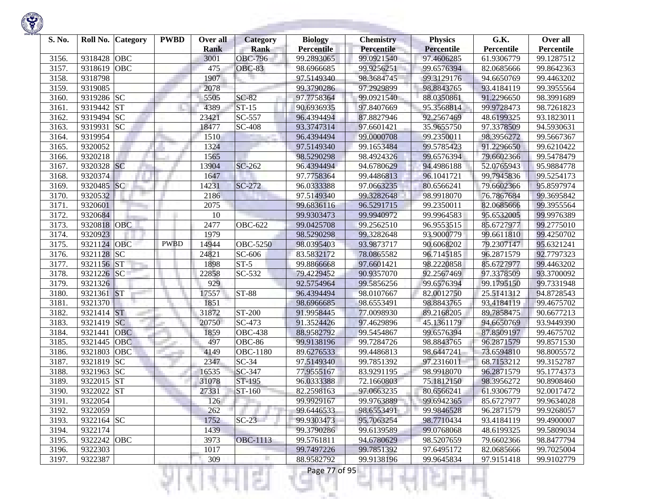

| S. No. | Roll No. Category                | <b>PWBD</b> | Over all<br><b>Rank</b> | <b>Category</b><br><b>Rank</b> | <b>Biology</b><br><b>Percentile</b> | <b>Chemistry</b><br>Percentile | <b>Physics</b><br><b>Percentile</b> | G.K.<br>Percentile | Over all<br>Percentile |
|--------|----------------------------------|-------------|-------------------------|--------------------------------|-------------------------------------|--------------------------------|-------------------------------------|--------------------|------------------------|
| 3156.  | 9318428<br><b>OBC</b>            |             | 3001                    | <b>OBC-796</b>                 | 99.2893065                          | 99.0921540                     | 97.4606285                          | 61.9306779         | 99.1287512             |
| 3157.  | OBC<br>9318619                   |             | 475                     | <b>OBC-83</b>                  | 98.6966685                          | 99.9256251                     | 99.6576394                          | 82.0685666         | 99.8642363             |
| 3158.  | 9318798                          |             | 1907                    |                                | 97.5149340                          | 98.3684745                     | 99.3129176                          | 94.6650769         | 99.4463202             |
| 3159.  | 9319085                          |             | 2078                    |                                | 99.3790286                          | 97.2929899                     | 98.8843765                          | 93.4184119         | 99.3955564             |
| 3160.  | 9319286 SC                       |             | 5505                    | $SC-82$                        | 97.7758364                          | 99.0921540                     | 88.0350861                          | 91.2296650         | 98.3991689             |
| 3161.  | 9319442<br><b>ST</b>             |             | 4389                    | $ST-15$                        | 90.6936935                          | 97.8407669                     | 95.3568814                          | 99.9728473         | 98.7261823             |
| 3162.  | 9319494 SC                       |             | 23421                   | SC-557                         | 96.4394494                          | 87.8827946                     | 92.2567469                          | 48.6199325         | 93.1823011             |
| 3163.  | 9319931<br><b>SC</b>             |             | 18477                   | <b>SC-408</b>                  | 93.3747314                          | 97.6601421                     | 35.9655750                          | 97.3378509         | 94.5930631             |
| 3164.  | 9319954                          |             | 1510                    |                                | 96.4394494                          | 99.0000708                     | 99.2350011                          | 98.3956272         | 99.5667367             |
| 3165.  | 9320052                          |             | 1324                    |                                | 97.5149340                          | 99.1653484                     | 99.5785423                          | 91.2296650         | 99.6210422             |
| 3166.  | 9320218                          |             | 1565                    |                                | 98.5290298                          | 98.4924326                     | 99.6576394                          | 79.6602366         | 99.5478479             |
| 3167.  | 9320328 SC                       |             | 13904                   | SC-262                         | 96.4394494                          | 94.6780629                     | 94.4986188                          | 52.0765943         | 95.9884778             |
| 3168.  | 9320374                          |             | 1647                    |                                | 97.7758364                          | 99.4486813                     | 96.1041721                          | 99.7945836         | 99.5254173             |
| 3169.  | SC<br>9320485                    |             | 14231                   | SC-272                         | 96.0333388                          | 97.0663235                     | 80.6566241                          | 79.6602366         | 95.8597974             |
| 3170.  | 9320532                          |             | 2186                    |                                | 97.5149340                          | 99.3282648                     | 98.9918070                          | 76.7867684         | 99.3695842             |
| 3171.  | 9320601                          |             | 2075                    |                                | 99.6836116                          | 96.5291715                     | 99.2350011                          | 82.0685666         | 99.3955564             |
| 3172.  | 9320684                          |             | 10                      |                                | 99.9303473                          | 99.9940972                     | 99.9964583                          | 95.6532005         | 99.9976389             |
| 3173.  | OBC<br>9320818                   |             | 2477                    | <b>OBC-622</b>                 | 99.0425708                          | 99.2562510                     | 96.9553515                          | 85.6727977         | 99.2775010             |
| 3174.  | 9320923                          |             | 1979                    |                                | 98.5290298                          | 99.3282648                     | 93.9000779                          | 99.6611810         | 99.4250702             |
| 3175.  | 9321124 OBC                      | <b>PWBD</b> | 14944                   | <b>OBC-5250</b>                | 98.0395403                          | 93.9873717                     | 90.6068202                          | 79.2307147         | 95.6321241             |
| 3176.  | $\overline{\text{S}}$<br>9321128 |             | 24821                   | SC-606                         | 83.5832172                          | 78.0865582                     | 96.7145185                          | 96.2871579         | 92.7797323             |
| 3177.  | <b>ST</b><br>9321156             |             | 1898                    | $ST-5$                         | 99.8866668                          | 97.6601421                     | 98.2220858                          | 85.6727977         | 99.4463202             |
| 3178.  | SC <br>9321226                   |             | 22858                   | SC-532                         | 79.4229452                          | 90.9357070                     | 92.2567469                          | 97.3378509         | 93.3700092             |
| 3179.  | 9321326                          |             | 929                     |                                | 92.5754964                          | 99.5856256                     | 99.6576394                          | 99.1795150         | 99.7331948             |
| 3180.  | <b>ST</b><br>9321361             |             | 17557                   | <b>ST-88</b>                   | 96.4394494                          | 98.0107667                     | 82.0012750                          | 25.5141312         | 94.8728543             |
| 3181.  | 9321370                          |             | 1851                    |                                | 98.6966685                          | 98.6553491                     | 98.8843765                          | 93.4184119         | 99.4675702             |
| 3182.  | 9321414 ST                       |             | 31872                   | ST-200                         | 91.9958445                          | 77.0098930                     | 89.2168205                          | 89.7858475         | 90.6677213             |
| 3183.  | <b>SC</b><br>9321419             |             | 20750                   | $\overline{SC}$ -473           | 91.3524426                          | 97.4629896                     | 45.1361179                          | 94.6650769         | 93.9449390             |
| 3184.  | 9321441<br><b>OBC</b>            |             | 1859                    | <b>OBC-438</b>                 | 88.9582792                          | 99.5454867                     | 99.6576394                          | 87.8509197         | 99.4675702             |
| 3185.  | OBC<br>9321445                   |             | 497                     | <b>OBC-86</b>                  | 99.9138196                          | 99.7284726                     | 98.8843765                          | 96.2871579         | 99.8571530             |
| 3186.  | OBC<br>9321803                   |             | 4149                    | OBC-1180                       | 89.6276533                          | 99.4486813                     | 98.6447241                          | 73.6594810         | 98.8005572             |
| 3187.  | <b>SC</b><br>9321819             |             | 2347                    | $SC-34$                        | 97.5149340                          | 99.7851392                     | 97.2316011                          | 68.7153212         | 99.3152787             |
| 3188.  | <b>SC</b><br>9321963             |             | 16535                   | SC-347                         | 77.9555167                          | 83.9291195                     | 98.9918070                          | 96.2871579         | 95.1774373             |
| 3189.  | <b>ST</b><br>9322015             |             | 31078                   | ST-195                         | 96.0333388                          | 72.1660803                     | 75.1812150                          | 98.3956272         | 90.8908460             |
| 3190.  | <b>ST</b><br>9322022             |             | 27331                   | ST-160                         | 82.2598163                          | 97.0663235                     | 80.6566241                          | 61.9306779         | 92.0017472             |
| 3191.  | 9322054                          |             | 126                     |                                | 99.9929167                          | 99.9763889                     | 99.6942365                          | 85.6727977         | 99.9634028             |
| 3192.  | 9322059                          |             | 262                     |                                | 99.6446533                          | 98.6553491                     | 99.9846528                          | 96.2871579         | 99.9268057             |
| 3193.  | 9322164 SC                       |             | 1752                    | $SC-23$                        | 99.9303473                          | 95.7063254                     | 98.7710434                          | 93.4184119         | 99.4900007             |
| 3194.  | 9322174                          |             | 1439                    |                                | 99.3790286                          | 99.6139589                     | 99.0768068                          | 48.6199325         | 99.5809034             |
| 3195.  | 9322242 OBC                      |             | 3973                    | <b>OBC-1113</b>                | 99.5761811                          | 94.6780629                     | 98.5207659                          | 79.6602366         | 98.8477794             |
| 3196.  | 9322303                          |             | 1017                    |                                | 99.7497226                          | 99.7851392                     | 97.6495172                          | 82.0685666         | 99.7025004             |
| 3197.  | 9322387                          |             | 309                     |                                | 88.9582792                          | 99.9138196                     | 99.9645834                          | 97.9151418         | 99.9102779             |
|        |                                  |             |                         | a Tin                          | Page 77 of 95                       |                                |                                     |                    |                        |

**Company of the Company** 

**Contract Contract**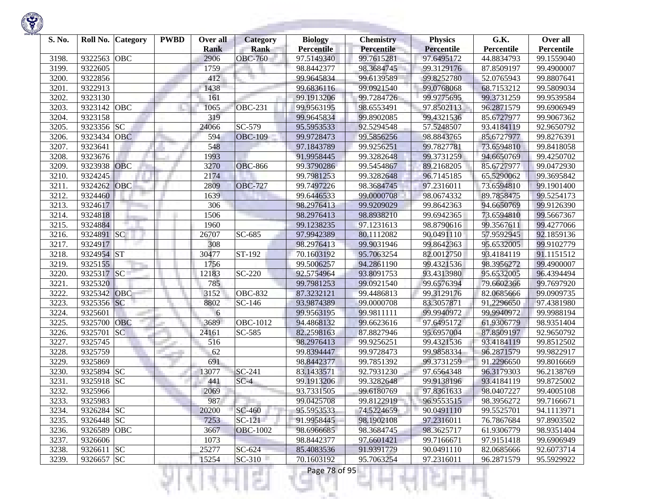

| S. No.         |             | Roll No. Category | <b>PWBD</b> | Over all            | <b>Category</b>               | <b>Biology</b>                  | <b>Chemistry</b>         | <b>Physics</b>                  | G.K.                     | Over all                 |
|----------------|-------------|-------------------|-------------|---------------------|-------------------------------|---------------------------------|--------------------------|---------------------------------|--------------------------|--------------------------|
|                | 9322563     | <b>OBC</b>        |             | <b>Rank</b><br>2906 | <b>Rank</b><br><b>OBC-760</b> | <b>Percentile</b><br>97.5149340 | Percentile<br>99.7615281 | <b>Percentile</b><br>97.6495172 | Percentile<br>44.8834793 | Percentile<br>99.1559040 |
| 3198.<br>3199. | 9322605     |                   |             | 1759                |                               | 98.8442377                      | 98.3684745               | 99.3129176                      | 87.8509197               |                          |
|                |             |                   |             | 412                 |                               |                                 |                          |                                 |                          | 99.4900007               |
| 3200           | 9322856     |                   |             |                     |                               | 99.9645834                      | 99.6139589               | 99.8252780                      | 52.0765943               | 99.8807641               |
| 3201.          | 9322913     |                   |             | 1438                |                               | 99.6836116                      | 99.0921540               | 99.0768068                      | 68.7153212               | 99.5809034               |
| 3202.          | 9323130     |                   |             | 161                 |                               | 99.1913206                      | 99.7284726               | 99.9775695                      | 99.3731259               | 99.9539584               |
| 3203.          | 9323142     | OBC               |             | 1065                | <b>OBC-231</b>                | 99.9563195                      | 98.6553491               | 97.8502113                      | 96.2871579               | 99.6906949               |
| 3204.          | 9323158     |                   |             | 319                 |                               | 99.9645834                      | 99.8902085               | 99.4321536                      | 85.6727977               | 99.9067362               |
| 3205.          | 9323356     | <b>SC</b>         |             | 24066               | SC-579                        | 95.5953533                      | 92.5294548               | 57.5248507                      | 93.4184119               | 92.9650792               |
| 3206.          | 9323434     | <b>OBC</b>        |             | 594                 | <b>OBC-109</b>                | 99.9728473                      | 99.5856256               | 98.8843765                      | 85.6727977               | 99.8276391               |
| 3207.          | 9323641     |                   |             | 548                 |                               | 97.1843789                      | 99.9256251               | 99.7827781                      | 73.6594810               | 99.8418058               |
| 3208           | 9323676     |                   |             | 1993                |                               | 91.9958445                      | 99.3282648               | 99.3731259                      | 94.6650769               | 99.4250702               |
| 3209.          | 9323938     | <b>OBC</b>        |             | 3270                | <b>OBC-866</b>                | 99.3790286                      | 99.5454867               | 89.2168205                      | 85.6727977               | 99.0472930               |
| 3210.          | 9324245     |                   |             | 2174                |                               | 99.7981253                      | 99.3282648               | 96.7145185                      | 65.5290062               | 99.3695842               |
| 3211.          | 9324262     | <b>OBC</b>        |             | 2809                | <b>OBC-727</b>                | 99.7497226                      | 98.3684745               | 97.2316011                      | 73.6594810               | 99.1901400               |
| 3212.          | 9324460     |                   |             | 1639                |                               | 99.6446533                      | 99.0000708               | 98.0674332                      | 89.7858475               | 99.5254173               |
| 3213.          | 9324617     |                   |             | 306                 |                               | 98.2976413                      | 99.9209029               | 99.8642363                      | 94.6650769               | 99.9126390               |
| 3214.          | 9324818     |                   |             | 1506                |                               | 98.2976413                      | 98.8938210               | 99.6942365                      | 73.6594810               | 99.5667367               |
| 3215.          | 9324884     |                   |             | 1960                |                               | 99.1238235                      | 97.1231613               | 98.8790616                      | 99.3567611               | 99.4277066               |
| 3216.          | 9324891 SC  |                   |             | 26707               | SC-685                        | 97.9942389                      | 80.1112082               | 90.0491110                      | 57.9592945               | 92.1859136               |
| 3217.          | 9324917     |                   |             | 308                 |                               | 98.2976413                      | 99.9031946               | 99.8642363                      | 95.6532005               | 99.9102779               |
| 3218.          | 9324954 ST  |                   |             | 30477               | ST-192                        | 70.1603192                      | 95.7063254               | 82.0012750                      | 93.4184119               | 91.1151512               |
| 3219.          | 9325155     |                   |             | 1756                |                               | 99.5006257                      | 94.2861190               | 99.4321536                      | 98.3956272               | 99.4900007               |
| 3220.          | 9325317     | <b>SC</b>         |             | 12183               | SC-220                        | 92.5754964                      | 93.8091753               | 93.4313980                      | 95.6532005               | 96.4394494               |
| 3221.          | 9325320     |                   |             | 785                 |                               | 99.7981253                      | 99.0921540               | 99.6576394                      | 79.6602366               | 99.7697920               |
| 3222.          | 9325342 OBC |                   |             | 3152                | <b>OBC-832</b>                | 87.3232121                      | 99.4486813               | 99.3129176                      | 82.0685666               | 99.0909735               |
| 3223.          | 9325356     | SC                |             | 8802                | SC-146                        | 93.9874389                      | 99.0000708               | 83.3057871                      | 91.2296650               | 97.4381980               |
| 3224.          | 9325601     |                   |             | 6                   |                               | 99.9563195                      | 99.9811111               | 99.9940972                      | 99.9940972               | 99.9988194               |
| 3225.          | 9325700     | <b>OBC</b>        |             | 3689                | OBC-1012                      | 94.4868132                      | 99.6623616               | 97.6495172                      | 61.9306779               | 98.9351404               |
| 3226.          | 9325701     | SC                |             | 24161               | SC-585                        | 82.2598163                      | 87.8827946               | 95.6957004                      | 87.8509197               | 92.9650792               |
| 3227.          | 9325745     |                   |             | 516                 |                               | 98.2976413                      | 99.9256251               | 99.4321536                      | 93.4184119               | 99.8512502               |
| 3228.          | 9325759     |                   |             | 62                  |                               | 99.8394447                      | 99.9728473               | 99.9858334                      | 96.2871579               | 99.9822917               |
| 3229.          | 9325869     |                   |             | 691                 |                               | 98.8442377                      | 99.7851392               | 99.3731259                      | 91.2296650               | 99.8016669               |
| 3230.          | 9325894     | <b>SC</b>         |             | 13077               | SC-241                        | 83.1433571                      | 92.7931230               | 97.6564348                      | 96.3179303               | 96.2138769               |
| 3231.          | 9325918 SC  |                   |             | 441                 | $SC-4$                        | 99.1913206                      | 99.3282648               | 99.9138196                      | 93.4184119               | 99.8725002               |
| 3232.          | 9325966     |                   |             | 2069                |                               | 93.7331505                      | 99.6180769               | 97.8361633                      | 98.0407227               | 99.4005108               |
| 3233.          | 9325983     |                   |             | 987                 |                               | 99.0425708                      | 99.8122919               | 96.9553515                      | 98.3956272               | 99.7166671               |
| 3234.          | 9326284 SC  |                   |             | 20200               | SC-460                        | 95.5953533                      | 74.5224659               | 90.0491110                      | 99.5525701               | 94.1113971               |
| 3235.          | 9326448 SC  |                   |             | 7253                | $SC-121$                      | 91.9958445                      | 98.1902108               | 97.2316011                      | 76.7867684               | 97.8903502               |
| 3236.          | 9326589     | OBC               |             | 3667                | <b>OBC-1002</b>               | 98.6966685                      | 98.3684745               | 98.3625717                      | 61.9306779               | 98.9351404               |
| 3237.          | 9326606     |                   |             | 1073                |                               | 98.8442377                      | 97.6601421               | 99.7166671                      | 97.9151418               | 99.6906949               |
| 3238.          | 9326611 SC  |                   |             | 25277               | SC-624                        | 85.4083536                      | 91.9391779               | 90.0491110                      | 82.0685666               | 92.6073714               |
| 3239.          | 9326657 SC  |                   |             | 15254               | $SC-310$                      | 70.1603192                      | 95.7063254               | 97.2316011                      | 96.2871579               | 95.5929922               |

।धनम्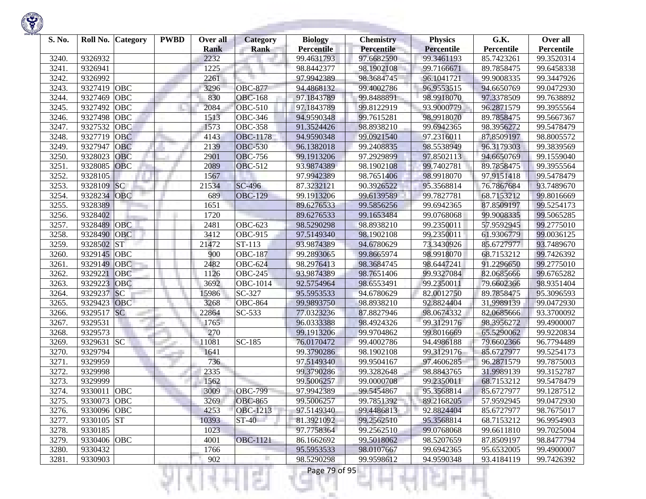| S. No. | Roll No. Category        | <b>PWBD</b> | Over all            | <b>Category</b>       | <b>Biology</b>                  | <b>Chemistry</b>                | <b>Physics</b>                  | G.K.                     | Over all                 |
|--------|--------------------------|-------------|---------------------|-----------------------|---------------------------------|---------------------------------|---------------------------------|--------------------------|--------------------------|
| 3240.  | 9326932                  |             | <b>Rank</b><br>2232 | <b>Rank</b>           | <b>Percentile</b><br>99.4631793 | <b>Percentile</b><br>97.6682590 | <b>Percentile</b><br>99.3461193 | Percentile<br>85.7423261 | Percentile<br>99.3520314 |
| 3241.  | 9326941                  |             | 1225                |                       | 98.8442377                      | 98.1902108                      | 99.7166671                      | 89.7858475               | 99.6458338               |
| 3242.  | 9326992                  |             | 2261                |                       | 97.9942389                      | 98.3684745                      | 96.1041721                      | 99.9008335               | 99.3447926               |
| 3243.  | 9327419<br>OBC           |             | 3296                | <b>OBC-877</b>        | 94.4868132                      | 99.4002786                      | 96.9553515                      | 94.6650769               | 99.0472930               |
| 3244.  | 9327469<br>OBC           |             | 830                 | <b>OBC-168</b>        | 97.1843789                      | 99.8488891                      | 98.9918070                      | 97.3378509               | 99.7638892               |
| 3245.  | 9327492<br>OBC           |             | 2084                | <b>OBC-510</b>        | 97.1843789                      | 99.8122919                      | 93.9000779                      | 96.2871579               | 99.3955564               |
| 3246.  | 9327498<br>OBC           |             | 1513                | <b>OBC-346</b>        | 94.9590348                      | 99.7615281                      | 98.9918070                      | 89.7858475               | 99.5667367               |
| 3247.  | 9327532<br>OBC           |             | 1573                | <b>OBC-358</b>        | 91.3524426                      | 98.8938210                      | 99.6942365                      | 98.3956272               | 99.5478479               |
| 3248.  | 9327719<br><b>OBC</b>    |             | 4143                | <b>OBC-1178</b>       | 94.9590348                      | 99.0921540                      | 97.2316011                      | 87.8509197               | 98.8005572               |
| 3249.  | 9327947<br><b>OBC</b>    |             | 2139                | <b>OBC-530</b>        | 96.1382018                      | 99.2408835                      | 98.5538949                      | 96.3179303               | 99.3839569               |
| 3250.  | 9328023<br><b>OBC</b>    |             | 2901                | <b>OBC-756</b>        | 99.1913206                      | 97.2929899                      | 97.8502113                      | 94.6650769               | 99.1559040               |
| 3251.  | OBC<br>9328085           |             | 2089                | <b>OBC-512</b>        | 93.9874389                      | 98.1902108                      | 99.7402781                      | 89.7858475               | 99.3955564               |
| 3252.  | 9328105                  |             | 1567                |                       | 97.9942389                      | 98.7651406                      | 98.9918070                      | 97.9151418               | 99.5478479               |
| 3253.  | <sub>SC</sub><br>9328109 |             | 21534               | SC-496                | 87.3232121                      | 90.3926522                      | 95.3568814                      | 76.7867684               | 93.7489670               |
| 3254.  | 9328234<br><b>OBC</b>    |             | 689                 | <b>OBC-129</b>        | 99.1913206                      | 99.6139589                      | 99.7827781                      | 68.7153212               | 99.8016669               |
| 3255.  | 9328389                  |             | 1651                |                       | 89.6276533                      | 99.5856256                      | 99.6942365                      | 87.8509197               | 99.5254173               |
| 3256.  | 9328402                  |             | 1720                |                       | 89.6276533                      | 99.1653484                      | 99.0768068                      | 99.9008335               | 99.5065285               |
| 3257.  | 9328489<br>OBC           |             | 2481                | <b>OBC-623</b>        | 98.5290298                      | 98.8938210                      | 99.2350011                      | 57.9592945               | 99.2775010               |
| 3258.  | 9328490<br>OBC           |             | 3412                | $\overline{O}$ BC-915 | 97.5149340                      | 98.1902108                      | 99.2350011                      | 61.9306779               | 99.0036125               |
| 3259.  | 9328502<br><b>ST</b>     |             | 21472               | $ST-113$              | 93.9874389                      | 94.6780629                      | 73.3430926                      | 85.6727977               | 93.7489670               |
| 3260.  | 9329145<br> OBC          |             | 900                 | <b>OBC-187</b>        | 99.2893065                      | 99.8665974                      | 98.9918070                      | 68.7153212               | 99.7426392               |
| 3261.  | 9329149<br><b>OBC</b>    |             | 2482                | <b>OBC-624</b>        | 98.2976413                      | 98.3684745                      | 98.6447241                      | 91.2296650               | 99.2775010               |
| 3262.  | 9329221<br><b>OBC</b>    |             | 1126                | <b>OBC-245</b>        | 93.9874389                      | 98.7651406                      | 99.9327084                      | 82.0685666               | 99.6765282               |
| 3263.  | 9329223<br>OBC           |             | 3692                | OBC-1014              | 92.5754964                      | 98.6553491                      | 99.2350011                      | 79.6602366               | 98.9351404               |
| 3264.  | 9329237<br><b>SC</b>     |             | 15986               | SC-327                | 95.5953533                      | 94.6780629                      | 82.0012750                      | 89.7858475               | 95.3096593               |
| 3265.  | 9329423<br><b>OBC</b>    |             | 3268                | $\overline{O}$ BC-864 | 99.9893750                      | 98.8938210                      | 92.8824404                      | 31.9989139               | 99.0472930               |
| 3266.  | <b>SC</b><br>9329517     |             | 22864               | SC-533                | 77.0323236                      | 87.8827946                      | 98.0674332                      | 82.0685666               | 93.3700092               |
| 3267.  | 9329531                  |             | 1765                |                       | 96.0333388                      | 98.4924326                      | 99.3129176                      | 98.3956272               | 99.4900007               |
| 3268.  | 9329573                  |             | 270                 |                       | 99.1913206                      | 99.9704862                      | 99.8016669                      | 65.5290062               | 99.9220834               |
| 3269.  | 9329631<br><b>SC</b>     |             | 11081               | SC-185                | 76.0170472                      | 99.4002786                      | 94.4986188                      | 79.6602366               | 96.7794489               |
| 3270.  | 9329794                  |             | 1641                |                       | 99.3790286                      | 98.1902108                      | 99.3129176                      | 85.6727977               | 99.5254173               |
| 3271.  | 9329959                  |             | 736                 |                       | 97.5149340                      | 99.9504167                      | 97.4606285                      | 96.2871579               | 99.7875003               |
| 3272.  | 9329998                  |             | 2335                |                       | 99.3790286                      | 99.3282648                      | 98.8843765                      | 31.9989139               | 99.3152787               |
| 3273.  | 9329999                  |             | 1562                |                       | 99.5006257                      | 99.0000708                      | 99.2350011                      | 68.7153212               | 99.5478479               |
| 3274.  | <b>OBC</b><br>9330011    |             | 3009                | <b>OBC-799</b>        | 97.9942389                      | 99.5454867                      | 95.3568814                      | 85.6727977               | 99.1287512               |
| 3275.  | 9330073 OBC              |             | 3269                | <b>OBC-865</b>        | 99.5006257                      | 99.7851392                      | 89.2168205                      | 57.9592945               | 99.0472930               |
| 3276.  | 9330096 OBC              |             | 4253                | OBC-1213              | 97.5149340                      | 99.4486813                      | 92.8824404                      | 85.6727977               | 98.7675017               |
| 3277.  | 9330105 ST               |             | 10393               | ST-40                 | 81.3921092                      | 99.2562510                      | 95.3568814                      | 68.7153212               | 96.9954903               |
| 3278.  | 9330185                  |             | 1023                |                       | 97.7758364                      | 99.2562510                      | 99.0768068                      | 99.6611810               | 99.7025004               |
| 3279.  | 9330406 OBC              |             | 4001                | <b>OBC-1121</b>       | 86.1662692                      | 99.5018062                      | 98.5207659                      | 87.8509197               | 98.8477794               |
| 3280.  | 9330432                  |             | 1766                |                       | 95.5953533                      | 98.0107667                      | 99.6942365                      | 95.6532005               | 99.4900007               |
| 3281.  | 9330903                  |             | 902                 | п                     | 98.5290298                      | 99.9598612                      | 94.9590348                      | 93.4184119               | 99.7426392               |

₹Н

w

H

m

л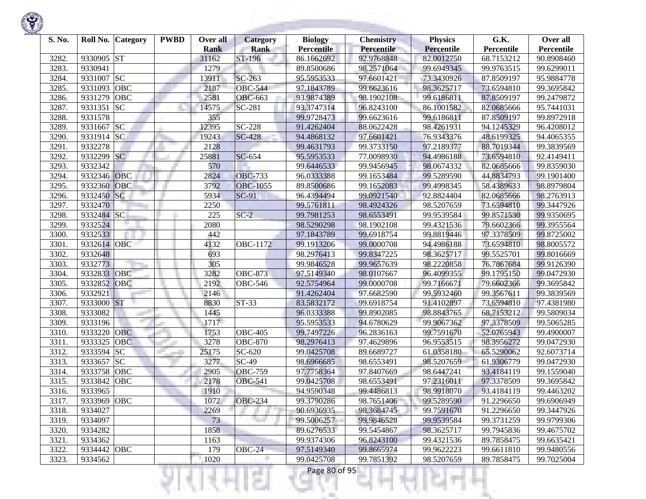| S. No. | Roll No.    | <b>Category</b> | <b>PWBD</b> | Over all<br><b>Rank</b> | Category<br><b>Rank</b> | <b>Biology</b><br><b>Percentile</b> | <b>Chemistry</b><br><b>Percentile</b> | <b>Physics</b><br><b>Percentile</b> | G.K.<br>Percentile | Over all<br>Percentile |
|--------|-------------|-----------------|-------------|-------------------------|-------------------------|-------------------------------------|---------------------------------------|-------------------------------------|--------------------|------------------------|
| 3282.  | 9330905     | <b>ST</b>       |             | 31162                   | ST-196                  | 86.1662692                          | 92.9768848                            | 82.0012750                          | 68.7153212         | 90.8908460             |
| 3283.  | 9330941     |                 |             | 1279                    |                         | 89.8500686                          | 98.2571064                            | 99.6949345                          | 99.9763515         | 99.6299011             |
| 3284.  | 9331007     | SC              |             | 13911                   | SC-263                  | 95.5953533                          | 97.6601421                            | 73.3430926                          | 87.8509197         | 95.9884778             |
| 3285.  | 9331093     | <b>OBC</b>      |             | 2187                    | <b>OBC-544</b>          | 97.1843789                          | 99.6623616                            | 98.3625717                          | 73.6594810         | 99.3695842             |
| 3286.  | 9331279     | OBC             |             | 2581                    | <b>OBC-663</b>          | 93.9874389                          | 98.1902108                            | 99.6186811                          | 87.8509197         | 99.2479872             |
| 3287.  | 9331351     | <b>SC</b>       |             | 14575                   | SC-281                  | 93.3747314                          | 96.8243100                            | 86.1001582                          | 82.0685666         | 95.7441031             |
| 3288.  | 9331578     |                 |             | 355                     |                         | 99.9728473                          | 99.6623616                            | 99.6186811                          | 87.8509197         | 99.8972918             |
| 3289.  | 9331667     | <b>SC</b>       |             | 12395                   | SC-228                  | 91.4262404                          | 88.0622428                            | 98.4261931                          | 94.1245329         | 96.4208012             |
| 3290.  | 9331914 SC  |                 |             | 19243                   | <b>SC-428</b>           | 94.4868132                          | 97.6601421                            | 76.9343376                          | 48.6199325         | 94.4065355             |
| 3291.  | 9332278     |                 |             | 2128                    |                         | 99.4631793                          | 99.3733150                            | 97.2189377                          | 88.7019344         | 99.3839569             |
| 3292.  | 9332299     | <b>SC</b>       |             | 25881                   | SC-654                  | 95.5953533                          | 77.0098930                            | 94.4986188                          | 73.6594810         | 92.4149411             |
| 3293.  | 9332342     |                 |             | 570                     |                         | 99.6446533                          | 99.9456945                            | 98.0674332                          | 82.0685666         | 99.8359030             |
| 3294.  | 9332346     | OBC             |             | 2824                    | <b>OBC-733</b>          | 96.0333388                          | 99.1653484                            | 99.5289590                          | 44.8834793         | 99.1901400             |
| 3295.  | 9332360     | OBC             |             | 3792                    | <b>OBC-1055</b>         | 89.8500686                          | 99.1652083                            | 99.4998345                          | 58.4389633         | 98.8979804             |
| 3296.  | 9332450     | <b>SC</b>       |             | 5934                    | SC-91                   | 96.4394494                          | 99.0921540                            | 92.8824404                          | 82.0685666         | 98.2763913             |
| 3297.  | 9332470     |                 |             | 2250                    |                         | 99.5761811                          | 98.4924326                            | 98.5207659                          | 73.6594810         | 99.3447926             |
| 3298.  | 9332484 SC  |                 |             | 225                     | $SC-2$                  | 99.7981253                          | 98.6553491                            | 99.9539584                          | 99.8571530         | 99.9350695             |
| 3299.  | 9332524     |                 |             | 2080                    |                         | 98.5290298                          | 98.1902108                            | 99.4321536                          | 79.6602366         | 99.3955564             |
| 3300.  | 9332533     |                 |             | 442                     |                         | 97.1843789                          | 99.6918754                            | 99.8819446                          | 97.3378509         | 99.8725002             |
| 3301.  | 9332614     | <b>OBC</b>      |             | 4132                    | OBC-1172                | 99.1913206                          | 99.0000708                            | 94.4986188                          | 73.6594810         | 98.8005572             |
| 3302.  | 9332648     |                 |             | 693                     |                         | 98.2976413                          | 99.8347225                            | 98.3625717                          | 99.5525701         | 99.8016669             |
| 3303.  | 9332773     |                 |             | 305                     |                         | 99.9846528                          | 99.9657639                            | 98.2220858                          | 76.7867684         | 99.9126390             |
| 3304.  | 9332833     | OBC             |             | 3282                    | <b>OBC-873</b>          | 97.5149340                          | 98.0107667                            | 96.4099355                          | 99.1795150         | 99.0472930             |
| 3305.  | 9332852     | OBC             |             | 2192                    | <b>OBC-546</b>          | 92.5754964                          | 99.0000708                            | 99.7166671                          | 79.6602366         | 99.3695842             |
| 3306.  | 9332921     |                 |             | 2146                    |                         | 91.4262404                          | 97.6682590                            | 99.5932460                          | 99.3567611         | 99.3839569             |
| 3307.  | 9333000 ST  |                 |             | 8830                    | $ST-33$                 | 83.5832172                          | 99.6918754                            | 91.4102897                          | 73.6594810         | 97.4381980             |
| 3308.  | 9333082     |                 |             | 1445                    |                         | 96.0333388                          | 99.8902085                            | 98.8843765                          | 68.7153212         | 99.5809034             |
| 3309.  | 9333196     | ma i            |             | 1717                    |                         | 95.5953533                          | 94.6780629                            | 99.9067362                          | 97.3378509         | 99.5065285             |
| 3310.  | 9333220     | <b>OBC</b>      |             | 1753                    | <b>OBC-405</b>          | 99.7497226                          | 96.2836163                            | 99.7591670                          | 52.0765943         | 99.4900007             |
| 3311.  | 9333325     | <b>OBC</b>      |             | 3278                    | OBC-870                 | 98.2976413                          | 97.4629896                            | 96.9553515                          | 98.3956272         | 99.0472930             |
| 3312.  | 9333594     | <b>SC</b>       |             | 25175                   | SC-620                  | 99.0425708                          | 89.6689727                            | 61.0358180                          | 65.5290062         | 92.6073714             |
| 3313.  | 9333657     | <b>SC</b>       |             | 3277                    | $SC-49$                 | 98.6966685                          | 98.6553491                            | 98.5207659                          | 61.9306779         | 99.0472930             |
| 3314.  | 9333758     | OBC             |             | 2905                    | <b>OBC-759</b>          | 97.7758364                          | 97.8407669                            | 98.6447241                          | 93.4184119         | 99.1559040             |
| 3315.  | 9333842     | <b>OBC</b>      |             | 2178                    | <b>OBC-541</b>          | 99.0425708                          | 98.6553491                            | 97.2316011                          | 97.3378509         | 99.3695842             |
| 3316.  | 9333965     |                 |             | 1910                    |                         | 94.9590348                          | 99.4486813                            | 98.9918070                          | 93.4184119         | 99.4463202             |
| 3317.  | 9333969 OBC |                 |             | 1072                    | <b>OBC-234</b>          | 99.3790286                          | 98.7651406                            | 99.5289590                          | 91.2296650         | 99.6906949             |
| 3318.  | 9334027     |                 |             | 2269                    |                         | 90.6936935                          | 98.3684745                            | 99.7591670                          | 91.2296650         | 99.3447926             |
| 3319.  | 9334097     |                 |             | 73                      | ta 19                   | 99.5006257                          | 99.9846528                            | 99.9539584                          | 99.3731259         | 99.9799306             |
| 3320.  | 9334282     |                 |             | 1858                    |                         | 89.6276533                          | 99.5454867                            | 98.3625717                          | 99.7945836         | 99.4675702             |
| 3321.  | 9334362     |                 |             | 1163                    |                         | 99.9374306                          | 96.8243100                            | 99.4321536                          | 89.7858475         | 99.6635421             |
| 3322.  | 9334442     | <b>OBC</b>      |             | 179                     | $OBC-24$                | 97.5149340                          | 99.8665974                            | 99.9622223                          | 99.6611810         | 99.9480556             |
| 3323.  | 9334562     |                 |             | 1020                    |                         | 99.0425708                          | 99.7851392                            | 98.5207659                          | 89.7858475         | 99.7025004             |

Ħ

п

27

K.

w

Ħ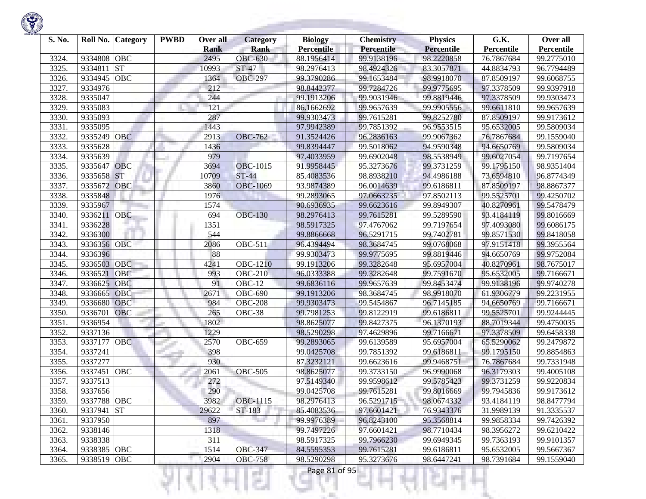| S. No. |                            | Roll No. Category | <b>PWBD</b> | Over all<br><b>Rank</b> | Category<br><b>Rank</b> | <b>Biology</b><br><b>Percentile</b> | <b>Chemistry</b><br>Percentile | <b>Physics</b><br><b>Percentile</b> | G.K.<br>Percentile | Over all<br>Percentile |
|--------|----------------------------|-------------------|-------------|-------------------------|-------------------------|-------------------------------------|--------------------------------|-------------------------------------|--------------------|------------------------|
| 3324.  | 9334808                    | OBC               |             | 2495                    | <b>OBC-630</b>          | 88.1956414                          | 99.9138196                     | 98.2220858                          | 76.7867684         | 99.2775010             |
| 3325.  | 9334811                    | <b>ST</b>         |             | 10993                   | <b>ST-47</b>            | 98.2976413                          | 98.4924326                     | 83.3057871                          | 44.8834793         | 96.7794489             |
| 3326.  | 9334945                    | OBC               |             | 1364                    | <b>OBC-297</b>          | 99.3790286                          | 99.1653484                     | 98.9918070                          | 87.8509197         | 99.6068755             |
| 3327.  | 9334976                    |                   |             | 212                     |                         | 98.8442377                          | 99.7284726                     | 99.9775695                          | 97.3378509         | 99.9397918             |
| 3328.  | 9335047                    |                   |             | 244                     |                         | 99.1913206                          | 99.9031946                     | 99.8819446                          | 97.3378509         | 99.9303473             |
| 3329.  | 9335083                    |                   |             | 121                     |                         | 86.1662692                          | 99.9657639                     | 99.9905556                          | 99.6611810         | 99.9657639             |
| 3330.  | 9335093                    |                   |             | 287                     |                         | 99.9303473                          | 99.7615281                     | 99.8252780                          | 87.8509197         | 99.9173612             |
| 3331.  | 9335095                    |                   |             | 1443                    |                         | 97.9942389                          | 99.7851392                     | 96.9553515                          | 95.6532005         | 99.5809034             |
| 3332.  | 9335249                    | <b>OBC</b>        |             | 2913                    | <b>OBC-762</b>          | 91.3524426                          | 96.2836163                     | 99.9067362                          | 76.7867684         | 99.1559040             |
| 3333.  | 9335628                    |                   |             | 1436                    |                         | 99.8394447                          | 99.5018062                     | 94.9590348                          | 94.6650769         | 99.5809034             |
| 3334.  | 9335639                    |                   |             | 979                     |                         | 97.4033959                          | 99.6902048                     | 98.5538949                          | 99.6027054         | 99.7197654             |
| 3335.  | 9335647                    | OBC               |             | 3694                    | <b>OBC-1015</b>         | 91.9958445                          | 95.3273676                     | 99.3731259                          | 99.1795150         | 98.9351404             |
| 3336.  | 9335658                    | <b>ST</b>         |             | 10709                   | <b>ST-44</b>            | 85.4083536                          | 98.8938210                     | 94.4986188                          | 73.6594810         | 96.8774349             |
| 3337.  | 9335672                    | OBC               |             | 3860                    | <b>OBC-1069</b>         | 93.9874389                          | 96.0014639                     | 99.6186811                          | 87.8509197         | 98.8867377             |
| 3338.  | 9335848                    |                   |             | 1976                    |                         | 99.2893065                          | 97.0663235                     | 97.8502113                          | 99.5525701         | 99.4250702             |
| 3339.  | 9335967                    |                   |             | 1574                    |                         | 90.6936935                          | 99.6623616                     | 99.8949307                          | 40.8270961         | 99.5478479             |
| 3340.  | 9336211                    | OBC               |             | 694                     | <b>OBC-130</b>          | 98.2976413                          | 99.7615281                     | 99.5289590                          | 93.4184119         | 99.8016669             |
| 3341.  | 9336228                    |                   |             | 1351                    |                         | 98.5917325                          | 97.4767062                     | 99.7197654                          | 97.4093080         | 99.6086175             |
| 3342.  | 9336300                    |                   |             | 544                     |                         | 99.8866668                          | 96.5291715                     | 99.7402781                          | 99.8571530         | 99.8418058             |
| 3343.  | 9336356                    | OBC               |             | 2086                    | <b>OBC-511</b>          | 96.4394494                          | 98.3684745                     | 99.0768068                          | 97.9151418         | 99.3955564             |
| 3344.  | 9336396                    |                   |             | 88                      |                         | 99.9303473                          | 99.9775695                     | 99.8819446                          | 94.6650769         | 99.9752084             |
| 3345.  | 9336503                    | OBC               |             | 4241                    | <b>OBC-1210</b>         | 99.1913206                          | 99.3282648                     | 95.6957004                          | 40.8270961         | 98.7675017             |
| 3346.  | 9336521                    | OBC               |             | 993                     | <b>OBC-210</b>          | 96.0333388                          | 99.3282648                     | 99.7591670                          | 95.6532005         | 99.7166671             |
| 3347.  | 9336625                    | OBC               |             | 91                      | <b>OBC-12</b>           | 99.6836116                          | 99.9657639                     | 99.8453474                          | 99.9138196         | 99.9740278             |
| 3348.  | 9336665                    | OBC               |             | 2671                    | <b>OBC-690</b>          | 99.1913206                          | 98.3684745                     | 98.9918070                          | 61.9306779         | 99.2231955             |
| 3349.  | 9336680                    | OBC               |             | 984                     | <b>OBC-208</b>          | 99.9303473                          | 99.5454867                     | 96.7145185                          | 94.6650769         | 99.7166671             |
| 3350.  | 9336701                    | OBC               |             | 265                     | OBC-38                  | 99.7981253                          | 99.8122919                     | 99.6186811                          | 99.5525701         | 99.9244445             |
| 3351.  | 9336954                    |                   |             | 1802                    |                         | 98.8625077                          | 99.8427375                     | 96.1370193                          | 88.7019344         | 99.4750035             |
| 3352.  | 9337136                    |                   |             | 1229                    |                         | 98.5290298                          | 97.4629896                     | 99.7166671                          | 97.3378509         | 99.6458338             |
| 3353.  | 9337177                    | OBC               |             | 2570                    | <b>OBC-659</b>          | 99.2893065                          | 99.6139589                     | 95.6957004                          | 65.5290062         | 99.2479872             |
| 3354.  | 9337241                    |                   |             | 398                     |                         | 99.0425708                          | 99.7851392                     | 99.6186811                          | 99.1795150         | 99.8854863             |
| 3355.  | 9337277                    |                   |             | 930                     |                         | 87.3232121                          | 99.6623616                     | 99.9468751                          | 76.7867684         | 99.7331948             |
| 3356.  | 9337451                    | OBC               |             | 2061                    | <b>OBC-505</b>          | 98.8625077                          | 99.3733150                     | 96.9990068                          | 96.3179303         | 99.4005108             |
| 3357.  | 9337513                    |                   |             | 272                     |                         | 97.5149340                          | 99.9598612                     | 99.5785423                          | 99.3731259         | 99.9220834             |
| 3358.  | 9337656                    |                   |             | 290                     |                         | 99.0425708                          | 99.7615281                     | 99.8016669                          | 99.7945836         | 99.9173612             |
| 3359.  | 9337788 OBC                |                   |             | 3982                    | OBC-1115                | 98.2976413                          | 96.5291715                     | 98.0674332                          | 93.4184119         | 98.8477794             |
| 3360.  | 9337941 ST                 |                   |             | 29622                   | ST-183                  | 85.4083536                          | 97.6601421                     | 76.9343376                          | 31.9989139         | 91.3335537             |
| 3361.  | 9337950                    |                   |             | 897                     |                         | 99.9976389                          | 96.8243100                     | 95.3568814                          | 99.9858334         | 99.7426392             |
| 3362.  | 9338146                    |                   |             | 1318                    |                         | 99.7497226                          | 97.6601421                     | 98.7710434                          | 98.3956272         | 99.6210422             |
| 3363.  | 9338338                    |                   |             | 311                     |                         | 98.5917325                          | 99.7966230                     | 99.6949345                          | 99.7363193         | 99.9101357             |
| 3364.  | 9338385 OBC<br>9338519 OBC |                   |             | 1514                    | <b>OBC-347</b>          | 84.5595353<br>98.5290298            | 99.7615281                     | 99.6186811                          | 95.6532005         | 99.5667367             |
| 3365.  |                            |                   |             | 2904                    | <b>OBC-758</b>          |                                     | 95.3273676                     | 98.6447241                          | 98.7391684         | 99.1559040             |
|        |                            |                   |             |                         |                         | Page 81 of 95                       |                                |                                     |                    |                        |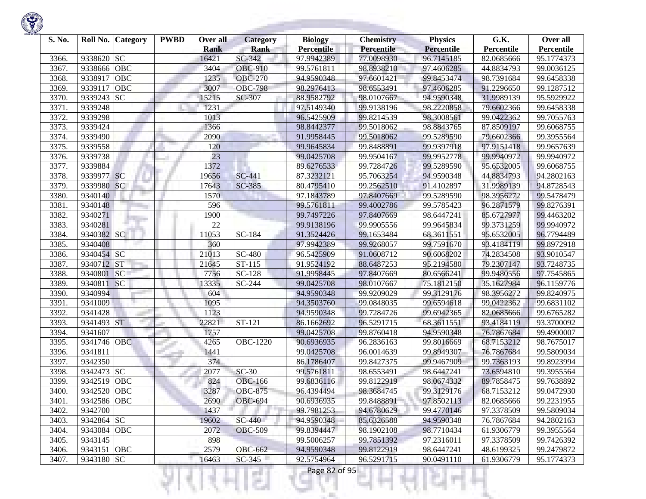

| S. No. |             | Roll No. Category | <b>PWBD</b> | Over all<br><b>Rank</b> | Category<br><b>Rank</b> | <b>Biology</b><br><b>Percentile</b> | <b>Chemistry</b><br>Percentile | <b>Physics</b><br><b>Percentile</b> | G.K.<br>Percentile | Over all<br>Percentile |
|--------|-------------|-------------------|-------------|-------------------------|-------------------------|-------------------------------------|--------------------------------|-------------------------------------|--------------------|------------------------|
| 3366.  | 9338620 SC  |                   |             | 16421                   | $SC-342$                | 97.9942389                          | 77.0098930                     | 96.7145185                          | 82.0685666         | 95.1774373             |
| 3367.  | 9338666     | OBC               |             | 3404                    | <b>OBC-910</b>          | 99.5761811                          | 98.8938210                     | 97.4606285                          | 44.8834793         | 99.0036125             |
| 3368.  | 9338917     | <b>OBC</b>        |             | 1235                    | <b>OBC-270</b>          | 94.9590348                          | 97.6601421                     | 99.8453474                          | 98.7391684         | 99.6458338             |
| 3369.  | 9339117     | OBC               |             | 3007                    | OBC-798                 | 98.2976413                          | 98.6553491                     | 97.4606285                          | 91.2296650         | 99.1287512             |
| 3370.  | 9339243 SC  |                   |             | 15215                   | SC-307                  | 88.9582792                          | 98.0107667                     | 94.9590348                          | 31.9989139         | 95.5929922             |
| 3371.  | 9339248     |                   |             | 1231                    |                         | 97.5149340                          | 99.9138196                     | 98.2220858                          | 79.6602366         | 99.6458338             |
| 3372.  | 9339298     |                   |             | 1013                    |                         | 96.5425909                          | 99.8214539                     | 98.3008561                          | 99.0422362         | 99.7055763             |
| 3373.  | 9339424     |                   |             | 1366                    |                         | 98.8442377                          | 99.5018062                     | 98.8843765                          | 87.8509197         | 99.6068755             |
| 3374.  | 9339490     |                   |             | 2090                    |                         | 91.9958445                          | 99.5018062                     | 99.5289590                          | 79.6602366         | 99.3955564             |
| 3375.  | 9339558     |                   |             | 120                     |                         | 99.9645834                          | 99.8488891                     | 99.9397918                          | 97.9151418         | 99.9657639             |
| 3376.  | 9339738     |                   |             | 23                      |                         | 99.0425708                          | 99.9504167                     | 99.9952778                          | 99.9940972         | 99.9940972             |
| 3377.  | 9339884     |                   |             | 1372                    |                         | 89.6276533                          | 99.7284726                     | 99.5289590                          | 95.6532005         | 99.6068755             |
| 3378.  | 9339977 SC  |                   |             | 19656                   | <b>SC-441</b>           | 87.3232121                          | 95.7063254                     | 94.9590348                          | 44.8834793         | 94.2802163             |
| 3379.  | 9339980     | <b>SC</b>         |             | 17643                   | SC-385                  | 80.4795410                          | 99.2562510                     | 91.4102897                          | 31.9989139         | 94.8728543             |
| 3380.  | 9340140     |                   |             | 1570                    |                         | 97.1843789                          | 97.8407669                     | 99.5289590                          | 98.3956272         | 99.5478479             |
| 3381.  | 9340148     |                   |             | 596                     |                         | 99.5761811                          | 99.4002786                     | 99.5785423                          | 96.2871579         | 99.8276391             |
| 3382.  | 9340271     |                   |             | 1900                    |                         | 99.7497226                          | 97.8407669                     | 98.6447241                          | 85.6727977         | 99.4463202             |
| 3383.  | 9340281     |                   |             | 22                      |                         | 99.9138196                          | 99.9905556                     | 99.9645834                          | 99.3731259         | 99.9940972             |
| 3384.  | 9340382 SC  |                   |             | 11053                   | SC-184                  | 91.3524426                          | 99.1653484                     | 68.3611551                          | 95.6532005         | 96.7794489             |
| 3385.  | 9340408     |                   |             | 360                     |                         | 97.9942389                          | 99.9268057                     | 99.7591670                          | 93.4184119         | 99.8972918             |
| 3386.  | 9340454 SC  |                   |             | 21013                   | $\overline{SC}$ -480    | 96.5425909                          | 91.0608712                     | 90.6068202                          | 74.2834508         | 93.9010547             |
| 3387.  | 9340712 ST  |                   |             | 21645                   | ST-115                  | 91.9524192                          | 88.6487253                     | 95.2194580                          | 79.2307147         | 93.7248735             |
| 3388.  | 9340801     | <b>SC</b>         |             | 7756                    | SC-128                  | 91.9958445                          | 97.8407669                     | 80.6566241                          | 99.9480556         | 97.7545865             |
| 3389.  | 9340811     | SC                |             | 13335                   | SC-244                  | 99.0425708                          | 98.0107667                     | 75.1812150                          | 35.1627984         | 96.1159776             |
| 3390.  | 9340994     |                   |             | 604                     |                         | 94.9590348                          | 99.9209029                     | 99.3129176                          | 98.3956272         | 99.8240975             |
| 3391.  | 9341009     |                   |             | 1095                    |                         | 94.3503760                          | 99.0848035                     | 99.6594618                          | 99.0422362         | 99.6831102             |
| 3392.  | 9341428     |                   |             | 1123                    |                         | 94.9590348                          | 99.7284726                     | 99.6942365                          | 82.0685666         | 99.6765282             |
| 3393.  | 9341493 ST  |                   |             | 22821                   | ST-121                  | 86.1662692                          | 96.5291715                     | 68.3611551                          | 93.4184119         | 93.3700092             |
| 3394.  | 9341607     |                   |             | 1757                    |                         | 99.0425708                          | 99.8760418                     | 94.9590348                          | 76.7867684         | 99.4900007             |
| 3395.  | 9341746 OBC |                   |             | 4265                    | <b>OBC-1220</b>         | 90.6936935                          | 96.2836163                     | 99.8016669                          | 68.7153212         | 98.7675017             |
| 3396.  | 9341811     |                   |             | 1441                    |                         | 99.0425708                          | 96.0014639                     | 99.8949307                          | 76.7867684         | 99.5809034             |
| 3397.  | 9342350     |                   |             | 374                     |                         | 86.1786407                          | 99.8427375                     | 99.9467909                          | 99.7363193         | 99.8923994             |
| 3398.  | 9342473 SC  |                   |             | 2077                    | $SC-30$                 | 99.5761811                          | 98.6553491                     | 98.6447241                          | 73.6594810         | 99.3955564             |
| 3399.  | 9342519     | <b>OBC</b>        |             | 824                     | <b>OBC-166</b>          | 99.6836116                          | 99.8122919                     | 98.0674332                          | 89.7858475         | 99.7638892             |
| 3400.  | 9342520     | <b>OBC</b>        |             | 3287                    | <b>OBC-875</b>          | 96.4394494                          | 98.3684745                     | 99.3129176                          | 68.7153212         | 99.0472930             |
| 3401.  | 9342586 OBC |                   |             | 2690                    | <b>OBC-694</b>          | 90.6936935                          | 99.8488891                     | 97.8502113                          | 82.0685666         | 99.2231955             |
| 3402.  | 9342700     |                   |             | 1437                    |                         | 99.7981253                          | 94.6780629                     | 99.4770146                          | 97.3378509         | 99.5809034             |
| 3403.  | 9342864 SC  |                   |             | 19602                   | SC-440                  | 94.9590348                          | 85.6326588                     | 94.9590348                          | 76.7867684         | 94.2802163             |
| 3404.  | 9343084 OBC |                   |             | 2072                    | <b>OBC-509</b>          | 99.8394447                          | 98.1902108                     | 98.7710434                          | 61.9306779         | 99.3955564             |
| 3405.  | 9343145     |                   |             | 898                     |                         | 99.5006257                          | 99.7851392                     | 97.2316011                          | 97.3378509         | 99.7426392             |
| 3406.  | 9343151 OBC |                   |             | 2579                    | $\overline{O}$ BC-662   | 94.9590348                          | 99.8122919                     | 98.6447241                          | 48.6199325         | 99.2479872             |
| 3407.  | 9343180 SC  |                   |             | 16463                   | $SC-345$                | 92.5754964                          | 96.5291715                     | 90.0491110                          | 61.9306779         | 95.1774373             |
|        |             |                   |             |                         | a Ti                    | Page 82 of 95                       |                                |                                     |                    |                        |

**STORY OF A** 

**State State**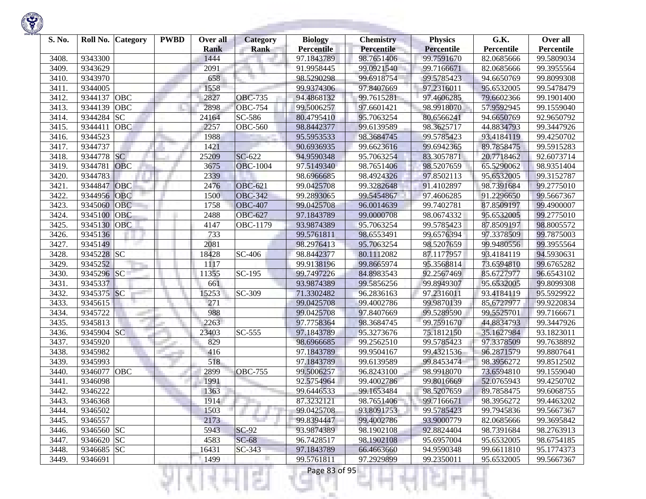| S. No. |            | Roll No. Category | <b>PWBD</b> | Over all<br><b>Rank</b> | <b>Category</b><br><b>Rank</b> | <b>Biology</b><br><b>Percentile</b> | <b>Chemistry</b><br><b>Percentile</b> | <b>Physics</b><br><b>Percentile</b> | G.K.<br>Percentile | Over all<br>Percentile |
|--------|------------|-------------------|-------------|-------------------------|--------------------------------|-------------------------------------|---------------------------------------|-------------------------------------|--------------------|------------------------|
| 3408.  | 9343300    |                   |             | 1444                    |                                | 97.1843789                          | 98.7651406                            | 99.7591670                          | 82.0685666         | 99.5809034             |
| 3409.  | 9343629    |                   |             | 2091                    |                                | 91.9958445                          | 99.0921540                            | 99.7166671                          | 82.0685666         | 99.3955564             |
| 3410.  | 9343970    |                   |             | 658                     |                                | 98.5290298                          | 99.6918754                            | 99.5785423                          | 94.6650769         | 99.8099308             |
| 3411.  | 9344005    |                   |             | 1558                    |                                | 99.9374306                          | 97.8407669                            | 97.2316011                          | 95.6532005         | 99.5478479             |
| 3412.  | 9344137    | OBC               |             | 2827                    | <b>OBC-735</b>                 | 94.4868132                          | 99.7615281                            | 97.4606285                          | 79.6602366         | 99.1901400             |
| 3413.  | 9344139    | OBC               |             | 2898                    | <b>OBC-754</b>                 | 99.5006257                          | 97.6601421                            | 98.9918070                          | 57.9592945         | 99.1559040             |
| 3414.  | 9344284    | <b>SC</b>         |             | 24164                   | SC-586                         | 80.4795410                          | 95.7063254                            | 80.6566241                          | 94.6650769         | 92.9650792             |
| 3415.  | 9344411    | OBC               |             | 2257                    | <b>OBC-560</b>                 | 98.8442377                          | 99.6139589                            | 98.3625717                          | 44.8834793         | 99.3447926             |
| 3416.  | 9344523    |                   |             | 1988                    |                                | 95.5953533                          | 98.3684745                            | 99.5785423                          | 93.4184119         | 99.4250702             |
| 3417.  | 9344737    |                   |             | 1421                    |                                | 90.6936935                          | 99.6623616                            | 99.6942365                          | 89.7858475         | 99.5915283             |
| 3418.  | 9344778    | <b>SC</b>         |             | 25209                   | SC-622                         | 94.9590348                          | 95.7063254                            | 83.3057871                          | 20.7718462         | 92.6073714             |
| 3419.  | 9344781    | OBC               |             | 3675                    | <b>OBC-1004</b>                | 97.5149340                          | 98.7651406                            | 98.5207659                          | 65.5290062         | 98.9351404             |
| 3420.  | 9344783    |                   |             | 2339                    |                                | 98.6966685                          | 98.4924326                            | 97.8502113                          | 95.6532005         | 99.3152787             |
| 3421.  | 9344847    | OBC               |             | 2476                    | <b>OBC-621</b>                 | 99.0425708                          | 99.3282648                            | 91.4102897                          | 98.7391684         | 99.2775010             |
| 3422.  | 9344956    | OBC               |             | 1500                    | <b>OBC-342</b>                 | 99.2893065                          | 99.5454867                            | 97.4606285                          | 91.2296650         | 99.5667367             |
| 3423.  | 9345060    | <b>OBC</b>        |             | 1758                    | <b>OBC-407</b>                 | 99.0425708                          | 96.0014639                            | 99.7402781                          | 87.8509197         | 99.4900007             |
| 3424.  | 9345100    | OBC               |             | 2488                    | <b>OBC-627</b>                 | 97.1843789                          | 99.0000708                            | 98.0674332                          | 95.6532005         | 99.2775010             |
| 3425.  | 9345130    | <b>OBC</b>        |             | 4147                    | OBC-1179                       | 93.9874389                          | 95.7063254                            | 99.5785423                          | 87.8509197         | 98.8005572             |
| 3426.  | 9345136    |                   |             | 733                     |                                | 99.5761811                          | 98.6553491                            | 99.6576394                          | 97.3378509         | 99.7875003             |
| 3427.  | 9345149    |                   |             | 2081                    |                                | 98.2976413                          | 95.7063254                            | 98.5207659                          | 99.9480556         | 99.3955564             |
| 3428.  | 9345228 SC |                   |             | 18428                   | SC-406                         | 98.8442377                          | 80.1112082                            | 87.1177957                          | 93.4184119         | 94.5930631             |
| 3429.  | 9345252    |                   |             | 1117                    |                                | 99.9138196                          | 99.8665974                            | 95.3568814                          | 73.6594810         | 99.6765282             |
| 3430.  | 9345296 SC |                   |             | 11355                   | SC-195                         | 99.7497226                          | 84.8983543                            | 92.2567469                          | 85.6727977         | 96.6543102             |
| 3431.  | 9345337    |                   |             | 661                     |                                | 93.9874389                          | 99.5856256                            | 99.8949307                          | 95.6532005         | 99.8099308             |
| 3432.  | 9345375    | SC                |             | 15253                   | SC-309                         | 71.3302482                          | 96.2836163                            | 97.2316011                          | 93.4184119         | 95.5929922             |
| 3433.  | 9345615    |                   |             | 271                     |                                | 99.0425708                          | 99.4002786                            | 99.9870139                          | 85.6727977         | 99.9220834             |
| 3434.  | 9345722    |                   |             | 988                     |                                | 99.0425708                          | 97.8407669                            | 99.5289590                          | 99.5525701         | 99.7166671             |
| 3435.  | 9345813    |                   |             | 2263                    |                                | 97.7758364                          | 98.3684745                            | 99.7591670                          | 44.8834793         | 99.3447926             |
| 3436.  | 9345904 SC |                   |             | 23403                   | $\overline{SC}$ -555           | 97.1843789                          | 95.3273676                            | 75.1812150                          | 35.1627984         | 93.1823011             |
| 3437.  | 9345920    |                   |             | 829                     |                                | 98.6966685                          | 99.2562510                            | 99.5785423                          | 97.3378509         | 99.7638892             |
| 3438.  | 9345982    |                   |             | 416                     |                                | 97.1843789                          | 99.9504167                            | 99.4321536                          | 96.2871579         | 99.8807641             |
| 3439.  | 9345993    |                   |             | 518                     |                                | 97.1843789                          | 99.6139589                            | 99.8453474                          | 98.3956272         | 99.8512502             |
| 3440.  | 9346077    | OBC               |             | 2899                    | <b>OBC-755</b>                 | 99.5006257                          | 96.8243100                            | 98.9918070                          | 73.6594810         | 99.1559040             |
| 3441.  | 9346098    |                   |             | 1991                    |                                | 92.5754964                          | 99.4002786                            | 99.8016669                          | 52.0765943         | 99.4250702             |
| 3442.  | 9346222    |                   |             | 1363                    |                                | 99.6446533                          | 99.1653484                            | 98.5207659                          | 89.7858475         | 99.6068755             |
| 3443.  | 9346368    |                   |             | 1914                    |                                | 87.3232121                          | 98.7651406                            | 99.7166671                          | 98.3956272         | 99.4463202             |
| 3444.  | 9346502    |                   |             | 1503                    |                                | 99.0425708                          | 93.8091753                            | 99.5785423                          | 99.7945836         | 99.5667367             |
| 3445.  | 9346557    |                   |             | 2173                    |                                | 99.8394447                          | 99.4002786                            | 93.9000779                          | 82.0685666         | 99.3695842             |
| 3446.  | 9346560 SC |                   |             | 5943                    | $SC-92$                        | 93.9874389                          | 98.1902108                            | 92.8824404                          | 98.7391684         | 98.2763913             |
| 3447.  | 9346620 SC |                   |             | 4583                    | $SC-68$                        | 96.7428517                          | 98.1902108                            | 95.6957004                          | 95.6532005         | 98.6754185             |
| 3448.  | 9346685 SC |                   |             | 16431                   | $SC-343$                       | 97.1843789                          | 66.4663660                            | 94.9590348                          | 99.6611810         | 95.1774373             |
| 3449.  | 9346691    |                   |             | 1499                    |                                | 99.5761811                          | 97.2929899                            | 99.2350011                          | 95.6532005         | 99.5667367             |
|        |            |                   |             |                         |                                | Page 83 of 95                       |                                       |                                     |                    |                        |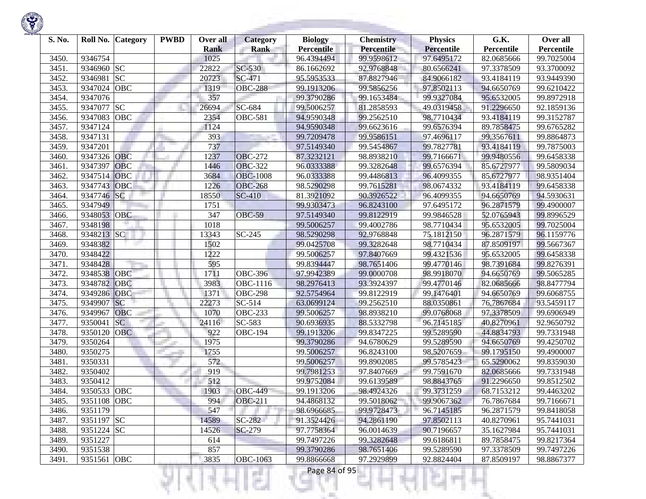

| S. No. | Roll No.    | <b>Category</b> | <b>PWBD</b> | Over all<br><b>Rank</b> | Category<br><b>Rank</b> | <b>Biology</b><br><b>Percentile</b> | <b>Chemistry</b><br>Percentile | <b>Physics</b><br><b>Percentile</b> | G.K.<br>Percentile | Over all<br>Percentile |
|--------|-------------|-----------------|-------------|-------------------------|-------------------------|-------------------------------------|--------------------------------|-------------------------------------|--------------------|------------------------|
| 3450.  | 9346754     |                 |             | 1025                    |                         | 96.4394494                          | 99.9598612                     | 97.6495172                          | 82.0685666         | 99.7025004             |
| 3451.  | 9346960 SC  |                 |             | 22822                   | SC-530                  | 86.1662692                          | 92.9768848                     | 80.6566241                          | 97.3378509         | 93.3700092             |
| 3452.  | 9346981     | <b>SC</b>       |             | 20723                   | SC-471                  | 95.5953533                          | 87.8827946                     | 84.9066182                          | 93.4184119         | 93.9449390             |
| 3453.  | 9347024     | OBC             |             | 1319                    | <b>OBC-288</b>          | 99.1913206                          | 99.5856256                     | 97.8502113                          | 94.6650769         | 99.6210422             |
| 3454.  | 9347076     |                 |             | 357                     |                         | 99.3790286                          | 99.1653484                     | 99.9327084                          | 95.6532005         | 99.8972918             |
| 3455.  | 9347077     | <b>SC</b>       |             | 26694                   | SC-684                  | 99.5006257                          | 81.2858593                     | 49.0319458                          | 91.2296650         | 92.1859136             |
| 3456.  | 9347083     | OBC             |             | 2354                    | <b>OBC-581</b>          | 94.9590348                          | 99.2562510                     | 98.7710434                          | 93.4184119         | 99.3152787             |
| 3457.  | 9347124     |                 |             | 1124                    |                         | 94.9590348                          | 99.6623616                     | 99.6576394                          | 89.7858475         | 99.6765282             |
| 3458.  | 9347131     |                 |             | 393                     |                         | 99.7209478                          | 99.9586151                     | 97.4696117                          | 99.3567611         | 99.8864873             |
| 3459.  | 9347201     |                 |             | 737                     |                         | 97.5149340                          | 99.5454867                     | 99.7827781                          | 93.4184119         | 99.7875003             |
| 3460.  | 9347326     | OBC             |             | 1237                    | <b>OBC-272</b>          | 87.3232121                          | 98.8938210                     | 99.7166671                          | 99.9480556         | 99.6458338             |
| 3461.  | 9347397     | OBC             |             | 1446                    | <b>OBC-322</b>          | 96.0333388                          | 99.3282648                     | 99.6576394                          | 85.6727977         | 99.5809034             |
| 3462.  | 9347514     | OBC             |             | 3684                    | <b>OBC-1008</b>         | 96.0333388                          | 99.4486813                     | 96.4099355                          | 85.6727977         | 98.9351404             |
| 3463.  | 9347743     | OBC             |             | 1226                    | <b>OBC-268</b>          | 98.5290298                          | 99.7615281                     | 98.0674332                          | 93.4184119         | 99.6458338             |
| 3464.  | 9347746 SC  |                 |             | 18550                   | <b>SC-410</b>           | 81.3921092                          | 90.3926522                     | 96.4099355                          | 94.6650769         | 94.5930631             |
| 3465.  | 9347949     |                 |             | 1751                    |                         | 99.9303473                          | 96.8243100                     | 97.6495172                          | 96.2871579         | 99.4900007             |
| 3466.  | 9348053     | OBC             |             | 347                     | <b>OBC-59</b>           | 97.5149340                          | 99.8122919                     | 99.9846528                          | 52.0765943         | 99.8996529             |
| 3467.  | 9348198     |                 |             | 1018                    |                         | 99.5006257                          | 99.4002786                     | 98.7710434                          | 95.6532005         | 99.7025004             |
| 3468.  | 9348213 SC  |                 |             | 13343                   | SC-245                  | 98.5290298                          | 92.9768848                     | 75.1812150                          | 96.2871579         | 96.1159776             |
| 3469.  | 9348382     |                 |             | 1502                    |                         | 99.0425708                          | 99.3282648                     | 98.7710434                          | 87.8509197         | 99.5667367             |
| 3470.  | 9348422     |                 |             | 1222                    |                         | 99.5006257                          | 97.8407669                     | 99.4321536                          | 95.6532005         | 99.6458338             |
| 3471.  | 9348428     |                 |             | 595                     |                         | 99.8394447                          | 98.7651406                     | 99.4770146                          | 98.7391684         | 99.8276391             |
| 3472.  | 9348538     | OBC             |             | 1711                    | <b>OBC-396</b>          | 97.9942389                          | 99.0000708                     | 98.9918070                          | 94.6650769         | 99.5065285             |
| 3473.  | 9348782     | OBC             |             | 3983                    | OBC-1116                | 98.2976413                          | 93.3924397                     | 99.4770146                          | 82.0685666         | 98.8477794             |
| 3474.  | 9349286     | OBC             |             | 1371                    | <b>OBC-298</b>          | 92.5754964                          | 99.8122919                     | 99.1476401                          | 94.6650769         | 99.6068755             |
| 3475.  | 9349907     | <sub>SC</sub>   |             | 22273                   | $SC-514$                | 63.0699124                          | 99.2562510                     | 88.0350861                          | 76.7867684         | 93.5459117             |
| 3476.  | 9349967     | OBC             |             | 1070                    | <b>OBC-233</b>          | 99.5006257                          | 98.8938210                     | 99.0768068                          | 97.3378509         | 99.6906949             |
| 3477.  | 9350041     | <b>SC</b>       |             | 24116                   | SC-583                  | 90.6936935                          | 88.5332798                     | 96.7145185                          | 40.8270961         | 92.9650792             |
| 3478.  | 9350120     | <b>OBC</b>      |             | 922                     | <b>OBC-194</b>          | 99.1913206                          | 99.8347225                     | 99.5289590                          | 44.8834793         | 99.7331948             |
| 3479.  | 9350264     |                 |             | 1975                    |                         | 99.3790286                          | 94.6780629                     | 99.5289590                          | 94.6650769         | 99.4250702             |
| 3480.  | 9350275     |                 |             | 1755                    |                         | 99.5006257                          | 96.8243100                     | 98.5207659                          | 99.1795150         | 99.4900007             |
| 3481.  | 9350331     |                 |             | 572                     |                         | 99.5006257                          | 99.8902085                     | 99.5785423                          | 65.5290062         | 99.8359030             |
| 3482.  | 9350402     |                 |             | 919                     |                         | 99.7981253                          | 97.8407669                     | 99.7591670                          | 82.0685666         | 99.7331948             |
| 3483.  | 9350412     |                 |             | 512                     |                         | 99.9752084                          | 99.6139589                     | 98.8843765                          | 91.2296650         | 99.8512502             |
| 3484.  | 9350533 OBC |                 |             | 1903                    | <b>OBC-449</b>          | 99.1913206                          | 98.4924326                     | 99.3731259                          | 68.7153212         | 99.4463202             |
| 3485.  | 9351108 OBC |                 |             | 994                     | <b>OBC-211</b>          | 94.4868132                          | 99.5018062                     | 99.9067362                          | 76.7867684         | 99.7166671             |
| 3486.  | 9351179     |                 |             | 547                     |                         | 98.6966685                          | 99.9728473                     | 96.7145185                          | 96.2871579         | 99.8418058             |
| 3487.  | 9351197 SC  |                 |             | 14589                   | SC-282                  | 91.3524426                          | 94.2861190                     | 97.8502113                          | 40.8270961         | 95.7441031             |
| 3488.  | 9351224 SC  |                 |             | 14526                   | SC-279                  | 97.7758364                          | 96.0014639                     | 90.7196657                          | 35.1627984         | 95.7441031             |
| 3489.  | 9351227     |                 |             | 614                     |                         | 99.7497226                          | 99.3282648                     | 99.6186811                          | 89.7858475         | 99.8217364             |
| 3490.  | 9351538     |                 |             | 857                     |                         | 99.3790286                          | 98.7651406                     | 99.5289590                          | 97.3378509         | 99.7497226             |
| 3491.  | 9351561 OBC |                 |             | 3835                    | <b>OBC-1063</b>         | 99.8866668                          | 97.2929899                     | 92.8824404                          | 87.8509197         | 98.8867377             |
|        |             |                 |             |                         |                         | Page 84 of 95                       |                                |                                     |                    |                        |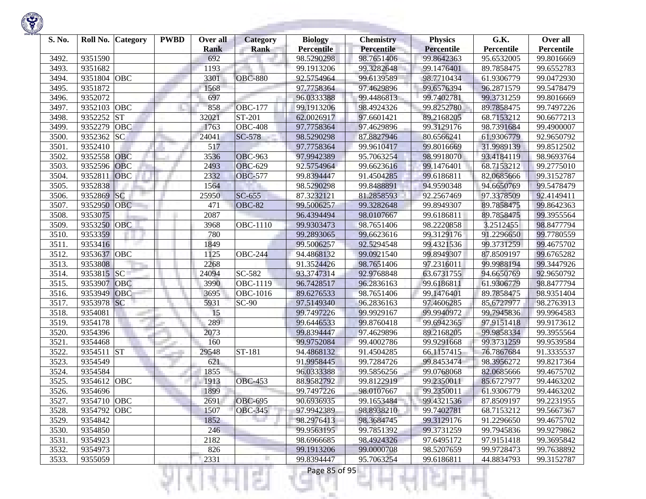| S. No. | Roll No.    | <b>Category</b> | <b>PWBD</b> | Over all<br><b>Rank</b> | <b>Category</b><br><b>Rank</b> | <b>Biology</b><br><b>Percentile</b> | <b>Chemistry</b><br><b>Percentile</b> | <b>Physics</b><br><b>Percentile</b> | G.K.<br>Percentile | Over all<br>Percentile |
|--------|-------------|-----------------|-------------|-------------------------|--------------------------------|-------------------------------------|---------------------------------------|-------------------------------------|--------------------|------------------------|
| 3492   | 9351590     |                 |             | 692                     |                                | 98.5290298                          | 98.7651406                            | 99.8642363                          | 95.6532005         | 99.8016669             |
| 3493.  | 9351682     |                 |             | 1193                    |                                | 99.1913206                          | 99.3282648                            | 99.1476401                          | 89.7858475         | 99.6552783             |
| 3494.  | 9351804     | OBC             |             | 3301                    | <b>OBC-880</b>                 | 92.5754964                          | 99.6139589                            | 98.7710434                          | 61.9306779         | 99.0472930             |
| 3495.  | 9351872     |                 |             | 1568                    |                                | 97.7758364                          | 97.4629896                            | 99.6576394                          | 96.2871579         | 99.5478479             |
| 3496.  | 9352072     |                 |             | 697                     |                                | 96.0333388                          | 99.4486813                            | 99.7402781                          | 99.3731259         | 99.8016669             |
| 3497.  | 9352103 OBC |                 |             | 858                     | <b>OBC-177</b>                 | 99.1913206                          | 98.4924326                            | 99.8252780                          | 89.7858475         | 99.7497226             |
| 3498.  | 9352252     | <b>ST</b>       |             | 32021                   | ST-201                         | 62.0026917                          | 97.6601421                            | 89.2168205                          | 68.7153212         | 90.6677213             |
| 3499.  | 9352279     | OBC             |             | 1763                    | $\overline{O}$ BC-408          | 97.7758364                          | 97.4629896                            | 99.3129176                          | 98.7391684         | 99.4900007             |
| 3500.  | 9352362     | <b>SC</b>       |             | 24041                   | SC-578                         | 98.5290298                          | 87.8827946                            | 80.6566241                          | 61.9306779         | 92.9650792             |
| 3501.  | 9352410     |                 |             | 517                     |                                | 97.7758364                          | 99.9610417                            | 99.8016669                          | 31.9989139         | 99.8512502             |
| 3502   | 9352558     | <b>OBC</b>      |             | 3536                    | <b>OBC-963</b>                 | 97.9942389                          | 95.7063254                            | 98.9918070                          | 93.4184119         | 98.9693764             |
| 3503.  | 9352596     | OBC             |             | 2493                    | <b>OBC-629</b>                 | 92.5754964                          | 99.6623616                            | 99.1476401                          | 68.7153212         | 99.2775010             |
| 3504.  | 9352811     | OBC             |             | 2332                    | <b>OBC-577</b>                 | 99.8394447                          | 91.4504285                            | 99.6186811                          | 82.0685666         | 99.3152787             |
| 3505.  | 9352838     |                 |             | 1564                    |                                | 98.5290298                          | 99.8488891                            | 94.9590348                          | 94.6650769         | 99.5478479             |
| 3506.  | 9352869     | SC              |             | 25950                   | $SC-655$                       | 87.3232121                          | 81.2858593                            | 92.2567469                          | 97.3378509         | 92.4149411             |
| 3507.  | 9352950     | <b>OBC</b>      |             | 471                     | <b>OBC-82</b>                  | 99.5006257                          | 99.3282648                            | 99.8949307                          | 89.7858475         | 99.8642363             |
| 3508.  | 9353075     |                 |             | 2087                    |                                | 96.4394494                          | 98.0107667                            | 99.6186811                          | 89.7858475         | 99.3955564             |
| 3509.  | 9353250     | OBC             |             | 3968                    | <b>OBC-1110</b>                | 99.9303473                          | 98.7651406                            | 98.2220858                          | 3.2512455          | 98.8477794             |
| 3510.  | 9353359     |                 |             | 780                     |                                | 99.2893065                          | 99.6623616                            | 99.3129176                          | 91.2296650         | 99.7780559             |
| 3511.  | 9353416     |                 |             | 1849                    |                                | 99.5006257                          | 92.5294548                            | 99.4321536                          | 99.3731259         | 99.4675702             |
| 3512.  | 9353637 OBC |                 |             | 1125                    | <b>OBC-244</b>                 | 94.4868132                          | 99.0921540                            | 99.8949307                          | 87.8509197         | 99.6765282             |
| 3513.  | 9353808     |                 |             | 2268                    |                                | 91.3524426                          | 98.7651406                            | 97.2316011                          | 99.9988194         | 99.3447926             |
| 3514.  | 9353815 SC  |                 |             | 24094                   | SC-582                         | 93.3747314                          | 92.9768848                            | 63.6731755                          | 94.6650769         | 92.9650792             |
| 3515.  | 9353907     | OBC             |             | 3990                    | OBC-1119                       | 96.7428517                          | 96.2836163                            | 99.6186811                          | 61.9306779         | 98.8477794             |
| 3516.  | 9353949     | OBC             |             | 3695                    | OBC-1016                       | 89.6276533                          | 98.7651406                            | 99.1476401                          | 89.7858475         | 98.9351404             |
| 3517.  | 9353978     | <b>SC</b>       |             | 5931                    | $SC-90$                        | 97.5149340                          | 96.2836163                            | 97.4606285                          | 85.6727977         | 98.2763913             |
| 3518.  | 9354081     |                 |             | 15                      |                                | 99.7497226                          | 99.9929167                            | 99.9940972                          | 99.7945836         | 99.9964583             |
| 3519.  | 9354178     | mar.            |             | 289                     |                                | 99.6446533                          | 99.8760418                            | 99.6942365                          | 97.9151418         | 99.9173612             |
| 3520.  | 9354396     |                 |             | 2073                    |                                | 99.8394447                          | 97.4629896                            | 89.2168205                          | 99.9858334         | 99.3955564             |
| 3521.  | 9354468     |                 |             | 160                     |                                | 99.9752084                          | 99.4002786                            | 99.9291668                          | 99.3731259         | 99.9539584             |
| 3522   | 9354511 ST  |                 |             | 29548                   | ST-181                         | 94.4868132                          | 91.4504285                            | 66.1157415                          | 76.7867684         | 91.3335537             |
| 3523.  | 9354549     |                 |             | 621                     |                                | 91.9958445                          | 99.7284726                            | 99.8453474                          | 98.3956272         | 99.8217364             |
| 3524.  | 9354584     |                 |             | 1855                    |                                | 96.0333388                          | 99.5856256                            | 99.0768068                          | 82.0685666         | 99.4675702             |
| 3525.  | 9354612     | OBC             |             | 1913                    | <b>OBC-453</b>                 | 88.9582792                          | 99.8122919                            | 99.2350011                          | 85.6727977         | 99.4463202             |
| 3526.  | 9354696     |                 |             | 1899                    |                                | 99.7497226                          | 98.0107667                            | 99.2350011                          | 61.9306779         | 99.4463202             |
| 3527.  | 9354710 OBC |                 |             | 2691                    | <b>OBC-695</b>                 | 90.6936935                          | 99.1653484                            | 99.4321536                          | 87.8509197         | 99.2231955             |
| 3528.  | 9354792 OBC |                 |             | 1507                    | <b>OBC-345</b>                 | 97.9942389                          | 98.8938210                            | 99.7402781                          | 68.7153212         | 99.5667367             |
| 3529.  | 9354842     |                 |             | 1852                    |                                | 98.2976413                          | 98.3684745                            | 99.3129176                          | 91.2296650         | 99.4675702             |
| 3530.  | 9354850     |                 |             | 246                     |                                | 99.9563195                          | 99.7851392                            | 99.3731259                          | 99.7945836         | 99.9279862             |
| 3531.  | 9354923     |                 |             | 2182                    |                                | 98.6966685                          | 98.4924326                            | 97.6495172                          | 97.9151418         | 99.3695842             |
| 3532.  | 9354973     |                 |             | 826                     |                                | 99.1913206                          | 99.0000708                            | 98.5207659                          | 99.9728473         | 99.7638892             |
| 3533.  | 9355059     |                 |             | 2331                    |                                | 99.8394447                          | 95.7063254                            | 99.6186811                          | 44.8834793         | 99.3152787             |
|        |             |                 |             |                         | a a                            | Page 85 of 95                       |                                       |                                     |                    |                        |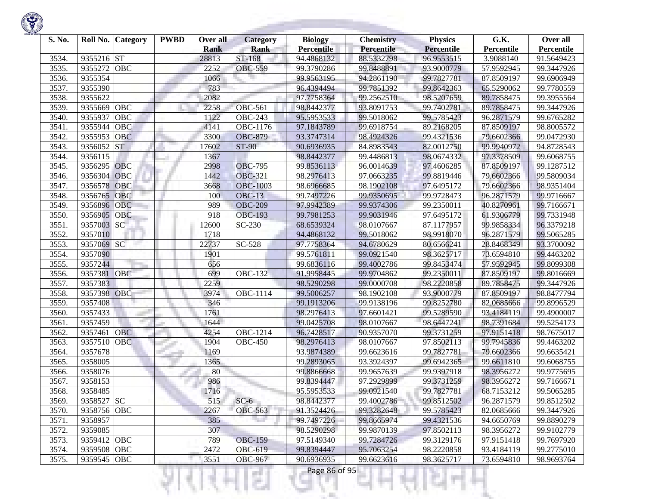

| S. No. | Roll No.    | <b>Category</b> | <b>PWBD</b> | Over all<br><b>Rank</b> | <b>Category</b><br><b>Rank</b> | <b>Biology</b><br><b>Percentile</b> | <b>Chemistry</b><br>Percentile | <b>Physics</b><br><b>Percentile</b> | G.K.<br>Percentile | Over all<br>Percentile |
|--------|-------------|-----------------|-------------|-------------------------|--------------------------------|-------------------------------------|--------------------------------|-------------------------------------|--------------------|------------------------|
| 3534.  | 9355216 ST  |                 |             | 28813                   | ST-168                         | 94.4868132                          | 88.5332798                     | 96.9553515                          | 3.9088140          | 91.5649423             |
| 3535.  | 9355272     | OBC             |             | 2252                    | <b>OBC-559</b>                 | 99.3790286                          | 99.8488891                     | 93.9000779                          | 57.9592945         | 99.3447926             |
| 3536.  | 9355354     |                 |             | 1066                    |                                | 99.9563195                          | 94.2861190                     | 99.7827781                          | 87.8509197         | 99.6906949             |
| 3537.  | 9355390     |                 |             | 783                     |                                | 96.4394494                          | 99.7851392                     | 99.8642363                          | 65.5290062         | 99.7780559             |
| 3538.  | 9355622     |                 |             | 2082                    |                                | 97.7758364                          | 99.2562510                     | 98.5207659                          | 89.7858475         | 99.3955564             |
| 3539.  | 9355669     | OBC             |             | 2258                    | <b>OBC-561</b>                 | 98.8442377                          | 93.8091753                     | 99.7402781                          | 89.7858475         | 99.3447926             |
| 3540.  | 9355937     | OBC             |             | 1122                    | <b>OBC-243</b>                 | 95.5953533                          | 99.5018062                     | 99.5785423                          | 96.2871579         | 99.6765282             |
| 3541.  | 9355944     | OBC             |             | 4141                    | OBC-1176                       | 97.1843789                          | 99.6918754                     | 89.2168205                          | 87.8509197         | 98.8005572             |
| 3542.  | 9355953     | OBC             |             | 3300                    | <b>OBC-879</b>                 | 93.3747314                          | 98.4924326                     | 99.4321536                          | 79.6602366         | 99.0472930             |
| 3543.  | 9356052     | <b>ST</b>       |             | 17602                   | $ST-90$                        | 90.6936935                          | 84.8983543                     | 82.0012750                          | 99.9940972         | 94.8728543             |
| 3544.  | 9356115     |                 |             | 1367                    |                                | 98.8442377                          | 99.4486813                     | 98.0674332                          | 97.3378509         | 99.6068755             |
| 3545.  | 9356295     | OBC             |             | 2998                    | <b>OBC-795</b>                 | 99.8536113                          | 96.0014639                     | 97.4606285                          | 87.8509197         | 99.1287512             |
| 3546.  | 9356304     | OBC             |             | 1442                    | <b>OBC-321</b>                 | 98.2976413                          | 97.0663235                     | 99.8819446                          | 79.6602366         | 99.5809034             |
| 3547.  | 9356578     | OBC             |             | 3668                    | <b>OBC-1003</b>                | 98.6966685                          | 98.1902108                     | 97.6495172                          | 79.6602366         | 98.9351404             |
| 3548.  | 9356765     | <b>OBC</b>      |             | 100                     | <b>OBC-13</b>                  | 99.7497226                          | 99.9350695                     | 99.9728473                          | 96.2871579         | 99.9716667             |
| 3549.  | 9356896     | OBC             |             | 989                     | <b>OBC-209</b>                 | 97.9942389                          | 99.9374306                     | 99.2350011                          | 40.8270961         | 99.7166671             |
| 3550.  | 9356905     | OBC             |             | 918                     | <b>OBC-193</b>                 | 99.7981253                          | 99.9031946                     | 97.6495172                          | 61.9306779         | 99.7331948             |
| 3551.  | 9357003     | SC              |             | 12600                   | SC-230                         | 68.6539324                          | 98.0107667                     | 87.1177957                          | 99.9858334         | 96.3379218             |
| 3552.  | 9357010     |                 |             | 1718                    |                                | 94.4868132                          | 99.5018062                     | 98.9918070                          | 96.2871579         | 99.5065285             |
| 3553.  | 9357069     | <b>SC</b>       |             | 22737                   | SC-528                         | 97.7758364                          | 94.6780629                     | 80.6566241                          | 28.8468349         | 93.3700092             |
| 3554.  | 9357090     |                 |             | 1901                    |                                | 99.5761811                          | 99.0921540                     | 98.3625717                          | 73.6594810         | 99.4463202             |
| 3555.  | 9357244     |                 |             | 656                     |                                | 99.6836116                          | 99.4002786                     | 99.8453474                          | 57.9592945         | 99.8099308             |
| 3556.  | 9357381     | OBC             |             | 699                     | <b>OBC-132</b>                 | 91.9958445                          | 99.9704862                     | 99.2350011                          | 87.8509197         | 99.8016669             |
| 3557.  | 9357383     |                 |             | 2259                    |                                | 98.5290298                          | 99.0000708                     | 98.2220858                          | 89.7858475         | 99.3447926             |
| 3558.  | 9357398     | <b>OBC</b>      |             | 3974                    | $\overline{\text{OBC}}$ -1114  | 99.5006257                          | 98.1902108                     | 93.9000779                          | 87.8509197         | 98.8477794             |
| 3559.  | 9357408     |                 |             | 346                     |                                | 99.1913206                          | 99.9138196                     | 99.8252780                          | 82.0685666         | 99.8996529             |
| 3560.  | 9357433     |                 |             | 1761                    |                                | 98.2976413                          | 97.6601421                     | 99.5289590                          | 93.4184119         | 99.4900007             |
| 3561.  | 9357459     | m.              |             | 1644                    |                                | 99.0425708                          | 98.0107667                     | 98.6447241                          | 98.7391684         | 99.5254173             |
| 3562.  | 9357461     | OBC             |             | 4254                    | $\overline{OBC}$ -1214         | 96.7428517                          | 90.9357070                     | 99.3731259                          | 97.9151418         | 98.7675017             |
| 3563.  | 9357510     | OBC             |             | 1904                    | <b>OBC-450</b>                 | 98.2976413                          | 98.0107667                     | 97.8502113                          | 99.7945836         | 99.4463202             |
| 3564.  | 9357678     |                 |             | 1169                    |                                | 93.9874389                          | 99.6623616                     | 99.7827781                          | 79.6602366         | 99.6635421             |
| 3565.  | 9358005     |                 |             | 1365                    |                                | 99.2893065                          | 93.3924397                     | 99.6942365                          | 99.6611810         | 99.6068755             |
| 3566.  | 9358076     |                 |             | 80                      |                                | 99.8866668                          | 99.9657639                     | 99.9397918                          | 98.3956272         | 99.9775695             |
| 3567.  | 9358153     |                 |             | 986                     |                                | 99.8394447                          | 97.2929899                     | 99.3731259                          | 98.3956272         | 99.7166671             |
| 3568.  | 9358485     |                 |             | 1716                    |                                | 95.5953533                          | 99.0921540                     | 99.7827781                          | 68.7153212         | 99.5065285             |
| 3569.  | 9358527 SC  |                 |             | 515                     | $SC-6$                         | 98.8442377                          | 99.4002786                     | 99.8512502                          | 96.2871579         | 99.8512502             |
| 3570.  | 9358756 OBC |                 |             | 2267                    | <b>OBC-563</b>                 | 91.3524426                          | 99.3282648                     | 99.5785423                          | 82.0685666         | 99.3447926             |
| 3571.  | 9358957     |                 |             | 385                     |                                | 99.7497226                          | 99.8665974                     | 99.4321536                          | 94.6650769         | 99.8890279             |
| 3572.  | 9359085     |                 |             | 307                     |                                | 98.5290298                          | 99.9870139                     | 97.8502113                          | 98.3956272         | 99.9102779             |
| 3573.  | 9359412 OBC |                 |             | 789                     | <b>OBC-159</b>                 | 97.5149340                          | 99.7284726                     | 99.3129176                          | 97.9151418         | 99.7697920             |
| 3574.  | 9359508 OBC |                 |             | 2472                    | <b>OBC-619</b>                 | 99.8394447                          | 95.7063254                     | 98.2220858                          | 93.4184119         | 99.2775010             |
| 3575.  | 9359545 OBC |                 |             | 3551                    | <b>OBC-967</b>                 | 90.6936935                          | 99.6623616                     | 98.3625717                          | 73.6594810         | 98.9693764             |
|        |             |                 |             |                         | 51                             | Page 86 of 95                       |                                |                                     |                    |                        |

**Common Street** 

**State of Concession**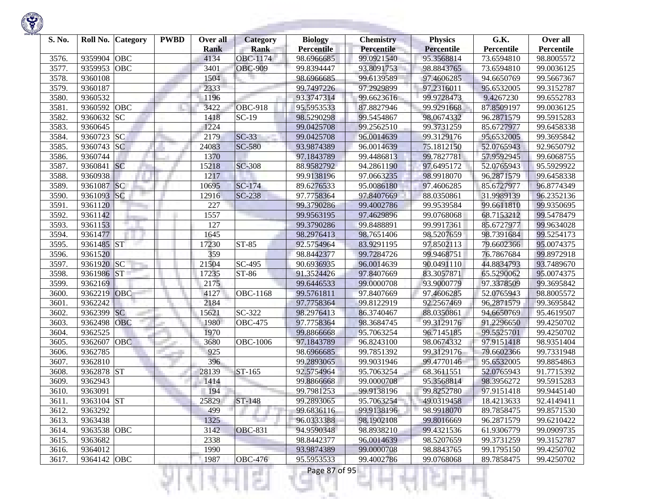| S. No. | Roll No.<br><b>Category</b> | <b>PWBD</b> | Over all    | <b>Category</b>      | <b>Biology</b>    | <b>Chemistry</b> | <b>Physics</b>    | G.K.       | Over all   |
|--------|-----------------------------|-------------|-------------|----------------------|-------------------|------------------|-------------------|------------|------------|
|        |                             |             | <b>Rank</b> | <b>Rank</b>          | <b>Percentile</b> | Percentile       | <b>Percentile</b> | Percentile | Percentile |
| 3576.  | 9359904<br>OBC              |             | 4134        | OBC-1174             | 98.6966685        | 99.0921540       | 95.3568814        | 73.6594810 | 98.8005572 |
| 3577.  | OBC<br>9359953              |             | 3401        | <b>OBC-909</b>       | 99.8394447        | 93.8091753       | 98.8843765        | 73.6594810 | 99.0036125 |
| 3578.  | 9360108                     |             | 1504        |                      | 98.6966685        | 99.6139589       | 97.4606285        | 94.6650769 | 99.5667367 |
| 3579.  | 9360187                     |             | 2333        |                      | 99.7497226        | 97.2929899       | 97.2316011        | 95.6532005 | 99.3152787 |
| 3580.  | 9360532                     |             | 1196        |                      | 93.3747314        | 99.6623616       | 99.9728473        | 9.4267230  | 99.6552783 |
| 3581.  | OBC<br>9360592              |             | 3422        | <b>OBC-918</b>       | 95.5953533        | 87.8827946       | 99.9291668        | 87.8509197 | 99.0036125 |
| 3582.  | 9360632<br><b>SC</b>        |             | 1418        | $SC-19$              | 98.5290298        | 99.5454867       | 98.0674332        | 96.2871579 | 99.5915283 |
| 3583.  | 9360645                     |             | 1224        |                      | 99.0425708        | 99.2562510       | 99.3731259        | 85.6727977 | 99.6458338 |
| 3584.  | 9360723<br><b>SC</b>        |             | 2179        | $SC-33$              | 99.0425708        | 96.0014639       | 99.3129176        | 95.6532005 | 99.3695842 |
| 3585.  | 9360743 SC                  |             | 24083       | <b>SC-580</b>        | 93.9874389        | 96.0014639       | 75.1812150        | 52.0765943 | 92.9650792 |
| 3586.  | 9360744                     |             | 1370        |                      | 97.1843789        | 99.4486813       | 99.7827781        | 57.9592945 | 99.6068755 |
| 3587.  | <b>SC</b><br>9360841        |             | 15218       | <b>SC-308</b>        | 88.9582792        | 94.2861190       | 97.6495172        | 52.0765943 | 95.5929922 |
| 3588.  | 9360938                     |             | 1217        |                      | 99.9138196        | 97.0663235       | 98.9918070        | 96.2871579 | 99.6458338 |
| 3589.  | <sub>SC</sub><br>9361087    |             | 10695       | SC-174               | 89.6276533        | 95.0086180       | 97.4606285        | 85.6727977 | 96.8774349 |
| 3590.  | SC<br>9361093               |             | 12916       | SC-238               | 97.7758364        | 97.8407669       | 88.0350861        | 31.9989139 | 96.2352136 |
| 3591.  | 9361120                     |             | 227         |                      | 99.3790286        | 99.4002786       | 99.9539584        | 99.6611810 | 99.9350695 |
| 3592.  | 9361142                     |             | 1557        |                      | 99.9563195        | 97.4629896       | 99.0768068        | 68.7153212 | 99.5478479 |
| 3593.  | 9361153                     |             | 127         |                      | 99.3790286        | 99.8488891       | 99.9917361        | 85.6727977 | 99.9634028 |
| 3594.  | 9361477                     |             | 1645        |                      | 98.2976413        | 98.7651406       | 98.5207659        | 98.7391684 | 99.5254173 |
| 3595.  | 9361485 ST                  |             | 17230       | ST-85                | 92.5754964        | 83.9291195       | 97.8502113        | 79.6602366 | 95.0074375 |
| 3596.  | 9361520                     |             | 359         |                      | 98.8442377        | 99.7284726       | 99.9468751        | 76.7867684 | 99.8972918 |
| 3597.  | SC<br>9361920               |             | 21504       | $\overline{SC}$ -495 | 90.6936935        | 96.0014639       | 90.0491110        | 44.8834793 | 93.7489670 |
| 3598.  | <b>ST</b><br>9361986        |             | 17235       | ST-86                | 91.3524426        | 97.8407669       | 83.3057871        | 65.5290062 | 95.0074375 |
| 3599.  | 9362169                     |             | 2175        |                      | 99.6446533        | 99.0000708       | 93.9000779        | 97.3378509 | 99.3695842 |
| 3600.  | 9362219<br>OBC              |             | 4127        | OBC-1168             | 99.5761811        | 97.8407669       | 97.4606285        | 52.0765943 | 98.8005572 |
| 3601.  | 9362242                     |             | 2184        |                      | 97.7758364        | 99.8122919       | 92.2567469        | 96.2871579 | 99.3695842 |
| 3602.  | 9362399<br><b>SC</b>        |             | 15621       | $\overline{SC}$ -322 | 98.2976413        | 86.3740467       | 88.0350861        | 94.6650769 | 95.4619507 |
| 3603.  | OBC<br>9362498              |             | 1980        | <b>OBC-475</b>       | 97.7758364        | 98.3684745       | 99.3129176        | 91.2296650 | 99.4250702 |
| 3604.  | 9362525                     |             | 1970        |                      | 99.8866668        | 95.7063254       | 96.7145185        | 99.5525701 | 99.4250702 |
| 3605.  | <b>OBC</b><br>9362607       |             | 3680        | <b>OBC-1006</b>      | 97.1843789        | 96.8243100       | 98.0674332        | 97.9151418 | 98.9351404 |
| 3606.  | 9362785                     |             | 925         |                      | 98.6966685        | 99.7851392       | 99.3129176        | 79.6602366 | 99.7331948 |
| 3607.  | 9362810                     |             | 396         |                      | 99.2893065        | 99.9031946       | 99.4770146        | 95.6532005 | 99.8854863 |
| 3608.  | <b>ST</b><br>9362878        |             | 28139       | ST-165               | 92.5754964        | 95.7063254       | 68.3611551        | 52.0765943 | 91.7715392 |
| 3609.  | 9362943                     |             | 1414        |                      | 99.8866668        | 99.0000708       | 95.3568814        | 98.3956272 | 99.5915283 |
| 3610.  | 9363091                     |             | 194         |                      | 99.7981253        | 99.9138196       | 99.8252780        | 97.9151418 | 99.9445140 |
| 3611.  | 9363104 ST                  |             | 25829       | $ST-148$             | 99.2893065        | 95.7063254       | 49.0319458        | 18.4213633 | 92.4149411 |
| 3612.  | 9363292                     |             | 499         |                      | 99.6836116        | 99.9138196       | 98.9918070        | 89.7858475 | 99.8571530 |
| 3613.  | 9363438                     |             | 1325        |                      | 96.0333388        | 98.1902108       | 99.8016669        | 96.2871579 | 99.6210422 |
| 3614.  | 9363538 OBC                 |             | 3142        | <b>OBC-831</b>       | 94.9590348        | 98.8938210       | 99.4321536        | 61.9306779 | 99.0909735 |
| 3615.  | 9363682                     |             | 2338        |                      | 98.8442377        | 96.0014639       | 98.5207659        | 99.3731259 | 99.3152787 |
| 3616.  | 9364012                     |             | 1990        |                      | 93.9874389        | 99.0000708       | 98.8843765        | 99.1795150 | 99.4250702 |
| 3617.  | 9364142 OBC                 |             | 1987        | <b>OBC-476</b>       | 95.5953533        | 99.4002786       | 99.0768068        | 89.7858475 | 99.4250702 |

m

÷ Ш

₹Н

v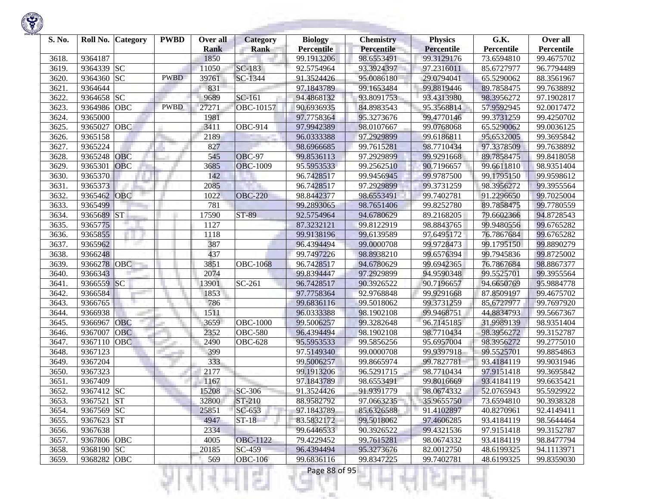

| S. No. |             | Roll No. Category | <b>PWBD</b> | Over all<br><b>Rank</b> | <b>Category</b><br><b>Rank</b> | <b>Biology</b><br><b>Percentile</b> | <b>Chemistry</b><br>Percentile | <b>Physics</b><br><b>Percentile</b> | G.K.<br>Percentile | Over all<br>Percentile |
|--------|-------------|-------------------|-------------|-------------------------|--------------------------------|-------------------------------------|--------------------------------|-------------------------------------|--------------------|------------------------|
| 3618.  | 9364187     |                   |             | 1850                    |                                | 99.1913206                          | 98.6553491                     | 99.3129176                          | 73.6594810         | 99.4675702             |
| 3619.  | 9364339 SC  |                   |             | 11050                   | SC-183                         | 92.5754964                          | 93.3924397                     | 97.2316011                          | 85.6727977         | 96.7794489             |
| 3620.  | 9364360     | <b>SC</b>         | <b>PWBD</b> | 39761                   | SC-1344                        | 91.3524426                          | 95.0086180                     | 29.0794041                          | 65.5290062         | 88.3561967             |
| 3621.  | 9364644     |                   |             | 831                     |                                | 97.1843789                          | 99.1653484                     | 99.8819446                          | 89.7858475         | 99.7638892             |
| 3622.  | 9364658     | SC                |             | 9689                    | SC-161                         | 94.4868132                          | 93.8091753                     | 93.4313980                          | 98.3956272         | 97.1902817             |
| 3623.  | 9364986     | OBC               | <b>PWBD</b> | 27271                   | OBC-10157                      | 90.6936935                          | 84.8983543                     | 95.3568814                          | 57.9592945         | 92.0017472             |
| 3624.  | 9365000     |                   |             | 1981                    |                                | 97.7758364                          | 95.3273676                     | 99.4770146                          | 99.3731259         | 99.4250702             |
| 3625.  | 9365027     | OBC               |             | 3411                    | <b>OBC-914</b>                 | 97.9942389                          | 98.0107667                     | 99.0768068                          | 65.5290062         | 99.0036125             |
| 3626.  | 9365158     |                   |             | 2189                    |                                | 96.0333388                          | 97.2929899                     | 99.6186811                          | 95.6532005         | 99.3695842             |
| 3627.  | 9365224     |                   |             | 827                     |                                | 98.6966685                          | 99.7615281                     | 98.7710434                          | 97.3378509         | 99.7638892             |
| 3628.  | 9365248     | OBC               |             | 545                     | <b>OBC-97</b>                  | 99.8536113                          | 97.2929899                     | 99.9291668                          | 89.7858475         | 99.8418058             |
| 3629.  | 9365301     | <b>OBC</b>        |             | 3685                    | <b>OBC-1009</b>                | 95.5953533                          | 99.2562510                     | 90.7196657                          | 99.6611810         | 98.9351404             |
| 3630.  | 9365370     |                   |             | 142                     |                                | 96.7428517                          | 99.9456945                     | 99.9787500                          | 99.1795150         | 99.9598612             |
| 3631.  | 9365373     |                   |             | 2085                    |                                | 96.7428517                          | 97.2929899                     | 99.3731259                          | 98.3956272         | 99.3955564             |
| 3632.  | 9365462     | <b>OBC</b>        |             | 1022                    | <b>OBC-220</b>                 | 98.8442377                          | 98.6553491                     | 99.7402781                          | 91.2296650         | 99.7025004             |
| 3633.  | 9365499     |                   |             | 781                     |                                | 99.2893065                          | 98.7651406                     | 99.8252780                          | 89.7858475         | 99.7780559             |
| 3634.  | 9365689     | <b>ST</b>         |             | 17590                   | ST-89                          | 92.5754964                          | 94.6780629                     | 89.2168205                          | 79.6602366         | 94.8728543             |
| 3635.  | 9365775     |                   |             | 1127                    |                                | 87.3232121                          | 99.8122919                     | 98.8843765                          | 99.9480556         | 99.6765282             |
| 3636.  | 9365855     |                   |             | 1118                    |                                | 99.9138196                          | 99.6139589                     | 97.6495172                          | 76.7867684         | 99.6765282             |
| 3637.  | 9365962     |                   |             | 387                     |                                | 96.4394494                          | 99.0000708                     | 99.9728473                          | 99.1795150         | 99.8890279             |
| 3638.  | 9366248     |                   |             | 437                     |                                | 99.7497226                          | 98.8938210                     | 99.6576394                          | 99.7945836         | 99.8725002             |
| 3639.  | 9366278     | <b>OBC</b>        |             | 3851                    | <b>OBC-1068</b>                | 96.7428517                          | 94.6780629                     | 99.6942365                          | 76.7867684         | 98.8867377             |
| 3640.  | 9366343     |                   |             | 2074                    |                                | 99.8394447                          | 97.2929899                     | 94.9590348                          | 99.5525701         | 99.3955564             |
| 3641.  | 9366559     | <b>SC</b>         |             | 13901                   | SC-261                         | 96.7428517                          | 90.3926522                     | 90.7196657                          | 94.6650769         | 95.9884778             |
| 3642.  | 9366584     |                   |             | 1853                    |                                | 97.7758364                          | 92.9768848                     | 99.9291668                          | 87.8509197         | 99.4675702             |
| 3643.  | 9366765     |                   |             | 786                     |                                | 99.6836116                          | 99.5018062                     | 99.3731259                          | 85.6727977         | 99.7697920             |
| 3644.  | 9366938     |                   |             | 1511                    |                                | 96.0333388                          | 98.1902108                     | 99.9468751                          | 44.8834793         | 99.5667367             |
| 3645.  | 9366967     | <b>OBC</b>        |             | 3659                    | <b>OBC-1000</b>                | 99.5006257                          | 99.3282648                     | 96.7145185                          | 31.9989139         | 98.9351404             |
| 3646.  | 9367007     | <b>OBC</b>        |             | 2352                    | <b>OBC-580</b>                 | 96.4394494                          | 98.1902108                     | 98.7710434                          | 98.3956272         | 99.3152787             |
| 3647.  | 9367110     | <b>OBC</b>        |             | 2490                    | <b>OBC-628</b>                 | 95.5953533                          | 99.5856256                     | 95.6957004                          | 98.3956272         | 99.2775010             |
| 3648.  | 9367123     |                   |             | 399                     |                                | 97.5149340                          | 99.0000708                     | 99.9397918                          | 99.5525701         | 99.8854863             |
| 3649.  | 9367204     |                   |             | 333                     |                                | 99.5006257                          | 99.8665974                     | 99.7827781                          | 93.4184119         | 99.9031946             |
| 3650.  | 9367323     |                   |             | 2177                    |                                | 99.1913206                          | 96.5291715                     | 98.7710434                          | 97.9151418         | 99.3695842             |
| 3651   | 9367409     |                   |             | 1167                    |                                | 97.1843789                          | 98.6553491                     | 99.8016669                          | 93.4184119         | 99.6635421             |
| 3652.  | 9367412 SC  |                   |             | 15208                   | SC-306                         | 91.3524426                          | 91.9391779                     | 98.0674332                          | 52.0765943         | 95.5929922             |
| 3653.  | 9367521 ST  |                   |             | 32800                   | ST-210                         | 88.9582792                          | 97.0663235                     | 35.9655750                          | 73.6594810         | 90.3938328             |
| 3654.  | 9367569 SC  |                   |             | 25851                   | $SC-653$                       | 97.1843789                          | 85.6326588                     | 91.4102897                          | 40.8270961         | 92.4149411             |
| 3655.  | 9367623 ST  |                   |             | 4947                    | $ST-18$                        | 83.5832172                          | 99.5018062                     | 97.4606285                          | 93.4184119         | 98.5644464             |
| 3656.  | 9367638     |                   |             | 2334                    |                                | 99.6446533                          | 90.3926522                     | 99.4321536                          | 97.9151418         | 99.3152787             |
| 3657.  | 9367806 OBC |                   |             | 4005                    | <b>OBC-1122</b>                | 79.4229452                          | 99.7615281                     | 98.0674332                          | 93.4184119         | 98.8477794             |
| 3658.  | 9368190 SC  |                   |             | 20185                   | SC-459                         | 96.4394494                          | 95.3273676                     | 82.0012750                          | 48.6199325         | 94.1113971             |
| 3659.  | 9368282 OBC |                   |             | 569                     | <b>OBC-106</b>                 | 99.6836116                          | 99.8347225                     | 99.7402781                          | 48.6199325         | 99.8359030             |
|        |             |                   |             |                         | a Tin                          | Page 88 of 95                       |                                |                                     |                    |                        |

**STORY OF A** 

**Contract Contract**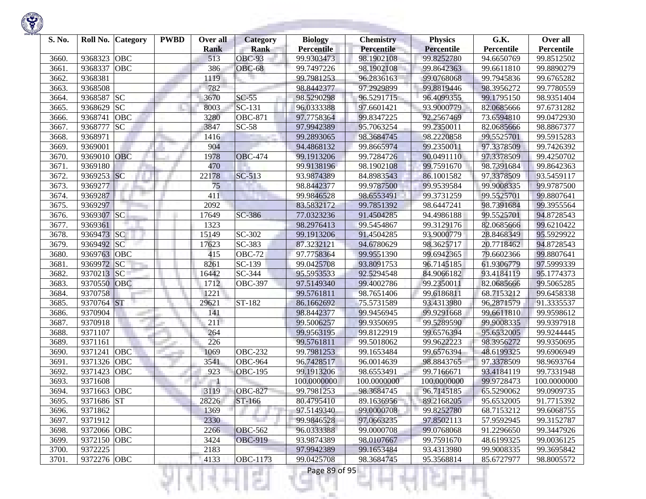| S. No. |             | Roll No. Category | <b>PWBD</b> | Over all<br><b>Rank</b> | <b>Category</b><br><b>Rank</b> | <b>Biology</b><br><b>Percentile</b> | <b>Chemistry</b><br><b>Percentile</b> | <b>Physics</b><br><b>Percentile</b> | G.K.<br>Percentile | Over all<br>Percentile |
|--------|-------------|-------------------|-------------|-------------------------|--------------------------------|-------------------------------------|---------------------------------------|-------------------------------------|--------------------|------------------------|
| 3660.  | 9368323     | <b>OBC</b>        |             | 513                     | <b>OBC-93</b>                  | 99.9303473                          | 98.1902108                            | 99.8252780                          | 94.6650769         | 99.8512502             |
| 3661.  | 9368337     | OBC               |             | 386                     | <b>OBC-68</b>                  | 99.7497226                          | 98.1902108                            | 99.8642363                          | 99.6611810         | 99.8890279             |
| 3662.  | 9368381     |                   |             | 1119                    |                                | 99.7981253                          | 96.2836163                            | 99.0768068                          | 99.7945836         | 99.6765282             |
| 3663.  | 9368508     |                   |             | 782                     |                                | 98.8442377                          | 97.2929899                            | 99.8819446                          | 98.3956272         | 99.7780559             |
| 3664.  | 9368587     | <b>SC</b>         |             | 3670                    | $SC-55$                        | 98.5290298                          | 96.5291715                            | 96.4099355                          | 99.1795150         | 98.9351404             |
| 3665.  | 9368629     | <b>SC</b>         |             | 8003                    | SC-131                         | 96.0333388                          | 97.6601421                            | 93.9000779                          | 82.0685666         | 97.6731282             |
| 3666.  | 9368741     | OBC               |             | 3280                    | <b>OBC-871</b>                 | 97.7758364                          | 99.8347225                            | 92.2567469                          | 73.6594810         | 99.0472930             |
| 3667.  | 9368777     | <b>SC</b>         |             | 3847                    | $SC-58$                        | 97.9942389                          | 95.7063254                            | 99.2350011                          | 82.0685666         | 98.8867377             |
| 3668.  | 9368971     |                   |             | 1416                    |                                | 99.2893065                          | 98.3684745                            | 98.2220858                          | 99.5525701         | 99.5915283             |
| 3669.  | 9369001     |                   |             | 904                     |                                | 94.4868132                          | 99.8665974                            | 99.2350011                          | 97.3378509         | 99.7426392             |
| 3670.  | 9369010     | <b>OBC</b>        |             | 1978                    | <b>OBC-474</b>                 | 99.1913206                          | 99.7284726                            | 90.0491110                          | 97.3378509         | 99.4250702             |
| 3671.  | 9369180     |                   |             | 470                     |                                | 99.9138196                          | 98.1902108                            | 99.7591670                          | 98.7391684         | 99.8642363             |
| 3672.  | 9369253 SC  |                   |             | 22178                   | SC-513                         | 93.9874389                          | 84.8983543                            | 86.1001582                          | 97.3378509         | 93.5459117             |
| 3673.  | 9369277     |                   |             | 75                      |                                | 98.8442377                          | 99.9787500                            | 99.9539584                          | 99.9008335         | 99.9787500             |
| 3674.  | 9369287     |                   |             | 411                     |                                | 99.9846528                          | 98.6553491                            | 99.3731259                          | 99.5525701         | 99.8807641             |
| 3675.  | 9369297     |                   |             | 2092                    |                                | 83.5832172                          | 99.7851392                            | 98.6447241                          | 98.7391684         | 99.3955564             |
| 3676.  | 9369307 SC  |                   |             | 17649                   | SC-386                         | 77.0323236                          | 91.4504285                            | 94.4986188                          | 99.5525701         | 94.8728543             |
| 3677.  | 9369361     |                   |             | 1323                    |                                | 98.2976413                          | 99.5454867                            | 99.3129176                          | 82.0685666         | 99.6210422             |
| 3678.  | 9369473 SC  |                   |             | 15149                   | SC-302                         | 99.1913206                          | 91.4504285                            | 93.9000779                          | 28.8468349         | 95.5929922             |
| 3679.  | 9369492 SC  |                   |             | 17623                   | SC-383                         | 87.3232121                          | 94.6780629                            | 98.3625717                          | 20.7718462         | 94.8728543             |
| 3680.  | 9369763     | <b>OBC</b>        |             | 415                     | <b>OBC-72</b>                  | 97.7758364                          | 99.9551390                            | 99.6942365                          | 79.6602366         | 99.8807641             |
| 3681.  | 9369972     | <b>SC</b>         |             | 8261                    | SC-139                         | 99.0425708                          | 93.8091753                            | 96.7145185                          | 61.9306779         | 97.5999339             |
| 3682.  | 9370213     | SC                |             | 16442                   | SC-344                         | 95.5953533                          | 92.5294548                            | 84.9066182                          | 93.4184119         | 95.1774373             |
| 3683.  | 9370550     | OBC               |             | 1712                    | <b>OBC-397</b>                 | 97.5149340                          | 99.4002786                            | 99.2350011                          | 82.0685666         | 99.5065285             |
| 3684.  | 9370758     |                   |             | 1221                    |                                | 99.5761811                          | 98.7651406                            | 99.6186811                          | 68.7153212         | 99.6458338             |
| 3685.  | 9370764 ST  |                   |             | 29621                   | ST-182                         | 86.1662692                          | 75.5731589                            | 93.4313980                          | 96.2871579         | 91.3335537             |
| 3686.  | 9370904     |                   |             | 141                     |                                | 98.8442377                          | 99.9456945                            | 99.9291668                          | 99.6611810         | 99.9598612             |
| 3687.  | 9370918     |                   |             | 211                     |                                | 99.5006257                          | 99.9350695                            | 99.5289590                          | 99.9008335         | 99.9397918             |
| 3688.  | 9371107     |                   |             | 264                     |                                | 99.9563195                          | 99.8122919                            | 99.6576394                          | 95.6532005         | 99.9244445             |
| 3689.  | 9371161     |                   |             | 226                     |                                | 99.5761811                          | 99.5018062                            | 99.9622223                          | 98.3956272         | 99.9350695             |
| 3690.  | 9371241     | OBC               |             | 1069                    | <b>OBC-232</b>                 | 99.7981253                          | 99.1653484                            | 99.6576394                          | 48.6199325         | 99.6906949             |
| 3691.  | 9371326     | OBC               |             | 3541                    | <b>OBC-964</b>                 | 96.7428517                          | 96.0014639                            | 98.8843765                          | 97.3378509         | 98.9693764             |
| 3692.  | 9371423     | OBC               |             | 923                     | <b>OBC-195</b>                 | 99.1913206                          | 98.6553491                            | 99.7166671                          | 93.4184119         | 99.7331948             |
| 3693.  | 9371608     |                   |             |                         |                                | 100.0000000                         | 100.0000000                           | 100.0000000                         | 99.9728473         | 100.0000000            |
| 3694.  | 9371663     | OBC               |             | 3119                    | <b>OBC-827</b>                 | 99.7981253                          | 98.3684745                            | 96.7145185                          | 65.5290062         | 99.0909735             |
| 3695.  | 9371686 ST  |                   |             | 28226                   | ST-166                         | 80.4795410                          | 89.1636956                            | 89.2168205                          | 95.6532005         | 91.7715392             |
| 3696.  | 9371862     |                   |             | 1369                    |                                | 97.5149340                          | 99.0000708                            | 99.8252780                          | 68.7153212         | 99.6068755             |
| 3697.  | 9371912     |                   |             | 2330                    |                                | 99.9846528                          | 97.0663235                            | 97.8502113                          | 57.9592945         | 99.3152787             |
| 3698.  | 9372066 OBC |                   |             | 2266                    | <b>OBC-562</b>                 | 96.0333388                          | 99.0000708                            | 99.0768068                          | 91.2296650         | 99.3447926             |
| 3699.  | 9372150 OBC |                   |             | 3424                    | <b>OBC-919</b>                 | 93.9874389                          | 98.0107667                            | 99.7591670                          | 48.6199325         | 99.0036125             |
| 3700.  | 9372225     |                   |             | 2183                    |                                | 97.9942389                          | 99.1653484                            | 93.4313980                          | 99.9008335         | 99.3695842             |
| 3701.  | 9372276 OBC |                   |             | 4133                    | OBC-1173                       | 99.0425708                          | 98.3684745                            | 95.3568814                          | 85.6727977         | 98.8005572             |
|        |             |                   |             |                         |                                | Page 89 of 95                       |                                       |                                     |                    |                        |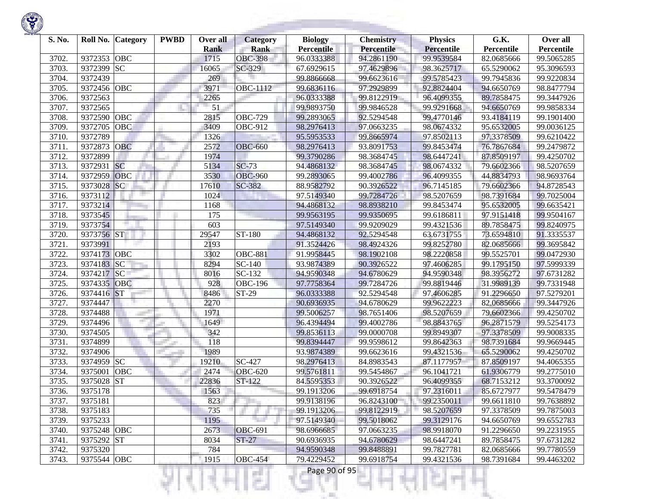| S. No. | Roll No. Category     | <b>PWBD</b> | Over all<br><b>Rank</b> | <b>Category</b><br><b>Rank</b> | <b>Biology</b><br><b>Percentile</b> | <b>Chemistry</b><br><b>Percentile</b> | <b>Physics</b><br><b>Percentile</b> | G.K.<br>Percentile | Over all<br>Percentile |
|--------|-----------------------|-------------|-------------------------|--------------------------------|-------------------------------------|---------------------------------------|-------------------------------------|--------------------|------------------------|
| 3702.  | 9372353<br>OBC        |             | 1715                    | <b>OBC-398</b>                 | 96.0333388                          | 94.2861190                            | 99.9539584                          | 82.0685666         | 99.5065285             |
| 3703.  | <b>SC</b><br>9372399  |             | 16065                   | SC-329                         | 67.6929615                          | 97.4629896                            | 98.3625717                          | 65.5290062         | 95.3096593             |
| 3704.  | 9372439               |             | 269                     |                                | 99.8866668                          | 99.6623616                            | 99.5785423                          | 99.7945836         | 99.9220834             |
| 3705.  | OBC<br>9372456        |             | 3971                    | OBC-1112                       | 99.6836116                          | 97.2929899                            | 92.8824404                          | 94.6650769         | 98.8477794             |
| 3706.  | 9372563               |             | 2265                    |                                | 96.0333388                          | 99.8122919                            | 96.4099355                          | 89.7858475         | 99.3447926             |
| 3707.  | 9372565               |             | 51                      |                                | 99.9893750                          | 99.9846528                            | 99.9291668                          | 94.6650769         |                        |
|        | OBC<br>9372590        |             | 2815                    |                                | 99.2893065                          | 92.5294548                            | 99.4770146                          |                    | 99.9858334             |
| 3708.  | 9372705<br>OBC        |             |                         | <b>OBC-729</b>                 |                                     |                                       |                                     | 93.4184119         | 99.1901400             |
| 3709.  | 9372789               |             | 3409                    | <b>OBC-912</b>                 | 98.2976413                          | 97.0663235                            | 98.0674332<br>97.8502113            | 95.6532005         | 99.0036125             |
| 3710.  |                       |             | 1326                    |                                | 95.5953533                          | 99.8665974                            |                                     | 97.3378509         | 99.6210422             |
| 3711.  | 9372873<br>OBC        |             | 2572                    | <b>OBC-660</b>                 | 98.2976413                          | 93.8091753                            | 99.8453474                          | 76.7867684         | 99.2479872             |
| 3712.  | 9372899               |             | 1974                    |                                | 99.3790286                          | 98.3684745                            | 98.6447241                          | 87.8509197         | 99.4250702             |
| 3713.  | <b>SC</b><br>9372931  |             | 5134                    | $SC-73$                        | 94.4868132                          | 98.3684745                            | 98.0674332                          | 79.6602366         | 98.5207659             |
| 3714.  | OBC<br>9372959        |             | 3530                    | <b>OBC-960</b>                 | 99.2893065                          | 99.4002786                            | 96.4099355                          | 44.8834793         | 98.9693764             |
| 3715.  | 9373028<br> SC        |             | 17610                   | SC-382                         | 88.9582792                          | 90.3926522                            | 96.7145185                          | 79.6602366         | 94.8728543             |
| 3716.  | 9373112               |             | 1024                    |                                | 97.5149340                          | 99.7284726                            | 98.5207659                          | 98.7391684         | 99.7025004             |
| 3717.  | 9373214               |             | 1168                    |                                | 94.4868132                          | 98.8938210                            | 99.8453474                          | 95.6532005         | 99.6635421             |
| 3718.  | 9373545               |             | 175                     |                                | 99.9563195                          | 99.9350695                            | 99.6186811                          | 97.9151418         | 99.9504167             |
| 3719.  | 9373754               |             | 603                     |                                | 97.5149340                          | 99.9209029                            | 99.4321536                          | 89.7858475         | 99.8240975             |
| 3720.  | 9373756 ST            |             | 29547                   | ST-180                         | 94.4868132                          | 92.5294548                            | 63.6731755                          | 73.6594810         | 91.3335537             |
| 3721.  | 9373991               |             | 2193                    |                                | 91.3524426                          | 98.4924326                            | 99.8252780                          | 82.0685666         | 99.3695842             |
| 3722.  | 9374173<br> OBC       |             | 3302                    | <b>OBC-881</b>                 | 91.9958445                          | 98.1902108                            | 98.2220858                          | 99.5525701         | 99.0472930             |
| 3723.  | 9374183<br> SC        |             | 8294                    | SC-140                         | 93.9874389                          | 90.3926522                            | 97.4606285                          | 99.1795150         | 97.5999339             |
| 3724.  | 9374217<br><b>SC</b>  |             | 8016                    | SC-132                         | 94.9590348                          | 94.6780629                            | 94.9590348                          | 98.3956272         | 97.6731282             |
| 3725.  | <b>OBC</b><br>9374335 |             | 928                     | <b>OBC-196</b>                 | 97.7758364                          | 99.7284726                            | 99.8819446                          | 31.9989139         | 99.7331948             |
| 3726.  | ST <br>9374416        |             | 8486                    | ST-29                          | 96.0333388                          | 92.5294548                            | 97.4606285                          | 91.2296650         | 97.5279201             |
| 3727.  | 9374447               |             | 2270                    |                                | 90.6936935                          | 94.6780629                            | 99.9622223                          | 82.0685666         | 99.3447926             |
| 3728.  | 9374488               |             | 1971                    |                                | 99.5006257                          | 98.7651406                            | 98.5207659                          | 79.6602366         | 99.4250702             |
| 3729.  | 9374496               |             | 1649                    |                                | 96.4394494                          | 99.4002786                            | 98.8843765                          | 96.2871579         | 99.5254173             |
| 3730.  | 9374505               |             | 342                     |                                | 99.8536113                          | 99.0000708                            | 99.8949307                          | 97.3378509         | 99.9008335             |
| 3731.  | 9374899               |             | 118                     |                                | 99.8394447                          | 99.9598612                            | 99.8642363                          | 98.7391684         | 99.9669445             |
| 3732.  | 9374906               |             | 1989                    |                                | 93.9874389                          | 99.6623616                            | 99.4321536                          | 65.5290062         | 99.4250702             |
| 3733.  | <b>SC</b><br>9374959  |             | 19210                   | $\overline{SC}$ -427           | 98.2976413                          | 84.8983543                            | 87.1177957                          | 87.8509197         | 94.4065355             |
| 3734.  | OBC<br>9375001        |             | 2474                    | <b>OBC-620</b>                 | 99.5761811                          | 99.5454867                            | 96.1041721                          | 61.9306779         | 99.2775010             |
| 3735.  | <b>ST</b><br>9375028  |             | 22836                   | ST-122                         | 84.5595353                          | 90.3926522                            | 96.4099355                          | 68.7153212         | 93.3700092             |
| 3736.  | 9375178               |             | 1563                    |                                | 99.1913206                          | 99.6918754                            | 97.2316011                          | 85.6727977         | 99.5478479             |
| 3737.  | 9375181               |             | 823                     |                                | 99.9138196                          | 96.8243100                            | 99.2350011                          | 99.6611810         | 99.7638892             |
| 3738.  | 9375183               |             | 735                     |                                | 99.1913206                          | 99.8122919                            | 98.5207659                          | 97.3378509         | 99.7875003             |
| 3739.  | 9375233               |             | 1195                    |                                | 97.5149340                          | 99.5018062                            | 99.3129176                          | 94.6650769         | 99.6552783             |
| 3740.  | 9375248 OBC           |             | 2673                    | <b>OBC-691</b>                 | 98.6966685                          | 97.0663235                            | 98.9918070                          | 91.2296650         | 99.2231955             |
| 3741.  | 9375292 ST            |             | 8034                    | $ST-27$                        | 90.6936935                          | 94.6780629                            | 98.6447241                          | 89.7858475         | 97.6731282             |
| 3742.  | 9375320               |             | 784                     |                                | 94.9590348                          | 99.8488891                            | 99.7827781                          | 82.0685666         | 99.7780559             |
| 3743.  | 9375544 OBC           |             | 1915                    | <b>OBC-454</b>                 | 79.4229452                          | 99.6918754                            | 99.4321536                          | 98.7391684         | 99.4463202             |

₹Н

Ч

m

÷ п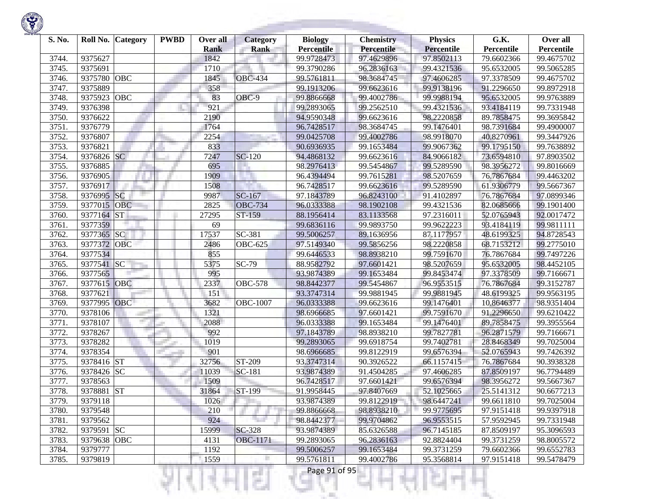

| S. No. |             | Roll No. Category | <b>PWBD</b> | Over all<br><b>Rank</b> | <b>Category</b><br><b>Rank</b> | <b>Biology</b><br><b>Percentile</b> | <b>Chemistry</b><br>Percentile | <b>Physics</b><br><b>Percentile</b> | G.K.<br>Percentile | Over all<br>Percentile |
|--------|-------------|-------------------|-------------|-------------------------|--------------------------------|-------------------------------------|--------------------------------|-------------------------------------|--------------------|------------------------|
| 3744.  | 9375627     |                   |             | 1842                    |                                | 99.9728473                          | 97.4629896                     | 97.8502113                          | 79.6602366         | 99.4675702             |
| 3745.  | 9375691     |                   |             | 1710                    |                                | 99.3790286                          | 96.2836163                     | 99.4321536                          | 95.6532005         | 99.5065285             |
| 3746.  | 9375780     | OBC               |             | 1845                    | <b>OBC-434</b>                 | 99.5761811                          | 98.3684745                     | 97.4606285                          | 97.3378509         | 99.4675702             |
| 3747.  | 9375889     |                   |             | 358                     |                                | 99.1913206                          | 99.6623616                     | 99.9138196                          | 91.2296650         | 99.8972918             |
| 3748.  | 9375923     | OBC               |             | 83                      | OBC-9                          | 99.8866668                          | 99.4002786                     | 99.9988194                          | 95.6532005         | 99.9763889             |
| 3749.  | 9376398     |                   |             | 921                     |                                | 99.2893065                          | 99.2562510                     | 99.4321536                          | 93.4184119         | 99.7331948             |
| 3750.  | 9376622     |                   |             | 2190                    |                                | 94.9590348                          | 99.6623616                     | 98.2220858                          | 89.7858475         | 99.3695842             |
| 3751.  | 9376779     |                   |             | 1764                    |                                | 96.7428517                          | 98.3684745                     | 99.1476401                          | 98.7391684         | 99.4900007             |
| 3752.  | 9376807     |                   |             | 2254                    |                                | 99.0425708                          | 99.4002786                     | 98.9918070                          | 40.8270961         | 99.3447926             |
| 3753.  | 9376821     |                   |             | 833                     |                                | 90.6936935                          | 99.1653484                     | 99.9067362                          | 99.1795150         | 99.7638892             |
| 3754.  | 9376826 SC  |                   |             | 7247                    | $\overline{SC}$ -120           | 94.4868132                          | 99.6623616                     | 84.9066182                          | 73.6594810         | 97.8903502             |
| 3755.  | 9376885     |                   |             | 695                     |                                | 98.2976413                          | 99.5454867                     | 99.5289590                          | 98.3956272         | 99.8016669             |
| 3756.  | 9376905     |                   |             | 1909                    |                                | 96.4394494                          | 99.7615281                     | 98.5207659                          | 76.7867684         | 99.4463202             |
| 3757.  | 9376917     |                   |             | 1508                    |                                | 96.7428517                          | 99.6623616                     | 99.5289590                          | 61.9306779         | 99.5667367             |
| 3758.  | 9376995     | SC                |             | 9987                    | SC-167                         | 97.1843789                          | 96.8243100                     | 91.4102897                          | 76.7867684         | 97.0899346             |
| 3759.  | 9377015     | <b>OBC</b>        |             | 2825                    | <b>OBC-734</b>                 | 96.0333388                          | 98.1902108                     | 99.4321536                          | 82.0685666         | 99.1901400             |
| 3760.  | 9377164     | <b>ST</b>         |             | 27295                   | ST-159                         | 88.1956414                          | 83.1133568                     | 97.2316011                          | 52.0765943         | 92.0017472             |
| 3761.  | 9377359     |                   |             | 69                      |                                | 99.6836116                          | 99.9893750                     | 99.9622223                          | 93.4184119         | 99.9811111             |
| 3762.  | 9377365     | <b>SC</b>         |             | 17537                   | SC-381                         | 99.5006257                          | 89.1636956                     | 87.1177957                          | 48.6199325         | 94.8728543             |
| 3763.  | 9377372     | OBC               |             | 2486                    | <b>OBC-625</b>                 | 97.5149340                          | 99.5856256                     | 98.2220858                          | 68.7153212         | 99.2775010             |
| 3764.  | 9377534     |                   |             | 855                     |                                | 99.6446533                          | 98.8938210                     | 99.7591670                          | 76.7867684         | 99.7497226             |
| 3765.  | 9377541     | SC                |             | 5375                    | SC-79                          | 88.9582792                          | 97.6601421                     | 98.5207659                          | 95.6532005         | 98.4452105             |
| 3766.  | 9377565     |                   |             | 995                     |                                | 93.9874389                          | 99.1653484                     | 99.8453474                          | 97.3378509         | 99.7166671             |
| 3767.  | 9377615     | OBC               |             | 2337                    | <b>OBC-578</b>                 | 98.8442377                          | 99.5454867                     | 96.9553515                          | 76.7867684         | 99.3152787             |
| 3768.  | 9377621     |                   |             | 151                     |                                | 93.3747314                          | 99.9881945                     | 99.9881945                          | 48.6199325         | 99.9563195             |
| 3769.  | 9377995 OBC |                   |             | 3682                    | <b>OBC-1007</b>                | 96.0333388                          | 99.6623616                     | 99.1476401                          | 10.8646377         | 98.9351404             |
| 3770.  | 9378106     |                   |             | 1321                    |                                | 98.6966685                          | 97.6601421                     | 99.7591670                          | 91.2296650         | 99.6210422             |
| 3771.  | 9378107     |                   |             | 2088                    |                                | 96.0333388                          | 99.1653484                     | 99.1476401                          | 89.7858475         | 99.3955564             |
| 3772.  | 9378267     |                   |             | 992                     |                                | 97.1843789                          | 98.8938210                     | 99.7827781                          | 96.2871579         | 99.7166671             |
| 3773.  | 9378282     |                   |             | 1019                    |                                | 99.2893065                          | 99.6918754                     | 99.7402781                          | 28.8468349         | 99.7025004             |
| 3774.  | 9378354     |                   |             | 901                     |                                | 98.6966685                          | 99.8122919                     | 99.6576394                          | 52.0765943         | 99.7426392             |
| 3775.  | 9378416 ST  |                   |             | 32756                   | ST-209                         | 93.3747314                          | 90.3926522                     | 66.1157415                          | 76.7867684         | 90.3938328             |
| 3776.  | 9378426 SC  |                   |             | 11039                   | SC-181                         | 93.9874389                          | 91.4504285                     | 97.4606285                          | 87.8509197         | 96.7794489             |
| 3777.  | 9378563     |                   |             | 1509                    |                                | 96.7428517                          | 97.6601421                     | 99.6576394                          | 98.3956272         | 99.5667367             |
| 3778.  | 9378881     | <b>ST</b>         |             | 31864                   | ST-199                         | 91.9958445                          | 97.8407669                     | 52.1025665                          | 25.5141312         | 90.6677213             |
| 3779.  | 9379118     |                   |             | 1026                    |                                | 93.9874389                          | 99.8122919                     | 98.6447241                          | 99.6611810         | 99.7025004             |
| 3780.  | 9379548     |                   |             | 210                     |                                | 99.8866668                          | 98.8938210                     | 99.9775695                          | 97.9151418         | 99.9397918             |
| 3781.  | 9379562     |                   |             | 924                     | 70 F                           | 98.8442377                          | 99.9704862                     | 96.9553515                          | 57.9592945         | 99.7331948             |
| 3782.  | 9379591 SC  |                   |             | 15999                   | SC-328                         | 93.9874389                          | 85.6326588                     | 96.7145185                          | 87.8509197         | 95.3096593             |
| 3783.  | 9379638 OBC |                   |             | 4131                    | <b>OBC-1171</b>                | 99.2893065                          | 96.2836163                     | 92.8824404                          | 99.3731259         | 98.8005572             |
| 3784.  | 9379777     |                   |             | 1192                    |                                | 99.5006257                          | 99.1653484                     | 99.3731259                          | 79.6602366         | 99.6552783             |
| 3785.  | 9379819     |                   |             | 1559                    |                                | 99.5761811                          | 99.4002786                     | 95.3568814                          | 97.9151418         | 99.5478479             |
|        |             |                   |             |                         | a pr                           | Page 91 of 95                       |                                |                                     |                    |                        |

**State Advised Association**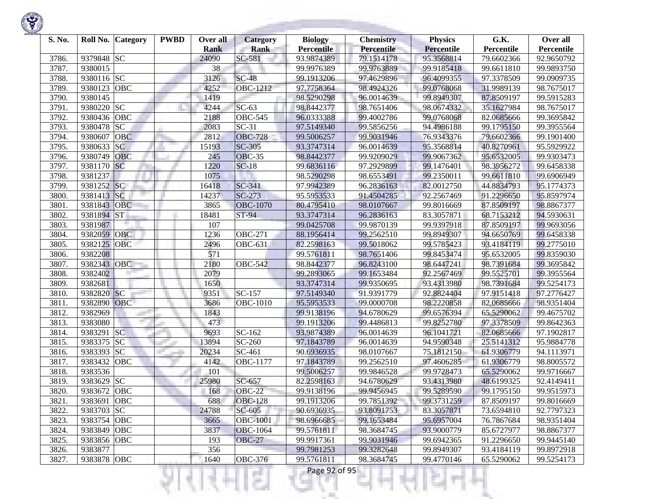| S. No. | Roll No.    | <b>Category</b> | <b>PWBD</b> | Over all<br><b>Rank</b> | <b>Category</b><br><b>Rank</b> | <b>Biology</b><br><b>Percentile</b> | <b>Chemistry</b><br>Percentile | <b>Physics</b><br><b>Percentile</b> | G.K.<br>Percentile | Over all<br>Percentile |
|--------|-------------|-----------------|-------------|-------------------------|--------------------------------|-------------------------------------|--------------------------------|-------------------------------------|--------------------|------------------------|
| 3786.  | 9379848 SC  |                 |             | 24090                   | SC-581                         | 93.9874389                          | 79.1514178                     | 95.3568814                          | 79.6602366         | 92.9650792             |
| 3787.  | 9380015     |                 |             | 38                      |                                | 99.9976389                          | 99.9763889                     | 99.9185418                          | 99.6611810         | 99.9893750             |
| 3788.  | 9380116 SC  |                 |             | 3126                    | $SC-48$                        | 99.1913206                          | 97.4629896                     | 96.4099355                          | 97.3378509         | 99.0909735             |
| 3789.  | 9380123     | <b>OBC</b>      |             | 4252                    | OBC-1212                       | 97.7758364                          | 98.4924326                     | 99.0768068                          | 31.9989139         | 98.7675017             |
| 3790.  | 9380145     |                 |             | 1419                    |                                | 98.5290298                          | 96.0014639                     | 99.8949307                          | 87.8509197         | 99.5915283             |
| 3791.  | 9380220 SC  |                 |             | 4244                    | $SC-63$                        | 98.8442377                          | 98.7651406                     | 98.0674332                          | 35.1627984         | 98.7675017             |
| 3792.  | 9380436     | OBC             |             | 2188                    | <b>OBC-545</b>                 | 96.0333388                          | 99.4002786                     | 99.0768068                          | 82.0685666         | 99.3695842             |
| 3793.  | 9380478     | <b>SC</b>       |             | 2083                    | $SC-31$                        | 97.5149340                          | 99.5856256                     | 94.4986188                          | 99.1795150         | 99.3955564             |
| 3794.  | 9380607     | <b>OBC</b>      |             | 2812                    | <b>OBC-728</b>                 | 99.5006257                          | 99.9031946                     | 76.9343376                          | 79.6602366         | 99.1901400             |
| 3795.  | 9380633     | <b>SC</b>       |             | 15193                   | <b>SC-305</b>                  | 93.3747314                          | 96.0014639                     | 95.3568814                          | 40.8270961         | 95.5929922             |
| 3796.  | 9380749     | <b>OBC</b>      |             | 245                     | <b>OBC-35</b>                  | 98.8442377                          | 99.9209029                     | 99.9067362                          | 95.6532005         | 99.9303473             |
| 3797.  | 9381170 SC  |                 |             | 1220                    | $SC-18$                        | 99.6836116                          | 97.2929899                     | 99.1476401                          | 98.3956272         | 99.6458338             |
| 3798.  | 9381237     |                 |             | 1075                    |                                | 98.5290298                          | 98.6553491                     | 99.2350011                          | 99.6611810         | 99.6906949             |
| 3799.  | 9381252 SC  |                 |             | 16418                   | SC-341                         | 97.9942389                          | 96.2836163                     | 82.0012750                          | 44.8834793         | 95.1774373             |
| 3800.  | 9381413     | SC              |             | 14237                   | $SC-273$                       | 95.5953533                          | 91.4504285                     | 92.2567469                          | 91.2296650         | 95.8597974             |
| 3801.  | 9381843     | <b>OBC</b>      |             | 3865                    | <b>OBC-1070</b>                | 80.4795410                          | 98.0107667                     | 99.8016669                          | 87.8509197         | 98.8867377             |
| 3802.  | 9381894     | <b>ST</b>       |             | 18481                   | ST-94                          | 93.3747314                          | 96.2836163                     | 83.3057871                          | 68.7153212         | 94.5930631             |
| 3803.  | 9381987     |                 |             | 107                     |                                | 99.0425708                          | 99.9870139                     | 99.9397918                          | 87.8509197         | 99.9693056             |
| 3804.  | 9382059     | <b>OBC</b>      |             | 1236                    | <b>OBC-271</b>                 | 88.1956414                          | 99.2562510                     | 99.8949307                          | 94.6650769         | 99.6458338             |
| 3805.  | 9382125     | <b>OBC</b>      |             | 2496                    | <b>OBC-631</b>                 | 82.2598163                          | 99.5018062                     | 99.5785423                          | 93.4184119         | 99.2775010             |
| 3806.  | 9382208     |                 |             | 571                     |                                | 99.5761811                          | 98.7651406                     | 99.8453474                          | 95.6532005         | 99.8359030             |
| 3807.  | 9382343     | OBC             |             | 2180                    | <b>OBC-542</b>                 | 98.8442377                          | 96.8243100                     | 98.6447241                          | 98.7391684         | 99.3695842             |
| 3808.  | 9382402     |                 |             | 2079                    |                                | 99.2893065                          | 99.1653484                     | 92.2567469                          | 99.5525701         | 99.3955564             |
| 3809.  | 9382681     |                 |             | 1650                    |                                | 93.3747314                          | 99.9350695                     | 93.4313980                          | 98.7391684         | 99.5254173             |
| 3810.  | 9382820     | SC              |             | 9351                    | SC-157                         | 97.5149340                          | 91.9391779                     | 92.8824404                          | 97.9151418         | 97.2776427             |
| 3811.  | 9382890 OBC |                 |             | 3686                    | OBC-1010                       | 95.5953533                          | 99.0000708                     | 98.2220858                          | 82.0685666         | 98.9351404             |
| 3812.  | 9382969     |                 |             | 1843                    |                                | 99.9138196                          | 94.6780629                     | 99.6576394                          | 65.5290062         | 99.4675702             |
| 3813.  | 9383080     |                 |             | 473                     |                                | 99.1913206                          | 99.4486813                     | 99.8252780                          | 97.3378509         | 99.8642363             |
| 3814.  | 9383291     | <b>SC</b>       |             | 9693                    | SC-162                         | 93.9874389                          | 96.0014639                     | 96.1041721                          | 82.0685666         | 97.1902817             |
| 3815.  | 9383375     | <b>SC</b>       |             | 13894                   | SC-260                         | 97.1843789                          | 96.0014639                     | 94.9590348                          | 25.5141312         | 95.9884778             |
| 3816.  | 9383393     | <b>SC</b>       |             | 20234                   | SC-461                         | 90.6936935                          | 98.0107667                     | 75.1812150                          | 61.9306779         | 94.1113971             |
| 3817.  | 9383432     | <b>OBC</b>      |             | 4142                    | <b>OBC-1177</b>                | 97.1843789                          | 99.2562510                     | 97.4606285                          | 61.9306779         | 98.8005572             |
| 3818.  | 9383536     |                 |             | 101                     |                                | 99.5006257                          | 99.9846528                     | 99.9728473                          | 65.5290062         | 99.9716667             |
| 3819.  | 9383629     | <b>SC</b>       |             | 25980                   | SC-657                         | 82.2598163                          | 94.6780629                     | 93.4313980                          | 48.6199325         | 92.4149411             |
| 3820.  | 9383672     | <b>OBC</b>      |             | 168                     | <b>OBC-22</b>                  | 99.9138196                          | 99.9456945                     | 99.5289590                          | 99.1795150         | 99.9515973             |
| 3821.  | 9383691 OBC |                 |             | 688                     | <b>OBC-128</b>                 | 99.1913206                          | 99.7851392                     | 99.3731259                          | 87.8509197         | 99.8016669             |
| 3822.  | 9383703 SC  |                 |             | 24788                   | SC-605                         | 90.6936935                          | 93.8091753                     | 83.3057871                          | 73.6594810         | 92.7797323             |
| 3823.  | 9383754 OBC |                 |             | 3665                    | <b>OBC-1001</b>                | 98.6966685                          | 99.1653484                     | 95.6957004                          | 76.7867684         | 98.9351404             |
| 3824.  | 9383849 OBC |                 |             | 3837                    | <b>OBC-1064</b>                | 99.5761811                          | 98.3684745                     | 93.9000779                          | 85.6727977         | 98.8867377             |
| 3825.  | 9383856 OBC |                 |             | 193                     | <b>OBC-27</b>                  | 99.9917361                          | 99.9031946                     | 99.6942365                          | 91.2296650         | 99.9445140             |
| 3826.  | 9383877     |                 |             | 356                     |                                | 99.7981253                          | 99.3282648                     | 99.8949307                          | 93.4184119         | 99.8972918             |
| 3827.  | 9383878 OBC |                 |             | 1640                    | <b>OBC-376</b>                 | 99.5761811                          | 98.3684745                     | 99.4770146                          | 65.5290062         | 99.5254173             |
|        |             |                 |             |                         |                                | Page 92 of 95                       |                                |                                     |                    |                        |

**State of Concession**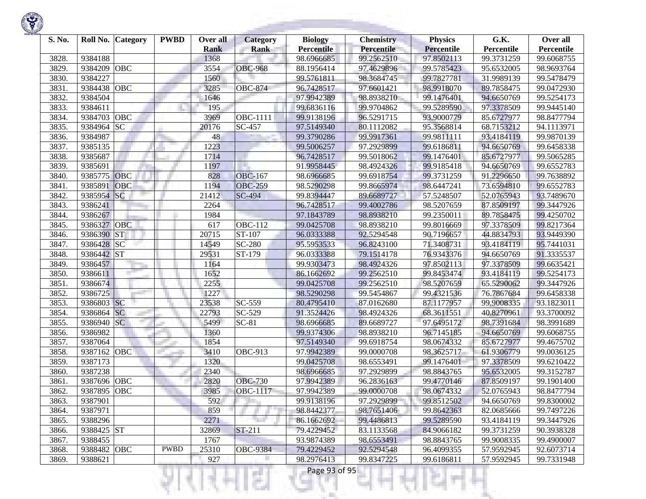

| S. No. | Roll No.    | <b>Category</b> | <b>PWBD</b> | Over all<br><b>Rank</b> | Category<br><b>Rank</b> | <b>Biology</b><br><b>Percentile</b> | <b>Chemistry</b><br>Percentile | <b>Physics</b><br><b>Percentile</b> | G.K.<br>Percentile | Over all<br>Percentile |
|--------|-------------|-----------------|-------------|-------------------------|-------------------------|-------------------------------------|--------------------------------|-------------------------------------|--------------------|------------------------|
| 3828.  | 9384188     |                 |             | 1368                    |                         | 98.6966685                          | 99.2562510                     | 97.8502113                          | 99.3731259         | 99.6068755             |
| 3829.  | 9384209     | OBC             |             | 3554                    | <b>OBC-968</b>          | 88.1956414                          | 97.4629896                     | 99.5785423                          | 95.6532005         | 98.9693764             |
| 3830.  | 9384227     |                 |             | 1560                    |                         | 99.5761811                          | 98.3684745                     | 99.7827781                          | 31.9989139         | 99.5478479             |
| 3831.  | 9384438     | OBC             |             | 3285                    | <b>OBC-874</b>          | 96.7428517                          | 97.6601421                     | 98.9918070                          | 89.7858475         | 99.0472930             |
| 3832.  | 9384504     |                 |             | 1646                    |                         | 97.9942389                          | 98.8938210                     | 99.1476401                          | 94.6650769         | 99.5254173             |
| 3833.  | 9384611     |                 |             | 195                     |                         | 99.6836116                          | 99.9704862                     | 99.5289590                          | 97.3378509         | 99.9445140             |
| 3834.  | 9384703     | OBC             |             | 3969                    | <b>OBC-1111</b>         | 99.9138196                          | 96.5291715                     | 93.9000779                          | 85.6727977         | 98.8477794             |
| 3835.  | 9384964     | <b>SC</b>       |             | 20176                   | SC-457                  | 97.5149340                          | 80.1112082                     | 95.3568814                          | 68.7153212         | 94.1113971             |
| 3836.  | 9384987     |                 |             | 48                      |                         | 99.3790286                          | 99.9917361                     | 99.9811111                          | 93.4184119         | 99.9870139             |
| 3837.  | 9385135     |                 |             | 1223                    |                         | 99.5006257                          | 97.2929899                     | 99.6186811                          | 94.6650769         | 99.6458338             |
| 3838.  | 9385687     |                 |             | 1714                    |                         | 96.7428517                          | 99.5018062                     | 99.1476401                          | 85.6727977         | 99.5065285             |
| 3839.  | 9385691     |                 |             | 1197                    |                         | 91.9958445                          | 98.4924326                     | 99.9185418                          | 94.6650769         | 99.6552783             |
| 3840.  | 9385775     | OBC             |             | 828                     | <b>OBC-167</b>          | 98.6966685                          | 99.6918754                     | 99.3731259                          | 91.2296650         | 99.7638892             |
| 3841.  | 9385891     | OBC             |             | 1194                    | <b>OBC-259</b>          | 98.5290298                          | 99.8665974                     | 98.6447241                          | 73.6594810         | 99.6552783             |
| 3842.  | 9385954     | SC              |             | 21412                   | <b>SC-494</b>           | 99.8394447                          | 89.6689727                     | 57.5248507                          | 52.0765943         | 93.7489670             |
| 3843.  | 9386241     |                 |             | 2264                    |                         | 96.7428517                          | 99.4002786                     | 98.5207659                          | 87.8509197         | 99.3447926             |
| 3844.  | 9386267     |                 |             | 1984                    |                         | 97.1843789                          | 98.8938210                     | 99.2350011                          | 89.7858475         | 99.4250702             |
| 3845.  | 9386327     | <b>OBC</b>      |             | 617                     | <b>OBC-112</b>          | 99.0425708                          | 98.8938210                     | 99.8016669                          | 97.3378509         | 99.8217364             |
| 3846.  | 9386390     | <b>ST</b>       |             | 20715                   | ST-107                  | 96.0333388                          | 92.5294548                     | 90.7196657                          | 44.8834793         | 93.9449390             |
| 3847.  | 9386428     | <b>SC</b>       |             | 14549                   | SC-280                  | 95.5953533                          | 96.8243100                     | 71.3408731                          | 93.4184119         | 95.7441031             |
| 3848.  | 9386442 ST  |                 |             | 29531                   | ST-179                  | 96.0333388                          | 79.1514178                     | 76.9343376                          | 94.6650769         | 91.3335537             |
| 3849.  | 9386457     |                 |             | 1164                    |                         | 99.9303473                          | 98.4924326                     | 97.8502113                          | 97.3378509         | 99.6635421             |
| 3850.  | 9386611     |                 |             | 1652                    |                         | 86.1662692                          | 99.2562510                     | 99.8453474                          | 93.4184119         | 99.5254173             |
| 3851.  | 9386674     |                 |             | 2255                    |                         | 99.0425708                          | 99.2562510                     | 98.5207659                          | 65.5290062         | 99.3447926             |
| 3852.  | 9386725     |                 |             | 1227                    |                         | 98.5290298                          | 99.5454867                     | 99.4321536                          | 76.7867684         | 99.6458338             |
| 3853.  | 9386803 SC  |                 |             | 23538                   | SC-559                  | 80.4795410                          | 87.0162680                     | 87.1177957                          | 99.9008335         | 93.1823011             |
| 3854.  | 9386864     | <b>SC</b>       |             | 22793                   | $\overline{SC}$ -529    | 91.3524426                          | 98.4924326                     | 68.3611551                          | 40.8270961         | 93.3700092             |
| 3855.  | 9386940     | <b>SC</b>       |             | 5499                    | $\overline{SC}$ -81     | 98.6966685                          | 89.6689727                     | 97.6495172                          | 98.7391684         | 98.3991689             |
| 3856.  | 9386982     |                 |             | 1360                    |                         | 99.9374306                          | 98.8938210                     | 96.7145185                          | 94.6650769         | 99.6068755             |
| 3857.  | 9387064     |                 |             | 1854                    |                         | 97.5149340                          | 99.6918754                     | 98.0674332                          | 85.6727977         | 99.4675702             |
| 3858.  | 9387162     | OBC             |             | 3410                    | OBC-913                 | 97.9942389                          | 99.0000708                     | 98.3625717                          | 61.9306779         | 99.0036125             |
| 3859.  | 9387173     |                 |             | 1320                    |                         | 99.0425708                          | 98.6553491                     | 99.1476401                          | 97.3378509         | 99.6210422             |
| 3860.  | 9387238     |                 |             | 2340                    |                         | 98.6966685                          | 97.2929899                     | 98.8843765                          | 95.6532005         | 99.3152787             |
| 3861.  | 9387696     | <b>OBC</b>      |             | 2820                    | <b>OBC-730</b>          | 97.9942389                          | 96.2836163                     | 99.4770146                          | 87.8509197         | 99.1901400             |
| 3862.  | 9387895     | OBC             |             | 3985                    | <b>OBC-1117</b>         | 97.9942389                          | 99.0000708                     | 98.0674332                          | 52.0765943         | 98.8477794             |
| 3863.  | 9387901     |                 |             | 592                     |                         | 99.9138196                          | 97.2929899                     | 99.8512502                          | 94.6650769         | 99.8300002             |
| 3864.  | 9387971     |                 |             | 859                     |                         | 98.8442377                          | 98.7651406                     | 99.8642363                          | 82.0685666         | 99.7497226             |
| 3865.  | 9388296     |                 |             | 2271                    |                         | 86.1662692                          | 99.4486813                     | 99.5289590                          | 93.4184119         | 99.3447926             |
| 3866.  | 9388425 ST  |                 |             | 32869                   | ST-211                  | 79.4229452                          | 83.1133568                     | 84.9066182                          | 99.3731259         | 90.3938328             |
| 3867.  | 9388455     |                 |             | 1767                    |                         | 93.9874389                          | 98.6553491                     | 98.8843765                          | 99.9008335         | 99.4900007             |
| 3868.  | 9388482 OBC |                 | <b>PWBD</b> | 25310                   | <b>OBC-9384</b>         | 79.4229452                          | 92.5294548                     | 96.4099355                          | 57.9592945         | 92.6073714             |
| 3869.  | 9388621     |                 |             | 927                     |                         | 98.2976413                          | 99.8347225                     | 99.6186811                          | 57.9592945         | 99.7331948             |
|        |             |                 |             |                         |                         | Page 93 of 95                       |                                |                                     |                    |                        |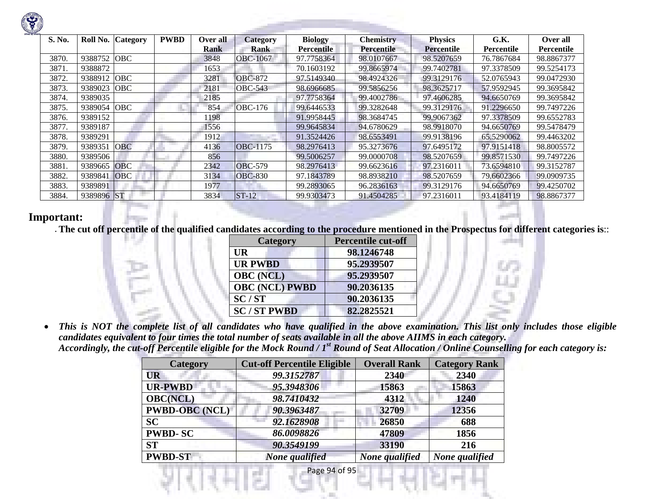| S. No. |            | Roll No. Category | <b>PWBD</b> | Over all | <b>Category</b> | <b>Biology</b>    | <b>Chemistry</b>  | <b>Physics</b>    | G.K.       | Over all   |
|--------|------------|-------------------|-------------|----------|-----------------|-------------------|-------------------|-------------------|------------|------------|
|        |            |                   |             | Rank     | Rank            | <b>Percentile</b> | <b>Percentile</b> | <b>Percentile</b> | Percentile | Percentile |
| 3870.  | 9388752    | <b>OBC</b>        |             | 3848     | OBC-1067        | 97.7758364        | 98.0107667        | 98.5207659        | 76.7867684 | 98.8867377 |
| 3871.  | 9388872    |                   |             | 1653     |                 | 70.1603192        | 99.8665974        | 99.7402781        | 97.3378509 | 99.5254173 |
| 3872.  | 9388912    | <b>OBC</b>        |             | 3281     | <b>OBC-872</b>  | 97.5149340        | 98.4924326        | 99.3129176        | 52.0765943 | 99.0472930 |
| 3873.  | 9389023    | <b>OBC</b>        |             | 2181     | <b>OBC-543</b>  | 98.6966685        | 99.5856256        | 98.3625717        | 57.9592945 | 99.3695842 |
| 3874.  | 9389035    |                   |             | 2185     |                 | 97.7758364        | 99.4002786        | 97.4606285        | 94.6650769 | 99.3695842 |
| 3875.  | 9389054    | <b>OBC</b>        |             | 854      | <b>OBC-176</b>  | 99.6446533        | 99.3282648        | 99.3129176        | 91.2296650 | 99.7497226 |
| 3876.  | 9389152    |                   |             | 1198     |                 | 91.9958445        | 98.3684745        | 99.9067362        | 97.3378509 | 99.6552783 |
| 3877.  | 9389187    |                   |             | 1556     |                 | 99.9645834        | 94.6780629        | 98.9918070        | 94.6650769 | 99.5478479 |
| 3878.  | 9389291    |                   |             | 1912     |                 | 91.3524426        | 98.6553491        | 99.9138196        | 65.5290062 | 99.4463202 |
| 3879.  | 9389351    | <b>OBC</b>        |             | 4136     | <b>OBC-1175</b> | 98.2976413        | 95.3273676        | 97.6495172        | 97.9151418 | 98.8005572 |
| 3880.  | 9389506    |                   |             | 856      |                 | 99.5006257        | 99.0000708        | 98.5207659        | 99.8571530 | 99.7497226 |
| 3881.  | 9389665    | <b>OBC</b>        |             | 2342     | <b>OBC-579</b>  | 98.2976413        | 99.6623616        | 97.2316011        | 73.6594810 | 99.3152787 |
| 3882.  | 9389841    | OBC               |             | 3134     | <b>OBC-830</b>  | 97.1843789        | 98.8938210        | 98.5207659        | 79.6602366 | 99.0909735 |
| 3883.  | 9389891    |                   |             | 1977     |                 | 99.2893065        | 96.2836163        | 99.3129176        | 94.6650769 | 99.4250702 |
| 3884.  | 9389896 ST |                   |             | 3834     | $ST-12$         | 99.9303473        | 91.4504285        | 97.2316011        | 93.4184119 | 98.8867377 |

## **Important:**

• **The cut off percentile of the qualified candidates according to the procedure mentioned in the Prospectus for different categories is**::

| <b>Category</b>       | <b>Percentile cut-off</b> |  |
|-----------------------|---------------------------|--|
| UR                    | 98.1246748                |  |
| <b>UR PWBD</b>        | 95.2939507                |  |
| <b>OBC</b> (NCL)      | 95.2939507                |  |
| <b>OBC (NCL) PWBD</b> | 90.2036135                |  |
| SC/ST                 | 90.2036135                |  |
| <b>SC/ST PWBD</b>     | 82.2825521                |  |

 $\bullet$  *This is NOT the complete list of all candidates who have qualified in the above examination. This list only includes those eligible candidates equivalent to four times the total number of seats available in all the above AIIMS in each category. Accordingly, the cut-off Percentile eligible for the Mock Round / 1st Round of Seat Allocation / Online Counselling for each category is:* 

| Category              | <b>Cut-off Percentile Eligible</b> | <b>Overall Rank</b> | <b>Category Rank</b> |
|-----------------------|------------------------------------|---------------------|----------------------|
| <b>UR</b>             | 99.3152787                         | 2340                | 2340                 |
| <b>UR-PWBD</b>        | 95.3948306                         | 15863               | 15863                |
| <b>OBC(NCL)</b>       | 98.7410432                         | 4312                | 1240                 |
| <b>PWBD-OBC</b> (NCL) | 90.3963487                         | 32709               | 12356                |
| <b>SC</b>             | 92.1628908                         | 26850               | 688                  |
| <b>PWBD-SC</b>        | 86.0098826                         | 47809               | 1856                 |
| <b>ST</b>             | 90.3549199                         | 33190               | 216                  |
| <b>PWBD-ST</b>        | None qualified                     | None qualified      | None qualified       |